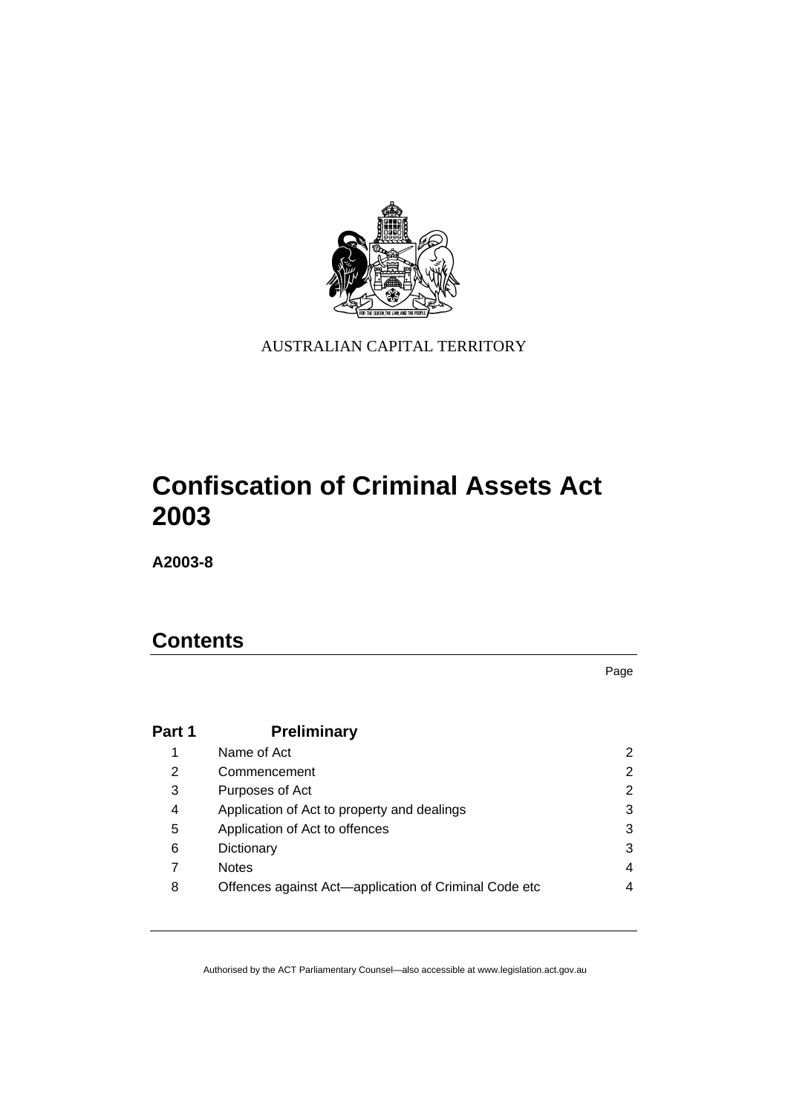

AUSTRALIAN CAPITAL TERRITORY

# **Confiscation of Criminal Assets Act 2003**

**A2003-8** 

## **Contents**

Page

| Part 1 | <b>Preliminary</b>                                    |                |
|--------|-------------------------------------------------------|----------------|
|        | Name of Act                                           | $\overline{2}$ |
| 2      | Commencement                                          | 2              |
| 3      | Purposes of Act                                       | $\overline{2}$ |
| 4      | Application of Act to property and dealings           | 3              |
| 5      | Application of Act to offences                        | 3              |
| 6      | Dictionary                                            | 3              |
| 7      | <b>Notes</b>                                          | 4              |
| 8      | Offences against Act-application of Criminal Code etc | 4              |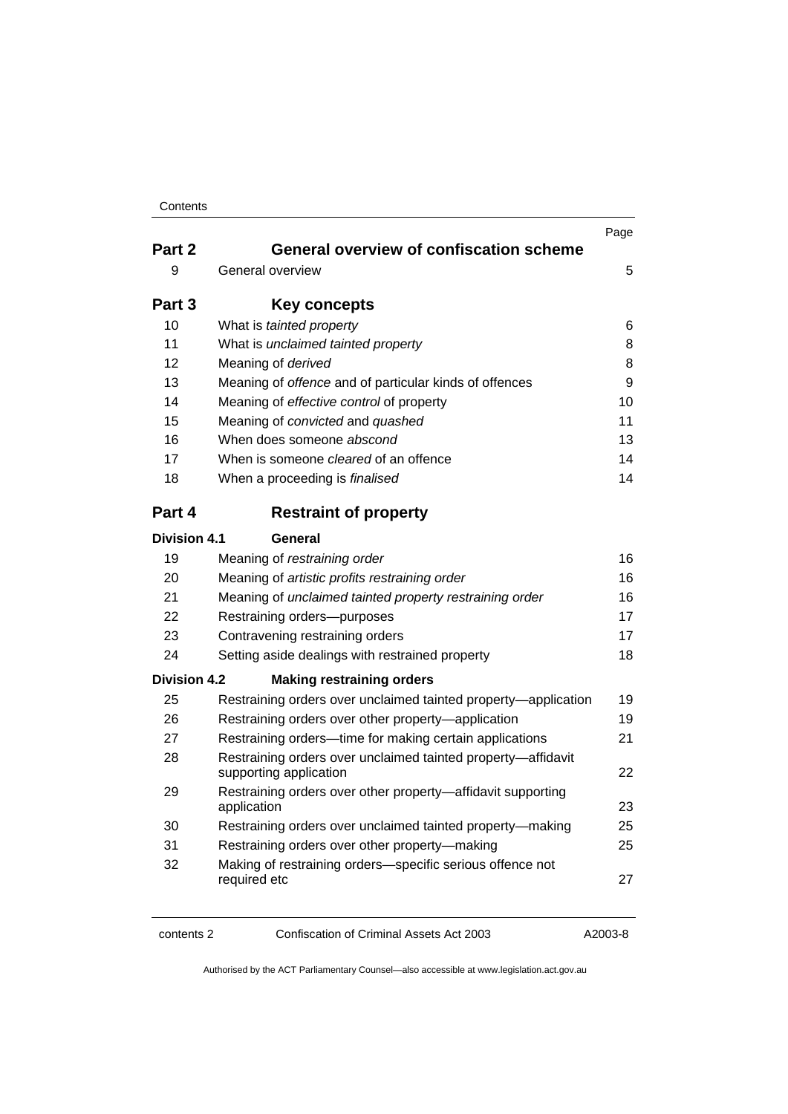| Contents |
|----------|
|----------|

|                     |                                                                                        | Page |
|---------------------|----------------------------------------------------------------------------------------|------|
| Part 2              | <b>General overview of confiscation scheme</b>                                         |      |
| 9                   | General overview                                                                       | 5    |
| Part 3              | <b>Key concepts</b>                                                                    |      |
| 10                  | What is tainted property                                                               | 6    |
| 11                  | What is unclaimed tainted property                                                     | 8    |
| 12                  | Meaning of derived                                                                     | 8    |
| 13                  | Meaning of offence and of particular kinds of offences                                 | 9    |
| 14                  | Meaning of effective control of property                                               | 10   |
| 15                  | Meaning of convicted and quashed                                                       | 11   |
| 16                  | When does someone abscond                                                              | 13   |
| 17                  | When is someone <i>cleared</i> of an offence                                           | 14   |
| 18                  | When a proceeding is finalised                                                         |      |
| Part 4              | <b>Restraint of property</b>                                                           |      |
| Division 4.1        | General                                                                                |      |
| 19                  | Meaning of restraining order                                                           | 16   |
| 20                  | Meaning of artistic profits restraining order                                          | 16   |
| 21                  | Meaning of unclaimed tainted property restraining order                                | 16   |
| 22                  | Restraining orders-purposes                                                            | 17   |
| 23                  | Contravening restraining orders                                                        |      |
| 24                  | Setting aside dealings with restrained property                                        |      |
| <b>Division 4.2</b> | <b>Making restraining orders</b>                                                       |      |
| 25                  | Restraining orders over unclaimed tainted property—application                         | 19   |
| 26                  | Restraining orders over other property-application                                     | 19   |
| 27                  | Restraining orders—time for making certain applications                                |      |
| 28                  | Restraining orders over unclaimed tainted property-affidavit<br>supporting application |      |
| 29                  | Restraining orders over other property-affidavit supporting<br>application             | 23   |
| 30                  | Restraining orders over unclaimed tainted property-making                              | 25   |
| 31                  | Restraining orders over other property-making                                          | 25   |
| 32                  | Making of restraining orders-specific serious offence not<br>required etc              | 27   |

contents 2 Confiscation of Criminal Assets Act 2003 A2003-8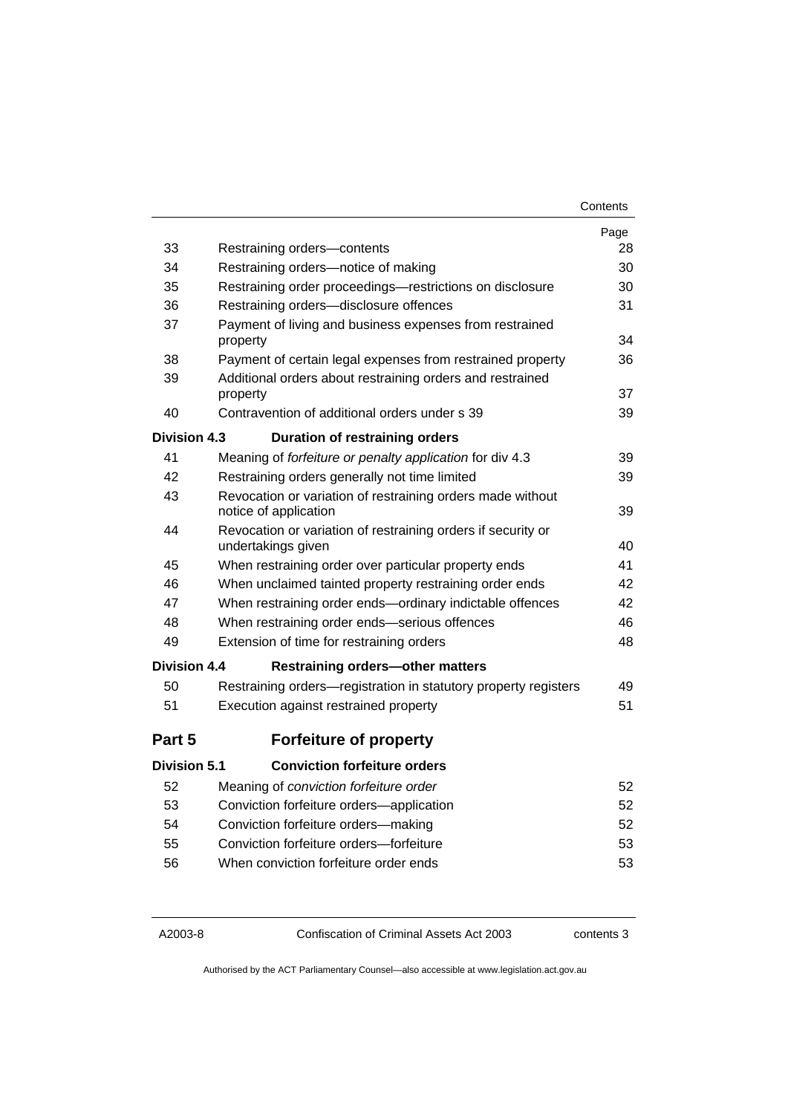| Contents |
|----------|
|----------|

|                     |                                                                                     | Page     |  |
|---------------------|-------------------------------------------------------------------------------------|----------|--|
| 33                  | Restraining orders-contents                                                         | 28       |  |
| 34                  | Restraining orders-notice of making                                                 | 30       |  |
| 35                  | Restraining order proceedings-restrictions on disclosure                            | 30<br>31 |  |
| 36                  | Restraining orders-disclosure offences                                              |          |  |
| 37                  | Payment of living and business expenses from restrained<br>property                 |          |  |
| 38                  | Payment of certain legal expenses from restrained property                          |          |  |
| 39                  | Additional orders about restraining orders and restrained<br>property               |          |  |
| 40                  | Contravention of additional orders under s 39                                       | 39       |  |
| Division 4.3        | <b>Duration of restraining orders</b>                                               |          |  |
| 41                  | Meaning of forfeiture or penalty application for div 4.3                            | 39       |  |
| 42                  | Restraining orders generally not time limited                                       | 39       |  |
| 43                  | Revocation or variation of restraining orders made without<br>notice of application |          |  |
| 44                  | Revocation or variation of restraining orders if security or<br>undertakings given  | 40       |  |
| 45                  | When restraining order over particular property ends                                | 41       |  |
| 46                  | When unclaimed tainted property restraining order ends                              | 42       |  |
| 47                  | When restraining order ends—ordinary indictable offences                            | 42       |  |
| 48                  | When restraining order ends-serious offences                                        |          |  |
| 49                  | Extension of time for restraining orders                                            |          |  |
| <b>Division 4.4</b> | <b>Restraining orders-other matters</b>                                             |          |  |
| 50                  | Restraining orders—registration in statutory property registers                     | 49       |  |
| 51                  | Execution against restrained property                                               | 51       |  |
| Part 5              | <b>Forfeiture of property</b>                                                       |          |  |
| Division 5.1        | <b>Conviction forfeiture orders</b>                                                 |          |  |
| 52                  | Meaning of conviction forfeiture order                                              | 52       |  |
| 53                  | Conviction forfeiture orders-application                                            | 52       |  |
| 54                  | Conviction forfeiture orders-making                                                 | 52       |  |
| 55                  | Conviction forfeiture orders-forfeiture                                             | 53       |  |
| 56                  | When conviction forfeiture order ends                                               | 53       |  |

A2003-8 Confiscation of Criminal Assets Act 2003 contents 3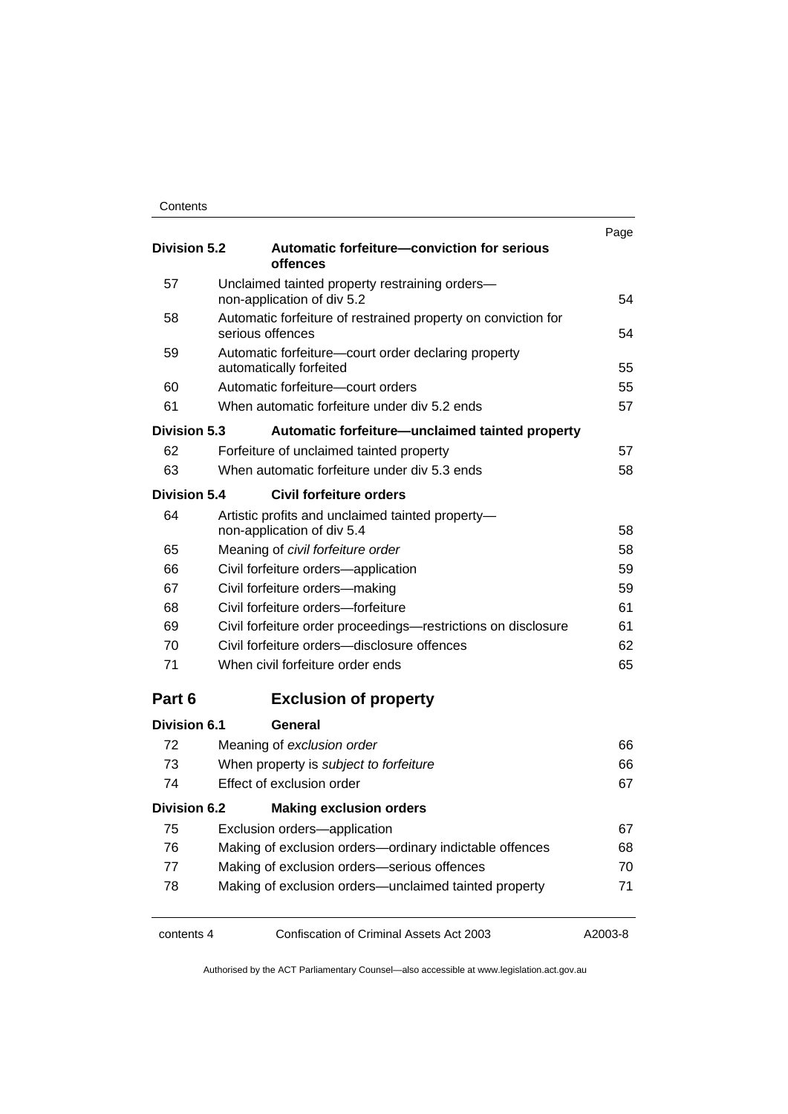| <b>Division 5.2</b> | Automatic forfeiture-conviction for serious<br>offences                           | Page |  |
|---------------------|-----------------------------------------------------------------------------------|------|--|
| 57                  | Unclaimed tainted property restraining orders-<br>non-application of div 5.2      |      |  |
| 58                  | Automatic forfeiture of restrained property on conviction for<br>serious offences |      |  |
| 59                  | Automatic forfeiture-court order declaring property<br>automatically forfeited    |      |  |
| 60                  | Automatic forfeiture-court orders                                                 | 55   |  |
| 61                  | When automatic forfeiture under div 5.2 ends                                      | 57   |  |
| <b>Division 5.3</b> | Automatic forfeiture—unclaimed tainted property                                   |      |  |
| 62                  | Forfeiture of unclaimed tainted property                                          | 57   |  |
| 63                  | When automatic forfeiture under div 5.3 ends                                      | 58   |  |
| <b>Division 5.4</b> | Civil forfeiture orders                                                           |      |  |
| 64                  | Artistic profits and unclaimed tainted property-<br>non-application of div 5.4    | 58   |  |
| 65                  | Meaning of civil forfeiture order                                                 | 58   |  |
| 66                  | Civil forfeiture orders-application                                               |      |  |
| 67                  | Civil forfeiture orders-making                                                    |      |  |
| 68                  | Civil forfeiture orders-forfeiture                                                | 61   |  |
| 69                  | Civil forfeiture order proceedings-restrictions on disclosure                     |      |  |
| 70                  | Civil forfeiture orders-disclosure offences                                       |      |  |
| 71                  | When civil forfeiture order ends                                                  |      |  |
| Part 6              | <b>Exclusion of property</b>                                                      |      |  |
| <b>Division 6.1</b> | General                                                                           |      |  |
| 72                  | Meaning of exclusion order                                                        | 66   |  |
| 73                  | When property is subject to forfeiture<br>66                                      |      |  |
| 74                  | Effect of exclusion order                                                         | 67   |  |
| <b>Division 6.2</b> | <b>Making exclusion orders</b>                                                    |      |  |
| 75                  | Exclusion orders-application                                                      | 67   |  |
| 76                  | Making of exclusion orders-ordinary indictable offences                           |      |  |
| 77                  | Making of exclusion orders-serious offences                                       | 70   |  |
| 78                  | Making of exclusion orders-unclaimed tainted property                             | 71   |  |

contents 4 Confiscation of Criminal Assets Act 2003 A2003-8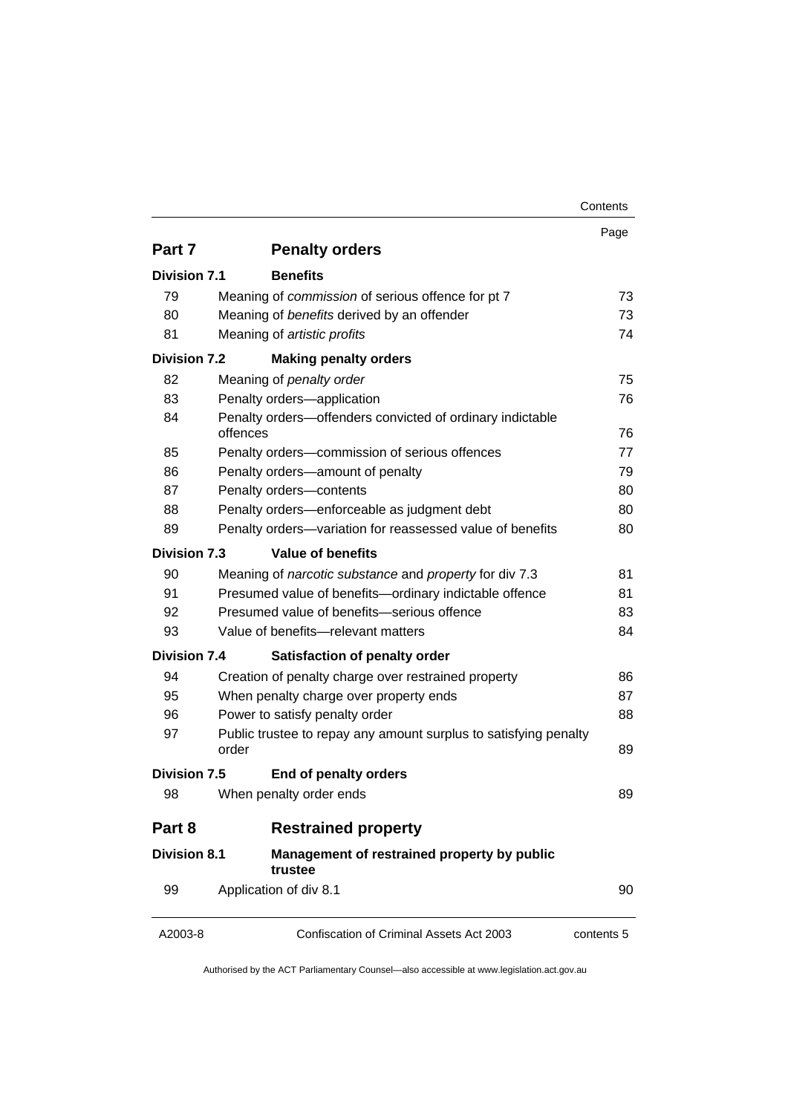|                     |                                                                           | Contents   |
|---------------------|---------------------------------------------------------------------------|------------|
|                     |                                                                           | Page       |
| Part 7              | <b>Penalty orders</b>                                                     |            |
| <b>Division 7.1</b> | <b>Benefits</b>                                                           |            |
| 79                  | Meaning of commission of serious offence for pt 7                         | 73         |
| 80                  | Meaning of benefits derived by an offender                                | 73         |
| 81                  | Meaning of artistic profits                                               | 74         |
| <b>Division 7.2</b> | <b>Making penalty orders</b>                                              |            |
| 82                  | Meaning of penalty order                                                  | 75         |
| 83                  | Penalty orders-application                                                |            |
| 84                  | Penalty orders-offenders convicted of ordinary indictable                 |            |
|                     | offences                                                                  | 76         |
| 85                  | Penalty orders-commission of serious offences                             |            |
| 86                  | Penalty orders-amount of penalty                                          |            |
| 87                  | Penalty orders-contents                                                   |            |
| 88                  | Penalty orders-enforceable as judgment debt                               |            |
| 89                  | Penalty orders-variation for reassessed value of benefits                 |            |
| <b>Division 7.3</b> | <b>Value of benefits</b>                                                  |            |
| 90                  | Meaning of narcotic substance and property for div 7.3                    | 81         |
| 91                  | Presumed value of benefits-ordinary indictable offence                    |            |
| 92                  | Presumed value of benefits-serious offence                                |            |
| 93                  | Value of benefits-relevant matters                                        |            |
| <b>Division 7.4</b> | <b>Satisfaction of penalty order</b>                                      |            |
| 94                  | Creation of penalty charge over restrained property                       | 86         |
| 95                  | When penalty charge over property ends                                    | 87         |
| 96                  | Power to satisfy penalty order                                            | 88         |
| 97                  | Public trustee to repay any amount surplus to satisfying penalty<br>order |            |
| <b>Division 7.5</b> | End of penalty orders                                                     |            |
| 98                  | When penalty order ends                                                   | 89         |
| Part 8              | <b>Restrained property</b>                                                |            |
| <b>Division 8.1</b> | Management of restrained property by public<br>trustee                    |            |
| 99                  | Application of div 8.1                                                    | 90         |
| A2003-8             | Confiscation of Criminal Assets Act 2003                                  | contents 5 |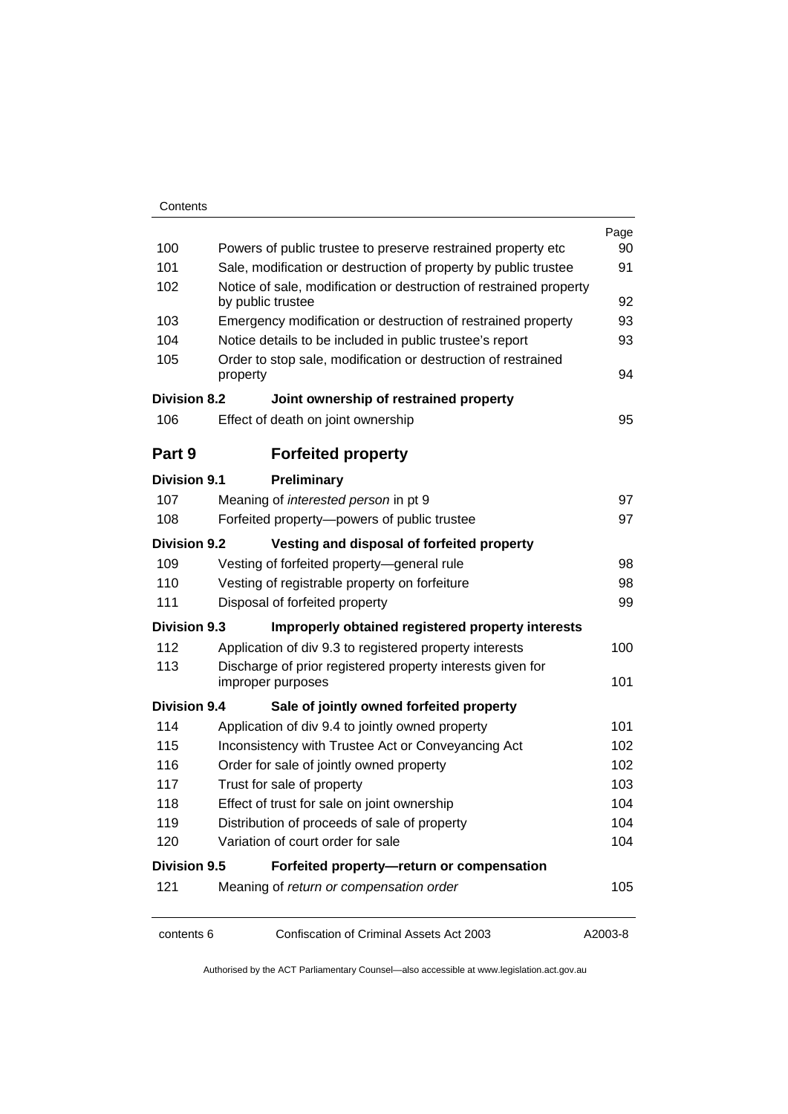|                     |                                                                                 | Page     |  |  |
|---------------------|---------------------------------------------------------------------------------|----------|--|--|
| 100                 | Powers of public trustee to preserve restrained property etc                    |          |  |  |
| 101                 | Sale, modification or destruction of property by public trustee                 |          |  |  |
| 102                 | Notice of sale, modification or destruction of restrained property              |          |  |  |
|                     | by public trustee                                                               | 92       |  |  |
| 103                 | Emergency modification or destruction of restrained property                    | 93<br>93 |  |  |
| 104                 | Notice details to be included in public trustee's report                        |          |  |  |
| 105                 | Order to stop sale, modification or destruction of restrained<br>property       |          |  |  |
| <b>Division 8.2</b> | Joint ownership of restrained property                                          |          |  |  |
| 106                 | Effect of death on joint ownership                                              | 95       |  |  |
| Part 9              | <b>Forfeited property</b>                                                       |          |  |  |
| <b>Division 9.1</b> | Preliminary                                                                     |          |  |  |
| 107                 | Meaning of <i>interested person</i> in pt 9                                     | 97       |  |  |
| 108                 | Forfeited property-powers of public trustee                                     |          |  |  |
| <b>Division 9.2</b> | Vesting and disposal of forfeited property                                      |          |  |  |
| 109                 | Vesting of forfeited property-general rule                                      | 98       |  |  |
| 110                 | Vesting of registrable property on forfeiture                                   |          |  |  |
| 111                 | Disposal of forfeited property                                                  |          |  |  |
| <b>Division 9.3</b> | Improperly obtained registered property interests                               |          |  |  |
| 112                 | Application of div 9.3 to registered property interests                         | 100      |  |  |
| 113                 | Discharge of prior registered property interests given for<br>improper purposes |          |  |  |
| <b>Division 9.4</b> | Sale of jointly owned forfeited property                                        |          |  |  |
| 114                 | Application of div 9.4 to jointly owned property                                | 101      |  |  |
| 115                 | Inconsistency with Trustee Act or Conveyancing Act                              | 102      |  |  |
| 116                 | Order for sale of jointly owned property                                        |          |  |  |
| 117                 | Trust for sale of property                                                      |          |  |  |
| 118                 | Effect of trust for sale on joint ownership                                     |          |  |  |
| 119                 | Distribution of proceeds of sale of property                                    | 104      |  |  |
| 120                 | Variation of court order for sale                                               |          |  |  |
| <b>Division 9.5</b> | Forfeited property-return or compensation                                       |          |  |  |
| 121                 | Meaning of return or compensation order                                         | 105      |  |  |
| contents 6          | Confiscation of Criminal Assets Act 2003                                        | A2003-8  |  |  |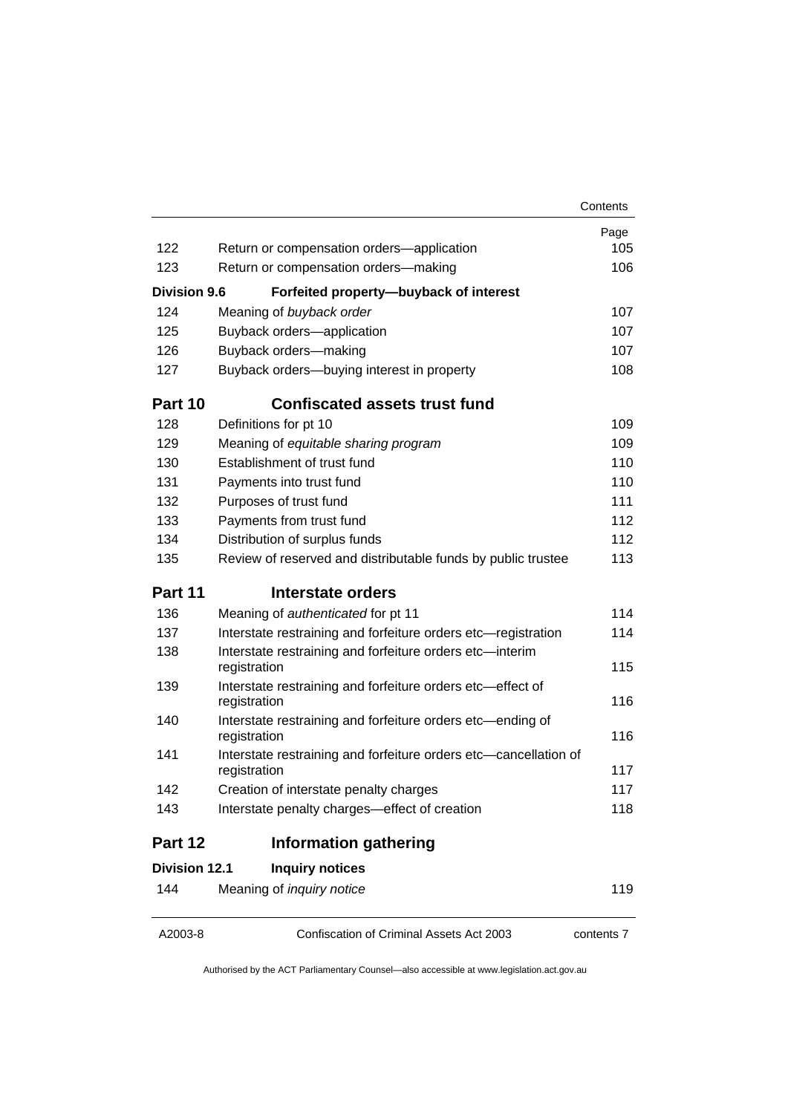| Page<br>105<br>106<br>107<br>107<br>107<br>108<br>109<br>109            |
|-------------------------------------------------------------------------|
|                                                                         |
|                                                                         |
|                                                                         |
|                                                                         |
|                                                                         |
|                                                                         |
|                                                                         |
|                                                                         |
|                                                                         |
|                                                                         |
|                                                                         |
| 110                                                                     |
| 110                                                                     |
| 111                                                                     |
| 112                                                                     |
| 112                                                                     |
| Review of reserved and distributable funds by public trustee<br>113     |
|                                                                         |
| 114                                                                     |
| Interstate restraining and forfeiture orders etc-registration<br>114    |
| Interstate restraining and forfeiture orders etc-interim<br>115         |
| Interstate restraining and forfeiture orders etc-effect of<br>116       |
| Interstate restraining and forfeiture orders etc-ending of              |
| 116                                                                     |
| Interstate restraining and forfeiture orders etc-cancellation of<br>117 |
| 117                                                                     |
| 118                                                                     |
|                                                                         |
|                                                                         |
| 119                                                                     |
|                                                                         |

A2003-8 Confiscation of Criminal Assets Act 2003 contents 7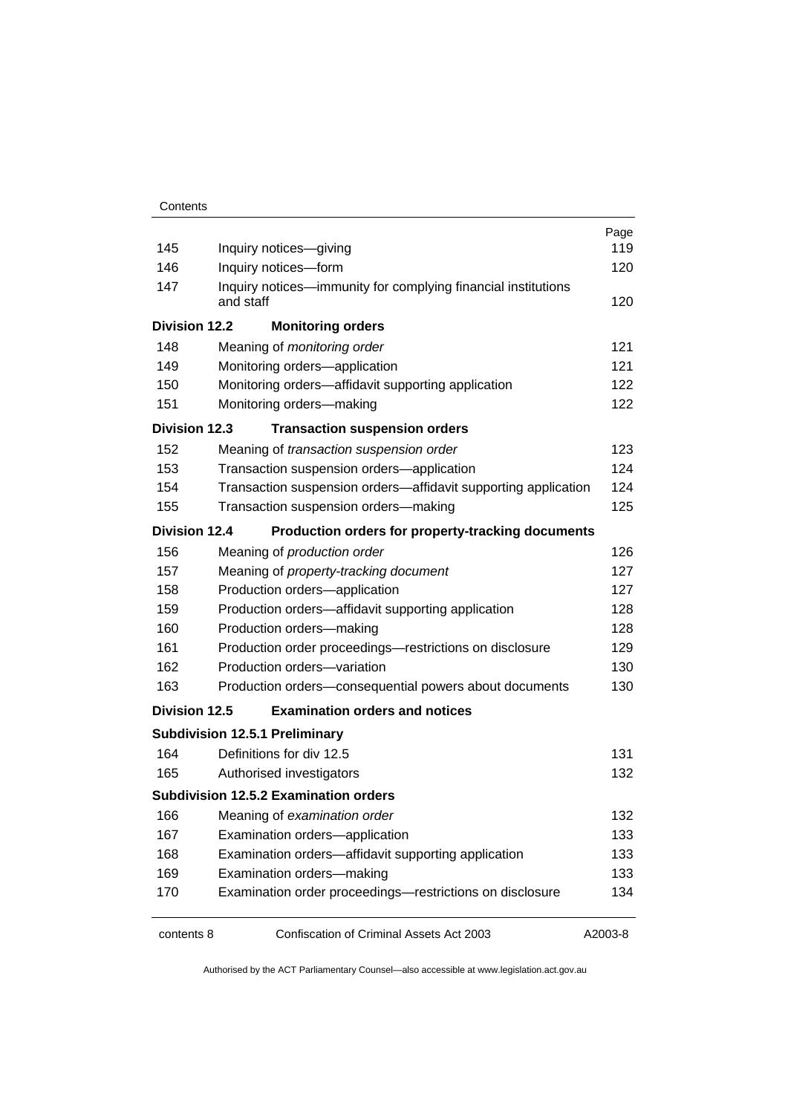| 145                  |                                                                                     | Inquiry notices-giving                                   | Page<br>119 |  |
|----------------------|-------------------------------------------------------------------------------------|----------------------------------------------------------|-------------|--|
| 146                  | Inquiry notices-form                                                                |                                                          |             |  |
| 147                  | Inquiry notices—immunity for complying financial institutions<br>and staff          |                                                          |             |  |
| <b>Division 12.2</b> |                                                                                     | <b>Monitoring orders</b>                                 |             |  |
| 148                  |                                                                                     | Meaning of monitoring order                              | 121         |  |
| 149                  |                                                                                     | Monitoring orders-application                            | 121         |  |
| 150                  |                                                                                     | Monitoring orders-affidavit supporting application       | 122         |  |
| 151                  | Monitoring orders-making                                                            |                                                          |             |  |
| <b>Division 12.3</b> |                                                                                     | <b>Transaction suspension orders</b>                     |             |  |
| 152                  |                                                                                     | Meaning of transaction suspension order                  | 123         |  |
| 153                  |                                                                                     | Transaction suspension orders-application                | 124         |  |
| 154                  | Transaction suspension orders-affidavit supporting application                      |                                                          |             |  |
| 155                  |                                                                                     | Transaction suspension orders-making                     | 125         |  |
| <b>Division 12.4</b> |                                                                                     | Production orders for property-tracking documents        |             |  |
| 156                  |                                                                                     | Meaning of production order                              | 126         |  |
| 157                  |                                                                                     | Meaning of property-tracking document                    | 127         |  |
| 158                  |                                                                                     | Production orders-application                            | 127         |  |
| 159                  |                                                                                     | Production orders-affidavit supporting application       | 128         |  |
| 160                  | Production orders-making<br>Production order proceedings-restrictions on disclosure |                                                          | 128         |  |
| 161                  |                                                                                     |                                                          | 129         |  |
| 162                  |                                                                                     | Production orders-variation                              | 130         |  |
| 163                  |                                                                                     | Production orders-consequential powers about documents   | 130         |  |
| <b>Division 12.5</b> |                                                                                     | <b>Examination orders and notices</b>                    |             |  |
|                      |                                                                                     | <b>Subdivision 12.5.1 Preliminary</b>                    |             |  |
| 164                  |                                                                                     | Definitions for div 12.5                                 | 131         |  |
| 165                  |                                                                                     | Authorised investigators                                 | 132         |  |
|                      |                                                                                     | <b>Subdivision 12.5.2 Examination orders</b>             |             |  |
| 166                  |                                                                                     | Meaning of examination order                             | 132         |  |
| 167                  |                                                                                     | Examination orders-application                           | 133         |  |
| 168                  |                                                                                     | Examination orders-affidavit supporting application      | 133         |  |
| 169                  |                                                                                     | Examination orders-making                                | 133         |  |
| 170                  |                                                                                     | Examination order proceedings-restrictions on disclosure | 134         |  |
| contents 8           |                                                                                     | Confiscation of Criminal Assets Act 2003                 | A2003-8     |  |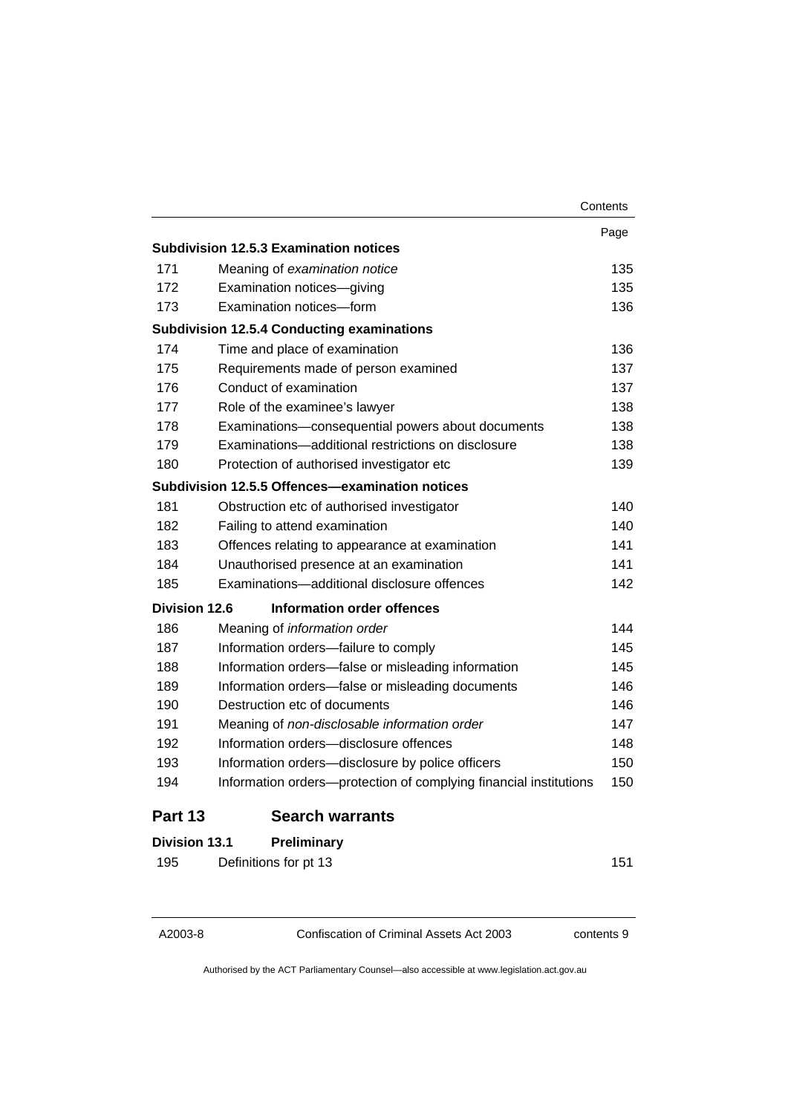|                      |                                                                   | Contents |
|----------------------|-------------------------------------------------------------------|----------|
|                      |                                                                   | Page     |
|                      | <b>Subdivision 12.5.3 Examination notices</b>                     |          |
| 171                  | Meaning of examination notice                                     | 135      |
| 172                  | Examination notices-giving                                        | 135      |
| 173                  | Examination notices-form                                          | 136      |
|                      | <b>Subdivision 12.5.4 Conducting examinations</b>                 |          |
| 174                  | Time and place of examination                                     | 136      |
| 175                  | Requirements made of person examined                              | 137      |
| 176                  | Conduct of examination                                            | 137      |
| 177                  | Role of the examinee's lawyer                                     | 138      |
| 178                  | Examinations-consequential powers about documents                 | 138      |
| 179                  | Examinations-additional restrictions on disclosure                | 138      |
| 180                  | Protection of authorised investigator etc                         | 139      |
|                      | Subdivision 12.5.5 Offences—examination notices                   |          |
| 181                  | Obstruction etc of authorised investigator                        | 140      |
| 182                  | Failing to attend examination                                     | 140      |
| 183                  | Offences relating to appearance at examination                    | 141      |
| 184                  | Unauthorised presence at an examination                           | 141      |
| 185                  | Examinations-additional disclosure offences                       | 142      |
| <b>Division 12.6</b> | Information order offences                                        |          |
| 186                  | Meaning of information order                                      | 144      |
| 187                  | Information orders-failure to comply                              | 145      |
| 188                  | Information orders-false or misleading information                | 145      |
| 189                  | Information orders-false or misleading documents                  | 146      |
| 190                  | Destruction etc of documents                                      | 146      |
| 191                  | Meaning of non-disclosable information order                      | 147      |
| 192                  | Information orders-disclosure offences                            | 148      |
| 193                  | Information orders-disclosure by police officers                  | 150      |
| 194                  | Information orders-protection of complying financial institutions | 150      |
| Part 13              | <b>Search warrants</b>                                            |          |
| <b>Division 13.1</b> | Preliminary                                                       |          |
| 195                  | Definitions for pt 13                                             | 151      |

A2003-8 Confiscation of Criminal Assets Act 2003 contents 9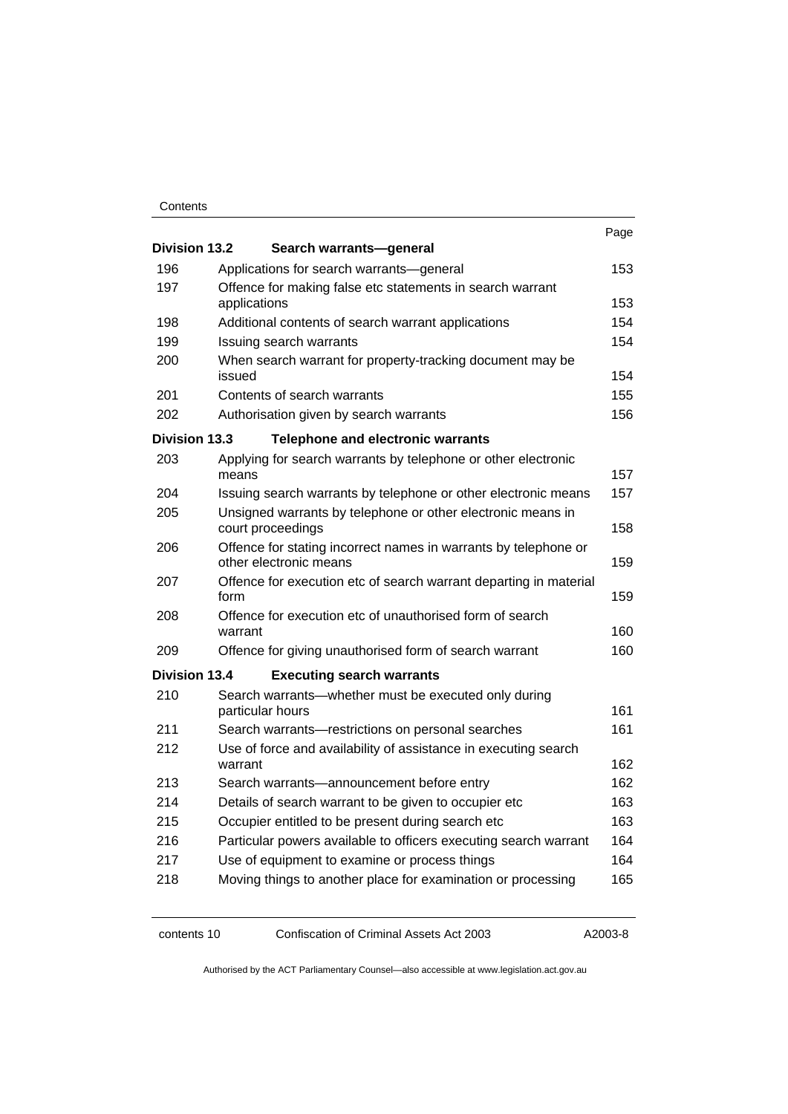#### **Contents**

| <b>Division 13.2</b> |                                                                            | Search warrants-general                                                                   | Page |
|----------------------|----------------------------------------------------------------------------|-------------------------------------------------------------------------------------------|------|
| 196                  |                                                                            | Applications for search warrants—general                                                  | 153  |
| 197                  |                                                                            | Offence for making false etc statements in search warrant                                 |      |
|                      | applications                                                               |                                                                                           | 153  |
| 198                  |                                                                            | Additional contents of search warrant applications                                        | 154  |
| 199                  |                                                                            | Issuing search warrants                                                                   | 154  |
| 200                  | issued                                                                     | When search warrant for property-tracking document may be                                 | 154  |
| 201                  |                                                                            | Contents of search warrants                                                               | 155  |
| 202                  |                                                                            | Authorisation given by search warrants                                                    | 156  |
| <b>Division 13.3</b> |                                                                            | <b>Telephone and electronic warrants</b>                                                  |      |
| 203                  | means                                                                      | Applying for search warrants by telephone or other electronic                             | 157  |
| 204                  |                                                                            | Issuing search warrants by telephone or other electronic means                            | 157  |
| 205                  |                                                                            | Unsigned warrants by telephone or other electronic means in<br>court proceedings          | 158  |
| 206                  |                                                                            | Offence for stating incorrect names in warrants by telephone or<br>other electronic means | 159  |
| 207                  | form                                                                       | Offence for execution etc of search warrant departing in material                         | 159  |
| 208                  | warrant                                                                    | Offence for execution etc of unauthorised form of search                                  | 160  |
| 209                  |                                                                            | Offence for giving unauthorised form of search warrant                                    | 160  |
| <b>Division 13.4</b> |                                                                            | <b>Executing search warrants</b>                                                          |      |
| 210                  |                                                                            | Search warrants—whether must be executed only during<br>particular hours                  | 161  |
| 211                  |                                                                            | Search warrants-restrictions on personal searches                                         | 161  |
| 212                  | Use of force and availability of assistance in executing search<br>warrant |                                                                                           | 162  |
| 213                  |                                                                            | Search warrants—announcement before entry                                                 | 162  |
| 214                  | Details of search warrant to be given to occupier etc                      |                                                                                           | 163  |
| 215                  | Occupier entitled to be present during search etc                          |                                                                                           | 163  |
| 216                  | Particular powers available to officers executing search warrant           |                                                                                           | 164  |
| 217                  |                                                                            | Use of equipment to examine or process things                                             | 164  |
| 218                  | Moving things to another place for examination or processing<br>165        |                                                                                           |      |

contents 10 Confiscation of Criminal Assets Act 2003 A2003-8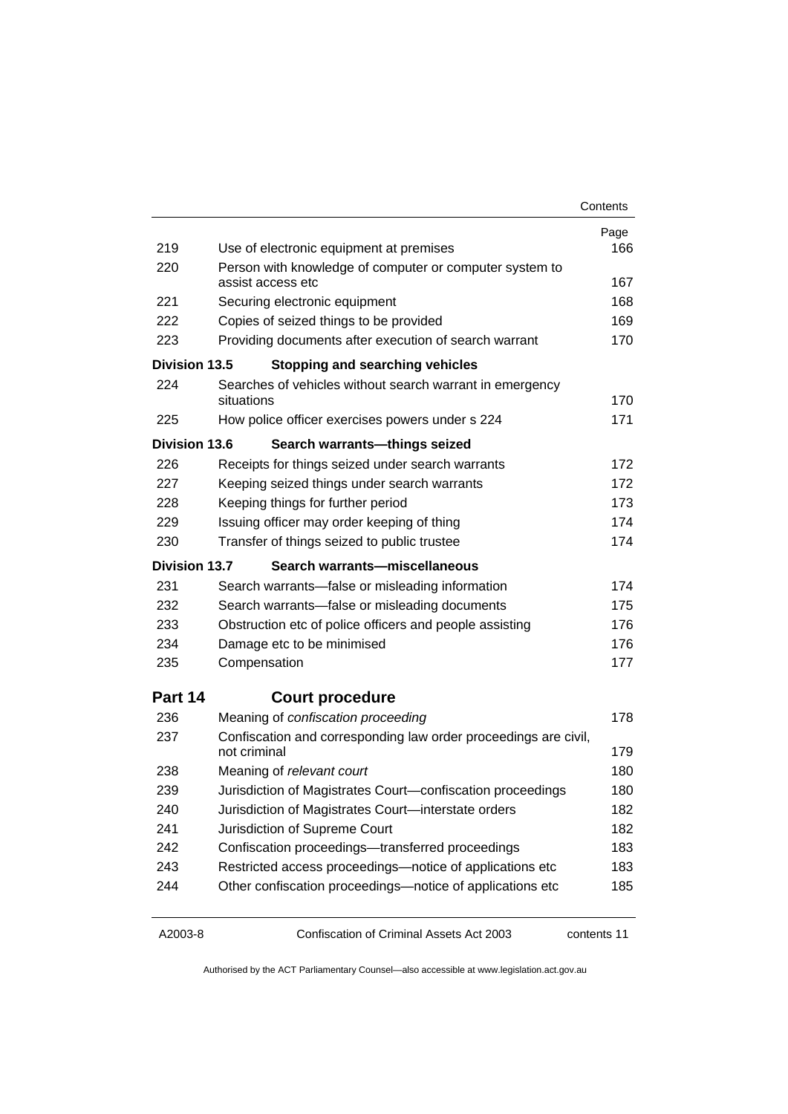| Contents |
|----------|
|----------|

| 219<br>Use of electronic equipment at premises<br>166<br>220<br>Person with knowledge of computer or computer system to<br>167<br>assist access etc<br>221<br>Securing electronic equipment<br>168<br>222<br>Copies of seized things to be provided<br>169<br>223<br>Providing documents after execution of search warrant<br>170<br>Division 13.5<br><b>Stopping and searching vehicles</b><br>224<br>Searches of vehicles without search warrant in emergency<br>situations<br>170<br>225<br>How police officer exercises powers under s 224<br>171<br>Division 13.6<br>Search warrants-things seized<br>226<br>Receipts for things seized under search warrants<br>172<br>227<br>Keeping seized things under search warrants<br>172<br>228<br>Keeping things for further period<br>173<br>229<br>Issuing officer may order keeping of thing<br>174<br>230<br>Transfer of things seized to public trustee<br>174<br>Division 13.7<br>Search warrants-miscellaneous<br>231<br>Search warrants-false or misleading information<br>174<br>232<br>Search warrants—false or misleading documents<br>175<br>233<br>Obstruction etc of police officers and people assisting<br>176<br>234<br>Damage etc to be minimised<br>176<br>Compensation<br>177<br>235<br>Part 14<br><b>Court procedure</b><br>236<br>Meaning of confiscation proceeding<br>178<br>Confiscation and corresponding law order proceedings are civil,<br>237<br>not criminal<br>179 |  |
|---------------------------------------------------------------------------------------------------------------------------------------------------------------------------------------------------------------------------------------------------------------------------------------------------------------------------------------------------------------------------------------------------------------------------------------------------------------------------------------------------------------------------------------------------------------------------------------------------------------------------------------------------------------------------------------------------------------------------------------------------------------------------------------------------------------------------------------------------------------------------------------------------------------------------------------------------------------------------------------------------------------------------------------------------------------------------------------------------------------------------------------------------------------------------------------------------------------------------------------------------------------------------------------------------------------------------------------------------------------------------------------------------------------------------------------------------|--|
|                                                                                                                                                                                                                                                                                                                                                                                                                                                                                                                                                                                                                                                                                                                                                                                                                                                                                                                                                                                                                                                                                                                                                                                                                                                                                                                                                                                                                                                   |  |
|                                                                                                                                                                                                                                                                                                                                                                                                                                                                                                                                                                                                                                                                                                                                                                                                                                                                                                                                                                                                                                                                                                                                                                                                                                                                                                                                                                                                                                                   |  |
|                                                                                                                                                                                                                                                                                                                                                                                                                                                                                                                                                                                                                                                                                                                                                                                                                                                                                                                                                                                                                                                                                                                                                                                                                                                                                                                                                                                                                                                   |  |
|                                                                                                                                                                                                                                                                                                                                                                                                                                                                                                                                                                                                                                                                                                                                                                                                                                                                                                                                                                                                                                                                                                                                                                                                                                                                                                                                                                                                                                                   |  |
|                                                                                                                                                                                                                                                                                                                                                                                                                                                                                                                                                                                                                                                                                                                                                                                                                                                                                                                                                                                                                                                                                                                                                                                                                                                                                                                                                                                                                                                   |  |
|                                                                                                                                                                                                                                                                                                                                                                                                                                                                                                                                                                                                                                                                                                                                                                                                                                                                                                                                                                                                                                                                                                                                                                                                                                                                                                                                                                                                                                                   |  |
|                                                                                                                                                                                                                                                                                                                                                                                                                                                                                                                                                                                                                                                                                                                                                                                                                                                                                                                                                                                                                                                                                                                                                                                                                                                                                                                                                                                                                                                   |  |
|                                                                                                                                                                                                                                                                                                                                                                                                                                                                                                                                                                                                                                                                                                                                                                                                                                                                                                                                                                                                                                                                                                                                                                                                                                                                                                                                                                                                                                                   |  |
|                                                                                                                                                                                                                                                                                                                                                                                                                                                                                                                                                                                                                                                                                                                                                                                                                                                                                                                                                                                                                                                                                                                                                                                                                                                                                                                                                                                                                                                   |  |
|                                                                                                                                                                                                                                                                                                                                                                                                                                                                                                                                                                                                                                                                                                                                                                                                                                                                                                                                                                                                                                                                                                                                                                                                                                                                                                                                                                                                                                                   |  |
|                                                                                                                                                                                                                                                                                                                                                                                                                                                                                                                                                                                                                                                                                                                                                                                                                                                                                                                                                                                                                                                                                                                                                                                                                                                                                                                                                                                                                                                   |  |
|                                                                                                                                                                                                                                                                                                                                                                                                                                                                                                                                                                                                                                                                                                                                                                                                                                                                                                                                                                                                                                                                                                                                                                                                                                                                                                                                                                                                                                                   |  |
|                                                                                                                                                                                                                                                                                                                                                                                                                                                                                                                                                                                                                                                                                                                                                                                                                                                                                                                                                                                                                                                                                                                                                                                                                                                                                                                                                                                                                                                   |  |
|                                                                                                                                                                                                                                                                                                                                                                                                                                                                                                                                                                                                                                                                                                                                                                                                                                                                                                                                                                                                                                                                                                                                                                                                                                                                                                                                                                                                                                                   |  |
|                                                                                                                                                                                                                                                                                                                                                                                                                                                                                                                                                                                                                                                                                                                                                                                                                                                                                                                                                                                                                                                                                                                                                                                                                                                                                                                                                                                                                                                   |  |
|                                                                                                                                                                                                                                                                                                                                                                                                                                                                                                                                                                                                                                                                                                                                                                                                                                                                                                                                                                                                                                                                                                                                                                                                                                                                                                                                                                                                                                                   |  |
|                                                                                                                                                                                                                                                                                                                                                                                                                                                                                                                                                                                                                                                                                                                                                                                                                                                                                                                                                                                                                                                                                                                                                                                                                                                                                                                                                                                                                                                   |  |
|                                                                                                                                                                                                                                                                                                                                                                                                                                                                                                                                                                                                                                                                                                                                                                                                                                                                                                                                                                                                                                                                                                                                                                                                                                                                                                                                                                                                                                                   |  |
|                                                                                                                                                                                                                                                                                                                                                                                                                                                                                                                                                                                                                                                                                                                                                                                                                                                                                                                                                                                                                                                                                                                                                                                                                                                                                                                                                                                                                                                   |  |
|                                                                                                                                                                                                                                                                                                                                                                                                                                                                                                                                                                                                                                                                                                                                                                                                                                                                                                                                                                                                                                                                                                                                                                                                                                                                                                                                                                                                                                                   |  |
|                                                                                                                                                                                                                                                                                                                                                                                                                                                                                                                                                                                                                                                                                                                                                                                                                                                                                                                                                                                                                                                                                                                                                                                                                                                                                                                                                                                                                                                   |  |
|                                                                                                                                                                                                                                                                                                                                                                                                                                                                                                                                                                                                                                                                                                                                                                                                                                                                                                                                                                                                                                                                                                                                                                                                                                                                                                                                                                                                                                                   |  |
|                                                                                                                                                                                                                                                                                                                                                                                                                                                                                                                                                                                                                                                                                                                                                                                                                                                                                                                                                                                                                                                                                                                                                                                                                                                                                                                                                                                                                                                   |  |
|                                                                                                                                                                                                                                                                                                                                                                                                                                                                                                                                                                                                                                                                                                                                                                                                                                                                                                                                                                                                                                                                                                                                                                                                                                                                                                                                                                                                                                                   |  |
| 180<br>238<br>Meaning of relevant court                                                                                                                                                                                                                                                                                                                                                                                                                                                                                                                                                                                                                                                                                                                                                                                                                                                                                                                                                                                                                                                                                                                                                                                                                                                                                                                                                                                                           |  |
| 239<br>Jurisdiction of Magistrates Court-confiscation proceedings<br>180                                                                                                                                                                                                                                                                                                                                                                                                                                                                                                                                                                                                                                                                                                                                                                                                                                                                                                                                                                                                                                                                                                                                                                                                                                                                                                                                                                          |  |
| Jurisdiction of Magistrates Court-interstate orders<br>240<br>182                                                                                                                                                                                                                                                                                                                                                                                                                                                                                                                                                                                                                                                                                                                                                                                                                                                                                                                                                                                                                                                                                                                                                                                                                                                                                                                                                                                 |  |
| 241<br>Jurisdiction of Supreme Court<br>182                                                                                                                                                                                                                                                                                                                                                                                                                                                                                                                                                                                                                                                                                                                                                                                                                                                                                                                                                                                                                                                                                                                                                                                                                                                                                                                                                                                                       |  |
| Confiscation proceedings-transferred proceedings<br>242<br>183                                                                                                                                                                                                                                                                                                                                                                                                                                                                                                                                                                                                                                                                                                                                                                                                                                                                                                                                                                                                                                                                                                                                                                                                                                                                                                                                                                                    |  |
| Restricted access proceedings-notice of applications etc<br>243<br>183                                                                                                                                                                                                                                                                                                                                                                                                                                                                                                                                                                                                                                                                                                                                                                                                                                                                                                                                                                                                                                                                                                                                                                                                                                                                                                                                                                            |  |
| 244<br>Other confiscation proceedings-notice of applications etc<br>185                                                                                                                                                                                                                                                                                                                                                                                                                                                                                                                                                                                                                                                                                                                                                                                                                                                                                                                                                                                                                                                                                                                                                                                                                                                                                                                                                                           |  |

A2003-8 Confiscation of Criminal Assets Act 2003 contents 11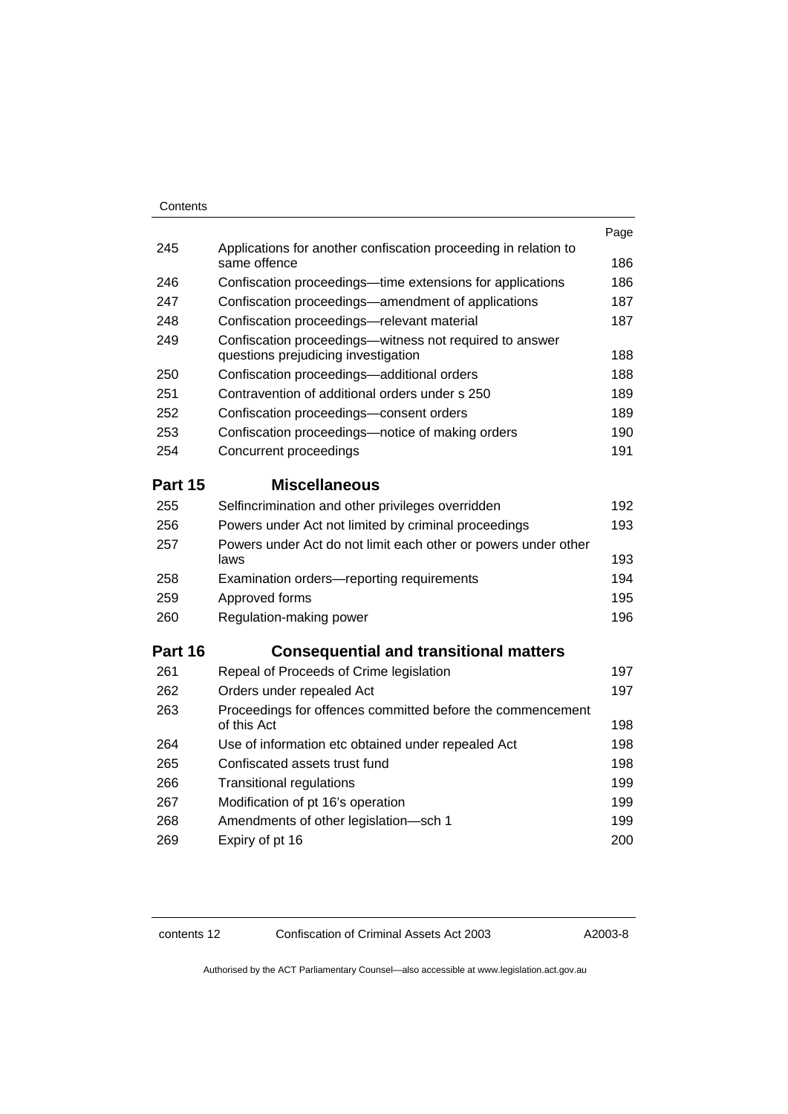#### **Contents**

|                                                                                                | Page |
|------------------------------------------------------------------------------------------------|------|
| Applications for another confiscation proceeding in relation to<br>same offence                | 186  |
| Confiscation proceedings—time extensions for applications                                      | 186  |
| Confiscation proceedings—amendment of applications                                             | 187  |
| Confiscation proceedings-relevant material                                                     | 187  |
| Confiscation proceedings-witness not required to answer<br>questions prejudicing investigation | 188  |
| Confiscation proceedings-additional orders                                                     | 188  |
| Contravention of additional orders under s 250                                                 | 189  |
| Confiscation proceedings-consent orders                                                        | 189  |
| Confiscation proceedings—notice of making orders                                               | 190  |
| Concurrent proceedings                                                                         | 191  |
| <b>Miscellaneous</b>                                                                           |      |
| Selfincrimination and other privileges overridden                                              | 192  |
| Powers under Act not limited by criminal proceedings                                           | 193  |
| Powers under Act do not limit each other or powers under other<br>laws                         | 193  |
| Examination orders-reporting requirements                                                      | 194  |
| Approved forms                                                                                 | 195  |
| Regulation-making power                                                                        | 196  |
| <b>Consequential and transitional matters</b>                                                  |      |
| Repeal of Proceeds of Crime legislation                                                        | 197  |
| Orders under repealed Act                                                                      | 197  |
| Proceedings for offences committed before the commencement<br>of this Act                      | 198  |
| Use of information etc obtained under repealed Act                                             | 198  |
| Confiscated assets trust fund                                                                  | 198  |
| <b>Transitional regulations</b>                                                                | 199  |
| Modification of pt 16's operation                                                              | 199  |
| Amendments of other legislation-sch 1                                                          | 199  |
| Expiry of pt 16                                                                                | 200  |
|                                                                                                |      |

contents 12 Confiscation of Criminal Assets Act 2003 A2003-8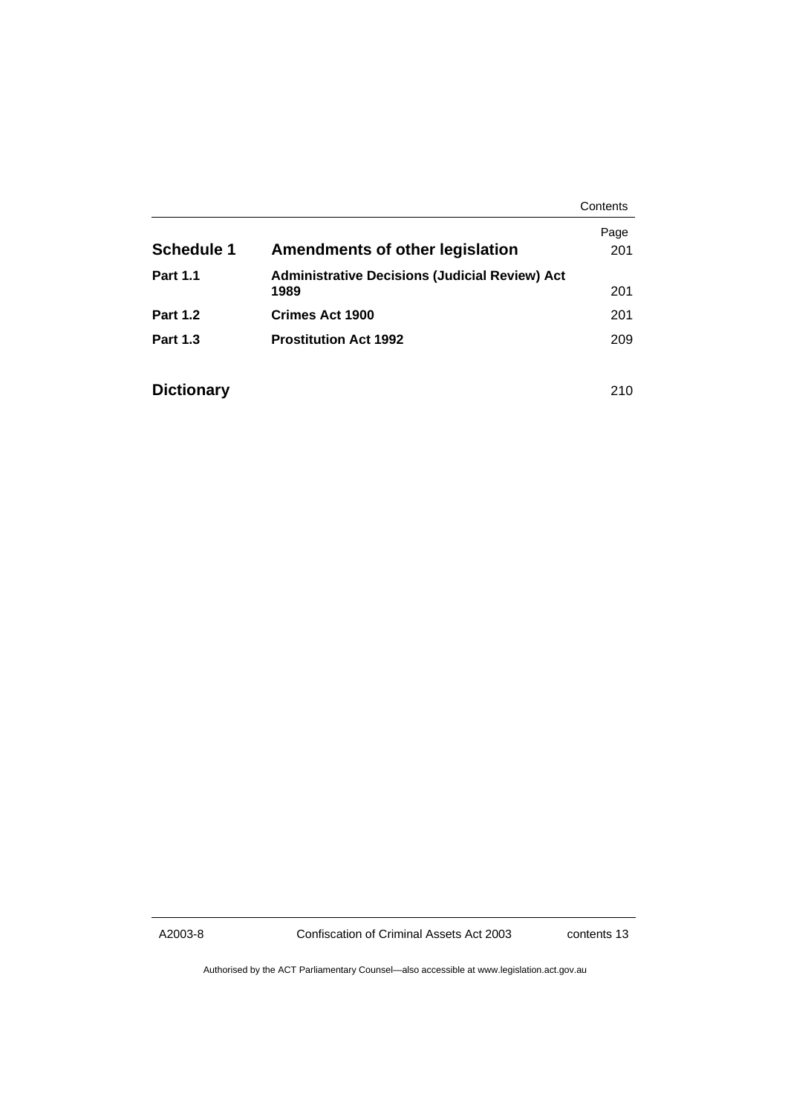|                   |                                                       | Contents |
|-------------------|-------------------------------------------------------|----------|
|                   |                                                       | Page     |
| <b>Schedule 1</b> | Amendments of other legislation                       | 201      |
| <b>Part 1.1</b>   | <b>Administrative Decisions (Judicial Review) Act</b> |          |
|                   | 1989                                                  | 201      |
| <b>Part 1.2</b>   | Crimes Act 1900                                       | 201      |
| <b>Part 1.3</b>   | <b>Prostitution Act 1992</b>                          | 209      |
|                   |                                                       |          |
| <b>Dictionary</b> |                                                       | 210      |

A2003-8 Confiscation of Criminal Assets Act 2003 contents 13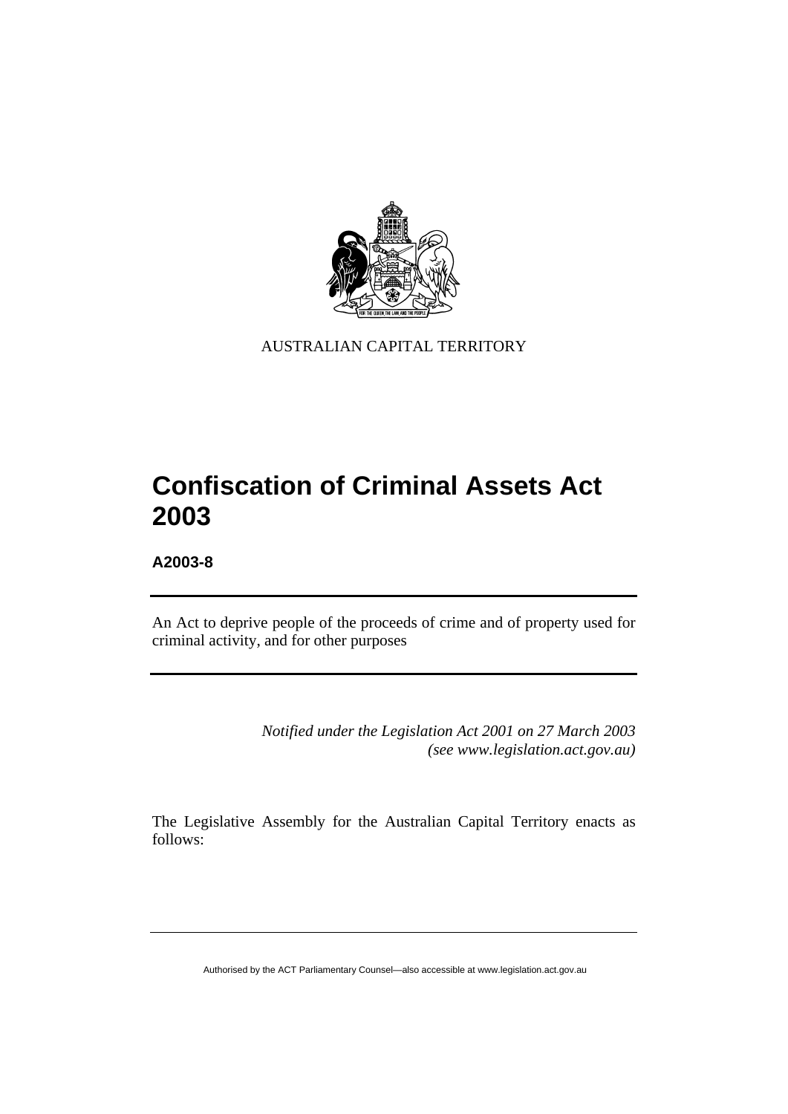

AUSTRALIAN CAPITAL TERRITORY

# **Confiscation of Criminal Assets Act 2003**

**A2003-8** 

An Act to deprive people of the proceeds of crime and of property used for criminal activity, and for other purposes

> *Notified under the Legislation Act 2001 on 27 March 2003 (see www.legislation.act.gov.au)*

The Legislative Assembly for the Australian Capital Territory enacts as follows: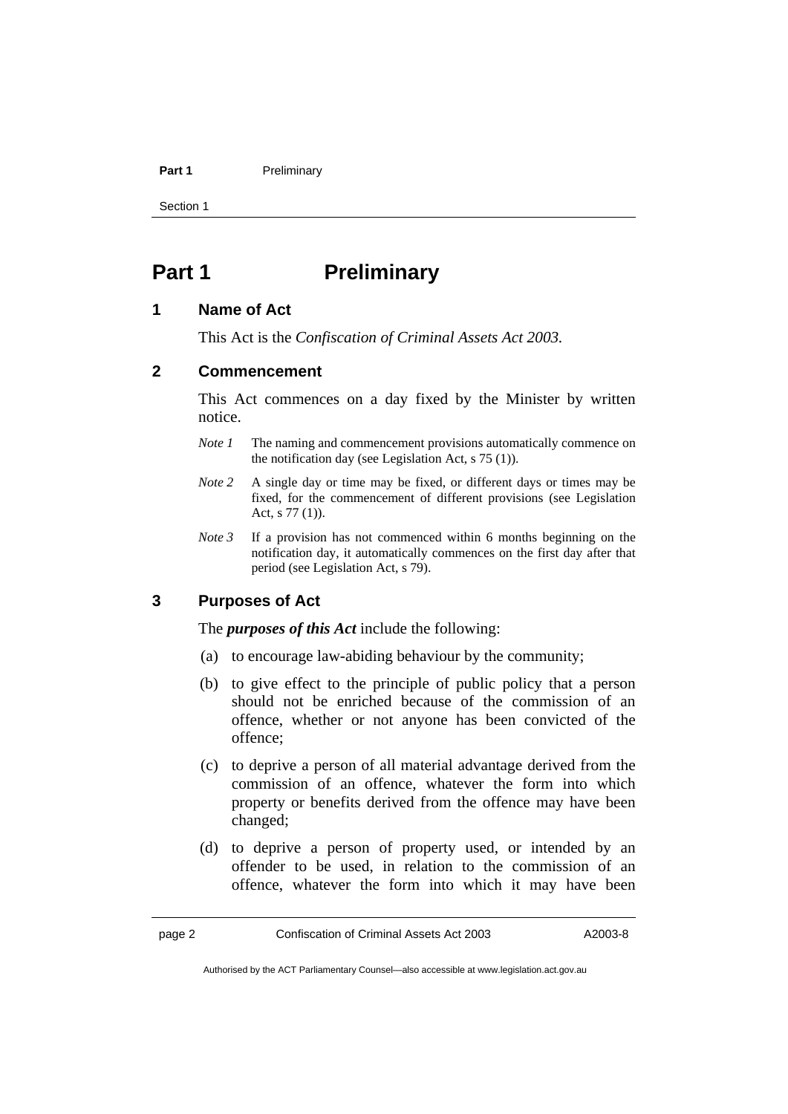#### **Part 1** Preliminary

Section 1

## **Part 1** Preliminary

#### **1 Name of Act**

This Act is the *Confiscation of Criminal Assets Act 2003.*

## **2 Commencement**

This Act commences on a day fixed by the Minister by written notice.

- *Note 1* The naming and commencement provisions automatically commence on the notification day (see Legislation Act, s 75 (1)).
- *Note* 2 A single day or time may be fixed, or different days or times may be fixed, for the commencement of different provisions (see Legislation Act, s 77 (1)).
- *Note 3* If a provision has not commenced within 6 months beginning on the notification day, it automatically commences on the first day after that period (see Legislation Act, s 79).

## **3 Purposes of Act**

The *purposes of this Act* include the following:

- (a) to encourage law-abiding behaviour by the community;
- (b) to give effect to the principle of public policy that a person should not be enriched because of the commission of an offence, whether or not anyone has been convicted of the offence;
- (c) to deprive a person of all material advantage derived from the commission of an offence, whatever the form into which property or benefits derived from the offence may have been changed;
- (d) to deprive a person of property used, or intended by an offender to be used, in relation to the commission of an offence, whatever the form into which it may have been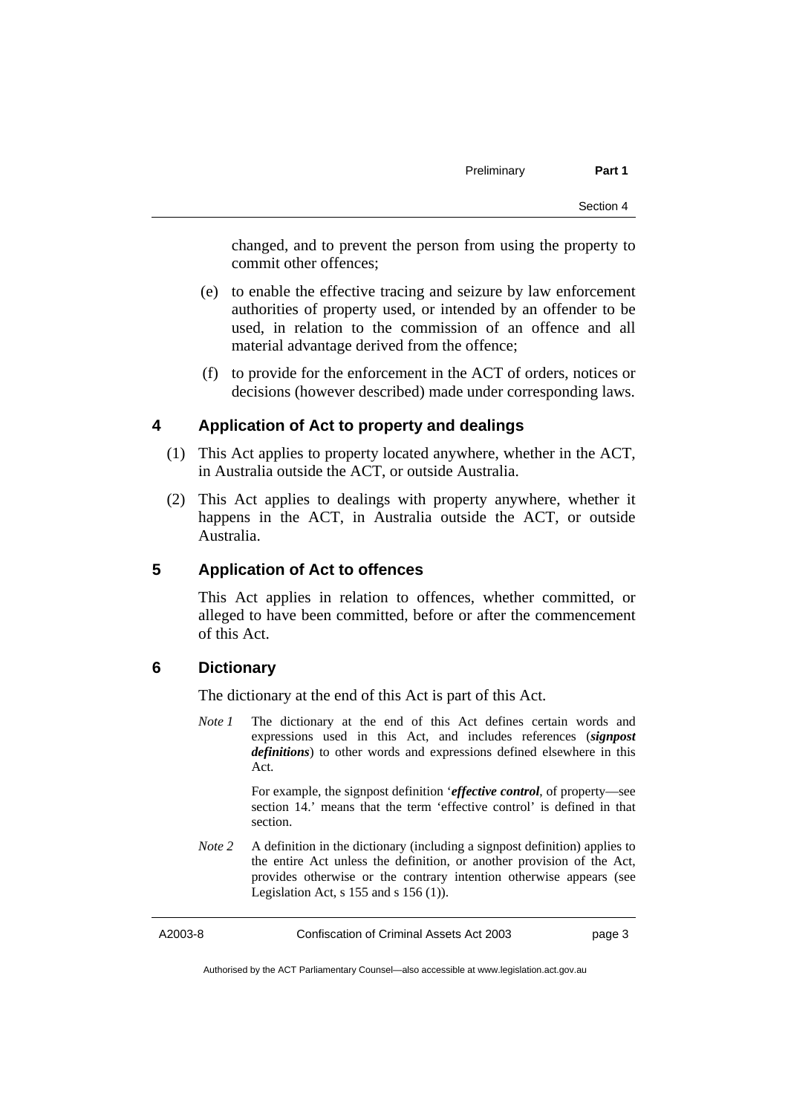changed, and to prevent the person from using the property to commit other offences;

- (e) to enable the effective tracing and seizure by law enforcement authorities of property used, or intended by an offender to be used, in relation to the commission of an offence and all material advantage derived from the offence;
- (f) to provide for the enforcement in the ACT of orders, notices or decisions (however described) made under corresponding laws.

## **4 Application of Act to property and dealings**

- (1) This Act applies to property located anywhere, whether in the ACT, in Australia outside the ACT, or outside Australia.
- (2) This Act applies to dealings with property anywhere, whether it happens in the ACT, in Australia outside the ACT, or outside Australia.

#### **5 Application of Act to offences**

This Act applies in relation to offences, whether committed, or alleged to have been committed, before or after the commencement of this Act.

## **6 Dictionary**

The dictionary at the end of this Act is part of this Act.

*Note 1* The dictionary at the end of this Act defines certain words and expressions used in this Act, and includes references (*signpost definitions*) to other words and expressions defined elsewhere in this Act.

> For example, the signpost definition '*effective control*, of property—see section 14.' means that the term 'effective control' is defined in that section.

*Note 2* A definition in the dictionary (including a signpost definition) applies to the entire Act unless the definition, or another provision of the Act, provides otherwise or the contrary intention otherwise appears (see Legislation Act,  $s$  155 and  $s$  156 (1)).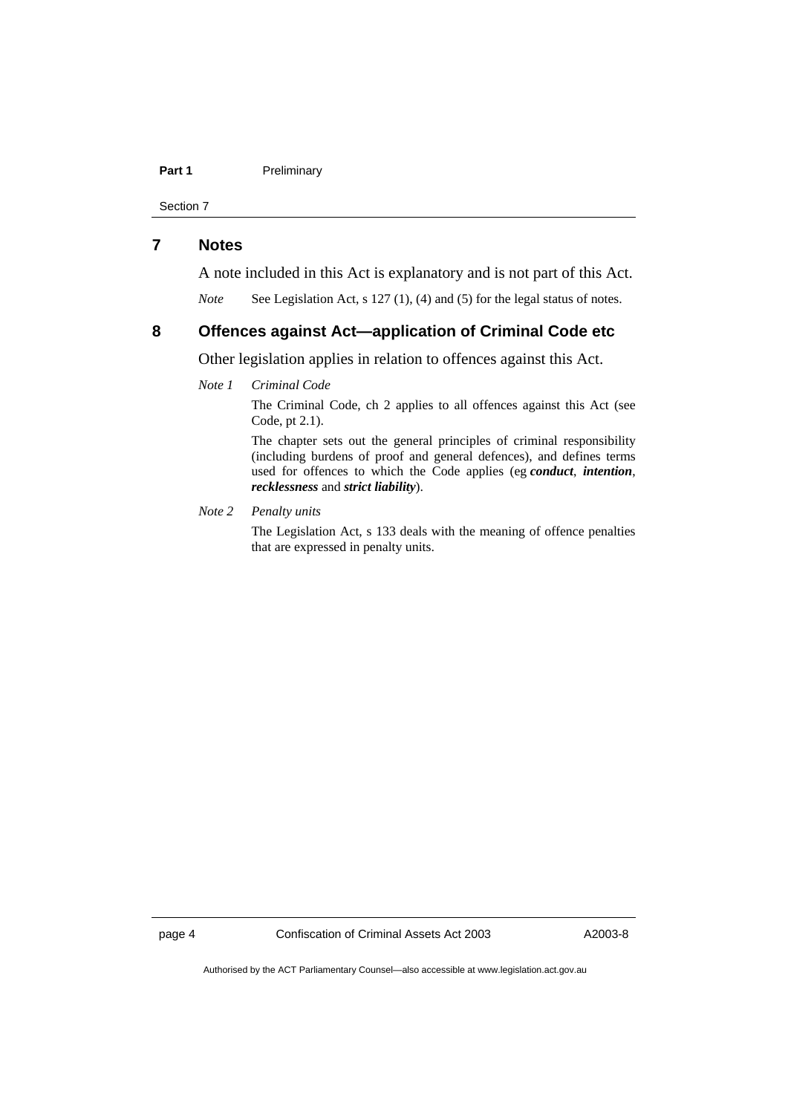#### Part 1 **Preliminary**

Section 7

## **7 Notes**

A note included in this Act is explanatory and is not part of this Act.

*Note* See Legislation Act, s 127 (1), (4) and (5) for the legal status of notes.

## **8 Offences against Act—application of Criminal Code etc**

Other legislation applies in relation to offences against this Act.

*Note 1 Criminal Code*

The Criminal Code, ch 2 applies to all offences against this Act (see Code, pt 2.1).

The chapter sets out the general principles of criminal responsibility (including burdens of proof and general defences), and defines terms used for offences to which the Code applies (eg *conduct*, *intention*, *recklessness* and *strict liability*).

#### *Note 2 Penalty units*

The Legislation Act, s 133 deals with the meaning of offence penalties that are expressed in penalty units.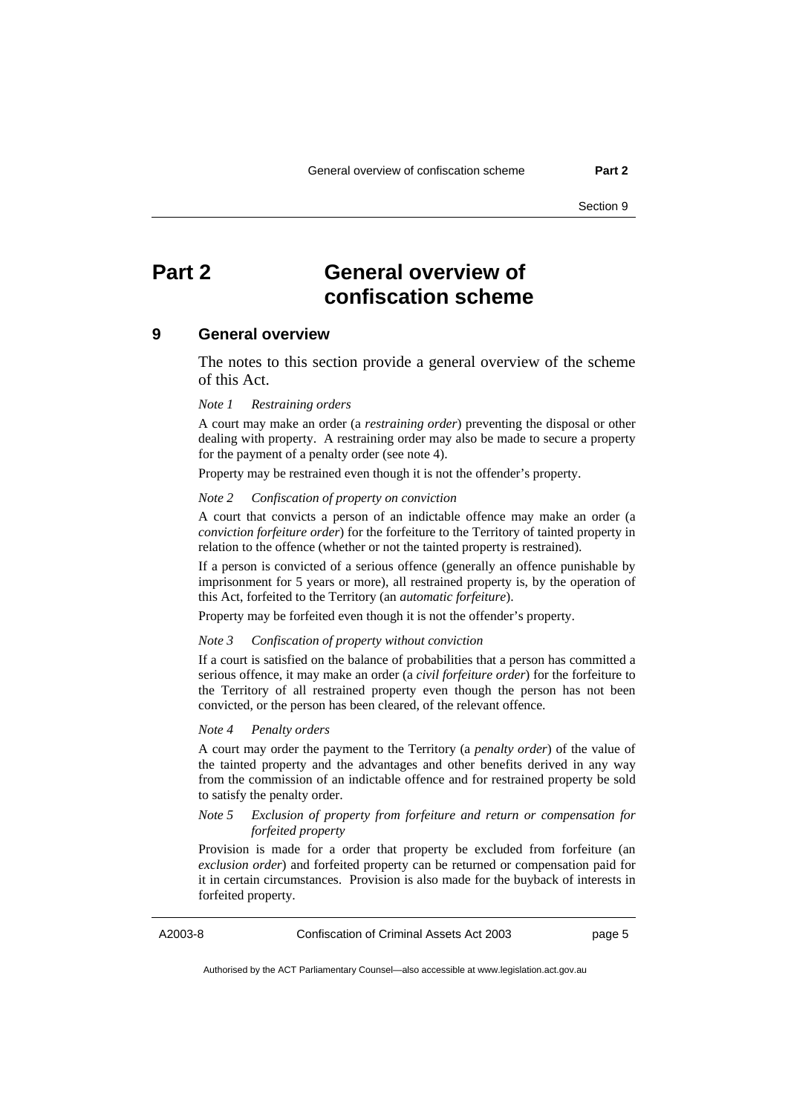## **Part 2 General overview of confiscation scheme**

#### **9 General overview**

The notes to this section provide a general overview of the scheme of this Act.

#### *Note 1 Restraining orders*

A court may make an order (a *restraining order*) preventing the disposal or other dealing with property. A restraining order may also be made to secure a property for the payment of a penalty order (see note 4).

Property may be restrained even though it is not the offender's property.

#### *Note 2 Confiscation of property on conviction*

A court that convicts a person of an indictable offence may make an order (a *conviction forfeiture order*) for the forfeiture to the Territory of tainted property in relation to the offence (whether or not the tainted property is restrained).

If a person is convicted of a serious offence (generally an offence punishable by imprisonment for 5 years or more), all restrained property is, by the operation of this Act, forfeited to the Territory (an *automatic forfeiture*).

Property may be forfeited even though it is not the offender's property.

#### *Note 3 Confiscation of property without conviction*

If a court is satisfied on the balance of probabilities that a person has committed a serious offence, it may make an order (a *civil forfeiture order*) for the forfeiture to the Territory of all restrained property even though the person has not been convicted, or the person has been cleared, of the relevant offence.

#### *Note 4 Penalty orders*

A court may order the payment to the Territory (a *penalty order*) of the value of the tainted property and the advantages and other benefits derived in any way from the commission of an indictable offence and for restrained property be sold to satisfy the penalty order.

#### *Note 5 Exclusion of property from forfeiture and return or compensation for forfeited property*

Provision is made for a order that property be excluded from forfeiture (an *exclusion order*) and forfeited property can be returned or compensation paid for it in certain circumstances. Provision is also made for the buyback of interests in forfeited property.

A2003-8 Confiscation of Criminal Assets Act 2003 page 5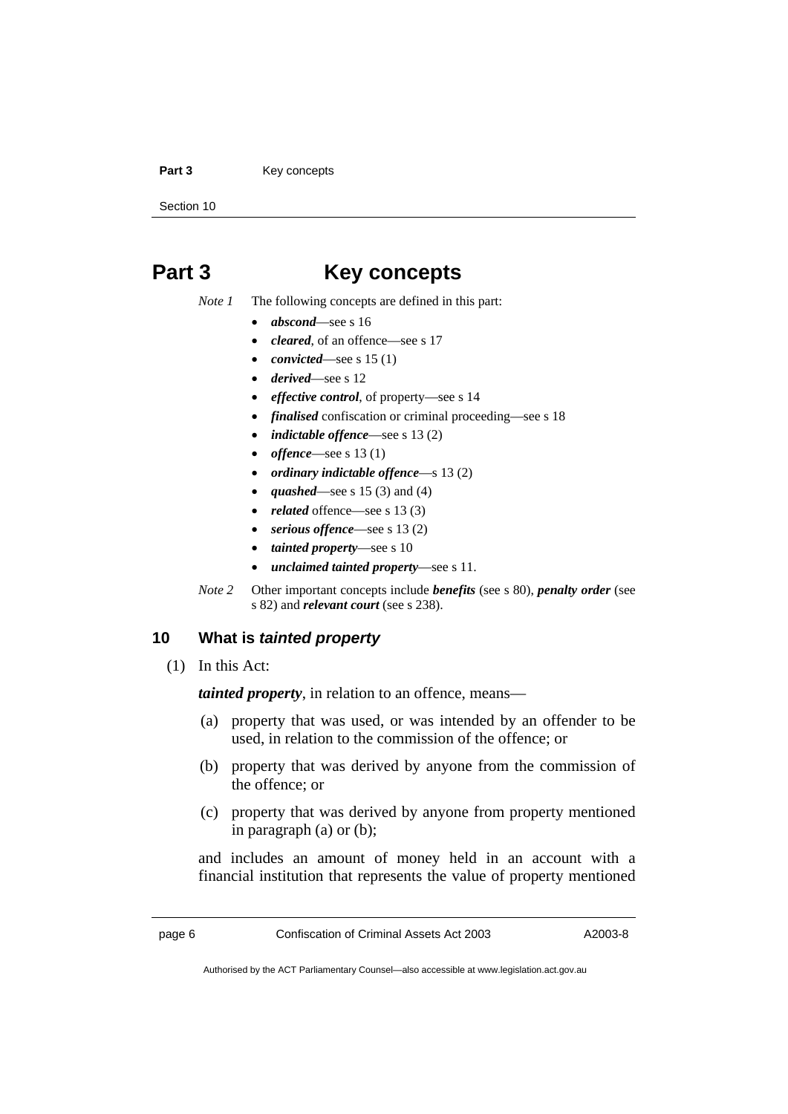#### Part 3 **Key concepts**

Section 10

## **Part 3 Key concepts**

- *Note 1* The following concepts are defined in this part:
	- *abscond*—see s 16
	- *cleared*, of an offence—see s 17
	- *convicted*—see s 15 (1)
	- *derived*—see s 12
	- *effective control*, of property—see s 14
	- *finalised* confiscation or criminal proceeding—see s 18
	- *indictable offence*—see s 13 (2)
	- *offence*—see s 13 (1)
	- *ordinary indictable offence*—s 13 (2)
	- *quashed*—see s 15 (3) and (4)
	- *related* offence—see s 13 (3)
	- *serious offence*—see s 13 (2)
	- *tainted property*—see s 10
	- *unclaimed tainted property*—see s 11.
- *Note 2* Other important concepts include *benefits* (see s 80), *penalty order* (see s 82) and *relevant court* (see s 238).

## **10 What is** *tainted property*

(1) In this Act:

*tainted property*, in relation to an offence, means—

- (a) property that was used, or was intended by an offender to be used, in relation to the commission of the offence; or
- (b) property that was derived by anyone from the commission of the offence; or
- (c) property that was derived by anyone from property mentioned in paragraph (a) or (b);

and includes an amount of money held in an account with a financial institution that represents the value of property mentioned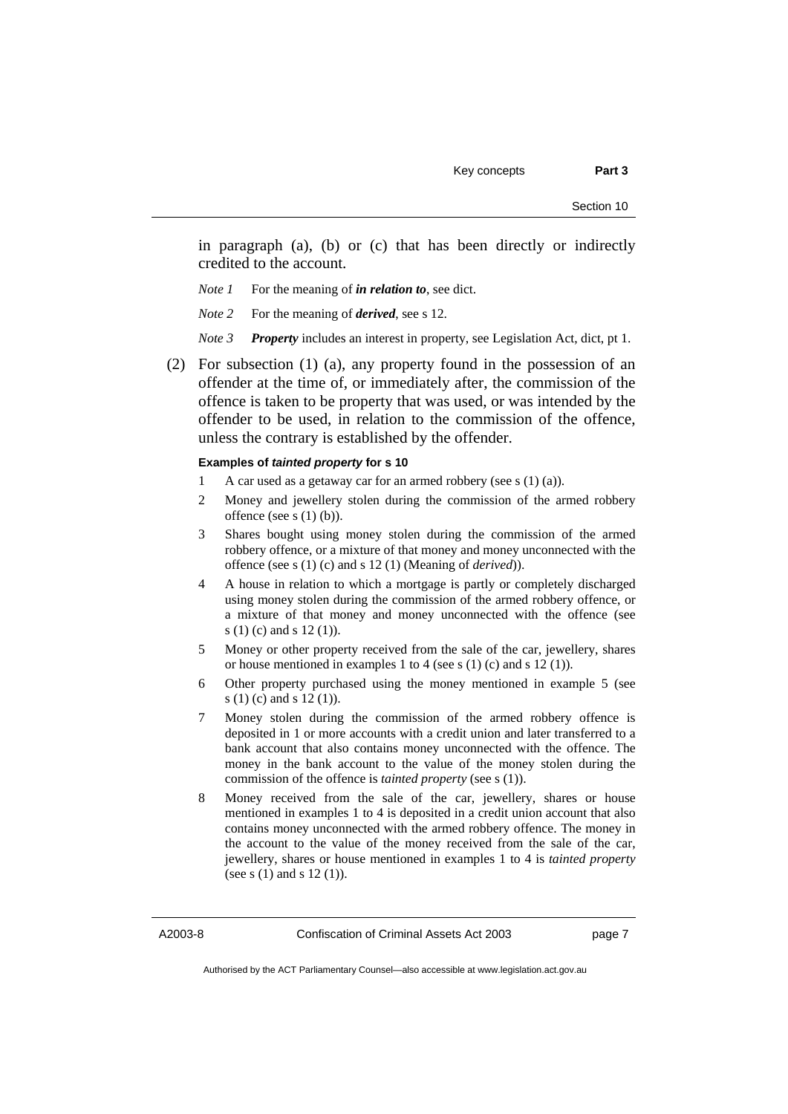Section 10

in paragraph (a), (b) or (c) that has been directly or indirectly credited to the account.

- *Note 1* For the meaning of *in relation to*, see dict.
- *Note 2* For the meaning of *derived*, see s 12.
- *Note 3 Property* includes an interest in property, see Legislation Act, dict, pt 1.
- (2) For subsection (1) (a), any property found in the possession of an offender at the time of, or immediately after, the commission of the offence is taken to be property that was used, or was intended by the offender to be used, in relation to the commission of the offence, unless the contrary is established by the offender.

#### **Examples of** *tainted property* **for s 10**

- 1 A car used as a getaway car for an armed robbery (see s  $(1)$   $(a)$ ).
- 2 Money and jewellery stolen during the commission of the armed robbery offence (see s  $(1)$  (b)).
- 3 Shares bought using money stolen during the commission of the armed robbery offence, or a mixture of that money and money unconnected with the offence (see s (1) (c) and s 12 (1) (Meaning of *derived*)).
- 4 A house in relation to which a mortgage is partly or completely discharged using money stolen during the commission of the armed robbery offence, or a mixture of that money and money unconnected with the offence (see s (1) (c) and s 12 (1)).
- 5 Money or other property received from the sale of the car, jewellery, shares or house mentioned in examples 1 to 4 (see s (1) (c) and s 12 (1)).
- 6 Other property purchased using the money mentioned in example 5 (see s (1) (c) and s 12 (1)).
- 7 Money stolen during the commission of the armed robbery offence is deposited in 1 or more accounts with a credit union and later transferred to a bank account that also contains money unconnected with the offence. The money in the bank account to the value of the money stolen during the commission of the offence is *tainted property* (see s (1)).
- 8 Money received from the sale of the car, jewellery, shares or house mentioned in examples 1 to 4 is deposited in a credit union account that also contains money unconnected with the armed robbery offence. The money in the account to the value of the money received from the sale of the car, jewellery, shares or house mentioned in examples 1 to 4 is *tainted property* (see s (1) and s 12 (1)).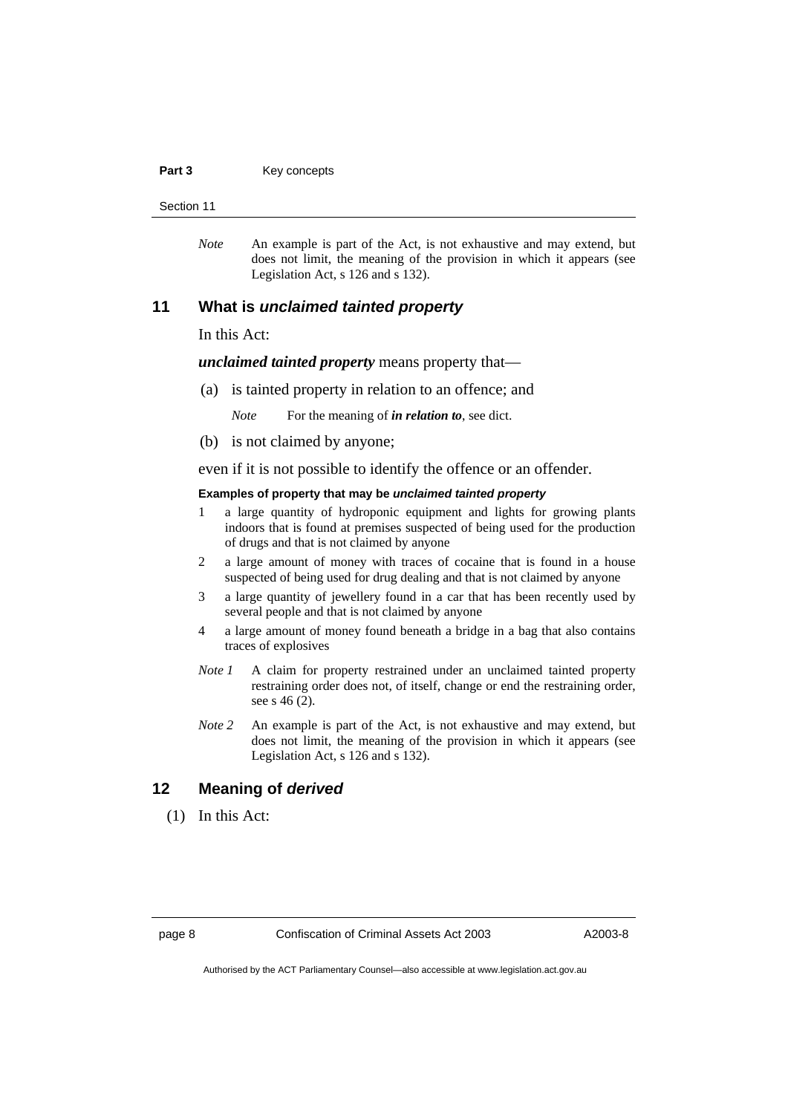#### Part 3 **Key concepts**

Section 11

*Note* An example is part of the Act, is not exhaustive and may extend, but does not limit, the meaning of the provision in which it appears (see Legislation Act, s 126 and s 132).

#### **11 What is** *unclaimed tainted property*

In this Act:

*unclaimed tainted property* means property that—

(a) is tainted property in relation to an offence; and

*Note* For the meaning of *in relation to*, see dict.

(b) is not claimed by anyone;

even if it is not possible to identify the offence or an offender.

#### **Examples of property that may be** *unclaimed tainted property*

- 1 a large quantity of hydroponic equipment and lights for growing plants indoors that is found at premises suspected of being used for the production of drugs and that is not claimed by anyone
- 2 a large amount of money with traces of cocaine that is found in a house suspected of being used for drug dealing and that is not claimed by anyone
- 3 a large quantity of jewellery found in a car that has been recently used by several people and that is not claimed by anyone
- 4 a large amount of money found beneath a bridge in a bag that also contains traces of explosives
- *Note 1* A claim for property restrained under an unclaimed tainted property restraining order does not, of itself, change or end the restraining order, see s 46 (2).
- *Note 2* An example is part of the Act, is not exhaustive and may extend, but does not limit, the meaning of the provision in which it appears (see Legislation Act, s 126 and s 132).

#### **12 Meaning of** *derived*

(1) In this Act: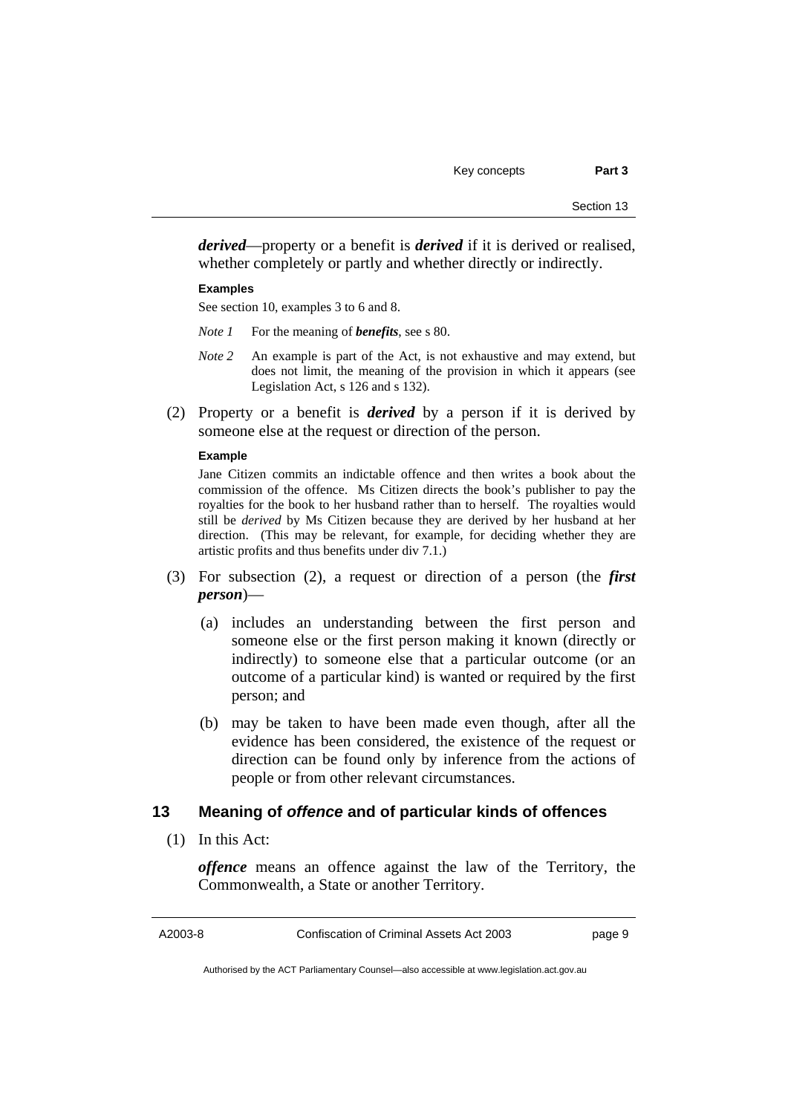*derived*—property or a benefit is *derived* if it is derived or realised, whether completely or partly and whether directly or indirectly.

#### **Examples**

See section 10, examples 3 to 6 and 8.

- *Note 1* For the meaning of *benefits*, see s 80.
- *Note 2* An example is part of the Act, is not exhaustive and may extend, but does not limit, the meaning of the provision in which it appears (see Legislation Act, s 126 and s 132).
- (2) Property or a benefit is *derived* by a person if it is derived by someone else at the request or direction of the person.

#### **Example**

Jane Citizen commits an indictable offence and then writes a book about the commission of the offence. Ms Citizen directs the book's publisher to pay the royalties for the book to her husband rather than to herself. The royalties would still be *derived* by Ms Citizen because they are derived by her husband at her direction. (This may be relevant, for example, for deciding whether they are artistic profits and thus benefits under div 7.1.)

- (3) For subsection (2), a request or direction of a person (the *first person*)—
	- (a) includes an understanding between the first person and someone else or the first person making it known (directly or indirectly) to someone else that a particular outcome (or an outcome of a particular kind) is wanted or required by the first person; and
	- (b) may be taken to have been made even though, after all the evidence has been considered, the existence of the request or direction can be found only by inference from the actions of people or from other relevant circumstances.

### **13 Meaning of** *offence* **and of particular kinds of offences**

(1) In this Act:

*offence* means an offence against the law of the Territory, the Commonwealth, a State or another Territory.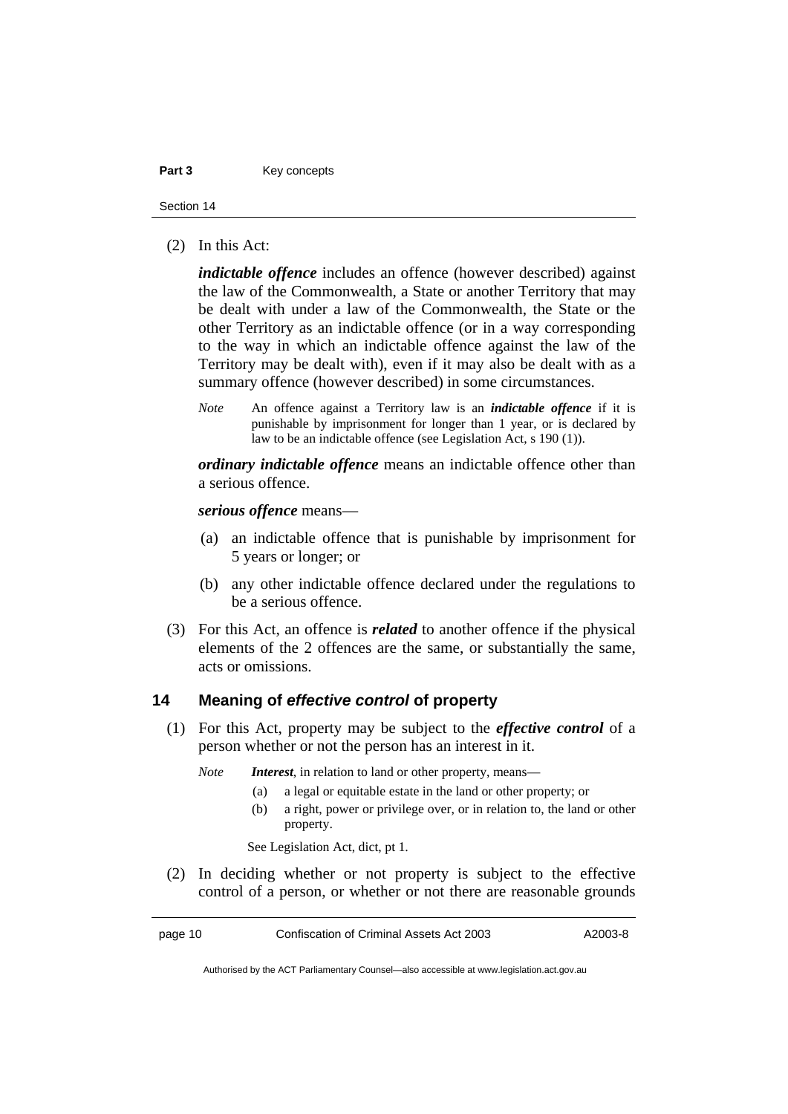#### Part 3 **Key concepts**

Section 14

(2) In this Act:

*indictable offence* includes an offence (however described) against the law of the Commonwealth, a State or another Territory that may be dealt with under a law of the Commonwealth, the State or the other Territory as an indictable offence (or in a way corresponding to the way in which an indictable offence against the law of the Territory may be dealt with), even if it may also be dealt with as a summary offence (however described) in some circumstances.

*Note* An offence against a Territory law is an *indictable offence* if it is punishable by imprisonment for longer than 1 year, or is declared by law to be an indictable offence (see Legislation Act, s 190 (1)).

*ordinary indictable offence* means an indictable offence other than a serious offence.

*serious offence* means—

- (a) an indictable offence that is punishable by imprisonment for 5 years or longer; or
- (b) any other indictable offence declared under the regulations to be a serious offence.
- (3) For this Act, an offence is *related* to another offence if the physical elements of the 2 offences are the same, or substantially the same, acts or omissions.

#### **14 Meaning of** *effective control* **of property**

 (1) For this Act, property may be subject to the *effective control* of a person whether or not the person has an interest in it.

*Note Interest*, in relation to land or other property, means—

- (a) a legal or equitable estate in the land or other property; or
- (b) a right, power or privilege over, or in relation to, the land or other property.

See Legislation Act, dict, pt 1.

 (2) In deciding whether or not property is subject to the effective control of a person, or whether or not there are reasonable grounds

page 10 Confiscation of Criminal Assets Act 2003 A2003-8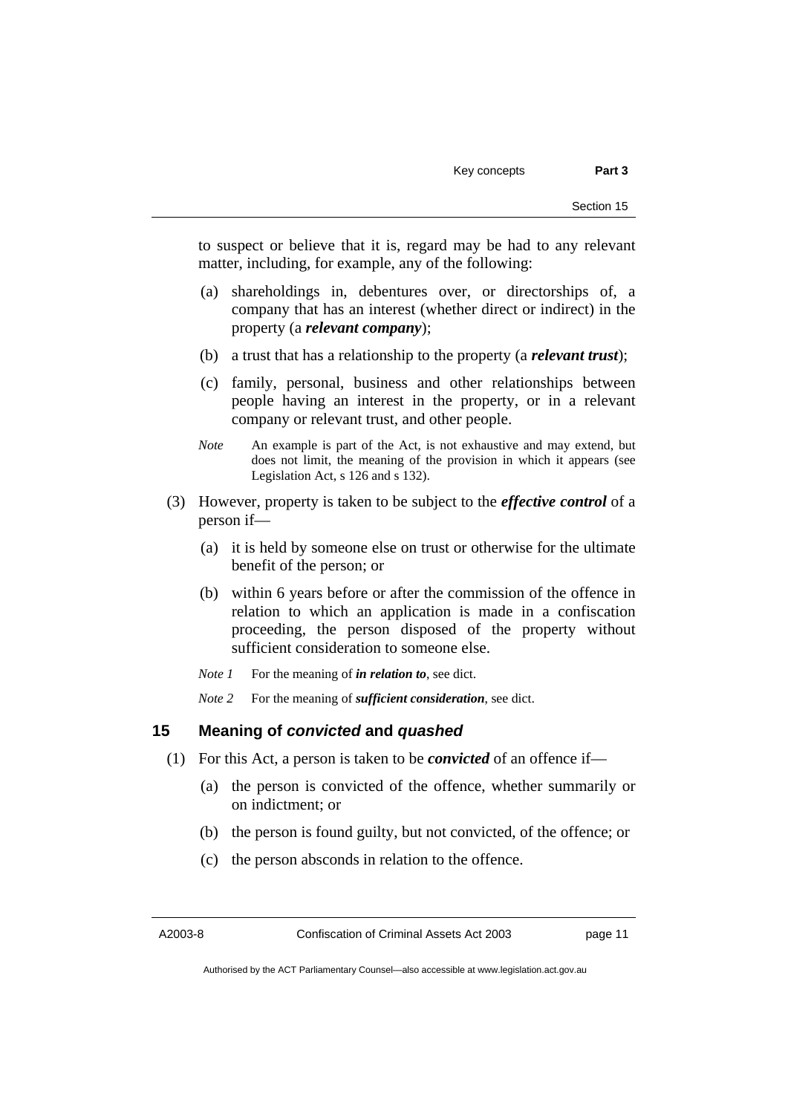to suspect or believe that it is, regard may be had to any relevant matter, including, for example, any of the following:

- (a) shareholdings in, debentures over, or directorships of, a company that has an interest (whether direct or indirect) in the property (a *relevant company*);
- (b) a trust that has a relationship to the property (a *relevant trust*);
- (c) family, personal, business and other relationships between people having an interest in the property, or in a relevant company or relevant trust, and other people.
- *Note* An example is part of the Act, is not exhaustive and may extend, but does not limit, the meaning of the provision in which it appears (see Legislation Act, s 126 and s 132).
- (3) However, property is taken to be subject to the *effective control* of a person if—
	- (a) it is held by someone else on trust or otherwise for the ultimate benefit of the person; or
	- (b) within 6 years before or after the commission of the offence in relation to which an application is made in a confiscation proceeding, the person disposed of the property without sufficient consideration to someone else.
	- *Note 1* For the meaning of *in relation to*, see dict.
	- *Note 2* For the meaning of *sufficient consideration*, see dict.

#### **15 Meaning of** *convicted* **and** *quashed*

- (1) For this Act, a person is taken to be *convicted* of an offence if—
	- (a) the person is convicted of the offence, whether summarily or on indictment; or
	- (b) the person is found guilty, but not convicted, of the offence; or
	- (c) the person absconds in relation to the offence.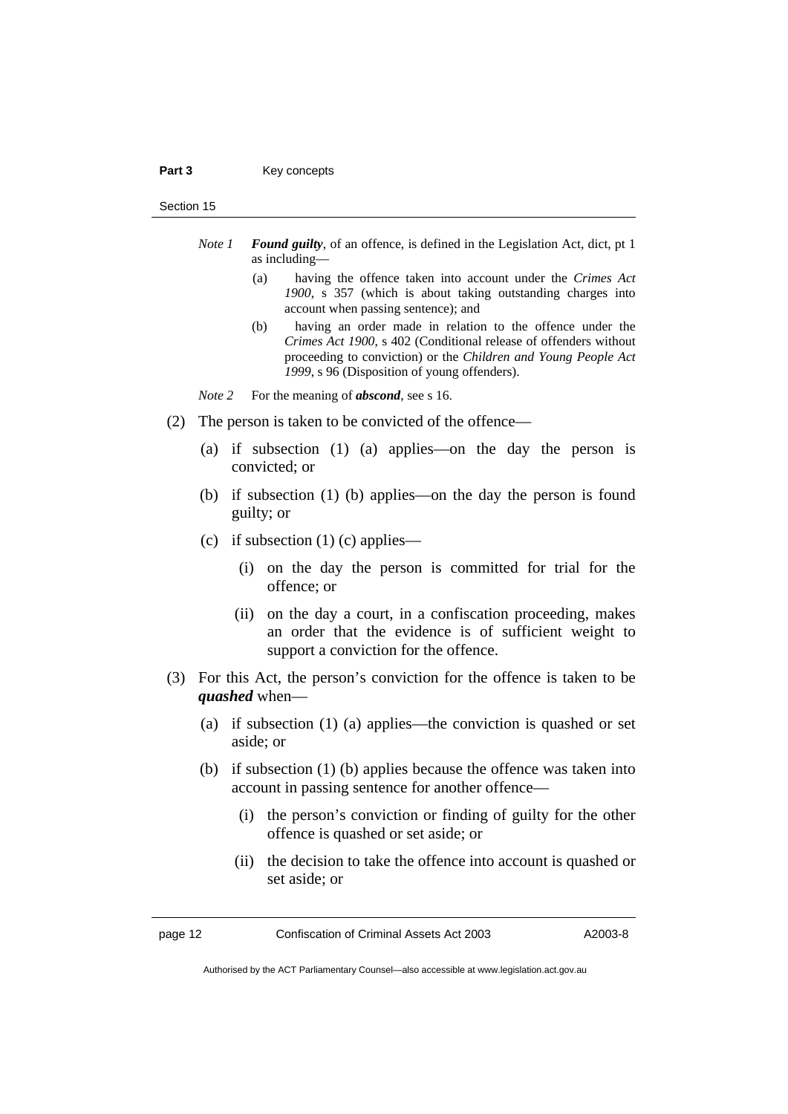#### Part 3 **Key concepts**

#### Section 15

- *Note 1 Found guilty*, of an offence, is defined in the Legislation Act, dict, pt 1 as including—
	- (a) having the offence taken into account under the *Crimes Act 1900*, s 357 (which is about taking outstanding charges into account when passing sentence); and
	- (b) having an order made in relation to the offence under the *Crimes Act 1900*, s 402 (Conditional release of offenders without proceeding to conviction) or the *Children and Young People Act 1999*, s 96 (Disposition of young offenders).
- *Note* 2 For the meaning of *abscond*, see s 16.
- (2) The person is taken to be convicted of the offence—
	- (a) if subsection (1) (a) applies—on the day the person is convicted; or
	- (b) if subsection (1) (b) applies—on the day the person is found guilty; or
	- (c) if subsection  $(1)$  (c) applies—
		- (i) on the day the person is committed for trial for the offence; or
		- (ii) on the day a court, in a confiscation proceeding, makes an order that the evidence is of sufficient weight to support a conviction for the offence.
- (3) For this Act, the person's conviction for the offence is taken to be *quashed* when—
	- (a) if subsection (1) (a) applies—the conviction is quashed or set aside; or
	- (b) if subsection (1) (b) applies because the offence was taken into account in passing sentence for another offence—
		- (i) the person's conviction or finding of guilty for the other offence is quashed or set aside; or
		- (ii) the decision to take the offence into account is quashed or set aside; or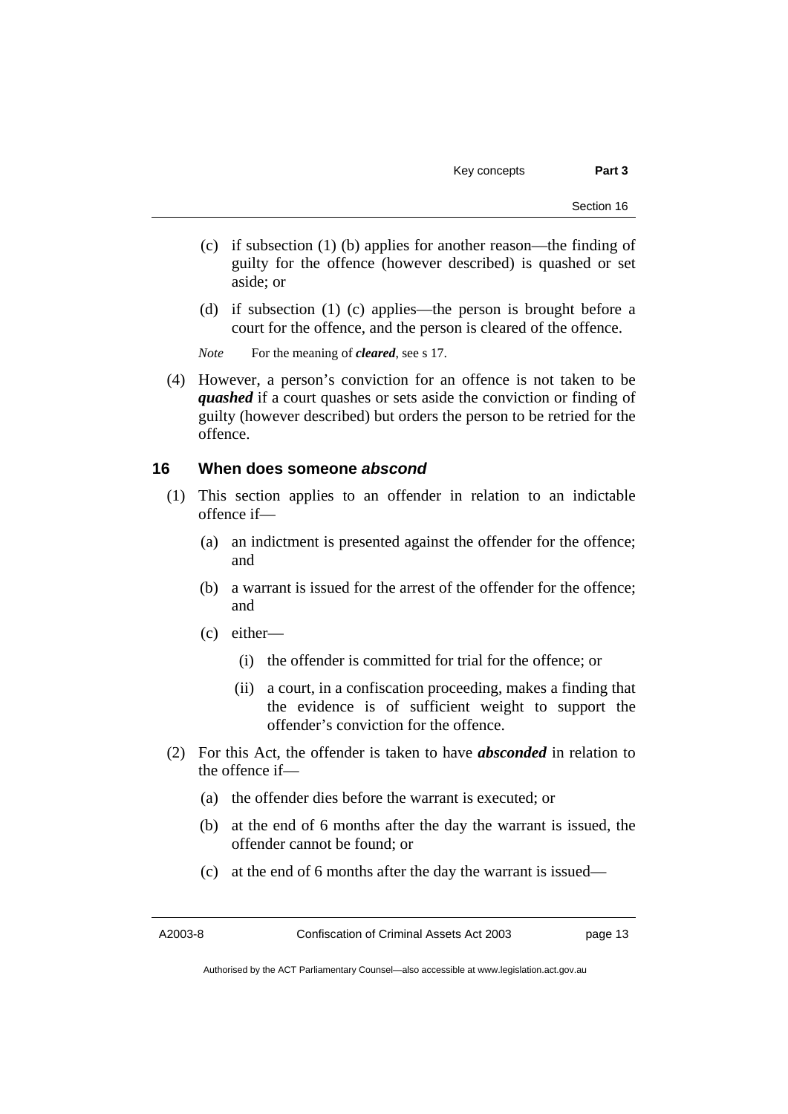- (c) if subsection (1) (b) applies for another reason—the finding of guilty for the offence (however described) is quashed or set aside; or
- (d) if subsection (1) (c) applies—the person is brought before a court for the offence, and the person is cleared of the offence.

*Note* For the meaning of *cleared*, see s 17.

 (4) However, a person's conviction for an offence is not taken to be *quashed* if a court quashes or sets aside the conviction or finding of guilty (however described) but orders the person to be retried for the offence.

#### **16 When does someone** *abscond*

- (1) This section applies to an offender in relation to an indictable offence if—
	- (a) an indictment is presented against the offender for the offence; and
	- (b) a warrant is issued for the arrest of the offender for the offence; and
	- (c) either—
		- (i) the offender is committed for trial for the offence; or
		- (ii) a court, in a confiscation proceeding, makes a finding that the evidence is of sufficient weight to support the offender's conviction for the offence.
- (2) For this Act, the offender is taken to have *absconded* in relation to the offence if—
	- (a) the offender dies before the warrant is executed; or
	- (b) at the end of 6 months after the day the warrant is issued, the offender cannot be found; or
	- (c) at the end of 6 months after the day the warrant is issued—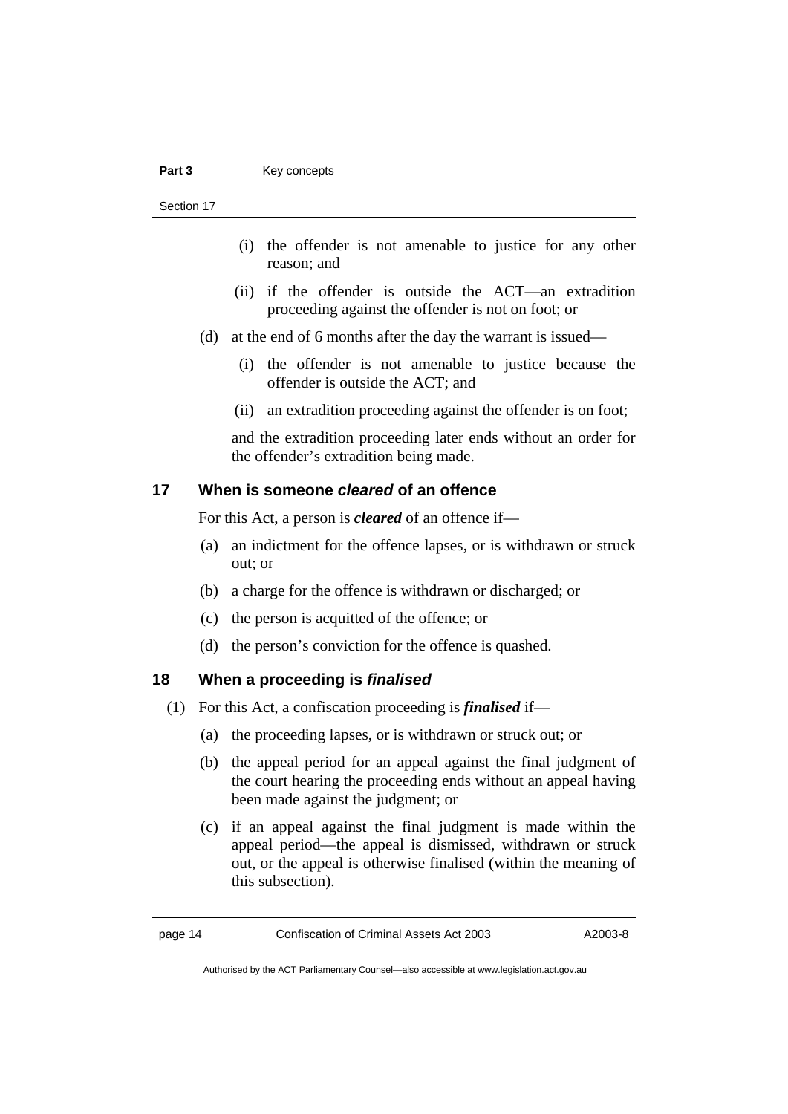#### Part 3 **Key concepts**

Section 17

- (i) the offender is not amenable to justice for any other reason; and
- (ii) if the offender is outside the ACT—an extradition proceeding against the offender is not on foot; or
- (d) at the end of 6 months after the day the warrant is issued—
	- (i) the offender is not amenable to justice because the offender is outside the ACT; and
	- (ii) an extradition proceeding against the offender is on foot;

and the extradition proceeding later ends without an order for the offender's extradition being made.

## **17 When is someone** *cleared* **of an offence**

For this Act, a person is *cleared* of an offence if—

- (a) an indictment for the offence lapses, or is withdrawn or struck out; or
- (b) a charge for the offence is withdrawn or discharged; or
- (c) the person is acquitted of the offence; or
- (d) the person's conviction for the offence is quashed.

## **18 When a proceeding is** *finalised*

- (1) For this Act, a confiscation proceeding is *finalised* if—
	- (a) the proceeding lapses, or is withdrawn or struck out; or
	- (b) the appeal period for an appeal against the final judgment of the court hearing the proceeding ends without an appeal having been made against the judgment; or
	- (c) if an appeal against the final judgment is made within the appeal period—the appeal is dismissed, withdrawn or struck out, or the appeal is otherwise finalised (within the meaning of this subsection).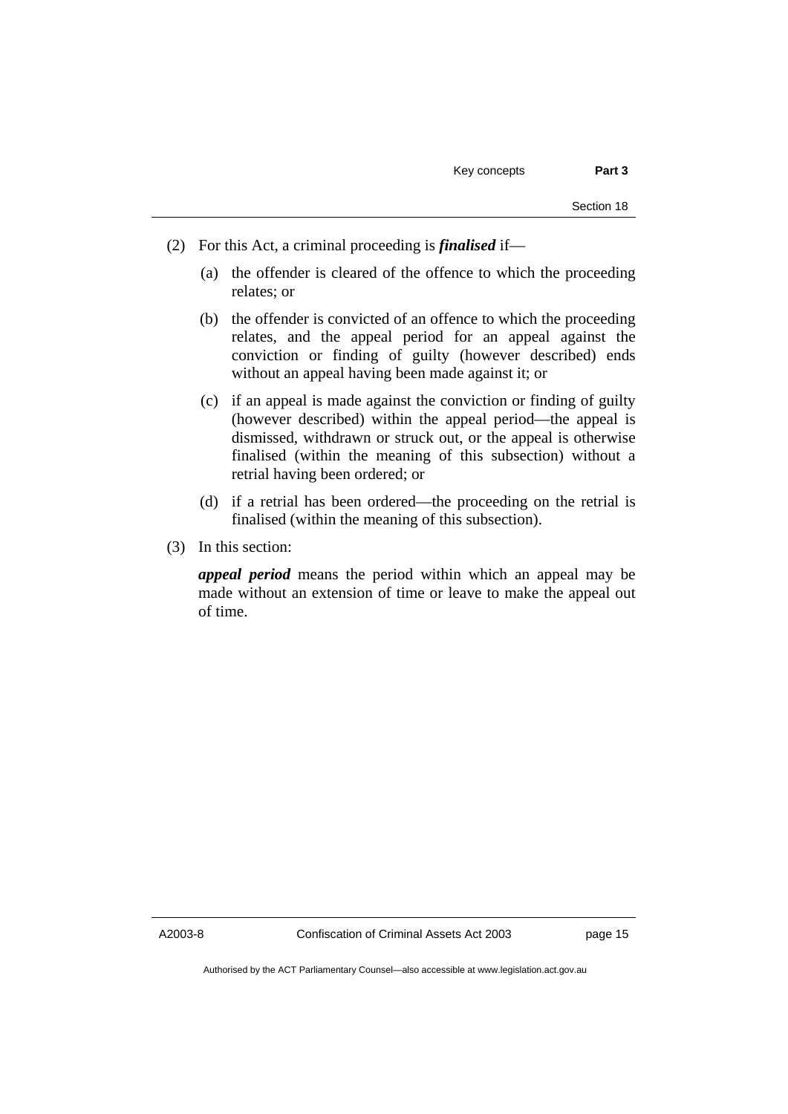- (2) For this Act, a criminal proceeding is *finalised* if—
	- (a) the offender is cleared of the offence to which the proceeding relates; or
	- (b) the offender is convicted of an offence to which the proceeding relates, and the appeal period for an appeal against the conviction or finding of guilty (however described) ends without an appeal having been made against it; or
	- (c) if an appeal is made against the conviction or finding of guilty (however described) within the appeal period—the appeal is dismissed, withdrawn or struck out, or the appeal is otherwise finalised (within the meaning of this subsection) without a retrial having been ordered; or
	- (d) if a retrial has been ordered—the proceeding on the retrial is finalised (within the meaning of this subsection).
- (3) In this section:

*appeal period* means the period within which an appeal may be made without an extension of time or leave to make the appeal out of time.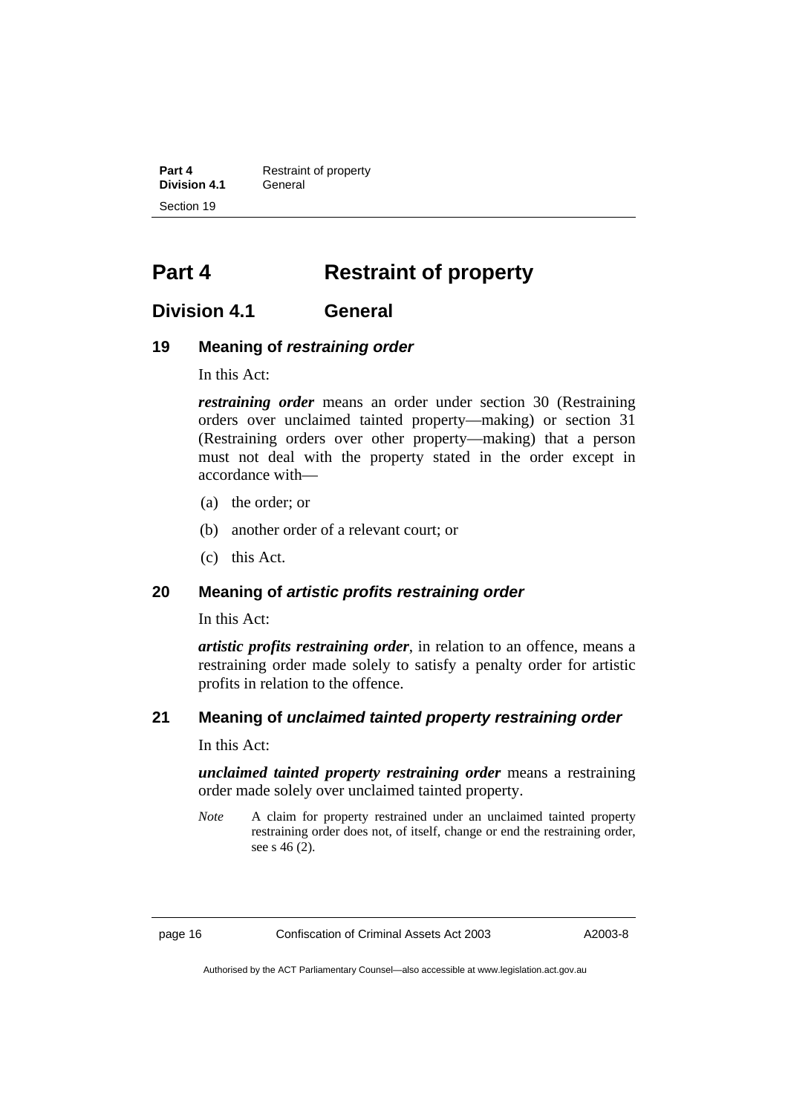**Part 4 Restraint of property Division 4.1** General Section 19

## **Part 4 Restraint of property**

## **Division 4.1 General**

## **19 Meaning of** *restraining order*

In this Act:

*restraining order* means an order under section 30 (Restraining orders over unclaimed tainted property—making) or section 31 (Restraining orders over other property—making) that a person must not deal with the property stated in the order except in accordance with—

- (a) the order; or
- (b) another order of a relevant court; or
- (c) this Act.

#### **20 Meaning of** *artistic profits restraining order*

In this Act:

*artistic profits restraining order*, in relation to an offence, means a restraining order made solely to satisfy a penalty order for artistic profits in relation to the offence.

## **21 Meaning of** *unclaimed tainted property restraining order*

In this Act:

*unclaimed tainted property restraining order* means a restraining order made solely over unclaimed tainted property.

*Note* A claim for property restrained under an unclaimed tainted property restraining order does not, of itself, change or end the restraining order, see s 46 (2).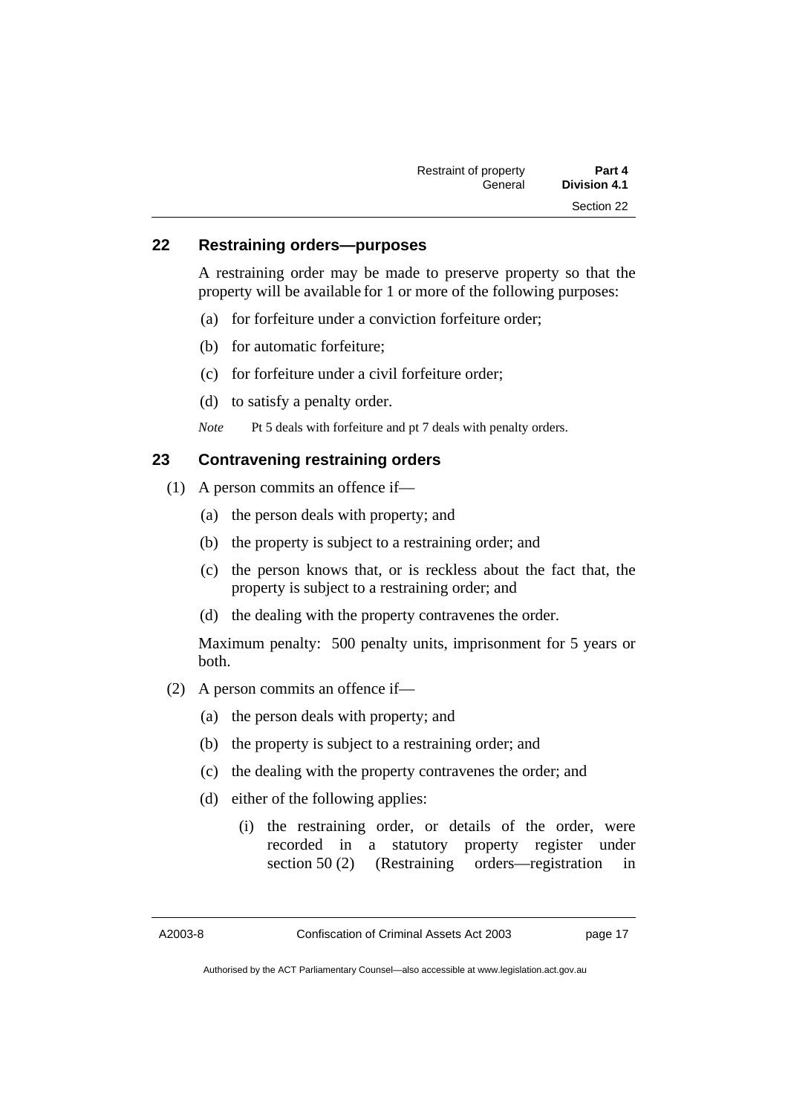| Restraint of property | Part 4              |
|-----------------------|---------------------|
| General               | <b>Division 4.1</b> |
|                       | Section 22          |

#### **22 Restraining orders—purposes**

A restraining order may be made to preserve property so that the property will be available for 1 or more of the following purposes:

- (a) for forfeiture under a conviction forfeiture order;
- (b) for automatic forfeiture;
- (c) for forfeiture under a civil forfeiture order;
- (d) to satisfy a penalty order.

*Note* Pt 5 deals with forfeiture and pt 7 deals with penalty orders.

## **23 Contravening restraining orders**

- (1) A person commits an offence if—
	- (a) the person deals with property; and
	- (b) the property is subject to a restraining order; and
	- (c) the person knows that, or is reckless about the fact that, the property is subject to a restraining order; and
	- (d) the dealing with the property contravenes the order.

Maximum penalty: 500 penalty units, imprisonment for 5 years or both.

- (2) A person commits an offence if—
	- (a) the person deals with property; and
	- (b) the property is subject to a restraining order; and
	- (c) the dealing with the property contravenes the order; and
	- (d) either of the following applies:
		- (i) the restraining order, or details of the order, were recorded in a statutory property register under section 50 (2) (Restraining orders—registration in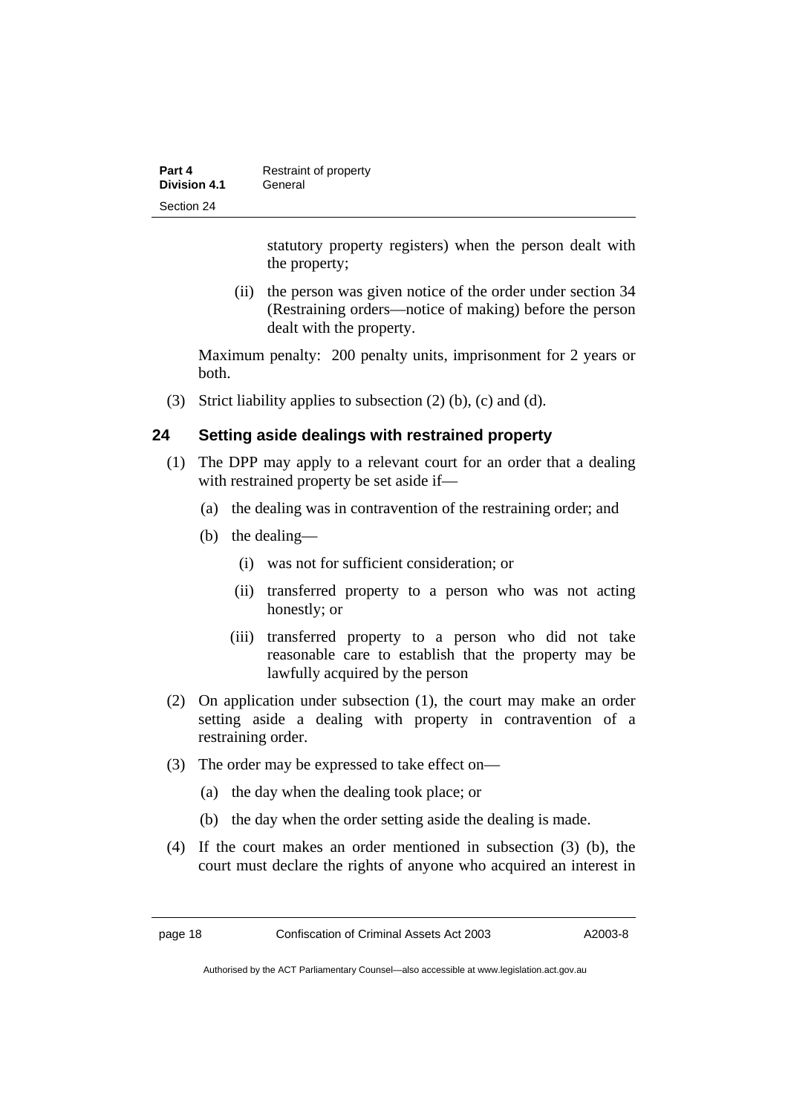| Part 4              | Restraint of property |
|---------------------|-----------------------|
| <b>Division 4.1</b> | General               |
| Section 24          |                       |

statutory property registers) when the person dealt with the property;

 (ii) the person was given notice of the order under section 34 (Restraining orders—notice of making) before the person dealt with the property.

Maximum penalty: 200 penalty units, imprisonment for 2 years or both.

(3) Strict liability applies to subsection (2) (b), (c) and (d).

## **24 Setting aside dealings with restrained property**

- (1) The DPP may apply to a relevant court for an order that a dealing with restrained property be set aside if—
	- (a) the dealing was in contravention of the restraining order; and
	- (b) the dealing—
		- (i) was not for sufficient consideration; or
		- (ii) transferred property to a person who was not acting honestly; or
		- (iii) transferred property to a person who did not take reasonable care to establish that the property may be lawfully acquired by the person
- (2) On application under subsection (1), the court may make an order setting aside a dealing with property in contravention of a restraining order.
- (3) The order may be expressed to take effect on—
	- (a) the day when the dealing took place; or
	- (b) the day when the order setting aside the dealing is made.
- (4) If the court makes an order mentioned in subsection (3) (b), the court must declare the rights of anyone who acquired an interest in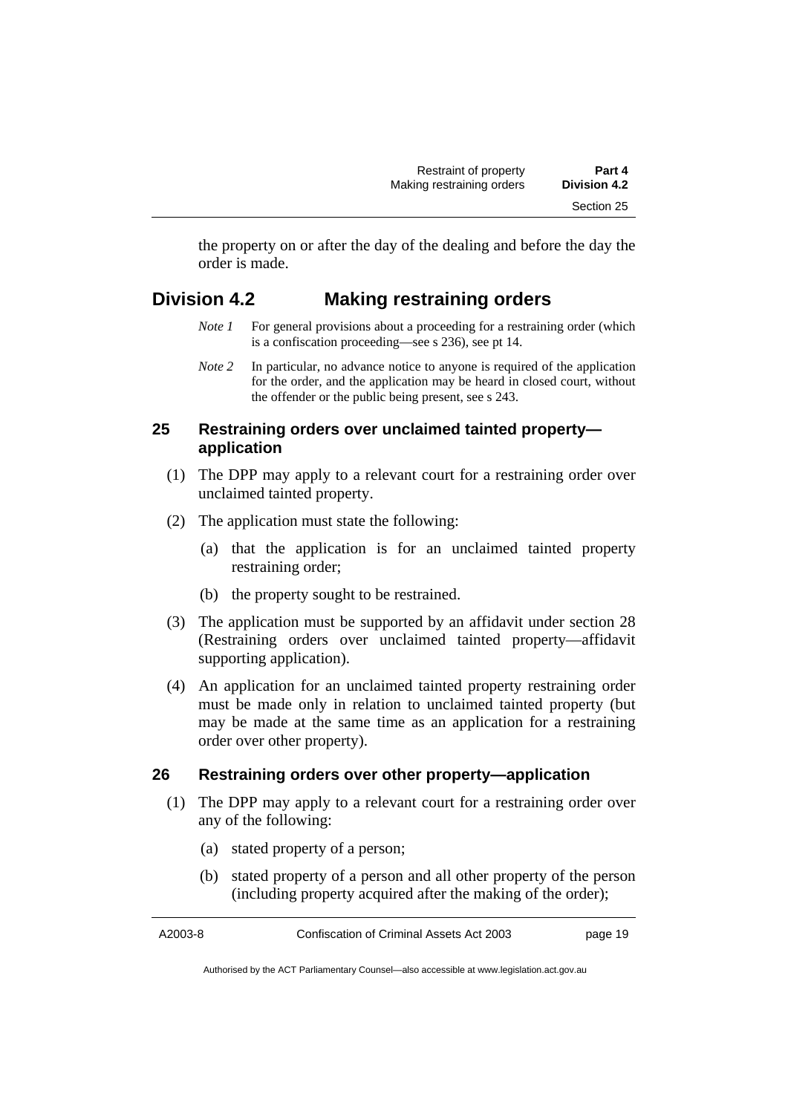the property on or after the day of the dealing and before the day the order is made.

## **Division 4.2 Making restraining orders**

- *Note 1* For general provisions about a proceeding for a restraining order (which is a confiscation proceeding—see s 236), see pt 14.
- *Note 2* In particular, no advance notice to anyone is required of the application for the order, and the application may be heard in closed court, without the offender or the public being present, see s 243.

## **25 Restraining orders over unclaimed tainted property application**

- (1) The DPP may apply to a relevant court for a restraining order over unclaimed tainted property.
- (2) The application must state the following:
	- (a) that the application is for an unclaimed tainted property restraining order;
	- (b) the property sought to be restrained.
- (3) The application must be supported by an affidavit under section 28 (Restraining orders over unclaimed tainted property—affidavit supporting application).
- (4) An application for an unclaimed tainted property restraining order must be made only in relation to unclaimed tainted property (but may be made at the same time as an application for a restraining order over other property).

## **26 Restraining orders over other property—application**

- (1) The DPP may apply to a relevant court for a restraining order over any of the following:
	- (a) stated property of a person;
	- (b) stated property of a person and all other property of the person (including property acquired after the making of the order);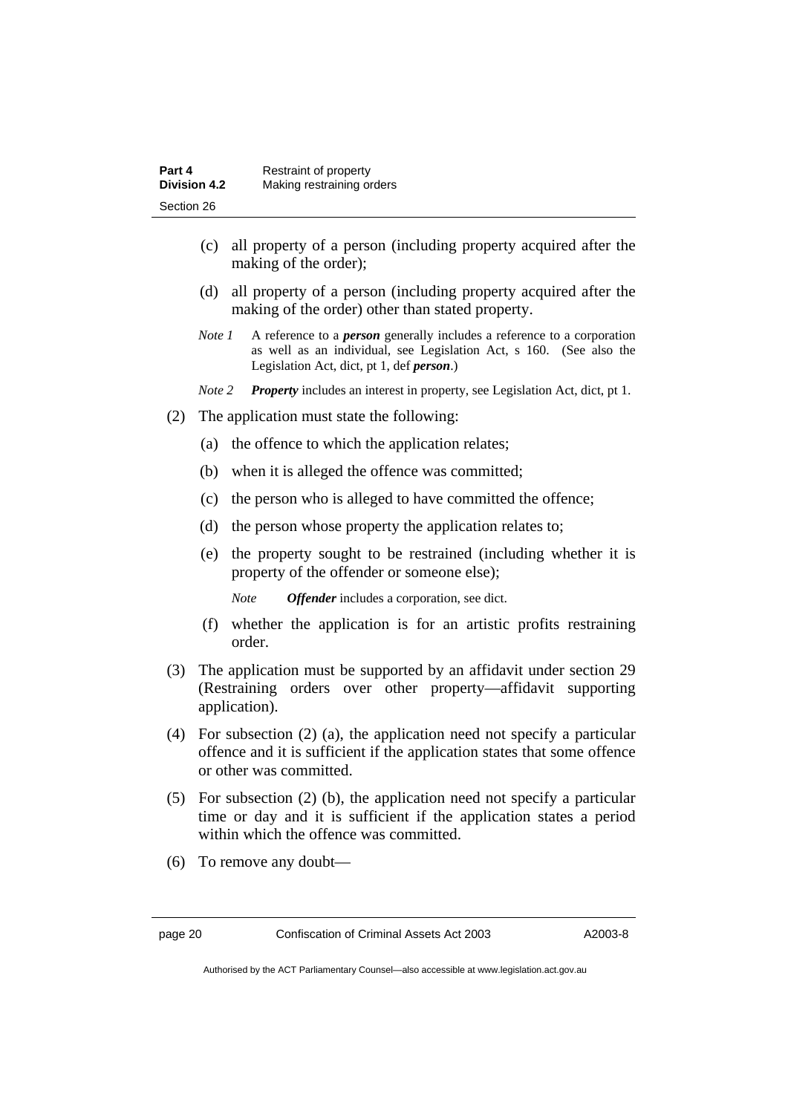| Part 4              | Restraint of property     |
|---------------------|---------------------------|
| <b>Division 4.2</b> | Making restraining orders |
| Section 26          |                           |

- (c) all property of a person (including property acquired after the making of the order);
- (d) all property of a person (including property acquired after the making of the order) other than stated property.
- *Note 1* A reference to a *person* generally includes a reference to a corporation as well as an individual, see Legislation Act, s 160. (See also the Legislation Act, dict, pt 1, def *person*.)
- *Note 2 Property* includes an interest in property, see Legislation Act, dict, pt 1.
- (2) The application must state the following:
	- (a) the offence to which the application relates;
	- (b) when it is alleged the offence was committed;
	- (c) the person who is alleged to have committed the offence;
	- (d) the person whose property the application relates to;
	- (e) the property sought to be restrained (including whether it is property of the offender or someone else);

*Note Offender* includes a corporation, see dict.

- (f) whether the application is for an artistic profits restraining order.
- (3) The application must be supported by an affidavit under section 29 (Restraining orders over other property—affidavit supporting application).
- (4) For subsection (2) (a), the application need not specify a particular offence and it is sufficient if the application states that some offence or other was committed.
- (5) For subsection (2) (b), the application need not specify a particular time or day and it is sufficient if the application states a period within which the offence was committed.
- (6) To remove any doubt—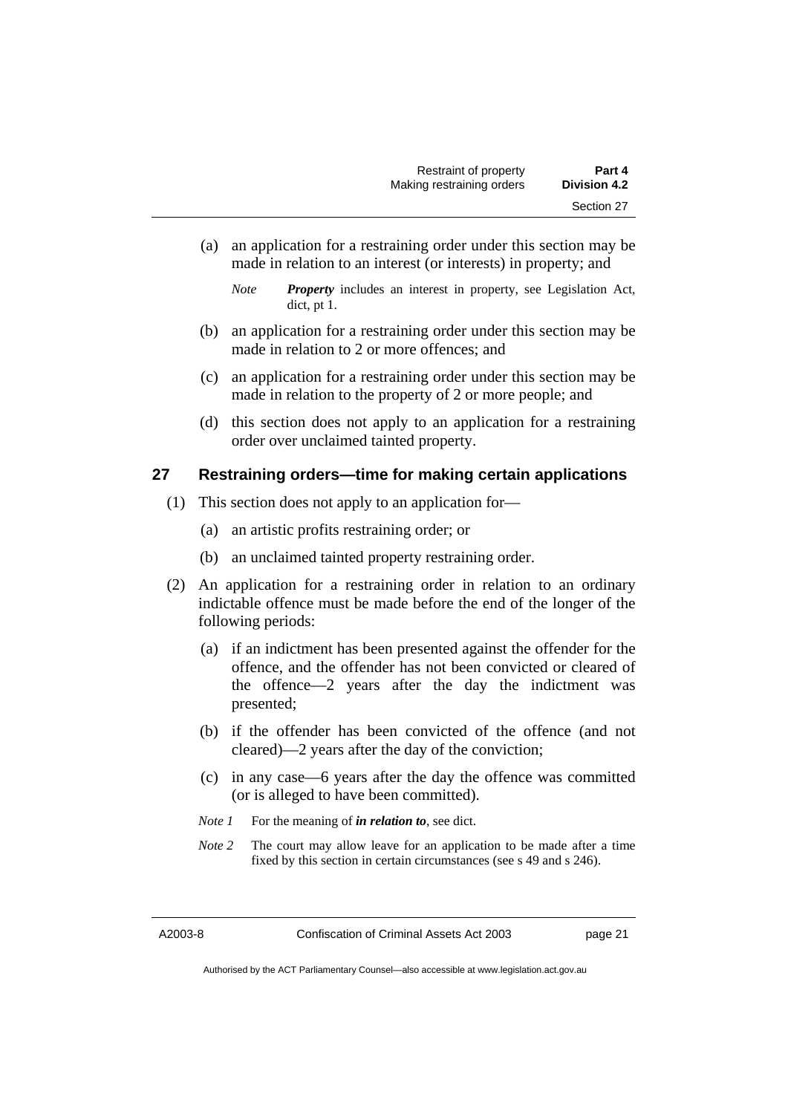(a) an application for a restraining order under this section may be made in relation to an interest (or interests) in property; and

- (b) an application for a restraining order under this section may be made in relation to 2 or more offences; and
- (c) an application for a restraining order under this section may be made in relation to the property of 2 or more people; and
- (d) this section does not apply to an application for a restraining order over unclaimed tainted property.

## **27 Restraining orders—time for making certain applications**

- (1) This section does not apply to an application for—
	- (a) an artistic profits restraining order; or
	- (b) an unclaimed tainted property restraining order.
- (2) An application for a restraining order in relation to an ordinary indictable offence must be made before the end of the longer of the following periods:
	- (a) if an indictment has been presented against the offender for the offence, and the offender has not been convicted or cleared of the offence—2 years after the day the indictment was presented;
	- (b) if the offender has been convicted of the offence (and not cleared)—2 years after the day of the conviction;
	- (c) in any case—6 years after the day the offence was committed (or is alleged to have been committed).
	- *Note 1* For the meaning of *in relation to*, see dict.
	- *Note 2* The court may allow leave for an application to be made after a time fixed by this section in certain circumstances (see s 49 and s 246).

*Note Property* includes an interest in property, see Legislation Act, dict, pt 1.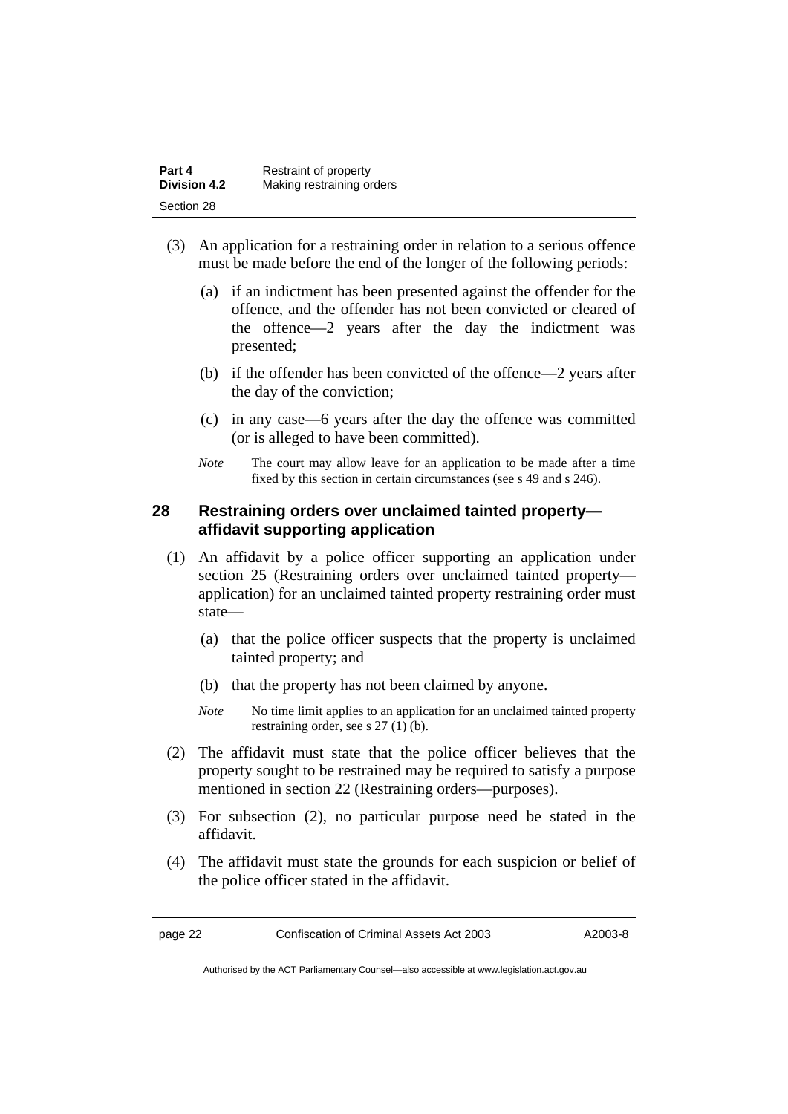| Part 4              | Restraint of property     |
|---------------------|---------------------------|
| <b>Division 4.2</b> | Making restraining orders |
| Section 28          |                           |

- (3) An application for a restraining order in relation to a serious offence must be made before the end of the longer of the following periods:
	- (a) if an indictment has been presented against the offender for the offence, and the offender has not been convicted or cleared of the offence—2 years after the day the indictment was presented;
	- (b) if the offender has been convicted of the offence—2 years after the day of the conviction;
	- (c) in any case—6 years after the day the offence was committed (or is alleged to have been committed).
	- *Note* The court may allow leave for an application to be made after a time fixed by this section in certain circumstances (see s 49 and s 246).

## **28 Restraining orders over unclaimed tainted property affidavit supporting application**

- (1) An affidavit by a police officer supporting an application under section 25 (Restraining orders over unclaimed tainted property application) for an unclaimed tainted property restraining order must state—
	- (a) that the police officer suspects that the property is unclaimed tainted property; and
	- (b) that the property has not been claimed by anyone.
	- *Note* No time limit applies to an application for an unclaimed tainted property restraining order, see s 27 (1) (b).
- (2) The affidavit must state that the police officer believes that the property sought to be restrained may be required to satisfy a purpose mentioned in section 22 (Restraining orders—purposes).
- (3) For subsection (2), no particular purpose need be stated in the affidavit.
- (4) The affidavit must state the grounds for each suspicion or belief of the police officer stated in the affidavit.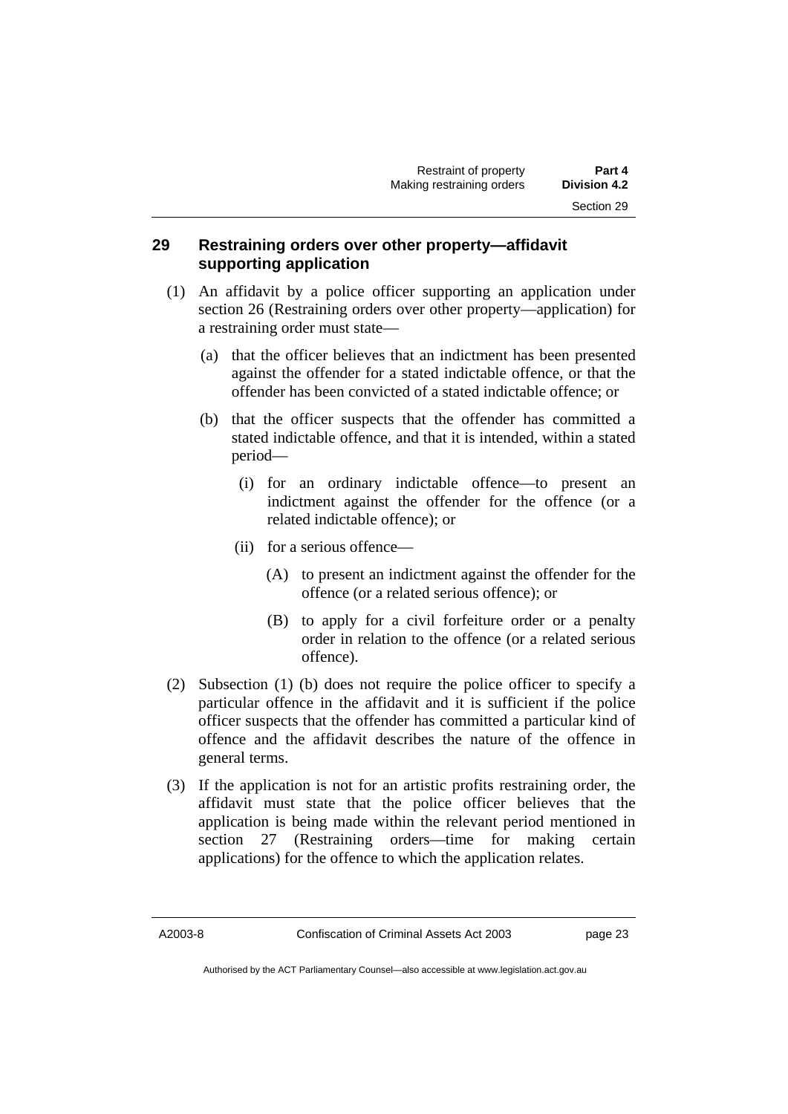## **29 Restraining orders over other property—affidavit supporting application**

- (1) An affidavit by a police officer supporting an application under section 26 (Restraining orders over other property—application) for a restraining order must state—
	- (a) that the officer believes that an indictment has been presented against the offender for a stated indictable offence, or that the offender has been convicted of a stated indictable offence; or
	- (b) that the officer suspects that the offender has committed a stated indictable offence, and that it is intended, within a stated period—
		- (i) for an ordinary indictable offence—to present an indictment against the offender for the offence (or a related indictable offence); or
		- (ii) for a serious offence—
			- (A) to present an indictment against the offender for the offence (or a related serious offence); or
			- (B) to apply for a civil forfeiture order or a penalty order in relation to the offence (or a related serious offence).
- (2) Subsection (1) (b) does not require the police officer to specify a particular offence in the affidavit and it is sufficient if the police officer suspects that the offender has committed a particular kind of offence and the affidavit describes the nature of the offence in general terms.
- (3) If the application is not for an artistic profits restraining order, the affidavit must state that the police officer believes that the application is being made within the relevant period mentioned in section 27 (Restraining orders—time for making certain applications) for the offence to which the application relates.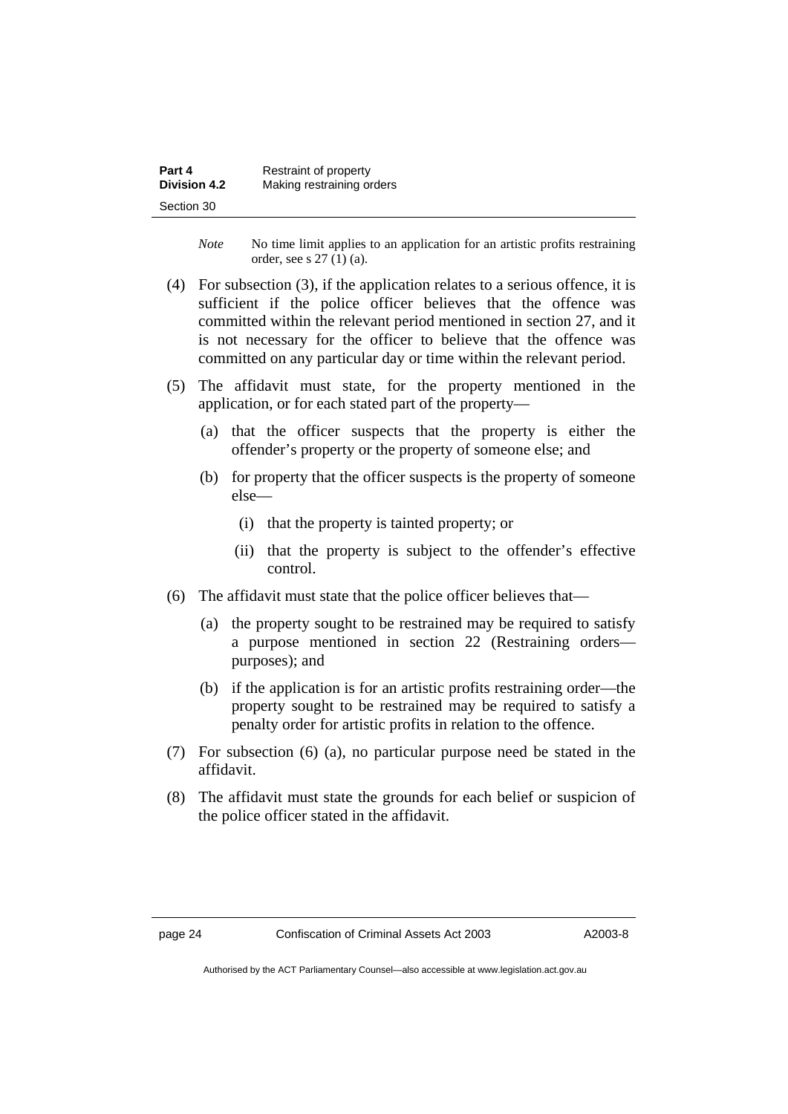| Part 4              | Restraint of property     |
|---------------------|---------------------------|
| <b>Division 4.2</b> | Making restraining orders |
| Section 30          |                           |

*Note* No time limit applies to an application for an artistic profits restraining order, see s 27 (1) (a).

- (4) For subsection (3), if the application relates to a serious offence, it is sufficient if the police officer believes that the offence was committed within the relevant period mentioned in section 27, and it is not necessary for the officer to believe that the offence was committed on any particular day or time within the relevant period.
- (5) The affidavit must state, for the property mentioned in the application, or for each stated part of the property—
	- (a) that the officer suspects that the property is either the offender's property or the property of someone else; and
	- (b) for property that the officer suspects is the property of someone else—
		- (i) that the property is tainted property; or
		- (ii) that the property is subject to the offender's effective control.
- (6) The affidavit must state that the police officer believes that—
	- (a) the property sought to be restrained may be required to satisfy a purpose mentioned in section 22 (Restraining orders purposes); and
	- (b) if the application is for an artistic profits restraining order—the property sought to be restrained may be required to satisfy a penalty order for artistic profits in relation to the offence.
- (7) For subsection (6) (a), no particular purpose need be stated in the affidavit.
- (8) The affidavit must state the grounds for each belief or suspicion of the police officer stated in the affidavit.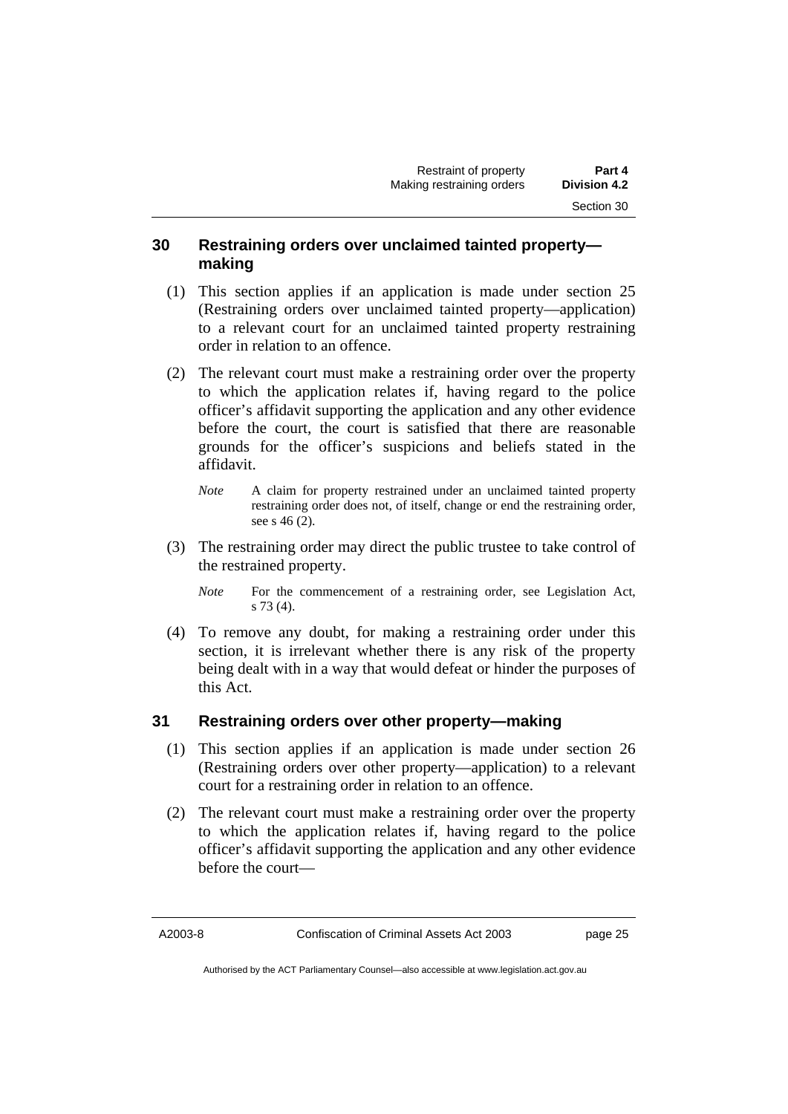## **30 Restraining orders over unclaimed tainted property making**

- (1) This section applies if an application is made under section 25 (Restraining orders over unclaimed tainted property—application) to a relevant court for an unclaimed tainted property restraining order in relation to an offence.
- (2) The relevant court must make a restraining order over the property to which the application relates if, having regard to the police officer's affidavit supporting the application and any other evidence before the court, the court is satisfied that there are reasonable grounds for the officer's suspicions and beliefs stated in the affidavit.
	- *Note* A claim for property restrained under an unclaimed tainted property restraining order does not, of itself, change or end the restraining order, see s 46 (2).
- (3) The restraining order may direct the public trustee to take control of the restrained property.
	- *Note* For the commencement of a restraining order, see Legislation Act, s 73 (4).
- (4) To remove any doubt, for making a restraining order under this section, it is irrelevant whether there is any risk of the property being dealt with in a way that would defeat or hinder the purposes of this Act.

## **31 Restraining orders over other property—making**

- (1) This section applies if an application is made under section 26 (Restraining orders over other property—application) to a relevant court for a restraining order in relation to an offence.
- (2) The relevant court must make a restraining order over the property to which the application relates if, having regard to the police officer's affidavit supporting the application and any other evidence before the court—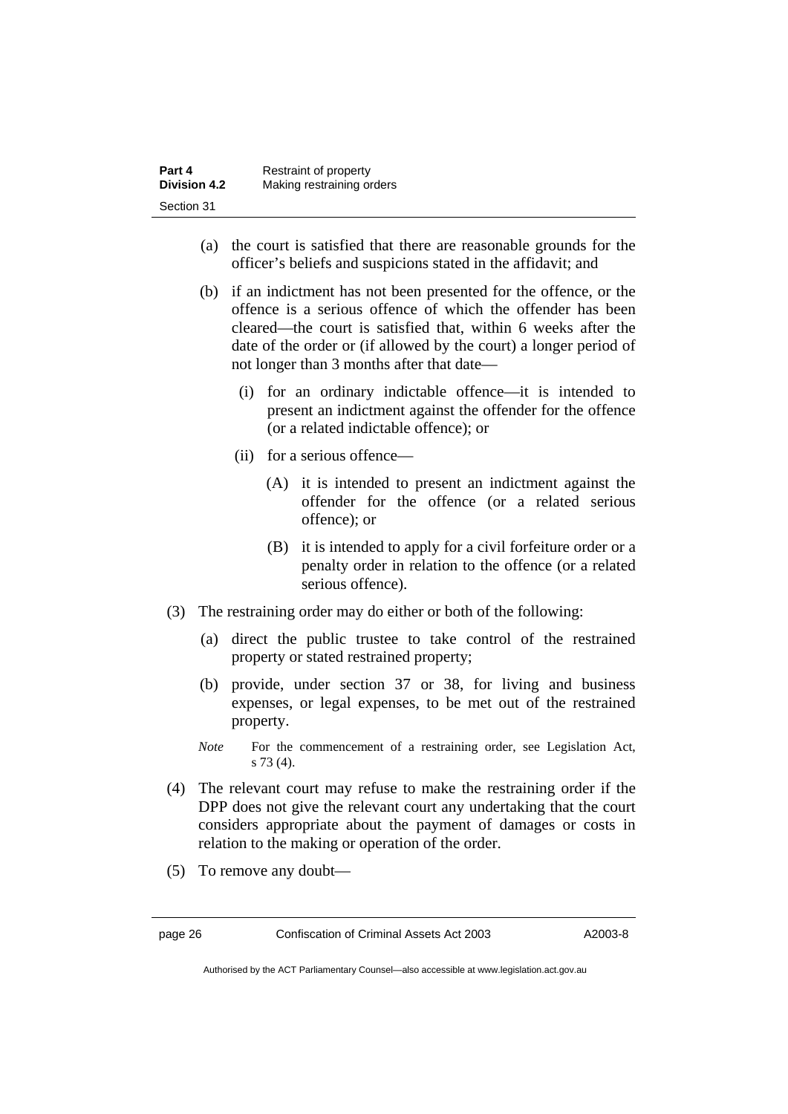| Part 4              | Restraint of property     |
|---------------------|---------------------------|
| <b>Division 4.2</b> | Making restraining orders |
| Section 31          |                           |

- (a) the court is satisfied that there are reasonable grounds for the officer's beliefs and suspicions stated in the affidavit; and
- (b) if an indictment has not been presented for the offence, or the offence is a serious offence of which the offender has been cleared—the court is satisfied that, within 6 weeks after the date of the order or (if allowed by the court) a longer period of not longer than 3 months after that date—
	- (i) for an ordinary indictable offence—it is intended to present an indictment against the offender for the offence (or a related indictable offence); or
	- (ii) for a serious offence—
		- (A) it is intended to present an indictment against the offender for the offence (or a related serious offence); or
		- (B) it is intended to apply for a civil forfeiture order or a penalty order in relation to the offence (or a related serious offence).
- (3) The restraining order may do either or both of the following:
	- (a) direct the public trustee to take control of the restrained property or stated restrained property;
	- (b) provide, under section 37 or 38, for living and business expenses, or legal expenses, to be met out of the restrained property.
	- *Note* For the commencement of a restraining order, see Legislation Act, s 73 (4).
- (4) The relevant court may refuse to make the restraining order if the DPP does not give the relevant court any undertaking that the court considers appropriate about the payment of damages or costs in relation to the making or operation of the order.
- (5) To remove any doubt—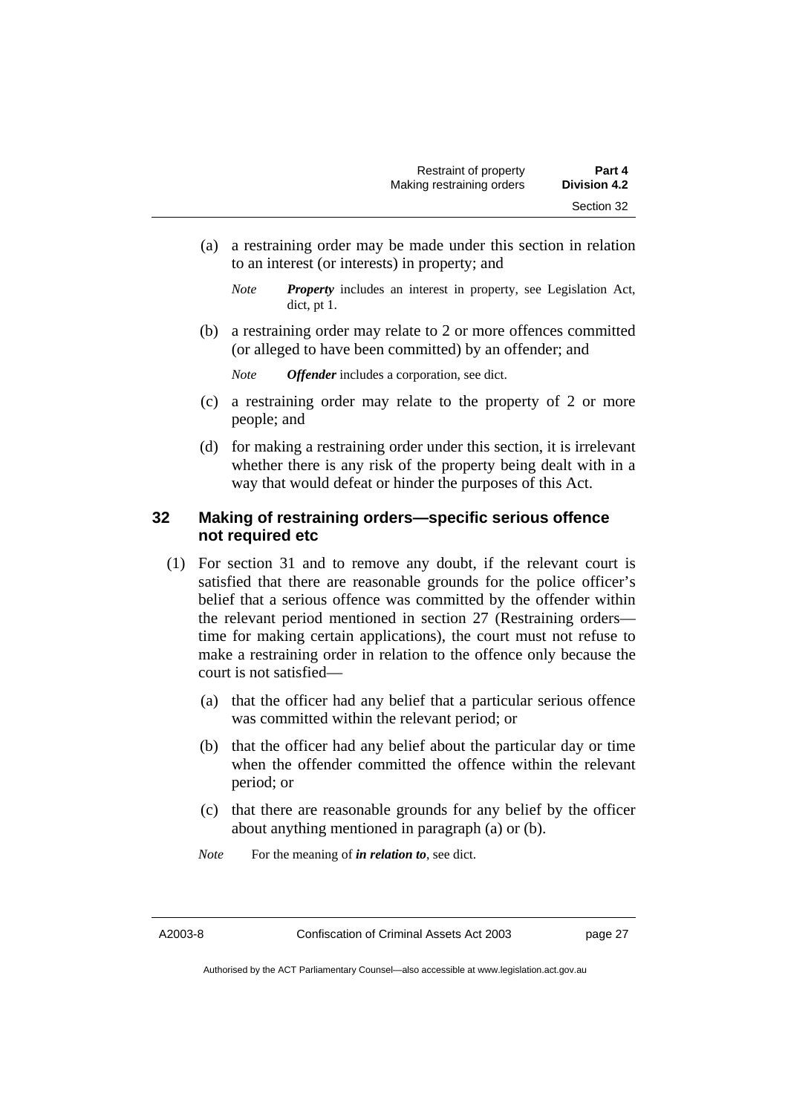- (a) a restraining order may be made under this section in relation to an interest (or interests) in property; and
	- *Note Property* includes an interest in property, see Legislation Act, dict, pt 1.
- (b) a restraining order may relate to 2 or more offences committed (or alleged to have been committed) by an offender; and

*Note Offender* includes a corporation, see dict.

- (c) a restraining order may relate to the property of 2 or more people; and
- (d) for making a restraining order under this section, it is irrelevant whether there is any risk of the property being dealt with in a way that would defeat or hinder the purposes of this Act.

## **32 Making of restraining orders—specific serious offence not required etc**

- (1) For section 31 and to remove any doubt, if the relevant court is satisfied that there are reasonable grounds for the police officer's belief that a serious offence was committed by the offender within the relevant period mentioned in section 27 (Restraining orders time for making certain applications), the court must not refuse to make a restraining order in relation to the offence only because the court is not satisfied—
	- (a) that the officer had any belief that a particular serious offence was committed within the relevant period; or
	- (b) that the officer had any belief about the particular day or time when the offender committed the offence within the relevant period; or
	- (c) that there are reasonable grounds for any belief by the officer about anything mentioned in paragraph (a) or (b).
	- *Note* For the meaning of *in relation to*, see dict.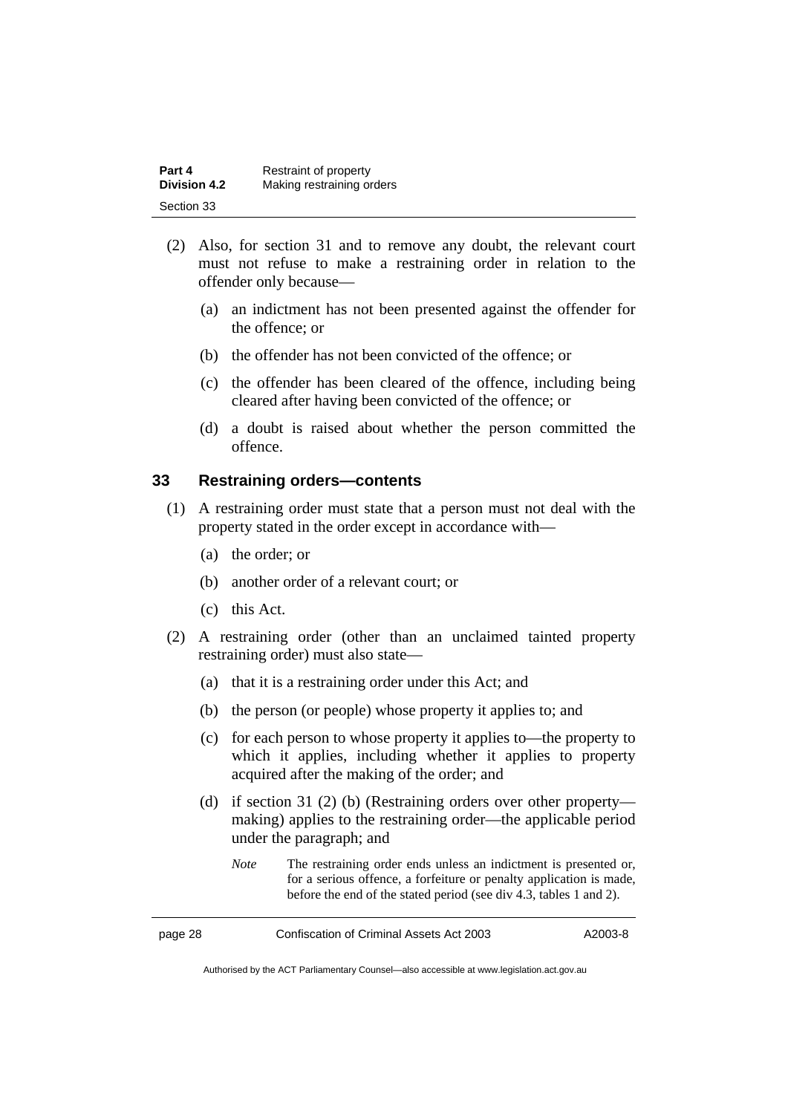| Part 4              | Restraint of property     |
|---------------------|---------------------------|
| <b>Division 4.2</b> | Making restraining orders |
| Section 33          |                           |

- (2) Also, for section 31 and to remove any doubt, the relevant court must not refuse to make a restraining order in relation to the offender only because—
	- (a) an indictment has not been presented against the offender for the offence; or
	- (b) the offender has not been convicted of the offence; or
	- (c) the offender has been cleared of the offence, including being cleared after having been convicted of the offence; or
	- (d) a doubt is raised about whether the person committed the offence.

## **33 Restraining orders—contents**

- (1) A restraining order must state that a person must not deal with the property stated in the order except in accordance with—
	- (a) the order; or
	- (b) another order of a relevant court; or
	- (c) this Act.
- (2) A restraining order (other than an unclaimed tainted property restraining order) must also state—
	- (a) that it is a restraining order under this Act; and
	- (b) the person (or people) whose property it applies to; and
	- (c) for each person to whose property it applies to—the property to which it applies, including whether it applies to property acquired after the making of the order; and
	- (d) if section 31 (2) (b) (Restraining orders over other property making) applies to the restraining order—the applicable period under the paragraph; and
		- *Note* The restraining order ends unless an indictment is presented or, for a serious offence, a forfeiture or penalty application is made, before the end of the stated period (see div 4.3, tables 1 and 2).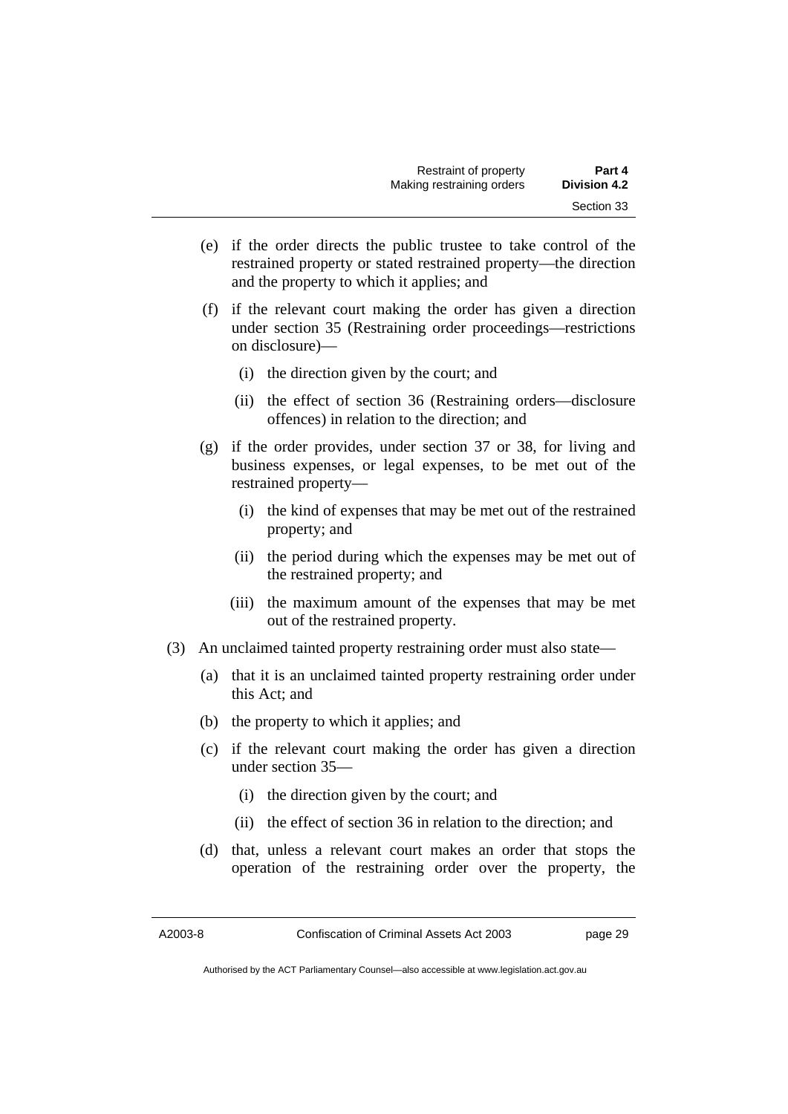- (e) if the order directs the public trustee to take control of the restrained property or stated restrained property—the direction and the property to which it applies; and
- (f) if the relevant court making the order has given a direction under section 35 (Restraining order proceedings—restrictions on disclosure)—
	- (i) the direction given by the court; and
	- (ii) the effect of section 36 (Restraining orders—disclosure offences) in relation to the direction; and
- (g) if the order provides, under section 37 or 38, for living and business expenses, or legal expenses, to be met out of the restrained property—
	- (i) the kind of expenses that may be met out of the restrained property; and
	- (ii) the period during which the expenses may be met out of the restrained property; and
	- (iii) the maximum amount of the expenses that may be met out of the restrained property.
- (3) An unclaimed tainted property restraining order must also state—
	- (a) that it is an unclaimed tainted property restraining order under this Act; and
	- (b) the property to which it applies; and
	- (c) if the relevant court making the order has given a direction under section 35—
		- (i) the direction given by the court; and
		- (ii) the effect of section 36 in relation to the direction; and
	- (d) that, unless a relevant court makes an order that stops the operation of the restraining order over the property, the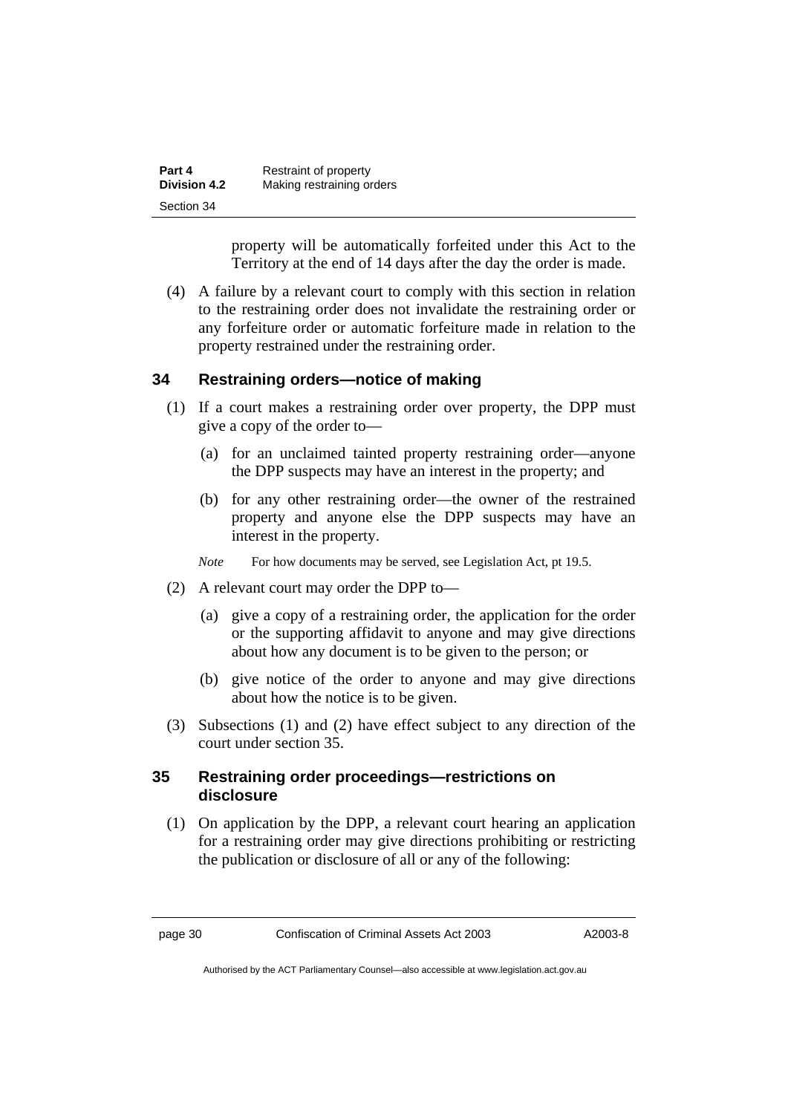| Part 4              | Restraint of property     |
|---------------------|---------------------------|
| <b>Division 4.2</b> | Making restraining orders |
| Section 34          |                           |

property will be automatically forfeited under this Act to the Territory at the end of 14 days after the day the order is made.

 (4) A failure by a relevant court to comply with this section in relation to the restraining order does not invalidate the restraining order or any forfeiture order or automatic forfeiture made in relation to the property restrained under the restraining order.

### **34 Restraining orders—notice of making**

- (1) If a court makes a restraining order over property, the DPP must give a copy of the order to—
	- (a) for an unclaimed tainted property restraining order—anyone the DPP suspects may have an interest in the property; and
	- (b) for any other restraining order—the owner of the restrained property and anyone else the DPP suspects may have an interest in the property.
	- *Note* For how documents may be served, see Legislation Act, pt 19.5.
- (2) A relevant court may order the DPP to—
	- (a) give a copy of a restraining order, the application for the order or the supporting affidavit to anyone and may give directions about how any document is to be given to the person; or
	- (b) give notice of the order to anyone and may give directions about how the notice is to be given.
- (3) Subsections (1) and (2) have effect subject to any direction of the court under section 35.

## **35 Restraining order proceedings—restrictions on disclosure**

 (1) On application by the DPP, a relevant court hearing an application for a restraining order may give directions prohibiting or restricting the publication or disclosure of all or any of the following: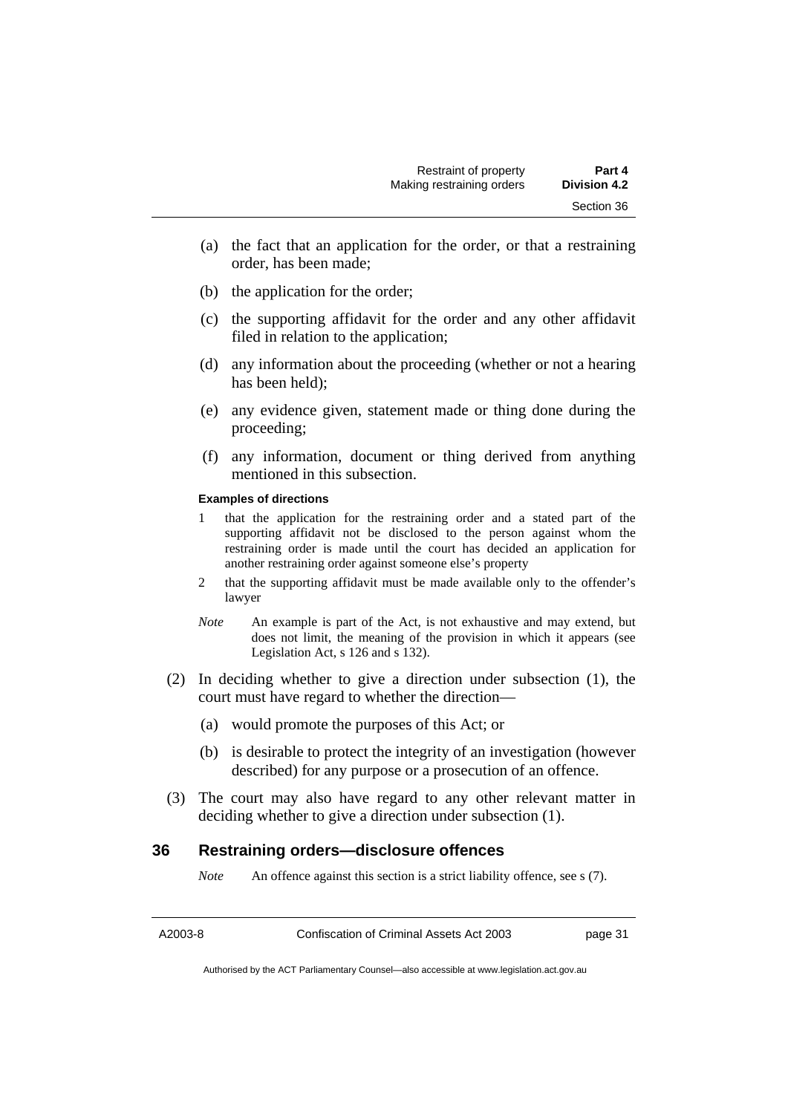- (a) the fact that an application for the order, or that a restraining order, has been made;
- (b) the application for the order;
- (c) the supporting affidavit for the order and any other affidavit filed in relation to the application;
- (d) any information about the proceeding (whether or not a hearing has been held);
- (e) any evidence given, statement made or thing done during the proceeding;
- (f) any information, document or thing derived from anything mentioned in this subsection.

#### **Examples of directions**

- 1 that the application for the restraining order and a stated part of the supporting affidavit not be disclosed to the person against whom the restraining order is made until the court has decided an application for another restraining order against someone else's property
- 2 that the supporting affidavit must be made available only to the offender's lawyer
- *Note* An example is part of the Act, is not exhaustive and may extend, but does not limit, the meaning of the provision in which it appears (see Legislation Act, s 126 and s 132).
- (2) In deciding whether to give a direction under subsection (1), the court must have regard to whether the direction—
	- (a) would promote the purposes of this Act; or
	- (b) is desirable to protect the integrity of an investigation (however described) for any purpose or a prosecution of an offence.
- (3) The court may also have regard to any other relevant matter in deciding whether to give a direction under subsection (1).

## **36 Restraining orders—disclosure offences**

*Note* An offence against this section is a strict liability offence, see s (7).

A2003-8 Confiscation of Criminal Assets Act 2003 page 31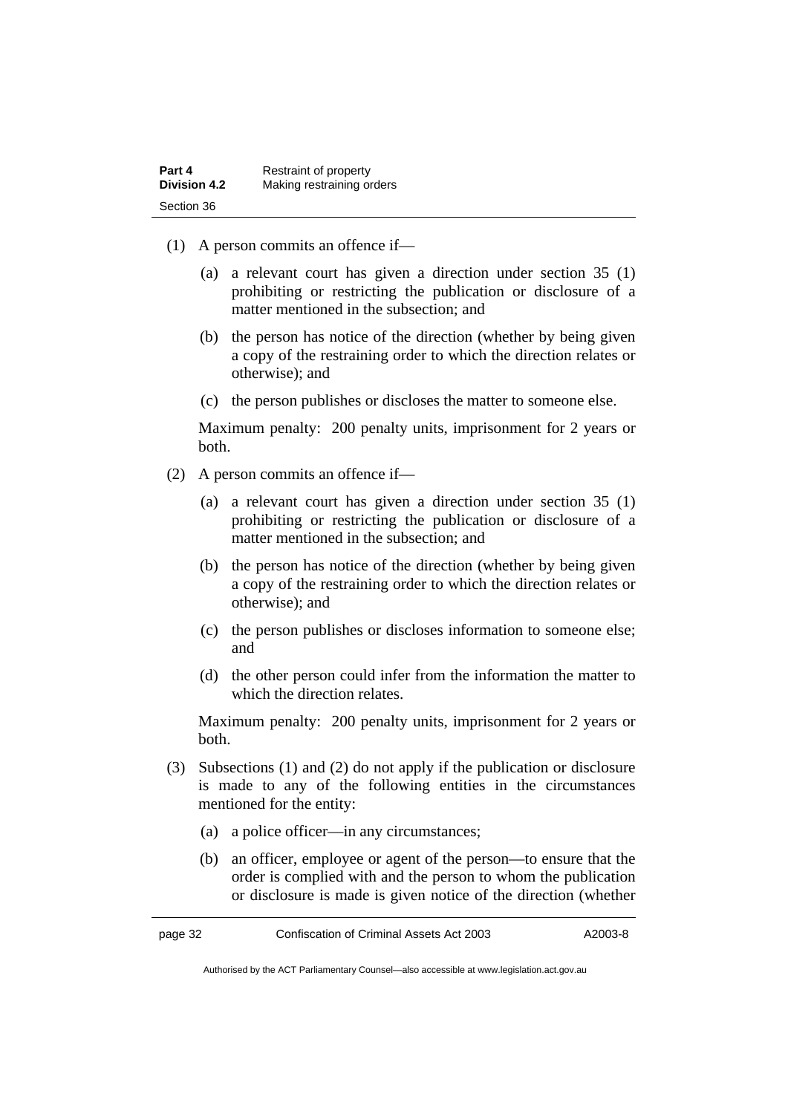| Part 4              | Restraint of property     |
|---------------------|---------------------------|
| <b>Division 4.2</b> | Making restraining orders |
| Section 36          |                           |

- (1) A person commits an offence if—
	- (a) a relevant court has given a direction under section 35 (1) prohibiting or restricting the publication or disclosure of a matter mentioned in the subsection; and
	- (b) the person has notice of the direction (whether by being given a copy of the restraining order to which the direction relates or otherwise); and
	- (c) the person publishes or discloses the matter to someone else.

Maximum penalty: 200 penalty units, imprisonment for 2 years or both.

- (2) A person commits an offence if—
	- (a) a relevant court has given a direction under section 35 (1) prohibiting or restricting the publication or disclosure of a matter mentioned in the subsection; and
	- (b) the person has notice of the direction (whether by being given a copy of the restraining order to which the direction relates or otherwise); and
	- (c) the person publishes or discloses information to someone else; and
	- (d) the other person could infer from the information the matter to which the direction relates.

Maximum penalty: 200 penalty units, imprisonment for 2 years or both.

- (3) Subsections (1) and (2) do not apply if the publication or disclosure is made to any of the following entities in the circumstances mentioned for the entity:
	- (a) a police officer—in any circumstances;
	- (b) an officer, employee or agent of the person—to ensure that the order is complied with and the person to whom the publication or disclosure is made is given notice of the direction (whether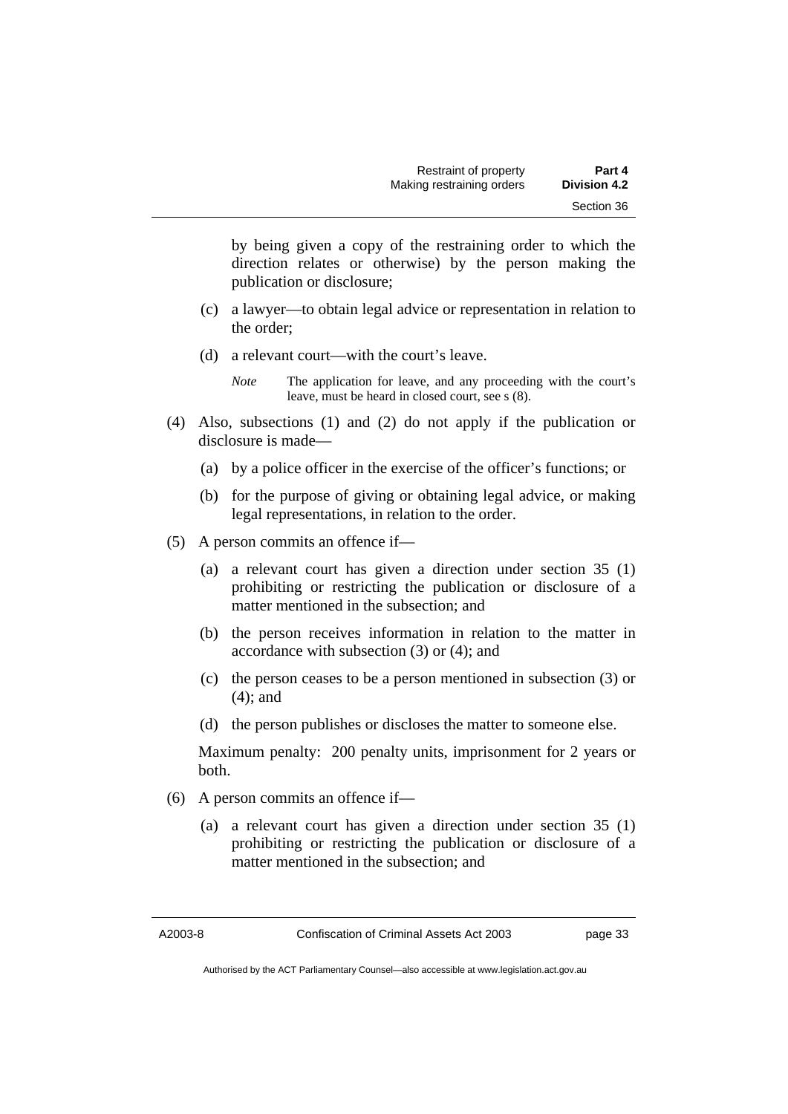by being given a copy of the restraining order to which the direction relates or otherwise) by the person making the publication or disclosure;

- (c) a lawyer—to obtain legal advice or representation in relation to the order;
- (d) a relevant court—with the court's leave.

- (4) Also, subsections (1) and (2) do not apply if the publication or disclosure is made—
	- (a) by a police officer in the exercise of the officer's functions; or
	- (b) for the purpose of giving or obtaining legal advice, or making legal representations, in relation to the order.
- (5) A person commits an offence if—
	- (a) a relevant court has given a direction under section 35 (1) prohibiting or restricting the publication or disclosure of a matter mentioned in the subsection; and
	- (b) the person receives information in relation to the matter in accordance with subsection (3) or (4); and
	- (c) the person ceases to be a person mentioned in subsection (3) or (4); and
	- (d) the person publishes or discloses the matter to someone else.

Maximum penalty: 200 penalty units, imprisonment for 2 years or both.

- (6) A person commits an offence if—
	- (a) a relevant court has given a direction under section 35 (1) prohibiting or restricting the publication or disclosure of a matter mentioned in the subsection; and

*Note* The application for leave, and any proceeding with the court's leave, must be heard in closed court, see s (8).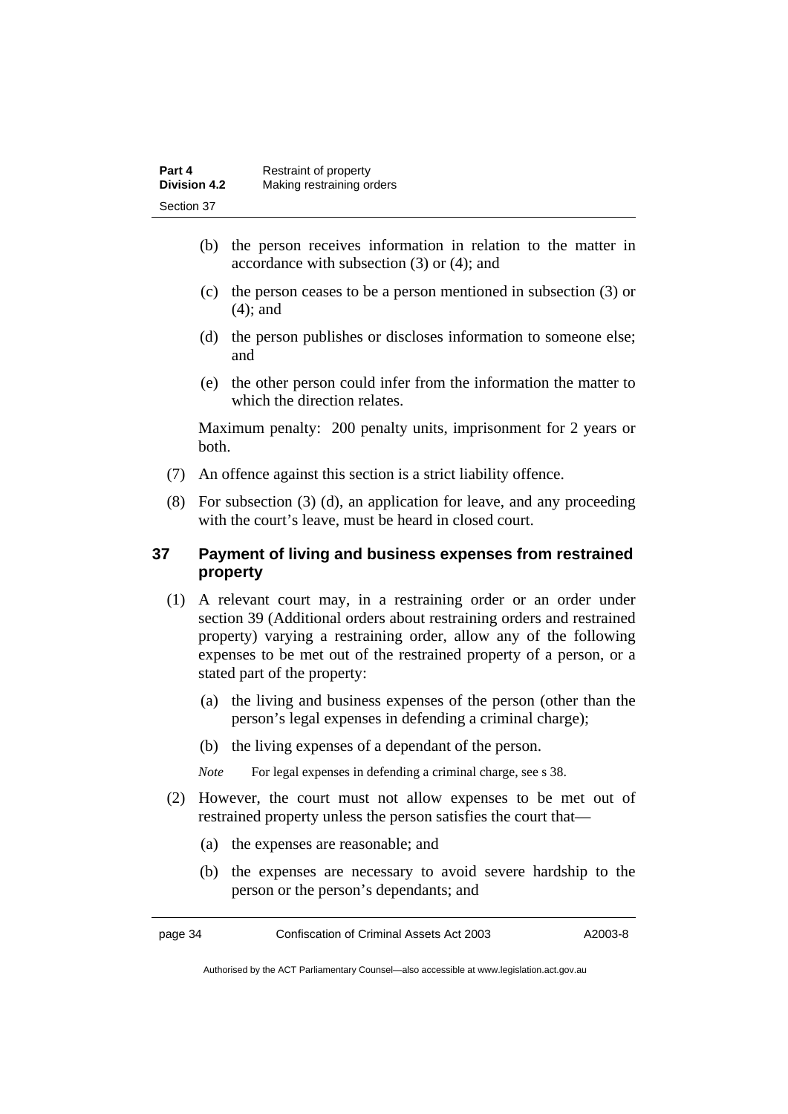| Part 4              | Restraint of property     |
|---------------------|---------------------------|
| <b>Division 4.2</b> | Making restraining orders |
| Section 37          |                           |

- (b) the person receives information in relation to the matter in accordance with subsection (3) or (4); and
- (c) the person ceases to be a person mentioned in subsection (3) or (4); and
- (d) the person publishes or discloses information to someone else; and
- (e) the other person could infer from the information the matter to which the direction relates.

Maximum penalty: 200 penalty units, imprisonment for 2 years or both.

- (7) An offence against this section is a strict liability offence.
- (8) For subsection (3) (d), an application for leave, and any proceeding with the court's leave, must be heard in closed court.

## **37 Payment of living and business expenses from restrained property**

- (1) A relevant court may, in a restraining order or an order under section 39 (Additional orders about restraining orders and restrained property) varying a restraining order, allow any of the following expenses to be met out of the restrained property of a person, or a stated part of the property:
	- (a) the living and business expenses of the person (other than the person's legal expenses in defending a criminal charge);
	- (b) the living expenses of a dependant of the person.

*Note* For legal expenses in defending a criminal charge, see s 38.

- (2) However, the court must not allow expenses to be met out of restrained property unless the person satisfies the court that—
	- (a) the expenses are reasonable; and
	- (b) the expenses are necessary to avoid severe hardship to the person or the person's dependants; and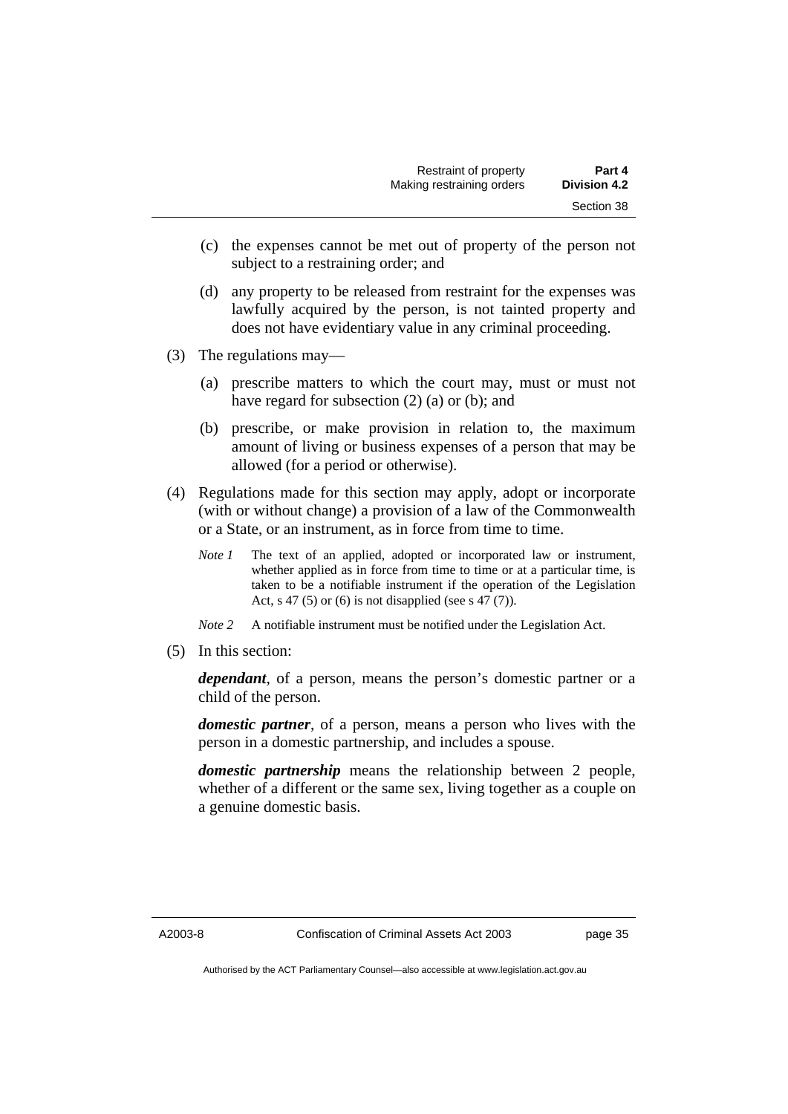- (c) the expenses cannot be met out of property of the person not subject to a restraining order; and
- (d) any property to be released from restraint for the expenses was lawfully acquired by the person, is not tainted property and does not have evidentiary value in any criminal proceeding.
- (3) The regulations may—
	- (a) prescribe matters to which the court may, must or must not have regard for subsection (2) (a) or (b); and
	- (b) prescribe, or make provision in relation to, the maximum amount of living or business expenses of a person that may be allowed (for a period or otherwise).
- (4) Regulations made for this section may apply, adopt or incorporate (with or without change) a provision of a law of the Commonwealth or a State, or an instrument, as in force from time to time.
	- *Note 1* The text of an applied, adopted or incorporated law or instrument, whether applied as in force from time to time or at a particular time, is taken to be a notifiable instrument if the operation of the Legislation Act, s 47 (5) or (6) is not disapplied (see s 47 (7)).
	- *Note 2* A notifiable instrument must be notified under the Legislation Act.
- (5) In this section:

*dependant*, of a person, means the person's domestic partner or a child of the person.

*domestic partner*, of a person, means a person who lives with the person in a domestic partnership, and includes a spouse.

*domestic partnership* means the relationship between 2 people, whether of a different or the same sex, living together as a couple on a genuine domestic basis.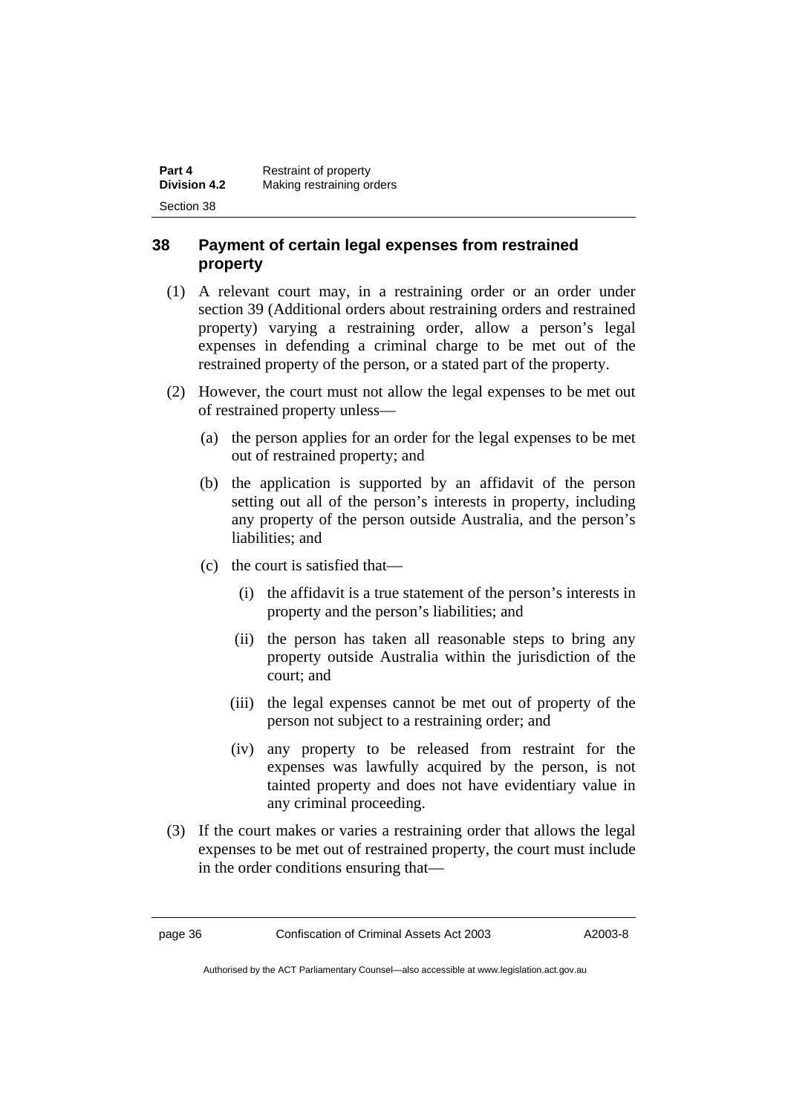| Part 4              | Restraint of property     |
|---------------------|---------------------------|
| <b>Division 4.2</b> | Making restraining orders |
| Section 38          |                           |

## **38 Payment of certain legal expenses from restrained property**

- (1) A relevant court may, in a restraining order or an order under section 39 (Additional orders about restraining orders and restrained property) varying a restraining order, allow a person's legal expenses in defending a criminal charge to be met out of the restrained property of the person, or a stated part of the property.
- (2) However, the court must not allow the legal expenses to be met out of restrained property unless—
	- (a) the person applies for an order for the legal expenses to be met out of restrained property; and
	- (b) the application is supported by an affidavit of the person setting out all of the person's interests in property, including any property of the person outside Australia, and the person's liabilities; and
	- (c) the court is satisfied that—
		- (i) the affidavit is a true statement of the person's interests in property and the person's liabilities; and
		- (ii) the person has taken all reasonable steps to bring any property outside Australia within the jurisdiction of the court; and
		- (iii) the legal expenses cannot be met out of property of the person not subject to a restraining order; and
		- (iv) any property to be released from restraint for the expenses was lawfully acquired by the person, is not tainted property and does not have evidentiary value in any criminal proceeding.
- (3) If the court makes or varies a restraining order that allows the legal expenses to be met out of restrained property, the court must include in the order conditions ensuring that—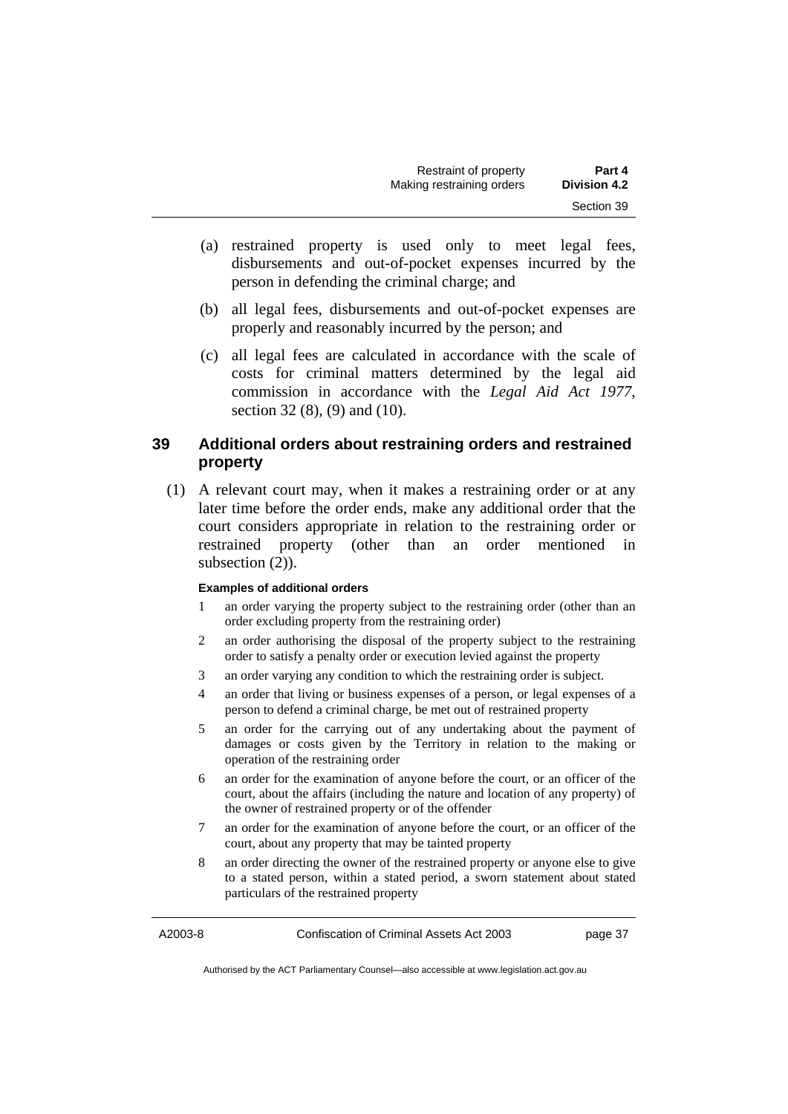| Restraint of property     | Part 4              |
|---------------------------|---------------------|
| Making restraining orders | <b>Division 4.2</b> |
|                           | Section 39          |

- (a) restrained property is used only to meet legal fees, disbursements and out-of-pocket expenses incurred by the person in defending the criminal charge; and
- (b) all legal fees, disbursements and out-of-pocket expenses are properly and reasonably incurred by the person; and
- (c) all legal fees are calculated in accordance with the scale of costs for criminal matters determined by the legal aid commission in accordance with the *Legal Aid Act 1977*, section 32 (8), (9) and (10).

## **39 Additional orders about restraining orders and restrained property**

 (1) A relevant court may, when it makes a restraining order or at any later time before the order ends, make any additional order that the court considers appropriate in relation to the restraining order or restrained property (other than an order mentioned in subsection  $(2)$ ).

#### **Examples of additional orders**

- 1 an order varying the property subject to the restraining order (other than an order excluding property from the restraining order)
- 2 an order authorising the disposal of the property subject to the restraining order to satisfy a penalty order or execution levied against the property
- 3 an order varying any condition to which the restraining order is subject.
- 4 an order that living or business expenses of a person, or legal expenses of a person to defend a criminal charge, be met out of restrained property
- 5 an order for the carrying out of any undertaking about the payment of damages or costs given by the Territory in relation to the making or operation of the restraining order
- 6 an order for the examination of anyone before the court, or an officer of the court, about the affairs (including the nature and location of any property) of the owner of restrained property or of the offender
- 7 an order for the examination of anyone before the court, or an officer of the court, about any property that may be tainted property
- 8 an order directing the owner of the restrained property or anyone else to give to a stated person, within a stated period, a sworn statement about stated particulars of the restrained property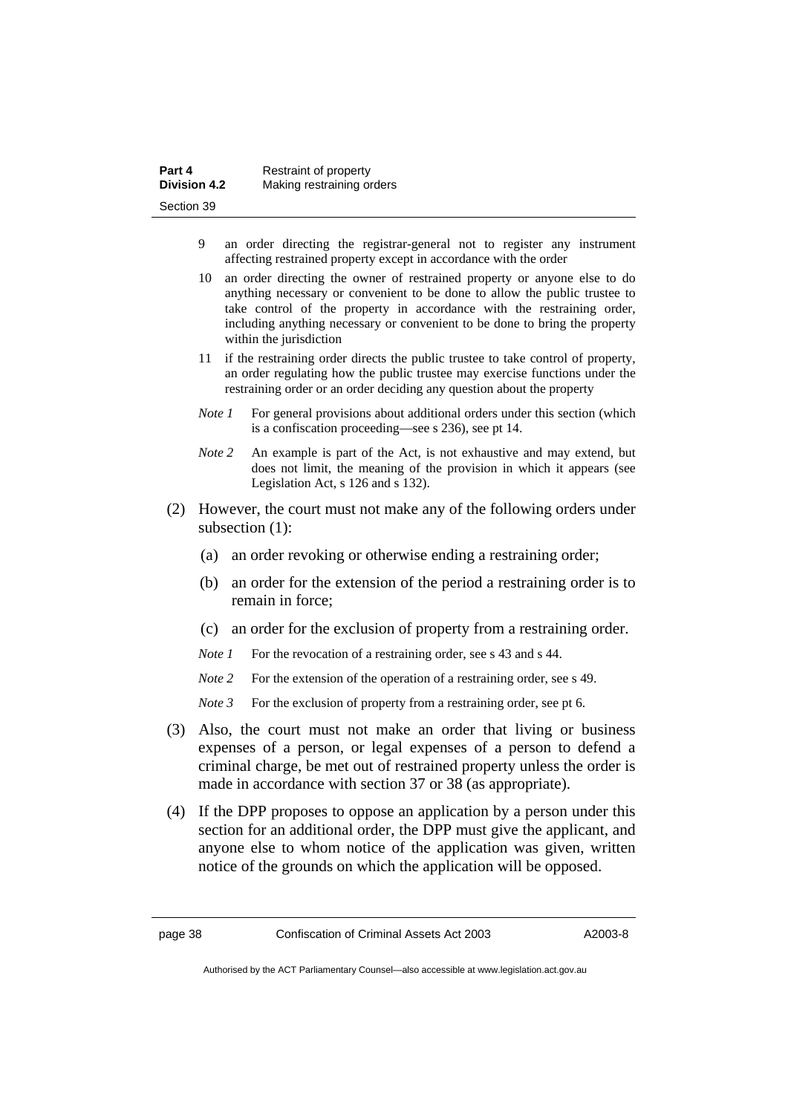| Part 4              | Restraint of property     |
|---------------------|---------------------------|
| <b>Division 4.2</b> | Making restraining orders |
| Section 39          |                           |

- 9 an order directing the registrar-general not to register any instrument affecting restrained property except in accordance with the order
- 10 an order directing the owner of restrained property or anyone else to do anything necessary or convenient to be done to allow the public trustee to take control of the property in accordance with the restraining order, including anything necessary or convenient to be done to bring the property within the jurisdiction
- 11 if the restraining order directs the public trustee to take control of property, an order regulating how the public trustee may exercise functions under the restraining order or an order deciding any question about the property
- *Note 1* For general provisions about additional orders under this section (which is a confiscation proceeding—see s 236), see pt 14.
- *Note 2* An example is part of the Act, is not exhaustive and may extend, but does not limit, the meaning of the provision in which it appears (see Legislation Act, s 126 and s 132).
- (2) However, the court must not make any of the following orders under subsection (1):
	- (a) an order revoking or otherwise ending a restraining order;
	- (b) an order for the extension of the period a restraining order is to remain in force;
	- (c) an order for the exclusion of property from a restraining order.
	- *Note 1* For the revocation of a restraining order, see s 43 and s 44.
	- *Note* 2 For the extension of the operation of a restraining order, see s 49.
	- *Note 3* For the exclusion of property from a restraining order, see pt 6.
- (3) Also, the court must not make an order that living or business expenses of a person, or legal expenses of a person to defend a criminal charge, be met out of restrained property unless the order is made in accordance with section 37 or 38 (as appropriate).
- (4) If the DPP proposes to oppose an application by a person under this section for an additional order, the DPP must give the applicant, and anyone else to whom notice of the application was given, written notice of the grounds on which the application will be opposed.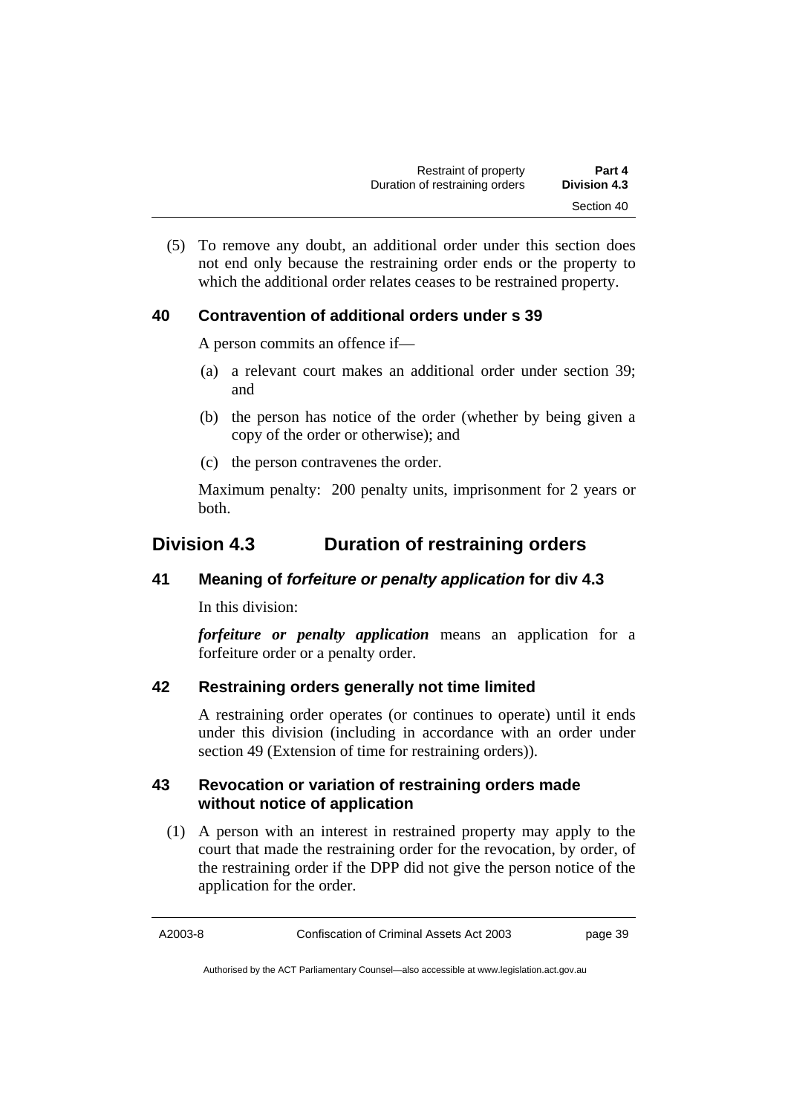(5) To remove any doubt, an additional order under this section does not end only because the restraining order ends or the property to which the additional order relates ceases to be restrained property.

## **40 Contravention of additional orders under s 39**

A person commits an offence if—

- (a) a relevant court makes an additional order under section 39; and
- (b) the person has notice of the order (whether by being given a copy of the order or otherwise); and
- (c) the person contravenes the order.

Maximum penalty: 200 penalty units, imprisonment for 2 years or both.

# **Division 4.3 Duration of restraining orders**

## **41 Meaning of** *forfeiture or penalty application* **for div 4.3**

In this division:

*forfeiture or penalty application* means an application for a forfeiture order or a penalty order.

## **42 Restraining orders generally not time limited**

A restraining order operates (or continues to operate) until it ends under this division (including in accordance with an order under section 49 (Extension of time for restraining orders)).

## **43 Revocation or variation of restraining orders made without notice of application**

 (1) A person with an interest in restrained property may apply to the court that made the restraining order for the revocation, by order, of the restraining order if the DPP did not give the person notice of the application for the order.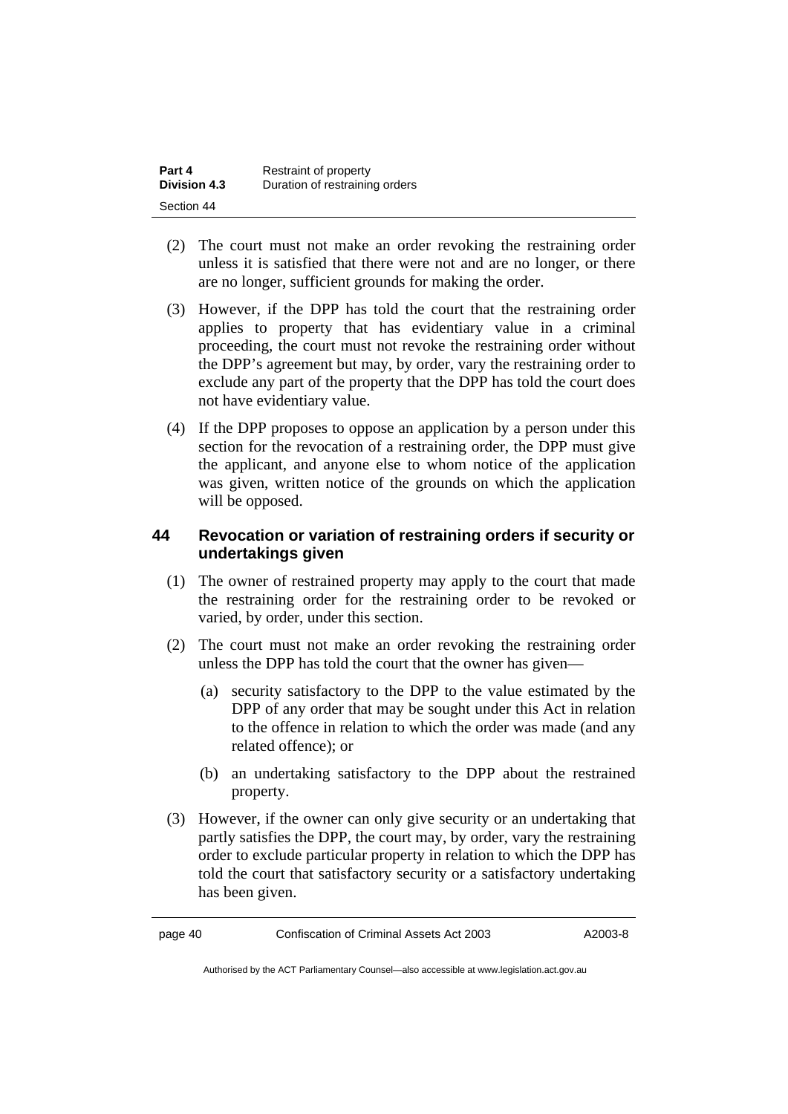| Part 4              | Restraint of property          |
|---------------------|--------------------------------|
| <b>Division 4.3</b> | Duration of restraining orders |
| Section 44          |                                |

- (2) The court must not make an order revoking the restraining order unless it is satisfied that there were not and are no longer, or there are no longer, sufficient grounds for making the order.
- (3) However, if the DPP has told the court that the restraining order applies to property that has evidentiary value in a criminal proceeding, the court must not revoke the restraining order without the DPP's agreement but may, by order, vary the restraining order to exclude any part of the property that the DPP has told the court does not have evidentiary value.
- (4) If the DPP proposes to oppose an application by a person under this section for the revocation of a restraining order, the DPP must give the applicant, and anyone else to whom notice of the application was given, written notice of the grounds on which the application will be opposed.

## **44 Revocation or variation of restraining orders if security or undertakings given**

- (1) The owner of restrained property may apply to the court that made the restraining order for the restraining order to be revoked or varied, by order, under this section.
- (2) The court must not make an order revoking the restraining order unless the DPP has told the court that the owner has given—
	- (a) security satisfactory to the DPP to the value estimated by the DPP of any order that may be sought under this Act in relation to the offence in relation to which the order was made (and any related offence); or
	- (b) an undertaking satisfactory to the DPP about the restrained property.
- (3) However, if the owner can only give security or an undertaking that partly satisfies the DPP, the court may, by order, vary the restraining order to exclude particular property in relation to which the DPP has told the court that satisfactory security or a satisfactory undertaking has been given.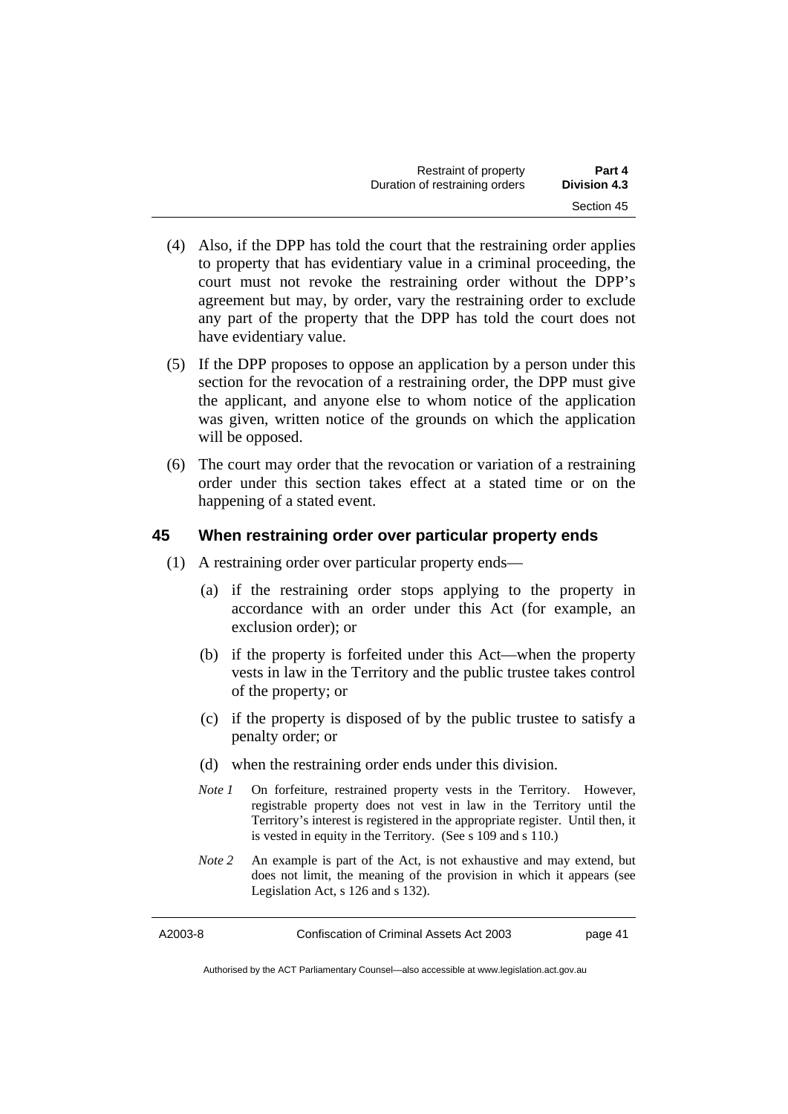| Restraint of property          | Part 4              |  |
|--------------------------------|---------------------|--|
| Duration of restraining orders | <b>Division 4.3</b> |  |
|                                | Section 45          |  |

- (4) Also, if the DPP has told the court that the restraining order applies to property that has evidentiary value in a criminal proceeding, the court must not revoke the restraining order without the DPP's agreement but may, by order, vary the restraining order to exclude any part of the property that the DPP has told the court does not have evidentiary value.
- (5) If the DPP proposes to oppose an application by a person under this section for the revocation of a restraining order, the DPP must give the applicant, and anyone else to whom notice of the application was given, written notice of the grounds on which the application will be opposed.
- (6) The court may order that the revocation or variation of a restraining order under this section takes effect at a stated time or on the happening of a stated event.

## **45 When restraining order over particular property ends**

- (1) A restraining order over particular property ends—
	- (a) if the restraining order stops applying to the property in accordance with an order under this Act (for example, an exclusion order); or
	- (b) if the property is forfeited under this Act—when the property vests in law in the Territory and the public trustee takes control of the property; or
	- (c) if the property is disposed of by the public trustee to satisfy a penalty order; or
	- (d) when the restraining order ends under this division.
	- *Note 1* On forfeiture, restrained property vests in the Territory. However, registrable property does not vest in law in the Territory until the Territory's interest is registered in the appropriate register. Until then, it is vested in equity in the Territory. (See s 109 and s 110.)
	- *Note 2* An example is part of the Act, is not exhaustive and may extend, but does not limit, the meaning of the provision in which it appears (see Legislation Act, s 126 and s 132).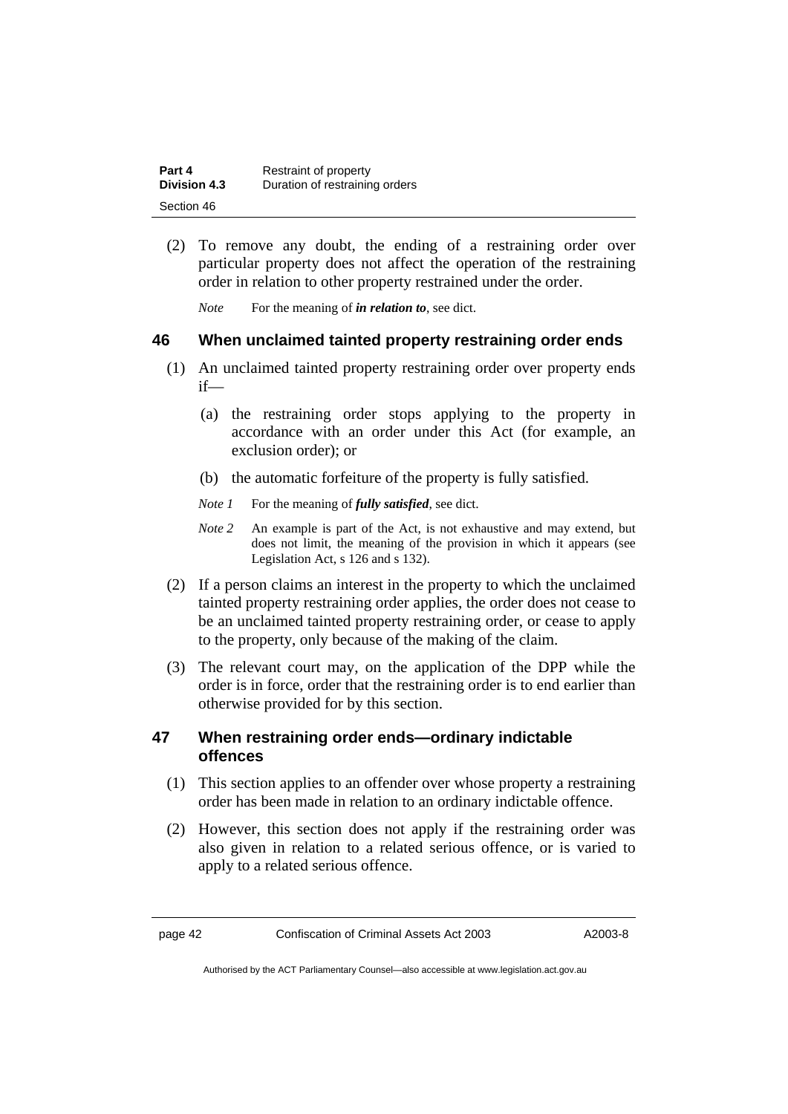| Part 4              | Restraint of property          |
|---------------------|--------------------------------|
| <b>Division 4.3</b> | Duration of restraining orders |
| Section 46          |                                |

 (2) To remove any doubt, the ending of a restraining order over particular property does not affect the operation of the restraining order in relation to other property restrained under the order.

*Note* For the meaning of *in relation to*, see dict.

## **46 When unclaimed tainted property restraining order ends**

- (1) An unclaimed tainted property restraining order over property ends if—
	- (a) the restraining order stops applying to the property in accordance with an order under this Act (for example, an exclusion order); or
	- (b) the automatic forfeiture of the property is fully satisfied.
	- *Note 1* For the meaning of *fully satisfied*, see dict.
	- *Note 2* An example is part of the Act, is not exhaustive and may extend, but does not limit, the meaning of the provision in which it appears (see Legislation Act, s 126 and s 132).
- (2) If a person claims an interest in the property to which the unclaimed tainted property restraining order applies, the order does not cease to be an unclaimed tainted property restraining order, or cease to apply to the property, only because of the making of the claim.
- (3) The relevant court may, on the application of the DPP while the order is in force, order that the restraining order is to end earlier than otherwise provided for by this section.

## **47 When restraining order ends—ordinary indictable offences**

- (1) This section applies to an offender over whose property a restraining order has been made in relation to an ordinary indictable offence.
- (2) However, this section does not apply if the restraining order was also given in relation to a related serious offence, or is varied to apply to a related serious offence.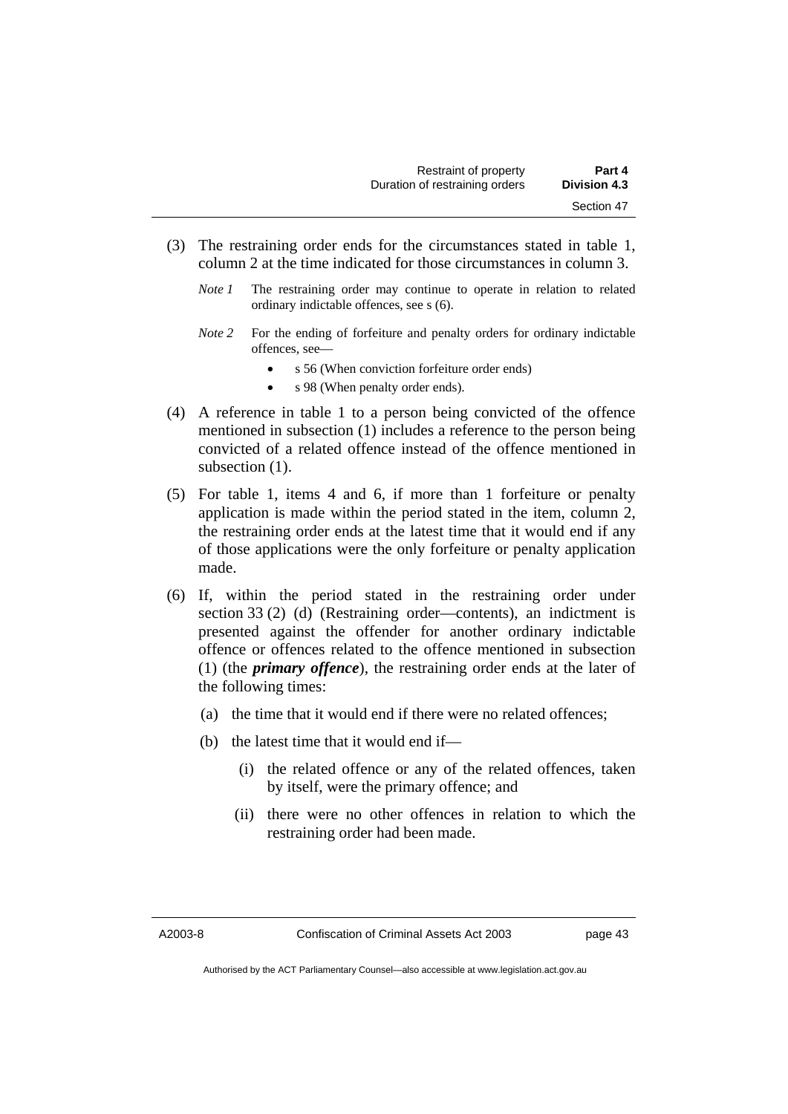- (3) The restraining order ends for the circumstances stated in table 1, column 2 at the time indicated for those circumstances in column 3.
	- *Note 1* The restraining order may continue to operate in relation to related ordinary indictable offences, see s (6).
	- *Note 2* For the ending of forfeiture and penalty orders for ordinary indictable offences, see—
		- s 56 (When conviction forfeiture order ends)
		- s 98 (When penalty order ends).
- (4) A reference in table 1 to a person being convicted of the offence mentioned in subsection (1) includes a reference to the person being convicted of a related offence instead of the offence mentioned in subsection  $(1)$ .
- (5) For table 1, items 4 and 6, if more than 1 forfeiture or penalty application is made within the period stated in the item, column 2, the restraining order ends at the latest time that it would end if any of those applications were the only forfeiture or penalty application made.
- (6) If, within the period stated in the restraining order under section 33 (2) (d) (Restraining order—contents), an indictment is presented against the offender for another ordinary indictable offence or offences related to the offence mentioned in subsection (1) (the *primary offence*), the restraining order ends at the later of the following times:
	- (a) the time that it would end if there were no related offences;
	- (b) the latest time that it would end if—
		- (i) the related offence or any of the related offences, taken by itself, were the primary offence; and
		- (ii) there were no other offences in relation to which the restraining order had been made.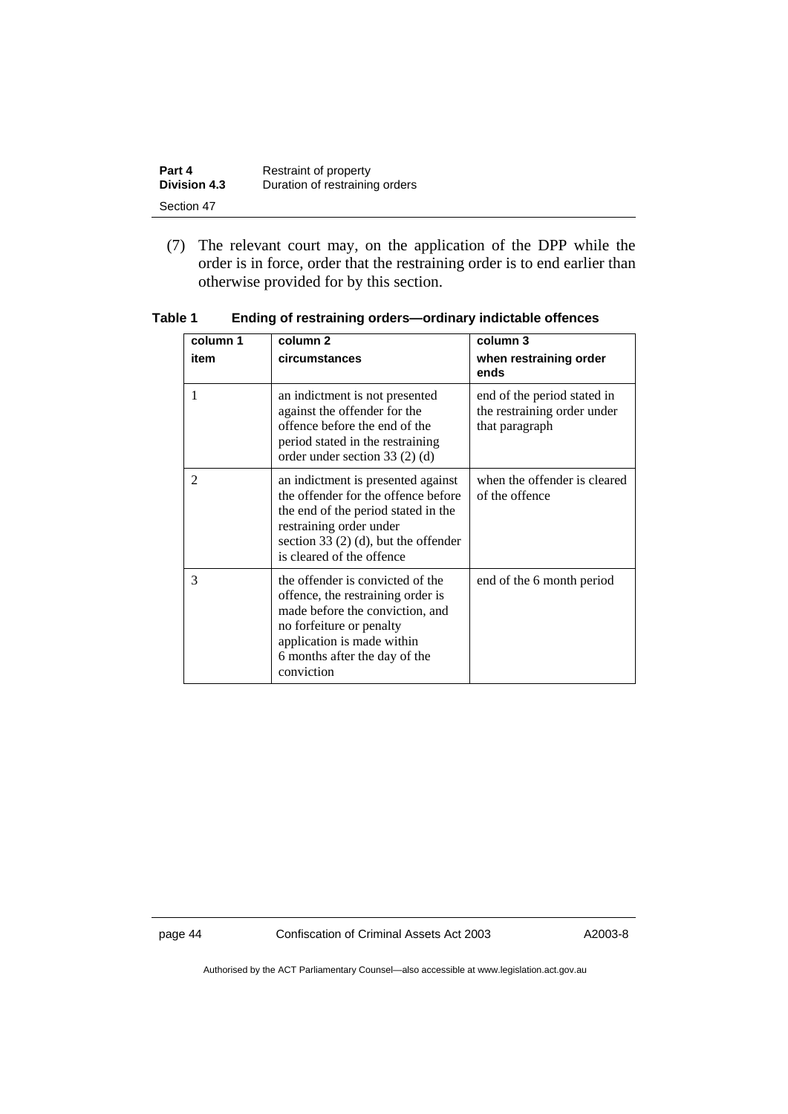| Part 4              | Restraint of property          |
|---------------------|--------------------------------|
| <b>Division 4.3</b> | Duration of restraining orders |
| Section 47          |                                |

 (7) The relevant court may, on the application of the DPP while the order is in force, order that the restraining order is to end earlier than otherwise provided for by this section.

| column 1       | column 2                                                                                                                                                                                                           | column 3                                                                     |
|----------------|--------------------------------------------------------------------------------------------------------------------------------------------------------------------------------------------------------------------|------------------------------------------------------------------------------|
| item           | circumstances                                                                                                                                                                                                      | when restraining order<br>ends                                               |
| 1              | an indictment is not presented<br>against the offender for the<br>offence before the end of the<br>period stated in the restraining<br>order under section 33 (2) (d)                                              | end of the period stated in<br>the restraining order under<br>that paragraph |
| $\mathfrak{D}$ | an indictment is presented against<br>the offender for the offence before<br>the end of the period stated in the<br>restraining order under<br>section 33 $(2)$ (d), but the offender<br>is cleared of the offence | when the offender is cleared<br>of the offence                               |
| 3              | the offender is convicted of the<br>offence, the restraining order is<br>made before the conviction, and<br>no forfeiture or penalty<br>application is made within<br>6 months after the day of the<br>conviction  | end of the 6 month period                                                    |

#### **Table 1 Ending of restraining orders—ordinary indictable offences**

page 44 Confiscation of Criminal Assets Act 2003 A2003-8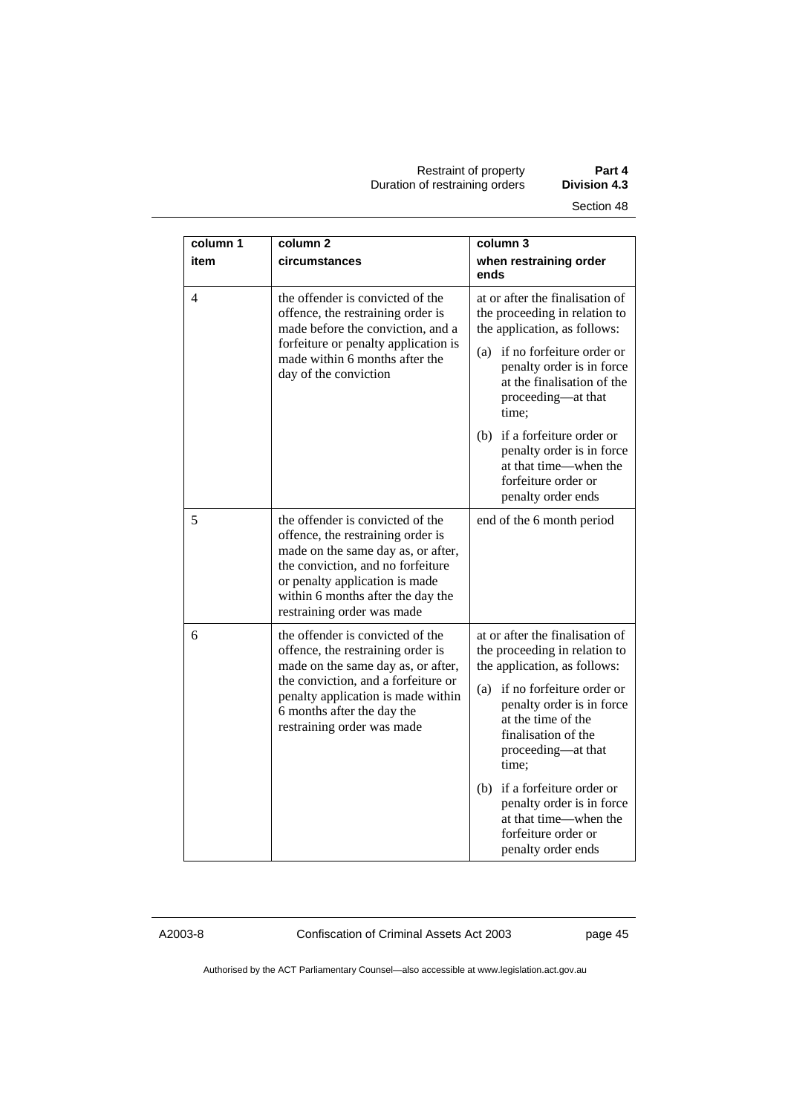Restraint of property **Part 4**  Duration of restraining orders **Division 4.3** 

| column 1 | column <sub>2</sub>                                                                                                                                                                                                                                   | column 3                                                                                                                                  |
|----------|-------------------------------------------------------------------------------------------------------------------------------------------------------------------------------------------------------------------------------------------------------|-------------------------------------------------------------------------------------------------------------------------------------------|
| item     | circumstances                                                                                                                                                                                                                                         | when restraining order<br>ends                                                                                                            |
| 4        | the offender is convicted of the<br>offence, the restraining order is<br>made before the conviction, and a<br>forfeiture or penalty application is<br>made within 6 months after the<br>day of the conviction                                         | at or after the finalisation of<br>the proceeding in relation to<br>the application, as follows:                                          |
|          |                                                                                                                                                                                                                                                       | (a) if no forfeiture order or<br>penalty order is in force<br>at the finalisation of the<br>proceeding-at that<br>time:                   |
|          |                                                                                                                                                                                                                                                       | (b) if a forfeiture order or<br>penalty order is in force<br>at that time—when the<br>forfeiture order or<br>penalty order ends           |
| 5        | the offender is convicted of the<br>offence, the restraining order is<br>made on the same day as, or after,<br>the conviction, and no forfeiture<br>or penalty application is made<br>within 6 months after the day the<br>restraining order was made | end of the 6 month period                                                                                                                 |
| 6        | the offender is convicted of the<br>offence, the restraining order is<br>made on the same day as, or after,                                                                                                                                           | at or after the finalisation of<br>the proceeding in relation to<br>the application, as follows:                                          |
|          | the conviction, and a forfeiture or<br>penalty application is made within<br>6 months after the day the<br>restraining order was made                                                                                                                 | if no forfeiture order or<br>(a)<br>penalty order is in force<br>at the time of the<br>finalisation of the<br>proceeding-at that<br>time; |
|          |                                                                                                                                                                                                                                                       | (b) if a forfeiture order or<br>penalty order is in force<br>at that time—when the<br>forfeiture order or<br>penalty order ends           |

A2003-8 Confiscation of Criminal Assets Act 2003 page 45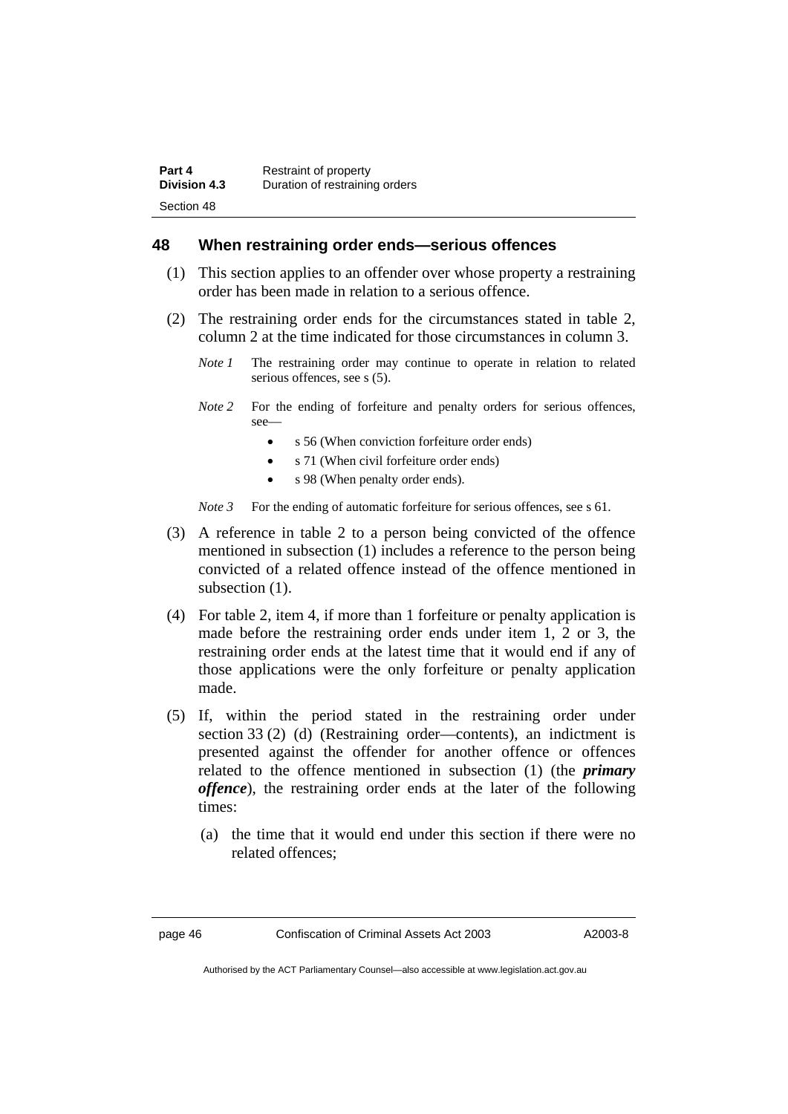## **48 When restraining order ends—serious offences**

- (1) This section applies to an offender over whose property a restraining order has been made in relation to a serious offence.
- (2) The restraining order ends for the circumstances stated in table 2, column 2 at the time indicated for those circumstances in column 3.
	- *Note 1* The restraining order may continue to operate in relation to related serious offences, see s (5).
	- *Note 2* For the ending of forfeiture and penalty orders for serious offences, see—
		- s 56 (When conviction forfeiture order ends)
		- s 71 (When civil forfeiture order ends)
		- s 98 (When penalty order ends).
	- *Note 3* For the ending of automatic forfeiture for serious offences, see s 61.
- (3) A reference in table 2 to a person being convicted of the offence mentioned in subsection (1) includes a reference to the person being convicted of a related offence instead of the offence mentioned in subsection  $(1)$ .
- (4) For table 2, item 4, if more than 1 forfeiture or penalty application is made before the restraining order ends under item 1, 2 or 3, the restraining order ends at the latest time that it would end if any of those applications were the only forfeiture or penalty application made.
- (5) If, within the period stated in the restraining order under section 33 (2) (d) (Restraining order—contents), an indictment is presented against the offender for another offence or offences related to the offence mentioned in subsection (1) (the *primary offence*), the restraining order ends at the later of the following times:
	- (a) the time that it would end under this section if there were no related offences;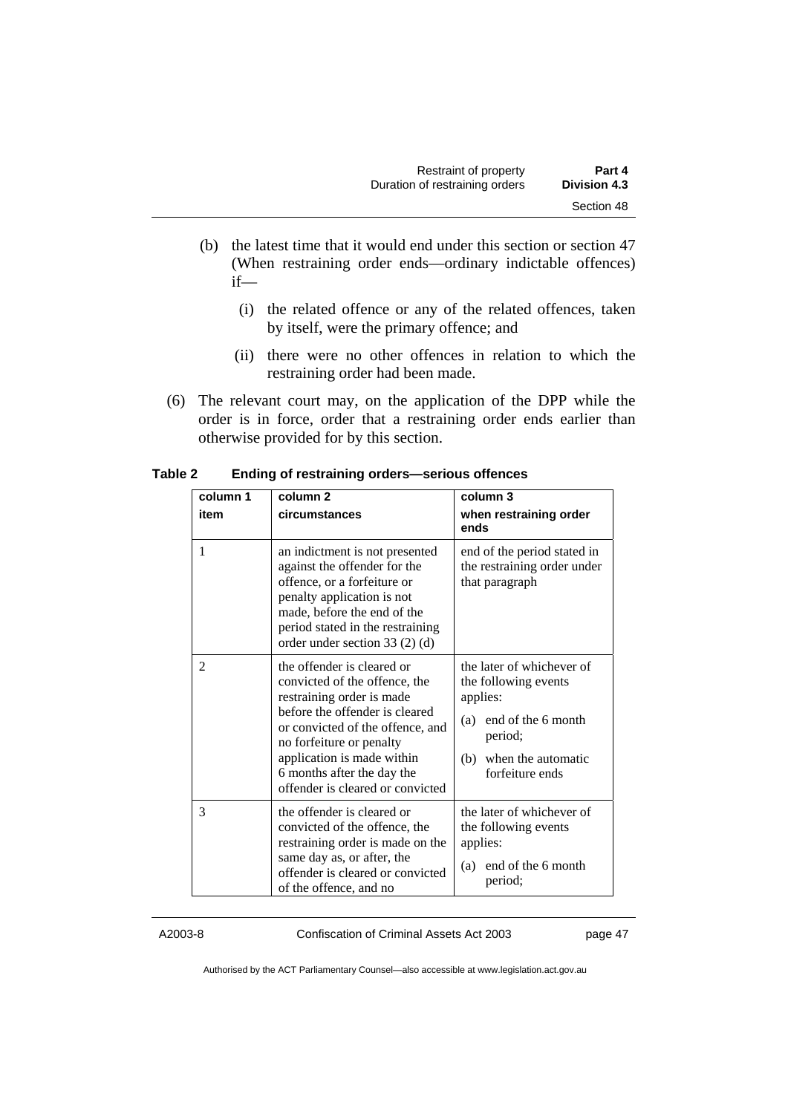- (b) the latest time that it would end under this section or section 47 (When restraining order ends—ordinary indictable offences) if—
	- (i) the related offence or any of the related offences, taken by itself, were the primary offence; and
	- (ii) there were no other offences in relation to which the restraining order had been made.
- (6) The relevant court may, on the application of the DPP while the order is in force, order that a restraining order ends earlier than otherwise provided for by this section.

| column 1<br>item | column $2$<br>circumstances                                                                                                                                                                                                                                                                | column 3<br>when restraining order<br>ends                                                                                                            |
|------------------|--------------------------------------------------------------------------------------------------------------------------------------------------------------------------------------------------------------------------------------------------------------------------------------------|-------------------------------------------------------------------------------------------------------------------------------------------------------|
| 1                | an indictment is not presented<br>against the offender for the<br>offence, or a forfeiture or<br>penalty application is not<br>made, before the end of the<br>period stated in the restraining<br>order under section $33(2)(d)$                                                           | end of the period stated in<br>the restraining order under<br>that paragraph                                                                          |
| 2                | the offender is cleared or<br>convicted of the offence, the<br>restraining order is made<br>before the offender is cleared<br>or convicted of the offence, and<br>no forfeiture or penalty<br>application is made within<br>6 months after the day the<br>offender is cleared or convicted | the later of whichever of<br>the following events<br>applies:<br>end of the 6 month<br>(a)<br>period;<br>when the automatic<br>(b)<br>forfeiture ends |
| 3                | the offender is cleared or<br>convicted of the offence, the<br>restraining order is made on the<br>same day as, or after, the<br>offender is cleared or convicted<br>of the offence, and no                                                                                                | the later of whichever of<br>the following events<br>applies:<br>end of the 6 month<br>(a)<br>period;                                                 |

**Table 2 Ending of restraining orders—serious offences** 

A2003-8 Confiscation of Criminal Assets Act 2003 page 47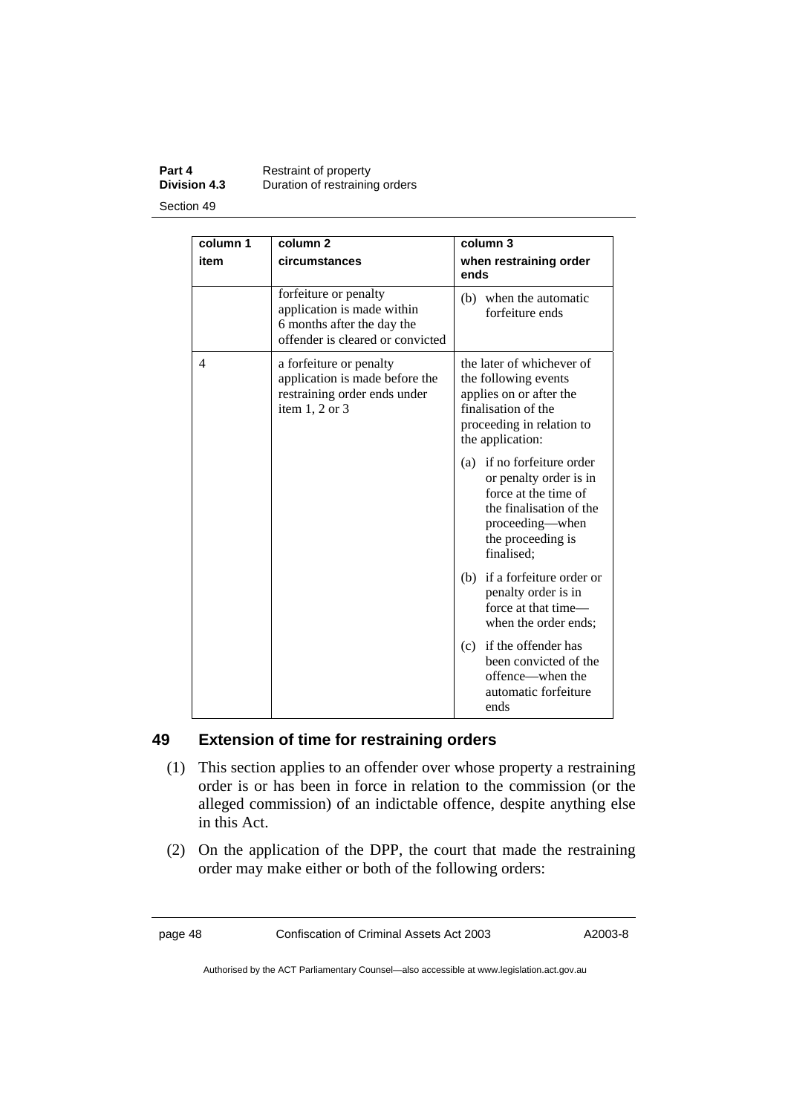### **Part 4 Restraint of property**<br>**Division 4.3** Duration of restraining **Division 4.3** Duration of restraining orders Section 49

| column 1<br>item | column <sub>2</sub><br>circumstances                                                                                  | column 3<br>when restraining order<br>ends                                                                                                                    |
|------------------|-----------------------------------------------------------------------------------------------------------------------|---------------------------------------------------------------------------------------------------------------------------------------------------------------|
|                  | forfeiture or penalty<br>application is made within<br>6 months after the day the<br>offender is cleared or convicted | (b) when the automatic<br>forfeiture ends                                                                                                                     |
| 4                | a forfeiture or penalty<br>application is made before the<br>restraining order ends under<br>item $1, 2$ or $3$       | the later of whichever of<br>the following events<br>applies on or after the<br>finalisation of the<br>proceeding in relation to<br>the application:          |
|                  |                                                                                                                       | (a) if no forfeiture order<br>or penalty order is in<br>force at the time of<br>the finalisation of the<br>proceeding—when<br>the proceeding is<br>finalised; |
|                  |                                                                                                                       | (b) if a forfeiture order or<br>penalty order is in<br>force at that time—<br>when the order ends;                                                            |
|                  |                                                                                                                       | (c) if the offender has<br>been convicted of the<br>offence—when the<br>automatic forfeiture<br>ends                                                          |

## **49 Extension of time for restraining orders**

- (1) This section applies to an offender over whose property a restraining order is or has been in force in relation to the commission (or the alleged commission) of an indictable offence, despite anything else in this Act.
- (2) On the application of the DPP, the court that made the restraining order may make either or both of the following orders:

page 48 Confiscation of Criminal Assets Act 2003 A2003-8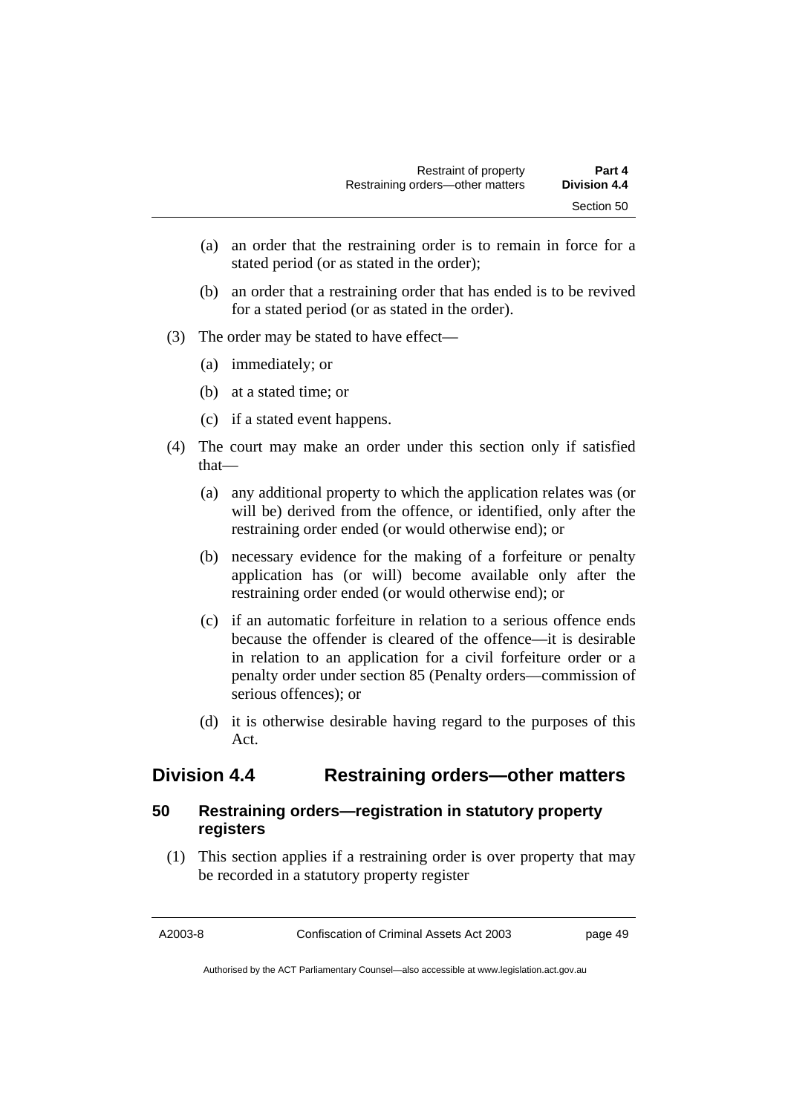- (a) an order that the restraining order is to remain in force for a stated period (or as stated in the order);
- (b) an order that a restraining order that has ended is to be revived for a stated period (or as stated in the order).
- (3) The order may be stated to have effect—
	- (a) immediately; or
	- (b) at a stated time; or
	- (c) if a stated event happens.
- (4) The court may make an order under this section only if satisfied that—
	- (a) any additional property to which the application relates was (or will be) derived from the offence, or identified, only after the restraining order ended (or would otherwise end); or
	- (b) necessary evidence for the making of a forfeiture or penalty application has (or will) become available only after the restraining order ended (or would otherwise end); or
	- (c) if an automatic forfeiture in relation to a serious offence ends because the offender is cleared of the offence—it is desirable in relation to an application for a civil forfeiture order or a penalty order under section 85 (Penalty orders—commission of serious offences); or
	- (d) it is otherwise desirable having regard to the purposes of this Act.

# **Division 4.4 Restraining orders—other matters**

## **50 Restraining orders—registration in statutory property registers**

 (1) This section applies if a restraining order is over property that may be recorded in a statutory property register

A2003-8 Confiscation of Criminal Assets Act 2003 page 49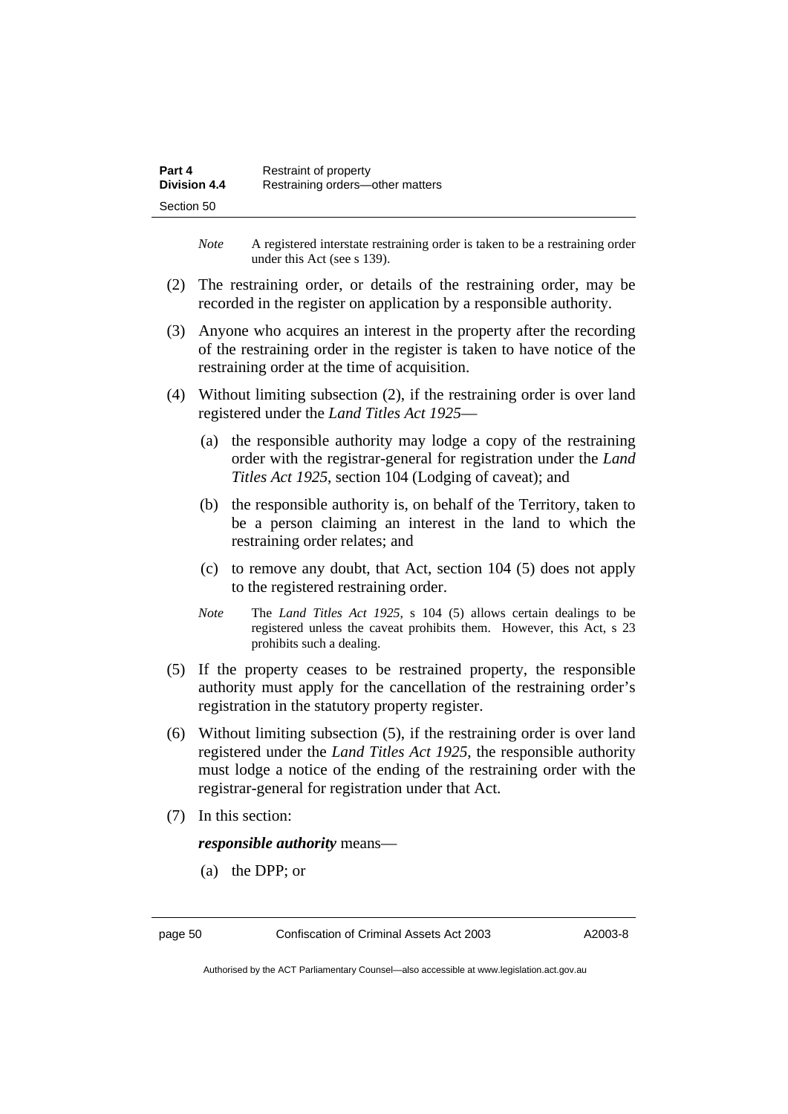| Part 4              | Restraint of property            |
|---------------------|----------------------------------|
| <b>Division 4.4</b> | Restraining orders-other matters |
| Section 50          |                                  |

*Note* A registered interstate restraining order is taken to be a restraining order under this Act (see s 139).

- (2) The restraining order, or details of the restraining order, may be recorded in the register on application by a responsible authority.
- (3) Anyone who acquires an interest in the property after the recording of the restraining order in the register is taken to have notice of the restraining order at the time of acquisition.
- (4) Without limiting subsection (2), if the restraining order is over land registered under the *Land Titles Act 1925*—
	- (a) the responsible authority may lodge a copy of the restraining order with the registrar-general for registration under the *Land Titles Act 1925*, section 104 (Lodging of caveat); and
	- (b) the responsible authority is, on behalf of the Territory, taken to be a person claiming an interest in the land to which the restraining order relates; and
	- (c) to remove any doubt, that Act, section 104 (5) does not apply to the registered restraining order.
	- *Note* The *Land Titles Act 1925*, s 104 (5) allows certain dealings to be registered unless the caveat prohibits them. However, this Act, s 23 prohibits such a dealing.
- (5) If the property ceases to be restrained property, the responsible authority must apply for the cancellation of the restraining order's registration in the statutory property register.
- (6) Without limiting subsection (5), if the restraining order is over land registered under the *Land Titles Act 1925*, the responsible authority must lodge a notice of the ending of the restraining order with the registrar-general for registration under that Act.
- (7) In this section:

*responsible authority* means—

(a) the DPP; or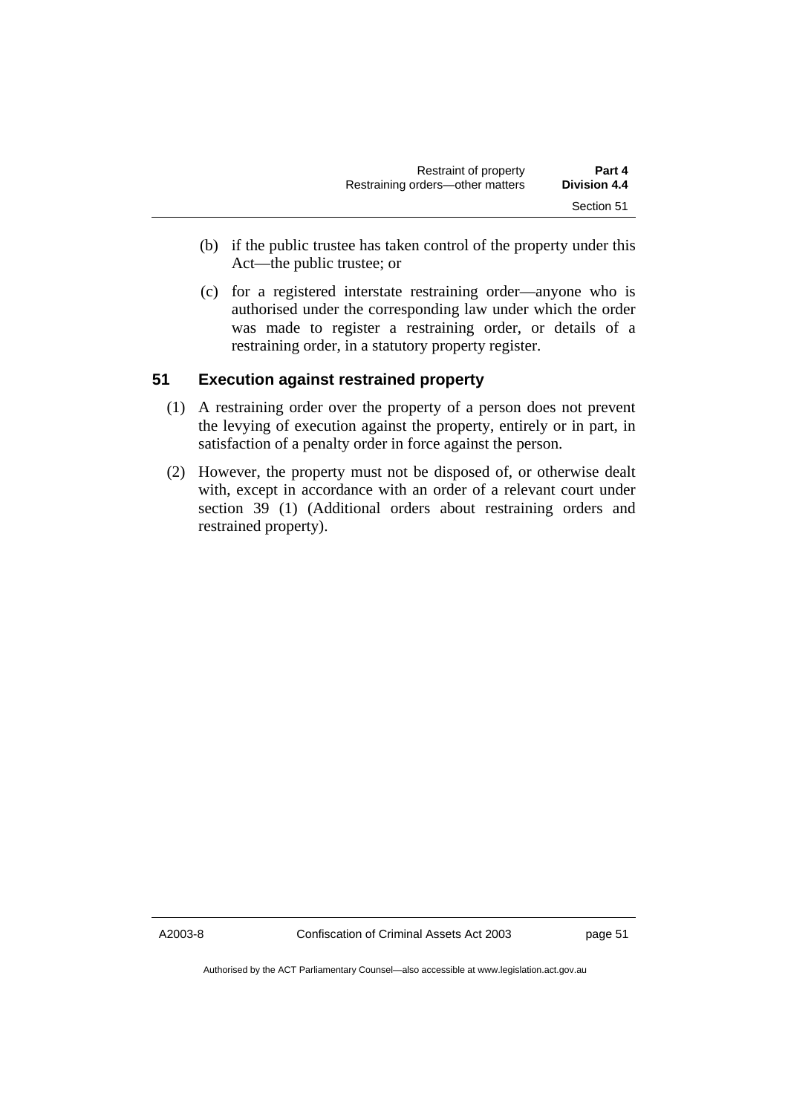| Restraint of property            | Part 4       |
|----------------------------------|--------------|
| Restraining orders-other matters | Division 4.4 |
|                                  | Section 51   |

- (b) if the public trustee has taken control of the property under this Act—the public trustee; or
- (c) for a registered interstate restraining order—anyone who is authorised under the corresponding law under which the order was made to register a restraining order, or details of a restraining order, in a statutory property register.

## **51 Execution against restrained property**

- (1) A restraining order over the property of a person does not prevent the levying of execution against the property, entirely or in part, in satisfaction of a penalty order in force against the person.
- (2) However, the property must not be disposed of, or otherwise dealt with, except in accordance with an order of a relevant court under section 39 (1) (Additional orders about restraining orders and restrained property).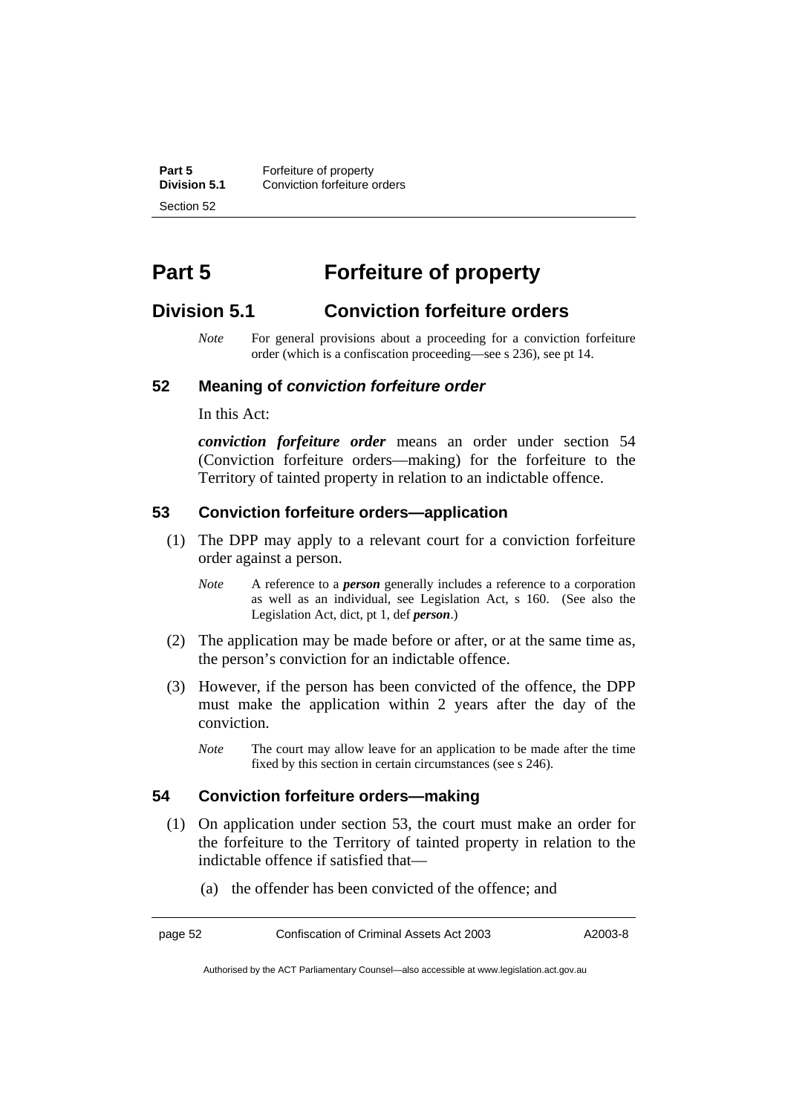**Part 5 Forfeiture of property**<br>**Division 5.1** Conviction forfeiture of **Division 5.1** Conviction forfeiture orders Section 52

# **Part 5 Forfeiture of property**

## **Division 5.1 Conviction forfeiture orders**

*Note* For general provisions about a proceeding for a conviction forfeiture order (which is a confiscation proceeding—see s 236), see pt 14.

## **52 Meaning of** *conviction forfeiture order*

In this Act:

*conviction forfeiture order* means an order under section 54 (Conviction forfeiture orders—making) for the forfeiture to the Territory of tainted property in relation to an indictable offence.

### **53 Conviction forfeiture orders—application**

- (1) The DPP may apply to a relevant court for a conviction forfeiture order against a person.
	- *Note* A reference to a *person* generally includes a reference to a corporation as well as an individual, see Legislation Act, s 160. (See also the Legislation Act, dict, pt 1, def *person*.)
- (2) The application may be made before or after, or at the same time as, the person's conviction for an indictable offence.
- (3) However, if the person has been convicted of the offence, the DPP must make the application within 2 years after the day of the conviction.
	- *Note* The court may allow leave for an application to be made after the time fixed by this section in certain circumstances (see s 246).

## **54 Conviction forfeiture orders—making**

- (1) On application under section 53, the court must make an order for the forfeiture to the Territory of tainted property in relation to the indictable offence if satisfied that—
	- (a) the offender has been convicted of the offence; and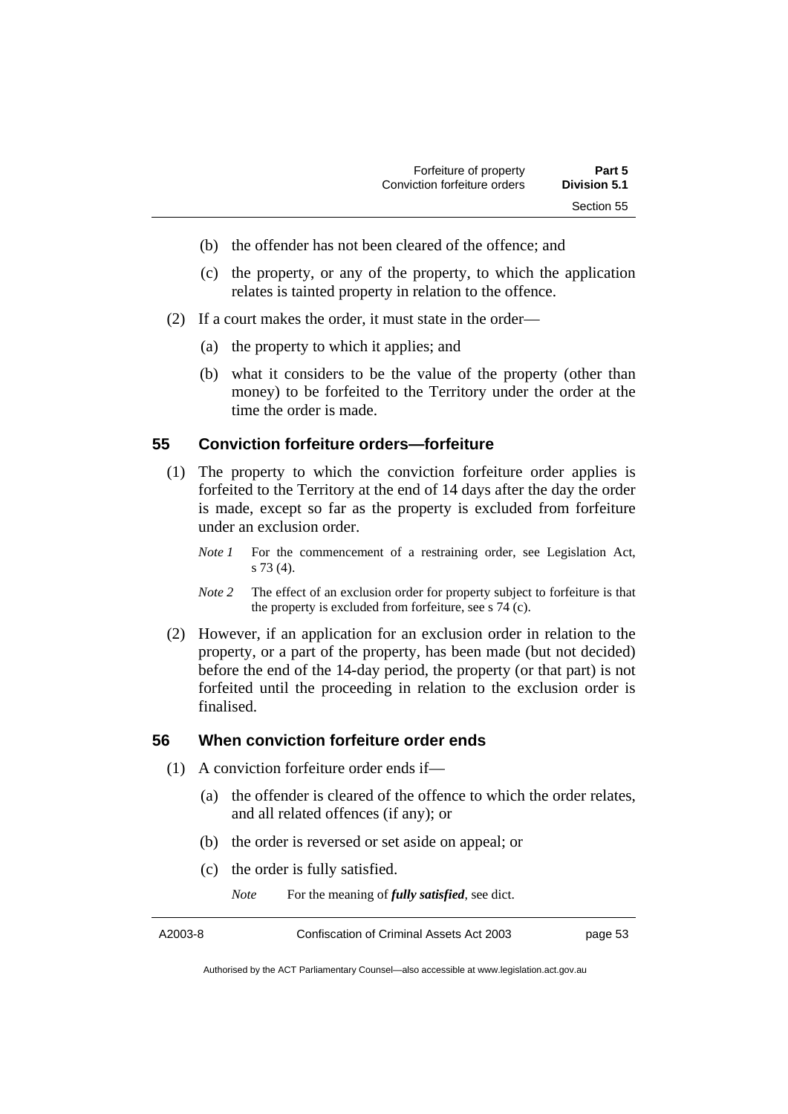- (b) the offender has not been cleared of the offence; and
- (c) the property, or any of the property, to which the application relates is tainted property in relation to the offence.
- (2) If a court makes the order, it must state in the order—
	- (a) the property to which it applies; and
	- (b) what it considers to be the value of the property (other than money) to be forfeited to the Territory under the order at the time the order is made.

### **55 Conviction forfeiture orders—forfeiture**

- (1) The property to which the conviction forfeiture order applies is forfeited to the Territory at the end of 14 days after the day the order is made, except so far as the property is excluded from forfeiture under an exclusion order.
	- *Note 1* For the commencement of a restraining order, see Legislation Act, s 73 (4).
	- *Note 2* The effect of an exclusion order for property subject to forfeiture is that the property is excluded from forfeiture, see s 74 (c).
- (2) However, if an application for an exclusion order in relation to the property, or a part of the property, has been made (but not decided) before the end of the 14-day period, the property (or that part) is not forfeited until the proceeding in relation to the exclusion order is finalised.

### **56 When conviction forfeiture order ends**

- (1) A conviction forfeiture order ends if—
	- (a) the offender is cleared of the offence to which the order relates, and all related offences (if any); or
	- (b) the order is reversed or set aside on appeal; or
	- (c) the order is fully satisfied.

*Note* For the meaning of *fully satisfied*, see dict.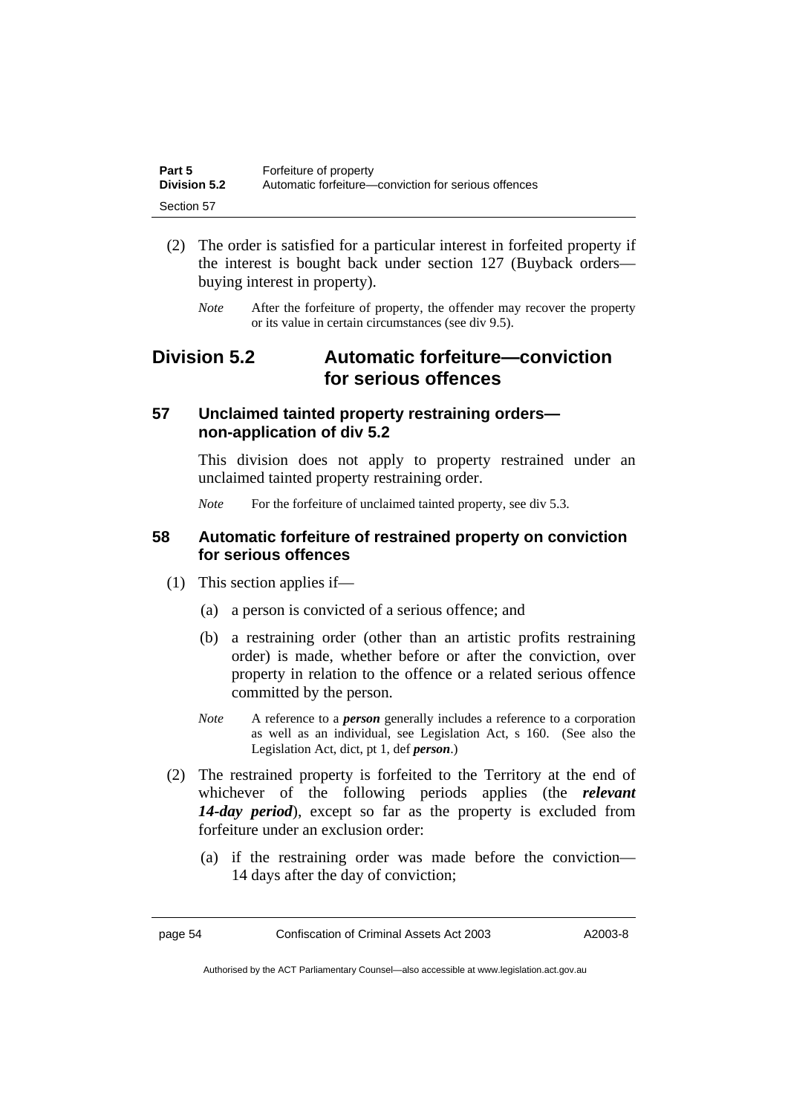| Part 5       | Forfeiture of property                               |
|--------------|------------------------------------------------------|
| Division 5.2 | Automatic forfeiture—conviction for serious offences |
| Section 57   |                                                      |

- (2) The order is satisfied for a particular interest in forfeited property if the interest is bought back under section 127 (Buyback orders buying interest in property).
	- *Note* After the forfeiture of property, the offender may recover the property or its value in certain circumstances (see div 9.5).

# **Division 5.2 Automatic forfeiture—conviction for serious offences**

## **57 Unclaimed tainted property restraining orders non-application of div 5.2**

This division does not apply to property restrained under an unclaimed tainted property restraining order.

*Note* For the forfeiture of unclaimed tainted property, see div 5.3.

## **58 Automatic forfeiture of restrained property on conviction for serious offences**

- (1) This section applies if—
	- (a) a person is convicted of a serious offence; and
	- (b) a restraining order (other than an artistic profits restraining order) is made, whether before or after the conviction, over property in relation to the offence or a related serious offence committed by the person.
	- *Note* A reference to a *person* generally includes a reference to a corporation as well as an individual, see Legislation Act, s 160. (See also the Legislation Act, dict, pt 1, def *person*.)
- (2) The restrained property is forfeited to the Territory at the end of whichever of the following periods applies (the *relevant 14-day period*), except so far as the property is excluded from forfeiture under an exclusion order:
	- (a) if the restraining order was made before the conviction— 14 days after the day of conviction;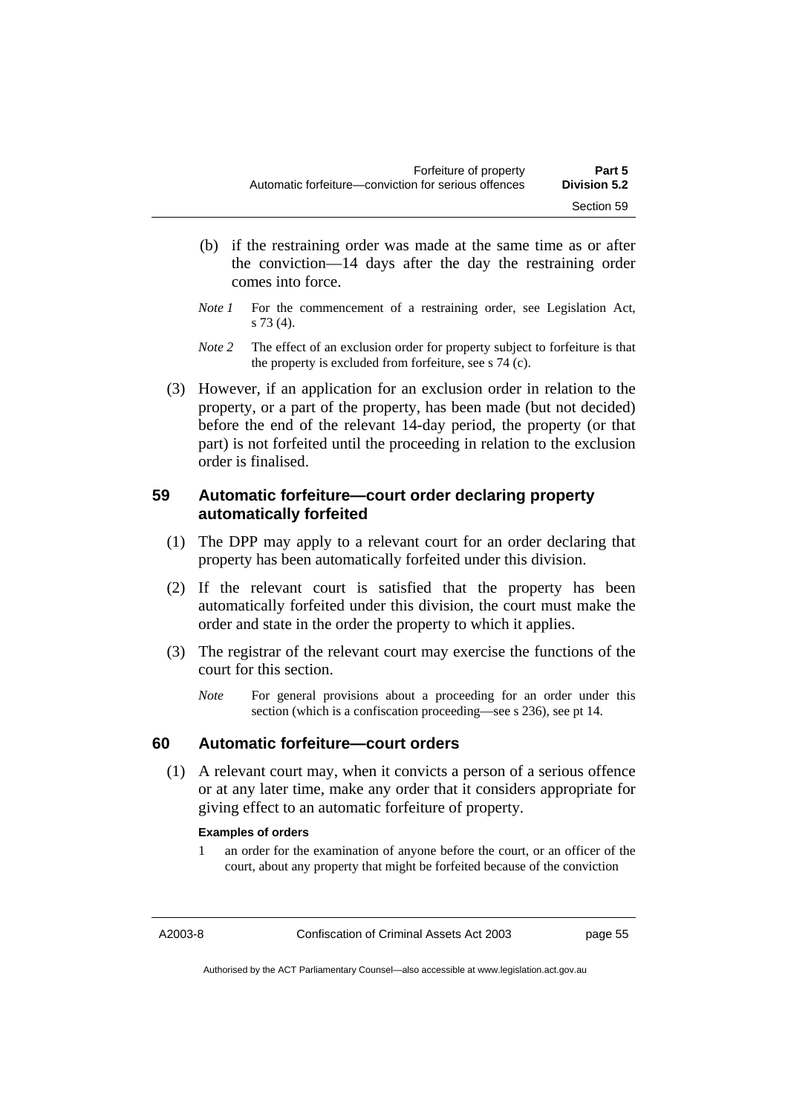- (b) if the restraining order was made at the same time as or after the conviction—14 days after the day the restraining order comes into force.
- *Note 1* For the commencement of a restraining order, see Legislation Act, s 73 (4).
- *Note 2* The effect of an exclusion order for property subject to forfeiture is that the property is excluded from forfeiture, see s 74 (c).
- (3) However, if an application for an exclusion order in relation to the property, or a part of the property, has been made (but not decided) before the end of the relevant 14-day period, the property (or that part) is not forfeited until the proceeding in relation to the exclusion order is finalised.

## **59 Automatic forfeiture—court order declaring property automatically forfeited**

- (1) The DPP may apply to a relevant court for an order declaring that property has been automatically forfeited under this division.
- (2) If the relevant court is satisfied that the property has been automatically forfeited under this division, the court must make the order and state in the order the property to which it applies.
- (3) The registrar of the relevant court may exercise the functions of the court for this section.
	- *Note* For general provisions about a proceeding for an order under this section (which is a confiscation proceeding—see s 236), see pt 14.

## **60 Automatic forfeiture—court orders**

 (1) A relevant court may, when it convicts a person of a serious offence or at any later time, make any order that it considers appropriate for giving effect to an automatic forfeiture of property.

### **Examples of orders**

an order for the examination of anyone before the court, or an officer of the court, about any property that might be forfeited because of the conviction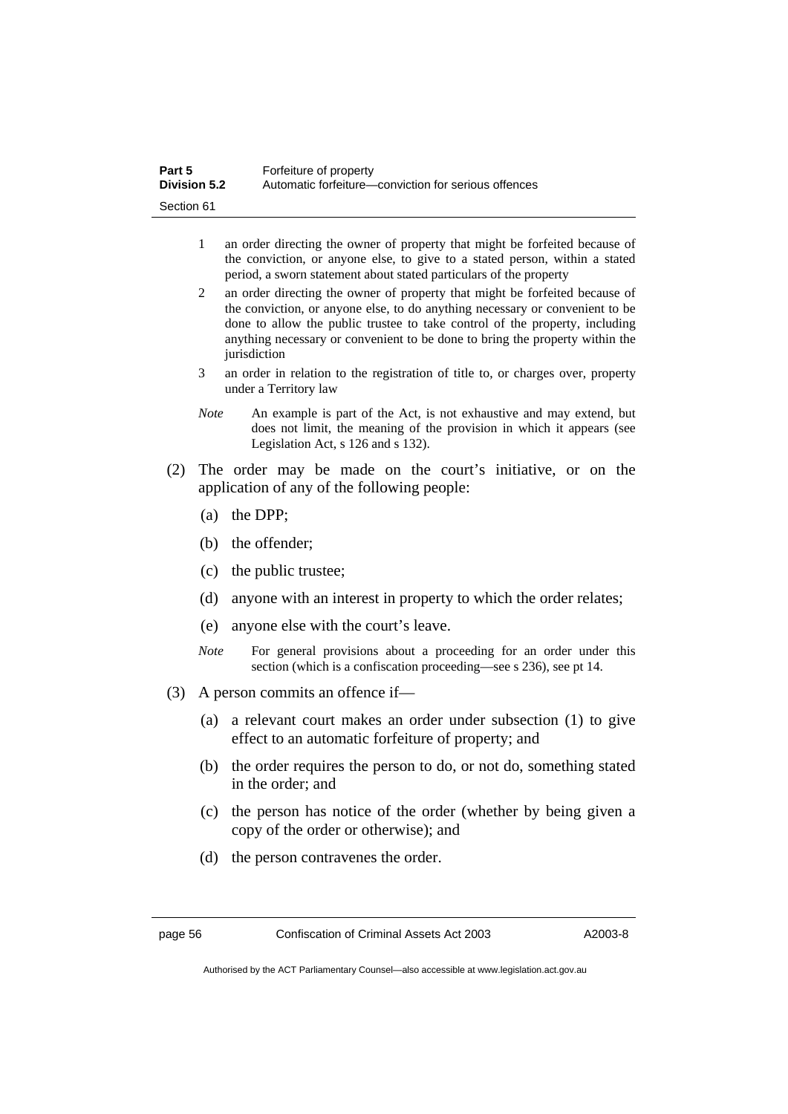| Part 5              | Forfeiture of property                               |
|---------------------|------------------------------------------------------|
| <b>Division 5.2</b> | Automatic forfeiture—conviction for serious offences |
| Section 61          |                                                      |

- 1 an order directing the owner of property that might be forfeited because of the conviction, or anyone else, to give to a stated person, within a stated period, a sworn statement about stated particulars of the property
- 2 an order directing the owner of property that might be forfeited because of the conviction, or anyone else, to do anything necessary or convenient to be done to allow the public trustee to take control of the property, including anything necessary or convenient to be done to bring the property within the iurisdiction
- 3 an order in relation to the registration of title to, or charges over, property under a Territory law
- *Note* An example is part of the Act, is not exhaustive and may extend, but does not limit, the meaning of the provision in which it appears (see Legislation Act, s 126 and s 132).
- (2) The order may be made on the court's initiative, or on the application of any of the following people:
	- (a) the DPP;
	- (b) the offender;
	- (c) the public trustee;
	- (d) anyone with an interest in property to which the order relates;
	- (e) anyone else with the court's leave.
	- *Note* For general provisions about a proceeding for an order under this section (which is a confiscation proceeding—see s 236), see pt 14.
- (3) A person commits an offence if—
	- (a) a relevant court makes an order under subsection (1) to give effect to an automatic forfeiture of property; and
	- (b) the order requires the person to do, or not do, something stated in the order; and
	- (c) the person has notice of the order (whether by being given a copy of the order or otherwise); and
	- (d) the person contravenes the order.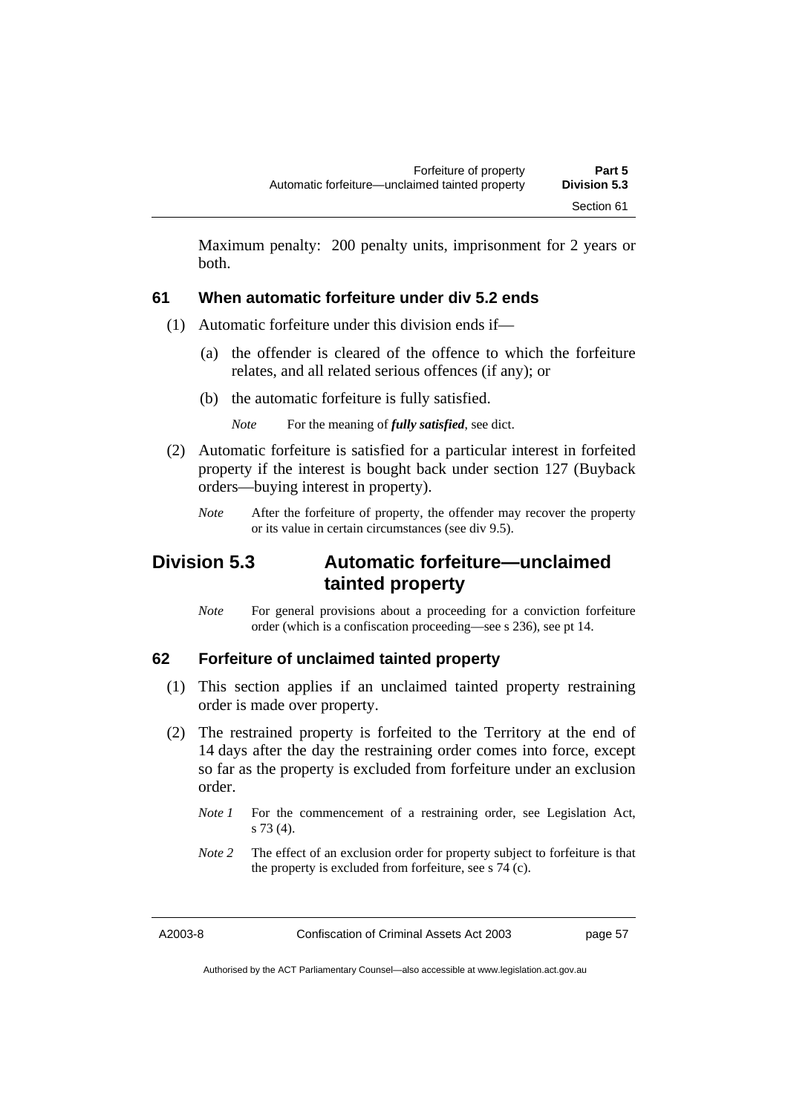Maximum penalty: 200 penalty units, imprisonment for 2 years or both.

## **61 When automatic forfeiture under div 5.2 ends**

- (1) Automatic forfeiture under this division ends if—
	- (a) the offender is cleared of the offence to which the forfeiture relates, and all related serious offences (if any); or
	- (b) the automatic forfeiture is fully satisfied.

*Note* For the meaning of *fully satisfied*, see dict.

- (2) Automatic forfeiture is satisfied for a particular interest in forfeited property if the interest is bought back under section 127 (Buyback orders—buying interest in property).
	- *Note* After the forfeiture of property, the offender may recover the property or its value in certain circumstances (see div 9.5).

# **Division 5.3 Automatic forfeiture—unclaimed tainted property**

*Note* For general provisions about a proceeding for a conviction forfeiture order (which is a confiscation proceeding—see s 236), see pt 14.

## **62 Forfeiture of unclaimed tainted property**

- (1) This section applies if an unclaimed tainted property restraining order is made over property.
- (2) The restrained property is forfeited to the Territory at the end of 14 days after the day the restraining order comes into force, except so far as the property is excluded from forfeiture under an exclusion order.
	- *Note 1* For the commencement of a restraining order, see Legislation Act, s 73 (4).
	- *Note 2* The effect of an exclusion order for property subject to forfeiture is that the property is excluded from forfeiture, see s 74 (c).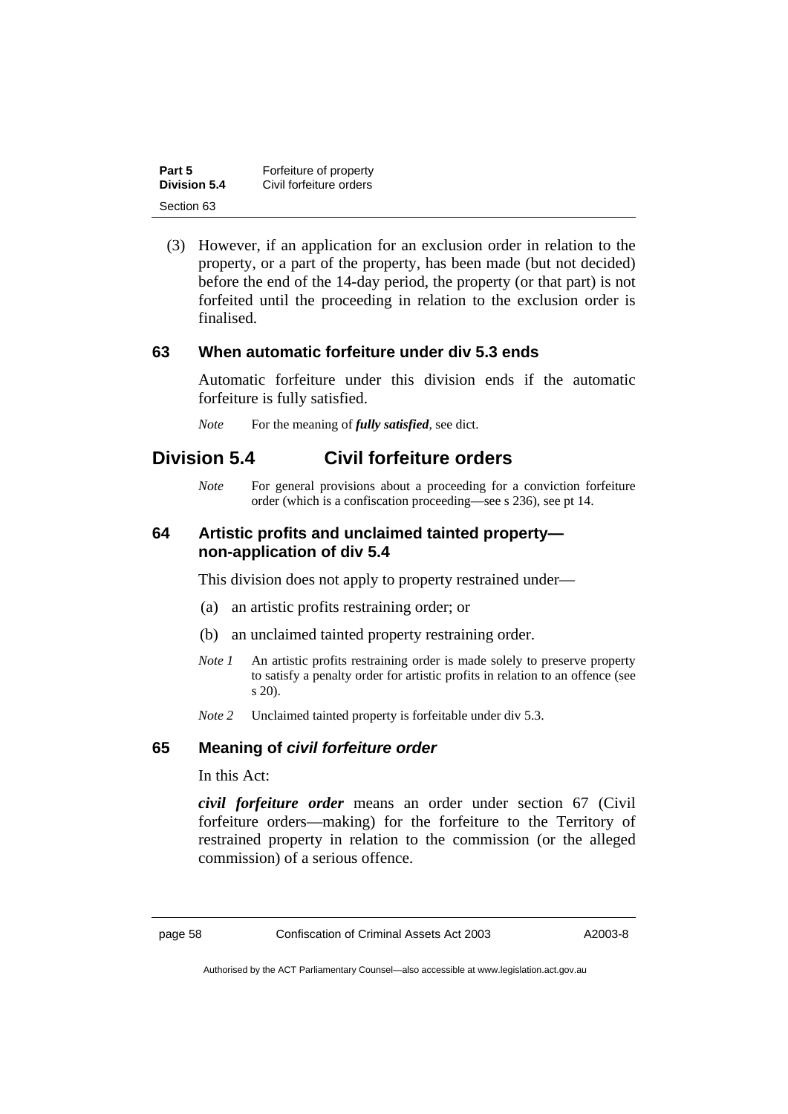| Part 5       | Forfeiture of property  |
|--------------|-------------------------|
| Division 5.4 | Civil forfeiture orders |
| Section 63   |                         |

 (3) However, if an application for an exclusion order in relation to the property, or a part of the property, has been made (but not decided) before the end of the 14-day period, the property (or that part) is not forfeited until the proceeding in relation to the exclusion order is finalised.

### **63 When automatic forfeiture under div 5.3 ends**

Automatic forfeiture under this division ends if the automatic forfeiture is fully satisfied.

*Note* For the meaning of *fully satisfied*, see dict.

## **Division 5.4 Civil forfeiture orders**

*Note* For general provisions about a proceeding for a conviction forfeiture order (which is a confiscation proceeding—see s 236), see pt 14.

## **64 Artistic profits and unclaimed tainted property non-application of div 5.4**

This division does not apply to property restrained under—

- (a) an artistic profits restraining order; or
- (b) an unclaimed tainted property restraining order.
- *Note 1* An artistic profits restraining order is made solely to preserve property to satisfy a penalty order for artistic profits in relation to an offence (see s 20).
- *Note 2* Unclaimed tainted property is forfeitable under div 5.3.

## **65 Meaning of** *civil forfeiture order*

In this Act:

*civil forfeiture order* means an order under section 67 (Civil forfeiture orders—making) for the forfeiture to the Territory of restrained property in relation to the commission (or the alleged commission) of a serious offence.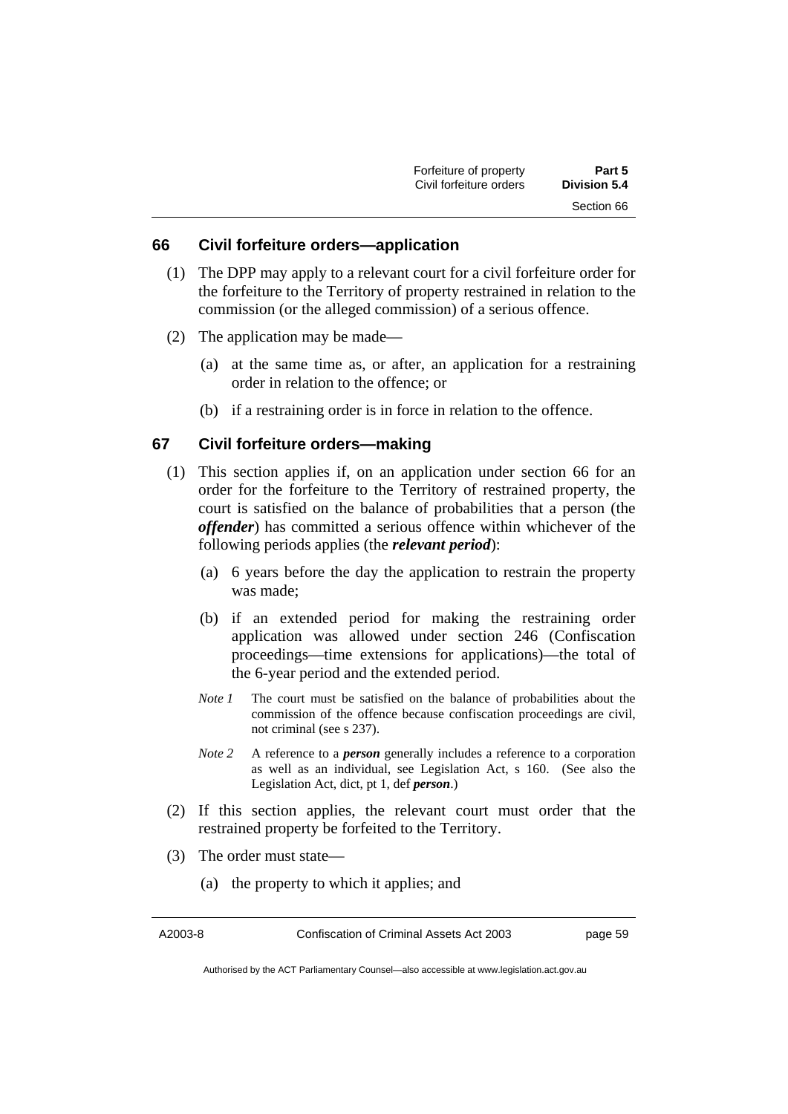| Forfeiture of property  | Part 5       |
|-------------------------|--------------|
| Civil forfeiture orders | Division 5.4 |
|                         | Section 66   |

#### **66 Civil forfeiture orders—application**

- (1) The DPP may apply to a relevant court for a civil forfeiture order for the forfeiture to the Territory of property restrained in relation to the commission (or the alleged commission) of a serious offence.
- (2) The application may be made—
	- (a) at the same time as, or after, an application for a restraining order in relation to the offence; or
	- (b) if a restraining order is in force in relation to the offence.

## **67 Civil forfeiture orders—making**

- (1) This section applies if, on an application under section 66 for an order for the forfeiture to the Territory of restrained property, the court is satisfied on the balance of probabilities that a person (the *offender*) has committed a serious offence within whichever of the following periods applies (the *relevant period*):
	- (a) 6 years before the day the application to restrain the property was made;
	- (b) if an extended period for making the restraining order application was allowed under section 246 (Confiscation proceedings—time extensions for applications)—the total of the 6-year period and the extended period.
	- *Note 1* The court must be satisfied on the balance of probabilities about the commission of the offence because confiscation proceedings are civil, not criminal (see s 237).
	- *Note 2* A reference to a *person* generally includes a reference to a corporation as well as an individual, see Legislation Act, s 160. (See also the Legislation Act, dict, pt 1, def *person*.)
- (2) If this section applies, the relevant court must order that the restrained property be forfeited to the Territory.
- (3) The order must state—
	- (a) the property to which it applies; and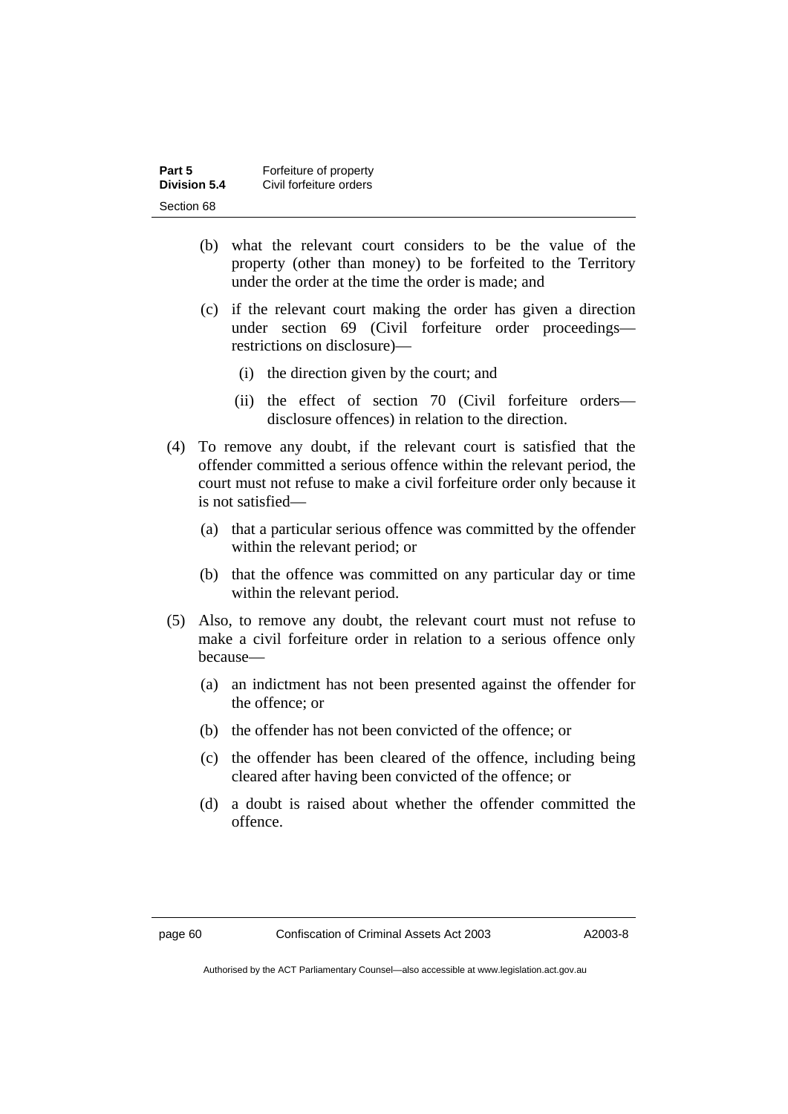| Part 5              | Forfeiture of property  |
|---------------------|-------------------------|
| <b>Division 5.4</b> | Civil forfeiture orders |
| Section 68          |                         |

- (b) what the relevant court considers to be the value of the property (other than money) to be forfeited to the Territory under the order at the time the order is made; and
- (c) if the relevant court making the order has given a direction under section 69 (Civil forfeiture order proceedings restrictions on disclosure)—
	- (i) the direction given by the court; and
	- (ii) the effect of section 70 (Civil forfeiture orders disclosure offences) in relation to the direction.
- (4) To remove any doubt, if the relevant court is satisfied that the offender committed a serious offence within the relevant period, the court must not refuse to make a civil forfeiture order only because it is not satisfied—
	- (a) that a particular serious offence was committed by the offender within the relevant period; or
	- (b) that the offence was committed on any particular day or time within the relevant period.
- (5) Also, to remove any doubt, the relevant court must not refuse to make a civil forfeiture order in relation to a serious offence only because—
	- (a) an indictment has not been presented against the offender for the offence; or
	- (b) the offender has not been convicted of the offence; or
	- (c) the offender has been cleared of the offence, including being cleared after having been convicted of the offence; or
	- (d) a doubt is raised about whether the offender committed the offence.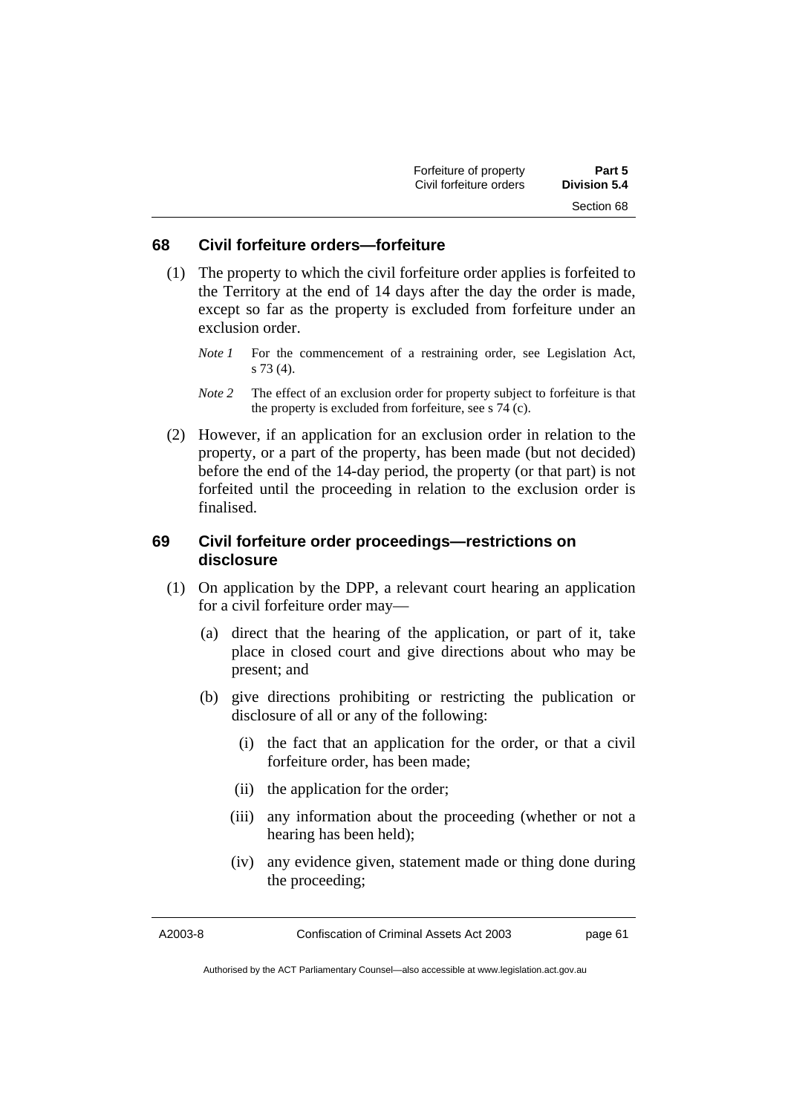| Forfeiture of property  | Part 5       |
|-------------------------|--------------|
| Civil forfeiture orders | Division 5.4 |
|                         | Section 68   |

#### **68 Civil forfeiture orders—forfeiture**

- (1) The property to which the civil forfeiture order applies is forfeited to the Territory at the end of 14 days after the day the order is made, except so far as the property is excluded from forfeiture under an exclusion order.
	- *Note 1* For the commencement of a restraining order, see Legislation Act, s 73 (4).
	- *Note 2* The effect of an exclusion order for property subject to forfeiture is that the property is excluded from forfeiture, see s 74 (c).
- (2) However, if an application for an exclusion order in relation to the property, or a part of the property, has been made (but not decided) before the end of the 14-day period, the property (or that part) is not forfeited until the proceeding in relation to the exclusion order is finalised.

## **69 Civil forfeiture order proceedings—restrictions on disclosure**

- (1) On application by the DPP, a relevant court hearing an application for a civil forfeiture order may—
	- (a) direct that the hearing of the application, or part of it, take place in closed court and give directions about who may be present; and
	- (b) give directions prohibiting or restricting the publication or disclosure of all or any of the following:
		- (i) the fact that an application for the order, or that a civil forfeiture order, has been made;
		- (ii) the application for the order;
		- (iii) any information about the proceeding (whether or not a hearing has been held);
		- (iv) any evidence given, statement made or thing done during the proceeding;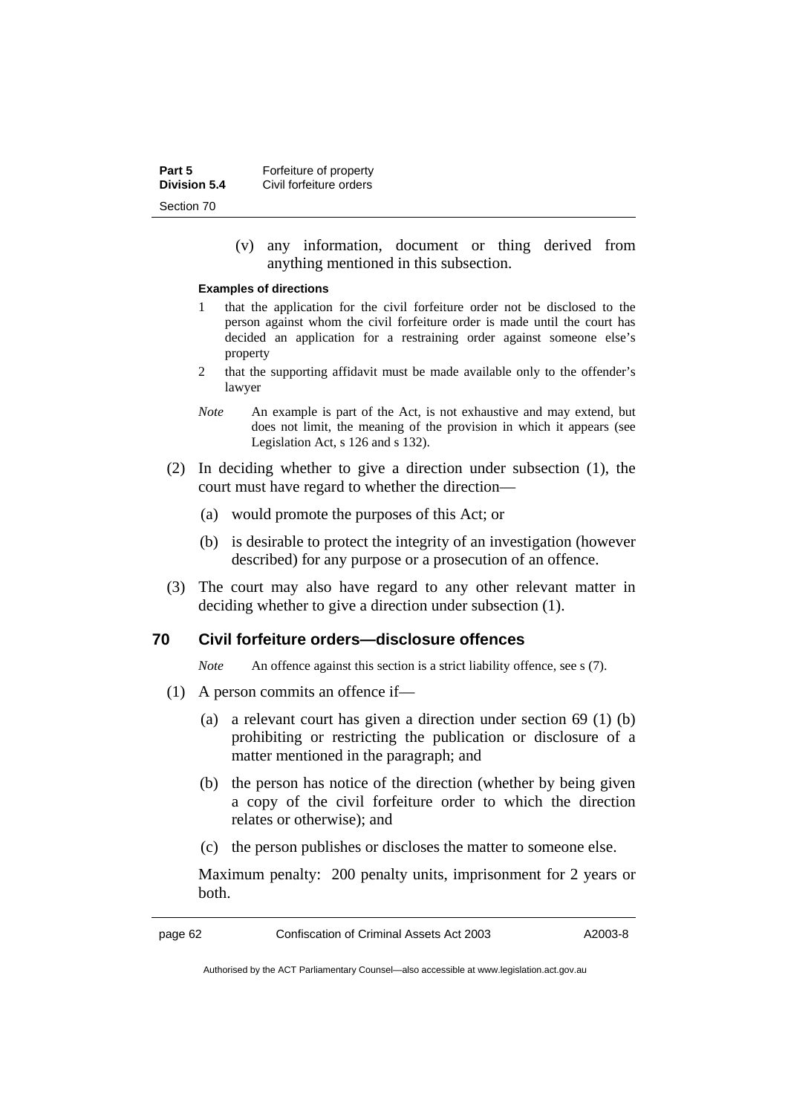| Part 5              | Forfeiture of property  |
|---------------------|-------------------------|
| <b>Division 5.4</b> | Civil forfeiture orders |
| Section 70          |                         |

 (v) any information, document or thing derived from anything mentioned in this subsection.

#### **Examples of directions**

- 1 that the application for the civil forfeiture order not be disclosed to the person against whom the civil forfeiture order is made until the court has decided an application for a restraining order against someone else's property
- 2 that the supporting affidavit must be made available only to the offender's lawyer
- *Note* An example is part of the Act, is not exhaustive and may extend, but does not limit, the meaning of the provision in which it appears (see Legislation Act, s 126 and s 132).
- (2) In deciding whether to give a direction under subsection (1), the court must have regard to whether the direction—
	- (a) would promote the purposes of this Act; or
	- (b) is desirable to protect the integrity of an investigation (however described) for any purpose or a prosecution of an offence.
- (3) The court may also have regard to any other relevant matter in deciding whether to give a direction under subsection (1).

#### **70 Civil forfeiture orders—disclosure offences**

*Note* An offence against this section is a strict liability offence, see s (7).

- (1) A person commits an offence if—
	- (a) a relevant court has given a direction under section 69 (1) (b) prohibiting or restricting the publication or disclosure of a matter mentioned in the paragraph; and
	- (b) the person has notice of the direction (whether by being given a copy of the civil forfeiture order to which the direction relates or otherwise); and
	- (c) the person publishes or discloses the matter to someone else.

Maximum penalty: 200 penalty units, imprisonment for 2 years or both.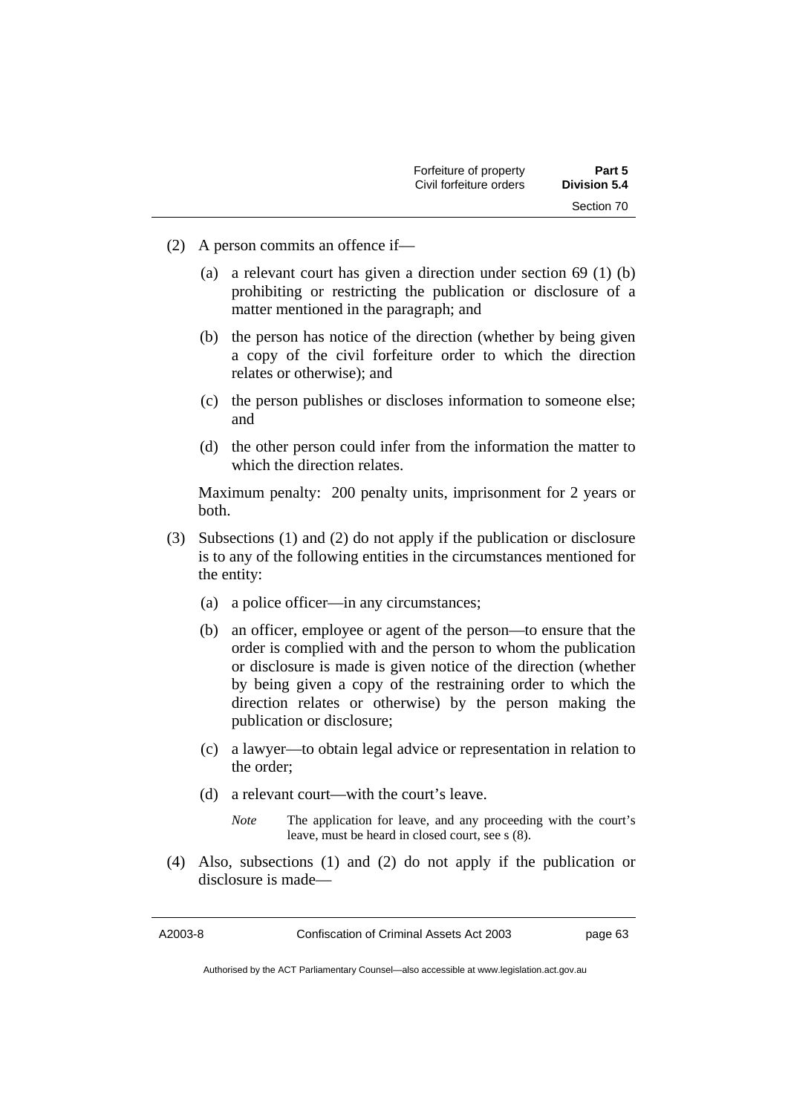- (2) A person commits an offence if—
	- (a) a relevant court has given a direction under section 69 (1) (b) prohibiting or restricting the publication or disclosure of a matter mentioned in the paragraph; and
	- (b) the person has notice of the direction (whether by being given a copy of the civil forfeiture order to which the direction relates or otherwise); and
	- (c) the person publishes or discloses information to someone else; and
	- (d) the other person could infer from the information the matter to which the direction relates.

Maximum penalty: 200 penalty units, imprisonment for 2 years or both.

- (3) Subsections (1) and (2) do not apply if the publication or disclosure is to any of the following entities in the circumstances mentioned for the entity:
	- (a) a police officer—in any circumstances;
	- (b) an officer, employee or agent of the person—to ensure that the order is complied with and the person to whom the publication or disclosure is made is given notice of the direction (whether by being given a copy of the restraining order to which the direction relates or otherwise) by the person making the publication or disclosure;
	- (c) a lawyer—to obtain legal advice or representation in relation to the order;
	- (d) a relevant court—with the court's leave.
		- *Note* The application for leave, and any proceeding with the court's leave, must be heard in closed court, see s (8).
- (4) Also, subsections (1) and (2) do not apply if the publication or disclosure is made—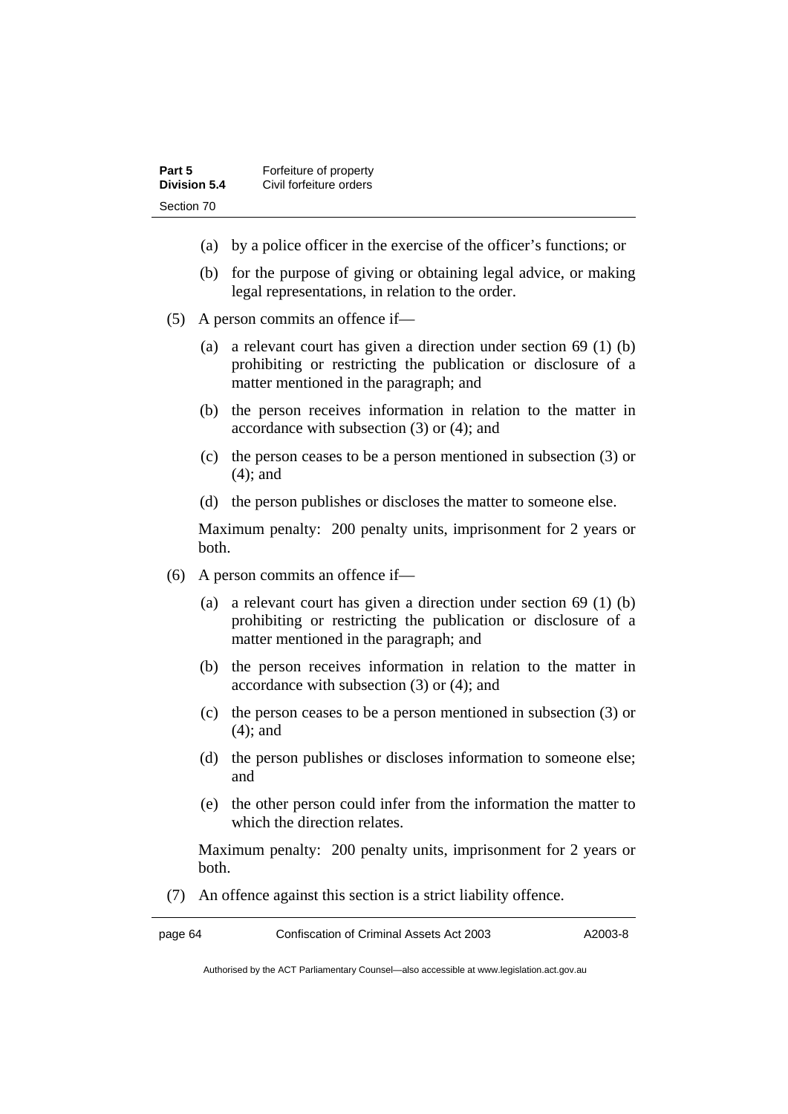| Part 5       | Forfeiture of property  |
|--------------|-------------------------|
| Division 5.4 | Civil forfeiture orders |
| Section 70   |                         |

- (a) by a police officer in the exercise of the officer's functions; or
- (b) for the purpose of giving or obtaining legal advice, or making legal representations, in relation to the order.
- (5) A person commits an offence if—
	- (a) a relevant court has given a direction under section 69 (1) (b) prohibiting or restricting the publication or disclosure of a matter mentioned in the paragraph; and
	- (b) the person receives information in relation to the matter in accordance with subsection (3) or (4); and
	- (c) the person ceases to be a person mentioned in subsection (3) or (4); and
	- (d) the person publishes or discloses the matter to someone else.

Maximum penalty: 200 penalty units, imprisonment for 2 years or both.

- (6) A person commits an offence if—
	- (a) a relevant court has given a direction under section 69 (1) (b) prohibiting or restricting the publication or disclosure of a matter mentioned in the paragraph; and
	- (b) the person receives information in relation to the matter in accordance with subsection (3) or (4); and
	- (c) the person ceases to be a person mentioned in subsection (3) or (4); and
	- (d) the person publishes or discloses information to someone else; and
	- (e) the other person could infer from the information the matter to which the direction relates.

Maximum penalty: 200 penalty units, imprisonment for 2 years or both.

(7) An offence against this section is a strict liability offence.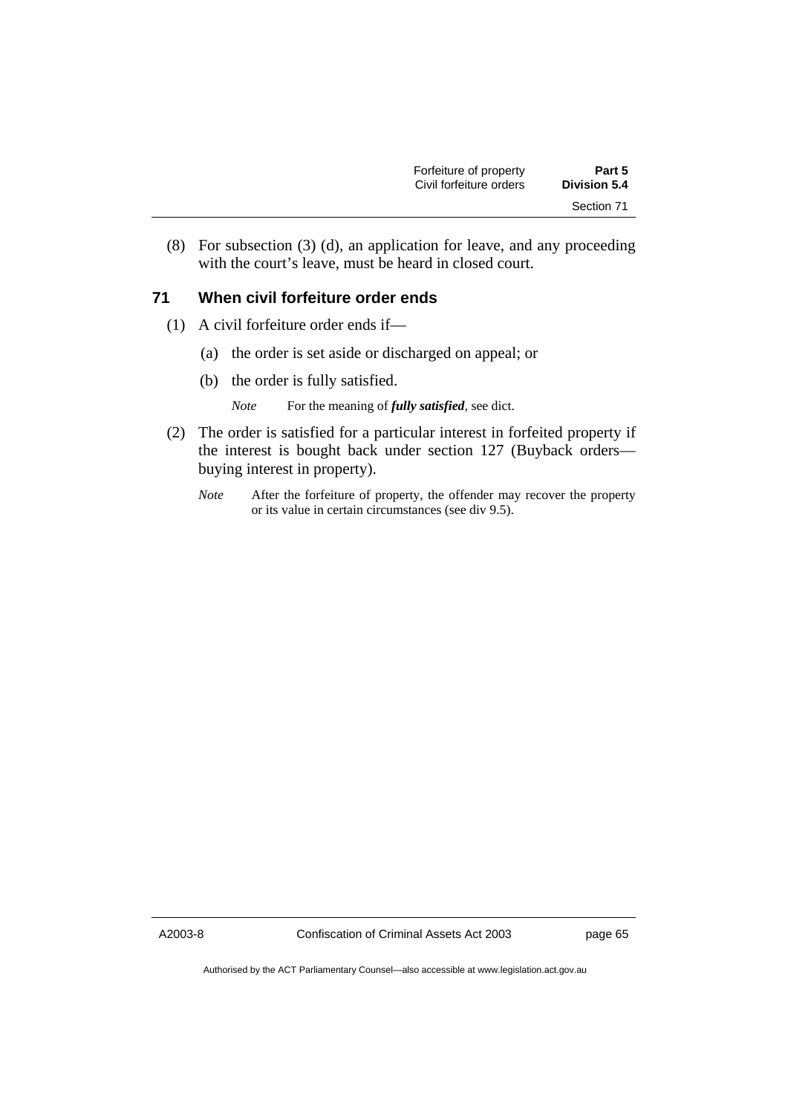| Forfeiture of property  | Part 5              |
|-------------------------|---------------------|
| Civil forfeiture orders | <b>Division 5.4</b> |
|                         | Section 71          |

 (8) For subsection (3) (d), an application for leave, and any proceeding with the court's leave, must be heard in closed court.

## **71 When civil forfeiture order ends**

- (1) A civil forfeiture order ends if—
	- (a) the order is set aside or discharged on appeal; or
	- (b) the order is fully satisfied.

*Note* For the meaning of *fully satisfied*, see dict.

- (2) The order is satisfied for a particular interest in forfeited property if the interest is bought back under section 127 (Buyback orders buying interest in property).
	- *Note* After the forfeiture of property, the offender may recover the property or its value in certain circumstances (see div 9.5).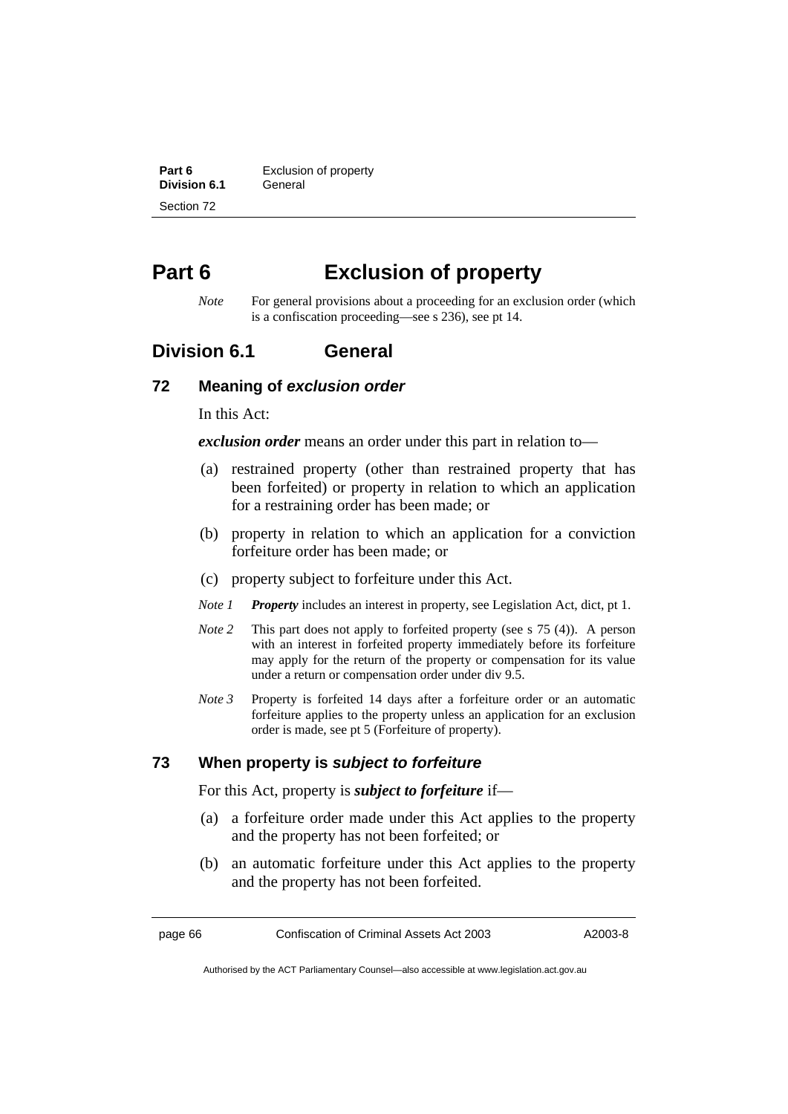**Part 6 Exclusion of property Division 6.1 General** Section 72

# **Part 6 Exclusion of property**

*Note* For general provisions about a proceeding for an exclusion order (which is a confiscation proceeding—see s 236), see pt 14.

## **Division 6.1 General**

#### **72 Meaning of** *exclusion order*

In this Act:

*exclusion order* means an order under this part in relation to—

- (a) restrained property (other than restrained property that has been forfeited) or property in relation to which an application for a restraining order has been made; or
- (b) property in relation to which an application for a conviction forfeiture order has been made; or
- (c) property subject to forfeiture under this Act.
- *Note 1 Property* includes an interest in property, see Legislation Act, dict, pt 1.
- *Note 2* This part does not apply to forfeited property (see s 75 (4)). A person with an interest in forfeited property immediately before its forfeiture may apply for the return of the property or compensation for its value under a return or compensation order under div 9.5.
- *Note 3* Property is forfeited 14 days after a forfeiture order or an automatic forfeiture applies to the property unless an application for an exclusion order is made, see pt 5 (Forfeiture of property).

## **73 When property is** *subject to forfeiture*

For this Act, property is *subject to forfeiture* if—

- (a) a forfeiture order made under this Act applies to the property and the property has not been forfeited; or
- (b) an automatic forfeiture under this Act applies to the property and the property has not been forfeited.

page 66 Confiscation of Criminal Assets Act 2003 A2003-8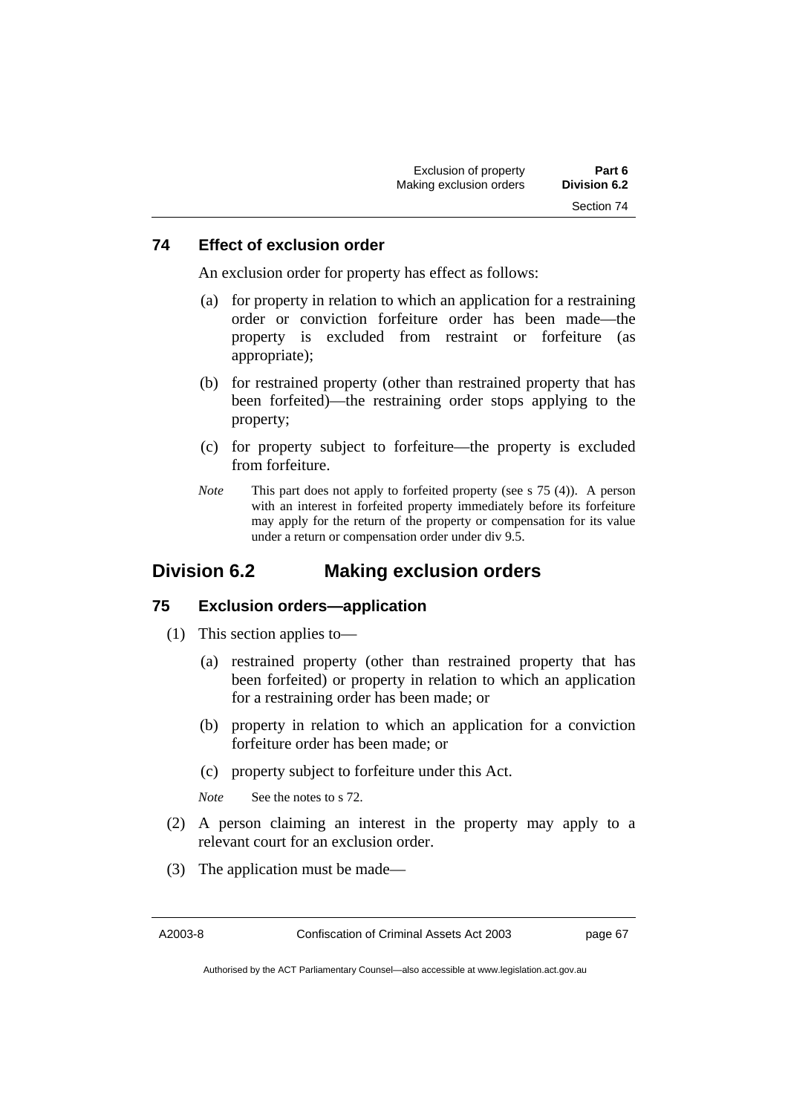### **74 Effect of exclusion order**

An exclusion order for property has effect as follows:

- (a) for property in relation to which an application for a restraining order or conviction forfeiture order has been made—the property is excluded from restraint or forfeiture (as appropriate);
- (b) for restrained property (other than restrained property that has been forfeited)—the restraining order stops applying to the property;
- (c) for property subject to forfeiture—the property is excluded from forfeiture.
- *Note* This part does not apply to forfeited property (see s 75 (4)). A person with an interest in forfeited property immediately before its forfeiture may apply for the return of the property or compensation for its value under a return or compensation order under div 9.5.

## **Division 6.2 Making exclusion orders**

#### **75 Exclusion orders—application**

- (1) This section applies to—
	- (a) restrained property (other than restrained property that has been forfeited) or property in relation to which an application for a restraining order has been made; or
	- (b) property in relation to which an application for a conviction forfeiture order has been made; or
	- (c) property subject to forfeiture under this Act.

*Note* See the notes to s 72.

- (2) A person claiming an interest in the property may apply to a relevant court for an exclusion order.
- (3) The application must be made—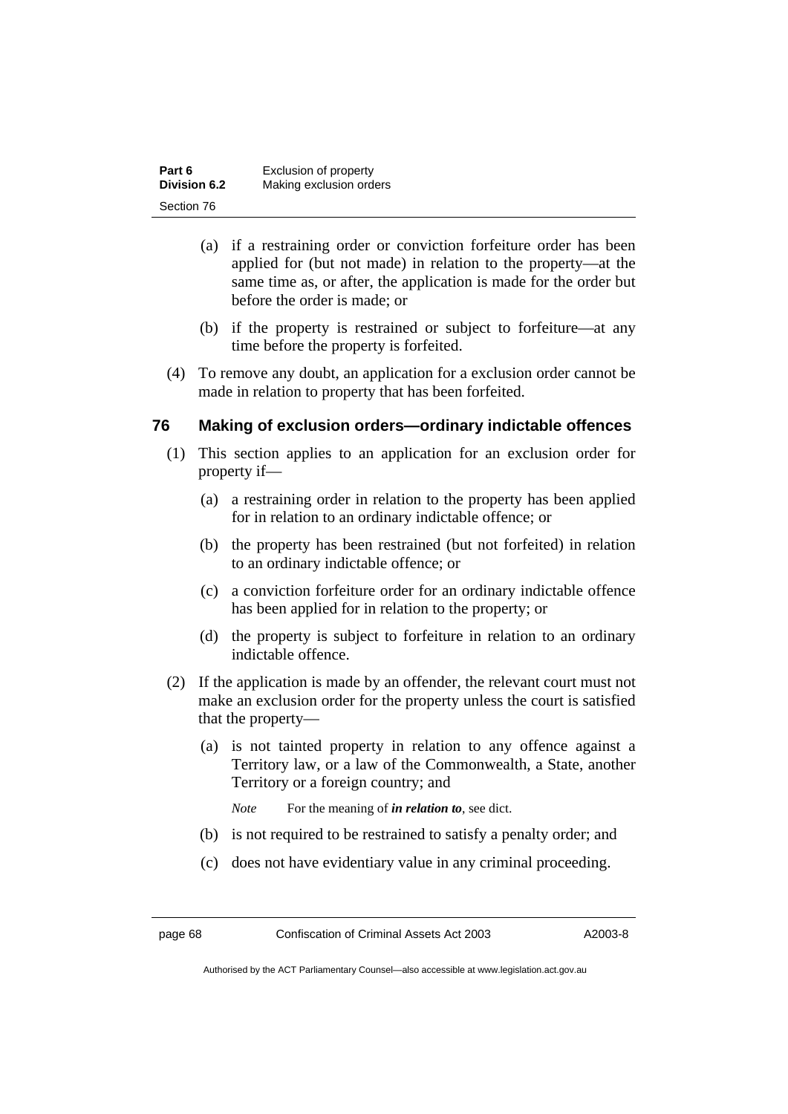| Part 6       | Exclusion of property   |
|--------------|-------------------------|
| Division 6.2 | Making exclusion orders |
| Section 76   |                         |

- (a) if a restraining order or conviction forfeiture order has been applied for (but not made) in relation to the property—at the same time as, or after, the application is made for the order but before the order is made; or
- (b) if the property is restrained or subject to forfeiture—at any time before the property is forfeited.
- (4) To remove any doubt, an application for a exclusion order cannot be made in relation to property that has been forfeited.

## **76 Making of exclusion orders—ordinary indictable offences**

- (1) This section applies to an application for an exclusion order for property if—
	- (a) a restraining order in relation to the property has been applied for in relation to an ordinary indictable offence; or
	- (b) the property has been restrained (but not forfeited) in relation to an ordinary indictable offence; or
	- (c) a conviction forfeiture order for an ordinary indictable offence has been applied for in relation to the property; or
	- (d) the property is subject to forfeiture in relation to an ordinary indictable offence.
- (2) If the application is made by an offender, the relevant court must not make an exclusion order for the property unless the court is satisfied that the property—
	- (a) is not tainted property in relation to any offence against a Territory law, or a law of the Commonwealth, a State, another Territory or a foreign country; and

*Note* For the meaning of *in relation to*, see dict.

- (b) is not required to be restrained to satisfy a penalty order; and
- (c) does not have evidentiary value in any criminal proceeding.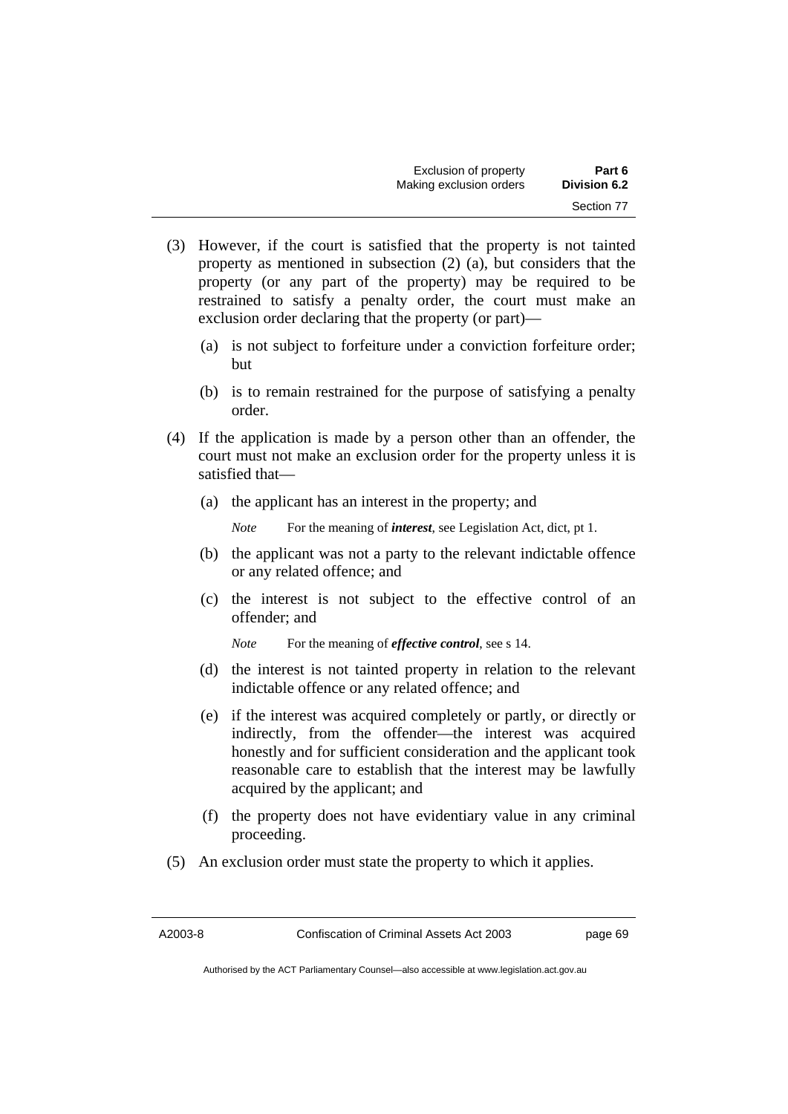| Exclusion of property   | Part 6       |
|-------------------------|--------------|
| Making exclusion orders | Division 6.2 |
|                         | Section 77   |

- (3) However, if the court is satisfied that the property is not tainted property as mentioned in subsection (2) (a), but considers that the property (or any part of the property) may be required to be restrained to satisfy a penalty order, the court must make an exclusion order declaring that the property (or part)—
	- (a) is not subject to forfeiture under a conviction forfeiture order; but
	- (b) is to remain restrained for the purpose of satisfying a penalty order.
- (4) If the application is made by a person other than an offender, the court must not make an exclusion order for the property unless it is satisfied that—
	- (a) the applicant has an interest in the property; and

*Note* For the meaning of *interest*, see Legislation Act, dict, pt 1.

- (b) the applicant was not a party to the relevant indictable offence or any related offence; and
- (c) the interest is not subject to the effective control of an offender; and

*Note* For the meaning of *effective control*, see s 14.

- (d) the interest is not tainted property in relation to the relevant indictable offence or any related offence; and
- (e) if the interest was acquired completely or partly, or directly or indirectly, from the offender—the interest was acquired honestly and for sufficient consideration and the applicant took reasonable care to establish that the interest may be lawfully acquired by the applicant; and
- (f) the property does not have evidentiary value in any criminal proceeding.
- (5) An exclusion order must state the property to which it applies.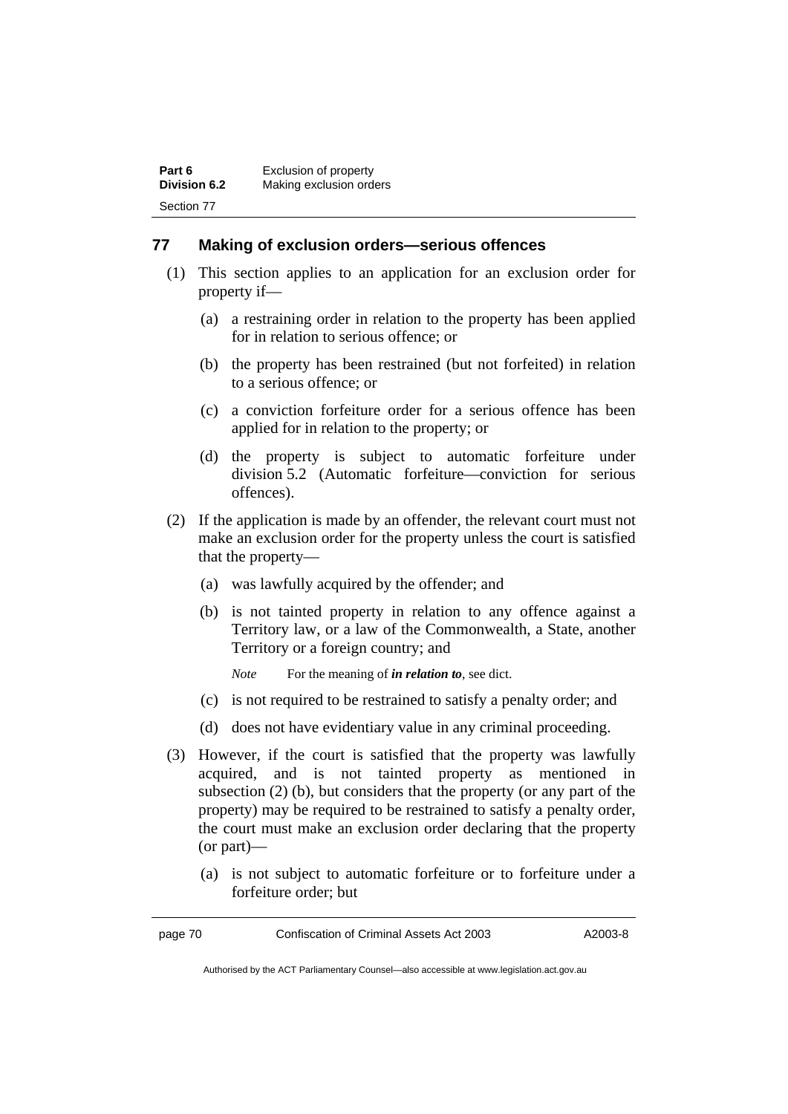## **77 Making of exclusion orders—serious offences**

- (1) This section applies to an application for an exclusion order for property if—
	- (a) a restraining order in relation to the property has been applied for in relation to serious offence; or
	- (b) the property has been restrained (but not forfeited) in relation to a serious offence; or
	- (c) a conviction forfeiture order for a serious offence has been applied for in relation to the property; or
	- (d) the property is subject to automatic forfeiture under division 5.2 (Automatic forfeiture—conviction for serious offences).
- (2) If the application is made by an offender, the relevant court must not make an exclusion order for the property unless the court is satisfied that the property—
	- (a) was lawfully acquired by the offender; and
	- (b) is not tainted property in relation to any offence against a Territory law, or a law of the Commonwealth, a State, another Territory or a foreign country; and
		- *Note* For the meaning of *in relation to*, see dict.
	- (c) is not required to be restrained to satisfy a penalty order; and
	- (d) does not have evidentiary value in any criminal proceeding.
- (3) However, if the court is satisfied that the property was lawfully acquired, and is not tainted property as mentioned in subsection (2) (b), but considers that the property (or any part of the property) may be required to be restrained to satisfy a penalty order, the court must make an exclusion order declaring that the property (or part)—
	- (a) is not subject to automatic forfeiture or to forfeiture under a forfeiture order; but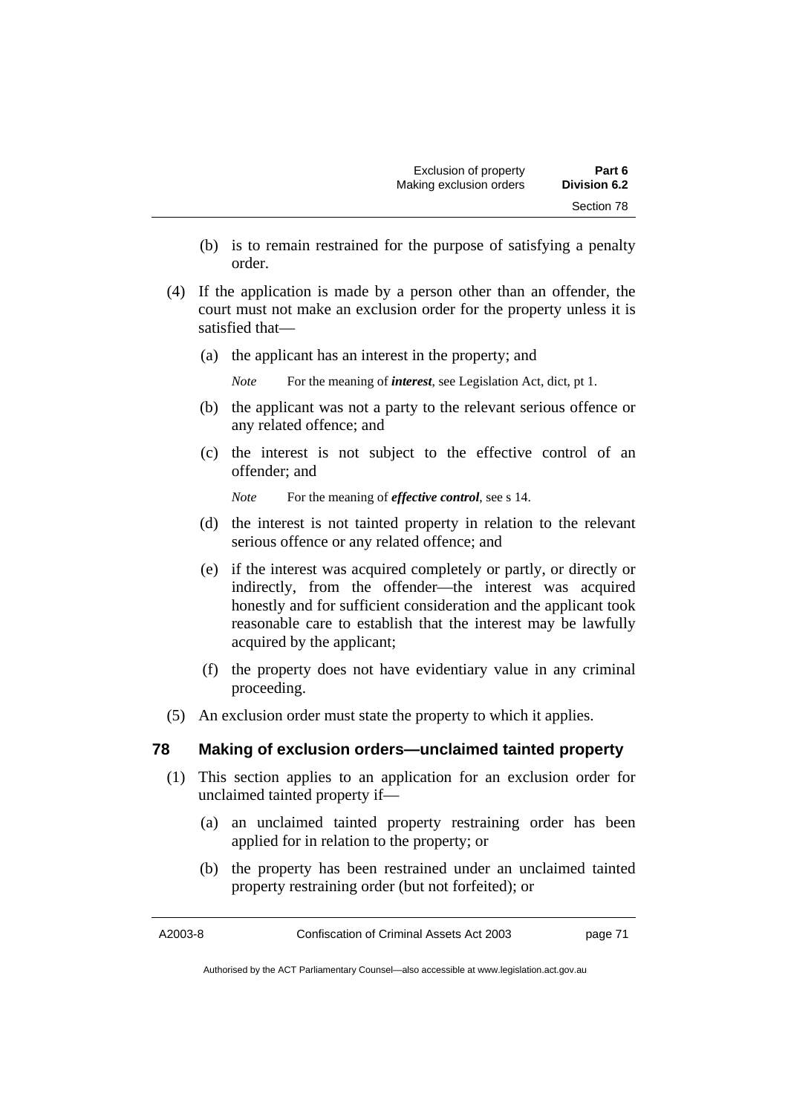- (b) is to remain restrained for the purpose of satisfying a penalty order.
- (4) If the application is made by a person other than an offender, the court must not make an exclusion order for the property unless it is satisfied that—
	- (a) the applicant has an interest in the property; and

*Note* For the meaning of *interest*, see Legislation Act, dict, pt 1.

- (b) the applicant was not a party to the relevant serious offence or any related offence; and
- (c) the interest is not subject to the effective control of an offender; and

*Note* For the meaning of *effective control*, see s 14.

- (d) the interest is not tainted property in relation to the relevant serious offence or any related offence; and
- (e) if the interest was acquired completely or partly, or directly or indirectly, from the offender—the interest was acquired honestly and for sufficient consideration and the applicant took reasonable care to establish that the interest may be lawfully acquired by the applicant;
- (f) the property does not have evidentiary value in any criminal proceeding.
- (5) An exclusion order must state the property to which it applies.

## **78 Making of exclusion orders—unclaimed tainted property**

- (1) This section applies to an application for an exclusion order for unclaimed tainted property if—
	- (a) an unclaimed tainted property restraining order has been applied for in relation to the property; or
	- (b) the property has been restrained under an unclaimed tainted property restraining order (but not forfeited); or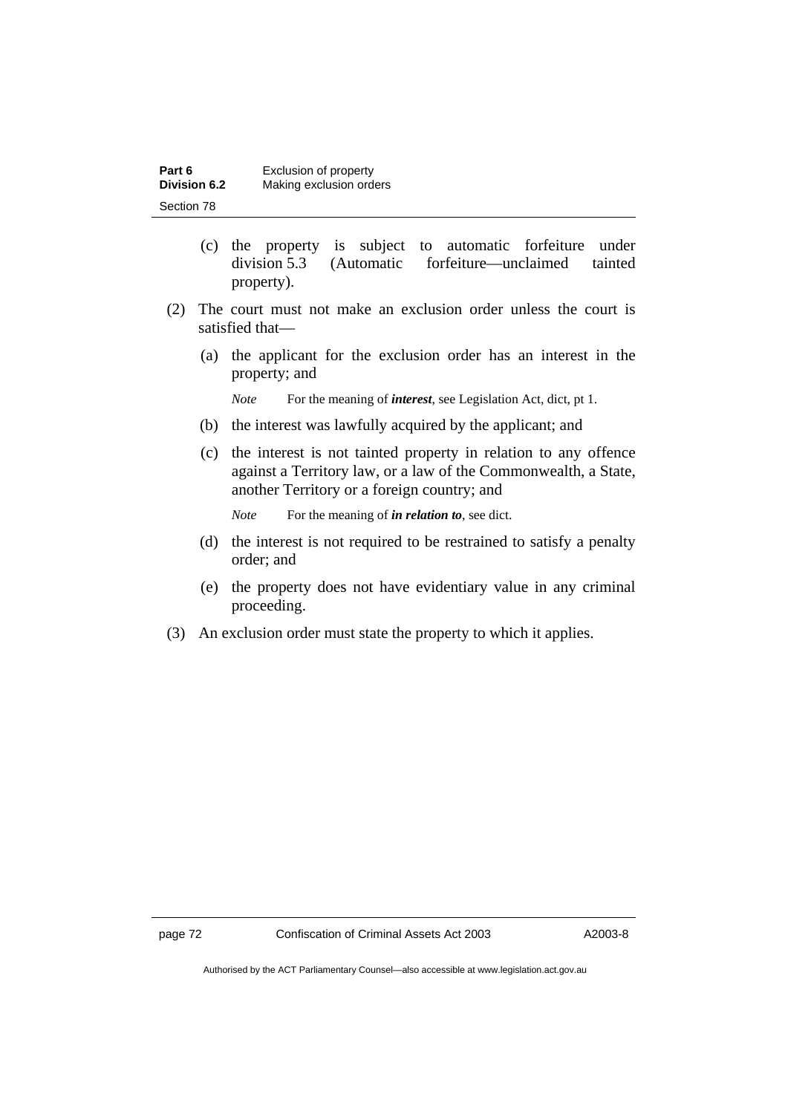| Part 6              | Exclusion of property   |
|---------------------|-------------------------|
| <b>Division 6.2</b> | Making exclusion orders |
| Section 78          |                         |

- (c) the property is subject to automatic forfeiture under division 5.3 (Automatic forfeiture—unclaimed tainted property).
- (2) The court must not make an exclusion order unless the court is satisfied that—
	- (a) the applicant for the exclusion order has an interest in the property; and

*Note* For the meaning of *interest*, see Legislation Act, dict, pt 1.

- (b) the interest was lawfully acquired by the applicant; and
- (c) the interest is not tainted property in relation to any offence against a Territory law, or a law of the Commonwealth, a State, another Territory or a foreign country; and

*Note* For the meaning of *in relation to*, see dict.

- (d) the interest is not required to be restrained to satisfy a penalty order; and
- (e) the property does not have evidentiary value in any criminal proceeding.
- (3) An exclusion order must state the property to which it applies.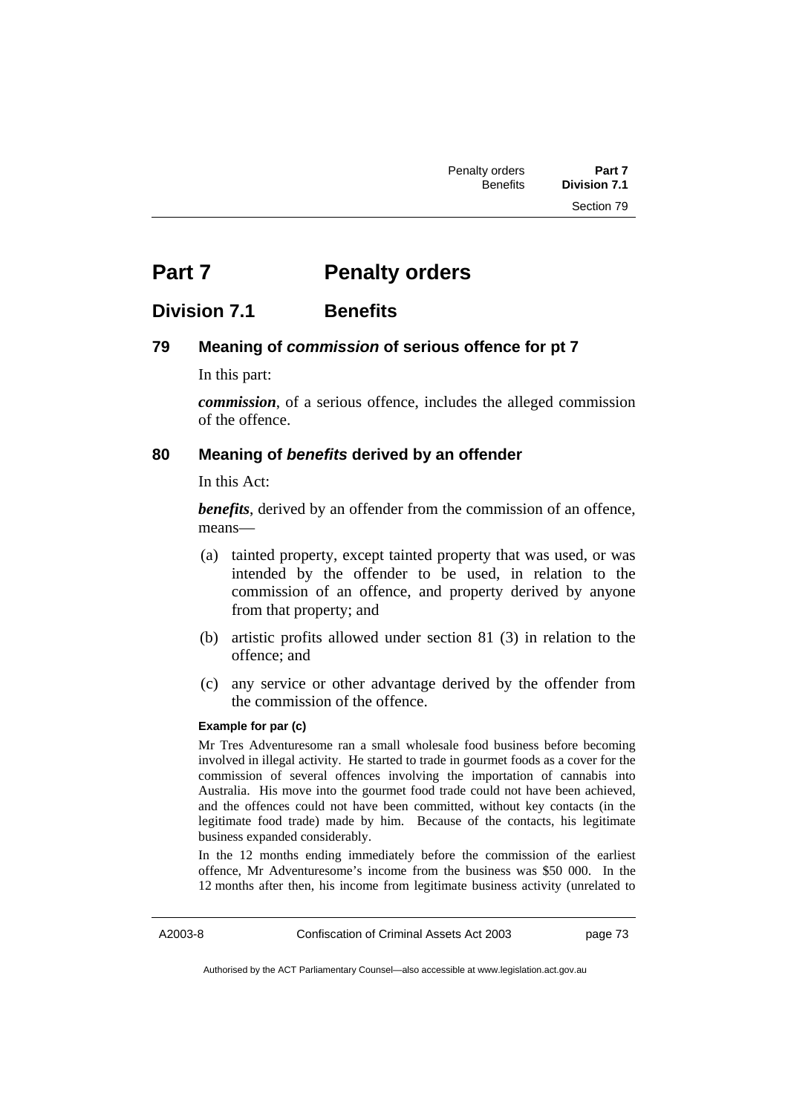# **Part 7** Penalty orders

## **Division 7.1 Benefits**

## **79 Meaning of** *commission* **of serious offence for pt 7**

In this part:

*commission*, of a serious offence, includes the alleged commission of the offence.

#### **80 Meaning of** *benefits* **derived by an offender**

In this Act:

*benefits*, derived by an offender from the commission of an offence, means—

- (a) tainted property, except tainted property that was used, or was intended by the offender to be used, in relation to the commission of an offence, and property derived by anyone from that property; and
- (b) artistic profits allowed under section 81 (3) in relation to the offence; and
- (c) any service or other advantage derived by the offender from the commission of the offence.

#### **Example for par (c)**

Mr Tres Adventuresome ran a small wholesale food business before becoming involved in illegal activity. He started to trade in gourmet foods as a cover for the commission of several offences involving the importation of cannabis into Australia. His move into the gourmet food trade could not have been achieved, and the offences could not have been committed, without key contacts (in the legitimate food trade) made by him. Because of the contacts, his legitimate business expanded considerably.

In the 12 months ending immediately before the commission of the earliest offence, Mr Adventuresome's income from the business was \$50 000. In the 12 months after then, his income from legitimate business activity (unrelated to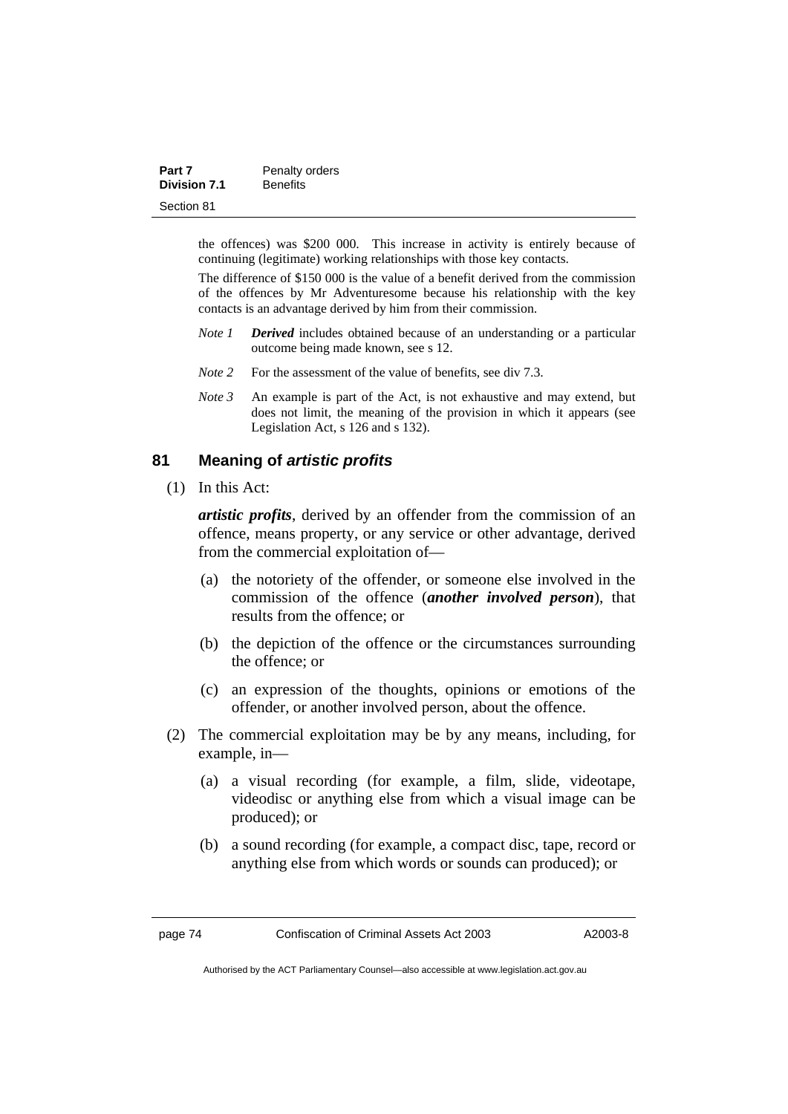| Part 7              | Penalty orders  |
|---------------------|-----------------|
| <b>Division 7.1</b> | <b>Benefits</b> |
| Section 81          |                 |

the offences) was \$200 000. This increase in activity is entirely because of continuing (legitimate) working relationships with those key contacts.

The difference of \$150 000 is the value of a benefit derived from the commission of the offences by Mr Adventuresome because his relationship with the key contacts is an advantage derived by him from their commission.

- *Note 1 Derived* includes obtained because of an understanding or a particular outcome being made known, see s 12.
- *Note* 2 For the assessment of the value of benefits, see div 7.3.
- *Note 3* An example is part of the Act, is not exhaustive and may extend, but does not limit, the meaning of the provision in which it appears (see Legislation Act, s 126 and s 132).

## **81 Meaning of** *artistic profits*

(1) In this Act:

*artistic profits*, derived by an offender from the commission of an offence, means property, or any service or other advantage, derived from the commercial exploitation of—

- (a) the notoriety of the offender, or someone else involved in the commission of the offence (*another involved person*), that results from the offence; or
- (b) the depiction of the offence or the circumstances surrounding the offence; or
- (c) an expression of the thoughts, opinions or emotions of the offender, or another involved person, about the offence.
- (2) The commercial exploitation may be by any means, including, for example, in—
	- (a) a visual recording (for example, a film, slide, videotape, videodisc or anything else from which a visual image can be produced); or
	- (b) a sound recording (for example, a compact disc, tape, record or anything else from which words or sounds can produced); or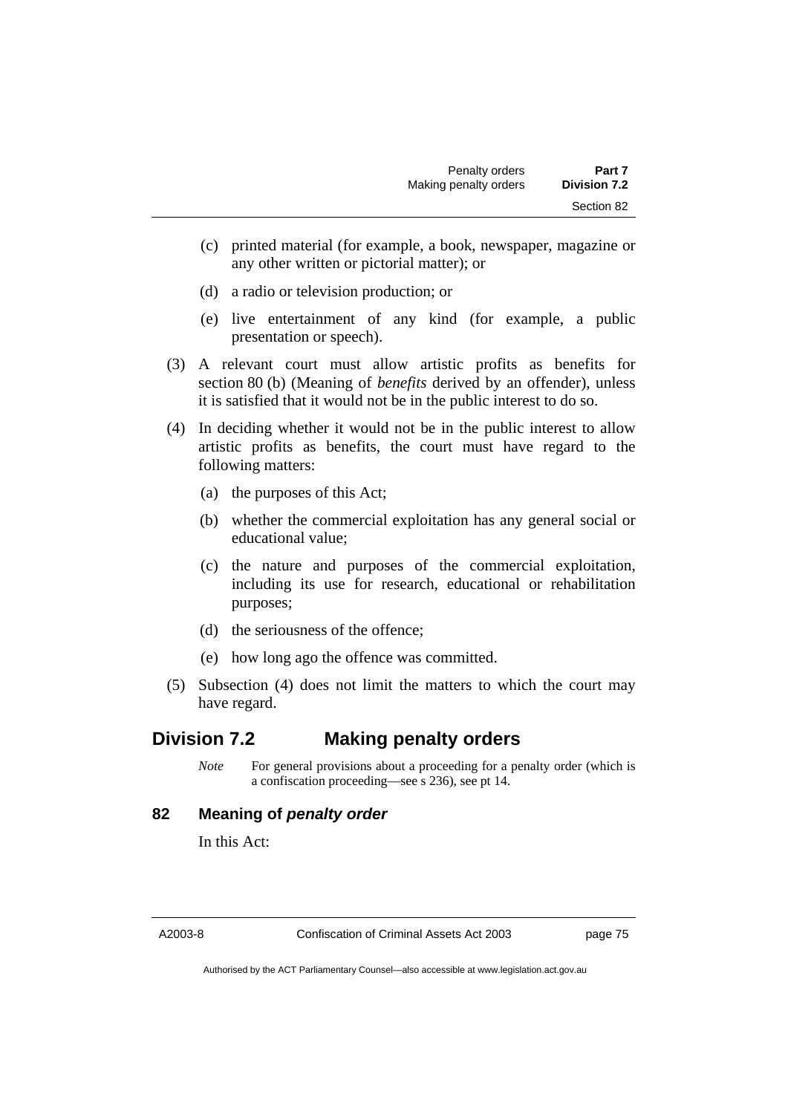- (c) printed material (for example, a book, newspaper, magazine or any other written or pictorial matter); or
- (d) a radio or television production; or
- (e) live entertainment of any kind (for example, a public presentation or speech).
- (3) A relevant court must allow artistic profits as benefits for section 80 (b) (Meaning of *benefits* derived by an offender), unless it is satisfied that it would not be in the public interest to do so.
- (4) In deciding whether it would not be in the public interest to allow artistic profits as benefits, the court must have regard to the following matters:
	- (a) the purposes of this Act;
	- (b) whether the commercial exploitation has any general social or educational value;
	- (c) the nature and purposes of the commercial exploitation, including its use for research, educational or rehabilitation purposes;
	- (d) the seriousness of the offence;
	- (e) how long ago the offence was committed.
- (5) Subsection (4) does not limit the matters to which the court may have regard.

## **Division 7.2 Making penalty orders**

*Note* For general provisions about a proceeding for a penalty order (which is a confiscation proceeding—see s 236), see pt 14.

## **82 Meaning of** *penalty order*

In this Act:

A2003-8 Confiscation of Criminal Assets Act 2003 page 75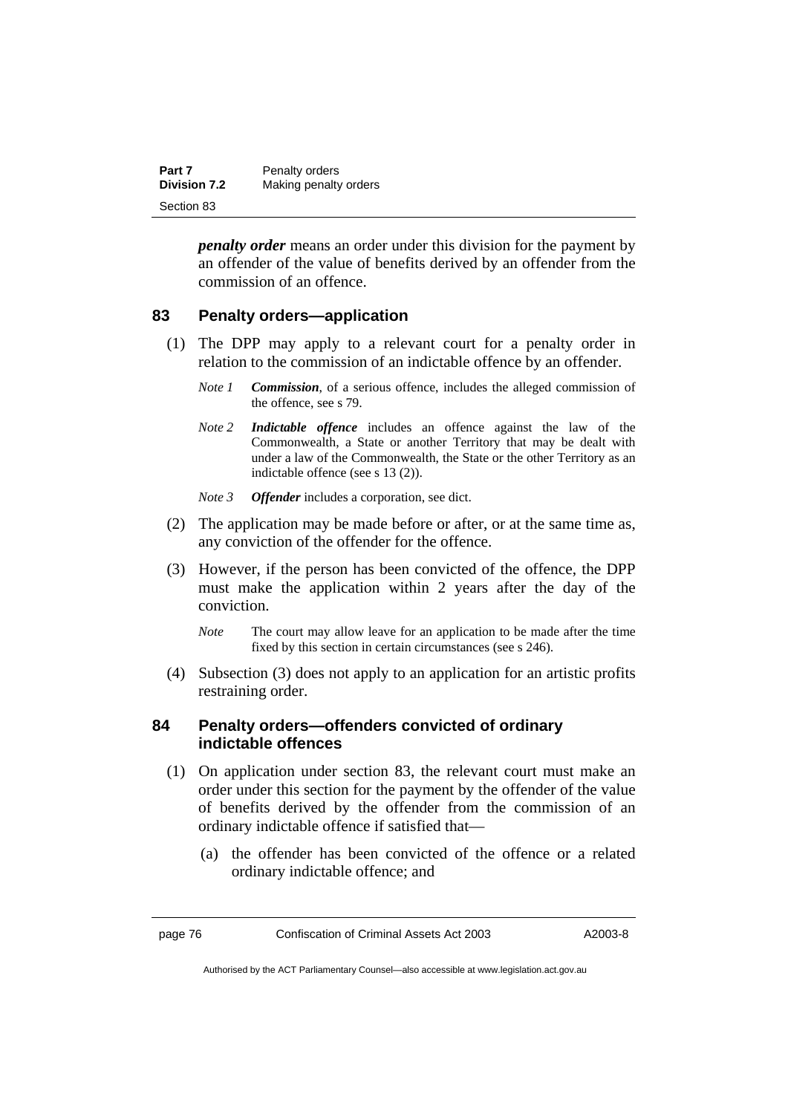| Part 7              | Penalty orders        |
|---------------------|-----------------------|
| <b>Division 7.2</b> | Making penalty orders |
| Section 83          |                       |

*penalty order* means an order under this division for the payment by an offender of the value of benefits derived by an offender from the commission of an offence.

## **83 Penalty orders—application**

- (1) The DPP may apply to a relevant court for a penalty order in relation to the commission of an indictable offence by an offender.
	- *Note 1 Commission*, of a serious offence, includes the alleged commission of the offence, see s 79.
	- *Note 2 Indictable offence* includes an offence against the law of the Commonwealth, a State or another Territory that may be dealt with under a law of the Commonwealth, the State or the other Territory as an indictable offence (see s 13 (2)).
	- *Note 3 Offender* includes a corporation, see dict.
- (2) The application may be made before or after, or at the same time as, any conviction of the offender for the offence.
- (3) However, if the person has been convicted of the offence, the DPP must make the application within 2 years after the day of the conviction.
	- *Note* The court may allow leave for an application to be made after the time fixed by this section in certain circumstances (see s 246).
- (4) Subsection (3) does not apply to an application for an artistic profits restraining order.

### **84 Penalty orders—offenders convicted of ordinary indictable offences**

- (1) On application under section 83, the relevant court must make an order under this section for the payment by the offender of the value of benefits derived by the offender from the commission of an ordinary indictable offence if satisfied that—
	- (a) the offender has been convicted of the offence or a related ordinary indictable offence; and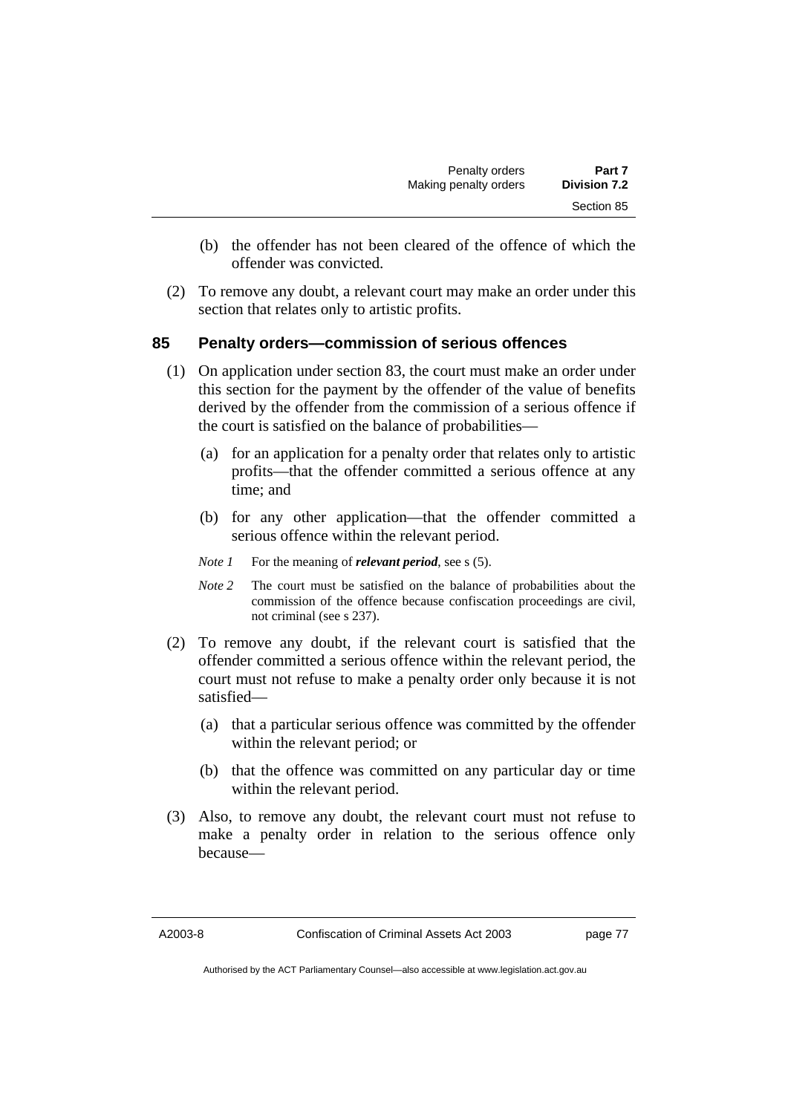- (b) the offender has not been cleared of the offence of which the offender was convicted.
- (2) To remove any doubt, a relevant court may make an order under this section that relates only to artistic profits.

## **85 Penalty orders—commission of serious offences**

- (1) On application under section 83, the court must make an order under this section for the payment by the offender of the value of benefits derived by the offender from the commission of a serious offence if the court is satisfied on the balance of probabilities—
	- (a) for an application for a penalty order that relates only to artistic profits—that the offender committed a serious offence at any time; and
	- (b) for any other application—that the offender committed a serious offence within the relevant period.
	- *Note 1* For the meaning of *relevant period*, see s (5).
	- *Note 2* The court must be satisfied on the balance of probabilities about the commission of the offence because confiscation proceedings are civil, not criminal (see s 237).
- (2) To remove any doubt, if the relevant court is satisfied that the offender committed a serious offence within the relevant period, the court must not refuse to make a penalty order only because it is not satisfied—
	- (a) that a particular serious offence was committed by the offender within the relevant period; or
	- (b) that the offence was committed on any particular day or time within the relevant period.
- (3) Also, to remove any doubt, the relevant court must not refuse to make a penalty order in relation to the serious offence only because—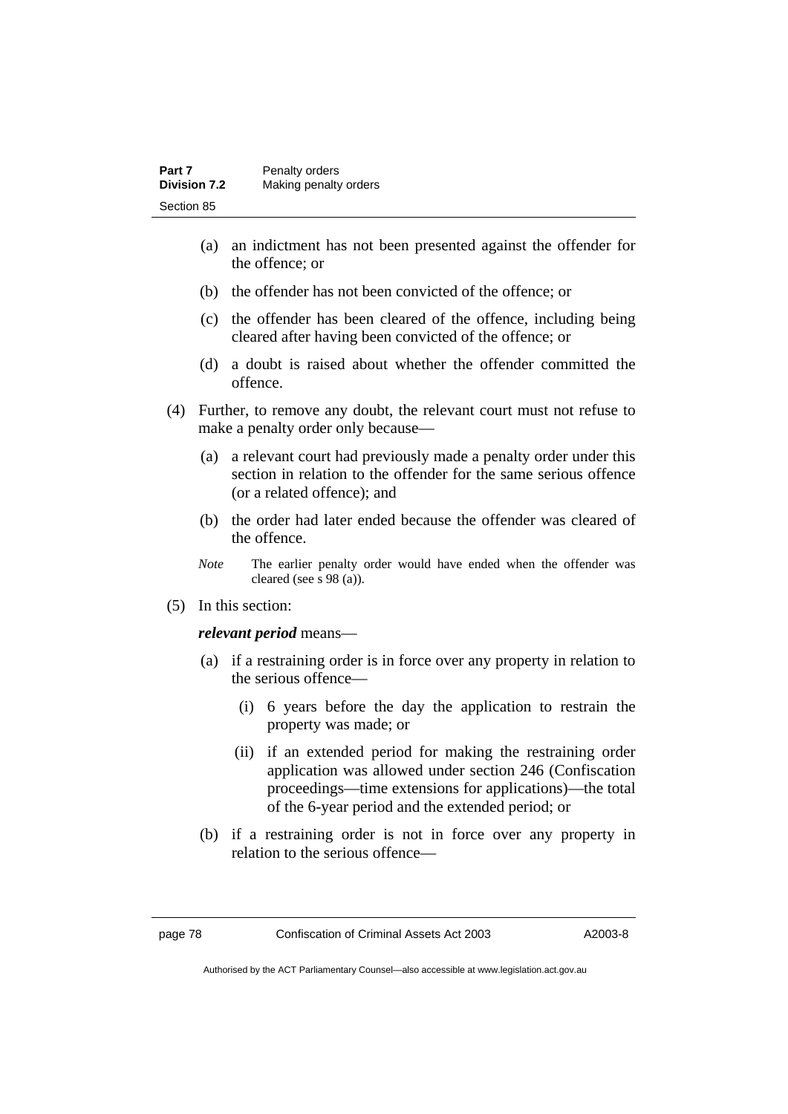| Part 7              | Penalty orders        |
|---------------------|-----------------------|
| <b>Division 7.2</b> | Making penalty orders |
| Section 85          |                       |

- (a) an indictment has not been presented against the offender for the offence; or
- (b) the offender has not been convicted of the offence; or
- (c) the offender has been cleared of the offence, including being cleared after having been convicted of the offence; or
- (d) a doubt is raised about whether the offender committed the offence.
- (4) Further, to remove any doubt, the relevant court must not refuse to make a penalty order only because—
	- (a) a relevant court had previously made a penalty order under this section in relation to the offender for the same serious offence (or a related offence); and
	- (b) the order had later ended because the offender was cleared of the offence.
	- *Note* The earlier penalty order would have ended when the offender was cleared (see s 98 (a)).
- (5) In this section:

*relevant period* means—

- (a) if a restraining order is in force over any property in relation to the serious offence—
	- (i) 6 years before the day the application to restrain the property was made; or
	- (ii) if an extended period for making the restraining order application was allowed under section 246 (Confiscation proceedings—time extensions for applications)—the total of the 6-year period and the extended period; or
- (b) if a restraining order is not in force over any property in relation to the serious offence—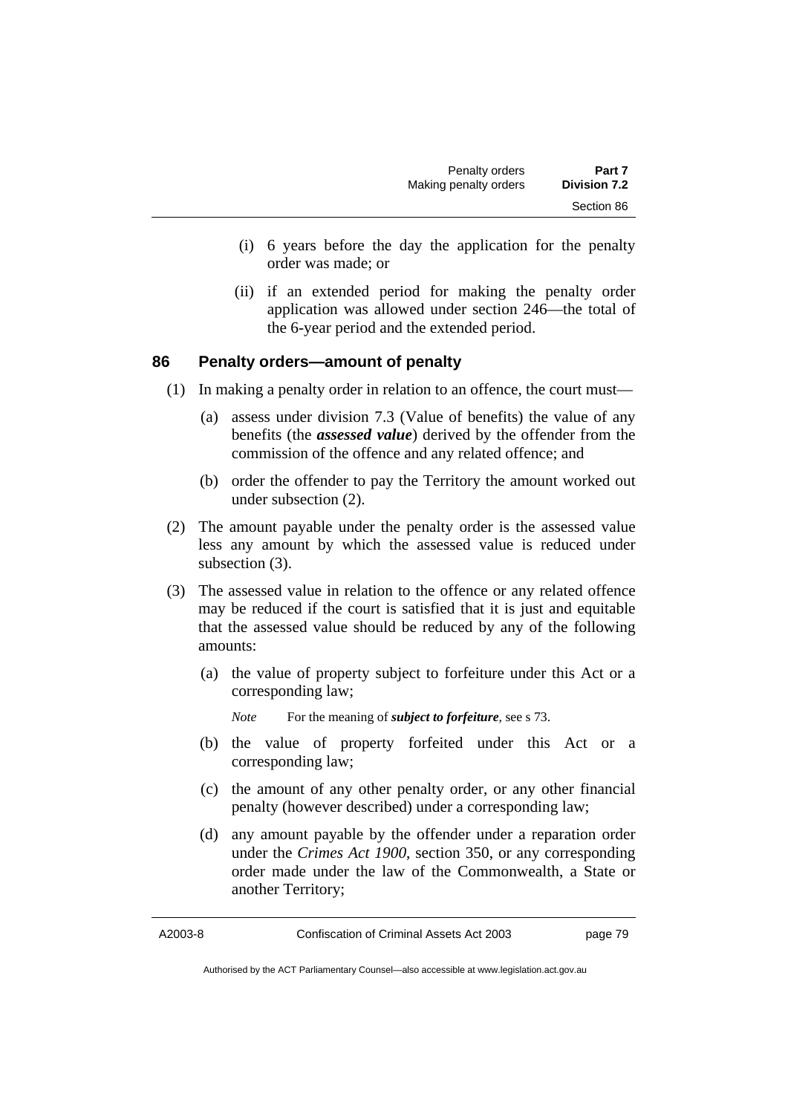- (i) 6 years before the day the application for the penalty order was made; or
- (ii) if an extended period for making the penalty order application was allowed under section 246—the total of the 6-year period and the extended period.

## **86 Penalty orders—amount of penalty**

- (1) In making a penalty order in relation to an offence, the court must—
	- (a) assess under division 7.3 (Value of benefits) the value of any benefits (the *assessed value*) derived by the offender from the commission of the offence and any related offence; and
	- (b) order the offender to pay the Territory the amount worked out under subsection (2).
- (2) The amount payable under the penalty order is the assessed value less any amount by which the assessed value is reduced under subsection (3).
- (3) The assessed value in relation to the offence or any related offence may be reduced if the court is satisfied that it is just and equitable that the assessed value should be reduced by any of the following amounts:
	- (a) the value of property subject to forfeiture under this Act or a corresponding law;

- (b) the value of property forfeited under this Act or a corresponding law;
- (c) the amount of any other penalty order, or any other financial penalty (however described) under a corresponding law;
- (d) any amount payable by the offender under a reparation order under the *Crimes Act 1900*, section 350, or any corresponding order made under the law of the Commonwealth, a State or another Territory;

*Note* For the meaning of *subject to forfeiture*, see s 73.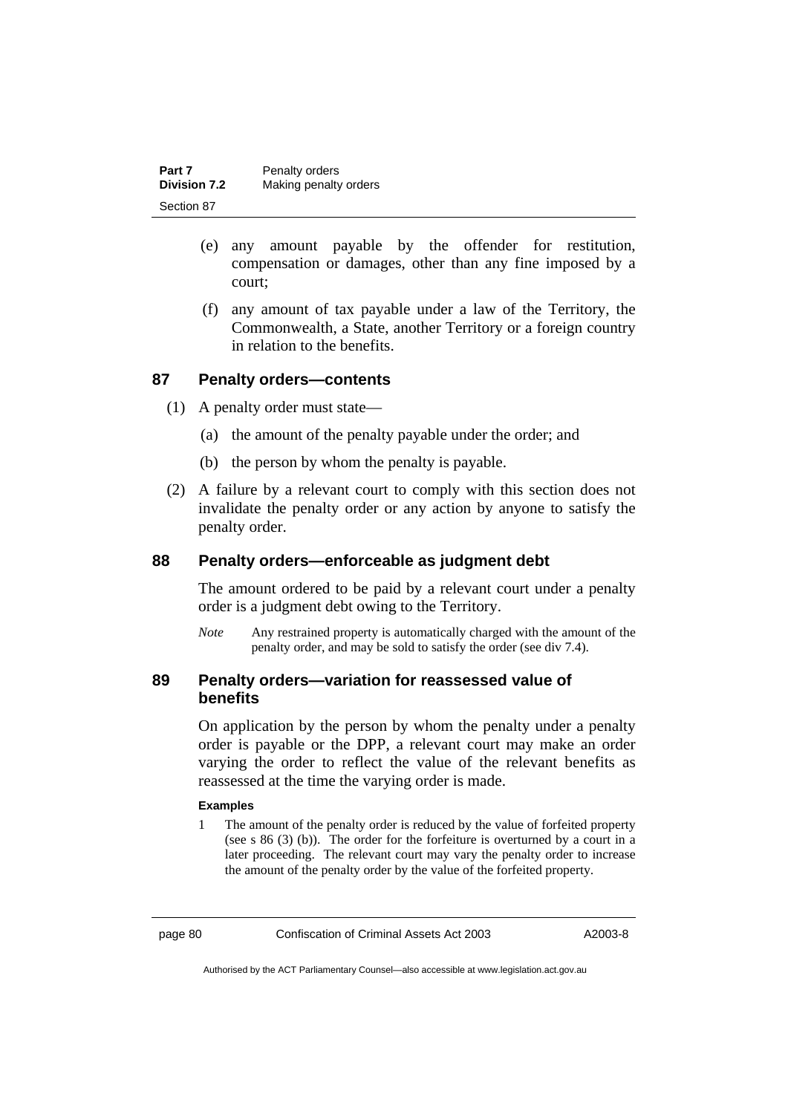| Part 7              | Penalty orders        |
|---------------------|-----------------------|
| <b>Division 7.2</b> | Making penalty orders |
| Section 87          |                       |

- (e) any amount payable by the offender for restitution, compensation or damages, other than any fine imposed by a court;
- (f) any amount of tax payable under a law of the Territory, the Commonwealth, a State, another Territory or a foreign country in relation to the benefits.

### **87 Penalty orders—contents**

- (1) A penalty order must state—
	- (a) the amount of the penalty payable under the order; and
	- (b) the person by whom the penalty is payable.
- (2) A failure by a relevant court to comply with this section does not invalidate the penalty order or any action by anyone to satisfy the penalty order.

### **88 Penalty orders—enforceable as judgment debt**

The amount ordered to be paid by a relevant court under a penalty order is a judgment debt owing to the Territory.

*Note* Any restrained property is automatically charged with the amount of the penalty order, and may be sold to satisfy the order (see div 7.4).

## **89 Penalty orders—variation for reassessed value of benefits**

On application by the person by whom the penalty under a penalty order is payable or the DPP, a relevant court may make an order varying the order to reflect the value of the relevant benefits as reassessed at the time the varying order is made.

#### **Examples**

1 The amount of the penalty order is reduced by the value of forfeited property (see s 86 (3) (b)). The order for the forfeiture is overturned by a court in a later proceeding. The relevant court may vary the penalty order to increase the amount of the penalty order by the value of the forfeited property.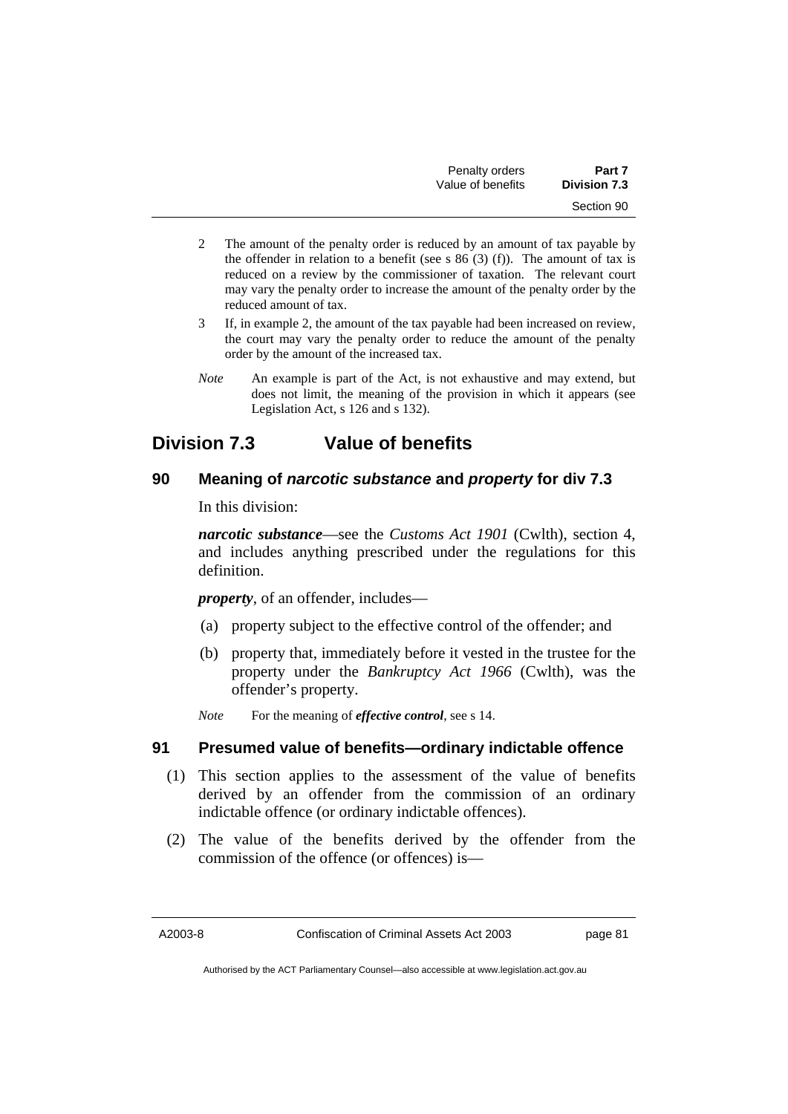| Penalty orders    | Part 7              |
|-------------------|---------------------|
| Value of benefits | <b>Division 7.3</b> |
|                   | Section 90          |

- 2 The amount of the penalty order is reduced by an amount of tax payable by the offender in relation to a benefit (see s  $86$  (3) (f)). The amount of tax is reduced on a review by the commissioner of taxation. The relevant court may vary the penalty order to increase the amount of the penalty order by the reduced amount of tax.
- 3 If, in example 2, the amount of the tax payable had been increased on review, the court may vary the penalty order to reduce the amount of the penalty order by the amount of the increased tax.
- *Note* An example is part of the Act, is not exhaustive and may extend, but does not limit, the meaning of the provision in which it appears (see Legislation Act, s 126 and s 132).

# **Division 7.3 Value of benefits**

## **90 Meaning of** *narcotic substance* **and** *property* **for div 7.3**

In this division:

*narcotic substance*—see the *Customs Act 1901* (Cwlth), section 4, and includes anything prescribed under the regulations for this definition.

*property*, of an offender, includes—

- (a) property subject to the effective control of the offender; and
- (b) property that, immediately before it vested in the trustee for the property under the *Bankruptcy Act 1966* (Cwlth), was the offender's property.
- *Note* For the meaning of *effective control*, see s 14.

## **91 Presumed value of benefits—ordinary indictable offence**

- (1) This section applies to the assessment of the value of benefits derived by an offender from the commission of an ordinary indictable offence (or ordinary indictable offences).
- (2) The value of the benefits derived by the offender from the commission of the offence (or offences) is—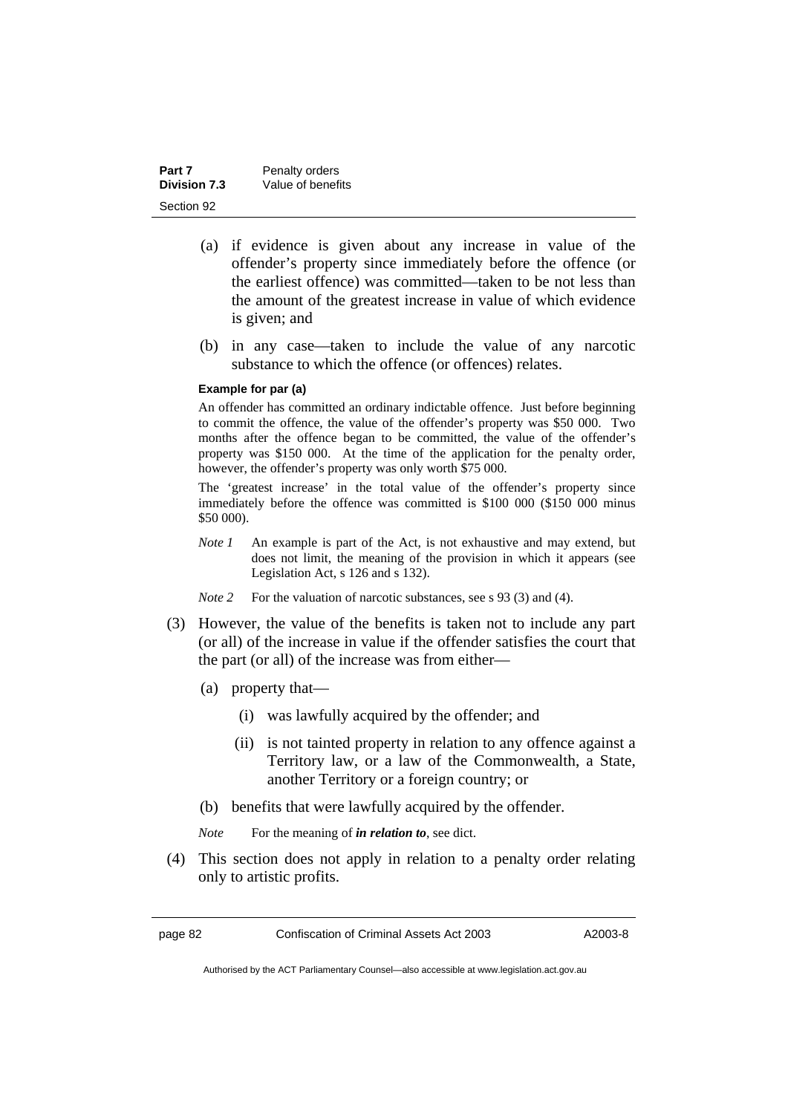| Part 7              | Penalty orders    |
|---------------------|-------------------|
| <b>Division 7.3</b> | Value of benefits |
| Section 92          |                   |

- (a) if evidence is given about any increase in value of the offender's property since immediately before the offence (or the earliest offence) was committed—taken to be not less than the amount of the greatest increase in value of which evidence is given; and
- (b) in any case—taken to include the value of any narcotic substance to which the offence (or offences) relates.

#### **Example for par (a)**

An offender has committed an ordinary indictable offence. Just before beginning to commit the offence, the value of the offender's property was \$50 000. Two months after the offence began to be committed, the value of the offender's property was \$150 000. At the time of the application for the penalty order, however, the offender's property was only worth \$75 000.

The 'greatest increase' in the total value of the offender's property since immediately before the offence was committed is \$100 000 (\$150 000 minus \$50 000).

- *Note 1* An example is part of the Act, is not exhaustive and may extend, but does not limit, the meaning of the provision in which it appears (see Legislation Act, s 126 and s 132).
- *Note* 2 For the valuation of narcotic substances, see s 93 (3) and (4).
- (3) However, the value of the benefits is taken not to include any part (or all) of the increase in value if the offender satisfies the court that the part (or all) of the increase was from either—
	- (a) property that—
		- (i) was lawfully acquired by the offender; and
		- (ii) is not tainted property in relation to any offence against a Territory law, or a law of the Commonwealth, a State, another Territory or a foreign country; or
	- (b) benefits that were lawfully acquired by the offender.
	- *Note* For the meaning of *in relation to*, see dict.
- (4) This section does not apply in relation to a penalty order relating only to artistic profits.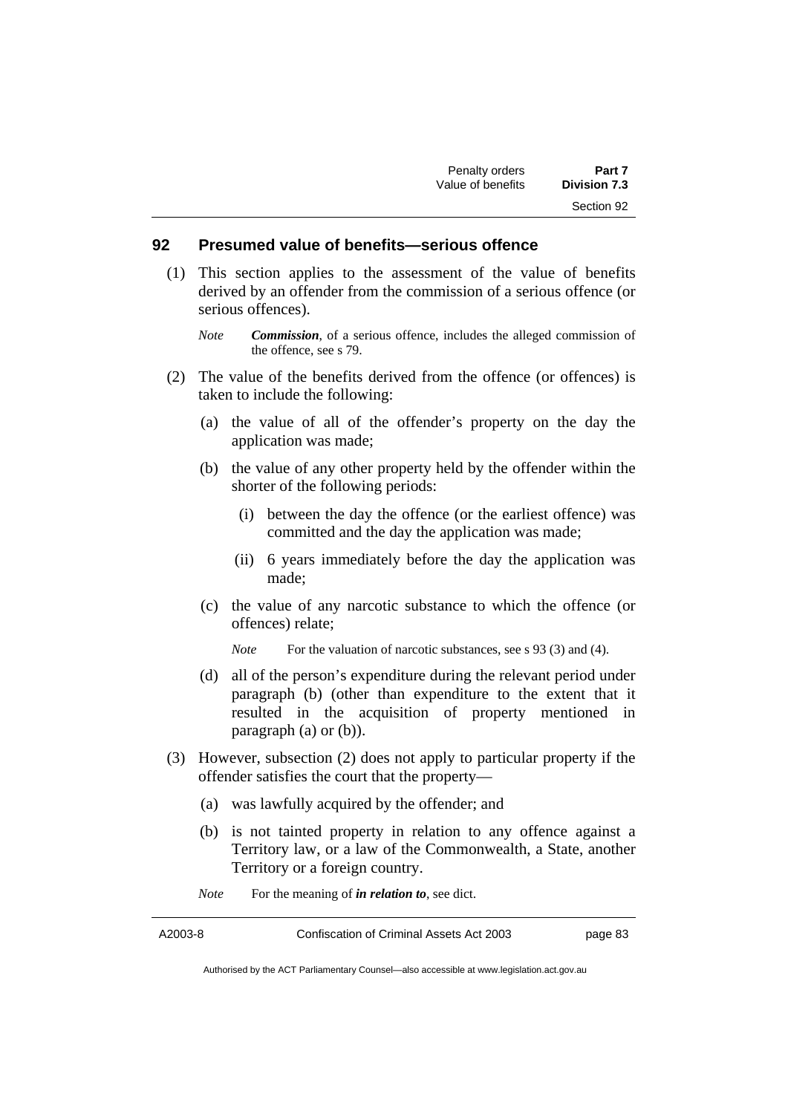### **92 Presumed value of benefits—serious offence**

- (1) This section applies to the assessment of the value of benefits derived by an offender from the commission of a serious offence (or serious offences).
	- *Note Commission*, of a serious offence, includes the alleged commission of the offence, see s 79.
- (2) The value of the benefits derived from the offence (or offences) is taken to include the following:
	- (a) the value of all of the offender's property on the day the application was made;
	- (b) the value of any other property held by the offender within the shorter of the following periods:
		- (i) between the day the offence (or the earliest offence) was committed and the day the application was made;
		- (ii) 6 years immediately before the day the application was made;
	- (c) the value of any narcotic substance to which the offence (or offences) relate;

*Note* For the valuation of narcotic substances, see s 93 (3) and (4).

- (d) all of the person's expenditure during the relevant period under paragraph (b) (other than expenditure to the extent that it resulted in the acquisition of property mentioned in paragraph (a) or (b)).
- (3) However, subsection (2) does not apply to particular property if the offender satisfies the court that the property—
	- (a) was lawfully acquired by the offender; and
	- (b) is not tainted property in relation to any offence against a Territory law, or a law of the Commonwealth, a State, another Territory or a foreign country.

*Note* For the meaning of *in relation to*, see dict.

Authorised by the ACT Parliamentary Counsel—also accessible at www.legislation.act.gov.au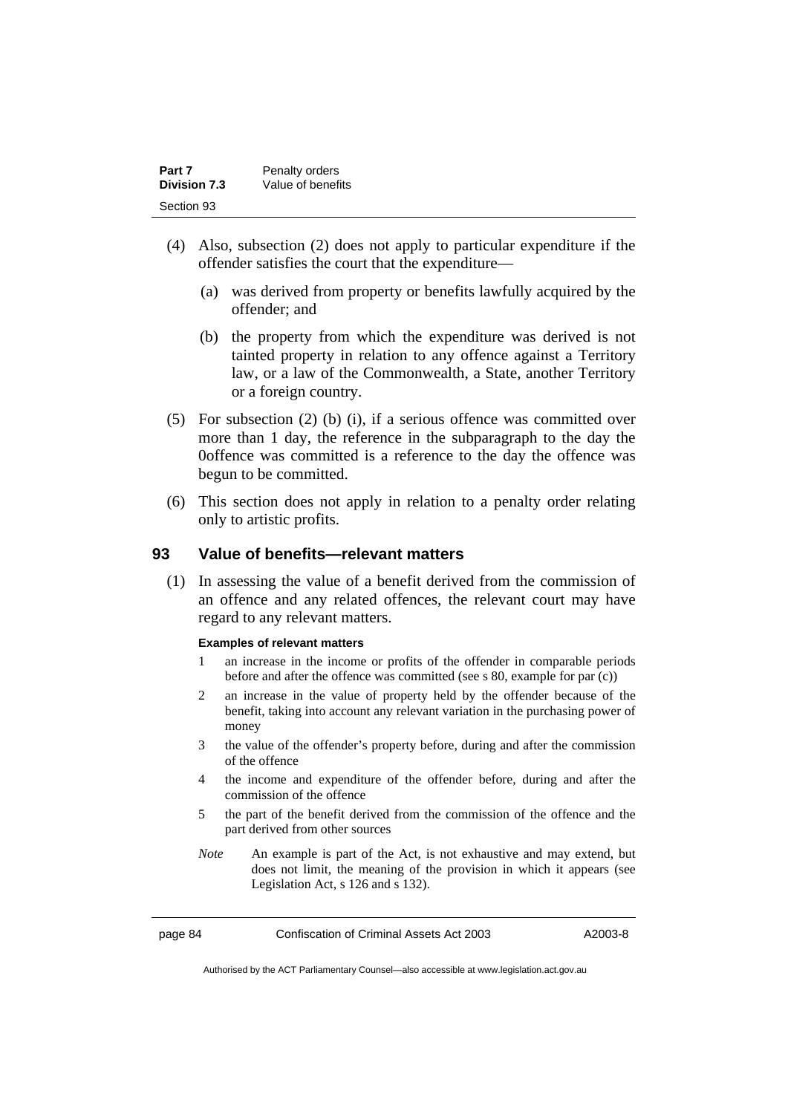| Part 7              | Penalty orders    |
|---------------------|-------------------|
| <b>Division 7.3</b> | Value of benefits |
| Section 93          |                   |

- (4) Also, subsection (2) does not apply to particular expenditure if the offender satisfies the court that the expenditure—
	- (a) was derived from property or benefits lawfully acquired by the offender; and
	- (b) the property from which the expenditure was derived is not tainted property in relation to any offence against a Territory law, or a law of the Commonwealth, a State, another Territory or a foreign country.
- (5) For subsection (2) (b) (i), if a serious offence was committed over more than 1 day, the reference in the subparagraph to the day the 0offence was committed is a reference to the day the offence was begun to be committed.
- (6) This section does not apply in relation to a penalty order relating only to artistic profits.

### **93 Value of benefits—relevant matters**

 (1) In assessing the value of a benefit derived from the commission of an offence and any related offences, the relevant court may have regard to any relevant matters.

#### **Examples of relevant matters**

- 1 an increase in the income or profits of the offender in comparable periods before and after the offence was committed (see s 80, example for par (c))
- 2 an increase in the value of property held by the offender because of the benefit, taking into account any relevant variation in the purchasing power of money
- 3 the value of the offender's property before, during and after the commission of the offence
- 4 the income and expenditure of the offender before, during and after the commission of the offence
- 5 the part of the benefit derived from the commission of the offence and the part derived from other sources
- *Note* An example is part of the Act, is not exhaustive and may extend, but does not limit, the meaning of the provision in which it appears (see Legislation Act, s 126 and s 132).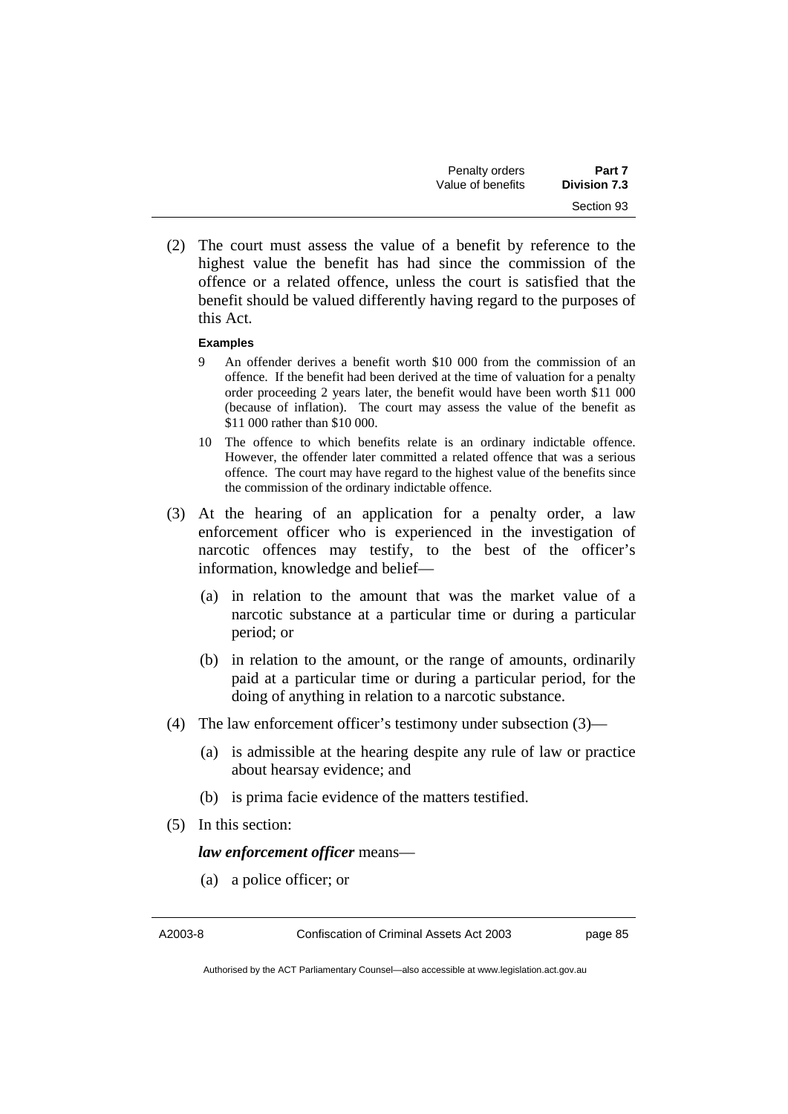| Penalty orders    | Part 7              |
|-------------------|---------------------|
| Value of benefits | <b>Division 7.3</b> |
|                   | Section 93          |

 (2) The court must assess the value of a benefit by reference to the highest value the benefit has had since the commission of the offence or a related offence, unless the court is satisfied that the benefit should be valued differently having regard to the purposes of this Act.

#### **Examples**

- 9 An offender derives a benefit worth \$10 000 from the commission of an offence. If the benefit had been derived at the time of valuation for a penalty order proceeding 2 years later, the benefit would have been worth \$11 000 (because of inflation). The court may assess the value of the benefit as \$11 000 rather than \$10 000.
- 10 The offence to which benefits relate is an ordinary indictable offence. However, the offender later committed a related offence that was a serious offence. The court may have regard to the highest value of the benefits since the commission of the ordinary indictable offence.
- (3) At the hearing of an application for a penalty order, a law enforcement officer who is experienced in the investigation of narcotic offences may testify, to the best of the officer's information, knowledge and belief—
	- (a) in relation to the amount that was the market value of a narcotic substance at a particular time or during a particular period; or
	- (b) in relation to the amount, or the range of amounts, ordinarily paid at a particular time or during a particular period, for the doing of anything in relation to a narcotic substance.
- (4) The law enforcement officer's testimony under subsection (3)—
	- (a) is admissible at the hearing despite any rule of law or practice about hearsay evidence; and
	- (b) is prima facie evidence of the matters testified.
- (5) In this section:

*law enforcement officer* means—

(a) a police officer; or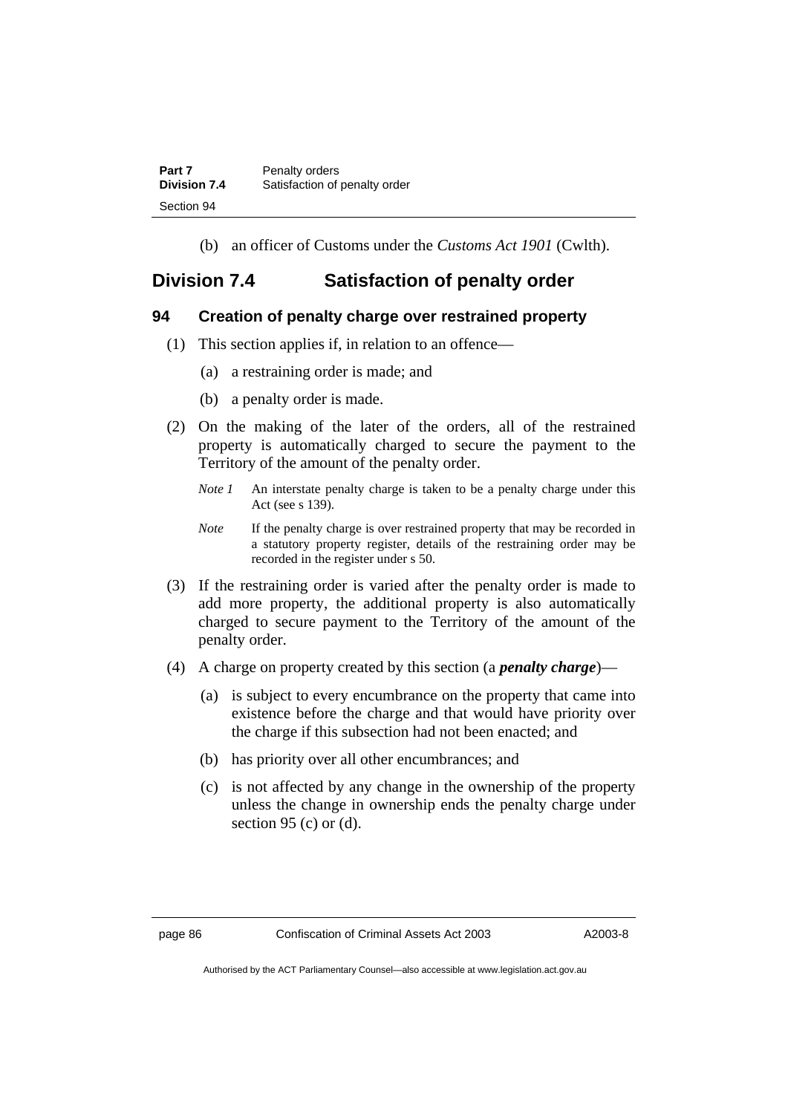| Part 7              | Penalty orders                |
|---------------------|-------------------------------|
| <b>Division 7.4</b> | Satisfaction of penalty order |
| Section 94          |                               |

(b) an officer of Customs under the *Customs Act 1901* (Cwlth).

## **Division 7.4 Satisfaction of penalty order**

## **94 Creation of penalty charge over restrained property**

- (1) This section applies if, in relation to an offence—
	- (a) a restraining order is made; and
	- (b) a penalty order is made.
- (2) On the making of the later of the orders, all of the restrained property is automatically charged to secure the payment to the Territory of the amount of the penalty order.
	- *Note 1* An interstate penalty charge is taken to be a penalty charge under this Act (see s 139).
	- *Note* If the penalty charge is over restrained property that may be recorded in a statutory property register, details of the restraining order may be recorded in the register under s 50.
- (3) If the restraining order is varied after the penalty order is made to add more property, the additional property is also automatically charged to secure payment to the Territory of the amount of the penalty order.
- (4) A charge on property created by this section (a *penalty charge*)—
	- (a) is subject to every encumbrance on the property that came into existence before the charge and that would have priority over the charge if this subsection had not been enacted; and
	- (b) has priority over all other encumbrances; and
	- (c) is not affected by any change in the ownership of the property unless the change in ownership ends the penalty charge under section 95 (c) or  $(d)$ .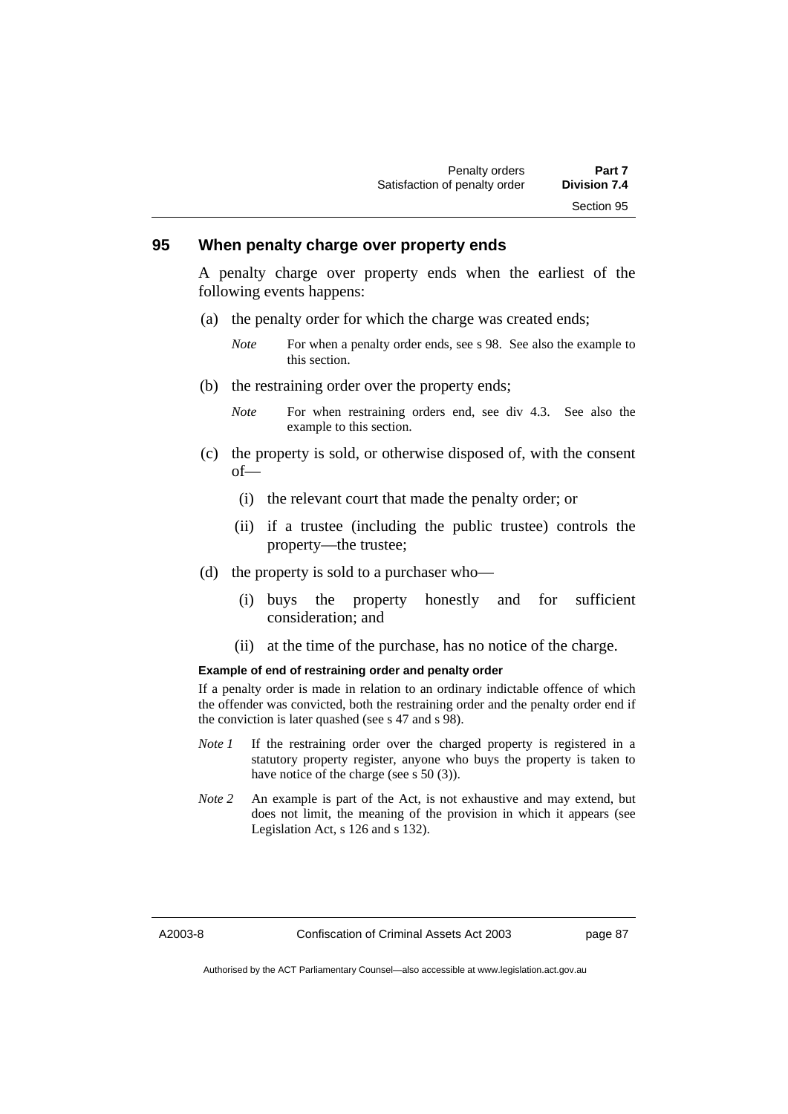## **95 When penalty charge over property ends**

A penalty charge over property ends when the earliest of the following events happens:

- (a) the penalty order for which the charge was created ends;
	- *Note* For when a penalty order ends, see s 98. See also the example to this section.
- (b) the restraining order over the property ends;
	- *Note* For when restraining orders end, see div 4.3. See also the example to this section.
- (c) the property is sold, or otherwise disposed of, with the consent of—
	- (i) the relevant court that made the penalty order; or
	- (ii) if a trustee (including the public trustee) controls the property—the trustee;
- (d) the property is sold to a purchaser who—
	- (i) buys the property honestly and for sufficient consideration; and
	- (ii) at the time of the purchase, has no notice of the charge.

#### **Example of end of restraining order and penalty order**

If a penalty order is made in relation to an ordinary indictable offence of which the offender was convicted, both the restraining order and the penalty order end if the conviction is later quashed (see s 47 and s 98).

- *Note 1* If the restraining order over the charged property is registered in a statutory property register, anyone who buys the property is taken to have notice of the charge (see s 50 (3)).
- *Note 2* An example is part of the Act, is not exhaustive and may extend, but does not limit, the meaning of the provision in which it appears (see Legislation Act, s 126 and s 132).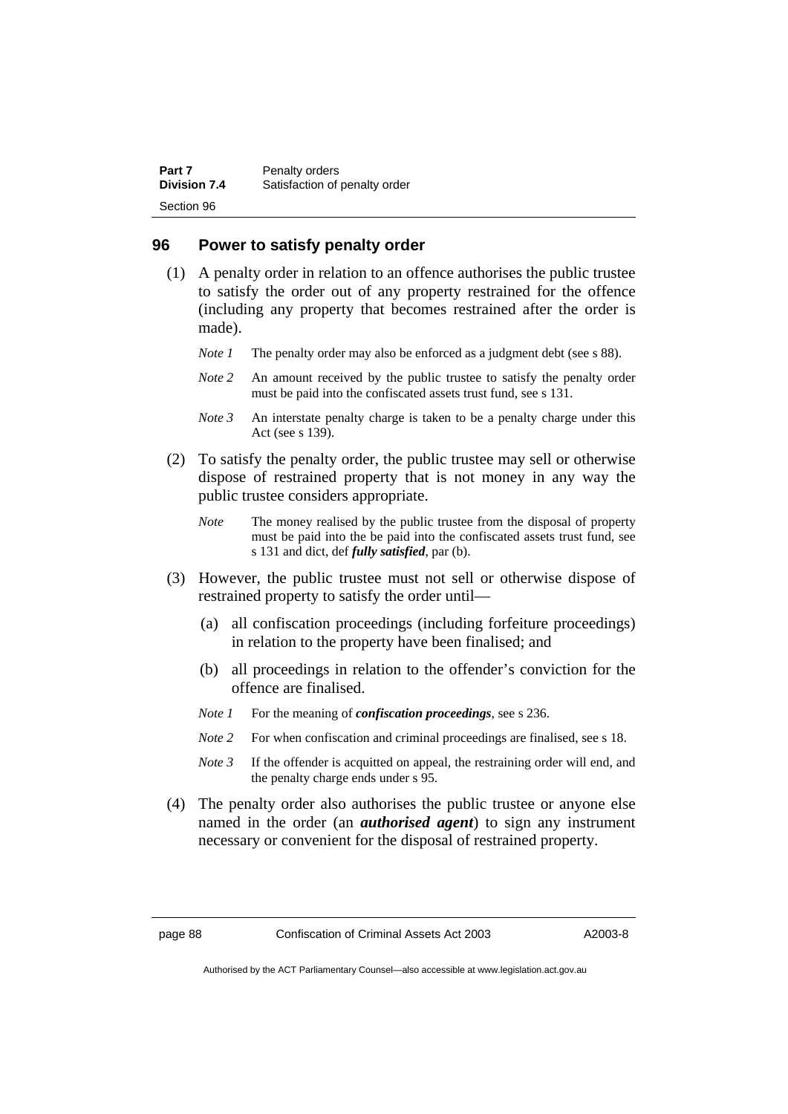| Part 7              | Penalty orders                |
|---------------------|-------------------------------|
| <b>Division 7.4</b> | Satisfaction of penalty order |
| Section 96          |                               |

### **96 Power to satisfy penalty order**

- (1) A penalty order in relation to an offence authorises the public trustee to satisfy the order out of any property restrained for the offence (including any property that becomes restrained after the order is made).
	- *Note 1* The penalty order may also be enforced as a judgment debt (see s 88).
	- *Note 2* An amount received by the public trustee to satisfy the penalty order must be paid into the confiscated assets trust fund, see s 131.
	- *Note 3* An interstate penalty charge is taken to be a penalty charge under this Act (see s 139).
- (2) To satisfy the penalty order, the public trustee may sell or otherwise dispose of restrained property that is not money in any way the public trustee considers appropriate.
	- *Note* The money realised by the public trustee from the disposal of property must be paid into the be paid into the confiscated assets trust fund, see s 131 and dict, def *fully satisfied*, par (b).
- (3) However, the public trustee must not sell or otherwise dispose of restrained property to satisfy the order until—
	- (a) all confiscation proceedings (including forfeiture proceedings) in relation to the property have been finalised; and
	- (b) all proceedings in relation to the offender's conviction for the offence are finalised.
	- *Note 1* For the meaning of *confiscation proceedings*, see s 236.
	- *Note* 2 For when confiscation and criminal proceedings are finalised, see s 18.
	- *Note 3* If the offender is acquitted on appeal, the restraining order will end, and the penalty charge ends under s 95.
- (4) The penalty order also authorises the public trustee or anyone else named in the order (an *authorised agent*) to sign any instrument necessary or convenient for the disposal of restrained property.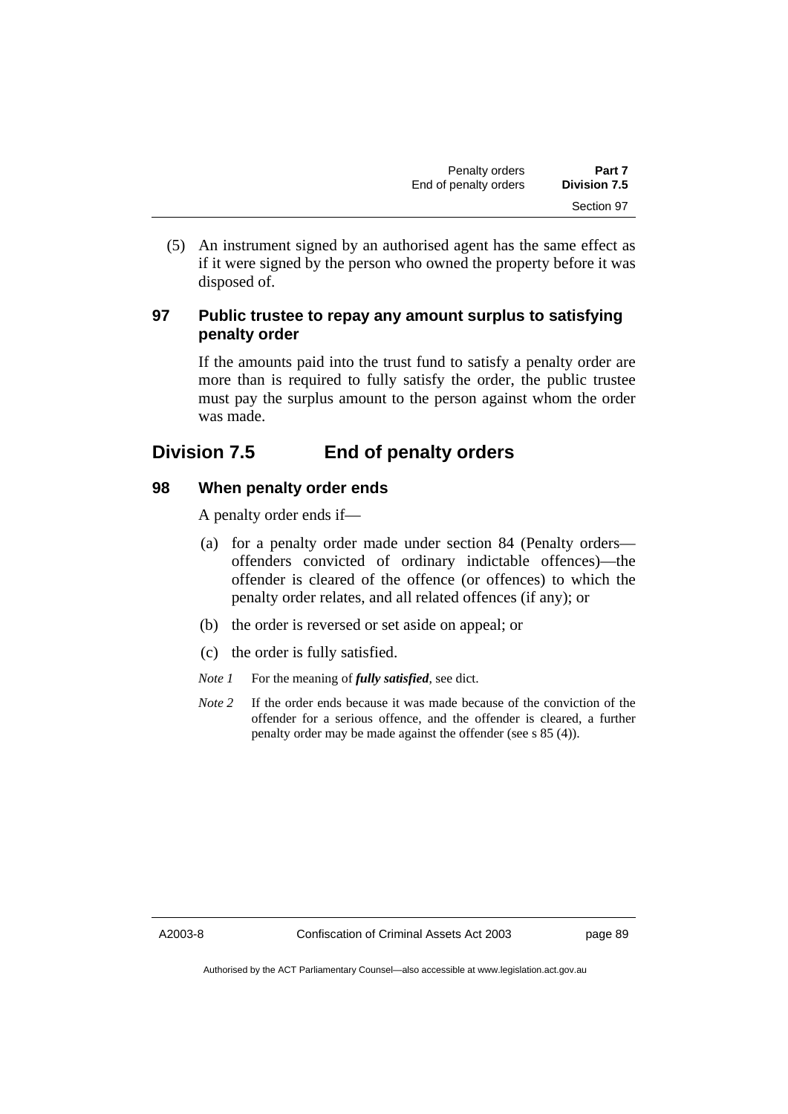(5) An instrument signed by an authorised agent has the same effect as if it were signed by the person who owned the property before it was disposed of.

## **97 Public trustee to repay any amount surplus to satisfying penalty order**

If the amounts paid into the trust fund to satisfy a penalty order are more than is required to fully satisfy the order, the public trustee must pay the surplus amount to the person against whom the order was made.

# **Division 7.5 End of penalty orders**

## **98 When penalty order ends**

A penalty order ends if—

- (a) for a penalty order made under section 84 (Penalty orders offenders convicted of ordinary indictable offences)—the offender is cleared of the offence (or offences) to which the penalty order relates, and all related offences (if any); or
- (b) the order is reversed or set aside on appeal; or
- (c) the order is fully satisfied.
- *Note 1* For the meaning of *fully satisfied*, see dict.
- *Note* 2 If the order ends because it was made because of the conviction of the offender for a serious offence, and the offender is cleared, a further penalty order may be made against the offender (see s 85 (4)).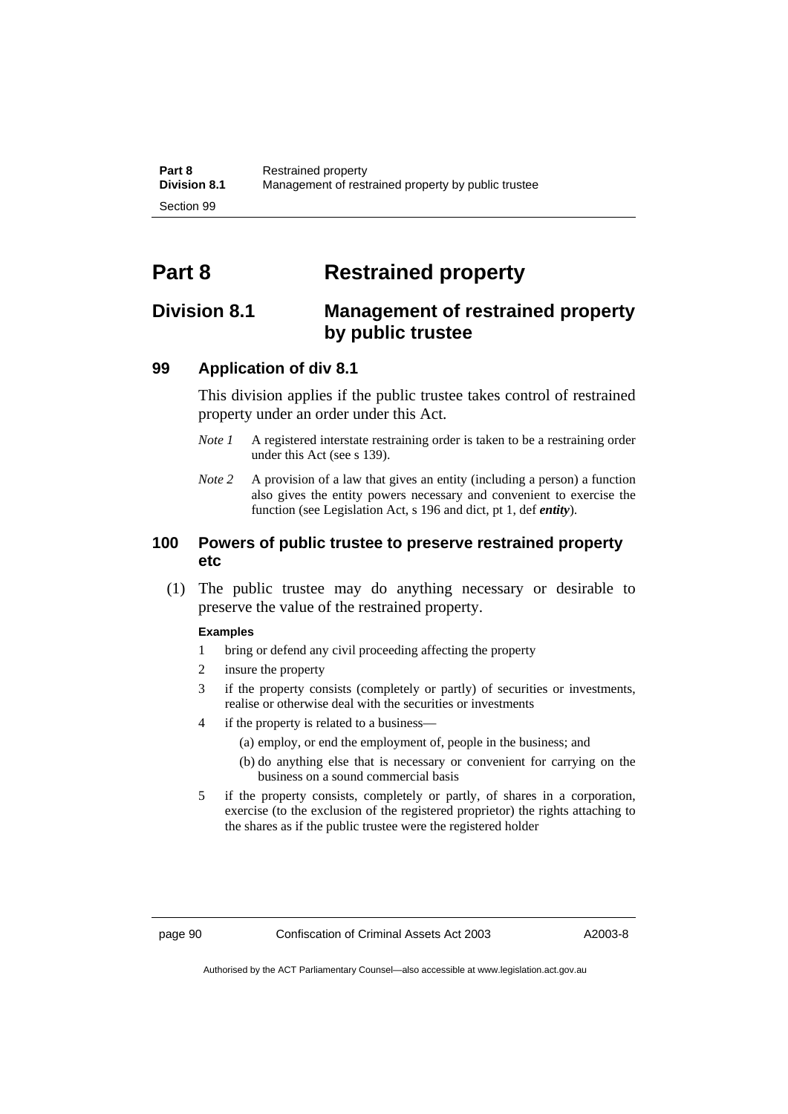# **Part 8 Restrained property**

## **Division 8.1 Management of restrained property by public trustee**

## **99 Application of div 8.1**

This division applies if the public trustee takes control of restrained property under an order under this Act.

- *Note 1* A registered interstate restraining order is taken to be a restraining order under this Act (see s 139).
- *Note 2* A provision of a law that gives an entity (including a person) a function also gives the entity powers necessary and convenient to exercise the function (see Legislation Act, s 196 and dict, pt 1, def *entity*).

## **100 Powers of public trustee to preserve restrained property etc**

 (1) The public trustee may do anything necessary or desirable to preserve the value of the restrained property.

#### **Examples**

- 1 bring or defend any civil proceeding affecting the property
- 2 insure the property
- 3 if the property consists (completely or partly) of securities or investments, realise or otherwise deal with the securities or investments
- 4 if the property is related to a business—
	- (a) employ, or end the employment of, people in the business; and
	- (b) do anything else that is necessary or convenient for carrying on the business on a sound commercial basis
- 5 if the property consists, completely or partly, of shares in a corporation, exercise (to the exclusion of the registered proprietor) the rights attaching to the shares as if the public trustee were the registered holder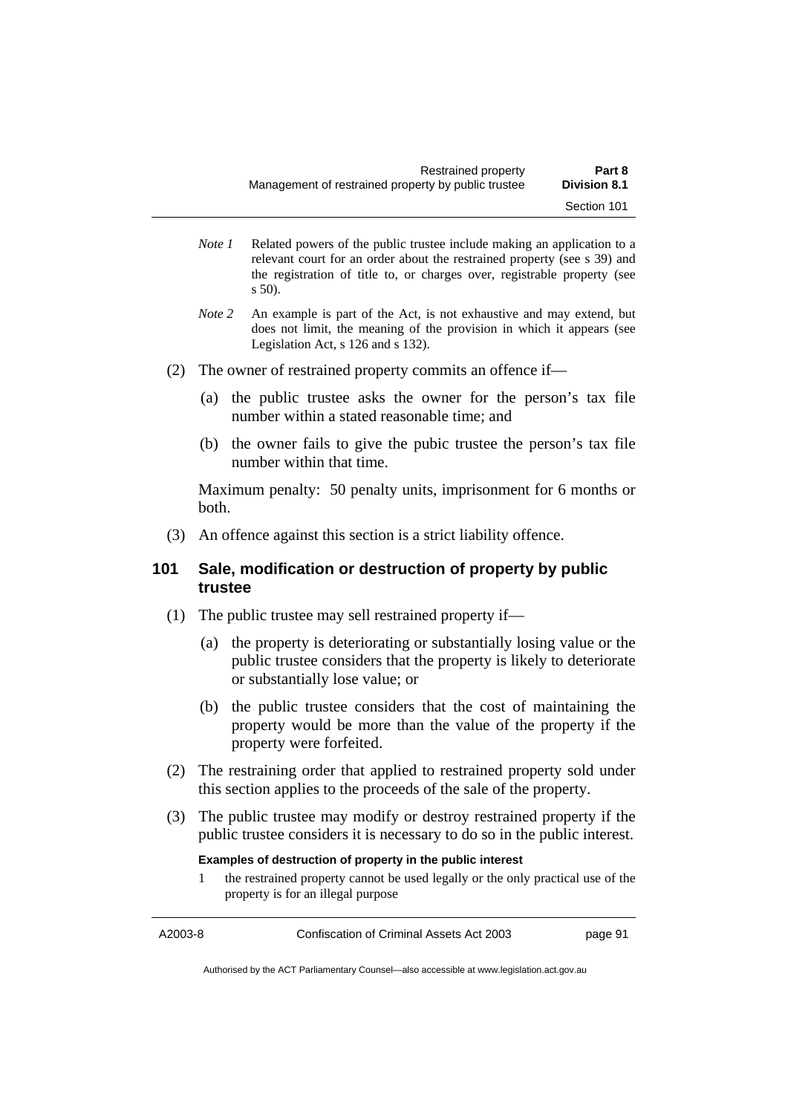- *Note 1* Related powers of the public trustee include making an application to a relevant court for an order about the restrained property (see s 39) and the registration of title to, or charges over, registrable property (see s 50).
- *Note* 2 An example is part of the Act, is not exhaustive and may extend, but does not limit, the meaning of the provision in which it appears (see Legislation Act, s 126 and s 132).
- (2) The owner of restrained property commits an offence if—
	- (a) the public trustee asks the owner for the person's tax file number within a stated reasonable time; and
	- (b) the owner fails to give the pubic trustee the person's tax file number within that time.

Maximum penalty: 50 penalty units, imprisonment for 6 months or both.

(3) An offence against this section is a strict liability offence.

## **101 Sale, modification or destruction of property by public trustee**

- (1) The public trustee may sell restrained property if—
	- (a) the property is deteriorating or substantially losing value or the public trustee considers that the property is likely to deteriorate or substantially lose value; or
	- (b) the public trustee considers that the cost of maintaining the property would be more than the value of the property if the property were forfeited.
- (2) The restraining order that applied to restrained property sold under this section applies to the proceeds of the sale of the property.
- (3) The public trustee may modify or destroy restrained property if the public trustee considers it is necessary to do so in the public interest.

#### **Examples of destruction of property in the public interest**

1 the restrained property cannot be used legally or the only practical use of the property is for an illegal purpose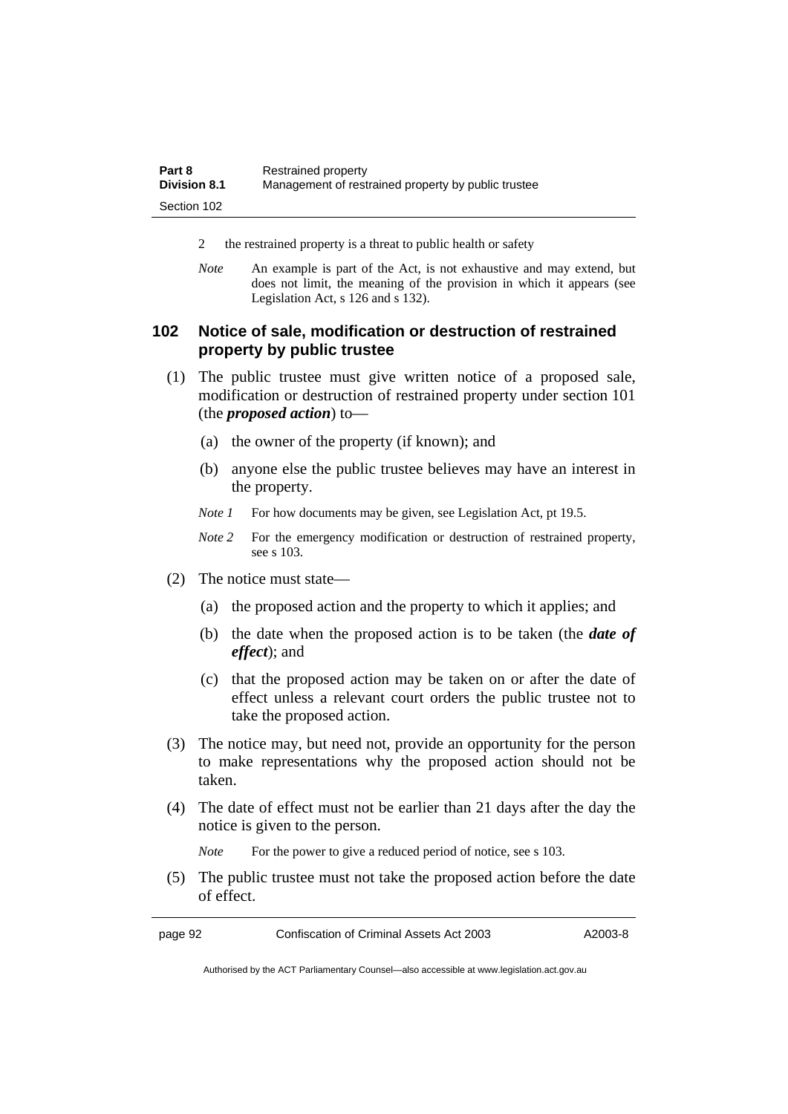| Part 8              | Restrained property                                 |
|---------------------|-----------------------------------------------------|
| <b>Division 8.1</b> | Management of restrained property by public trustee |
| Section 102         |                                                     |

- 2 the restrained property is a threat to public health or safety
- *Note* An example is part of the Act, is not exhaustive and may extend, but does not limit, the meaning of the provision in which it appears (see Legislation Act, s 126 and s 132).

## **102 Notice of sale, modification or destruction of restrained property by public trustee**

- (1) The public trustee must give written notice of a proposed sale, modification or destruction of restrained property under section 101 (the *proposed action*) to—
	- (a) the owner of the property (if known); and
	- (b) anyone else the public trustee believes may have an interest in the property.
	- *Note 1* For how documents may be given, see Legislation Act, pt 19.5.
	- *Note* 2 For the emergency modification or destruction of restrained property, see s 103.
- (2) The notice must state—
	- (a) the proposed action and the property to which it applies; and
	- (b) the date when the proposed action is to be taken (the *date of effect*); and
	- (c) that the proposed action may be taken on or after the date of effect unless a relevant court orders the public trustee not to take the proposed action.
- (3) The notice may, but need not, provide an opportunity for the person to make representations why the proposed action should not be taken.
- (4) The date of effect must not be earlier than 21 days after the day the notice is given to the person.

*Note* For the power to give a reduced period of notice, see s 103.

 (5) The public trustee must not take the proposed action before the date of effect.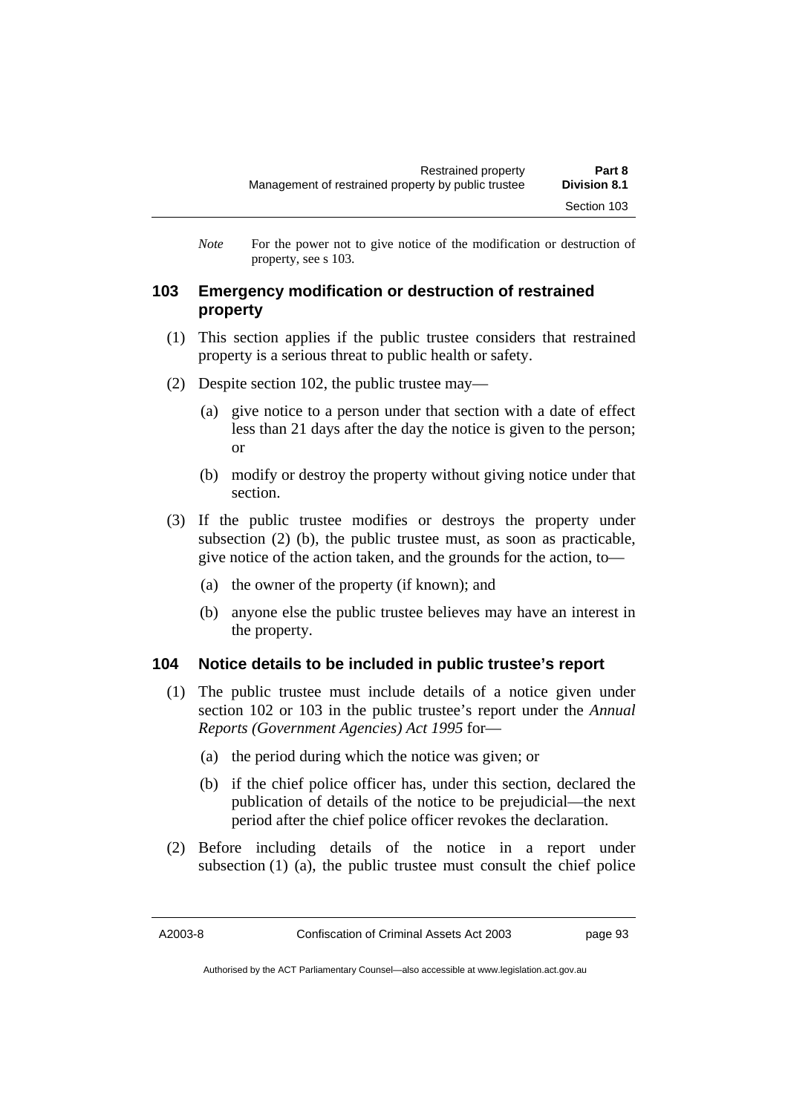*Note* For the power not to give notice of the modification or destruction of property, see s 103.

## **103 Emergency modification or destruction of restrained property**

- (1) This section applies if the public trustee considers that restrained property is a serious threat to public health or safety.
- (2) Despite section 102, the public trustee may—
	- (a) give notice to a person under that section with a date of effect less than 21 days after the day the notice is given to the person; or
	- (b) modify or destroy the property without giving notice under that section.
- (3) If the public trustee modifies or destroys the property under subsection (2) (b), the public trustee must, as soon as practicable, give notice of the action taken, and the grounds for the action, to—
	- (a) the owner of the property (if known); and
	- (b) anyone else the public trustee believes may have an interest in the property.

## **104 Notice details to be included in public trustee's report**

- (1) The public trustee must include details of a notice given under section 102 or 103 in the public trustee's report under the *Annual Reports (Government Agencies) Act 1995* for—
	- (a) the period during which the notice was given; or
	- (b) if the chief police officer has, under this section, declared the publication of details of the notice to be prejudicial—the next period after the chief police officer revokes the declaration.
- (2) Before including details of the notice in a report under subsection (1) (a), the public trustee must consult the chief police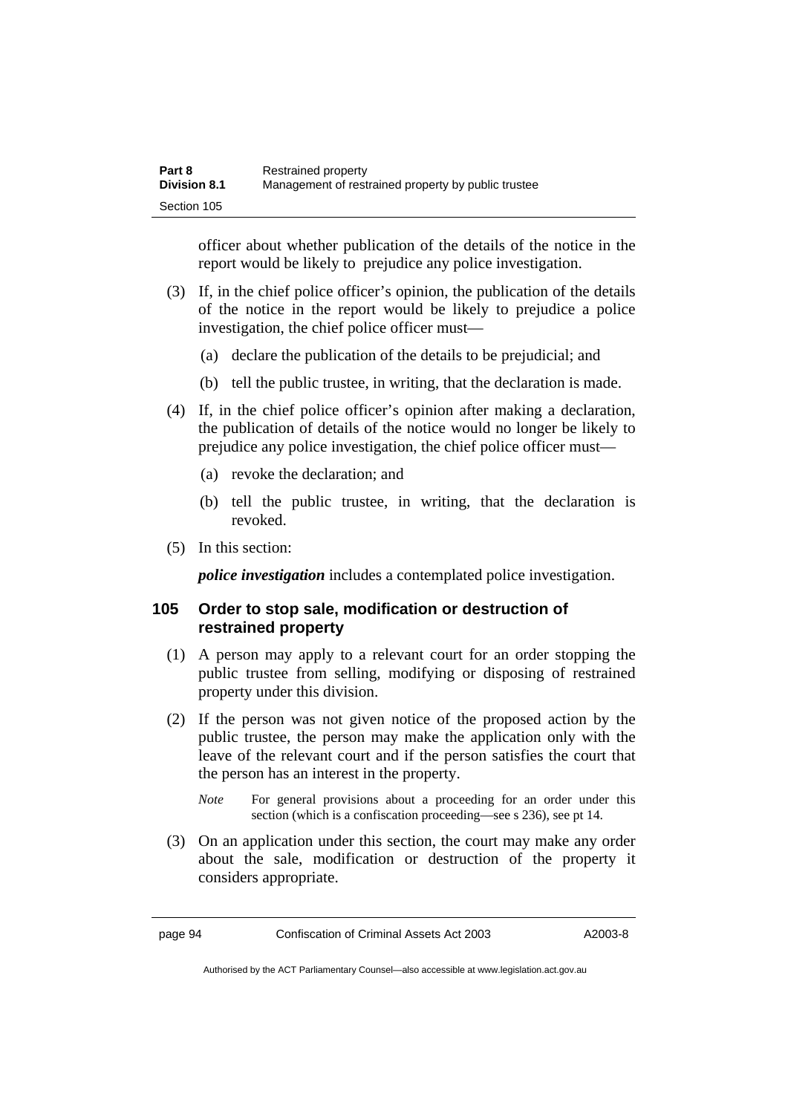| Part 8              | Restrained property                                 |
|---------------------|-----------------------------------------------------|
| <b>Division 8.1</b> | Management of restrained property by public trustee |
| Section 105         |                                                     |

officer about whether publication of the details of the notice in the report would be likely to prejudice any police investigation.

- (3) If, in the chief police officer's opinion, the publication of the details of the notice in the report would be likely to prejudice a police investigation, the chief police officer must—
	- (a) declare the publication of the details to be prejudicial; and
	- (b) tell the public trustee, in writing, that the declaration is made.
- (4) If, in the chief police officer's opinion after making a declaration, the publication of details of the notice would no longer be likely to prejudice any police investigation, the chief police officer must—
	- (a) revoke the declaration; and
	- (b) tell the public trustee, in writing, that the declaration is revoked.
- (5) In this section:

*police investigation* includes a contemplated police investigation.

## **105 Order to stop sale, modification or destruction of restrained property**

- (1) A person may apply to a relevant court for an order stopping the public trustee from selling, modifying or disposing of restrained property under this division.
- (2) If the person was not given notice of the proposed action by the public trustee, the person may make the application only with the leave of the relevant court and if the person satisfies the court that the person has an interest in the property.
	- *Note* For general provisions about a proceeding for an order under this section (which is a confiscation proceeding—see s 236), see pt 14.
- (3) On an application under this section, the court may make any order about the sale, modification or destruction of the property it considers appropriate.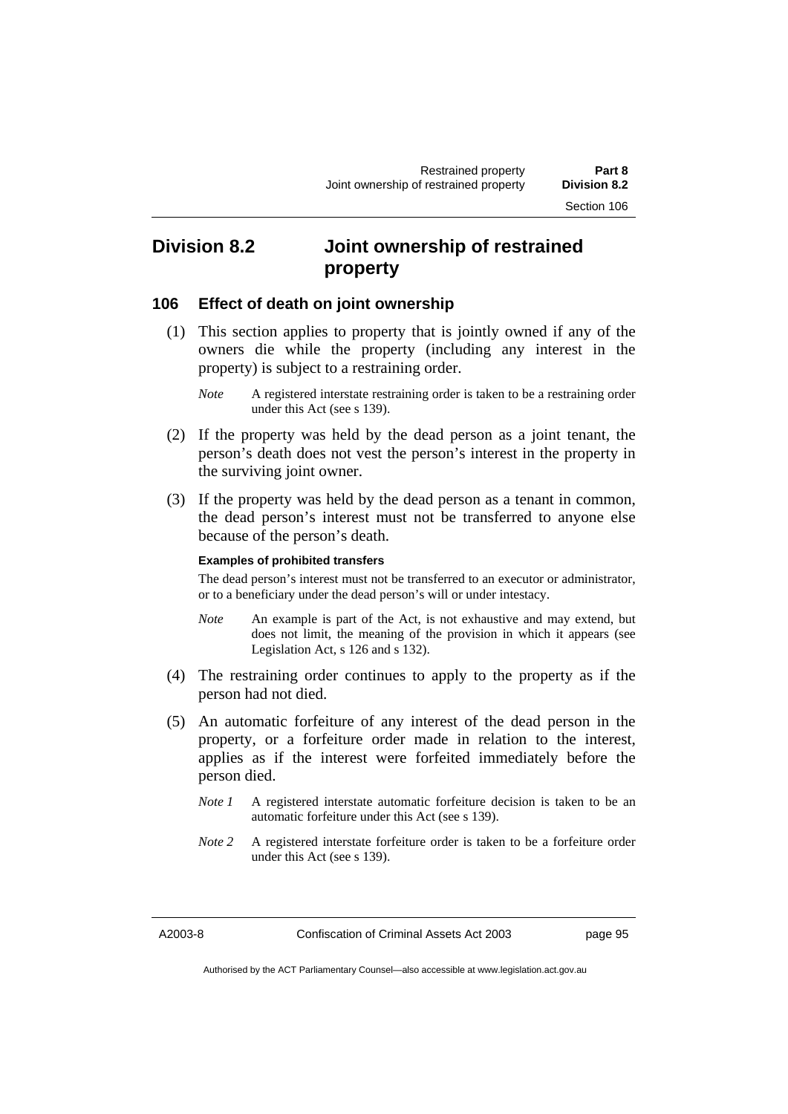## **Division 8.2 Joint ownership of restrained property**

## **106 Effect of death on joint ownership**

- (1) This section applies to property that is jointly owned if any of the owners die while the property (including any interest in the property) is subject to a restraining order.
	- *Note* A registered interstate restraining order is taken to be a restraining order under this Act (see s 139).
- (2) If the property was held by the dead person as a joint tenant, the person's death does not vest the person's interest in the property in the surviving joint owner.
- (3) If the property was held by the dead person as a tenant in common, the dead person's interest must not be transferred to anyone else because of the person's death.

#### **Examples of prohibited transfers**

The dead person's interest must not be transferred to an executor or administrator, or to a beneficiary under the dead person's will or under intestacy.

- *Note* An example is part of the Act, is not exhaustive and may extend, but does not limit, the meaning of the provision in which it appears (see Legislation Act, s 126 and s 132).
- (4) The restraining order continues to apply to the property as if the person had not died.
- (5) An automatic forfeiture of any interest of the dead person in the property, or a forfeiture order made in relation to the interest, applies as if the interest were forfeited immediately before the person died.
	- *Note 1* A registered interstate automatic forfeiture decision is taken to be an automatic forfeiture under this Act (see s 139).
	- *Note 2* A registered interstate forfeiture order is taken to be a forfeiture order under this Act (see s 139).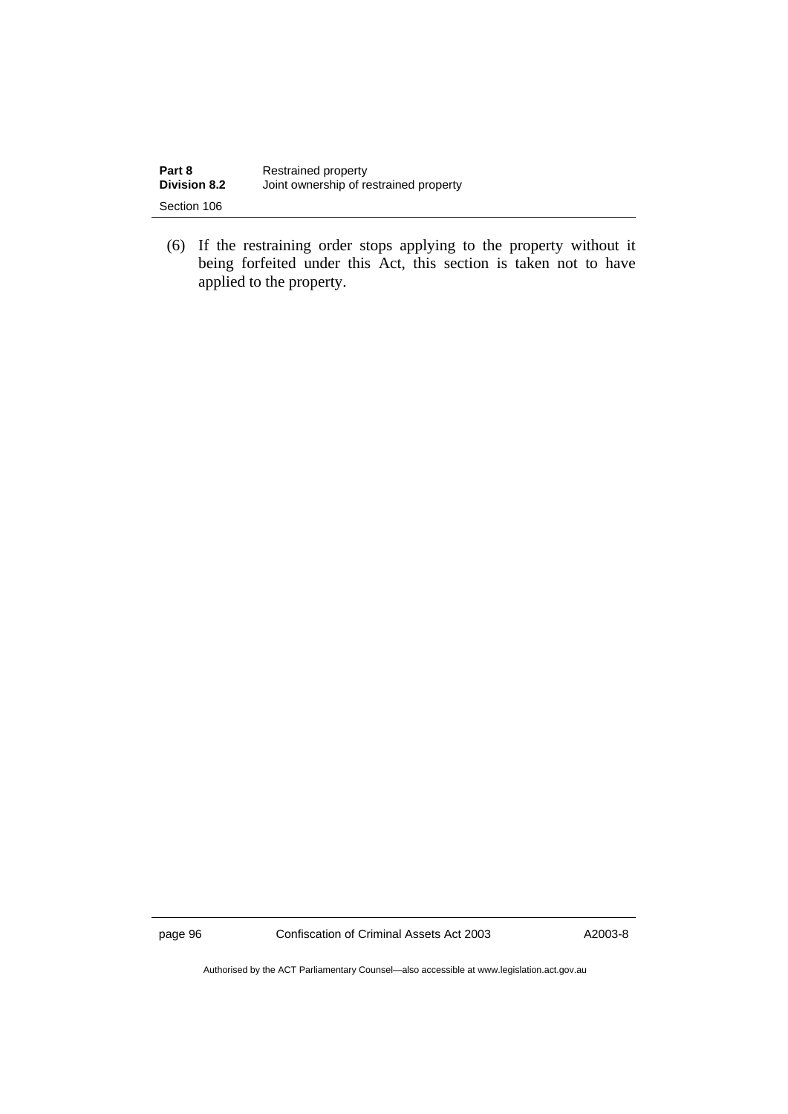| Part 8              | Restrained property                    |
|---------------------|----------------------------------------|
| <b>Division 8.2</b> | Joint ownership of restrained property |
| Section 106         |                                        |

 (6) If the restraining order stops applying to the property without it being forfeited under this Act, this section is taken not to have applied to the property.

page 96 Confiscation of Criminal Assets Act 2003 A2003-8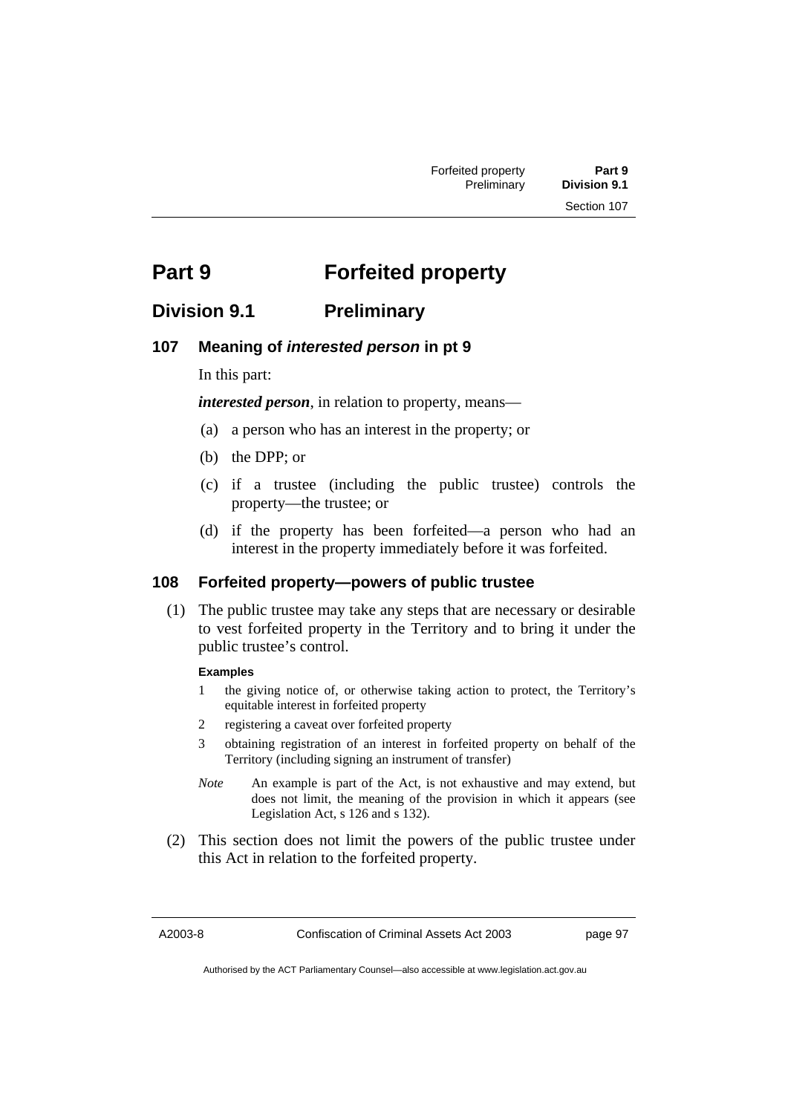# **Part 9 Forfeited property**

## **Division 9.1 Preliminary**

## **107 Meaning of** *interested person* **in pt 9**

In this part:

*interested person*, in relation to property, means—

- (a) a person who has an interest in the property; or
- (b) the DPP; or
- (c) if a trustee (including the public trustee) controls the property—the trustee; or
- (d) if the property has been forfeited—a person who had an interest in the property immediately before it was forfeited.

## **108 Forfeited property—powers of public trustee**

 (1) The public trustee may take any steps that are necessary or desirable to vest forfeited property in the Territory and to bring it under the public trustee's control.

### **Examples**

- 1 the giving notice of, or otherwise taking action to protect, the Territory's equitable interest in forfeited property
- 2 registering a caveat over forfeited property
- 3 obtaining registration of an interest in forfeited property on behalf of the Territory (including signing an instrument of transfer)
- *Note* An example is part of the Act, is not exhaustive and may extend, but does not limit, the meaning of the provision in which it appears (see Legislation Act, s 126 and s 132).
- (2) This section does not limit the powers of the public trustee under this Act in relation to the forfeited property.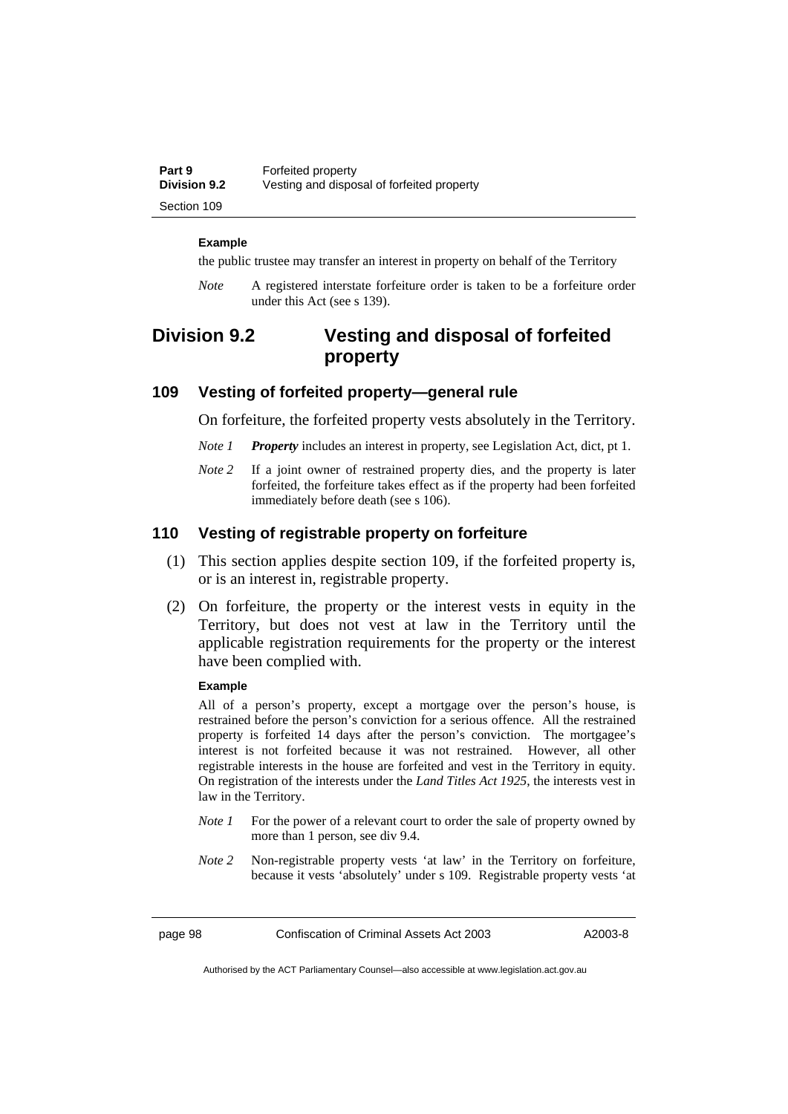| Part 9              | Forfeited property                         |
|---------------------|--------------------------------------------|
| <b>Division 9.2</b> | Vesting and disposal of forfeited property |
| Section 109         |                                            |

#### **Example**

the public trustee may transfer an interest in property on behalf of the Territory

*Note* A registered interstate forfeiture order is taken to be a forfeiture order under this Act (see s 139).

## **Division 9.2 Vesting and disposal of forfeited property**

## **109 Vesting of forfeited property—general rule**

On forfeiture, the forfeited property vests absolutely in the Territory.

- *Note 1 Property* includes an interest in property, see Legislation Act, dict, pt 1.
- *Note 2* If a joint owner of restrained property dies, and the property is later forfeited, the forfeiture takes effect as if the property had been forfeited immediately before death (see s 106).

### **110 Vesting of registrable property on forfeiture**

- (1) This section applies despite section 109, if the forfeited property is, or is an interest in, registrable property.
- (2) On forfeiture, the property or the interest vests in equity in the Territory, but does not vest at law in the Territory until the applicable registration requirements for the property or the interest have been complied with.

#### **Example**

All of a person's property, except a mortgage over the person's house, is restrained before the person's conviction for a serious offence. All the restrained property is forfeited 14 days after the person's conviction. The mortgagee's interest is not forfeited because it was not restrained. However, all other registrable interests in the house are forfeited and vest in the Territory in equity. On registration of the interests under the *Land Titles Act 1925*, the interests vest in law in the Territory.

- *Note 1* For the power of a relevant court to order the sale of property owned by more than 1 person, see div 9.4.
- *Note 2* Non-registrable property vests 'at law' in the Territory on forfeiture, because it vests 'absolutely' under s 109. Registrable property vests 'at

page 98 Confiscation of Criminal Assets Act 2003 A2003-8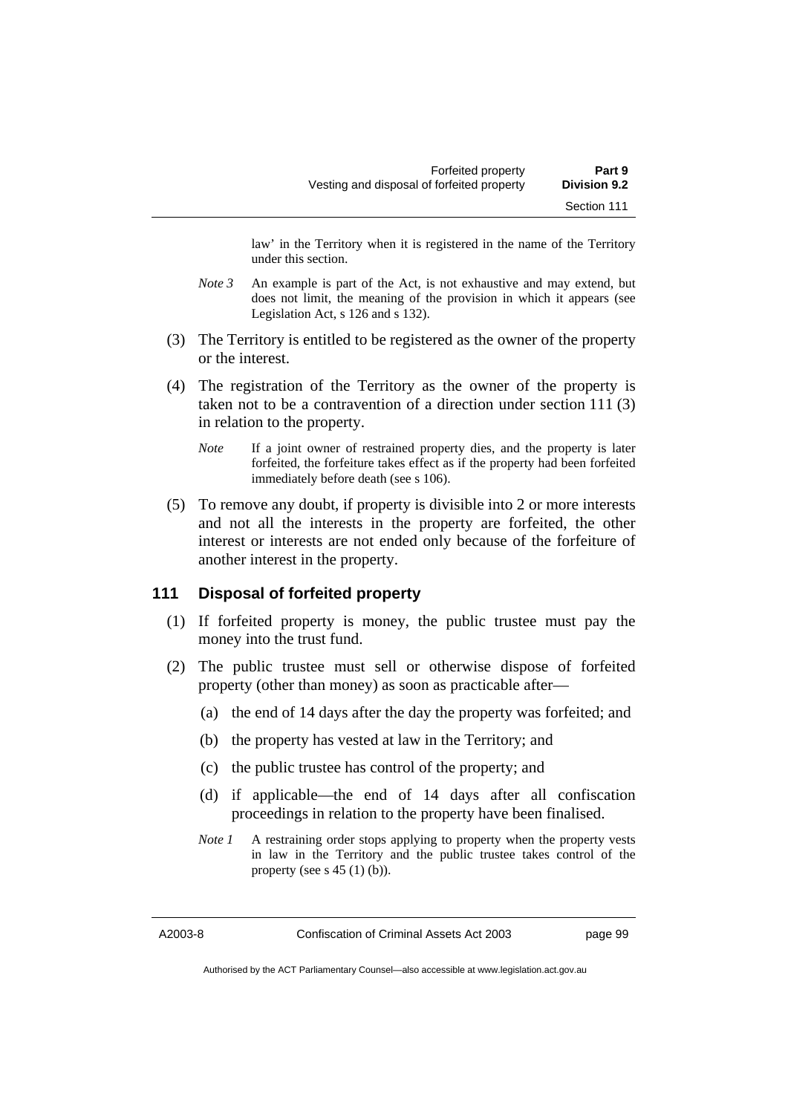law' in the Territory when it is registered in the name of the Territory under this section.

- *Note 3* An example is part of the Act, is not exhaustive and may extend, but does not limit, the meaning of the provision in which it appears (see Legislation Act, s 126 and s 132).
- (3) The Territory is entitled to be registered as the owner of the property or the interest.
- (4) The registration of the Territory as the owner of the property is taken not to be a contravention of a direction under section 111 (3) in relation to the property.
	- *Note* If a joint owner of restrained property dies, and the property is later forfeited, the forfeiture takes effect as if the property had been forfeited immediately before death (see s 106).
- (5) To remove any doubt, if property is divisible into 2 or more interests and not all the interests in the property are forfeited, the other interest or interests are not ended only because of the forfeiture of another interest in the property.

## **111 Disposal of forfeited property**

- (1) If forfeited property is money, the public trustee must pay the money into the trust fund.
- (2) The public trustee must sell or otherwise dispose of forfeited property (other than money) as soon as practicable after—
	- (a) the end of 14 days after the day the property was forfeited; and
	- (b) the property has vested at law in the Territory; and
	- (c) the public trustee has control of the property; and
	- (d) if applicable—the end of 14 days after all confiscation proceedings in relation to the property have been finalised.
	- *Note 1* A restraining order stops applying to property when the property vests in law in the Territory and the public trustee takes control of the property (see s  $45(1)(b)$ ).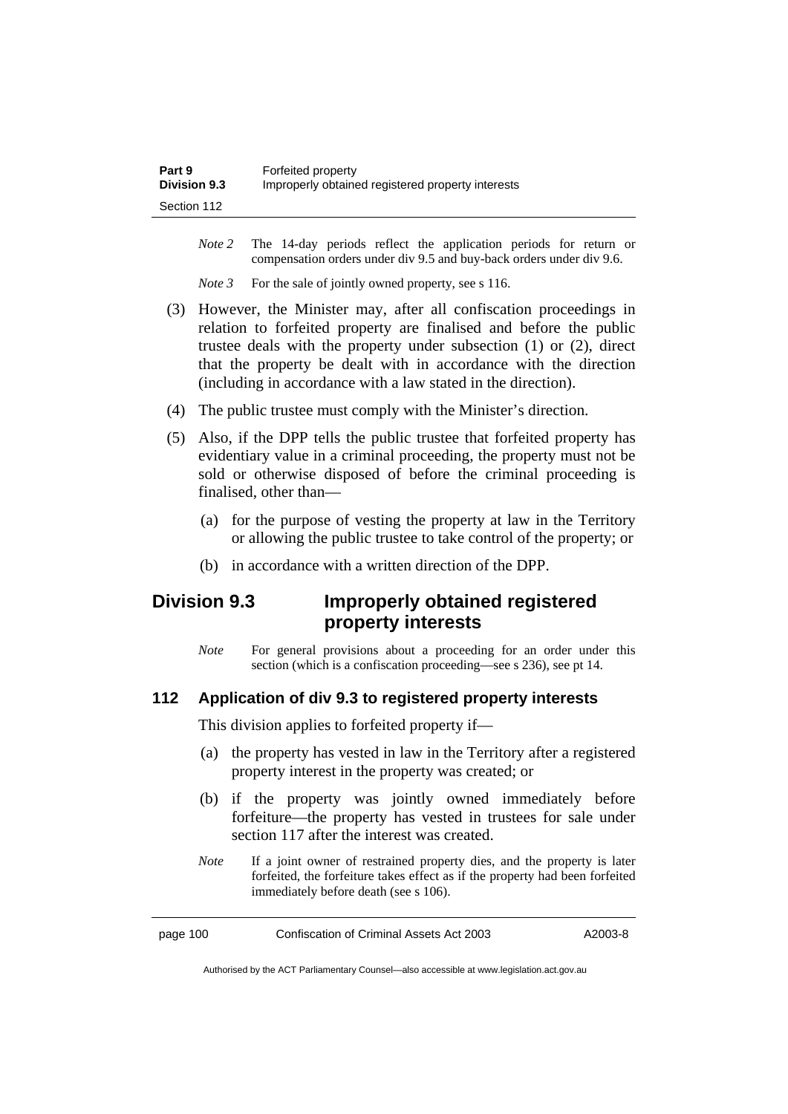| Part 9              | Forfeited property                                |
|---------------------|---------------------------------------------------|
| <b>Division 9.3</b> | Improperly obtained registered property interests |
| Section 112         |                                                   |

- *Note 2* The 14-day periods reflect the application periods for return or compensation orders under div 9.5 and buy-back orders under div 9.6.
- *Note 3* For the sale of jointly owned property, see s 116.
- (3) However, the Minister may, after all confiscation proceedings in relation to forfeited property are finalised and before the public trustee deals with the property under subsection (1) or (2), direct that the property be dealt with in accordance with the direction (including in accordance with a law stated in the direction).
- (4) The public trustee must comply with the Minister's direction.
- (5) Also, if the DPP tells the public trustee that forfeited property has evidentiary value in a criminal proceeding, the property must not be sold or otherwise disposed of before the criminal proceeding is finalised, other than—
	- (a) for the purpose of vesting the property at law in the Territory or allowing the public trustee to take control of the property; or
	- (b) in accordance with a written direction of the DPP.

## **Division 9.3 Improperly obtained registered property interests**

*Note* For general provisions about a proceeding for an order under this section (which is a confiscation proceeding—see s 236), see pt 14.

### **112 Application of div 9.3 to registered property interests**

This division applies to forfeited property if—

- (a) the property has vested in law in the Territory after a registered property interest in the property was created; or
- (b) if the property was jointly owned immediately before forfeiture—the property has vested in trustees for sale under section 117 after the interest was created.
- *Note* If a joint owner of restrained property dies, and the property is later forfeited, the forfeiture takes effect as if the property had been forfeited immediately before death (see s 106).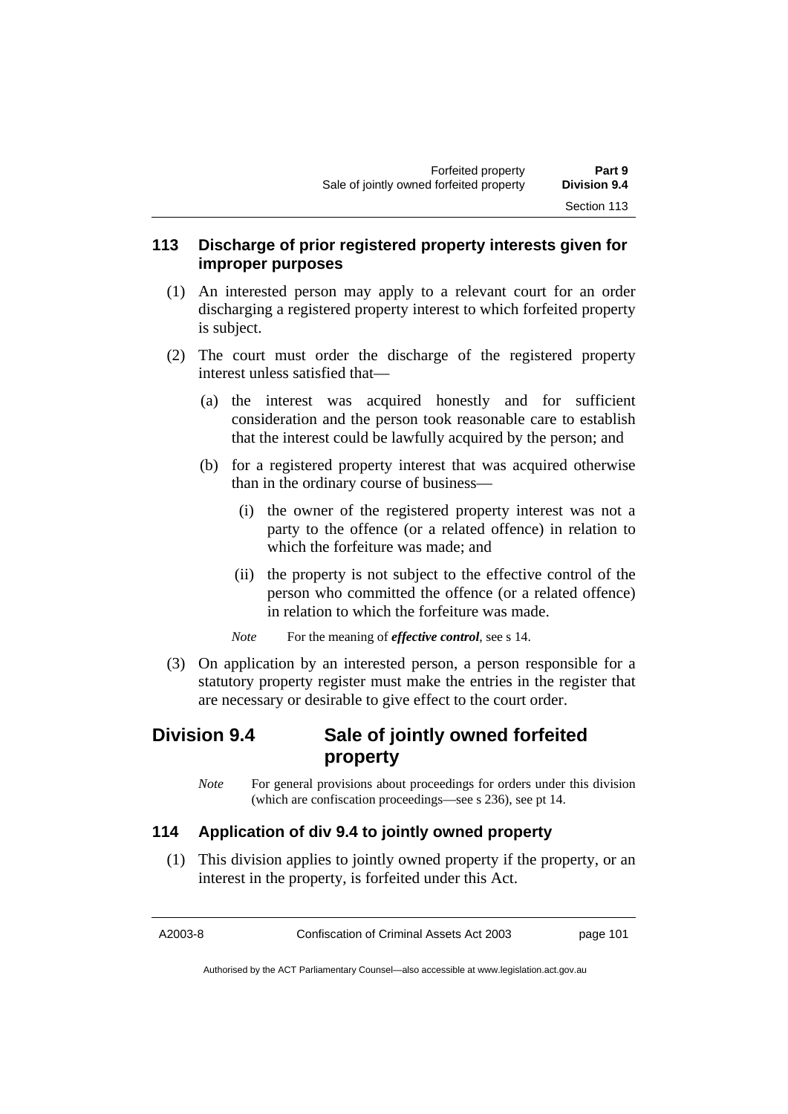## **113 Discharge of prior registered property interests given for improper purposes**

- (1) An interested person may apply to a relevant court for an order discharging a registered property interest to which forfeited property is subject.
- (2) The court must order the discharge of the registered property interest unless satisfied that—
	- (a) the interest was acquired honestly and for sufficient consideration and the person took reasonable care to establish that the interest could be lawfully acquired by the person; and
	- (b) for a registered property interest that was acquired otherwise than in the ordinary course of business—
		- (i) the owner of the registered property interest was not a party to the offence (or a related offence) in relation to which the forfeiture was made; and
		- (ii) the property is not subject to the effective control of the person who committed the offence (or a related offence) in relation to which the forfeiture was made.
		- *Note* For the meaning of *effective control*, see s 14.
- (3) On application by an interested person, a person responsible for a statutory property register must make the entries in the register that are necessary or desirable to give effect to the court order.

## **Division 9.4 Sale of jointly owned forfeited property**

*Note* For general provisions about proceedings for orders under this division (which are confiscation proceedings—see s 236), see pt 14.

## **114 Application of div 9.4 to jointly owned property**

 (1) This division applies to jointly owned property if the property, or an interest in the property, is forfeited under this Act.

A2003-8 Confiscation of Criminal Assets Act 2003 page 101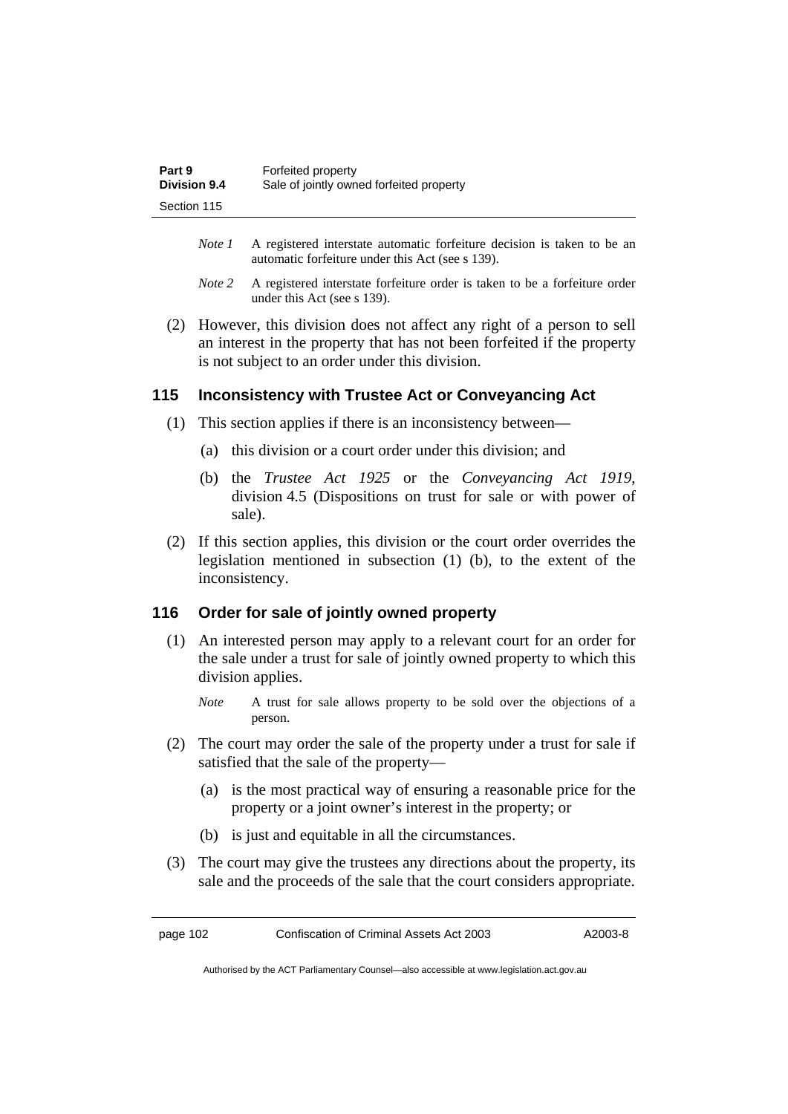| Part 9              | Forfeited property                       |
|---------------------|------------------------------------------|
| <b>Division 9.4</b> | Sale of jointly owned forfeited property |
| Section 115         |                                          |

- *Note 1* A registered interstate automatic forfeiture decision is taken to be an automatic forfeiture under this Act (see s 139).
- *Note 2* A registered interstate forfeiture order is taken to be a forfeiture order under this Act (see s 139).
- (2) However, this division does not affect any right of a person to sell an interest in the property that has not been forfeited if the property is not subject to an order under this division.

## **115 Inconsistency with Trustee Act or Conveyancing Act**

- (1) This section applies if there is an inconsistency between—
	- (a) this division or a court order under this division; and
	- (b) the *Trustee Act 1925* or the *Conveyancing Act 1919*, division 4.5 (Dispositions on trust for sale or with power of sale).
- (2) If this section applies, this division or the court order overrides the legislation mentioned in subsection (1) (b), to the extent of the inconsistency.

### **116 Order for sale of jointly owned property**

- (1) An interested person may apply to a relevant court for an order for the sale under a trust for sale of jointly owned property to which this division applies.
	- *Note* A trust for sale allows property to be sold over the objections of a person.
- (2) The court may order the sale of the property under a trust for sale if satisfied that the sale of the property—
	- (a) is the most practical way of ensuring a reasonable price for the property or a joint owner's interest in the property; or
	- (b) is just and equitable in all the circumstances.
- (3) The court may give the trustees any directions about the property, its sale and the proceeds of the sale that the court considers appropriate.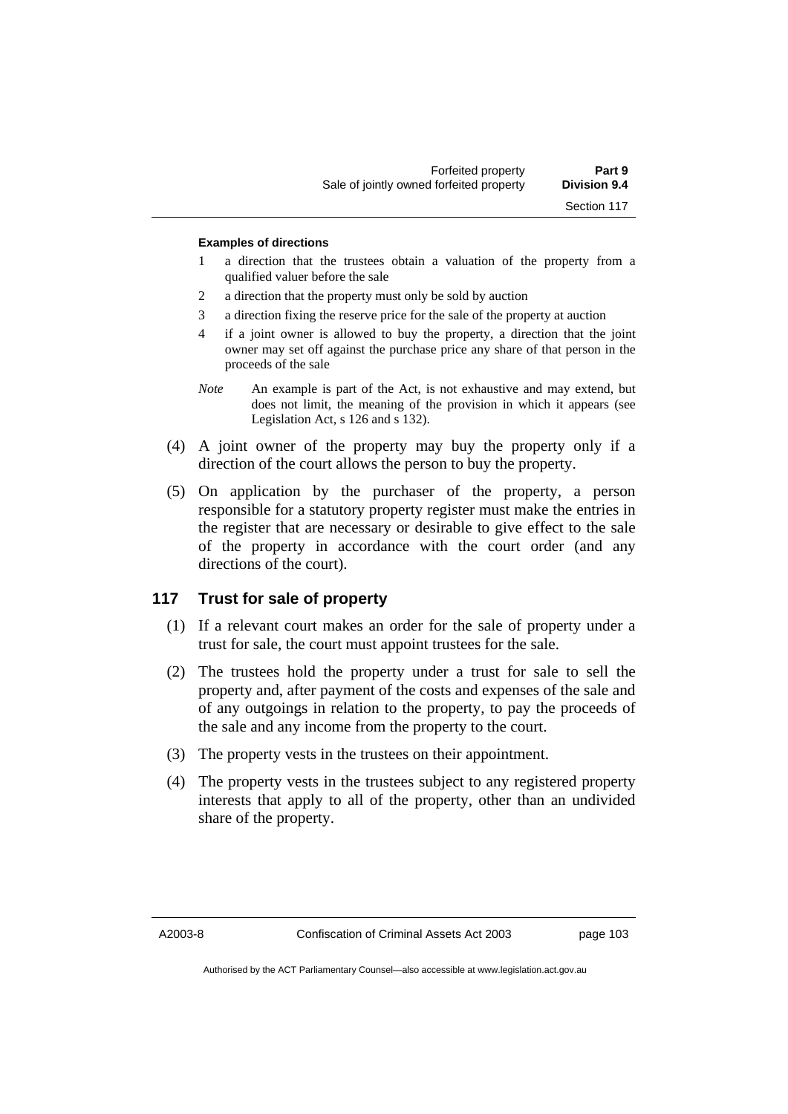#### **Examples of directions**

- 1 a direction that the trustees obtain a valuation of the property from a qualified valuer before the sale
- 2 a direction that the property must only be sold by auction
- 3 a direction fixing the reserve price for the sale of the property at auction
- 4 if a joint owner is allowed to buy the property, a direction that the joint owner may set off against the purchase price any share of that person in the proceeds of the sale
- *Note* An example is part of the Act, is not exhaustive and may extend, but does not limit, the meaning of the provision in which it appears (see Legislation Act, s 126 and s 132).
- (4) A joint owner of the property may buy the property only if a direction of the court allows the person to buy the property.
- (5) On application by the purchaser of the property, a person responsible for a statutory property register must make the entries in the register that are necessary or desirable to give effect to the sale of the property in accordance with the court order (and any directions of the court).

### **117 Trust for sale of property**

- (1) If a relevant court makes an order for the sale of property under a trust for sale, the court must appoint trustees for the sale.
- (2) The trustees hold the property under a trust for sale to sell the property and, after payment of the costs and expenses of the sale and of any outgoings in relation to the property, to pay the proceeds of the sale and any income from the property to the court.
- (3) The property vests in the trustees on their appointment.
- (4) The property vests in the trustees subject to any registered property interests that apply to all of the property, other than an undivided share of the property.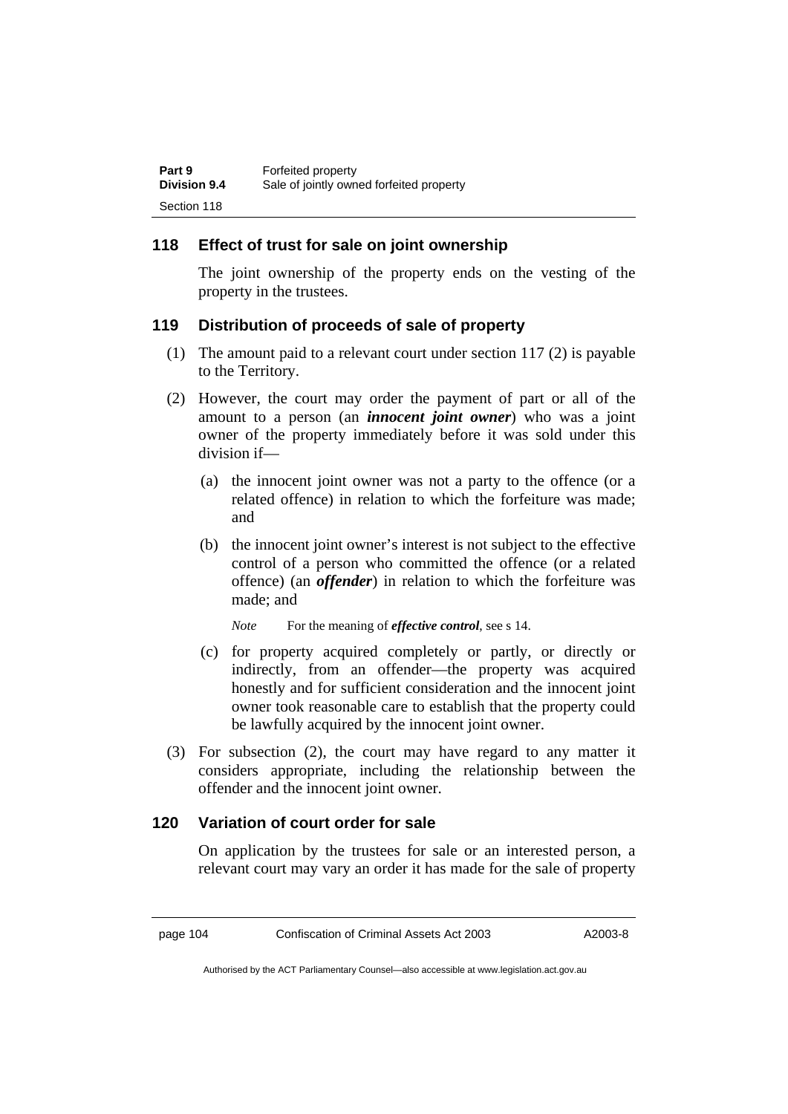## **118 Effect of trust for sale on joint ownership**

The joint ownership of the property ends on the vesting of the property in the trustees.

## **119 Distribution of proceeds of sale of property**

- (1) The amount paid to a relevant court under section 117 (2) is payable to the Territory.
- (2) However, the court may order the payment of part or all of the amount to a person (an *innocent joint owner*) who was a joint owner of the property immediately before it was sold under this division if—
	- (a) the innocent joint owner was not a party to the offence (or a related offence) in relation to which the forfeiture was made; and
	- (b) the innocent joint owner's interest is not subject to the effective control of a person who committed the offence (or a related offence) (an *offender*) in relation to which the forfeiture was made; and

*Note* For the meaning of *effective control*, see s 14.

- (c) for property acquired completely or partly, or directly or indirectly, from an offender—the property was acquired honestly and for sufficient consideration and the innocent joint owner took reasonable care to establish that the property could be lawfully acquired by the innocent joint owner.
- (3) For subsection (2), the court may have regard to any matter it considers appropriate, including the relationship between the offender and the innocent joint owner.

## **120 Variation of court order for sale**

On application by the trustees for sale or an interested person, a relevant court may vary an order it has made for the sale of property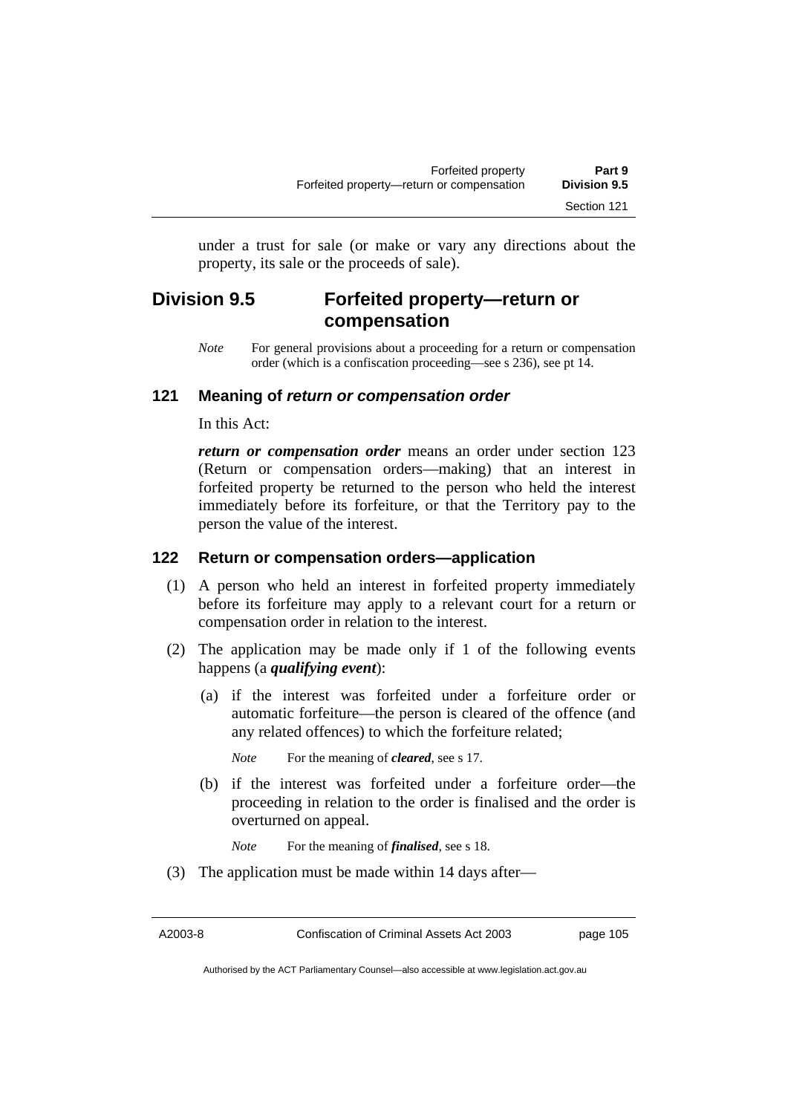under a trust for sale (or make or vary any directions about the property, its sale or the proceeds of sale).

## **Division 9.5 Forfeited property—return or compensation**

*Note* For general provisions about a proceeding for a return or compensation order (which is a confiscation proceeding—see s 236), see pt 14.

## **121 Meaning of** *return or compensation order*

In this Act:

*return or compensation order* means an order under section 123 (Return or compensation orders—making) that an interest in forfeited property be returned to the person who held the interest immediately before its forfeiture, or that the Territory pay to the person the value of the interest.

### **122 Return or compensation orders—application**

- (1) A person who held an interest in forfeited property immediately before its forfeiture may apply to a relevant court for a return or compensation order in relation to the interest.
- (2) The application may be made only if 1 of the following events happens (a *qualifying event*):
	- (a) if the interest was forfeited under a forfeiture order or automatic forfeiture—the person is cleared of the offence (and any related offences) to which the forfeiture related;

*Note* For the meaning of *cleared*, see s 17.

 (b) if the interest was forfeited under a forfeiture order—the proceeding in relation to the order is finalised and the order is overturned on appeal.

*Note* For the meaning of *finalised*, see s 18.

(3) The application must be made within 14 days after—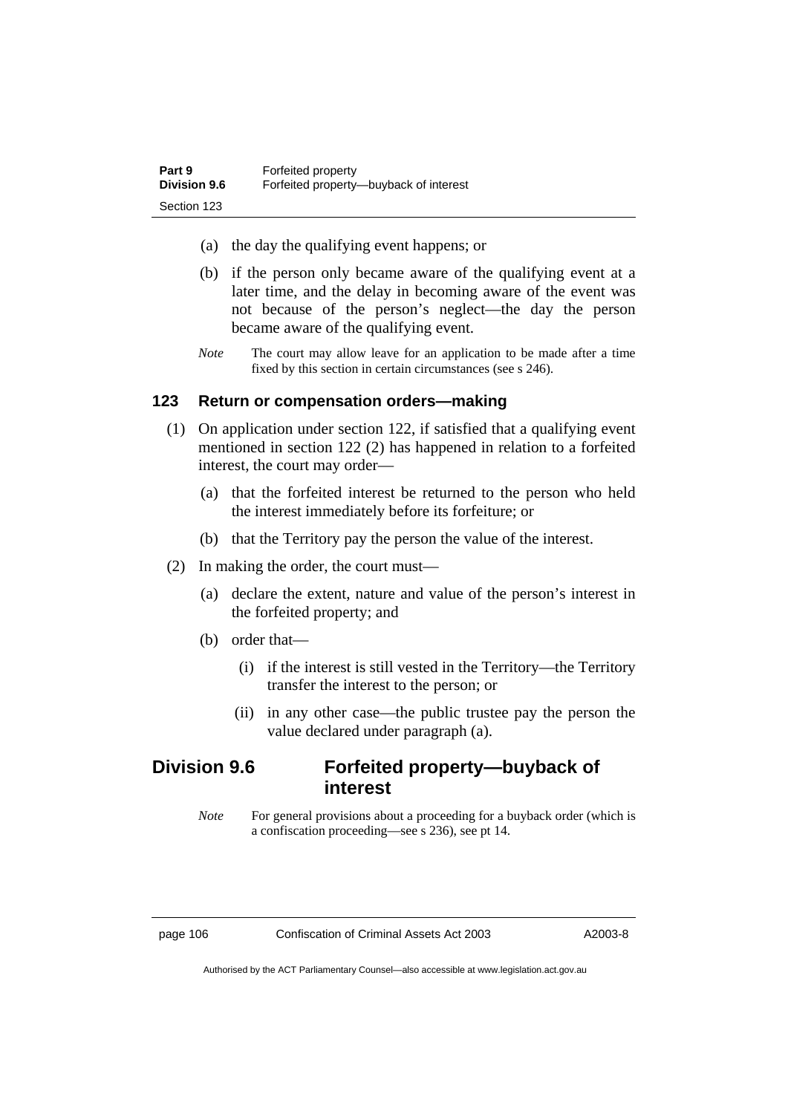- (a) the day the qualifying event happens; or
- (b) if the person only became aware of the qualifying event at a later time, and the delay in becoming aware of the event was not because of the person's neglect—the day the person became aware of the qualifying event.
- *Note* The court may allow leave for an application to be made after a time fixed by this section in certain circumstances (see s 246).

## **123 Return or compensation orders—making**

- (1) On application under section 122, if satisfied that a qualifying event mentioned in section 122 (2) has happened in relation to a forfeited interest, the court may order—
	- (a) that the forfeited interest be returned to the person who held the interest immediately before its forfeiture; or
	- (b) that the Territory pay the person the value of the interest.
- (2) In making the order, the court must—
	- (a) declare the extent, nature and value of the person's interest in the forfeited property; and
	- (b) order that—
		- (i) if the interest is still vested in the Territory—the Territory transfer the interest to the person; or
		- (ii) in any other case—the public trustee pay the person the value declared under paragraph (a).

## **Division 9.6 Forfeited property—buyback of interest**

*Note* For general provisions about a proceeding for a buyback order (which is a confiscation proceeding—see s 236), see pt 14.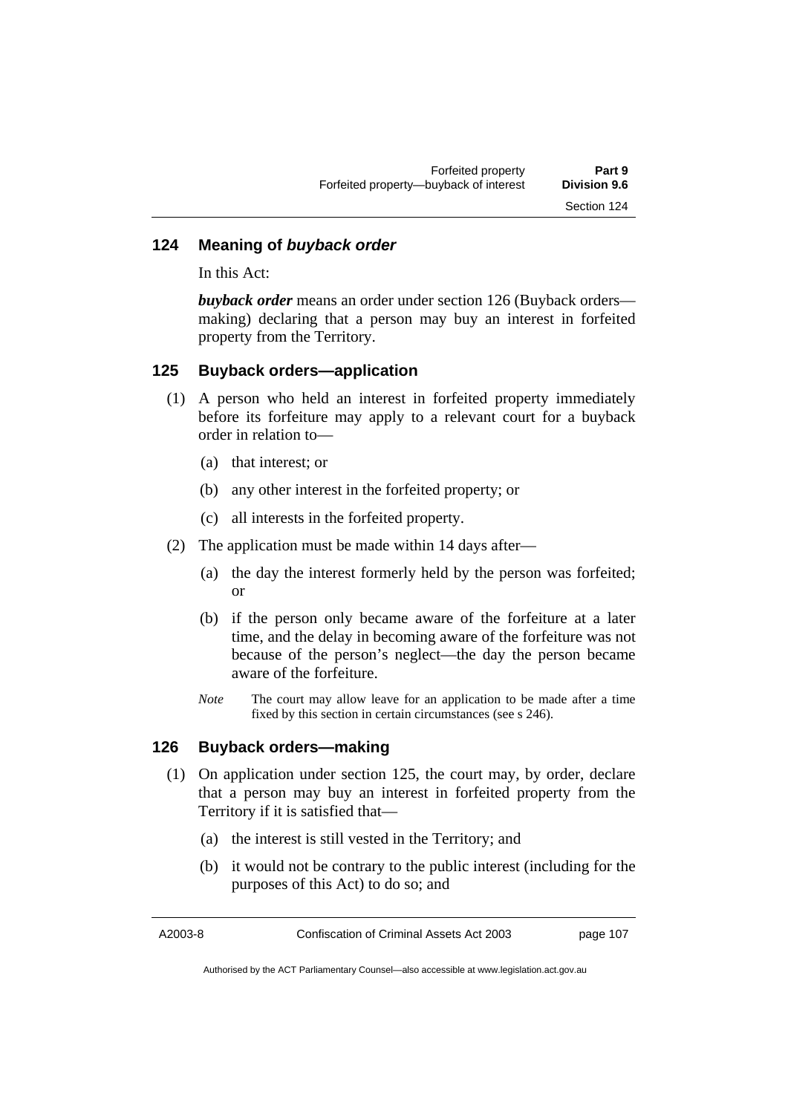## **124 Meaning of** *buyback order*

In this Act:

*buyback order* means an order under section 126 (Buyback orders making) declaring that a person may buy an interest in forfeited property from the Territory.

### **125 Buyback orders—application**

- (1) A person who held an interest in forfeited property immediately before its forfeiture may apply to a relevant court for a buyback order in relation to—
	- (a) that interest; or
	- (b) any other interest in the forfeited property; or
	- (c) all interests in the forfeited property.
- (2) The application must be made within 14 days after—
	- (a) the day the interest formerly held by the person was forfeited; or
	- (b) if the person only became aware of the forfeiture at a later time, and the delay in becoming aware of the forfeiture was not because of the person's neglect—the day the person became aware of the forfeiture.
	- *Note* The court may allow leave for an application to be made after a time fixed by this section in certain circumstances (see s 246).

## **126 Buyback orders—making**

- (1) On application under section 125, the court may, by order, declare that a person may buy an interest in forfeited property from the Territory if it is satisfied that—
	- (a) the interest is still vested in the Territory; and
	- (b) it would not be contrary to the public interest (including for the purposes of this Act) to do so; and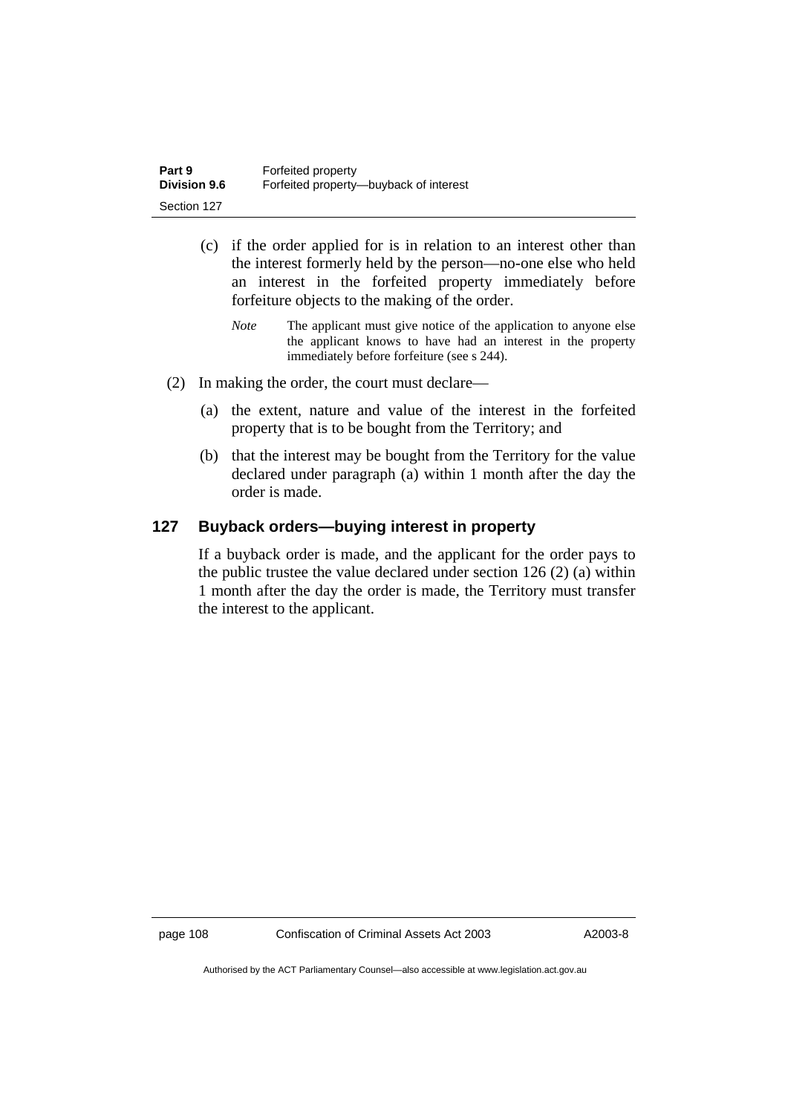| Part 9              | Forfeited property                     |
|---------------------|----------------------------------------|
| <b>Division 9.6</b> | Forfeited property—buyback of interest |
| Section 127         |                                        |

- (c) if the order applied for is in relation to an interest other than the interest formerly held by the person—no-one else who held an interest in the forfeited property immediately before forfeiture objects to the making of the order.
	- *Note* The applicant must give notice of the application to anyone else the applicant knows to have had an interest in the property immediately before forfeiture (see s 244).
- (2) In making the order, the court must declare—
	- (a) the extent, nature and value of the interest in the forfeited property that is to be bought from the Territory; and
	- (b) that the interest may be bought from the Territory for the value declared under paragraph (a) within 1 month after the day the order is made.

## **127 Buyback orders—buying interest in property**

If a buyback order is made, and the applicant for the order pays to the public trustee the value declared under section 126 (2) (a) within 1 month after the day the order is made, the Territory must transfer the interest to the applicant.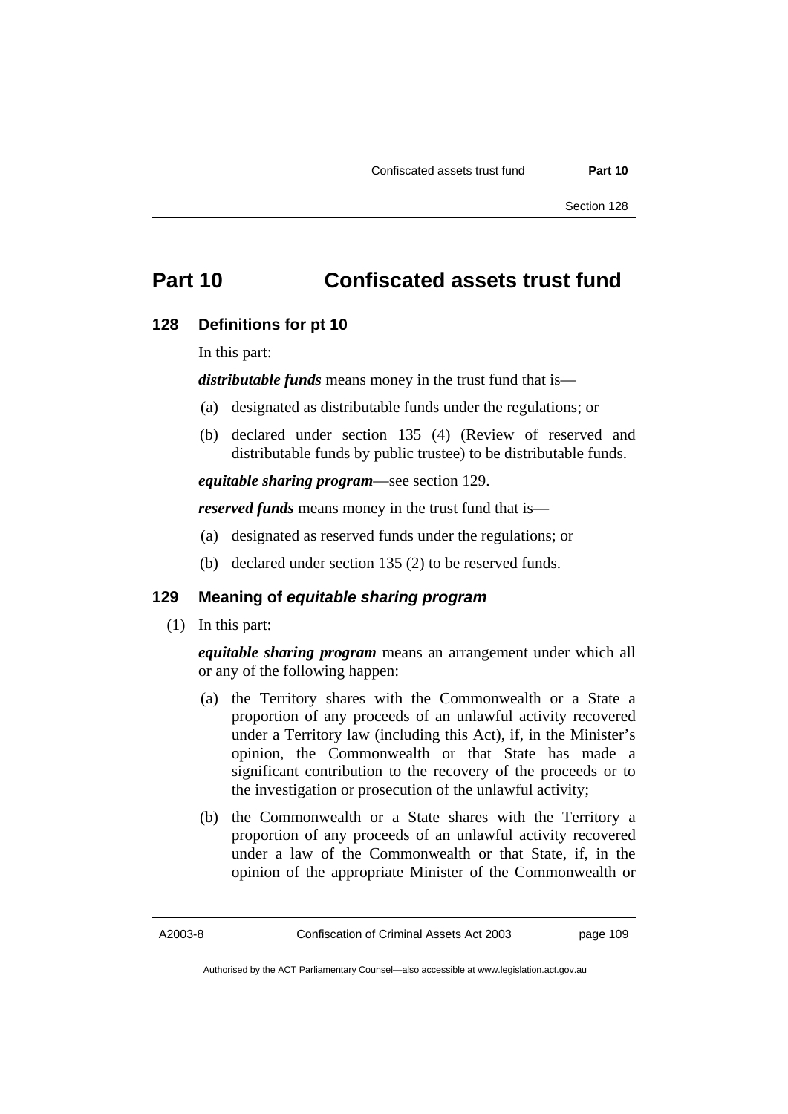## **Part 10 Confiscated assets trust fund**

### **128 Definitions for pt 10**

In this part:

*distributable funds* means money in the trust fund that is—

- (a) designated as distributable funds under the regulations; or
- (b) declared under section 135 (4) (Review of reserved and distributable funds by public trustee) to be distributable funds.

*equitable sharing program*—see section 129.

*reserved funds* means money in the trust fund that is—

- (a) designated as reserved funds under the regulations; or
- (b) declared under section 135 (2) to be reserved funds.

## **129 Meaning of** *equitable sharing program*

(1) In this part:

*equitable sharing program* means an arrangement under which all or any of the following happen:

- (a) the Territory shares with the Commonwealth or a State a proportion of any proceeds of an unlawful activity recovered under a Territory law (including this Act), if, in the Minister's opinion, the Commonwealth or that State has made a significant contribution to the recovery of the proceeds or to the investigation or prosecution of the unlawful activity;
- (b) the Commonwealth or a State shares with the Territory a proportion of any proceeds of an unlawful activity recovered under a law of the Commonwealth or that State, if, in the opinion of the appropriate Minister of the Commonwealth or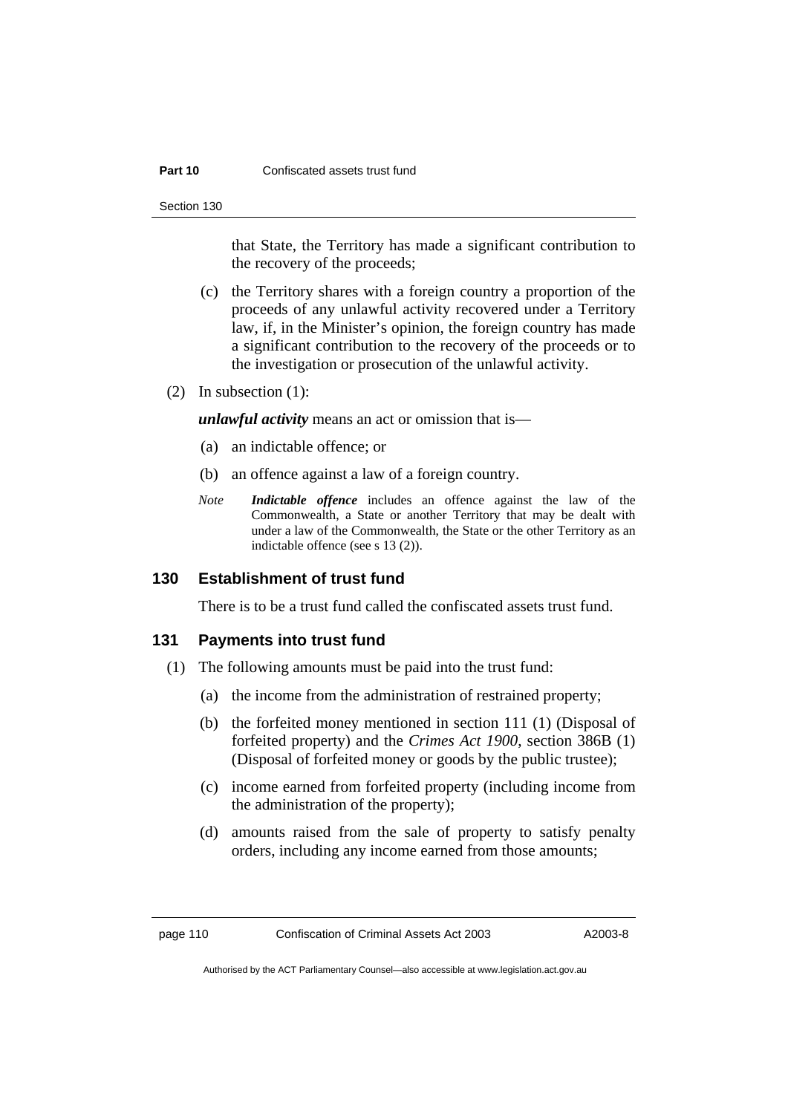#### **Part 10 Confiscated assets trust fund**

Section 130

that State, the Territory has made a significant contribution to the recovery of the proceeds;

- (c) the Territory shares with a foreign country a proportion of the proceeds of any unlawful activity recovered under a Territory law, if, in the Minister's opinion, the foreign country has made a significant contribution to the recovery of the proceeds or to the investigation or prosecution of the unlawful activity.
- (2) In subsection (1):

*unlawful activity* means an act or omission that is—

- (a) an indictable offence; or
- (b) an offence against a law of a foreign country.
- *Note Indictable offence* includes an offence against the law of the Commonwealth, a State or another Territory that may be dealt with under a law of the Commonwealth, the State or the other Territory as an indictable offence (see s 13 (2)).

## **130 Establishment of trust fund**

There is to be a trust fund called the confiscated assets trust fund.

### **131 Payments into trust fund**

- (1) The following amounts must be paid into the trust fund:
	- (a) the income from the administration of restrained property;
	- (b) the forfeited money mentioned in section 111 (1) (Disposal of forfeited property) and the *Crimes Act 1900*, section 386B (1) (Disposal of forfeited money or goods by the public trustee);
	- (c) income earned from forfeited property (including income from the administration of the property);
	- (d) amounts raised from the sale of property to satisfy penalty orders, including any income earned from those amounts;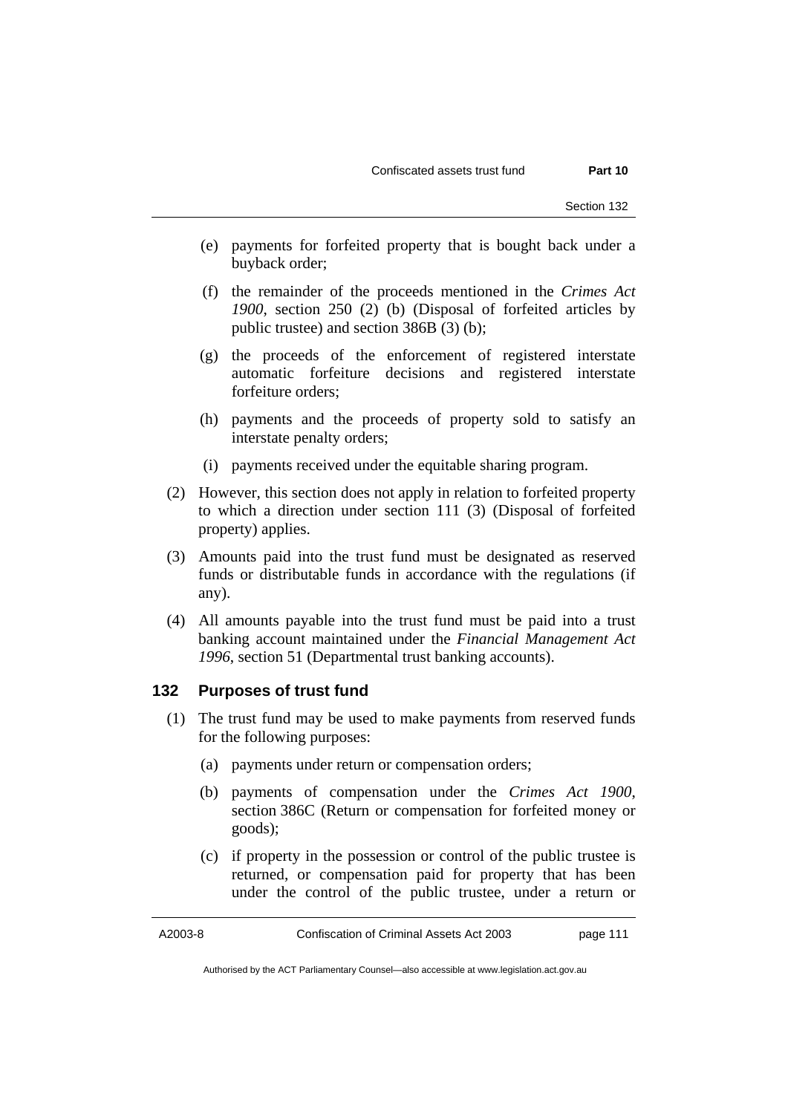- (e) payments for forfeited property that is bought back under a buyback order;
- (f) the remainder of the proceeds mentioned in the *Crimes Act 1900*, section 250 (2) (b) (Disposal of forfeited articles by public trustee) and section 386B (3) (b);
- (g) the proceeds of the enforcement of registered interstate automatic forfeiture decisions and registered interstate forfeiture orders;
- (h) payments and the proceeds of property sold to satisfy an interstate penalty orders;
- (i) payments received under the equitable sharing program.
- (2) However, this section does not apply in relation to forfeited property to which a direction under section 111 (3) (Disposal of forfeited property) applies.
- (3) Amounts paid into the trust fund must be designated as reserved funds or distributable funds in accordance with the regulations (if any).
- (4) All amounts payable into the trust fund must be paid into a trust banking account maintained under the *Financial Management Act 1996*, section 51 (Departmental trust banking accounts).

## **132 Purposes of trust fund**

- (1) The trust fund may be used to make payments from reserved funds for the following purposes:
	- (a) payments under return or compensation orders;
	- (b) payments of compensation under the *Crimes Act 1900*, section 386C (Return or compensation for forfeited money or goods);
	- (c) if property in the possession or control of the public trustee is returned, or compensation paid for property that has been under the control of the public trustee, under a return or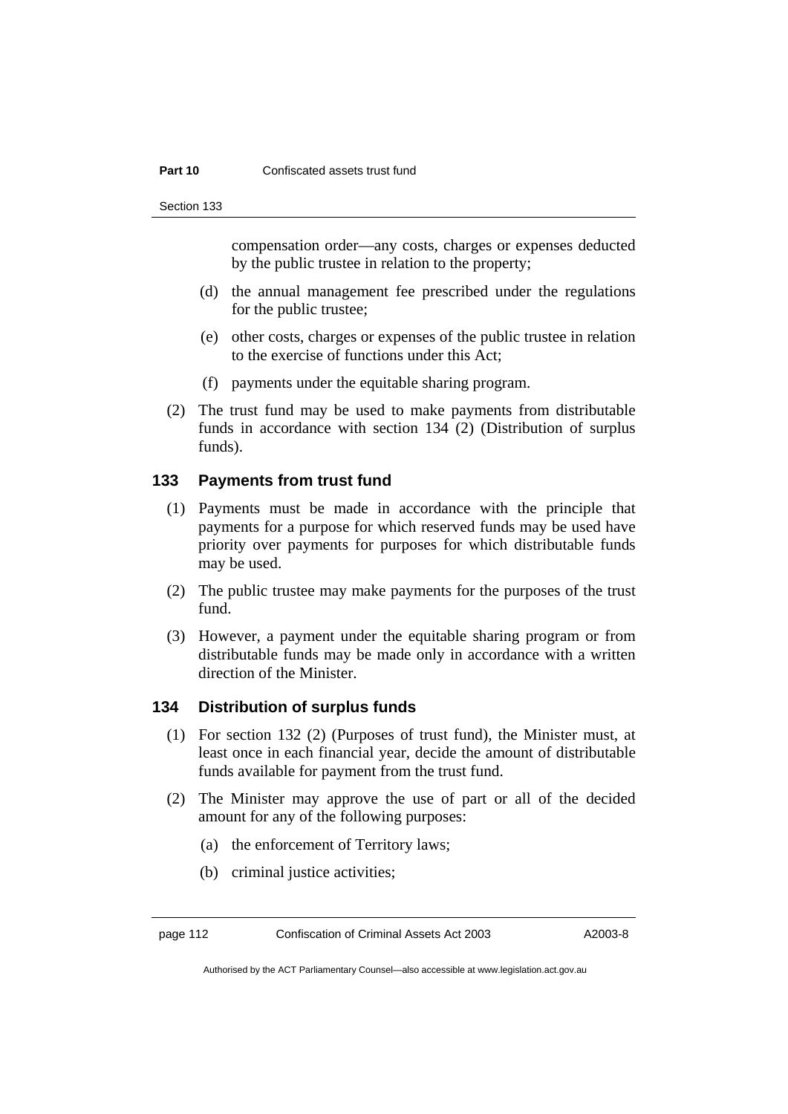#### **Part 10 Confiscated assets trust fund**

Section 133

compensation order—any costs, charges or expenses deducted by the public trustee in relation to the property;

- (d) the annual management fee prescribed under the regulations for the public trustee;
- (e) other costs, charges or expenses of the public trustee in relation to the exercise of functions under this Act;
- (f) payments under the equitable sharing program.
- (2) The trust fund may be used to make payments from distributable funds in accordance with section 134 (2) (Distribution of surplus funds).

## **133 Payments from trust fund**

- (1) Payments must be made in accordance with the principle that payments for a purpose for which reserved funds may be used have priority over payments for purposes for which distributable funds may be used.
- (2) The public trustee may make payments for the purposes of the trust fund.
- (3) However, a payment under the equitable sharing program or from distributable funds may be made only in accordance with a written direction of the Minister.

## **134 Distribution of surplus funds**

- (1) For section 132 (2) (Purposes of trust fund), the Minister must, at least once in each financial year, decide the amount of distributable funds available for payment from the trust fund.
- (2) The Minister may approve the use of part or all of the decided amount for any of the following purposes:
	- (a) the enforcement of Territory laws;
	- (b) criminal justice activities;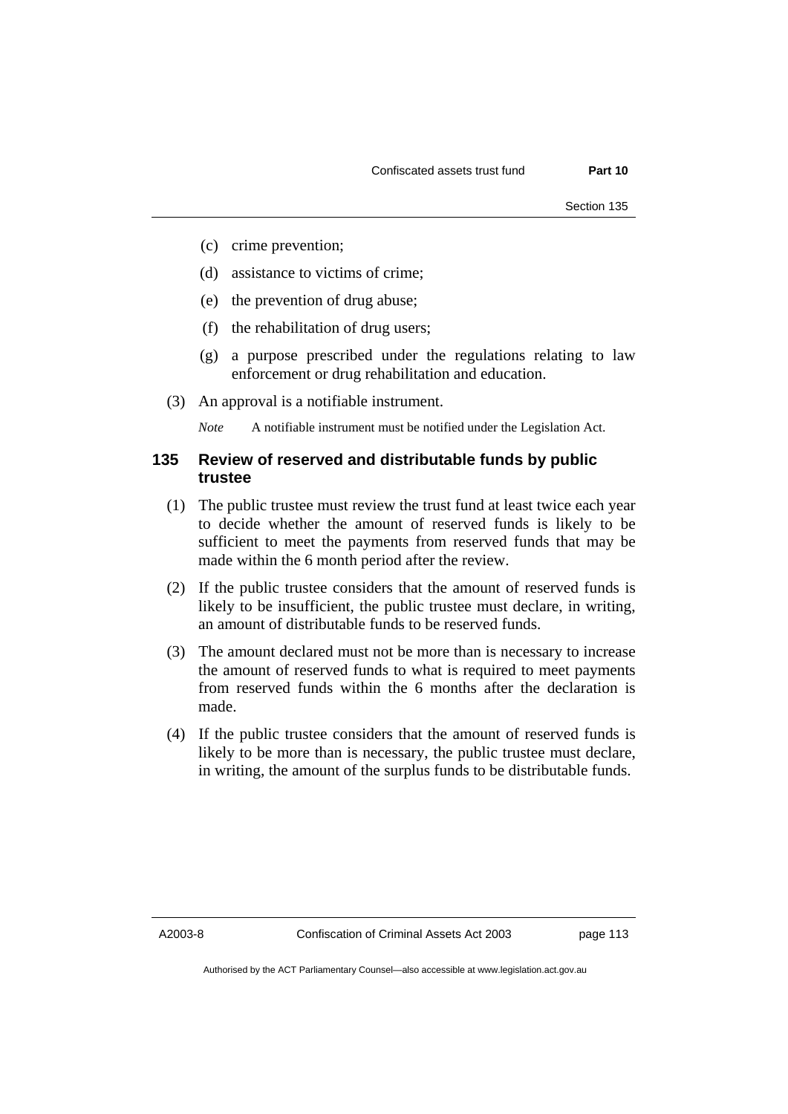- (c) crime prevention;
- (d) assistance to victims of crime;
- (e) the prevention of drug abuse;
- (f) the rehabilitation of drug users;
- (g) a purpose prescribed under the regulations relating to law enforcement or drug rehabilitation and education.
- (3) An approval is a notifiable instrument.

*Note* A notifiable instrument must be notified under the Legislation Act.

## **135 Review of reserved and distributable funds by public trustee**

- (1) The public trustee must review the trust fund at least twice each year to decide whether the amount of reserved funds is likely to be sufficient to meet the payments from reserved funds that may be made within the 6 month period after the review.
- (2) If the public trustee considers that the amount of reserved funds is likely to be insufficient, the public trustee must declare, in writing, an amount of distributable funds to be reserved funds.
- (3) The amount declared must not be more than is necessary to increase the amount of reserved funds to what is required to meet payments from reserved funds within the 6 months after the declaration is made.
- (4) If the public trustee considers that the amount of reserved funds is likely to be more than is necessary, the public trustee must declare, in writing, the amount of the surplus funds to be distributable funds.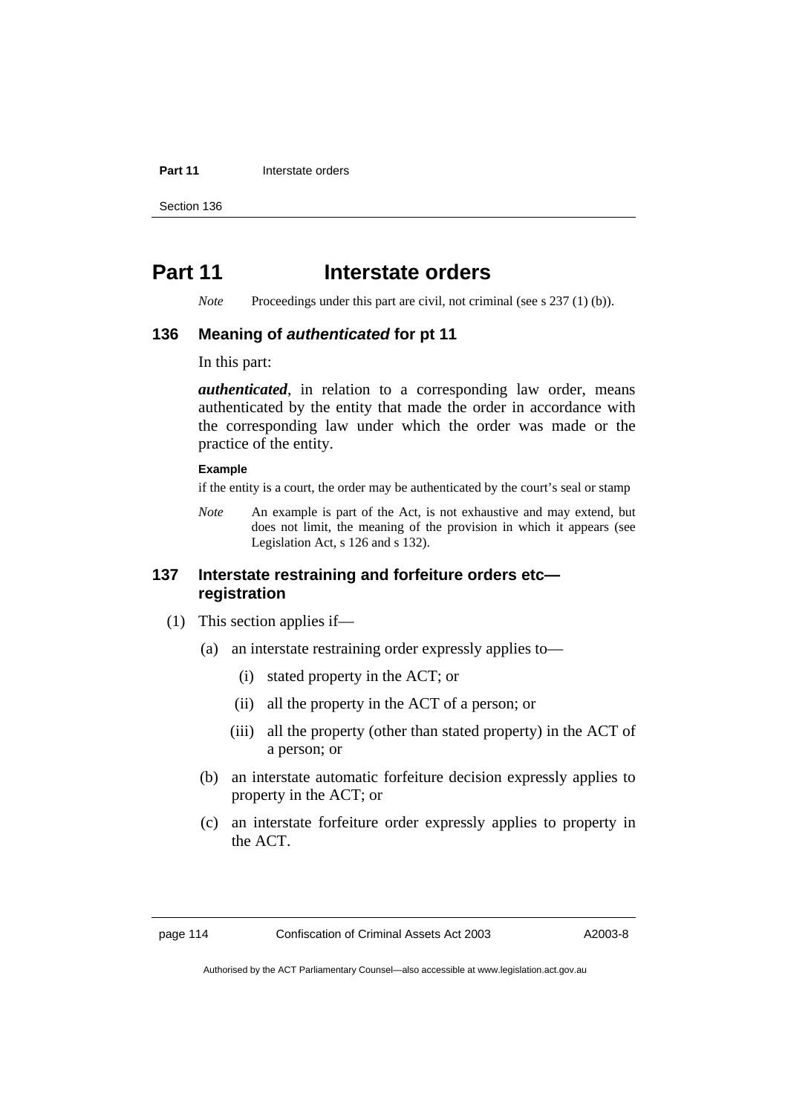#### **Part 11 Interstate orders**

Section 136

## **Part 11** Interstate orders

*Note* Proceedings under this part are civil, not criminal (see s 237 (1) (b)).

### **136 Meaning of** *authenticated* **for pt 11**

In this part:

*authenticated*, in relation to a corresponding law order, means authenticated by the entity that made the order in accordance with the corresponding law under which the order was made or the practice of the entity.

#### **Example**

if the entity is a court, the order may be authenticated by the court's seal or stamp

*Note* An example is part of the Act, is not exhaustive and may extend, but does not limit, the meaning of the provision in which it appears (see Legislation Act, s 126 and s 132).

## **137 Interstate restraining and forfeiture orders etc registration**

- (1) This section applies if—
	- (a) an interstate restraining order expressly applies to—
		- (i) stated property in the ACT; or
		- (ii) all the property in the ACT of a person; or
		- (iii) all the property (other than stated property) in the ACT of a person; or
	- (b) an interstate automatic forfeiture decision expressly applies to property in the ACT; or
	- (c) an interstate forfeiture order expressly applies to property in the ACT.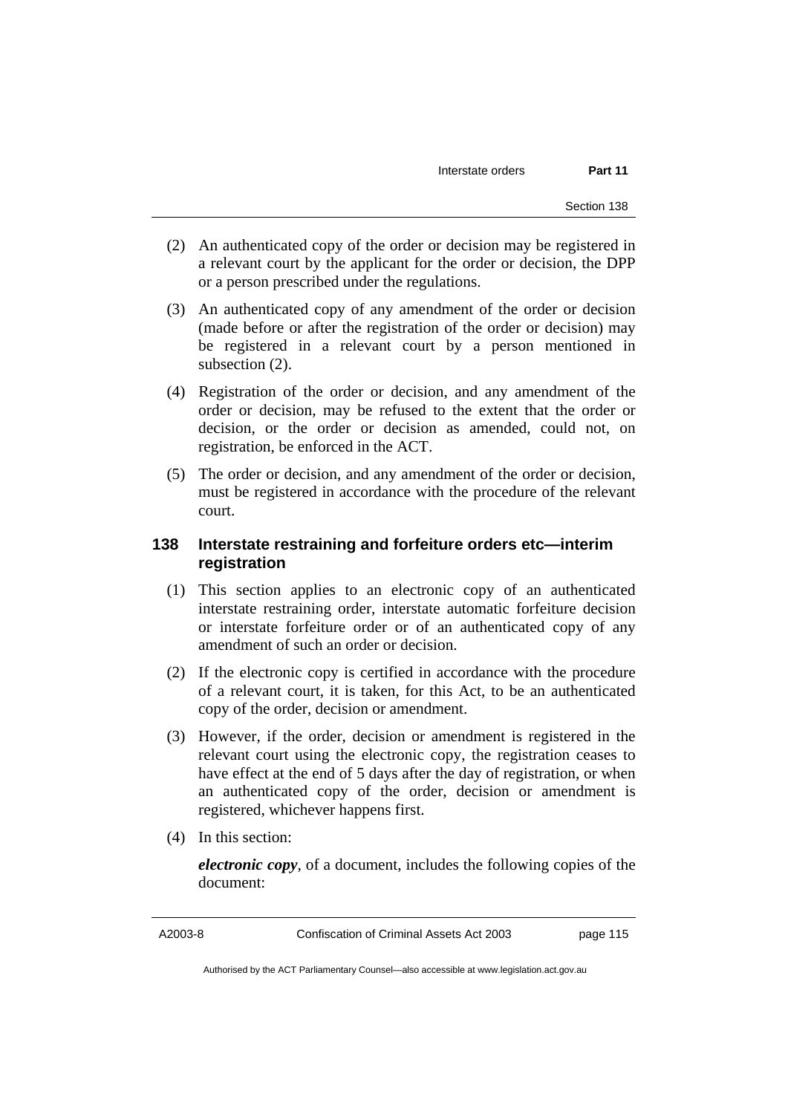- (2) An authenticated copy of the order or decision may be registered in a relevant court by the applicant for the order or decision, the DPP or a person prescribed under the regulations.
- (3) An authenticated copy of any amendment of the order or decision (made before or after the registration of the order or decision) may be registered in a relevant court by a person mentioned in subsection (2).
- (4) Registration of the order or decision, and any amendment of the order or decision, may be refused to the extent that the order or decision, or the order or decision as amended, could not, on registration, be enforced in the ACT.
- (5) The order or decision, and any amendment of the order or decision, must be registered in accordance with the procedure of the relevant court.

## **138 Interstate restraining and forfeiture orders etc—interim registration**

- (1) This section applies to an electronic copy of an authenticated interstate restraining order, interstate automatic forfeiture decision or interstate forfeiture order or of an authenticated copy of any amendment of such an order or decision.
- (2) If the electronic copy is certified in accordance with the procedure of a relevant court, it is taken, for this Act, to be an authenticated copy of the order, decision or amendment.
- (3) However, if the order, decision or amendment is registered in the relevant court using the electronic copy, the registration ceases to have effect at the end of 5 days after the day of registration, or when an authenticated copy of the order, decision or amendment is registered, whichever happens first.
- (4) In this section:

*electronic copy*, of a document, includes the following copies of the document: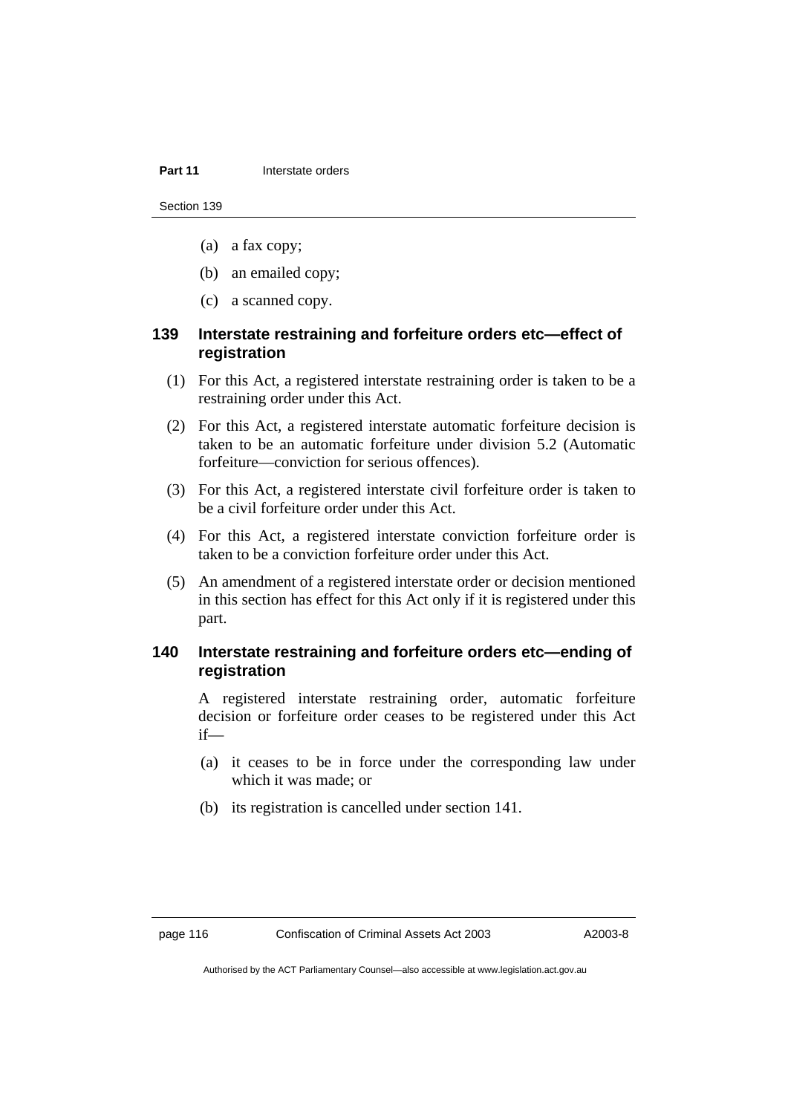#### **Part 11 Interstate orders**

Section 139

- (a) a fax copy;
- (b) an emailed copy;
- (c) a scanned copy.

## **139 Interstate restraining and forfeiture orders etc—effect of registration**

- (1) For this Act, a registered interstate restraining order is taken to be a restraining order under this Act.
- (2) For this Act, a registered interstate automatic forfeiture decision is taken to be an automatic forfeiture under division 5.2 (Automatic forfeiture—conviction for serious offences).
- (3) For this Act, a registered interstate civil forfeiture order is taken to be a civil forfeiture order under this Act.
- (4) For this Act, a registered interstate conviction forfeiture order is taken to be a conviction forfeiture order under this Act.
- (5) An amendment of a registered interstate order or decision mentioned in this section has effect for this Act only if it is registered under this part.

## **140 Interstate restraining and forfeiture orders etc—ending of registration**

A registered interstate restraining order, automatic forfeiture decision or forfeiture order ceases to be registered under this Act if—

- (a) it ceases to be in force under the corresponding law under which it was made; or
- (b) its registration is cancelled under section 141.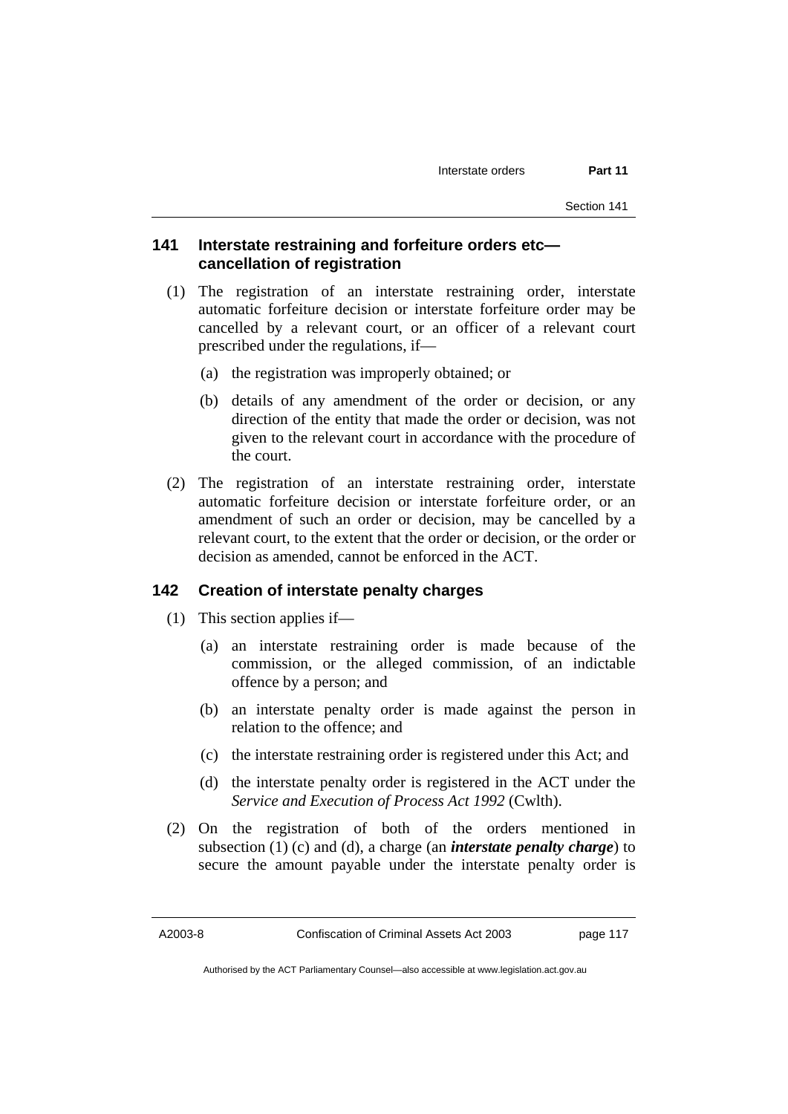## **141 Interstate restraining and forfeiture orders etc cancellation of registration**

- (1) The registration of an interstate restraining order, interstate automatic forfeiture decision or interstate forfeiture order may be cancelled by a relevant court, or an officer of a relevant court prescribed under the regulations, if—
	- (a) the registration was improperly obtained; or
	- (b) details of any amendment of the order or decision, or any direction of the entity that made the order or decision, was not given to the relevant court in accordance with the procedure of the court.
- (2) The registration of an interstate restraining order, interstate automatic forfeiture decision or interstate forfeiture order, or an amendment of such an order or decision, may be cancelled by a relevant court, to the extent that the order or decision, or the order or decision as amended, cannot be enforced in the ACT.

### **142 Creation of interstate penalty charges**

- (1) This section applies if—
	- (a) an interstate restraining order is made because of the commission, or the alleged commission, of an indictable offence by a person; and
	- (b) an interstate penalty order is made against the person in relation to the offence; and
	- (c) the interstate restraining order is registered under this Act; and
	- (d) the interstate penalty order is registered in the ACT under the *Service and Execution of Process Act 1992* (Cwlth).
- (2) On the registration of both of the orders mentioned in subsection (1) (c) and (d), a charge (an *interstate penalty charge*) to secure the amount payable under the interstate penalty order is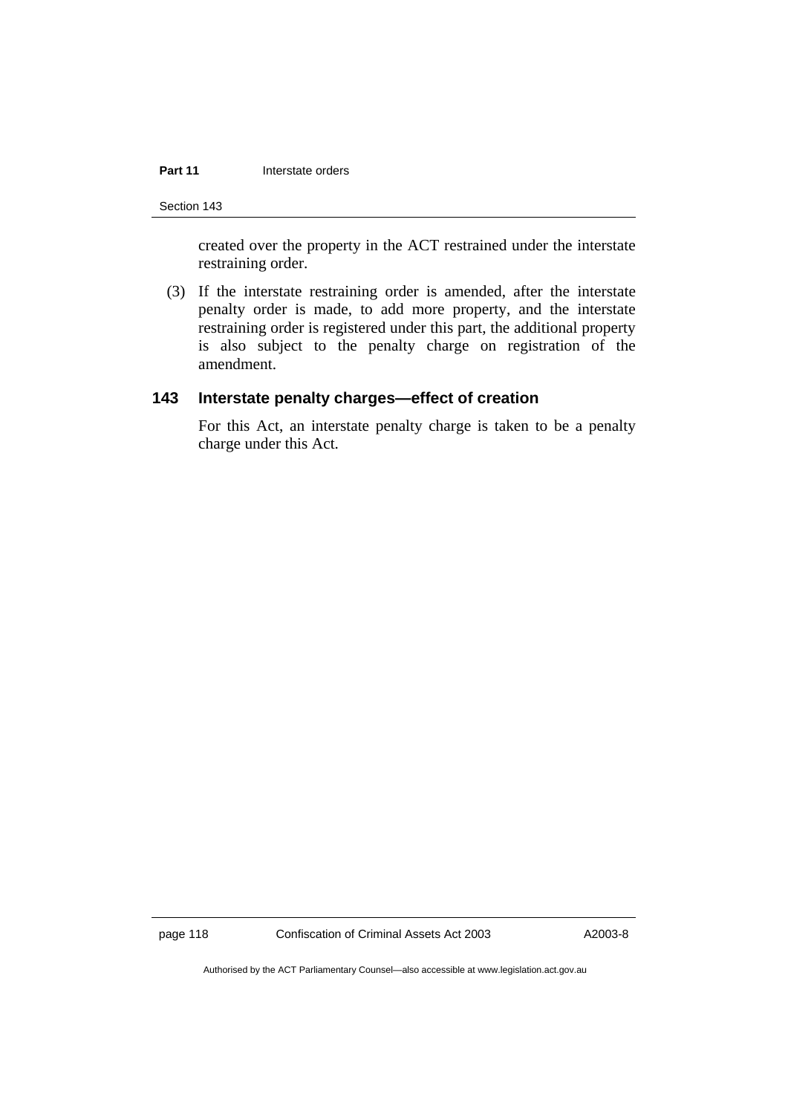### **Part 11 Interstate orders**

Section 143

created over the property in the ACT restrained under the interstate restraining order.

 (3) If the interstate restraining order is amended, after the interstate penalty order is made, to add more property, and the interstate restraining order is registered under this part, the additional property is also subject to the penalty charge on registration of the amendment.

## **143 Interstate penalty charges—effect of creation**

For this Act, an interstate penalty charge is taken to be a penalty charge under this Act.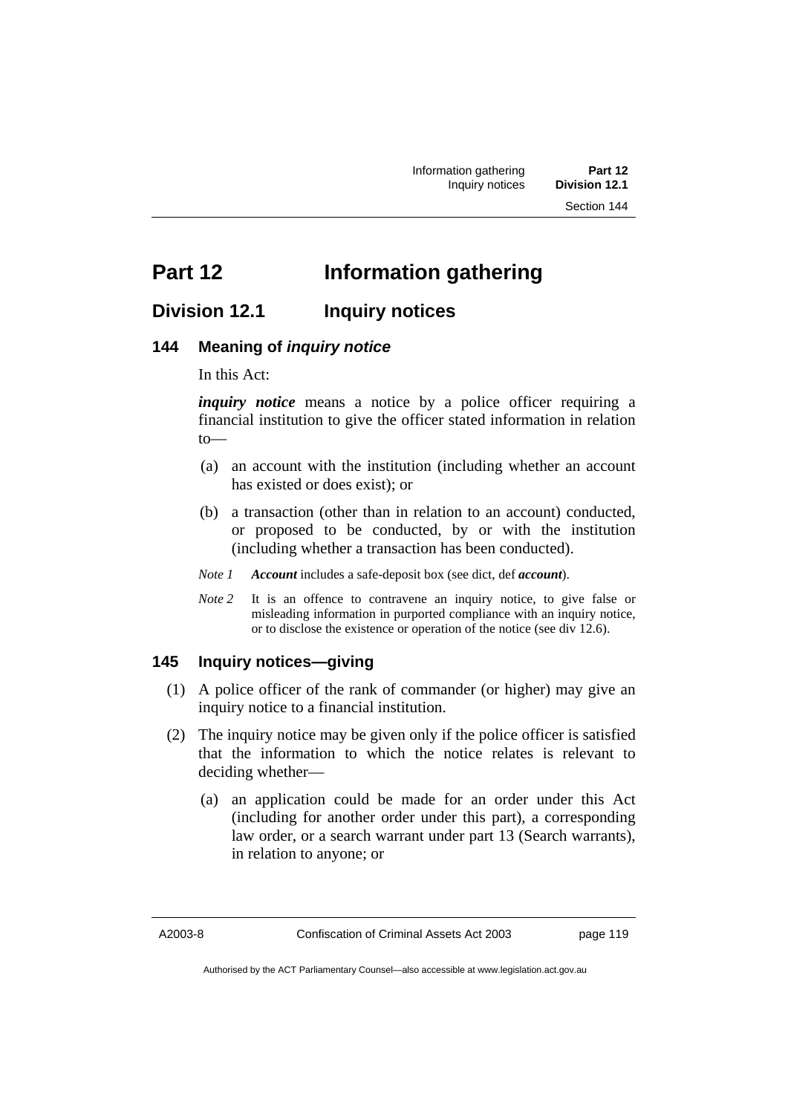## **Part 12 Information gathering**

## **Division 12.1 Inquiry notices**

## **144 Meaning of** *inquiry notice*

In this Act:

*inquiry notice* means a notice by a police officer requiring a financial institution to give the officer stated information in relation to—

- (a) an account with the institution (including whether an account has existed or does exist); or
- (b) a transaction (other than in relation to an account) conducted, or proposed to be conducted, by or with the institution (including whether a transaction has been conducted).
- *Note 1 Account* includes a safe-deposit box (see dict, def *account*).
- *Note 2* It is an offence to contravene an inquiry notice, to give false or misleading information in purported compliance with an inquiry notice, or to disclose the existence or operation of the notice (see div 12.6).

## **145 Inquiry notices—giving**

- (1) A police officer of the rank of commander (or higher) may give an inquiry notice to a financial institution.
- (2) The inquiry notice may be given only if the police officer is satisfied that the information to which the notice relates is relevant to deciding whether—
	- (a) an application could be made for an order under this Act (including for another order under this part), a corresponding law order, or a search warrant under part 13 (Search warrants), in relation to anyone; or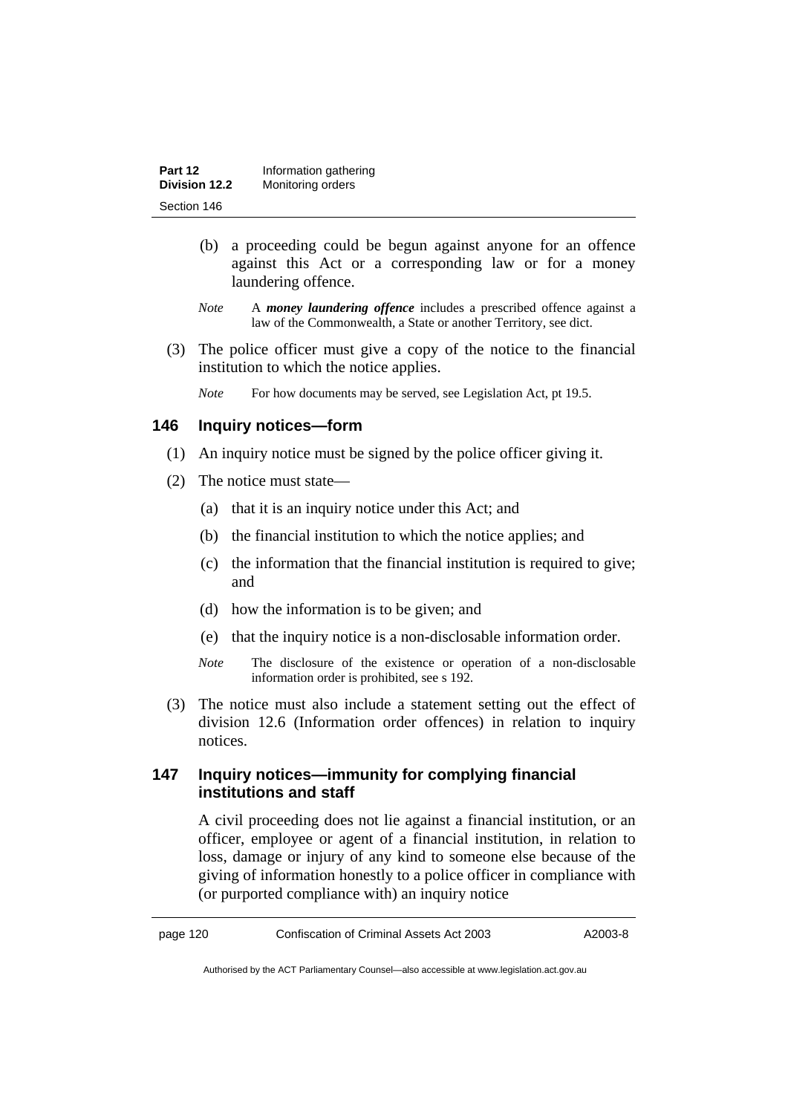| Part 12       | Information gathering |
|---------------|-----------------------|
| Division 12.2 | Monitoring orders     |
| Section 146   |                       |

- (b) a proceeding could be begun against anyone for an offence against this Act or a corresponding law or for a money laundering offence.
- *Note* A *money laundering offence* includes a prescribed offence against a law of the Commonwealth, a State or another Territory, see dict.
- (3) The police officer must give a copy of the notice to the financial institution to which the notice applies.
	- *Note* For how documents may be served, see Legislation Act, pt 19.5.

## **146 Inquiry notices—form**

- (1) An inquiry notice must be signed by the police officer giving it.
- (2) The notice must state—
	- (a) that it is an inquiry notice under this Act; and
	- (b) the financial institution to which the notice applies; and
	- (c) the information that the financial institution is required to give; and
	- (d) how the information is to be given; and
	- (e) that the inquiry notice is a non-disclosable information order.
	- *Note* The disclosure of the existence or operation of a non-disclosable information order is prohibited, see s 192.
- (3) The notice must also include a statement setting out the effect of division 12.6 (Information order offences) in relation to inquiry notices.

## **147 Inquiry notices—immunity for complying financial institutions and staff**

A civil proceeding does not lie against a financial institution, or an officer, employee or agent of a financial institution, in relation to loss, damage or injury of any kind to someone else because of the giving of information honestly to a police officer in compliance with (or purported compliance with) an inquiry notice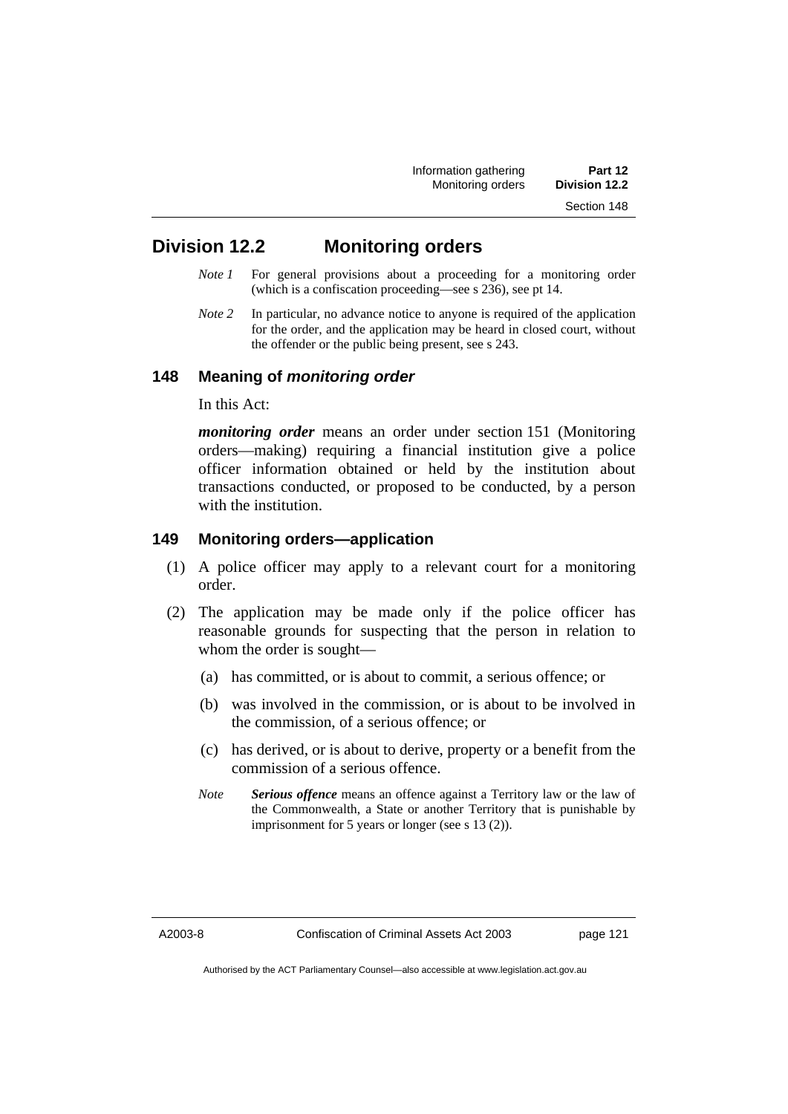| Information gathering | Part 12              |
|-----------------------|----------------------|
| Monitoring orders     | <b>Division 12.2</b> |
|                       | Section 148          |

## **Division 12.2 Monitoring orders**

- *Note 1* For general provisions about a proceeding for a monitoring order (which is a confiscation proceeding—see s 236), see pt 14.
- *Note 2* In particular, no advance notice to anyone is required of the application for the order, and the application may be heard in closed court, without the offender or the public being present, see s 243.

## **148 Meaning of** *monitoring order*

In this Act:

*monitoring order* means an order under section 151 (Monitoring orders—making) requiring a financial institution give a police officer information obtained or held by the institution about transactions conducted, or proposed to be conducted, by a person with the institution.

## **149 Monitoring orders—application**

- (1) A police officer may apply to a relevant court for a monitoring order.
- (2) The application may be made only if the police officer has reasonable grounds for suspecting that the person in relation to whom the order is sought—
	- (a) has committed, or is about to commit, a serious offence; or
	- (b) was involved in the commission, or is about to be involved in the commission, of a serious offence; or
	- (c) has derived, or is about to derive, property or a benefit from the commission of a serious offence.
	- *Note Serious offence* means an offence against a Territory law or the law of the Commonwealth, a State or another Territory that is punishable by imprisonment for 5 years or longer (see s 13 (2)).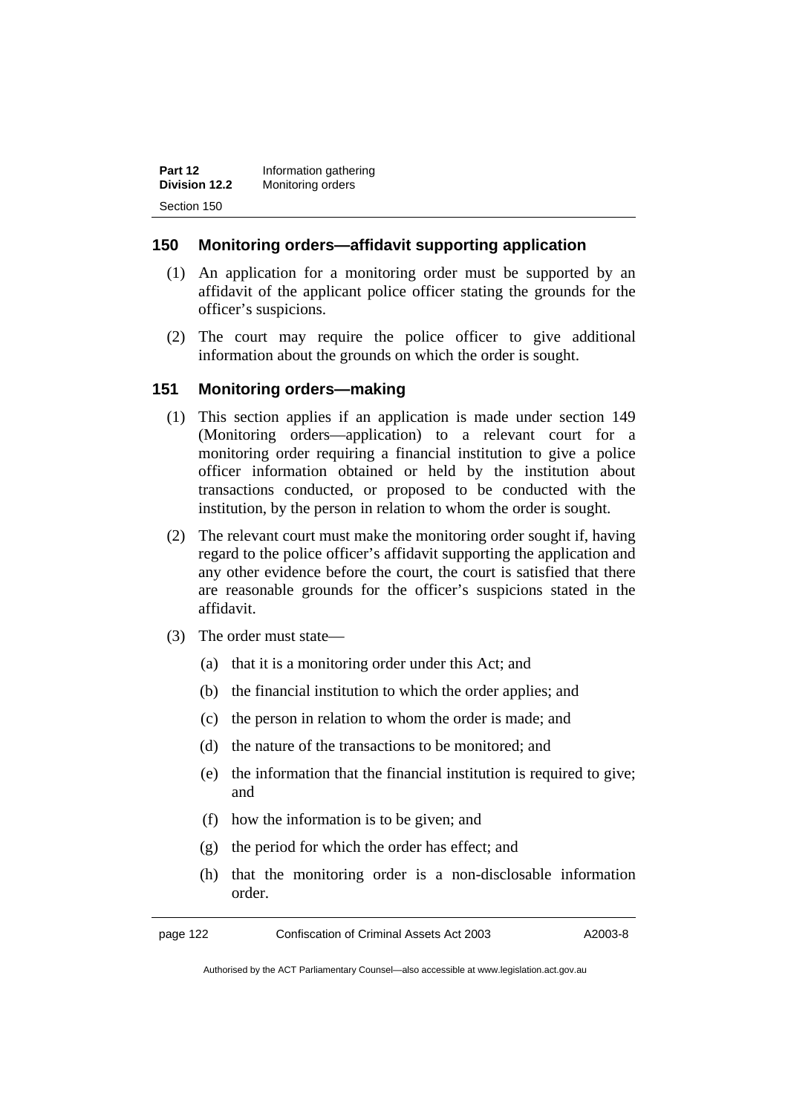| Part 12       | Information gathering |
|---------------|-----------------------|
| Division 12.2 | Monitoring orders     |
| Section 150   |                       |

## **150 Monitoring orders—affidavit supporting application**

- (1) An application for a monitoring order must be supported by an affidavit of the applicant police officer stating the grounds for the officer's suspicions.
- (2) The court may require the police officer to give additional information about the grounds on which the order is sought.

## **151 Monitoring orders—making**

- (1) This section applies if an application is made under section 149 (Monitoring orders—application) to a relevant court for a monitoring order requiring a financial institution to give a police officer information obtained or held by the institution about transactions conducted, or proposed to be conducted with the institution, by the person in relation to whom the order is sought.
- (2) The relevant court must make the monitoring order sought if, having regard to the police officer's affidavit supporting the application and any other evidence before the court, the court is satisfied that there are reasonable grounds for the officer's suspicions stated in the affidavit.
- (3) The order must state—
	- (a) that it is a monitoring order under this Act; and
	- (b) the financial institution to which the order applies; and
	- (c) the person in relation to whom the order is made; and
	- (d) the nature of the transactions to be monitored; and
	- (e) the information that the financial institution is required to give; and
	- (f) how the information is to be given; and
	- (g) the period for which the order has effect; and
	- (h) that the monitoring order is a non-disclosable information order.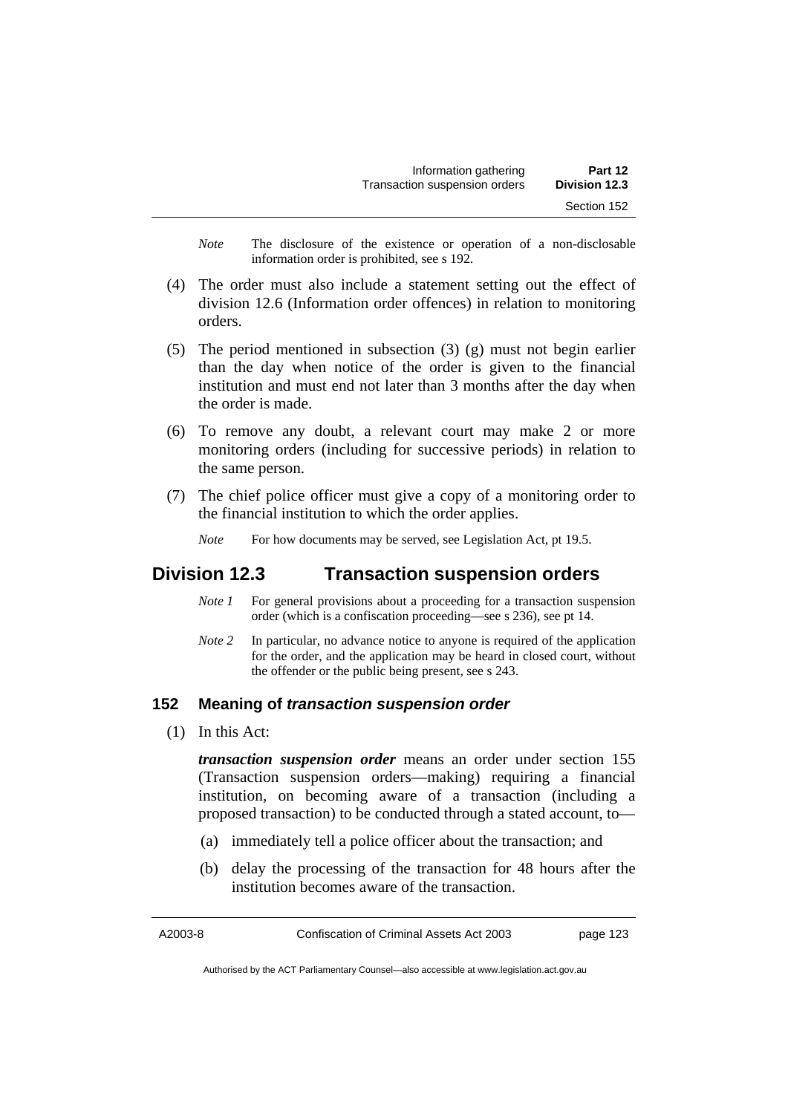| Information gathering         | Part 12       |
|-------------------------------|---------------|
| Transaction suspension orders | Division 12.3 |
|                               | Section 152   |

*Note* The disclosure of the existence or operation of a non-disclosable information order is prohibited, see s 192.

- (4) The order must also include a statement setting out the effect of division 12.6 (Information order offences) in relation to monitoring orders.
- (5) The period mentioned in subsection (3) (g) must not begin earlier than the day when notice of the order is given to the financial institution and must end not later than 3 months after the day when the order is made.
- (6) To remove any doubt, a relevant court may make 2 or more monitoring orders (including for successive periods) in relation to the same person.
- (7) The chief police officer must give a copy of a monitoring order to the financial institution to which the order applies.
	- *Note* For how documents may be served, see Legislation Act, pt 19.5.

## **Division 12.3 Transaction suspension orders**

- *Note 1* For general provisions about a proceeding for a transaction suspension order (which is a confiscation proceeding—see s 236), see pt 14.
- *Note 2* In particular, no advance notice to anyone is required of the application for the order, and the application may be heard in closed court, without the offender or the public being present, see s 243.

### **152 Meaning of** *transaction suspension order*

(1) In this Act:

*transaction suspension order* means an order under section 155 (Transaction suspension orders—making) requiring a financial institution, on becoming aware of a transaction (including a proposed transaction) to be conducted through a stated account, to—

- (a) immediately tell a police officer about the transaction; and
- (b) delay the processing of the transaction for 48 hours after the institution becomes aware of the transaction.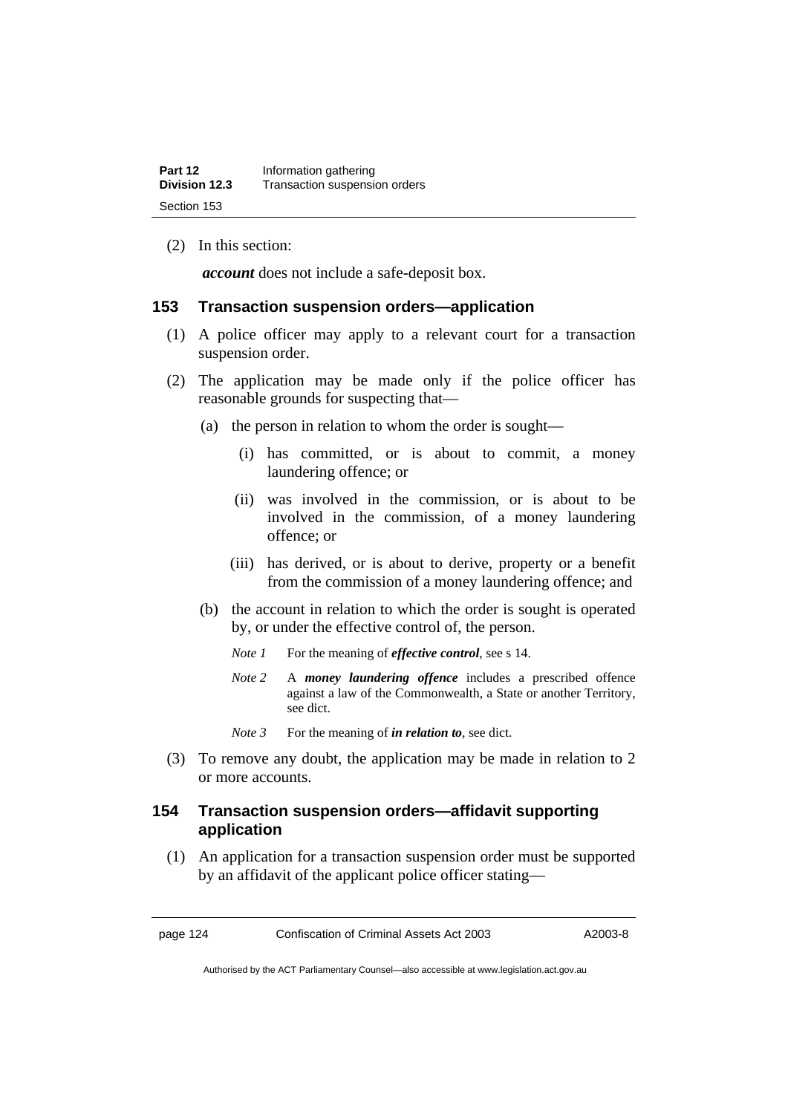(2) In this section:

*account* does not include a safe-deposit box.

## **153 Transaction suspension orders—application**

- (1) A police officer may apply to a relevant court for a transaction suspension order.
- (2) The application may be made only if the police officer has reasonable grounds for suspecting that—
	- (a) the person in relation to whom the order is sought—
		- (i) has committed, or is about to commit, a money laundering offence; or
		- (ii) was involved in the commission, or is about to be involved in the commission, of a money laundering offence; or
		- (iii) has derived, or is about to derive, property or a benefit from the commission of a money laundering offence; and
	- (b) the account in relation to which the order is sought is operated by, or under the effective control of, the person.
		- *Note 1* For the meaning of *effective control*, see s 14.
		- *Note 2* A *money laundering offence* includes a prescribed offence against a law of the Commonwealth, a State or another Territory, see dict.
		- *Note* 3 For the meaning of *in relation to*, see dict.
- (3) To remove any doubt, the application may be made in relation to 2 or more accounts.

## **154 Transaction suspension orders—affidavit supporting application**

 (1) An application for a transaction suspension order must be supported by an affidavit of the applicant police officer stating—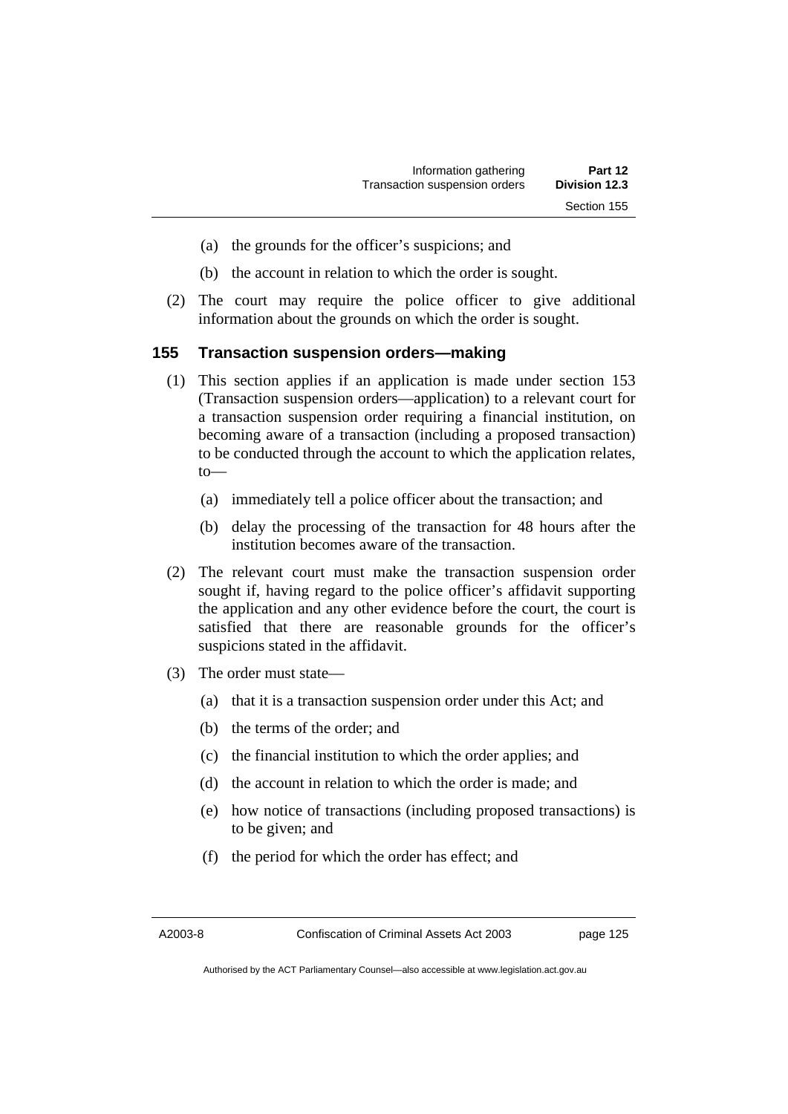- (a) the grounds for the officer's suspicions; and
- (b) the account in relation to which the order is sought.
- (2) The court may require the police officer to give additional information about the grounds on which the order is sought.

### **155 Transaction suspension orders—making**

- (1) This section applies if an application is made under section 153 (Transaction suspension orders—application) to a relevant court for a transaction suspension order requiring a financial institution, on becoming aware of a transaction (including a proposed transaction) to be conducted through the account to which the application relates, to—
	- (a) immediately tell a police officer about the transaction; and
	- (b) delay the processing of the transaction for 48 hours after the institution becomes aware of the transaction.
- (2) The relevant court must make the transaction suspension order sought if, having regard to the police officer's affidavit supporting the application and any other evidence before the court, the court is satisfied that there are reasonable grounds for the officer's suspicions stated in the affidavit.
- (3) The order must state—
	- (a) that it is a transaction suspension order under this Act; and
	- (b) the terms of the order; and
	- (c) the financial institution to which the order applies; and
	- (d) the account in relation to which the order is made; and
	- (e) how notice of transactions (including proposed transactions) is to be given; and
	- (f) the period for which the order has effect; and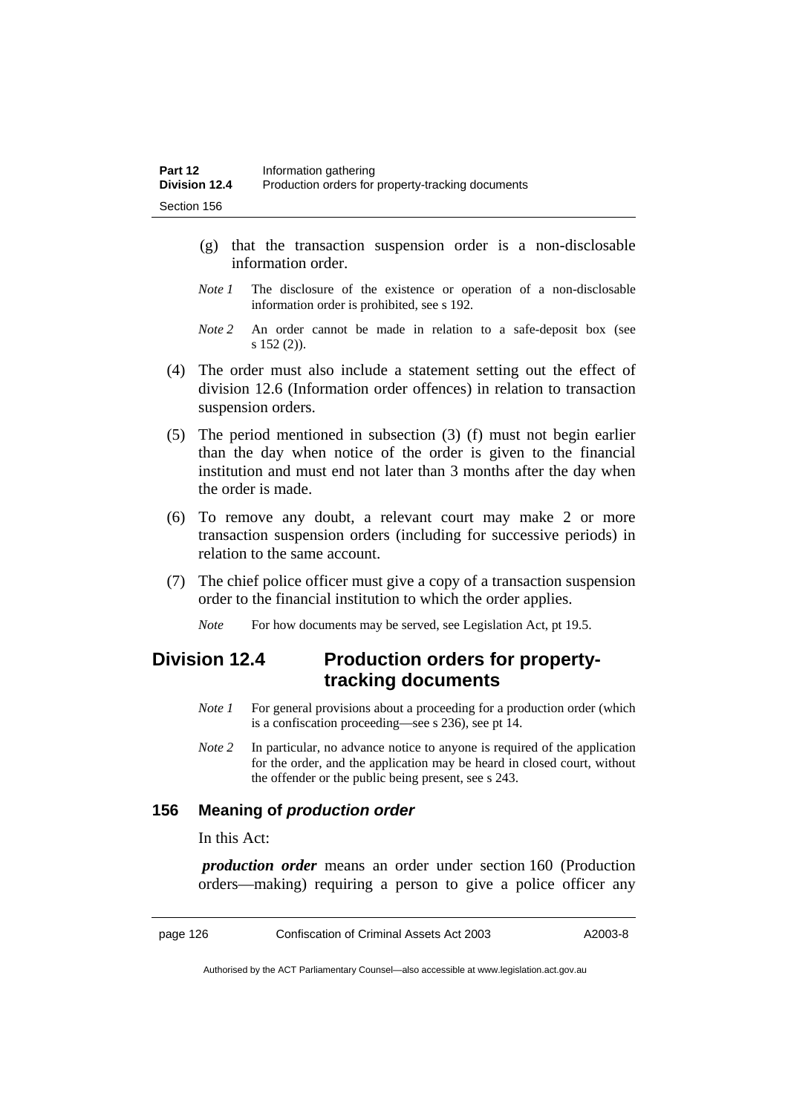- (g) that the transaction suspension order is a non-disclosable information order.
- *Note 1* The disclosure of the existence or operation of a non-disclosable information order is prohibited, see s 192.
- *Note 2* An order cannot be made in relation to a safe-deposit box (see s 152 (2)).
- (4) The order must also include a statement setting out the effect of division 12.6 (Information order offences) in relation to transaction suspension orders.
- (5) The period mentioned in subsection (3) (f) must not begin earlier than the day when notice of the order is given to the financial institution and must end not later than 3 months after the day when the order is made.
- (6) To remove any doubt, a relevant court may make 2 or more transaction suspension orders (including for successive periods) in relation to the same account.
- (7) The chief police officer must give a copy of a transaction suspension order to the financial institution to which the order applies.
	- *Note* For how documents may be served, see Legislation Act, pt 19.5.

## **Division 12.4 Production orders for propertytracking documents**

- *Note 1* For general provisions about a proceeding for a production order (which is a confiscation proceeding—see s 236), see pt 14.
- *Note 2* In particular, no advance notice to anyone is required of the application for the order, and the application may be heard in closed court, without the offender or the public being present, see s 243.

## **156 Meaning of** *production order*

In this Act:

*production order* means an order under section 160 (Production orders—making) requiring a person to give a police officer any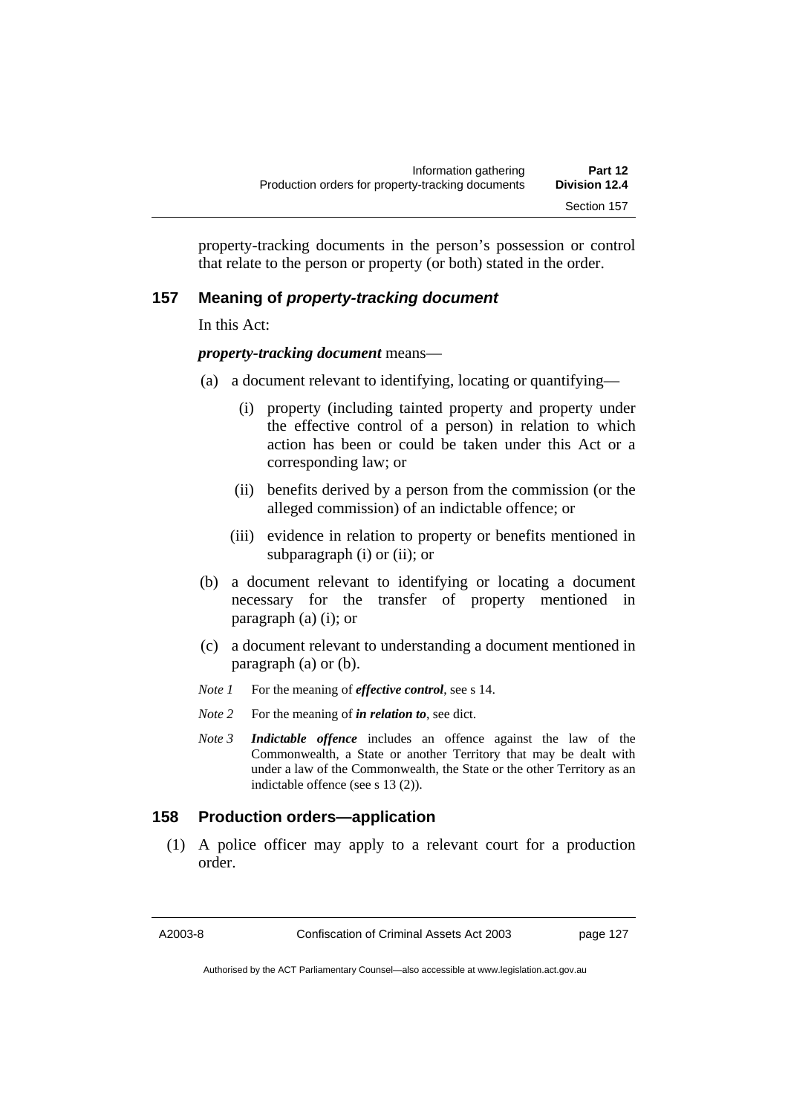property-tracking documents in the person's possession or control that relate to the person or property (or both) stated in the order.

## **157 Meaning of** *property-tracking document*

In this Act:

*property-tracking document* means—

- (a) a document relevant to identifying, locating or quantifying—
	- (i) property (including tainted property and property under the effective control of a person) in relation to which action has been or could be taken under this Act or a corresponding law; or
	- (ii) benefits derived by a person from the commission (or the alleged commission) of an indictable offence; or
	- (iii) evidence in relation to property or benefits mentioned in subparagraph (i) or (ii); or
- (b) a document relevant to identifying or locating a document necessary for the transfer of property mentioned in paragraph (a) (i); or
- (c) a document relevant to understanding a document mentioned in paragraph (a) or (b).
- *Note 1* For the meaning of *effective control*, see s 14.
- *Note 2* For the meaning of *in relation to*, see dict.
- *Note 3 Indictable offence* includes an offence against the law of the Commonwealth, a State or another Territory that may be dealt with under a law of the Commonwealth, the State or the other Territory as an indictable offence (see s 13 (2)).

## **158 Production orders—application**

 (1) A police officer may apply to a relevant court for a production order.

A2003-8 Confiscation of Criminal Assets Act 2003 page 127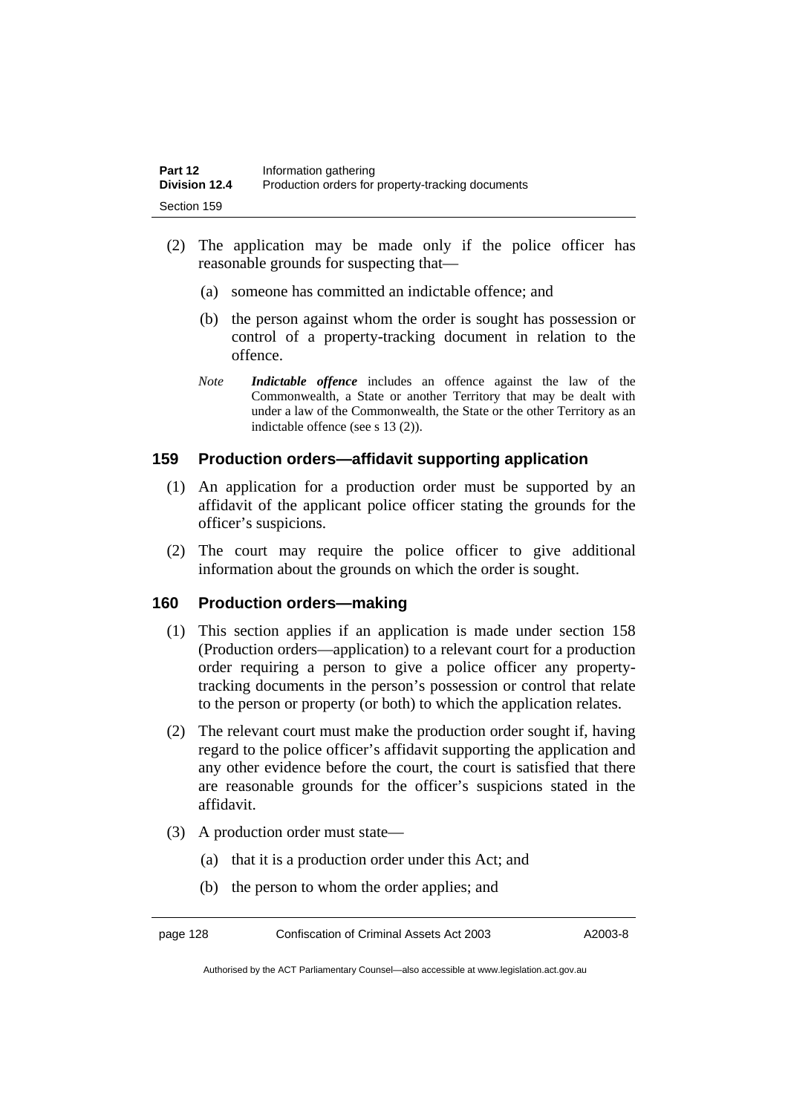- (2) The application may be made only if the police officer has reasonable grounds for suspecting that—
	- (a) someone has committed an indictable offence; and
	- (b) the person against whom the order is sought has possession or control of a property-tracking document in relation to the offence.
	- *Note Indictable offence* includes an offence against the law of the Commonwealth, a State or another Territory that may be dealt with under a law of the Commonwealth, the State or the other Territory as an indictable offence (see s 13 (2)).

## **159 Production orders—affidavit supporting application**

- (1) An application for a production order must be supported by an affidavit of the applicant police officer stating the grounds for the officer's suspicions.
- (2) The court may require the police officer to give additional information about the grounds on which the order is sought.

## **160 Production orders—making**

- (1) This section applies if an application is made under section 158 (Production orders—application) to a relevant court for a production order requiring a person to give a police officer any propertytracking documents in the person's possession or control that relate to the person or property (or both) to which the application relates.
- (2) The relevant court must make the production order sought if, having regard to the police officer's affidavit supporting the application and any other evidence before the court, the court is satisfied that there are reasonable grounds for the officer's suspicions stated in the affidavit.
- (3) A production order must state—
	- (a) that it is a production order under this Act; and
	- (b) the person to whom the order applies; and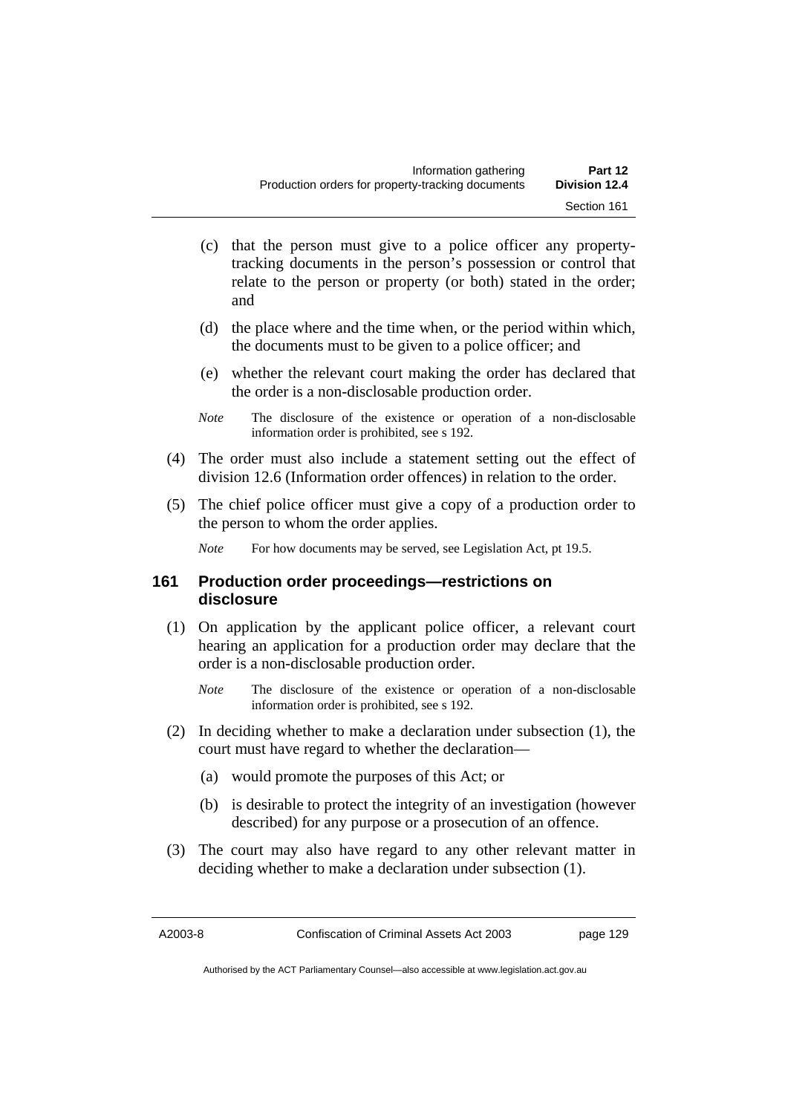- (c) that the person must give to a police officer any propertytracking documents in the person's possession or control that relate to the person or property (or both) stated in the order; and
- (d) the place where and the time when, or the period within which, the documents must to be given to a police officer; and
- (e) whether the relevant court making the order has declared that the order is a non-disclosable production order.
- *Note* The disclosure of the existence or operation of a non-disclosable information order is prohibited, see s 192.
- (4) The order must also include a statement setting out the effect of division 12.6 (Information order offences) in relation to the order.
- (5) The chief police officer must give a copy of a production order to the person to whom the order applies.

*Note* For how documents may be served, see Legislation Act, pt 19.5.

## **161 Production order proceedings—restrictions on disclosure**

- (1) On application by the applicant police officer, a relevant court hearing an application for a production order may declare that the order is a non-disclosable production order.
	- *Note* The disclosure of the existence or operation of a non-disclosable information order is prohibited, see s 192.
- (2) In deciding whether to make a declaration under subsection (1), the court must have regard to whether the declaration—
	- (a) would promote the purposes of this Act; or
	- (b) is desirable to protect the integrity of an investigation (however described) for any purpose or a prosecution of an offence.
- (3) The court may also have regard to any other relevant matter in deciding whether to make a declaration under subsection (1).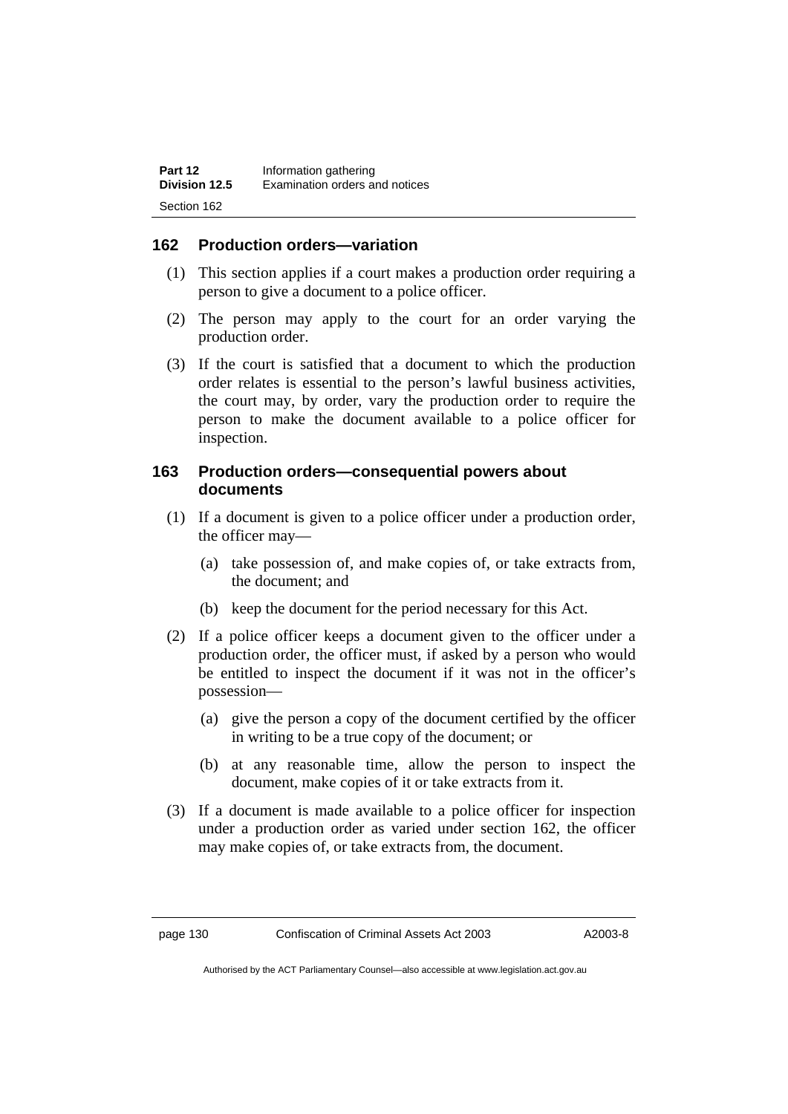## **162 Production orders—variation**

- (1) This section applies if a court makes a production order requiring a person to give a document to a police officer.
- (2) The person may apply to the court for an order varying the production order.
- (3) If the court is satisfied that a document to which the production order relates is essential to the person's lawful business activities, the court may, by order, vary the production order to require the person to make the document available to a police officer for inspection.

## **163 Production orders—consequential powers about documents**

- (1) If a document is given to a police officer under a production order, the officer may—
	- (a) take possession of, and make copies of, or take extracts from, the document; and
	- (b) keep the document for the period necessary for this Act.
- (2) If a police officer keeps a document given to the officer under a production order, the officer must, if asked by a person who would be entitled to inspect the document if it was not in the officer's possession—
	- (a) give the person a copy of the document certified by the officer in writing to be a true copy of the document; or
	- (b) at any reasonable time, allow the person to inspect the document, make copies of it or take extracts from it.
- (3) If a document is made available to a police officer for inspection under a production order as varied under section 162, the officer may make copies of, or take extracts from, the document.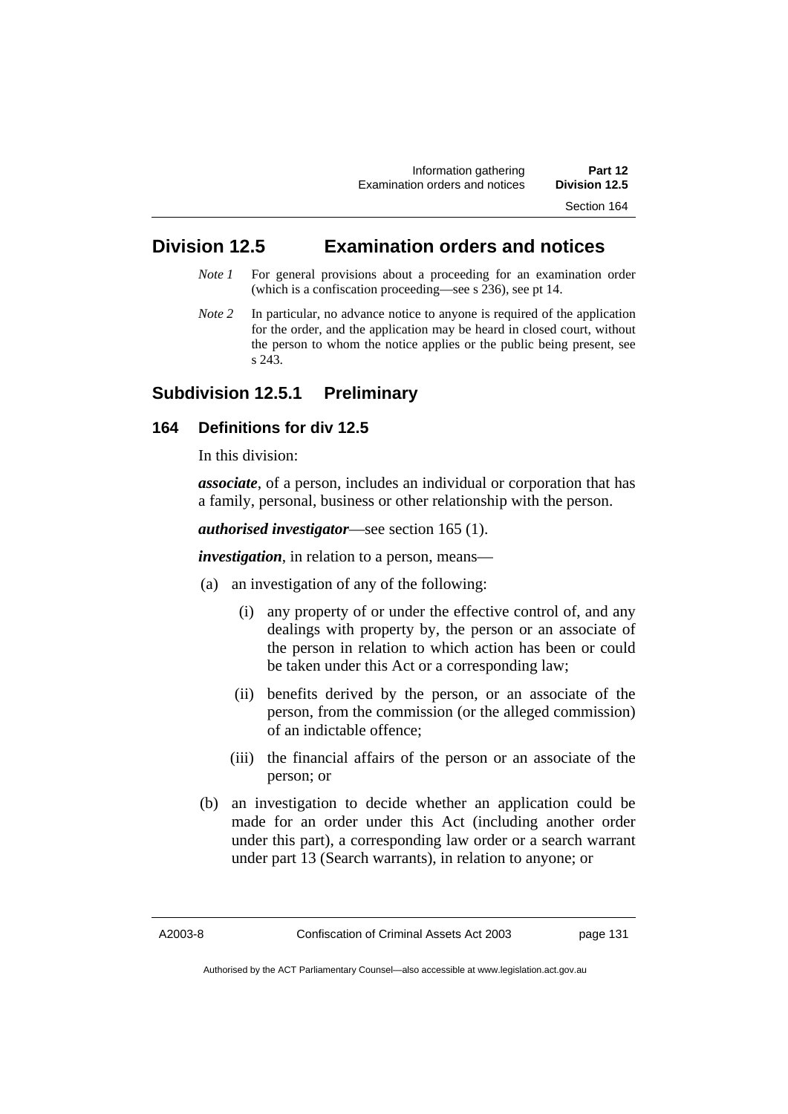Section 164

# **Division 12.5 Examination orders and notices**

- *Note 1* For general provisions about a proceeding for an examination order (which is a confiscation proceeding—see s 236), see pt 14.
- *Note 2* In particular, no advance notice to anyone is required of the application for the order, and the application may be heard in closed court, without the person to whom the notice applies or the public being present, see s 243.

# **Subdivision 12.5.1 Preliminary**

# **164 Definitions for div 12.5**

In this division:

*associate*, of a person, includes an individual or corporation that has a family, personal, business or other relationship with the person.

#### *authorised investigator*—see section 165 (1).

*investigation*, in relation to a person, means—

- (a) an investigation of any of the following:
	- (i) any property of or under the effective control of, and any dealings with property by, the person or an associate of the person in relation to which action has been or could be taken under this Act or a corresponding law;
	- (ii) benefits derived by the person, or an associate of the person, from the commission (or the alleged commission) of an indictable offence;
	- (iii) the financial affairs of the person or an associate of the person; or
- (b) an investigation to decide whether an application could be made for an order under this Act (including another order under this part), a corresponding law order or a search warrant under part 13 (Search warrants), in relation to anyone; or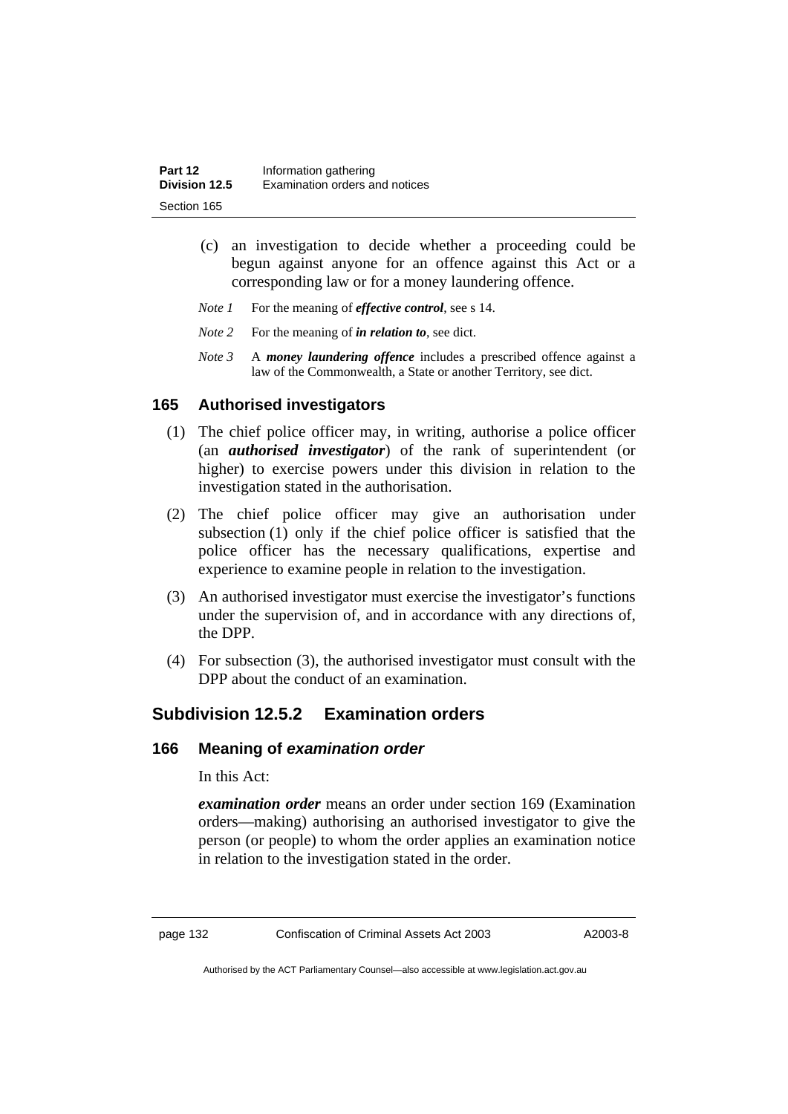| Part 12       | Information gathering          |
|---------------|--------------------------------|
| Division 12.5 | Examination orders and notices |
| Section 165   |                                |

- (c) an investigation to decide whether a proceeding could be begun against anyone for an offence against this Act or a corresponding law or for a money laundering offence.
- *Note 1* For the meaning of *effective control*, see s 14.
- *Note 2* For the meaning of *in relation to*, see dict.
- *Note 3* A *money laundering offence* includes a prescribed offence against a law of the Commonwealth, a State or another Territory, see dict.

# **165 Authorised investigators**

- (1) The chief police officer may, in writing, authorise a police officer (an *authorised investigator*) of the rank of superintendent (or higher) to exercise powers under this division in relation to the investigation stated in the authorisation.
- (2) The chief police officer may give an authorisation under subsection (1) only if the chief police officer is satisfied that the police officer has the necessary qualifications, expertise and experience to examine people in relation to the investigation.
- (3) An authorised investigator must exercise the investigator's functions under the supervision of, and in accordance with any directions of, the DPP.
- (4) For subsection (3), the authorised investigator must consult with the DPP about the conduct of an examination.

# **Subdivision 12.5.2 Examination orders**

#### **166 Meaning of** *examination order*

In this Act:

*examination order* means an order under section 169 (Examination orders—making) authorising an authorised investigator to give the person (or people) to whom the order applies an examination notice in relation to the investigation stated in the order.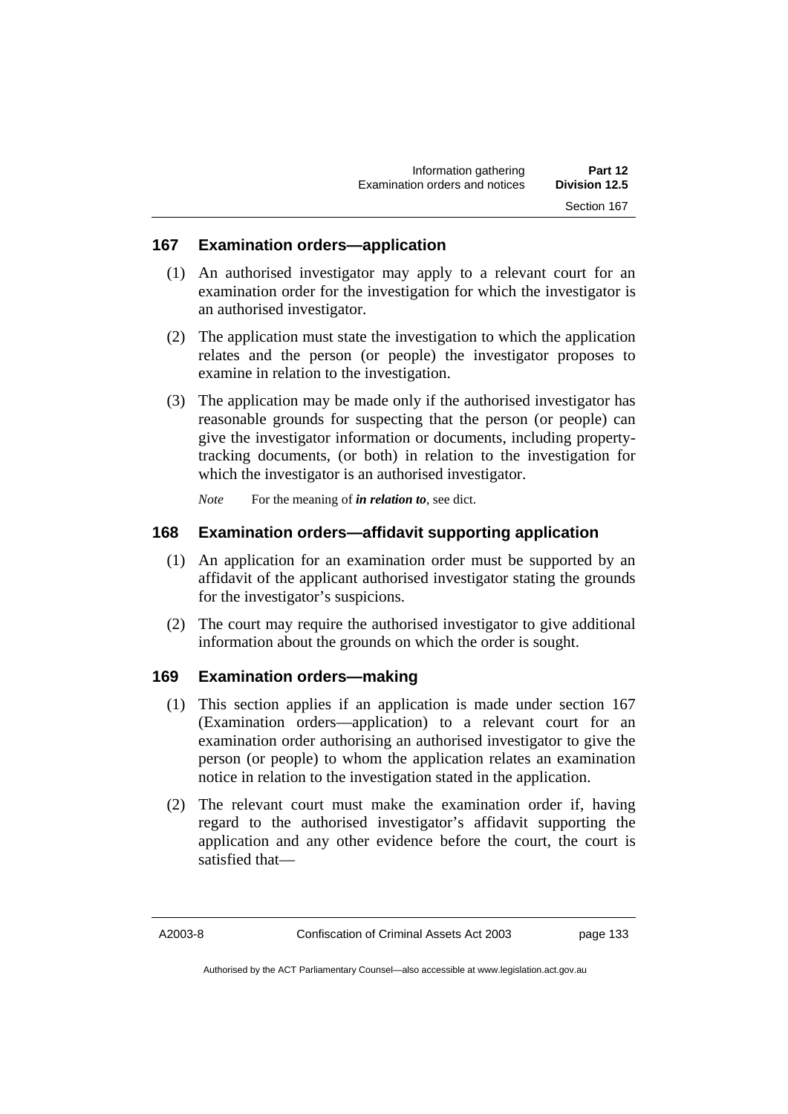#### **167 Examination orders—application**

- (1) An authorised investigator may apply to a relevant court for an examination order for the investigation for which the investigator is an authorised investigator.
- (2) The application must state the investigation to which the application relates and the person (or people) the investigator proposes to examine in relation to the investigation.
- (3) The application may be made only if the authorised investigator has reasonable grounds for suspecting that the person (or people) can give the investigator information or documents, including propertytracking documents, (or both) in relation to the investigation for which the investigator is an authorised investigator.

*Note* For the meaning of *in relation to*, see dict.

#### **168 Examination orders—affidavit supporting application**

- (1) An application for an examination order must be supported by an affidavit of the applicant authorised investigator stating the grounds for the investigator's suspicions.
- (2) The court may require the authorised investigator to give additional information about the grounds on which the order is sought.

#### **169 Examination orders—making**

- (1) This section applies if an application is made under section 167 (Examination orders—application) to a relevant court for an examination order authorising an authorised investigator to give the person (or people) to whom the application relates an examination notice in relation to the investigation stated in the application.
- (2) The relevant court must make the examination order if, having regard to the authorised investigator's affidavit supporting the application and any other evidence before the court, the court is satisfied that—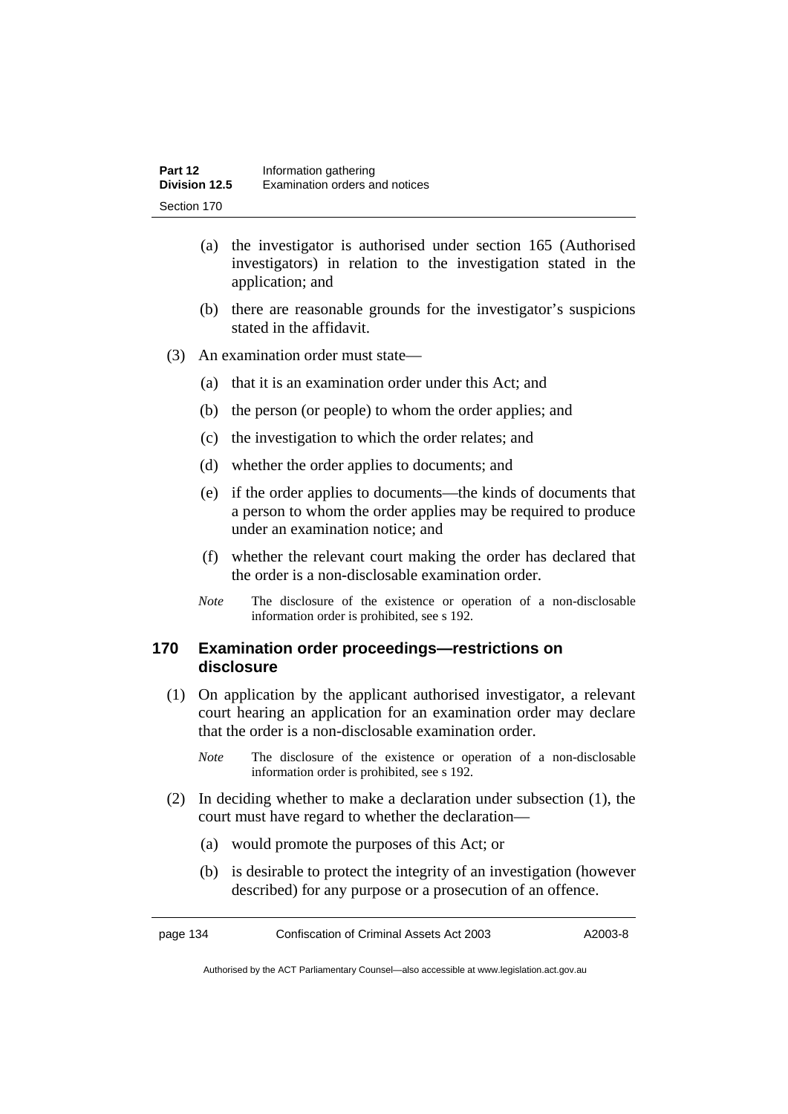- (a) the investigator is authorised under section 165 (Authorised investigators) in relation to the investigation stated in the application; and
- (b) there are reasonable grounds for the investigator's suspicions stated in the affidavit.
- (3) An examination order must state—
	- (a) that it is an examination order under this Act; and
	- (b) the person (or people) to whom the order applies; and
	- (c) the investigation to which the order relates; and
	- (d) whether the order applies to documents; and
	- (e) if the order applies to documents—the kinds of documents that a person to whom the order applies may be required to produce under an examination notice; and
	- (f) whether the relevant court making the order has declared that the order is a non-disclosable examination order.
	- *Note* The disclosure of the existence or operation of a non-disclosable information order is prohibited, see s 192.

# **170 Examination order proceedings—restrictions on disclosure**

- (1) On application by the applicant authorised investigator, a relevant court hearing an application for an examination order may declare that the order is a non-disclosable examination order.
	- *Note* The disclosure of the existence or operation of a non-disclosable information order is prohibited, see s 192.
- (2) In deciding whether to make a declaration under subsection (1), the court must have regard to whether the declaration—
	- (a) would promote the purposes of this Act; or
	- (b) is desirable to protect the integrity of an investigation (however described) for any purpose or a prosecution of an offence.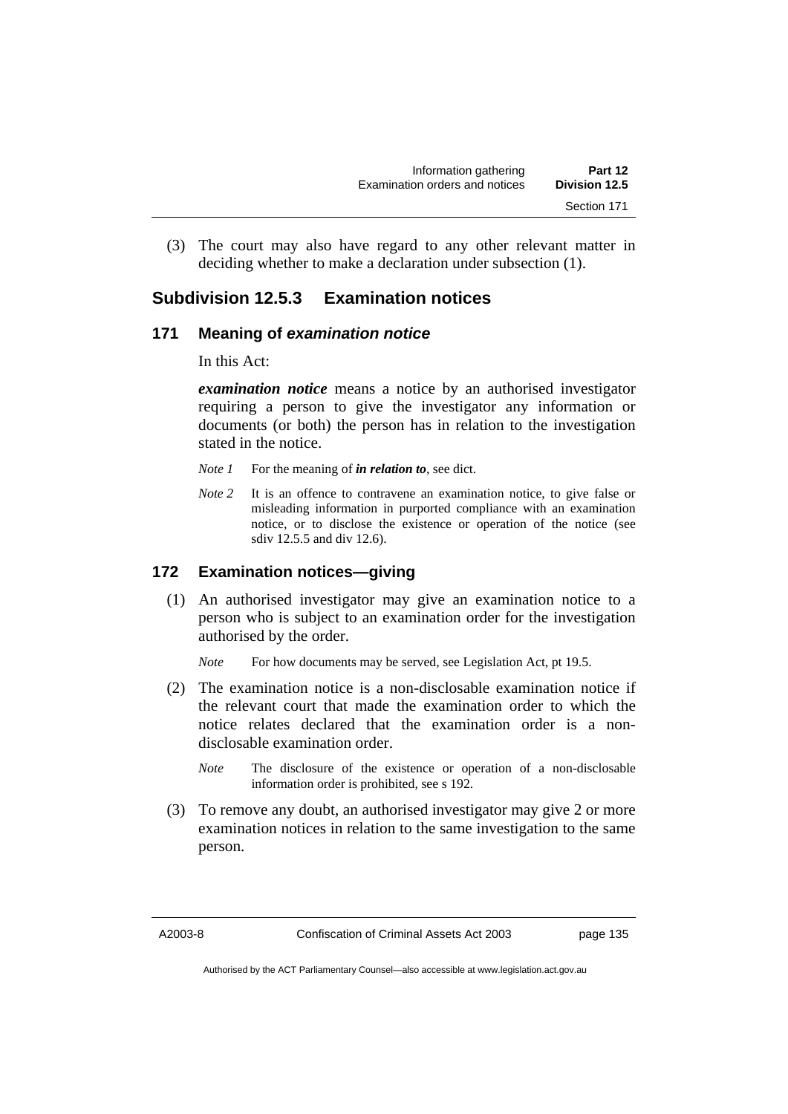(3) The court may also have regard to any other relevant matter in deciding whether to make a declaration under subsection (1).

# **Subdivision 12.5.3 Examination notices**

# **171 Meaning of** *examination notice*

In this Act:

*examination notice* means a notice by an authorised investigator requiring a person to give the investigator any information or documents (or both) the person has in relation to the investigation stated in the notice.

- *Note 1* For the meaning of *in relation to*, see dict.
- *Note* 2 It is an offence to contravene an examination notice, to give false or misleading information in purported compliance with an examination notice, or to disclose the existence or operation of the notice (see sdiv 12.5.5 and div 12.6).

# **172 Examination notices—giving**

 (1) An authorised investigator may give an examination notice to a person who is subject to an examination order for the investigation authorised by the order.

*Note* For how documents may be served, see Legislation Act, pt 19.5.

- (2) The examination notice is a non-disclosable examination notice if the relevant court that made the examination order to which the notice relates declared that the examination order is a nondisclosable examination order.
	- *Note* The disclosure of the existence or operation of a non-disclosable information order is prohibited, see s 192.
- (3) To remove any doubt, an authorised investigator may give 2 or more examination notices in relation to the same investigation to the same person.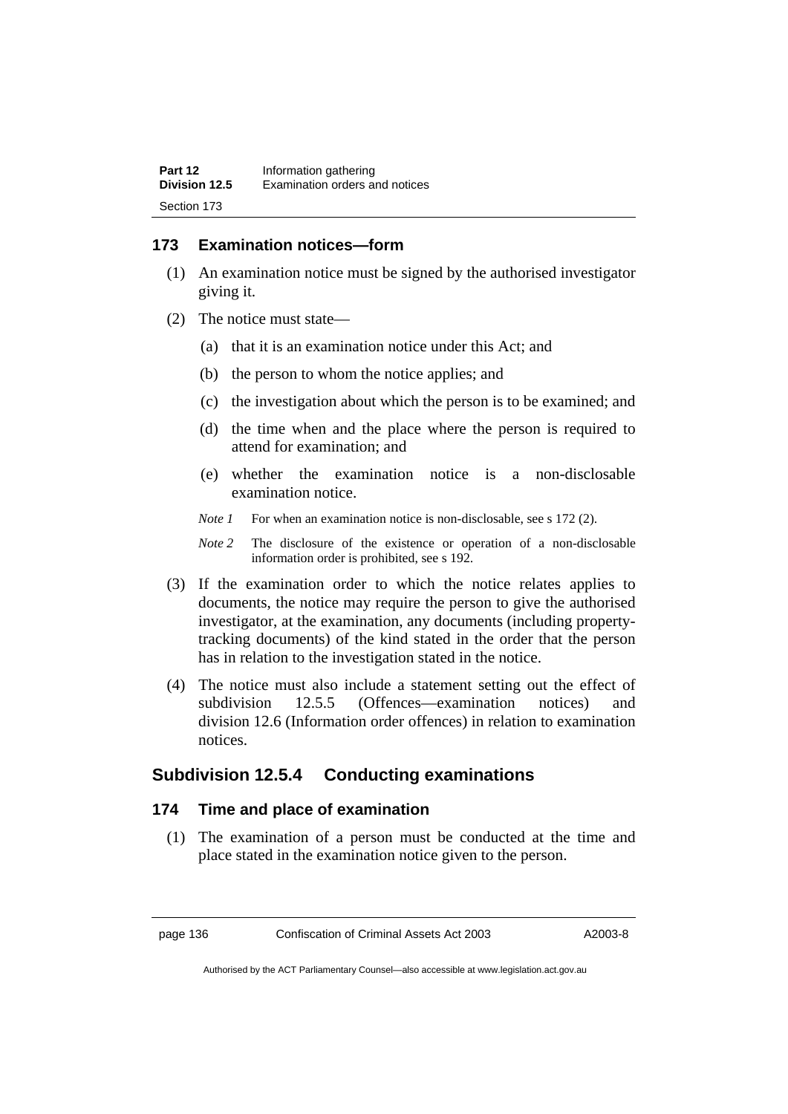# **173 Examination notices—form**

- (1) An examination notice must be signed by the authorised investigator giving it.
- (2) The notice must state—
	- (a) that it is an examination notice under this Act; and
	- (b) the person to whom the notice applies; and
	- (c) the investigation about which the person is to be examined; and
	- (d) the time when and the place where the person is required to attend for examination; and
	- (e) whether the examination notice is a non-disclosable examination notice.
	- *Note 1* For when an examination notice is non-disclosable, see s 172 (2).
	- *Note 2* The disclosure of the existence or operation of a non-disclosable information order is prohibited, see s 192.
- (3) If the examination order to which the notice relates applies to documents, the notice may require the person to give the authorised investigator, at the examination, any documents (including propertytracking documents) of the kind stated in the order that the person has in relation to the investigation stated in the notice.
- (4) The notice must also include a statement setting out the effect of subdivision 12.5.5 (Offences—examination notices) and division 12.6 (Information order offences) in relation to examination notices.

# **Subdivision 12.5.4 Conducting examinations**

#### **174 Time and place of examination**

 (1) The examination of a person must be conducted at the time and place stated in the examination notice given to the person.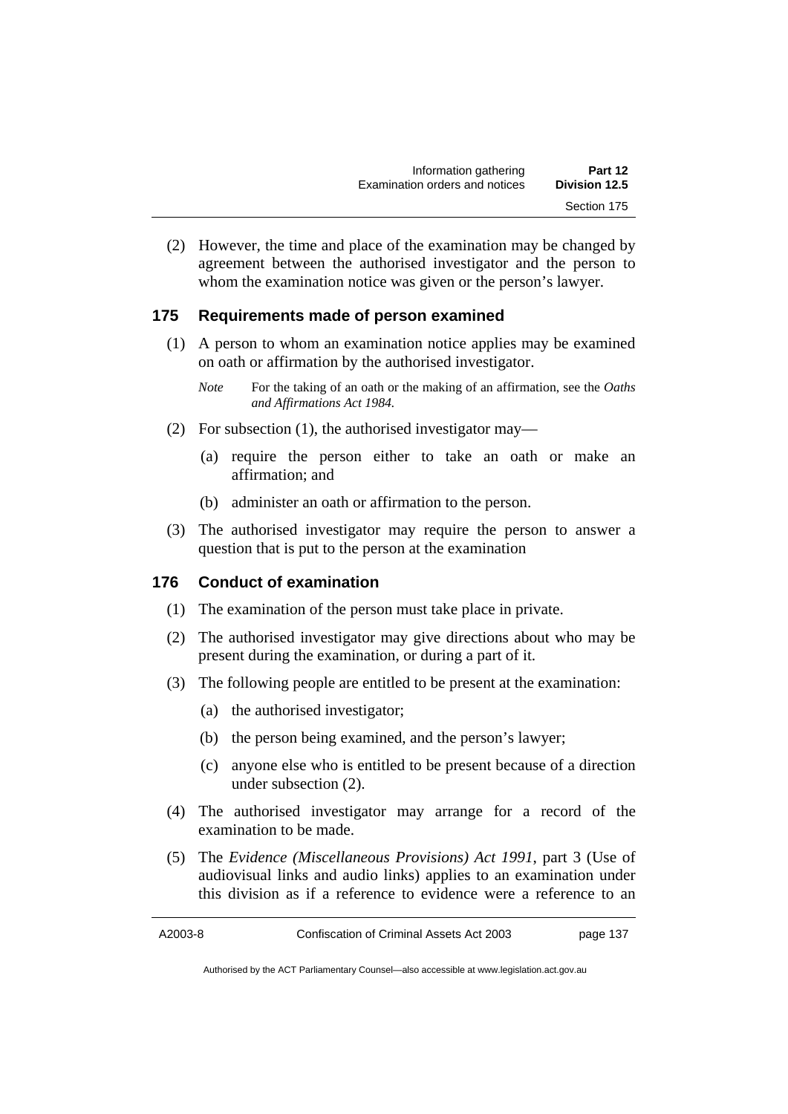(2) However, the time and place of the examination may be changed by agreement between the authorised investigator and the person to whom the examination notice was given or the person's lawyer.

# **175 Requirements made of person examined**

- (1) A person to whom an examination notice applies may be examined on oath or affirmation by the authorised investigator.
	- *Note* For the taking of an oath or the making of an affirmation, see the *Oaths and Affirmations Act 1984.*
- (2) For subsection (1), the authorised investigator may—
	- (a) require the person either to take an oath or make an affirmation; and
	- (b) administer an oath or affirmation to the person.
- (3) The authorised investigator may require the person to answer a question that is put to the person at the examination

#### **176 Conduct of examination**

- (1) The examination of the person must take place in private.
- (2) The authorised investigator may give directions about who may be present during the examination, or during a part of it.
- (3) The following people are entitled to be present at the examination:
	- (a) the authorised investigator;
	- (b) the person being examined, and the person's lawyer;
	- (c) anyone else who is entitled to be present because of a direction under subsection (2).
- (4) The authorised investigator may arrange for a record of the examination to be made.
- (5) The *Evidence (Miscellaneous Provisions) Act 1991*, part 3 (Use of audiovisual links and audio links) applies to an examination under this division as if a reference to evidence were a reference to an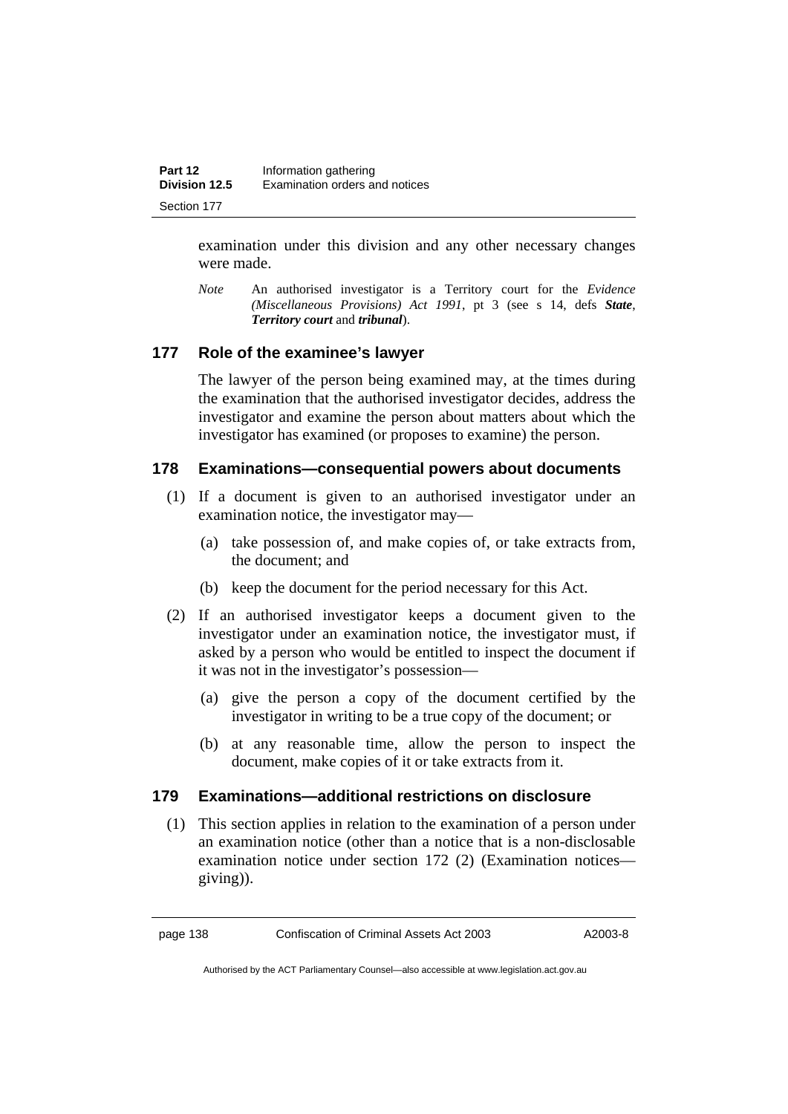examination under this division and any other necessary changes were made.

*Note* An authorised investigator is a Territory court for the *Evidence (Miscellaneous Provisions) Act 1991*, pt 3 (see s 14, defs *State*, *Territory court* and *tribunal*).

# **177 Role of the examinee's lawyer**

The lawyer of the person being examined may, at the times during the examination that the authorised investigator decides, address the investigator and examine the person about matters about which the investigator has examined (or proposes to examine) the person.

# **178 Examinations—consequential powers about documents**

- (1) If a document is given to an authorised investigator under an examination notice, the investigator may—
	- (a) take possession of, and make copies of, or take extracts from, the document; and
	- (b) keep the document for the period necessary for this Act.
- (2) If an authorised investigator keeps a document given to the investigator under an examination notice, the investigator must, if asked by a person who would be entitled to inspect the document if it was not in the investigator's possession—
	- (a) give the person a copy of the document certified by the investigator in writing to be a true copy of the document; or
	- (b) at any reasonable time, allow the person to inspect the document, make copies of it or take extracts from it.

# **179 Examinations—additional restrictions on disclosure**

 (1) This section applies in relation to the examination of a person under an examination notice (other than a notice that is a non-disclosable examination notice under section 172 (2) (Examination notices giving)).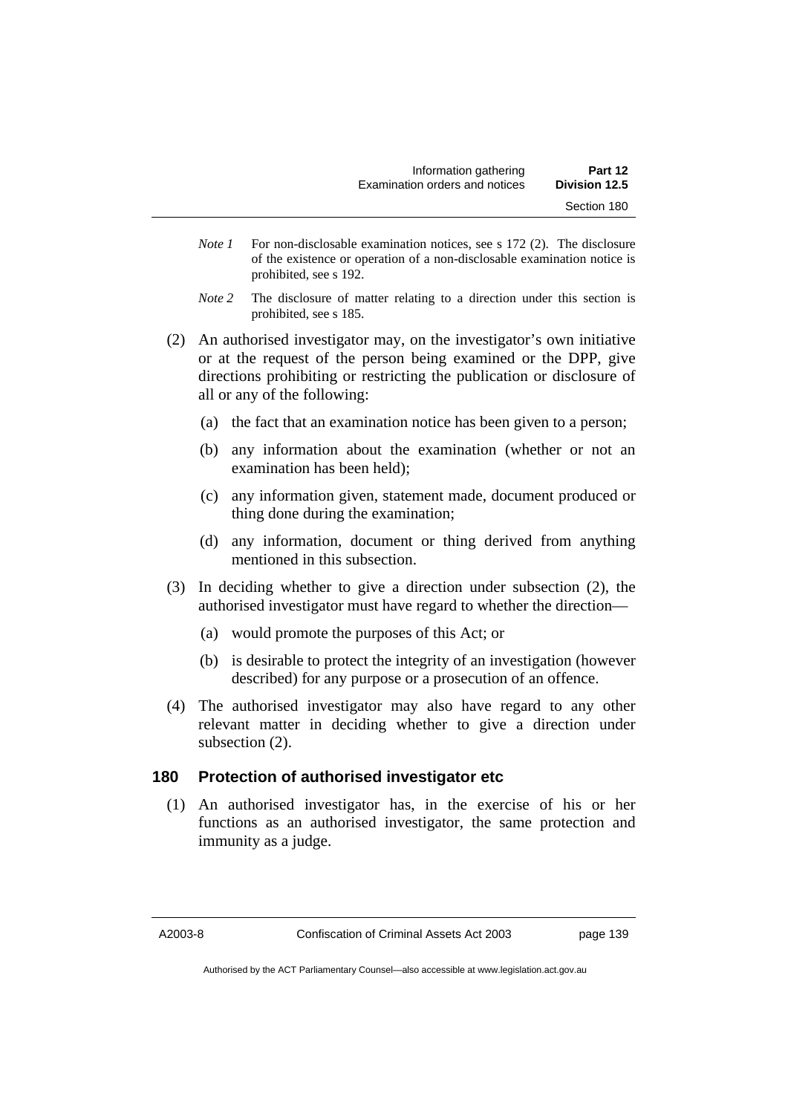- *Note 1* For non-disclosable examination notices, see s 172 (2). The disclosure of the existence or operation of a non-disclosable examination notice is prohibited, see s 192.
- *Note* 2 The disclosure of matter relating to a direction under this section is prohibited, see s 185.
- (2) An authorised investigator may, on the investigator's own initiative or at the request of the person being examined or the DPP, give directions prohibiting or restricting the publication or disclosure of all or any of the following:
	- (a) the fact that an examination notice has been given to a person;
	- (b) any information about the examination (whether or not an examination has been held);
	- (c) any information given, statement made, document produced or thing done during the examination;
	- (d) any information, document or thing derived from anything mentioned in this subsection.
- (3) In deciding whether to give a direction under subsection (2), the authorised investigator must have regard to whether the direction—
	- (a) would promote the purposes of this Act; or
	- (b) is desirable to protect the integrity of an investigation (however described) for any purpose or a prosecution of an offence.
- (4) The authorised investigator may also have regard to any other relevant matter in deciding whether to give a direction under subsection (2).

#### **180 Protection of authorised investigator etc**

 (1) An authorised investigator has, in the exercise of his or her functions as an authorised investigator, the same protection and immunity as a judge.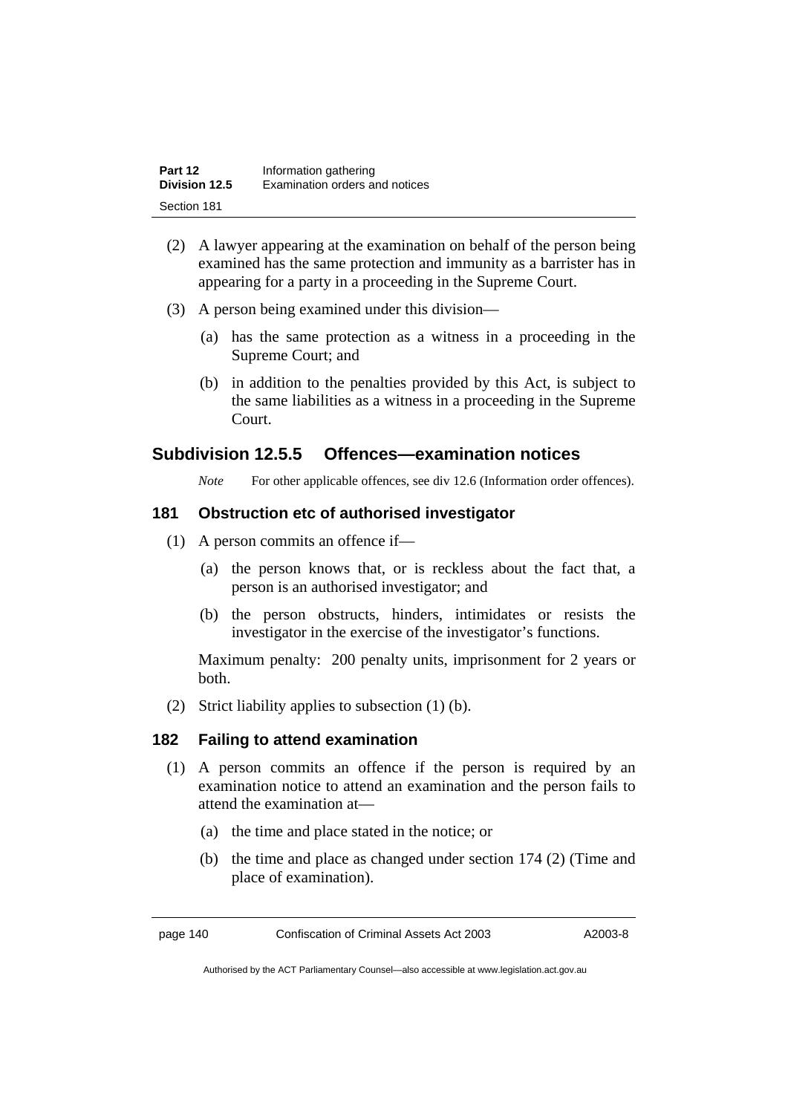| Part 12       | Information gathering          |
|---------------|--------------------------------|
| Division 12.5 | Examination orders and notices |
| Section 181   |                                |

- (2) A lawyer appearing at the examination on behalf of the person being examined has the same protection and immunity as a barrister has in appearing for a party in a proceeding in the Supreme Court.
- (3) A person being examined under this division—
	- (a) has the same protection as a witness in a proceeding in the Supreme Court; and
	- (b) in addition to the penalties provided by this Act, is subject to the same liabilities as a witness in a proceeding in the Supreme Court.

# **Subdivision 12.5.5 Offences—examination notices**

*Note* For other applicable offences, see div 12.6 (Information order offences).

#### **181 Obstruction etc of authorised investigator**

- (1) A person commits an offence if—
	- (a) the person knows that, or is reckless about the fact that, a person is an authorised investigator; and
	- (b) the person obstructs, hinders, intimidates or resists the investigator in the exercise of the investigator's functions.

Maximum penalty: 200 penalty units, imprisonment for 2 years or both.

(2) Strict liability applies to subsection (1) (b).

#### **182 Failing to attend examination**

- (1) A person commits an offence if the person is required by an examination notice to attend an examination and the person fails to attend the examination at—
	- (a) the time and place stated in the notice; or
	- (b) the time and place as changed under section 174 (2) (Time and place of examination).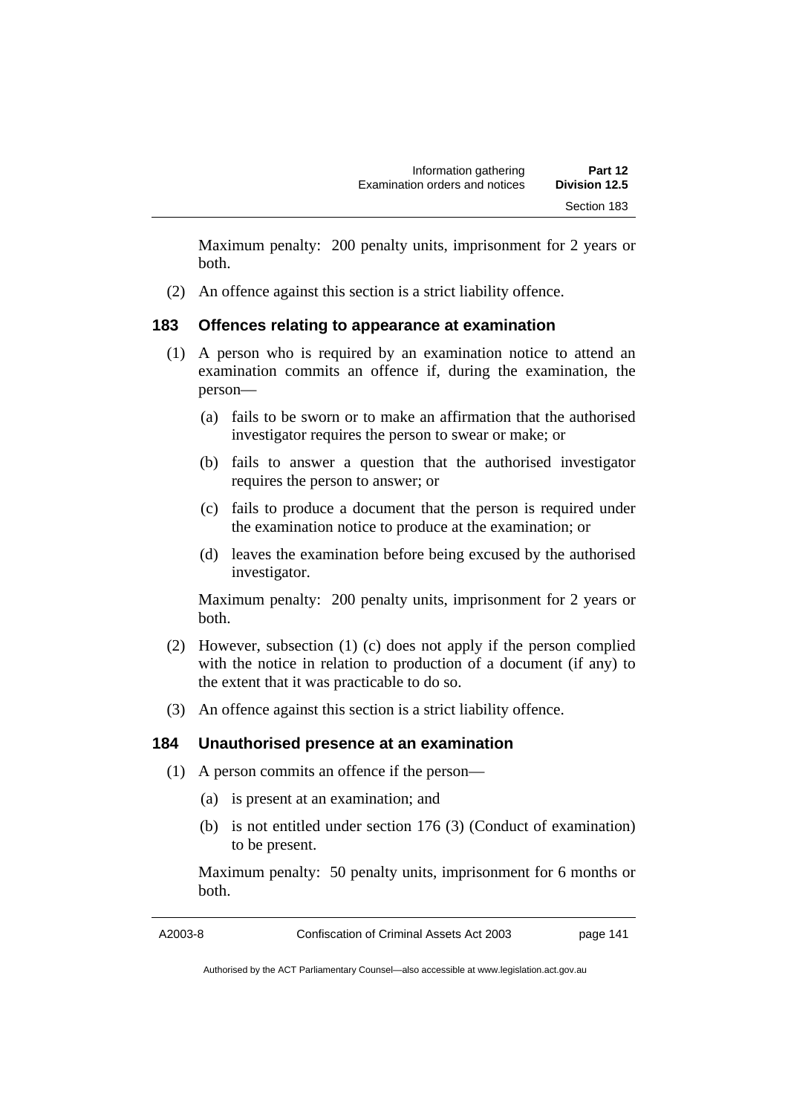Maximum penalty: 200 penalty units, imprisonment for 2 years or both.

(2) An offence against this section is a strict liability offence.

# **183 Offences relating to appearance at examination**

- (1) A person who is required by an examination notice to attend an examination commits an offence if, during the examination, the person—
	- (a) fails to be sworn or to make an affirmation that the authorised investigator requires the person to swear or make; or
	- (b) fails to answer a question that the authorised investigator requires the person to answer; or
	- (c) fails to produce a document that the person is required under the examination notice to produce at the examination; or
	- (d) leaves the examination before being excused by the authorised investigator.

Maximum penalty: 200 penalty units, imprisonment for 2 years or both.

- (2) However, subsection (1) (c) does not apply if the person complied with the notice in relation to production of a document (if any) to the extent that it was practicable to do so.
- (3) An offence against this section is a strict liability offence.

# **184 Unauthorised presence at an examination**

- (1) A person commits an offence if the person—
	- (a) is present at an examination; and
	- (b) is not entitled under section 176 (3) (Conduct of examination) to be present.

Maximum penalty: 50 penalty units, imprisonment for 6 months or both.

A2003-8 Confiscation of Criminal Assets Act 2003 page 141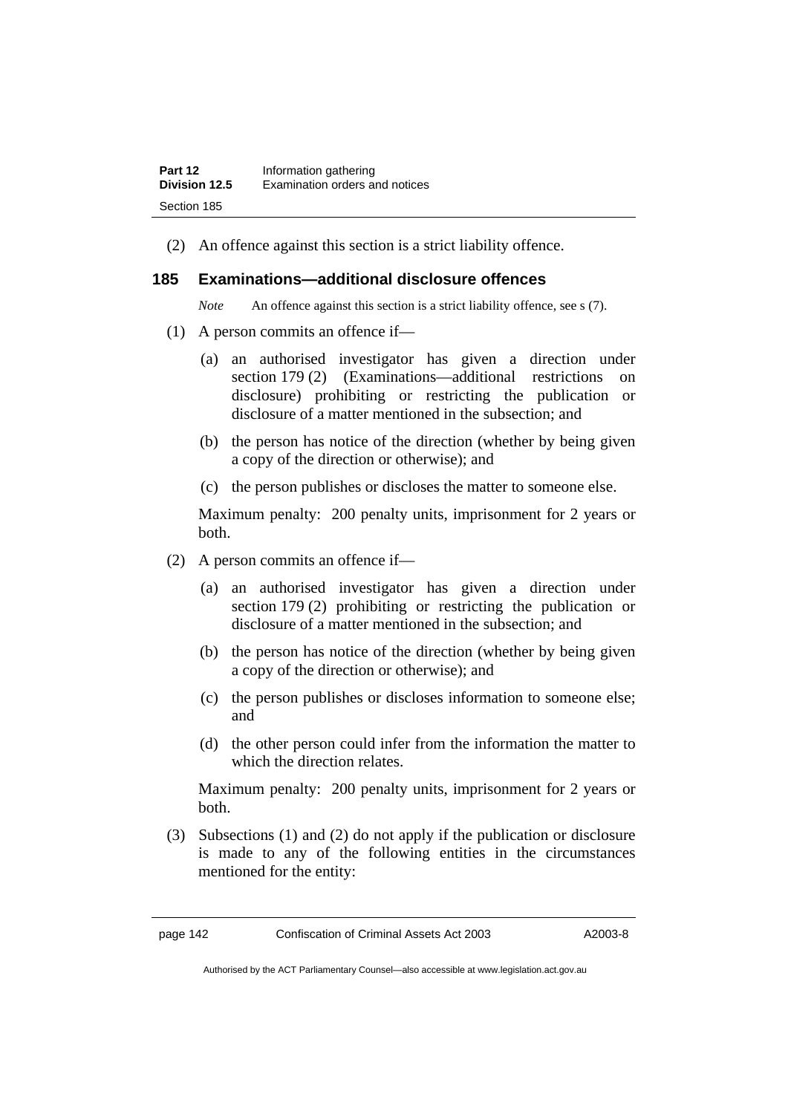(2) An offence against this section is a strict liability offence.

#### **185 Examinations—additional disclosure offences**

*Note* An offence against this section is a strict liability offence, see s (7).

- (1) A person commits an offence if—
	- (a) an authorised investigator has given a direction under section 179 (2) (Examinations—additional restrictions on disclosure) prohibiting or restricting the publication or disclosure of a matter mentioned in the subsection; and
	- (b) the person has notice of the direction (whether by being given a copy of the direction or otherwise); and
	- (c) the person publishes or discloses the matter to someone else.

Maximum penalty: 200 penalty units, imprisonment for 2 years or both.

- (2) A person commits an offence if—
	- (a) an authorised investigator has given a direction under section 179 (2) prohibiting or restricting the publication or disclosure of a matter mentioned in the subsection; and
	- (b) the person has notice of the direction (whether by being given a copy of the direction or otherwise); and
	- (c) the person publishes or discloses information to someone else; and
	- (d) the other person could infer from the information the matter to which the direction relates.

Maximum penalty: 200 penalty units, imprisonment for 2 years or both.

 (3) Subsections (1) and (2) do not apply if the publication or disclosure is made to any of the following entities in the circumstances mentioned for the entity: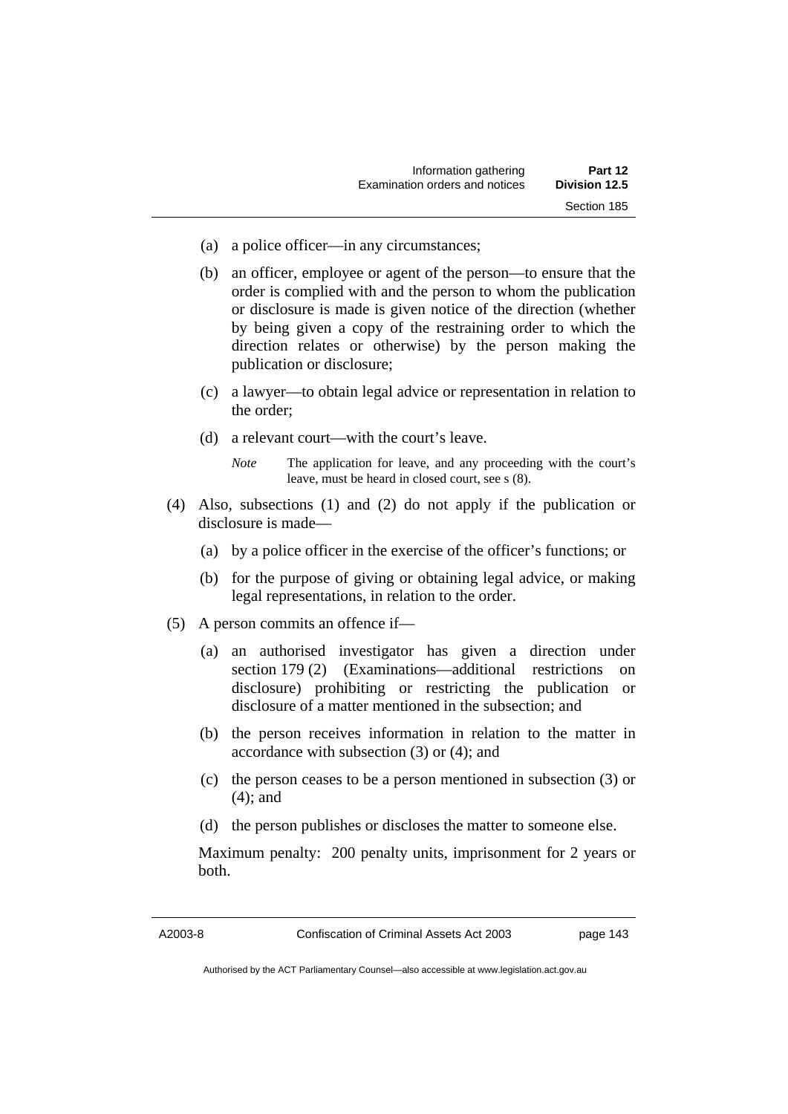- (a) a police officer—in any circumstances;
- (b) an officer, employee or agent of the person—to ensure that the order is complied with and the person to whom the publication or disclosure is made is given notice of the direction (whether by being given a copy of the restraining order to which the direction relates or otherwise) by the person making the publication or disclosure;
- (c) a lawyer—to obtain legal advice or representation in relation to the order;
- (d) a relevant court—with the court's leave.
	- *Note* The application for leave, and any proceeding with the court's leave, must be heard in closed court, see s (8).
- (4) Also, subsections (1) and (2) do not apply if the publication or disclosure is made—
	- (a) by a police officer in the exercise of the officer's functions; or
	- (b) for the purpose of giving or obtaining legal advice, or making legal representations, in relation to the order.
- (5) A person commits an offence if—
	- (a) an authorised investigator has given a direction under section 179 (2) (Examinations—additional restrictions on disclosure) prohibiting or restricting the publication or disclosure of a matter mentioned in the subsection; and
	- (b) the person receives information in relation to the matter in accordance with subsection (3) or (4); and
	- (c) the person ceases to be a person mentioned in subsection (3) or (4); and
	- (d) the person publishes or discloses the matter to someone else.

Maximum penalty: 200 penalty units, imprisonment for 2 years or both.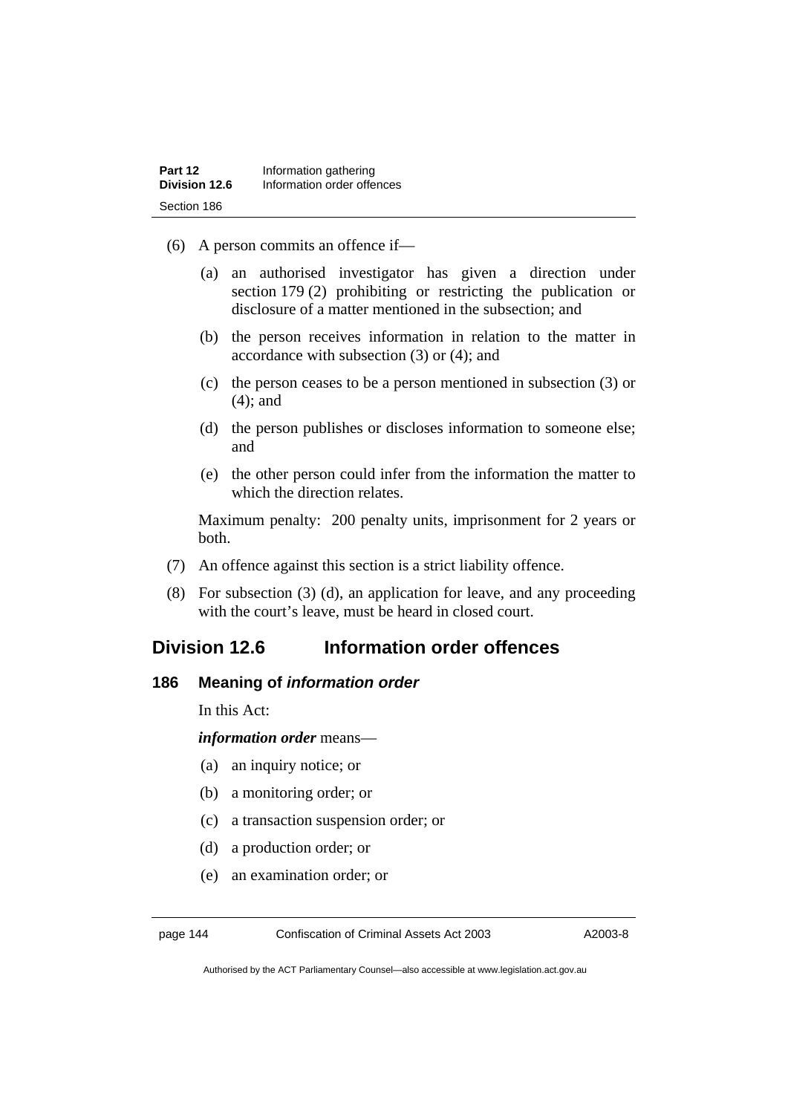- (6) A person commits an offence if—
	- (a) an authorised investigator has given a direction under section 179 (2) prohibiting or restricting the publication or disclosure of a matter mentioned in the subsection; and
	- (b) the person receives information in relation to the matter in accordance with subsection (3) or (4); and
	- (c) the person ceases to be a person mentioned in subsection (3) or (4); and
	- (d) the person publishes or discloses information to someone else; and
	- (e) the other person could infer from the information the matter to which the direction relates.

Maximum penalty: 200 penalty units, imprisonment for 2 years or both.

- (7) An offence against this section is a strict liability offence.
- (8) For subsection (3) (d), an application for leave, and any proceeding with the court's leave, must be heard in closed court.

# **Division 12.6 Information order offences**

#### **186 Meaning of** *information order*

In this Act:

*information order* means—

- (a) an inquiry notice; or
- (b) a monitoring order; or
- (c) a transaction suspension order; or
- (d) a production order; or
- (e) an examination order; or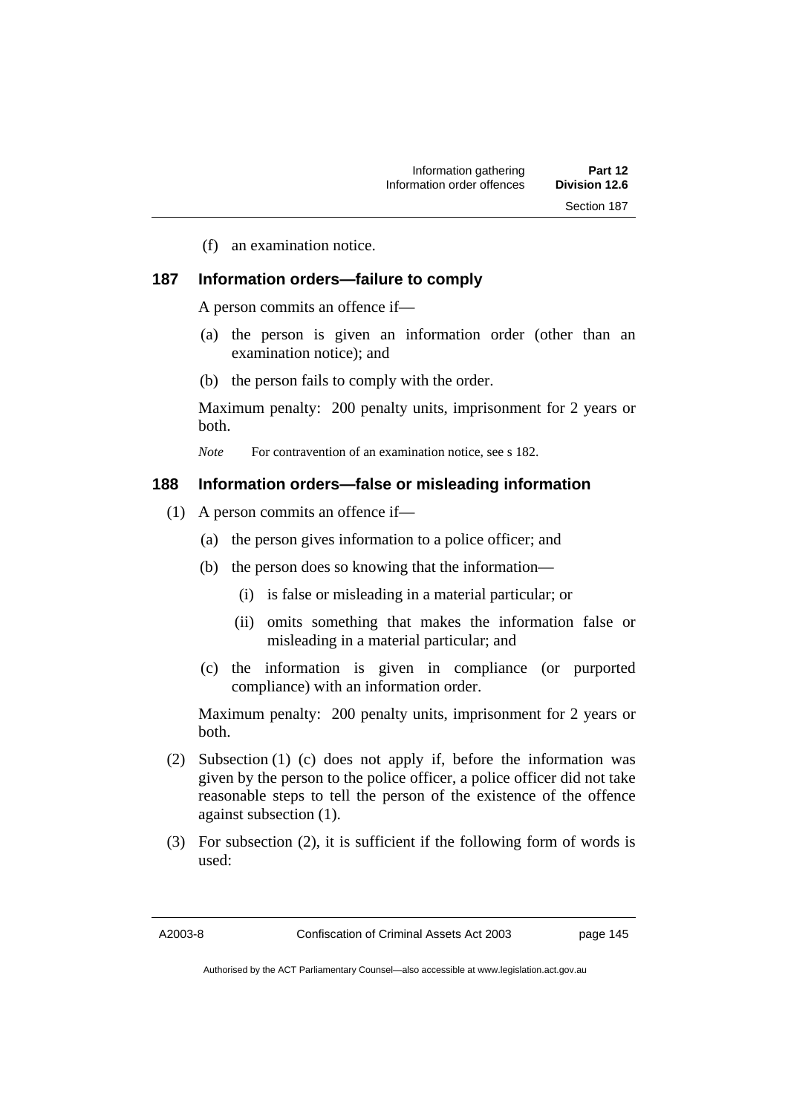(f) an examination notice.

#### **187 Information orders—failure to comply**

A person commits an offence if—

- (a) the person is given an information order (other than an examination notice); and
- (b) the person fails to comply with the order.

Maximum penalty: 200 penalty units, imprisonment for 2 years or both.

*Note* For contravention of an examination notice, see s 182.

#### **188 Information orders—false or misleading information**

- (1) A person commits an offence if—
	- (a) the person gives information to a police officer; and
	- (b) the person does so knowing that the information—
		- (i) is false or misleading in a material particular; or
		- (ii) omits something that makes the information false or misleading in a material particular; and
	- (c) the information is given in compliance (or purported compliance) with an information order.

Maximum penalty: 200 penalty units, imprisonment for 2 years or both.

- (2) Subsection (1) (c) does not apply if, before the information was given by the person to the police officer, a police officer did not take reasonable steps to tell the person of the existence of the offence against subsection (1).
- (3) For subsection (2), it is sufficient if the following form of words is used: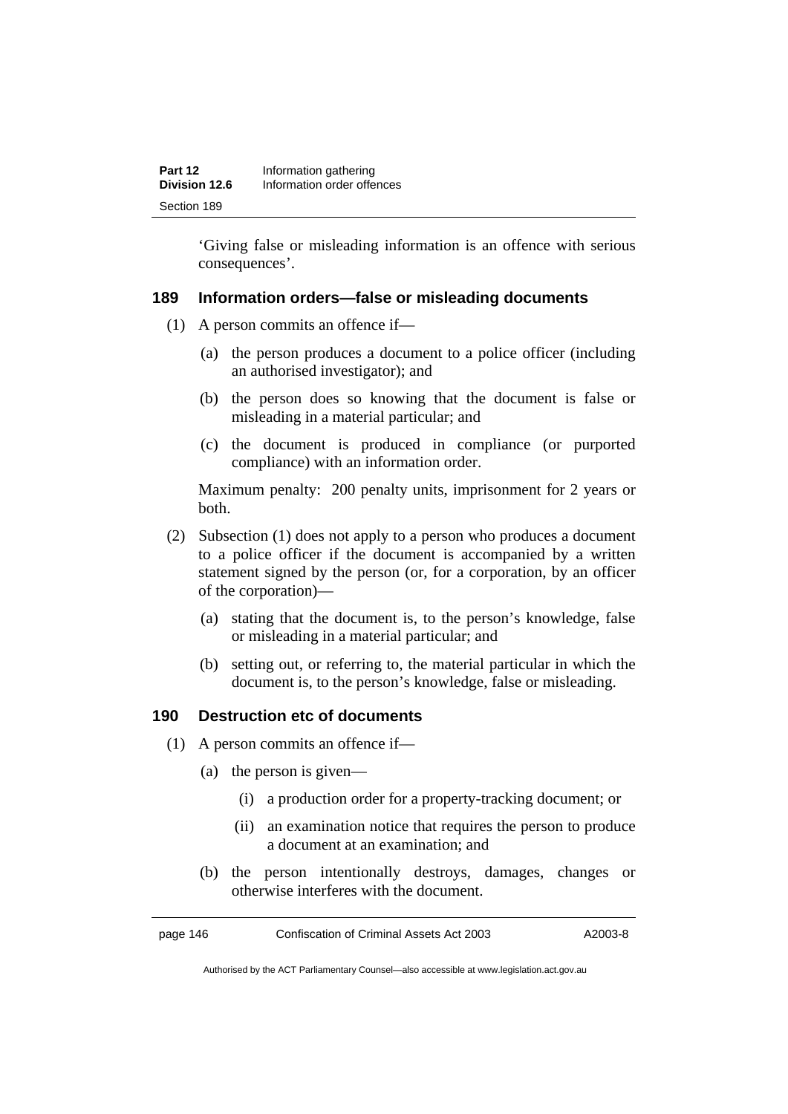'Giving false or misleading information is an offence with serious consequences'.

# **189 Information orders—false or misleading documents**

- (1) A person commits an offence if—
	- (a) the person produces a document to a police officer (including an authorised investigator); and
	- (b) the person does so knowing that the document is false or misleading in a material particular; and
	- (c) the document is produced in compliance (or purported compliance) with an information order.

Maximum penalty: 200 penalty units, imprisonment for 2 years or both.

- (2) Subsection (1) does not apply to a person who produces a document to a police officer if the document is accompanied by a written statement signed by the person (or, for a corporation, by an officer of the corporation)—
	- (a) stating that the document is, to the person's knowledge, false or misleading in a material particular; and
	- (b) setting out, or referring to, the material particular in which the document is, to the person's knowledge, false or misleading.

# **190 Destruction etc of documents**

- (1) A person commits an offence if—
	- (a) the person is given—
		- (i) a production order for a property-tracking document; or
		- (ii) an examination notice that requires the person to produce a document at an examination; and
	- (b) the person intentionally destroys, damages, changes or otherwise interferes with the document.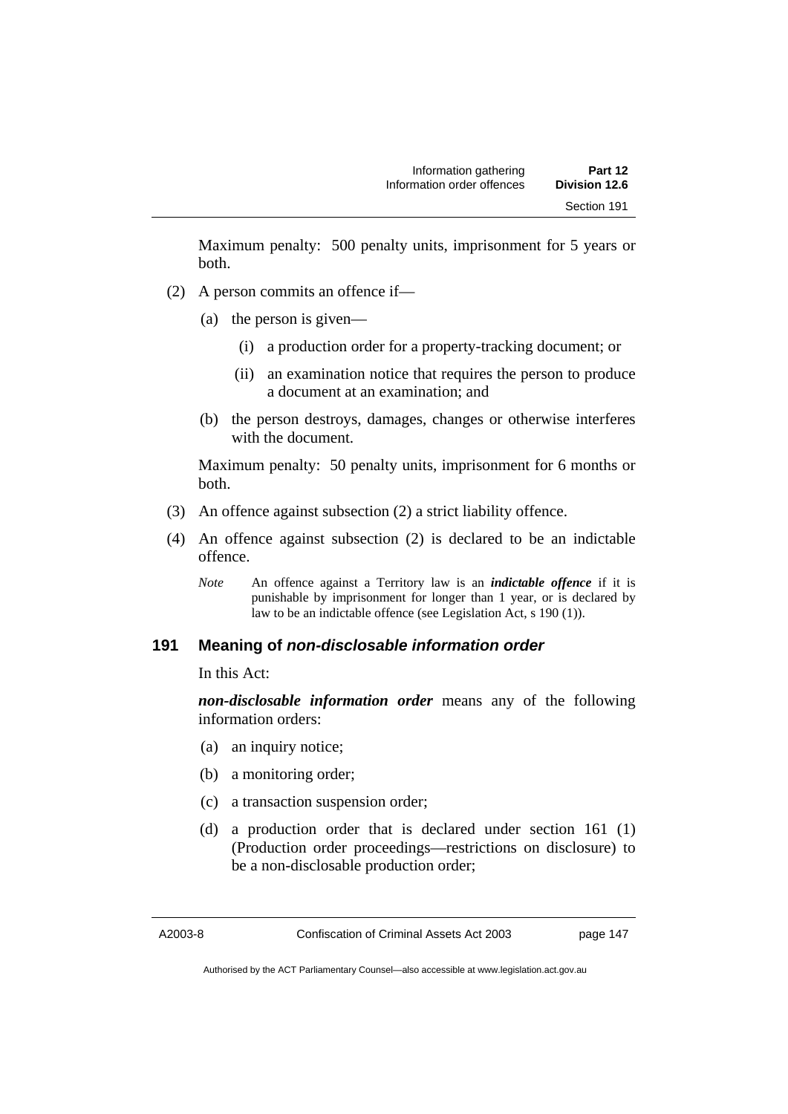Maximum penalty: 500 penalty units, imprisonment for 5 years or both.

- (2) A person commits an offence if—
	- (a) the person is given—
		- (i) a production order for a property-tracking document; or
		- (ii) an examination notice that requires the person to produce a document at an examination; and
	- (b) the person destroys, damages, changes or otherwise interferes with the document.

Maximum penalty: 50 penalty units, imprisonment for 6 months or both.

- (3) An offence against subsection (2) a strict liability offence.
- (4) An offence against subsection (2) is declared to be an indictable offence.
	- *Note* An offence against a Territory law is an *indictable offence* if it is punishable by imprisonment for longer than 1 year, or is declared by law to be an indictable offence (see Legislation Act, s 190 (1)).

# **191 Meaning of** *non-disclosable information order*

In this Act:

*non-disclosable information order* means any of the following information orders:

- (a) an inquiry notice;
- (b) a monitoring order;
- (c) a transaction suspension order;
- (d) a production order that is declared under section 161 (1) (Production order proceedings—restrictions on disclosure) to be a non-disclosable production order;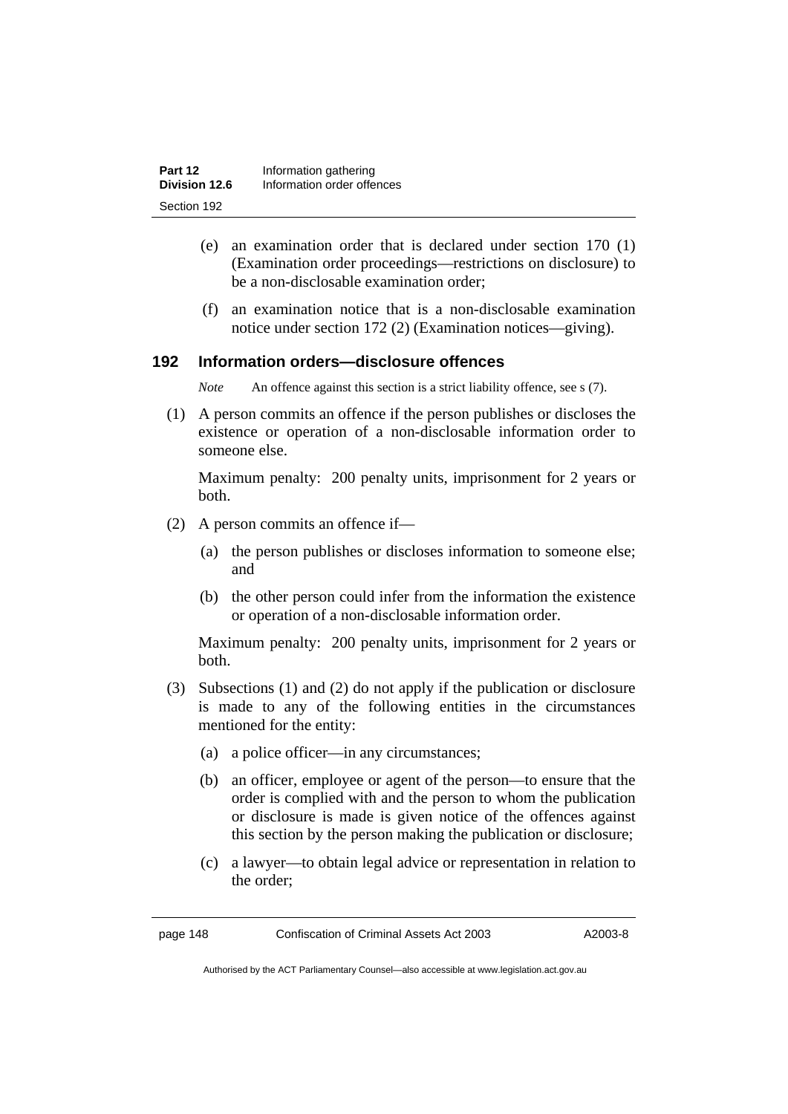| Part 12       | Information gathering      |
|---------------|----------------------------|
| Division 12.6 | Information order offences |
| Section 192   |                            |

- (e) an examination order that is declared under section 170 (1) (Examination order proceedings—restrictions on disclosure) to be a non-disclosable examination order;
- (f) an examination notice that is a non-disclosable examination notice under section 172 (2) (Examination notices—giving).

## **192 Information orders—disclosure offences**

*Note* An offence against this section is a strict liability offence, see s (7).

 (1) A person commits an offence if the person publishes or discloses the existence or operation of a non-disclosable information order to someone else.

Maximum penalty: 200 penalty units, imprisonment for 2 years or both.

- (2) A person commits an offence if—
	- (a) the person publishes or discloses information to someone else; and
	- (b) the other person could infer from the information the existence or operation of a non-disclosable information order.

Maximum penalty: 200 penalty units, imprisonment for 2 years or both.

- (3) Subsections (1) and (2) do not apply if the publication or disclosure is made to any of the following entities in the circumstances mentioned for the entity:
	- (a) a police officer—in any circumstances;
	- (b) an officer, employee or agent of the person—to ensure that the order is complied with and the person to whom the publication or disclosure is made is given notice of the offences against this section by the person making the publication or disclosure;
	- (c) a lawyer—to obtain legal advice or representation in relation to the order;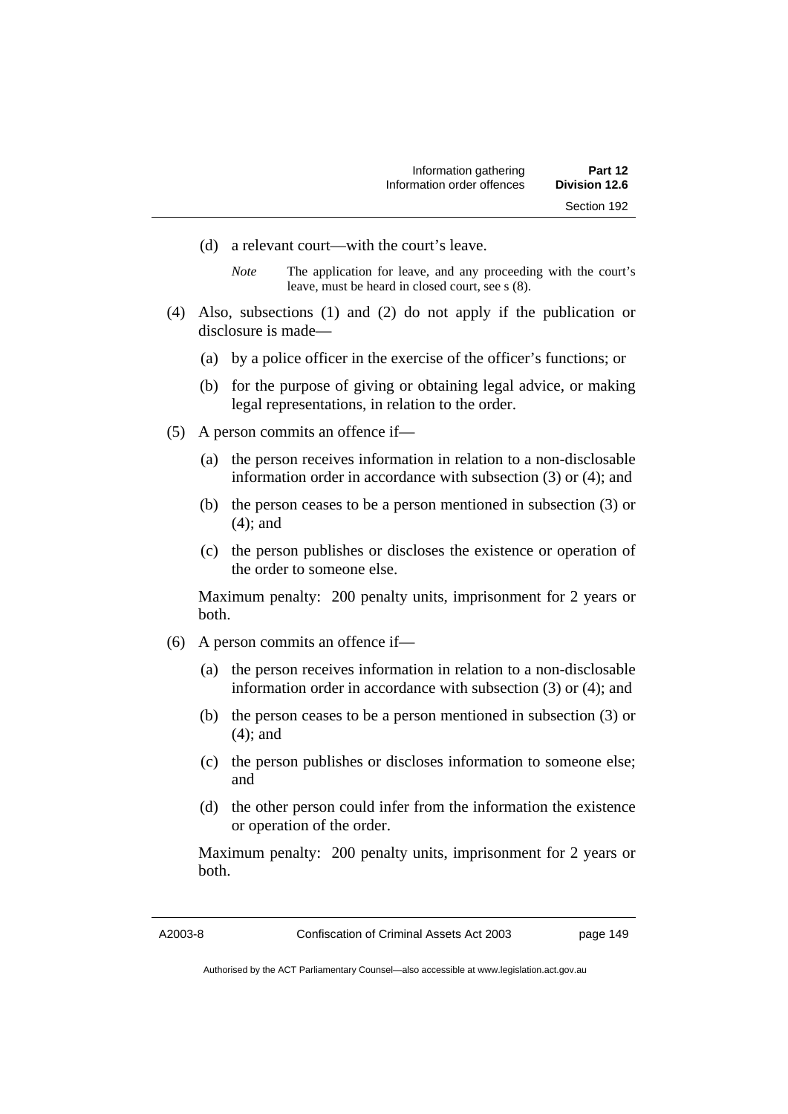- (d) a relevant court—with the court's leave.
	- *Note* The application for leave, and any proceeding with the court's leave, must be heard in closed court, see s (8).
- (4) Also, subsections (1) and (2) do not apply if the publication or disclosure is made—
	- (a) by a police officer in the exercise of the officer's functions; or
	- (b) for the purpose of giving or obtaining legal advice, or making legal representations, in relation to the order.
- (5) A person commits an offence if—
	- (a) the person receives information in relation to a non-disclosable information order in accordance with subsection (3) or (4); and
	- (b) the person ceases to be a person mentioned in subsection (3) or (4); and
	- (c) the person publishes or discloses the existence or operation of the order to someone else.

Maximum penalty: 200 penalty units, imprisonment for 2 years or both.

- (6) A person commits an offence if—
	- (a) the person receives information in relation to a non-disclosable information order in accordance with subsection (3) or (4); and
	- (b) the person ceases to be a person mentioned in subsection (3) or (4); and
	- (c) the person publishes or discloses information to someone else; and
	- (d) the other person could infer from the information the existence or operation of the order.

Maximum penalty: 200 penalty units, imprisonment for 2 years or both.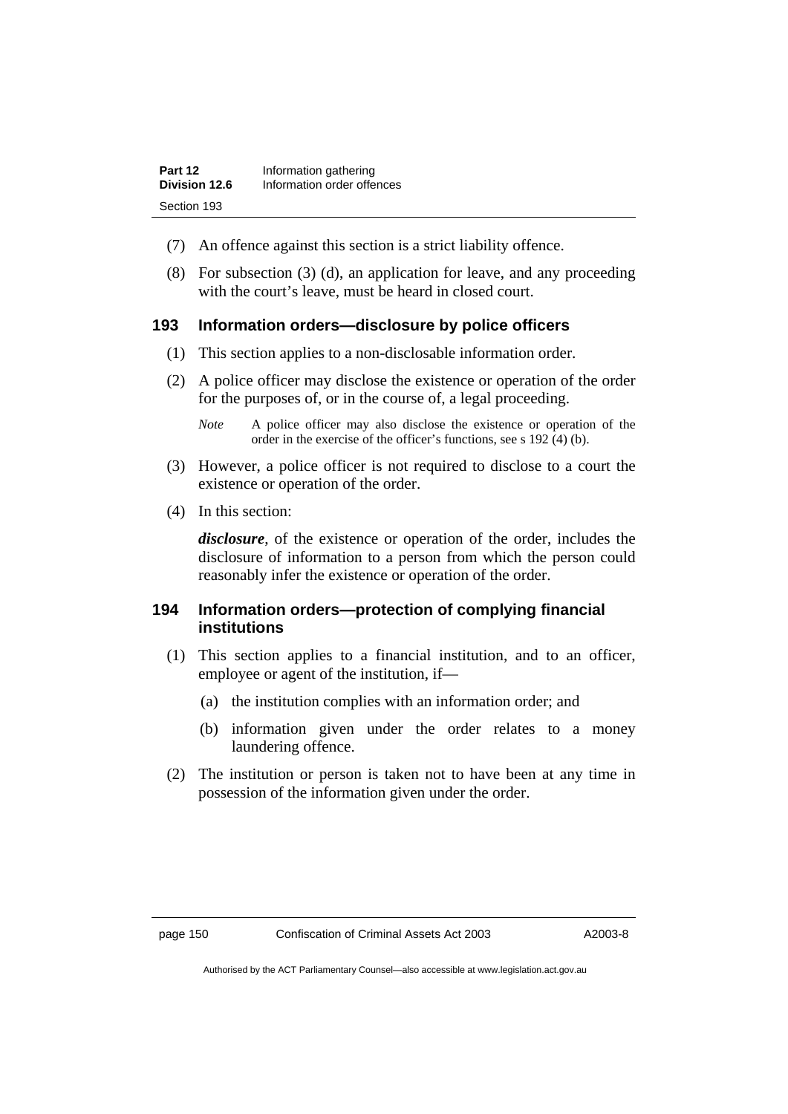| Part 12       | Information gathering      |
|---------------|----------------------------|
| Division 12.6 | Information order offences |
| Section 193   |                            |

- (7) An offence against this section is a strict liability offence.
- (8) For subsection (3) (d), an application for leave, and any proceeding with the court's leave, must be heard in closed court.

#### **193 Information orders—disclosure by police officers**

- (1) This section applies to a non-disclosable information order.
- (2) A police officer may disclose the existence or operation of the order for the purposes of, or in the course of, a legal proceeding.

- (3) However, a police officer is not required to disclose to a court the existence or operation of the order.
- (4) In this section:

*disclosure*, of the existence or operation of the order, includes the disclosure of information to a person from which the person could reasonably infer the existence or operation of the order.

# **194 Information orders—protection of complying financial institutions**

- (1) This section applies to a financial institution, and to an officer, employee or agent of the institution, if—
	- (a) the institution complies with an information order; and
	- (b) information given under the order relates to a money laundering offence.
- (2) The institution or person is taken not to have been at any time in possession of the information given under the order.

*Note* A police officer may also disclose the existence or operation of the order in the exercise of the officer's functions, see s 192 (4) (b).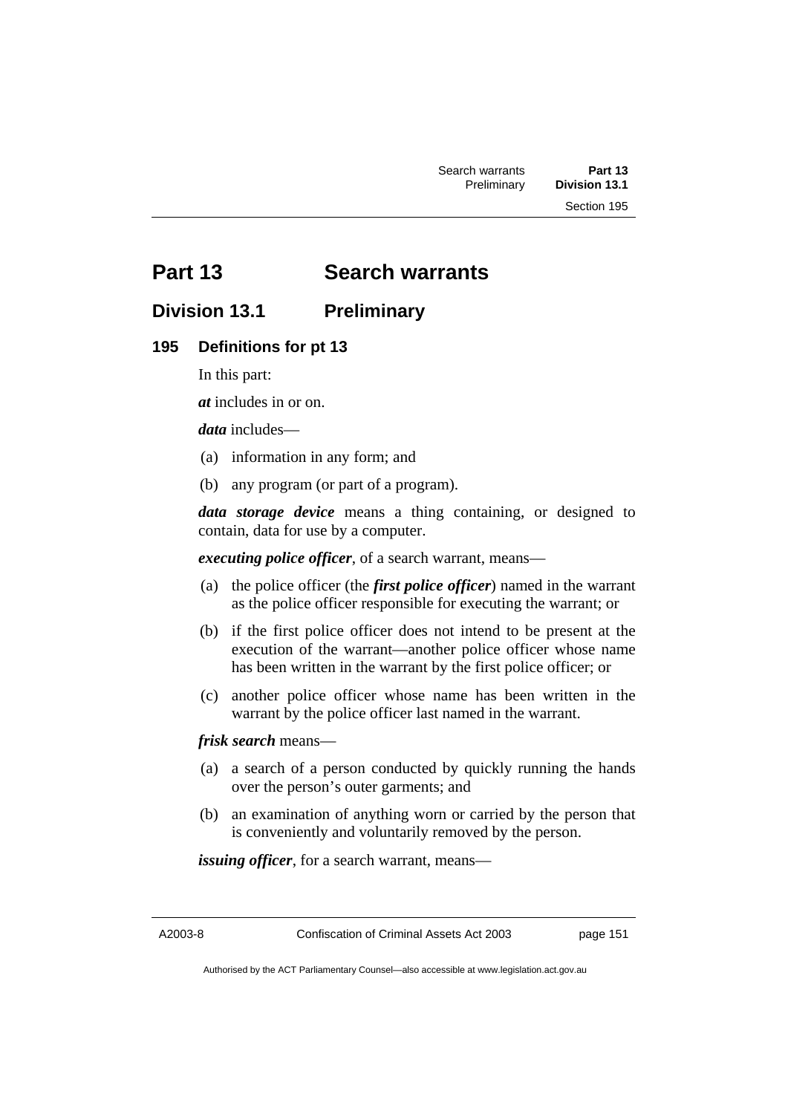# **Part 13 Search warrants**

# **Division 13.1 Preliminary**

#### **195 Definitions for pt 13**

In this part:

*at* includes in or on.

*data* includes—

- (a) information in any form; and
- (b) any program (or part of a program).

*data storage device* means a thing containing, or designed to contain, data for use by a computer.

*executing police officer*, of a search warrant, means—

- (a) the police officer (the *first police officer*) named in the warrant as the police officer responsible for executing the warrant; or
- (b) if the first police officer does not intend to be present at the execution of the warrant—another police officer whose name has been written in the warrant by the first police officer; or
- (c) another police officer whose name has been written in the warrant by the police officer last named in the warrant.

*frisk search* means—

- (a) a search of a person conducted by quickly running the hands over the person's outer garments; and
- (b) an examination of anything worn or carried by the person that is conveniently and voluntarily removed by the person.

*issuing officer*, for a search warrant, means—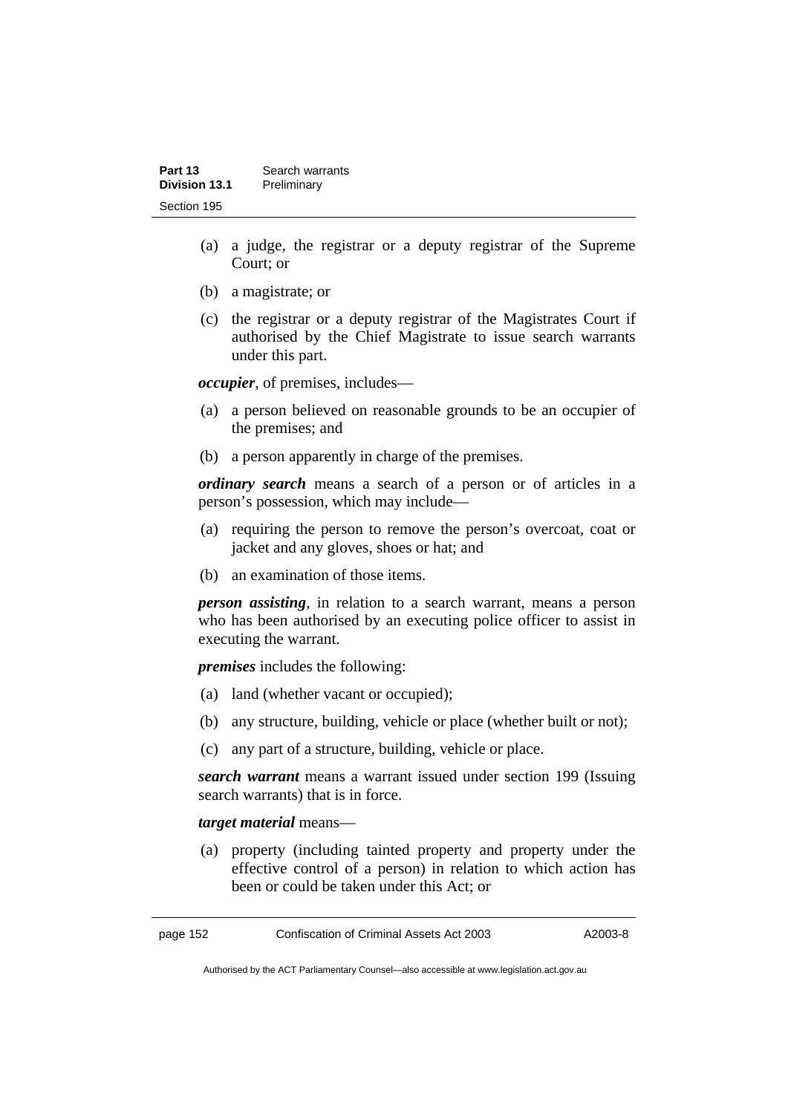| Part 13       | Search warrants |
|---------------|-----------------|
| Division 13.1 | Preliminary     |
| Section 195   |                 |

- (a) a judge, the registrar or a deputy registrar of the Supreme Court; or
- (b) a magistrate; or
- (c) the registrar or a deputy registrar of the Magistrates Court if authorised by the Chief Magistrate to issue search warrants under this part.

*occupier*, of premises, includes—

- (a) a person believed on reasonable grounds to be an occupier of the premises; and
- (b) a person apparently in charge of the premises.

*ordinary search* means a search of a person or of articles in a person's possession, which may include—

- (a) requiring the person to remove the person's overcoat, coat or jacket and any gloves, shoes or hat; and
- (b) an examination of those items.

*person assisting*, in relation to a search warrant, means a person who has been authorised by an executing police officer to assist in executing the warrant.

*premises* includes the following:

- (a) land (whether vacant or occupied);
- (b) any structure, building, vehicle or place (whether built or not);
- (c) any part of a structure, building, vehicle or place.

*search warrant* means a warrant issued under section 199 (Issuing search warrants) that is in force.

#### *target material* means—

 (a) property (including tainted property and property under the effective control of a person) in relation to which action has been or could be taken under this Act; or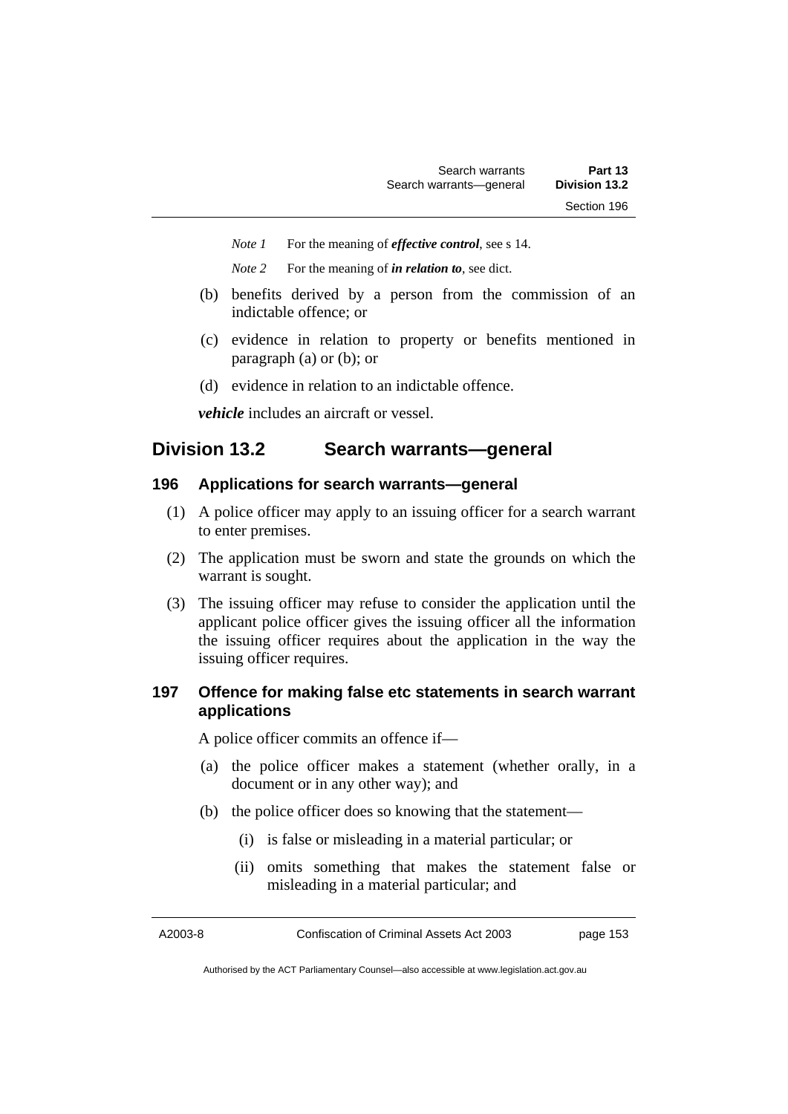*Note 1* For the meaning of *effective control*, see s 14.

*Note 2* For the meaning of *in relation to*, see dict.

- (b) benefits derived by a person from the commission of an indictable offence; or
- (c) evidence in relation to property or benefits mentioned in paragraph (a) or (b); or
- (d) evidence in relation to an indictable offence.

*vehicle* includes an aircraft or vessel.

# **Division 13.2 Search warrants—general**

#### **196 Applications for search warrants—general**

- (1) A police officer may apply to an issuing officer for a search warrant to enter premises.
- (2) The application must be sworn and state the grounds on which the warrant is sought.
- (3) The issuing officer may refuse to consider the application until the applicant police officer gives the issuing officer all the information the issuing officer requires about the application in the way the issuing officer requires.

# **197 Offence for making false etc statements in search warrant applications**

A police officer commits an offence if—

- (a) the police officer makes a statement (whether orally, in a document or in any other way); and
- (b) the police officer does so knowing that the statement—
	- (i) is false or misleading in a material particular; or
	- (ii) omits something that makes the statement false or misleading in a material particular; and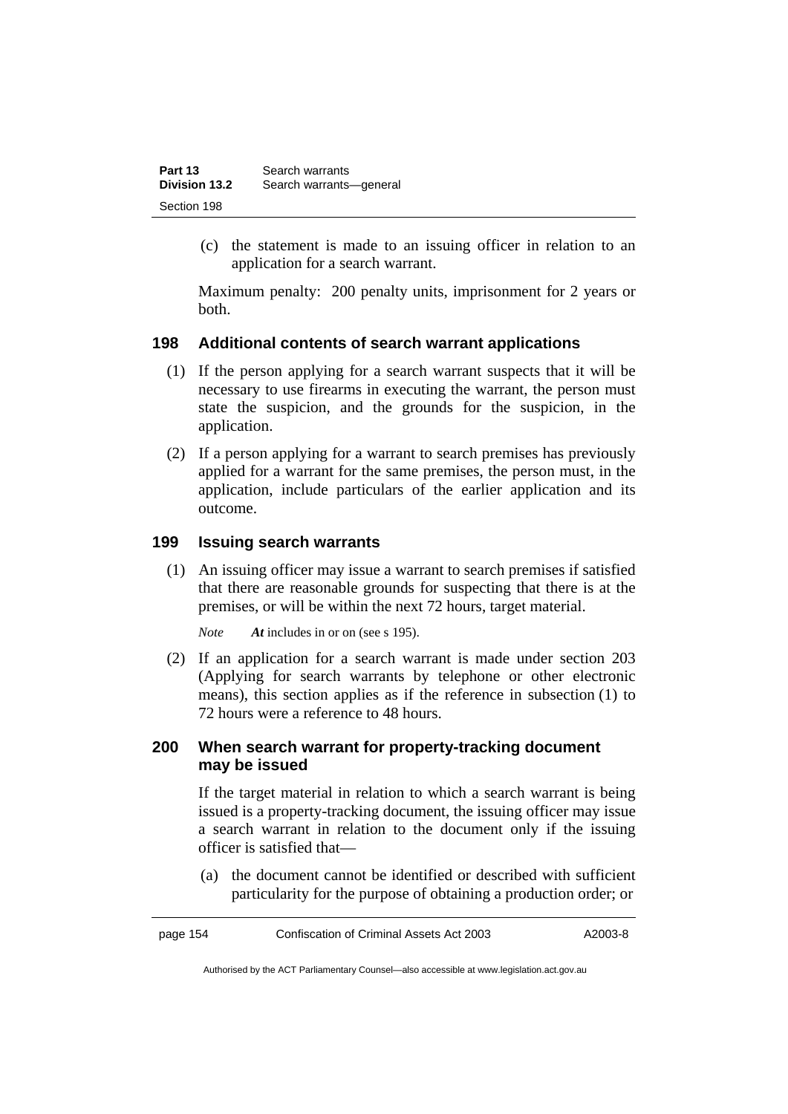| Part 13       | Search warrants         |
|---------------|-------------------------|
| Division 13.2 | Search warrants-general |
| Section 198   |                         |

 (c) the statement is made to an issuing officer in relation to an application for a search warrant.

Maximum penalty: 200 penalty units, imprisonment for 2 years or both.

# **198 Additional contents of search warrant applications**

- (1) If the person applying for a search warrant suspects that it will be necessary to use firearms in executing the warrant, the person must state the suspicion, and the grounds for the suspicion, in the application.
- (2) If a person applying for a warrant to search premises has previously applied for a warrant for the same premises, the person must, in the application, include particulars of the earlier application and its outcome.

#### **199 Issuing search warrants**

 (1) An issuing officer may issue a warrant to search premises if satisfied that there are reasonable grounds for suspecting that there is at the premises, or will be within the next 72 hours, target material.

*Note At* includes in or on (see s 195).

 (2) If an application for a search warrant is made under section 203 (Applying for search warrants by telephone or other electronic means), this section applies as if the reference in subsection (1) to 72 hours were a reference to 48 hours.

#### **200 When search warrant for property-tracking document may be issued**

If the target material in relation to which a search warrant is being issued is a property-tracking document, the issuing officer may issue a search warrant in relation to the document only if the issuing officer is satisfied that—

 (a) the document cannot be identified or described with sufficient particularity for the purpose of obtaining a production order; or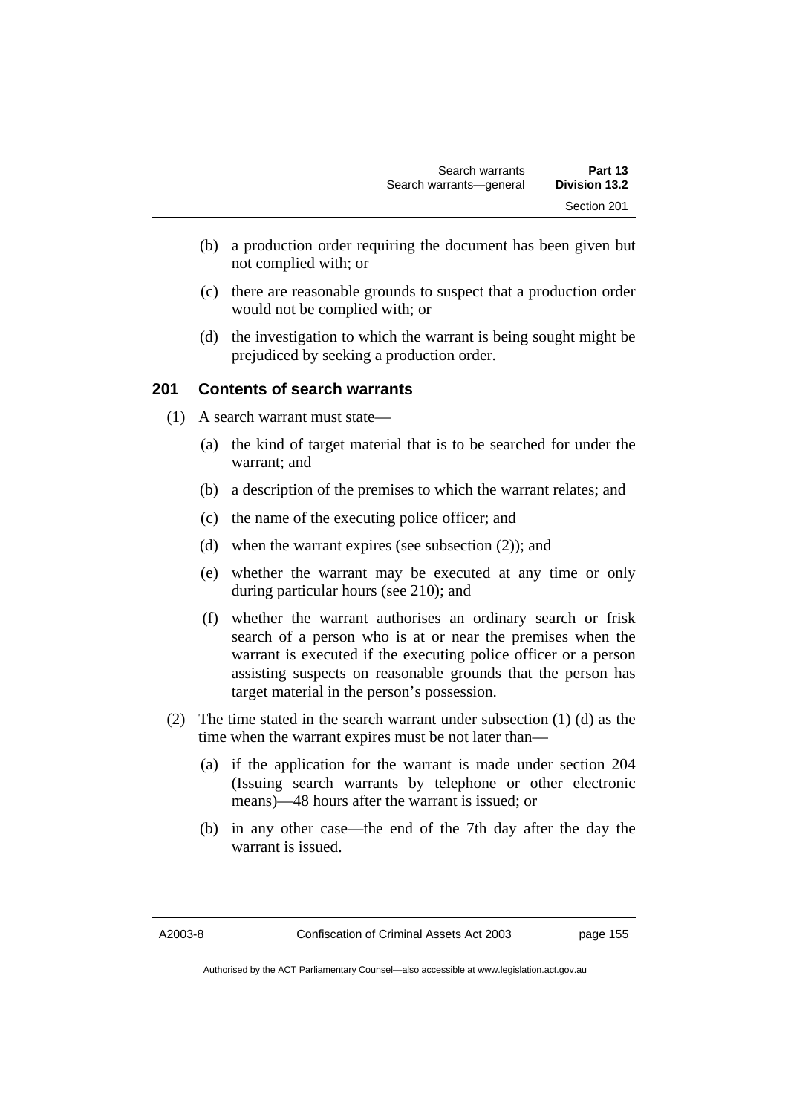- (b) a production order requiring the document has been given but not complied with; or
- (c) there are reasonable grounds to suspect that a production order would not be complied with; or
- (d) the investigation to which the warrant is being sought might be prejudiced by seeking a production order.

# **201 Contents of search warrants**

- (1) A search warrant must state—
	- (a) the kind of target material that is to be searched for under the warrant; and
	- (b) a description of the premises to which the warrant relates; and
	- (c) the name of the executing police officer; and
	- (d) when the warrant expires (see subsection (2)); and
	- (e) whether the warrant may be executed at any time or only during particular hours (see 210); and
	- (f) whether the warrant authorises an ordinary search or frisk search of a person who is at or near the premises when the warrant is executed if the executing police officer or a person assisting suspects on reasonable grounds that the person has target material in the person's possession.
- (2) The time stated in the search warrant under subsection (1) (d) as the time when the warrant expires must be not later than—
	- (a) if the application for the warrant is made under section 204 (Issuing search warrants by telephone or other electronic means)—48 hours after the warrant is issued; or
	- (b) in any other case—the end of the 7th day after the day the warrant is issued.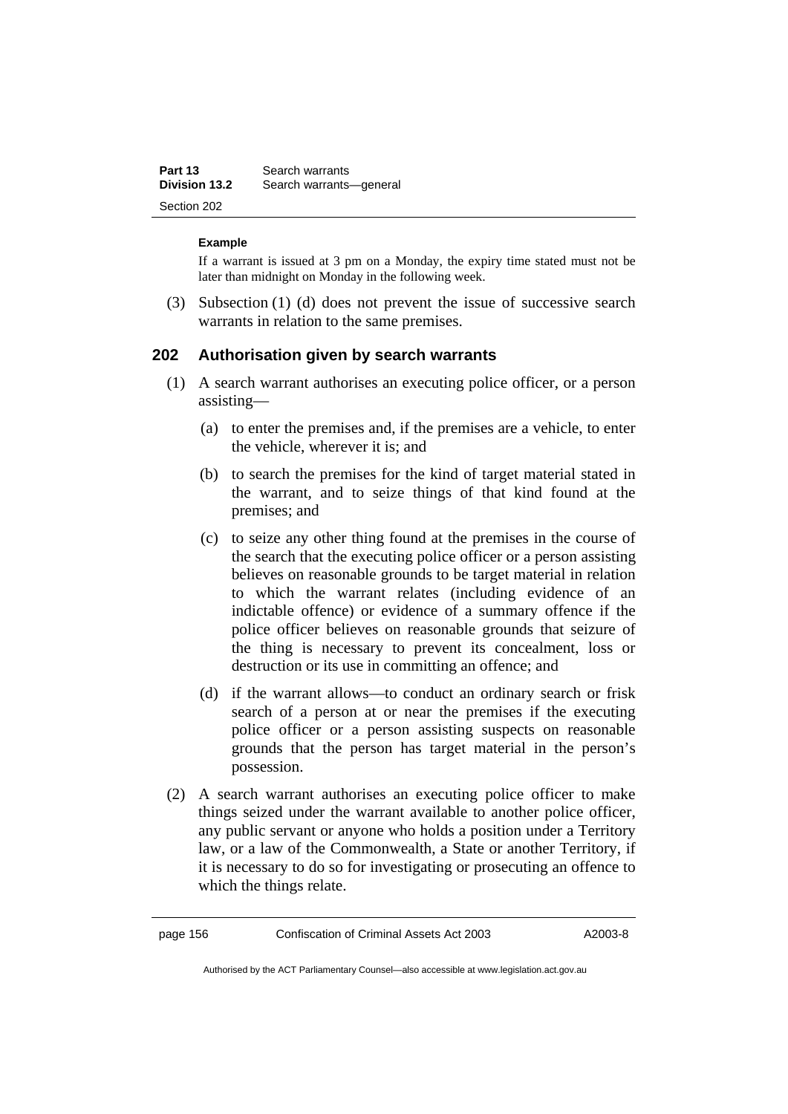| Part 13<br><b>Division 13.2</b> | Search warrants         |
|---------------------------------|-------------------------|
|                                 | Search warrants-general |
| Section 202                     |                         |

#### **Example**

If a warrant is issued at 3 pm on a Monday, the expiry time stated must not be later than midnight on Monday in the following week.

 (3) Subsection (1) (d) does not prevent the issue of successive search warrants in relation to the same premises.

#### **202 Authorisation given by search warrants**

- (1) A search warrant authorises an executing police officer, or a person assisting—
	- (a) to enter the premises and, if the premises are a vehicle, to enter the vehicle, wherever it is; and
	- (b) to search the premises for the kind of target material stated in the warrant, and to seize things of that kind found at the premises; and
	- (c) to seize any other thing found at the premises in the course of the search that the executing police officer or a person assisting believes on reasonable grounds to be target material in relation to which the warrant relates (including evidence of an indictable offence) or evidence of a summary offence if the police officer believes on reasonable grounds that seizure of the thing is necessary to prevent its concealment, loss or destruction or its use in committing an offence; and
	- (d) if the warrant allows—to conduct an ordinary search or frisk search of a person at or near the premises if the executing police officer or a person assisting suspects on reasonable grounds that the person has target material in the person's possession.
- (2) A search warrant authorises an executing police officer to make things seized under the warrant available to another police officer, any public servant or anyone who holds a position under a Territory law, or a law of the Commonwealth, a State or another Territory, if it is necessary to do so for investigating or prosecuting an offence to which the things relate.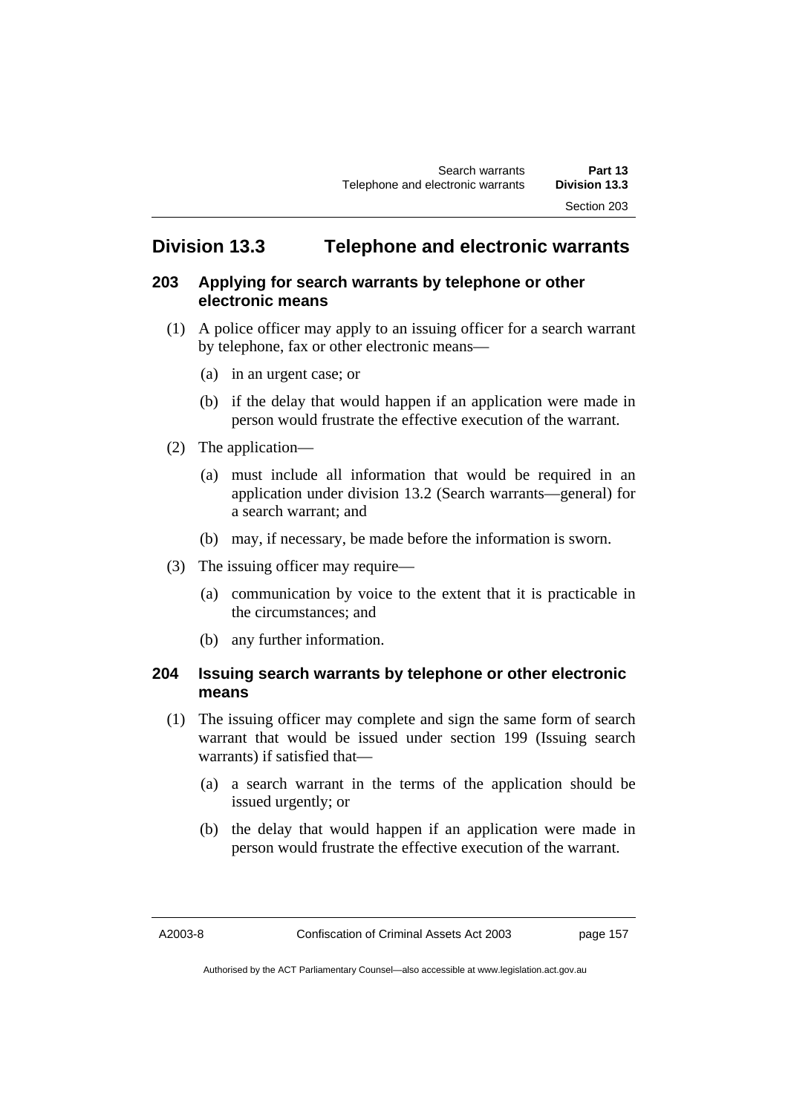# **Division 13.3 Telephone and electronic warrants**

# **203 Applying for search warrants by telephone or other electronic means**

- (1) A police officer may apply to an issuing officer for a search warrant by telephone, fax or other electronic means—
	- (a) in an urgent case; or
	- (b) if the delay that would happen if an application were made in person would frustrate the effective execution of the warrant.
- (2) The application—
	- (a) must include all information that would be required in an application under division 13.2 (Search warrants—general) for a search warrant; and
	- (b) may, if necessary, be made before the information is sworn.
- (3) The issuing officer may require—
	- (a) communication by voice to the extent that it is practicable in the circumstances; and
	- (b) any further information.

# **204 Issuing search warrants by telephone or other electronic means**

- (1) The issuing officer may complete and sign the same form of search warrant that would be issued under section 199 (Issuing search warrants) if satisfied that—
	- (a) a search warrant in the terms of the application should be issued urgently; or
	- (b) the delay that would happen if an application were made in person would frustrate the effective execution of the warrant.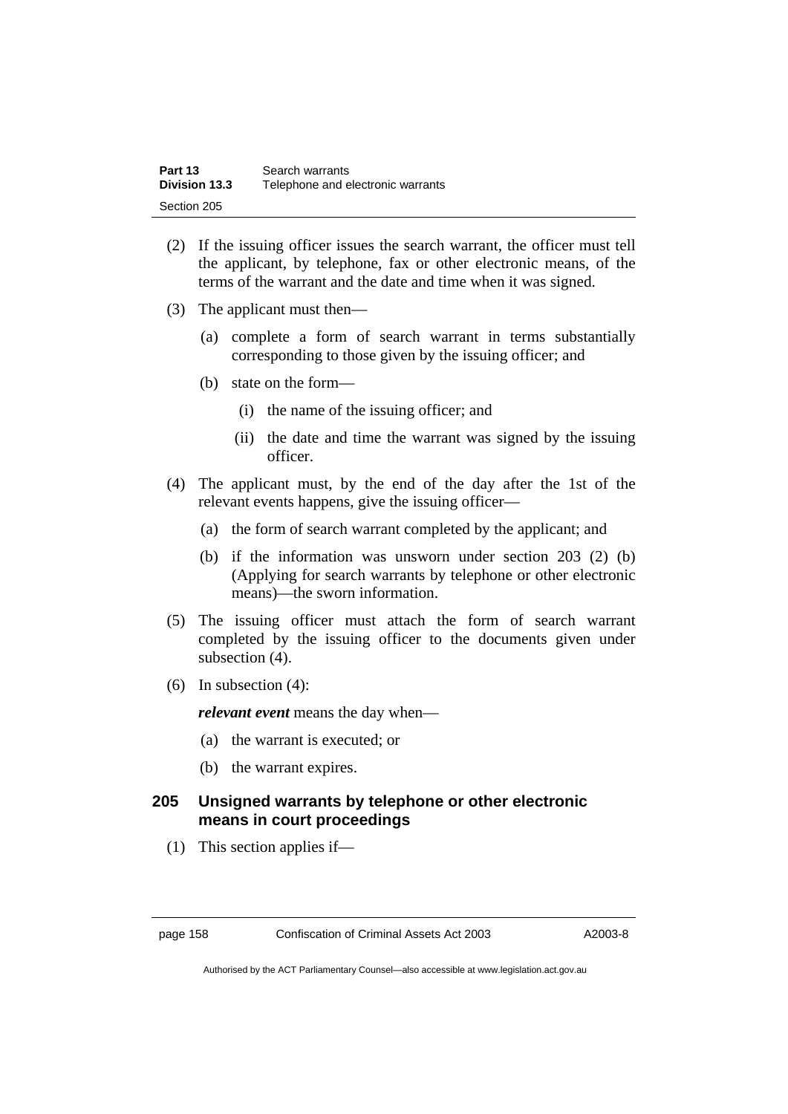| Part 13              | Search warrants                   |
|----------------------|-----------------------------------|
| <b>Division 13.3</b> | Telephone and electronic warrants |
| Section 205          |                                   |

- (2) If the issuing officer issues the search warrant, the officer must tell the applicant, by telephone, fax or other electronic means, of the terms of the warrant and the date and time when it was signed.
- (3) The applicant must then—
	- (a) complete a form of search warrant in terms substantially corresponding to those given by the issuing officer; and
	- (b) state on the form—
		- (i) the name of the issuing officer; and
		- (ii) the date and time the warrant was signed by the issuing officer.
- (4) The applicant must, by the end of the day after the 1st of the relevant events happens, give the issuing officer—
	- (a) the form of search warrant completed by the applicant; and
	- (b) if the information was unsworn under section 203 (2) (b) (Applying for search warrants by telephone or other electronic means)—the sworn information.
- (5) The issuing officer must attach the form of search warrant completed by the issuing officer to the documents given under subsection (4).
- (6) In subsection (4):

*relevant event* means the day when—

- (a) the warrant is executed; or
- (b) the warrant expires.

# **205 Unsigned warrants by telephone or other electronic means in court proceedings**

(1) This section applies if—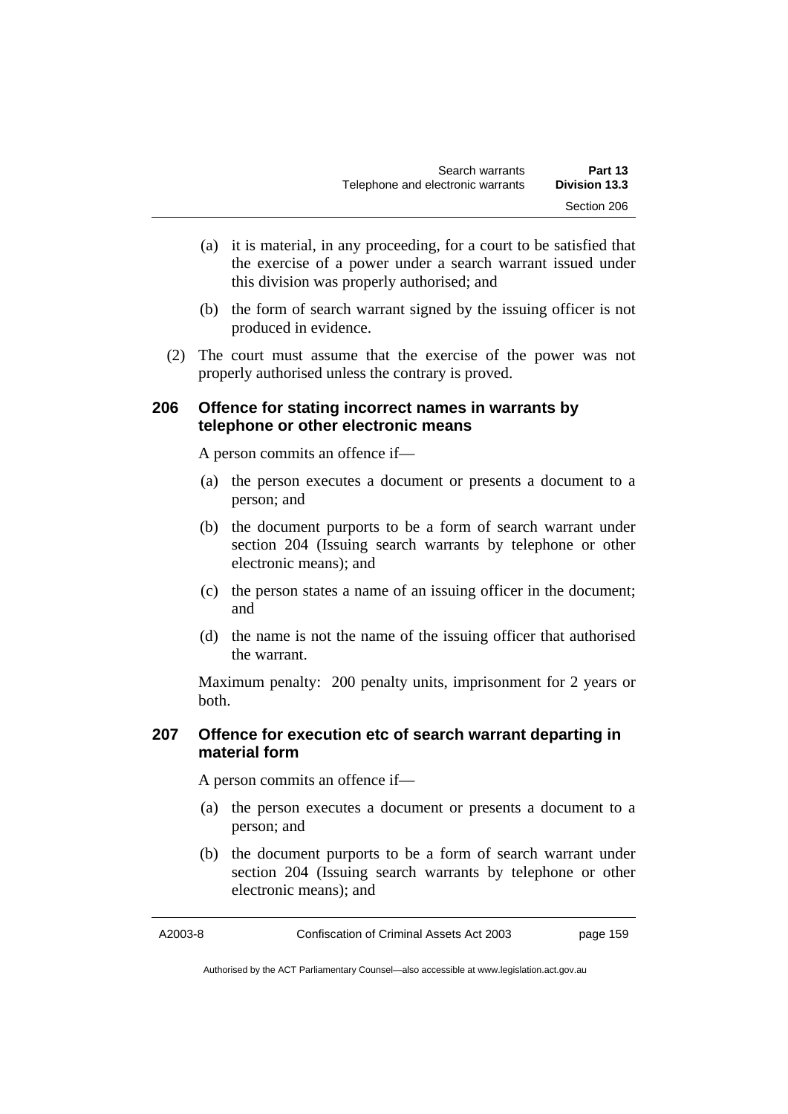- (a) it is material, in any proceeding, for a court to be satisfied that the exercise of a power under a search warrant issued under this division was properly authorised; and
- (b) the form of search warrant signed by the issuing officer is not produced in evidence.
- (2) The court must assume that the exercise of the power was not properly authorised unless the contrary is proved.

## **206 Offence for stating incorrect names in warrants by telephone or other electronic means**

A person commits an offence if—

- (a) the person executes a document or presents a document to a person; and
- (b) the document purports to be a form of search warrant under section 204 (Issuing search warrants by telephone or other electronic means); and
- (c) the person states a name of an issuing officer in the document; and
- (d) the name is not the name of the issuing officer that authorised the warrant.

Maximum penalty: 200 penalty units, imprisonment for 2 years or both.

# **207 Offence for execution etc of search warrant departing in material form**

A person commits an offence if—

- (a) the person executes a document or presents a document to a person; and
- (b) the document purports to be a form of search warrant under section 204 (Issuing search warrants by telephone or other electronic means); and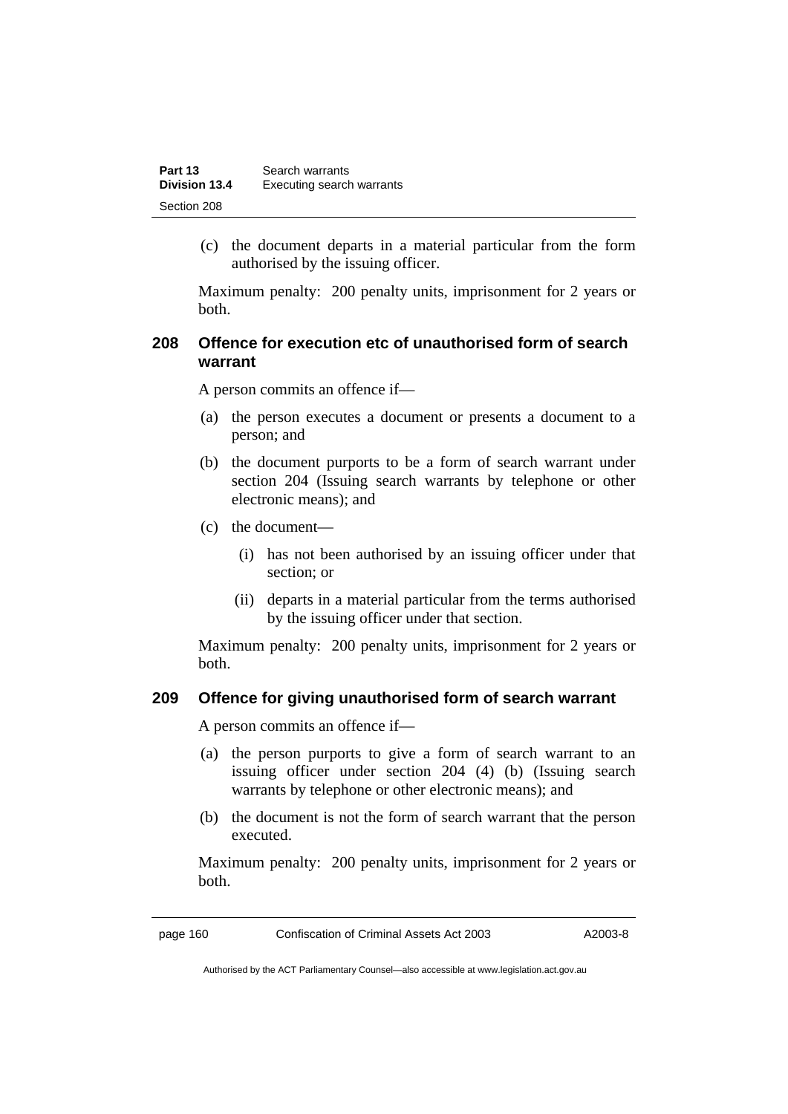| Part 13<br><b>Division 13.4</b> | Search warrants           |
|---------------------------------|---------------------------|
|                                 | Executing search warrants |
| Section 208                     |                           |

 (c) the document departs in a material particular from the form authorised by the issuing officer.

Maximum penalty: 200 penalty units, imprisonment for 2 years or both.

# **208 Offence for execution etc of unauthorised form of search warrant**

A person commits an offence if—

- (a) the person executes a document or presents a document to a person; and
- (b) the document purports to be a form of search warrant under section 204 (Issuing search warrants by telephone or other electronic means); and
- (c) the document—
	- (i) has not been authorised by an issuing officer under that section; or
	- (ii) departs in a material particular from the terms authorised by the issuing officer under that section.

Maximum penalty: 200 penalty units, imprisonment for 2 years or both.

#### **209 Offence for giving unauthorised form of search warrant**

A person commits an offence if—

- (a) the person purports to give a form of search warrant to an issuing officer under section 204 (4) (b) (Issuing search warrants by telephone or other electronic means); and
- (b) the document is not the form of search warrant that the person executed.

Maximum penalty: 200 penalty units, imprisonment for 2 years or both.

page 160 Confiscation of Criminal Assets Act 2003 A2003-8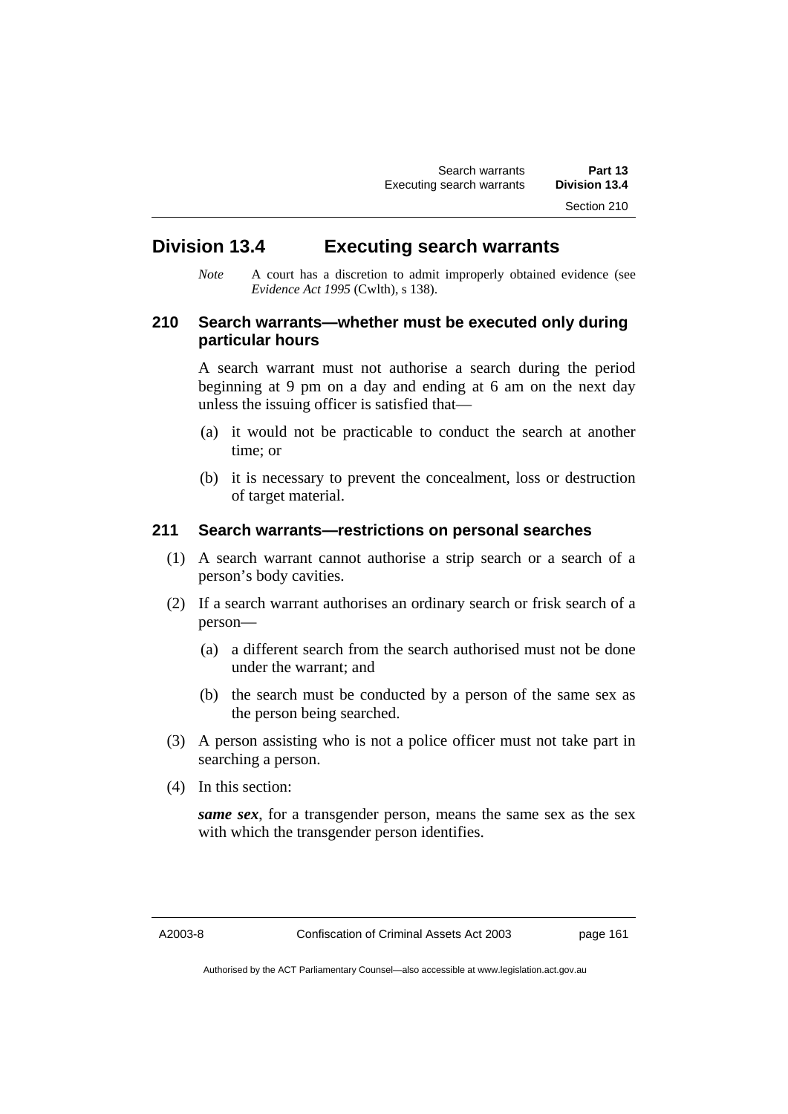# **Division 13.4 Executing search warrants**

*Note* A court has a discretion to admit improperly obtained evidence (see *Evidence Act 1995* (Cwlth), s 138).

# **210 Search warrants—whether must be executed only during particular hours**

A search warrant must not authorise a search during the period beginning at 9 pm on a day and ending at 6 am on the next day unless the issuing officer is satisfied that—

- (a) it would not be practicable to conduct the search at another time; or
- (b) it is necessary to prevent the concealment, loss or destruction of target material.

#### **211 Search warrants—restrictions on personal searches**

- (1) A search warrant cannot authorise a strip search or a search of a person's body cavities.
- (2) If a search warrant authorises an ordinary search or frisk search of a person—
	- (a) a different search from the search authorised must not be done under the warrant; and
	- (b) the search must be conducted by a person of the same sex as the person being searched.
- (3) A person assisting who is not a police officer must not take part in searching a person.
- (4) In this section:

*same sex*, for a transgender person, means the same sex as the sex with which the transgender person identifies.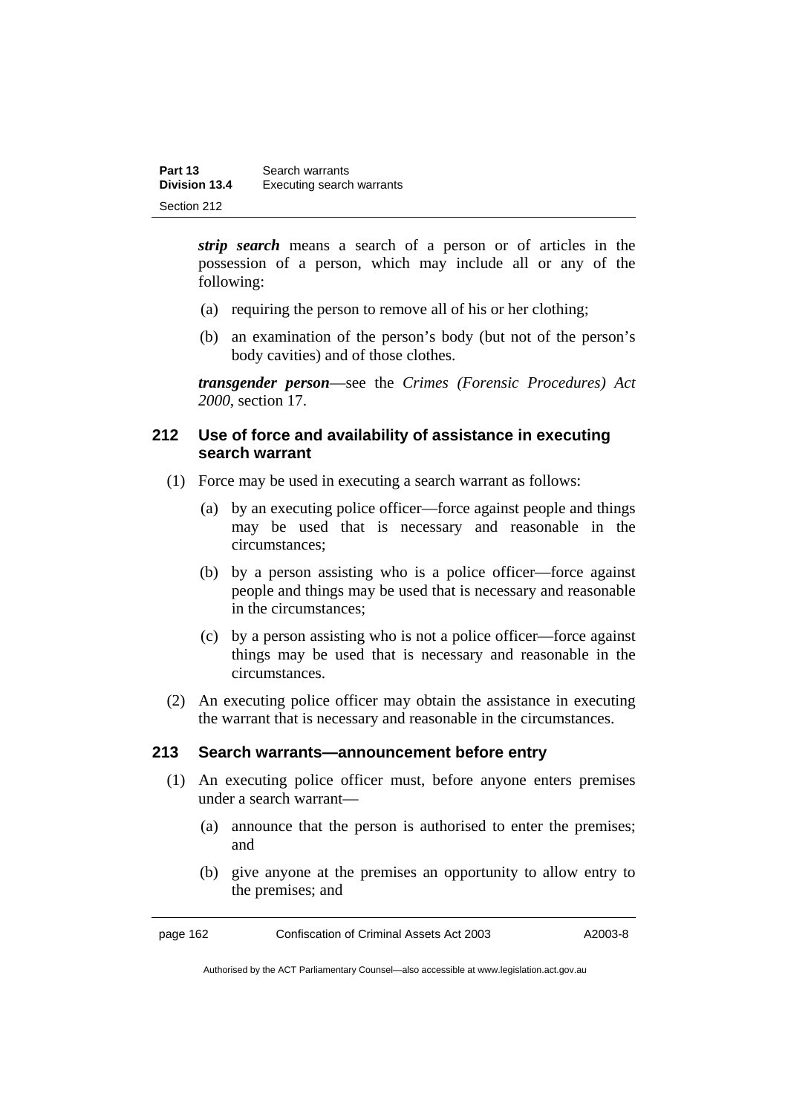*strip search* means a search of a person or of articles in the possession of a person, which may include all or any of the following:

- (a) requiring the person to remove all of his or her clothing;
- (b) an examination of the person's body (but not of the person's body cavities) and of those clothes.

*transgender person*—see the *Crimes (Forensic Procedures) Act 2000*, section 17.

# **212 Use of force and availability of assistance in executing search warrant**

- (1) Force may be used in executing a search warrant as follows:
	- (a) by an executing police officer—force against people and things may be used that is necessary and reasonable in the circumstances;
	- (b) by a person assisting who is a police officer—force against people and things may be used that is necessary and reasonable in the circumstances;
	- (c) by a person assisting who is not a police officer—force against things may be used that is necessary and reasonable in the circumstances.
- (2) An executing police officer may obtain the assistance in executing the warrant that is necessary and reasonable in the circumstances.

#### **213 Search warrants—announcement before entry**

- (1) An executing police officer must, before anyone enters premises under a search warrant—
	- (a) announce that the person is authorised to enter the premises; and
	- (b) give anyone at the premises an opportunity to allow entry to the premises; and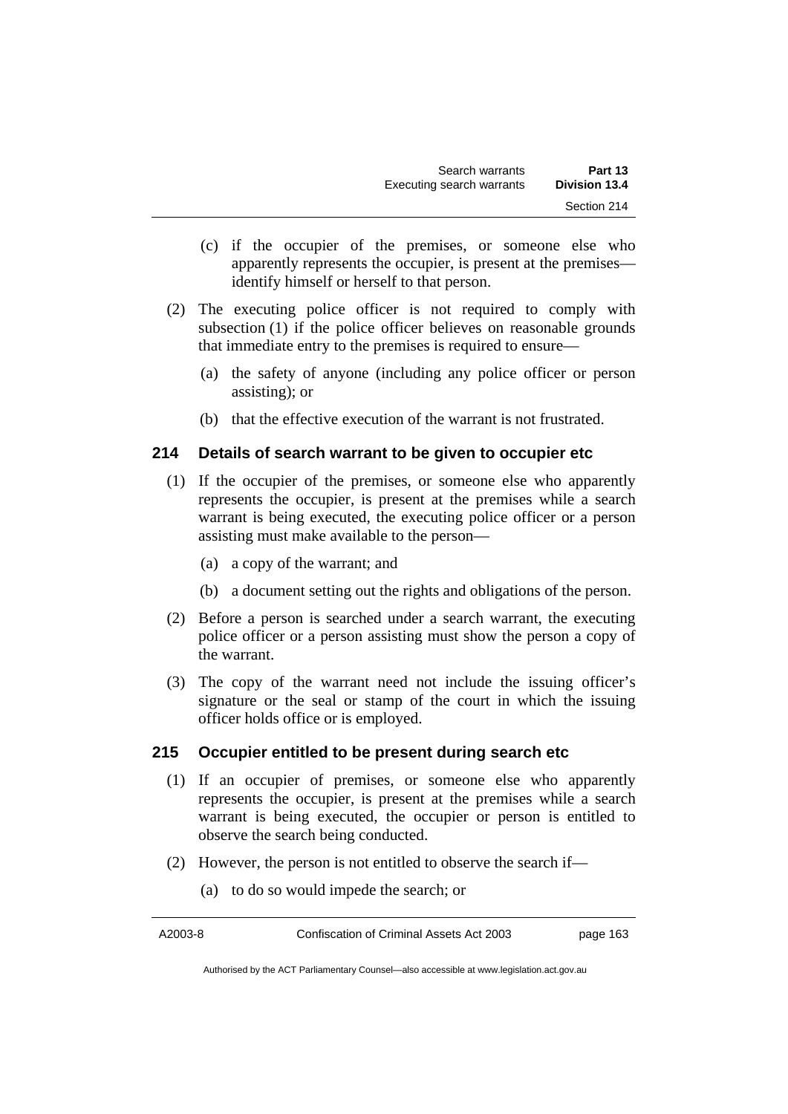- (c) if the occupier of the premises, or someone else who apparently represents the occupier, is present at the premises identify himself or herself to that person.
- (2) The executing police officer is not required to comply with subsection (1) if the police officer believes on reasonable grounds that immediate entry to the premises is required to ensure—
	- (a) the safety of anyone (including any police officer or person assisting); or
	- (b) that the effective execution of the warrant is not frustrated.

#### **214 Details of search warrant to be given to occupier etc**

- (1) If the occupier of the premises, or someone else who apparently represents the occupier, is present at the premises while a search warrant is being executed, the executing police officer or a person assisting must make available to the person—
	- (a) a copy of the warrant; and
	- (b) a document setting out the rights and obligations of the person.
- (2) Before a person is searched under a search warrant, the executing police officer or a person assisting must show the person a copy of the warrant.
- (3) The copy of the warrant need not include the issuing officer's signature or the seal or stamp of the court in which the issuing officer holds office or is employed.

#### **215 Occupier entitled to be present during search etc**

- (1) If an occupier of premises, or someone else who apparently represents the occupier, is present at the premises while a search warrant is being executed, the occupier or person is entitled to observe the search being conducted.
- (2) However, the person is not entitled to observe the search if—
	- (a) to do so would impede the search; or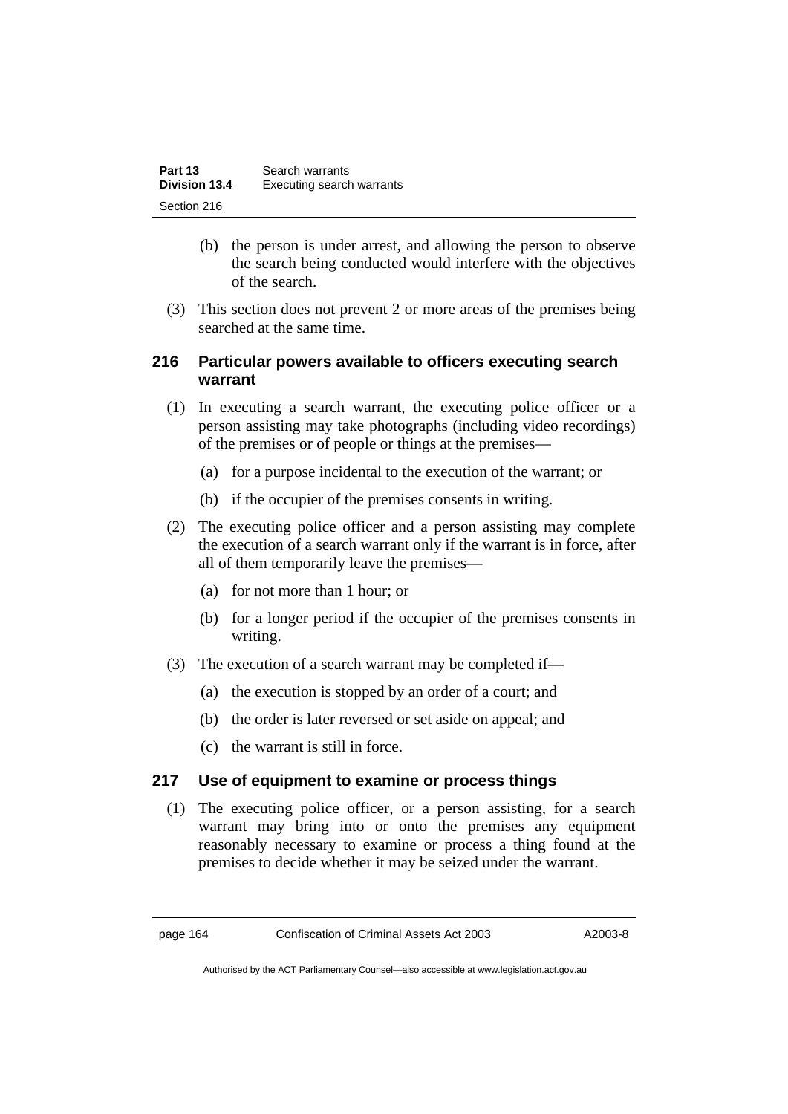| Part 13              | Search warrants           |
|----------------------|---------------------------|
| <b>Division 13.4</b> | Executing search warrants |
| Section 216          |                           |

- (b) the person is under arrest, and allowing the person to observe the search being conducted would interfere with the objectives of the search.
- (3) This section does not prevent 2 or more areas of the premises being searched at the same time.

# **216 Particular powers available to officers executing search warrant**

- (1) In executing a search warrant, the executing police officer or a person assisting may take photographs (including video recordings) of the premises or of people or things at the premises—
	- (a) for a purpose incidental to the execution of the warrant; or
	- (b) if the occupier of the premises consents in writing.
- (2) The executing police officer and a person assisting may complete the execution of a search warrant only if the warrant is in force, after all of them temporarily leave the premises—
	- (a) for not more than 1 hour; or
	- (b) for a longer period if the occupier of the premises consents in writing.
- (3) The execution of a search warrant may be completed if—
	- (a) the execution is stopped by an order of a court; and
	- (b) the order is later reversed or set aside on appeal; and
	- (c) the warrant is still in force.

#### **217 Use of equipment to examine or process things**

 (1) The executing police officer, or a person assisting, for a search warrant may bring into or onto the premises any equipment reasonably necessary to examine or process a thing found at the premises to decide whether it may be seized under the warrant.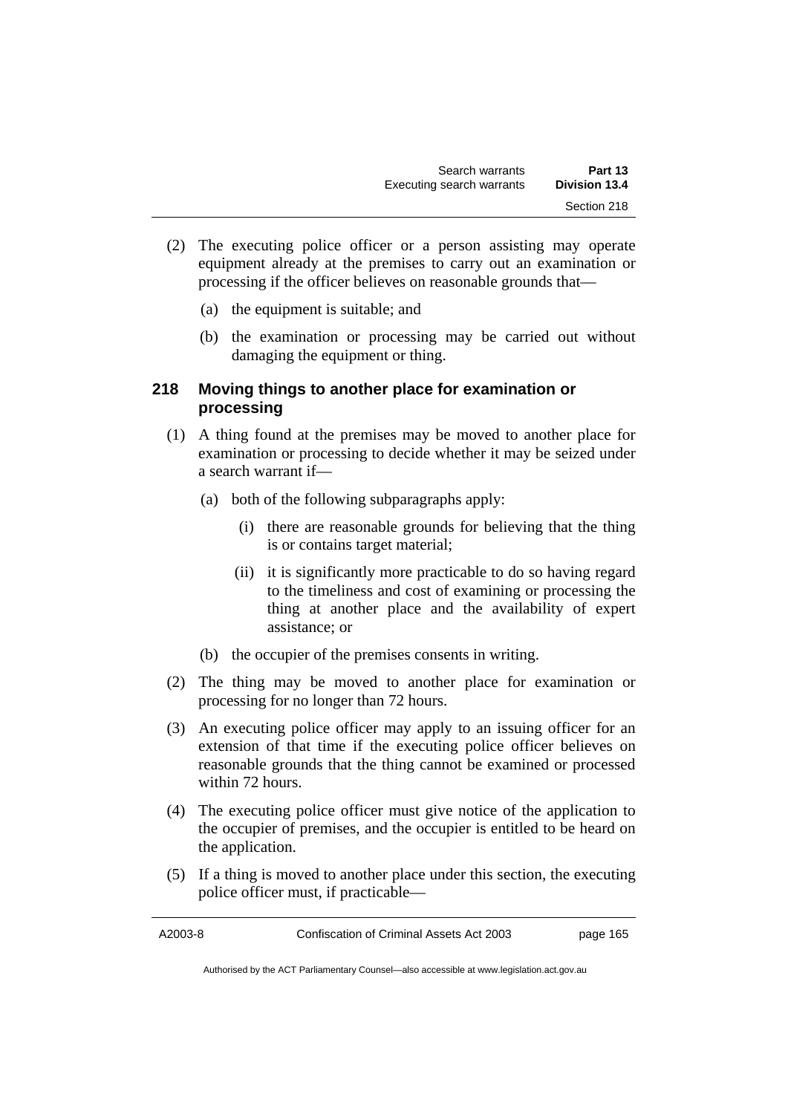- (2) The executing police officer or a person assisting may operate equipment already at the premises to carry out an examination or processing if the officer believes on reasonable grounds that—
	- (a) the equipment is suitable; and
	- (b) the examination or processing may be carried out without damaging the equipment or thing.

## **218 Moving things to another place for examination or processing**

- (1) A thing found at the premises may be moved to another place for examination or processing to decide whether it may be seized under a search warrant if—
	- (a) both of the following subparagraphs apply:
		- (i) there are reasonable grounds for believing that the thing is or contains target material;
		- (ii) it is significantly more practicable to do so having regard to the timeliness and cost of examining or processing the thing at another place and the availability of expert assistance; or
	- (b) the occupier of the premises consents in writing.
- (2) The thing may be moved to another place for examination or processing for no longer than 72 hours.
- (3) An executing police officer may apply to an issuing officer for an extension of that time if the executing police officer believes on reasonable grounds that the thing cannot be examined or processed within 72 hours.
- (4) The executing police officer must give notice of the application to the occupier of premises, and the occupier is entitled to be heard on the application.
- (5) If a thing is moved to another place under this section, the executing police officer must, if practicable—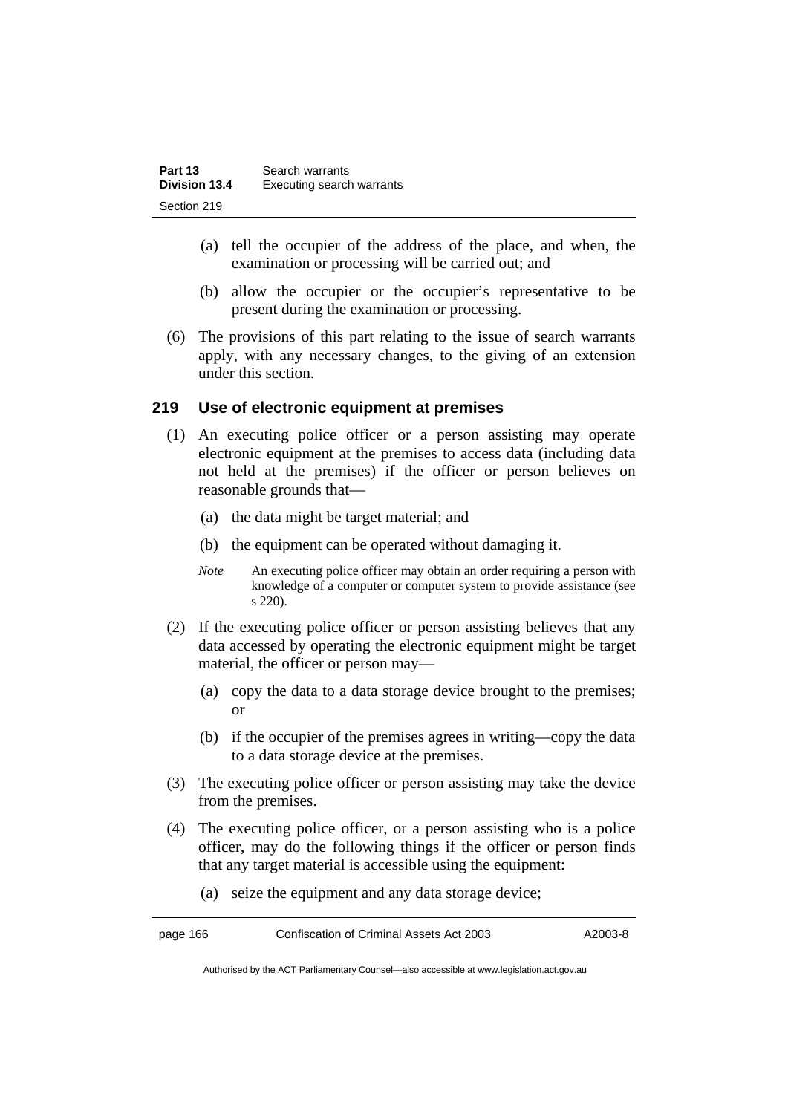| Part 13       | Search warrants           |
|---------------|---------------------------|
| Division 13.4 | Executing search warrants |
| Section 219   |                           |

- (a) tell the occupier of the address of the place, and when, the examination or processing will be carried out; and
- (b) allow the occupier or the occupier's representative to be present during the examination or processing.
- (6) The provisions of this part relating to the issue of search warrants apply, with any necessary changes, to the giving of an extension under this section.

#### **219 Use of electronic equipment at premises**

- (1) An executing police officer or a person assisting may operate electronic equipment at the premises to access data (including data not held at the premises) if the officer or person believes on reasonable grounds that—
	- (a) the data might be target material; and
	- (b) the equipment can be operated without damaging it.
	- *Note* An executing police officer may obtain an order requiring a person with knowledge of a computer or computer system to provide assistance (see s 220).
- (2) If the executing police officer or person assisting believes that any data accessed by operating the electronic equipment might be target material, the officer or person may—
	- (a) copy the data to a data storage device brought to the premises; or
	- (b) if the occupier of the premises agrees in writing—copy the data to a data storage device at the premises.
- (3) The executing police officer or person assisting may take the device from the premises.
- (4) The executing police officer, or a person assisting who is a police officer, may do the following things if the officer or person finds that any target material is accessible using the equipment:
	- (a) seize the equipment and any data storage device;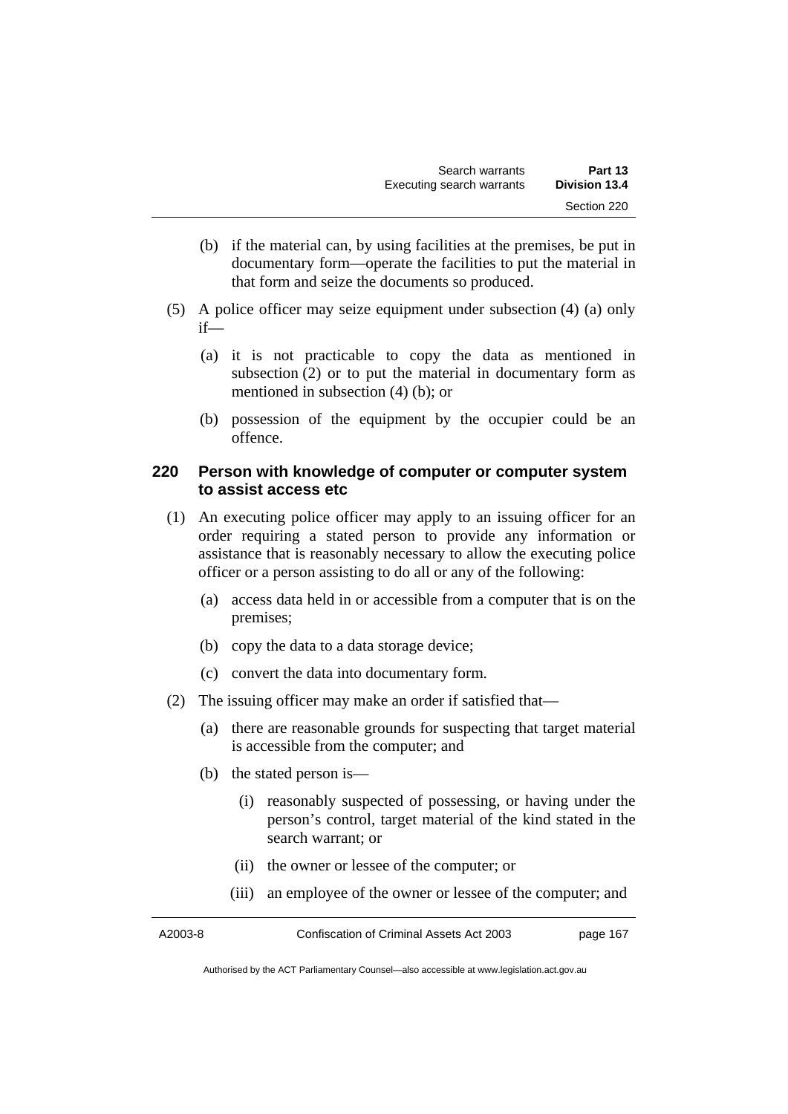- (b) if the material can, by using facilities at the premises, be put in documentary form—operate the facilities to put the material in that form and seize the documents so produced.
- (5) A police officer may seize equipment under subsection (4) (a) only if—
	- (a) it is not practicable to copy the data as mentioned in subsection (2) or to put the material in documentary form as mentioned in subsection (4) (b); or
	- (b) possession of the equipment by the occupier could be an offence.

## **220 Person with knowledge of computer or computer system to assist access etc**

- (1) An executing police officer may apply to an issuing officer for an order requiring a stated person to provide any information or assistance that is reasonably necessary to allow the executing police officer or a person assisting to do all or any of the following:
	- (a) access data held in or accessible from a computer that is on the premises;
	- (b) copy the data to a data storage device;
	- (c) convert the data into documentary form.
- (2) The issuing officer may make an order if satisfied that—
	- (a) there are reasonable grounds for suspecting that target material is accessible from the computer; and
	- (b) the stated person is—
		- (i) reasonably suspected of possessing, or having under the person's control, target material of the kind stated in the search warrant; or
		- (ii) the owner or lessee of the computer; or
		- (iii) an employee of the owner or lessee of the computer; and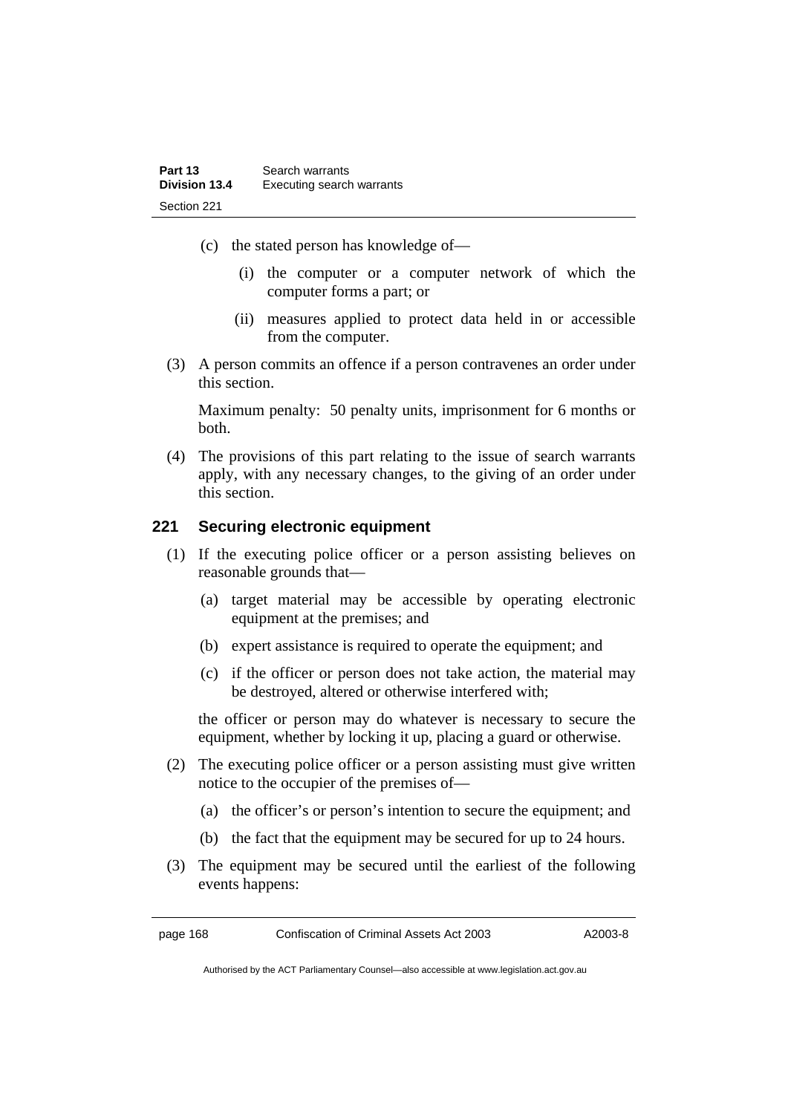- (c) the stated person has knowledge of—
	- (i) the computer or a computer network of which the computer forms a part; or
	- (ii) measures applied to protect data held in or accessible from the computer.
- (3) A person commits an offence if a person contravenes an order under this section.

Maximum penalty: 50 penalty units, imprisonment for 6 months or both.

 (4) The provisions of this part relating to the issue of search warrants apply, with any necessary changes, to the giving of an order under this section.

## **221 Securing electronic equipment**

- (1) If the executing police officer or a person assisting believes on reasonable grounds that—
	- (a) target material may be accessible by operating electronic equipment at the premises; and
	- (b) expert assistance is required to operate the equipment; and
	- (c) if the officer or person does not take action, the material may be destroyed, altered or otherwise interfered with;

the officer or person may do whatever is necessary to secure the equipment, whether by locking it up, placing a guard or otherwise.

- (2) The executing police officer or a person assisting must give written notice to the occupier of the premises of—
	- (a) the officer's or person's intention to secure the equipment; and
	- (b) the fact that the equipment may be secured for up to 24 hours.
- (3) The equipment may be secured until the earliest of the following events happens: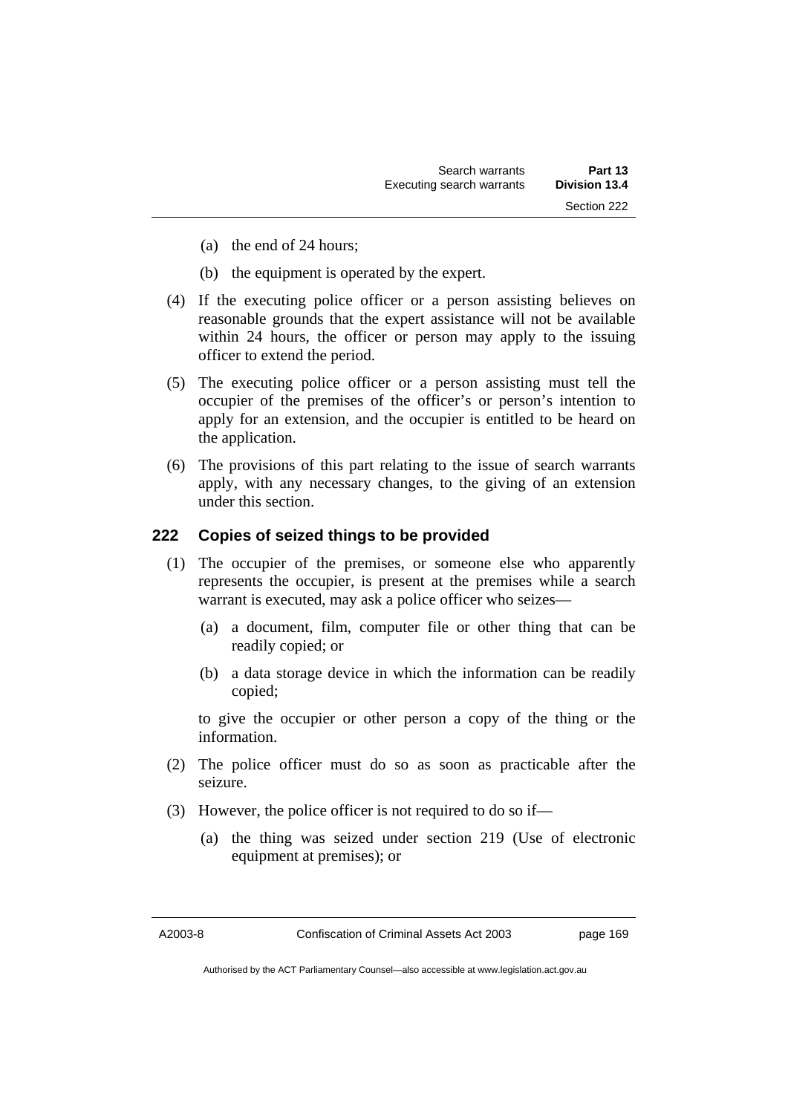- (a) the end of 24 hours;
- (b) the equipment is operated by the expert.
- (4) If the executing police officer or a person assisting believes on reasonable grounds that the expert assistance will not be available within 24 hours, the officer or person may apply to the issuing officer to extend the period.
- (5) The executing police officer or a person assisting must tell the occupier of the premises of the officer's or person's intention to apply for an extension, and the occupier is entitled to be heard on the application.
- (6) The provisions of this part relating to the issue of search warrants apply, with any necessary changes, to the giving of an extension under this section.

## **222 Copies of seized things to be provided**

- (1) The occupier of the premises, or someone else who apparently represents the occupier, is present at the premises while a search warrant is executed, may ask a police officer who seizes—
	- (a) a document, film, computer file or other thing that can be readily copied; or
	- (b) a data storage device in which the information can be readily copied;

to give the occupier or other person a copy of the thing or the information.

- (2) The police officer must do so as soon as practicable after the seizure.
- (3) However, the police officer is not required to do so if—
	- (a) the thing was seized under section 219 (Use of electronic equipment at premises); or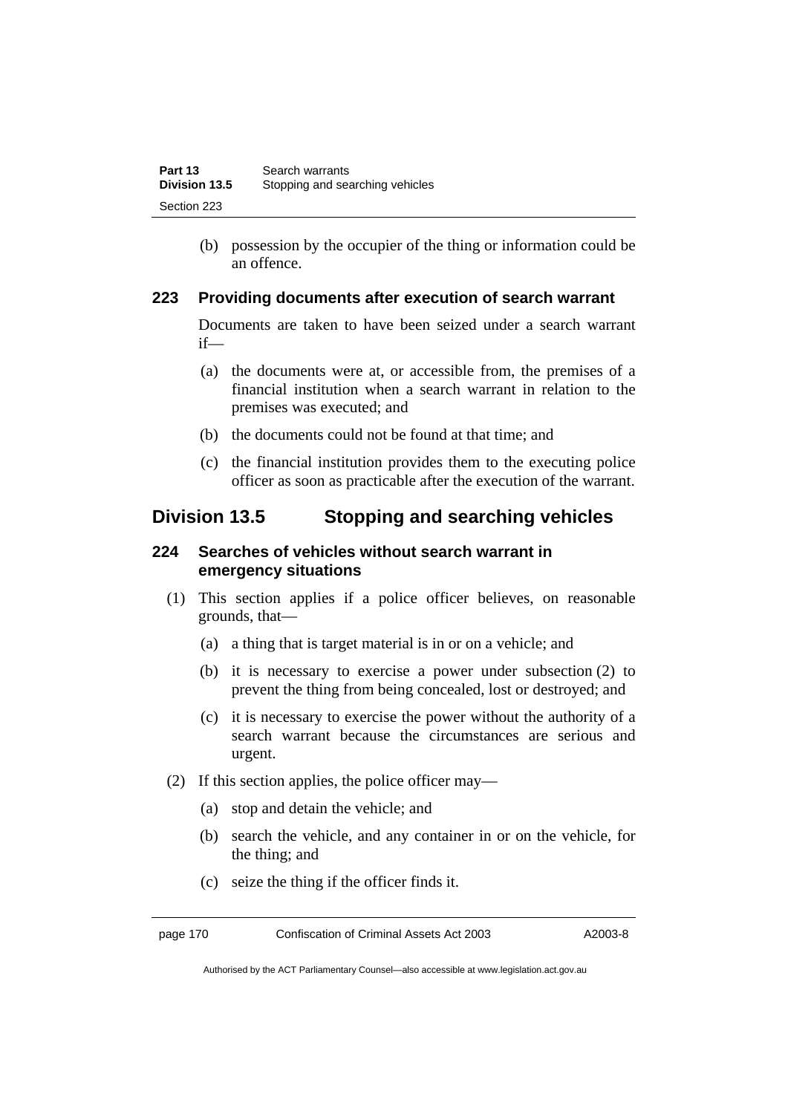(b) possession by the occupier of the thing or information could be an offence.

## **223 Providing documents after execution of search warrant**

Documents are taken to have been seized under a search warrant if—

- (a) the documents were at, or accessible from, the premises of a financial institution when a search warrant in relation to the premises was executed; and
- (b) the documents could not be found at that time; and
- (c) the financial institution provides them to the executing police officer as soon as practicable after the execution of the warrant.

## **Division 13.5 Stopping and searching vehicles**

## **224 Searches of vehicles without search warrant in emergency situations**

- (1) This section applies if a police officer believes, on reasonable grounds, that—
	- (a) a thing that is target material is in or on a vehicle; and
	- (b) it is necessary to exercise a power under subsection (2) to prevent the thing from being concealed, lost or destroyed; and
	- (c) it is necessary to exercise the power without the authority of a search warrant because the circumstances are serious and urgent.
- (2) If this section applies, the police officer may—
	- (a) stop and detain the vehicle; and
	- (b) search the vehicle, and any container in or on the vehicle, for the thing; and
	- (c) seize the thing if the officer finds it.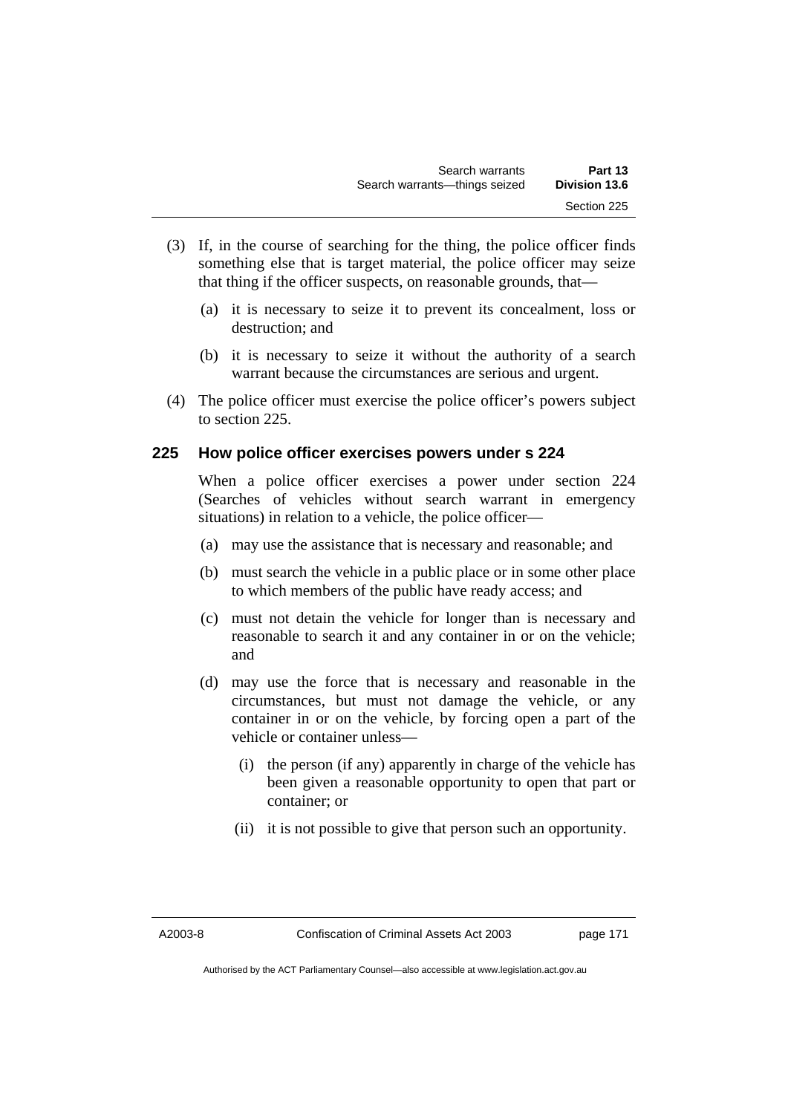- (3) If, in the course of searching for the thing, the police officer finds something else that is target material, the police officer may seize that thing if the officer suspects, on reasonable grounds, that—
	- (a) it is necessary to seize it to prevent its concealment, loss or destruction; and
	- (b) it is necessary to seize it without the authority of a search warrant because the circumstances are serious and urgent.
- (4) The police officer must exercise the police officer's powers subject to section 225.

## **225 How police officer exercises powers under s 224**

When a police officer exercises a power under section 224 (Searches of vehicles without search warrant in emergency situations) in relation to a vehicle, the police officer—

- (a) may use the assistance that is necessary and reasonable; and
- (b) must search the vehicle in a public place or in some other place to which members of the public have ready access; and
- (c) must not detain the vehicle for longer than is necessary and reasonable to search it and any container in or on the vehicle; and
- (d) may use the force that is necessary and reasonable in the circumstances, but must not damage the vehicle, or any container in or on the vehicle, by forcing open a part of the vehicle or container unless—
	- (i) the person (if any) apparently in charge of the vehicle has been given a reasonable opportunity to open that part or container; or
	- (ii) it is not possible to give that person such an opportunity.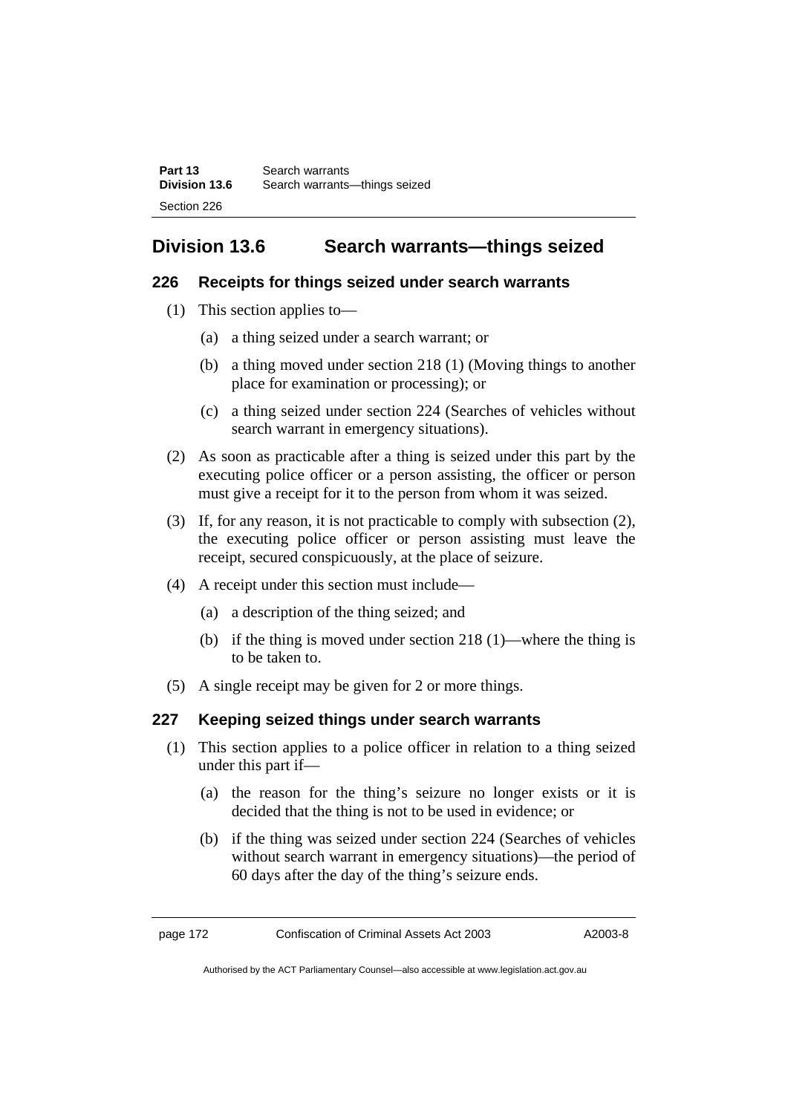| Part 13              | Search warrants                 |
|----------------------|---------------------------------|
| <b>Division 13.6</b> | Search warrants---things seized |
| Section 226          |                                 |

# **Division 13.6 Search warrants—things seized**

## **226 Receipts for things seized under search warrants**

- (1) This section applies to—
	- (a) a thing seized under a search warrant; or
	- (b) a thing moved under section 218 (1) (Moving things to another place for examination or processing); or
	- (c) a thing seized under section 224 (Searches of vehicles without search warrant in emergency situations).
- (2) As soon as practicable after a thing is seized under this part by the executing police officer or a person assisting, the officer or person must give a receipt for it to the person from whom it was seized.
- (3) If, for any reason, it is not practicable to comply with subsection (2), the executing police officer or person assisting must leave the receipt, secured conspicuously, at the place of seizure.
- (4) A receipt under this section must include—
	- (a) a description of the thing seized; and
	- (b) if the thing is moved under section 218 (1)—where the thing is to be taken to.
- (5) A single receipt may be given for 2 or more things.

## **227 Keeping seized things under search warrants**

- (1) This section applies to a police officer in relation to a thing seized under this part if—
	- (a) the reason for the thing's seizure no longer exists or it is decided that the thing is not to be used in evidence; or
	- (b) if the thing was seized under section 224 (Searches of vehicles without search warrant in emergency situations)—the period of 60 days after the day of the thing's seizure ends.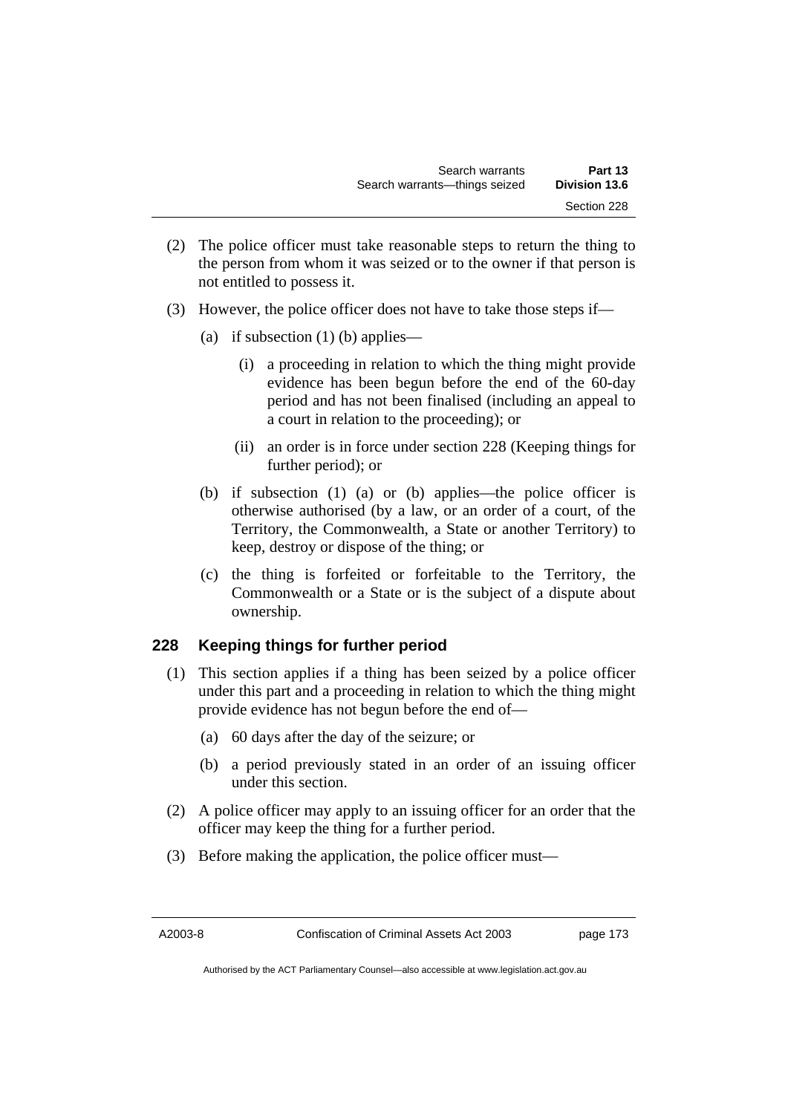- (2) The police officer must take reasonable steps to return the thing to the person from whom it was seized or to the owner if that person is not entitled to possess it.
- (3) However, the police officer does not have to take those steps if—
	- (a) if subsection  $(1)$  (b) applies—
		- (i) a proceeding in relation to which the thing might provide evidence has been begun before the end of the 60-day period and has not been finalised (including an appeal to a court in relation to the proceeding); or
		- (ii) an order is in force under section 228 (Keeping things for further period); or
	- (b) if subsection (1) (a) or (b) applies—the police officer is otherwise authorised (by a law, or an order of a court, of the Territory, the Commonwealth, a State or another Territory) to keep, destroy or dispose of the thing; or
	- (c) the thing is forfeited or forfeitable to the Territory, the Commonwealth or a State or is the subject of a dispute about ownership.

## **228 Keeping things for further period**

- (1) This section applies if a thing has been seized by a police officer under this part and a proceeding in relation to which the thing might provide evidence has not begun before the end of—
	- (a) 60 days after the day of the seizure; or
	- (b) a period previously stated in an order of an issuing officer under this section.
- (2) A police officer may apply to an issuing officer for an order that the officer may keep the thing for a further period.
- (3) Before making the application, the police officer must—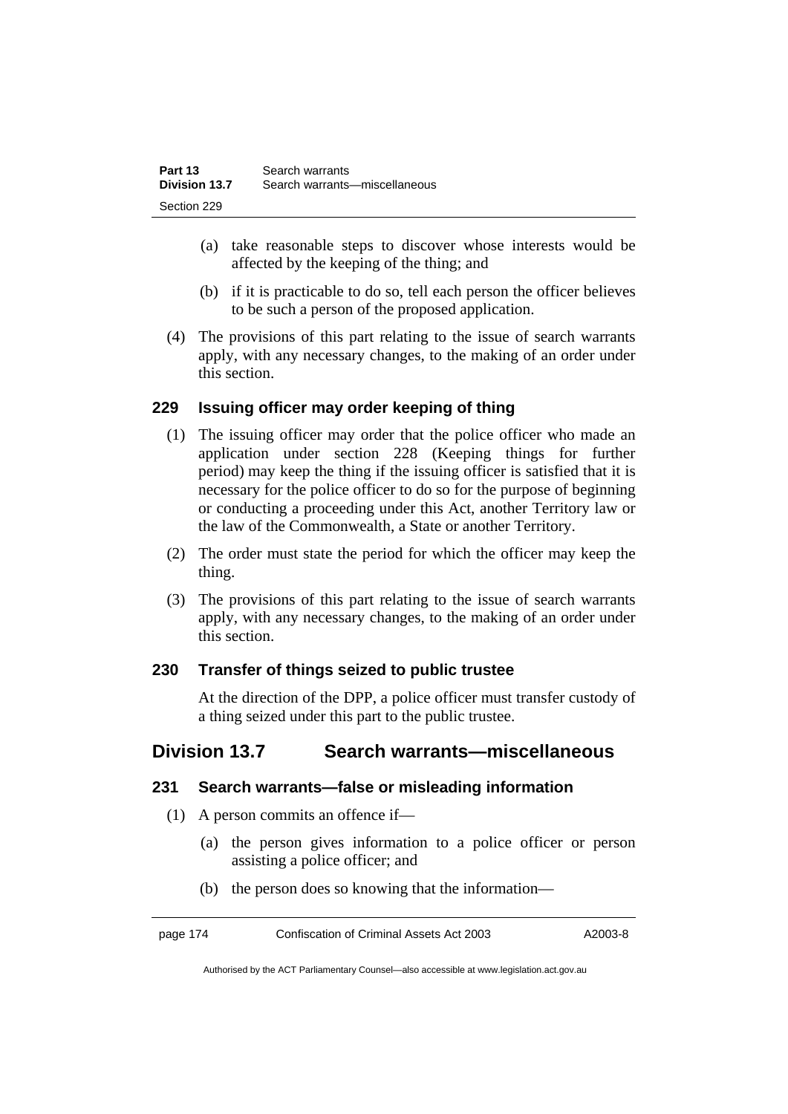| Part 13       | Search warrants               |
|---------------|-------------------------------|
| Division 13.7 | Search warrants-miscellaneous |
| Section 229   |                               |

- (a) take reasonable steps to discover whose interests would be affected by the keeping of the thing; and
- (b) if it is practicable to do so, tell each person the officer believes to be such a person of the proposed application.
- (4) The provisions of this part relating to the issue of search warrants apply, with any necessary changes, to the making of an order under this section.

## **229 Issuing officer may order keeping of thing**

- (1) The issuing officer may order that the police officer who made an application under section 228 (Keeping things for further period) may keep the thing if the issuing officer is satisfied that it is necessary for the police officer to do so for the purpose of beginning or conducting a proceeding under this Act, another Territory law or the law of the Commonwealth, a State or another Territory.
- (2) The order must state the period for which the officer may keep the thing.
- (3) The provisions of this part relating to the issue of search warrants apply, with any necessary changes, to the making of an order under this section.

## **230 Transfer of things seized to public trustee**

At the direction of the DPP, a police officer must transfer custody of a thing seized under this part to the public trustee.

## **Division 13.7 Search warrants—miscellaneous**

## **231 Search warrants—false or misleading information**

- (1) A person commits an offence if—
	- (a) the person gives information to a police officer or person assisting a police officer; and
	- (b) the person does so knowing that the information—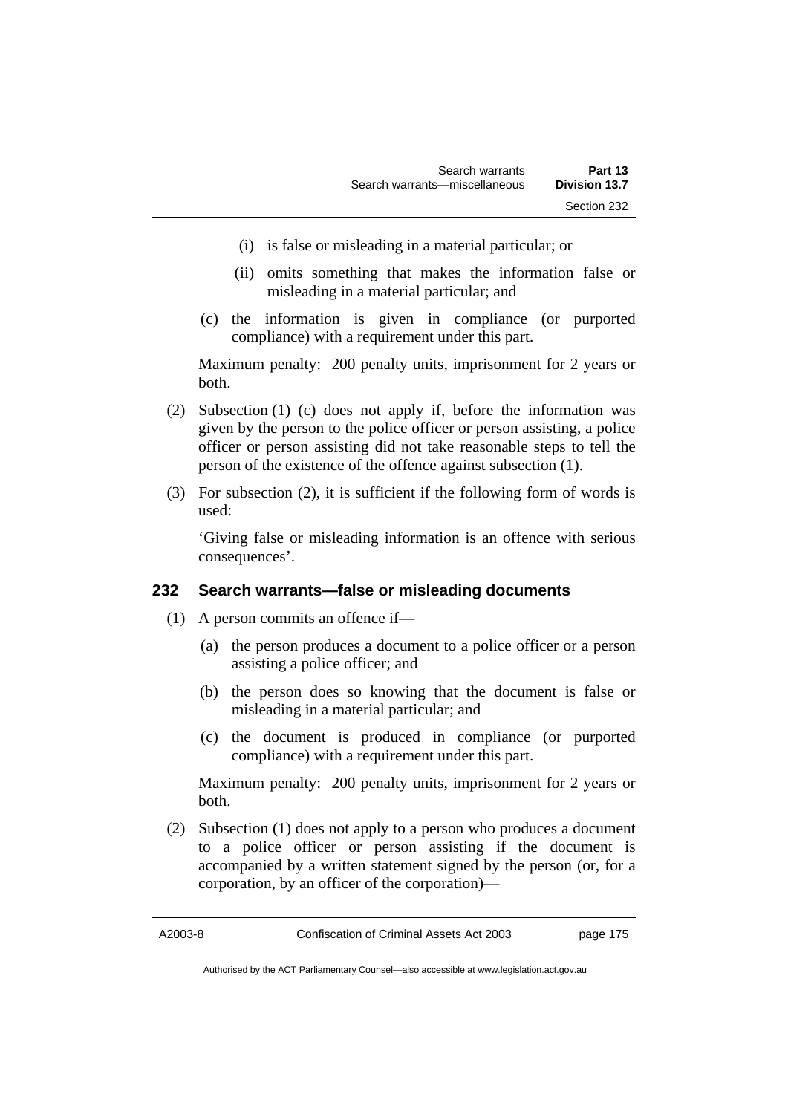- (i) is false or misleading in a material particular; or
- (ii) omits something that makes the information false or misleading in a material particular; and
- (c) the information is given in compliance (or purported compliance) with a requirement under this part.

Maximum penalty: 200 penalty units, imprisonment for 2 years or both.

- (2) Subsection (1) (c) does not apply if, before the information was given by the person to the police officer or person assisting, a police officer or person assisting did not take reasonable steps to tell the person of the existence of the offence against subsection (1).
- (3) For subsection (2), it is sufficient if the following form of words is used:

'Giving false or misleading information is an offence with serious consequences'.

## **232 Search warrants—false or misleading documents**

- (1) A person commits an offence if—
	- (a) the person produces a document to a police officer or a person assisting a police officer; and
	- (b) the person does so knowing that the document is false or misleading in a material particular; and
	- (c) the document is produced in compliance (or purported compliance) with a requirement under this part.

Maximum penalty: 200 penalty units, imprisonment for 2 years or both.

 (2) Subsection (1) does not apply to a person who produces a document to a police officer or person assisting if the document is accompanied by a written statement signed by the person (or, for a corporation, by an officer of the corporation)—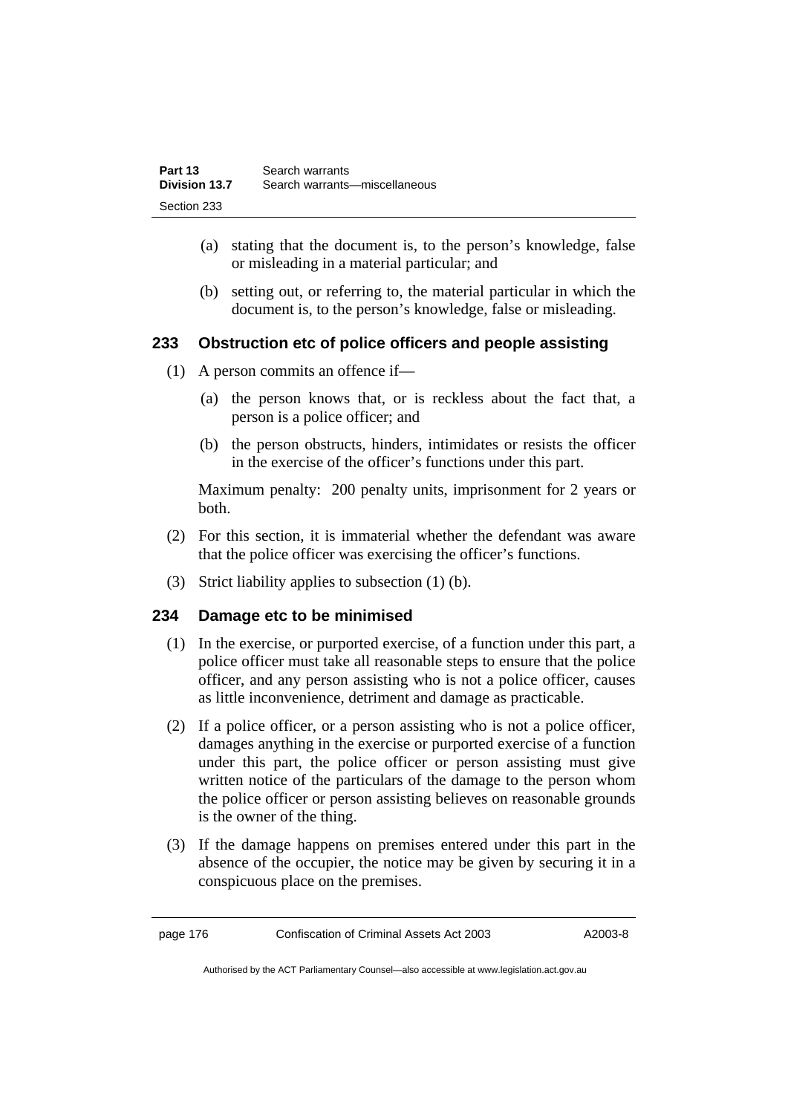| Part 13       | Search warrants               |
|---------------|-------------------------------|
| Division 13.7 | Search warrants-miscellaneous |
| Section 233   |                               |

- (a) stating that the document is, to the person's knowledge, false or misleading in a material particular; and
- (b) setting out, or referring to, the material particular in which the document is, to the person's knowledge, false or misleading.

## **233 Obstruction etc of police officers and people assisting**

- (1) A person commits an offence if—
	- (a) the person knows that, or is reckless about the fact that, a person is a police officer; and
	- (b) the person obstructs, hinders, intimidates or resists the officer in the exercise of the officer's functions under this part.

Maximum penalty: 200 penalty units, imprisonment for 2 years or both.

- (2) For this section, it is immaterial whether the defendant was aware that the police officer was exercising the officer's functions.
- (3) Strict liability applies to subsection (1) (b).

## **234 Damage etc to be minimised**

- (1) In the exercise, or purported exercise, of a function under this part, a police officer must take all reasonable steps to ensure that the police officer, and any person assisting who is not a police officer, causes as little inconvenience, detriment and damage as practicable.
- (2) If a police officer, or a person assisting who is not a police officer, damages anything in the exercise or purported exercise of a function under this part, the police officer or person assisting must give written notice of the particulars of the damage to the person whom the police officer or person assisting believes on reasonable grounds is the owner of the thing.
- (3) If the damage happens on premises entered under this part in the absence of the occupier, the notice may be given by securing it in a conspicuous place on the premises.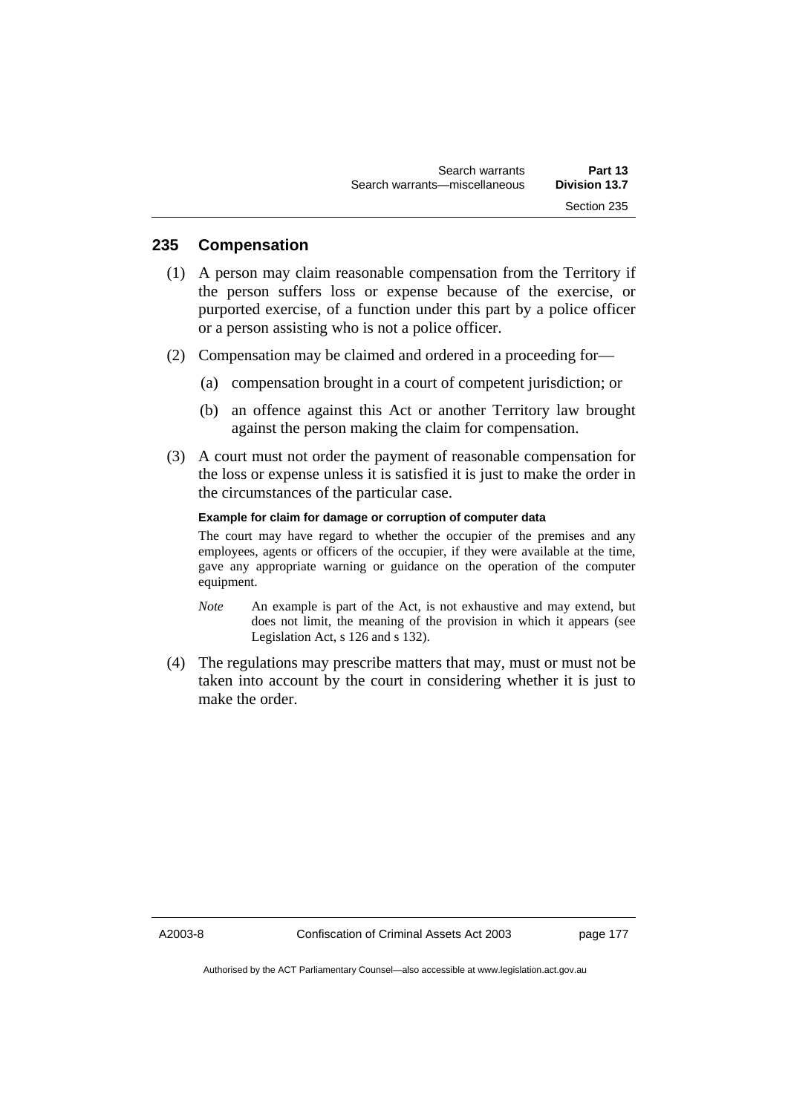## **235 Compensation**

- (1) A person may claim reasonable compensation from the Territory if the person suffers loss or expense because of the exercise, or purported exercise, of a function under this part by a police officer or a person assisting who is not a police officer.
- (2) Compensation may be claimed and ordered in a proceeding for—
	- (a) compensation brought in a court of competent jurisdiction; or
	- (b) an offence against this Act or another Territory law brought against the person making the claim for compensation.
- (3) A court must not order the payment of reasonable compensation for the loss or expense unless it is satisfied it is just to make the order in the circumstances of the particular case.

#### **Example for claim for damage or corruption of computer data**

The court may have regard to whether the occupier of the premises and any employees, agents or officers of the occupier, if they were available at the time, gave any appropriate warning or guidance on the operation of the computer equipment.

- *Note* An example is part of the Act, is not exhaustive and may extend, but does not limit, the meaning of the provision in which it appears (see Legislation Act, s 126 and s 132).
- (4) The regulations may prescribe matters that may, must or must not be taken into account by the court in considering whether it is just to make the order.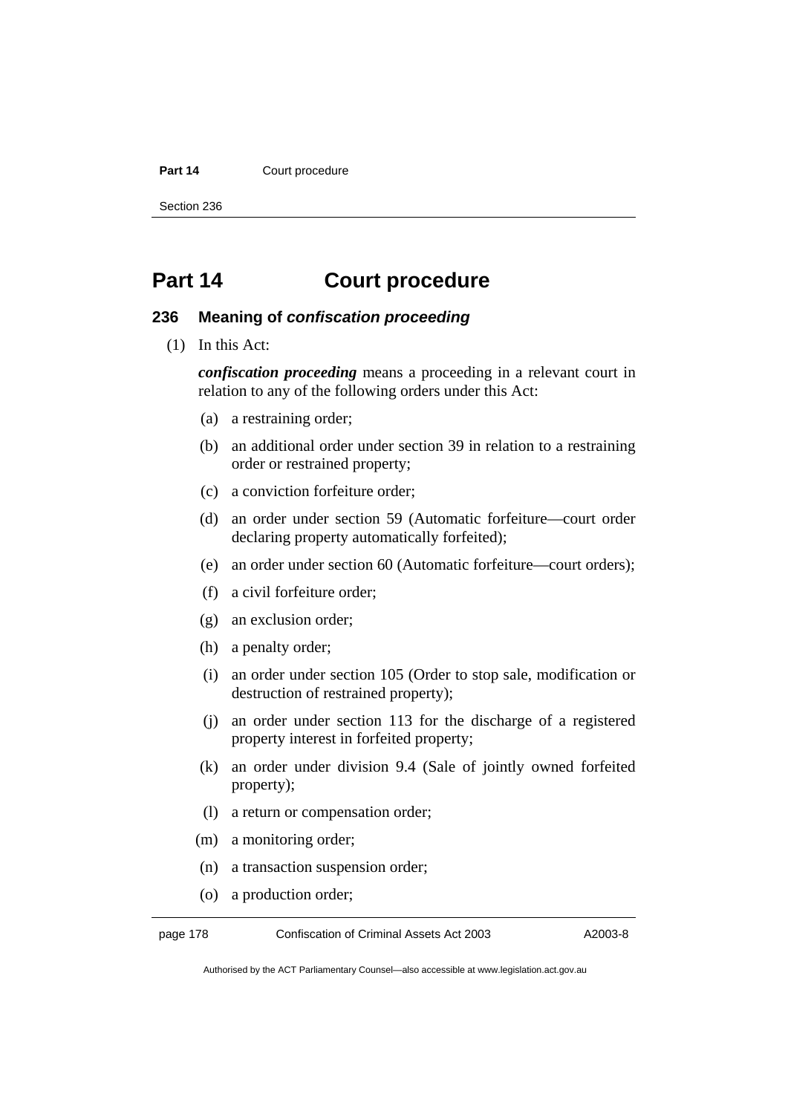#### Part 14 **Court procedure**

Section 236

# **Part 14 Court procedure**

### **236 Meaning of** *confiscation proceeding*

(1) In this Act:

*confiscation proceeding* means a proceeding in a relevant court in relation to any of the following orders under this Act:

- (a) a restraining order;
- (b) an additional order under section 39 in relation to a restraining order or restrained property;
- (c) a conviction forfeiture order;
- (d) an order under section 59 (Automatic forfeiture—court order declaring property automatically forfeited);
- (e) an order under section 60 (Automatic forfeiture—court orders);
- (f) a civil forfeiture order;
- (g) an exclusion order;
- (h) a penalty order;
- (i) an order under section 105 (Order to stop sale, modification or destruction of restrained property);
- (j) an order under section 113 for the discharge of a registered property interest in forfeited property;
- (k) an order under division 9.4 (Sale of jointly owned forfeited property);
- (l) a return or compensation order;
- (m) a monitoring order;
- (n) a transaction suspension order;
- (o) a production order;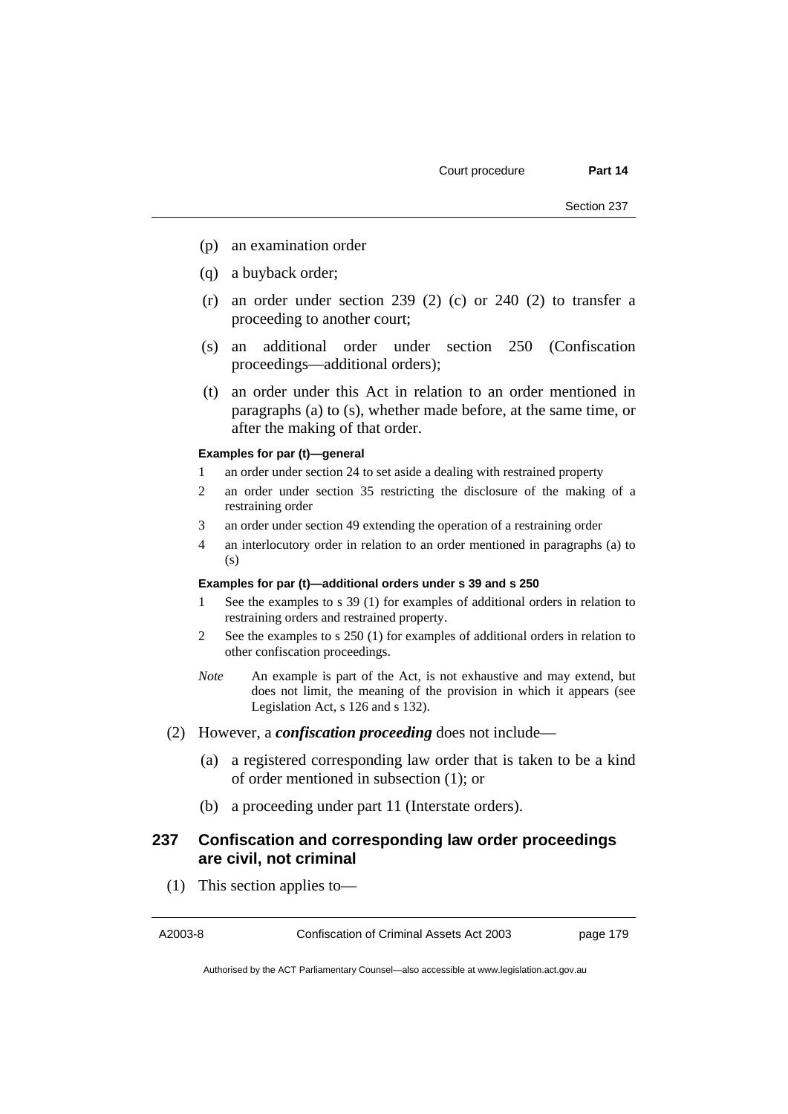- (p) an examination order
- (q) a buyback order;
- $(r)$  an order under section 239 (2) (c) or 240 (2) to transfer a proceeding to another court;
- (s) an additional order under section 250 (Confiscation proceedings—additional orders);
- (t) an order under this Act in relation to an order mentioned in paragraphs (a) to (s), whether made before, at the same time, or after the making of that order.

#### **Examples for par (t)—general**

- 1 an order under section 24 to set aside a dealing with restrained property
- 2 an order under section 35 restricting the disclosure of the making of a restraining order
- 3 an order under section 49 extending the operation of a restraining order
- 4 an interlocutory order in relation to an order mentioned in paragraphs (a) to  $(s)$

#### **Examples for par (t)—additional orders under s 39 and s 250**

- See the examples to s 39 (1) for examples of additional orders in relation to restraining orders and restrained property.
- 2 See the examples to s 250 (1) for examples of additional orders in relation to other confiscation proceedings.
- *Note* An example is part of the Act, is not exhaustive and may extend, but does not limit, the meaning of the provision in which it appears (see Legislation Act, s 126 and s 132).
- (2) However, a *confiscation proceeding* does not include—
	- (a) a registered corresponding law order that is taken to be a kind of order mentioned in subsection (1); or
	- (b) a proceeding under part 11 (Interstate orders).

## **237 Confiscation and corresponding law order proceedings are civil, not criminal**

(1) This section applies to—

A2003-8 Confiscation of Criminal Assets Act 2003 page 179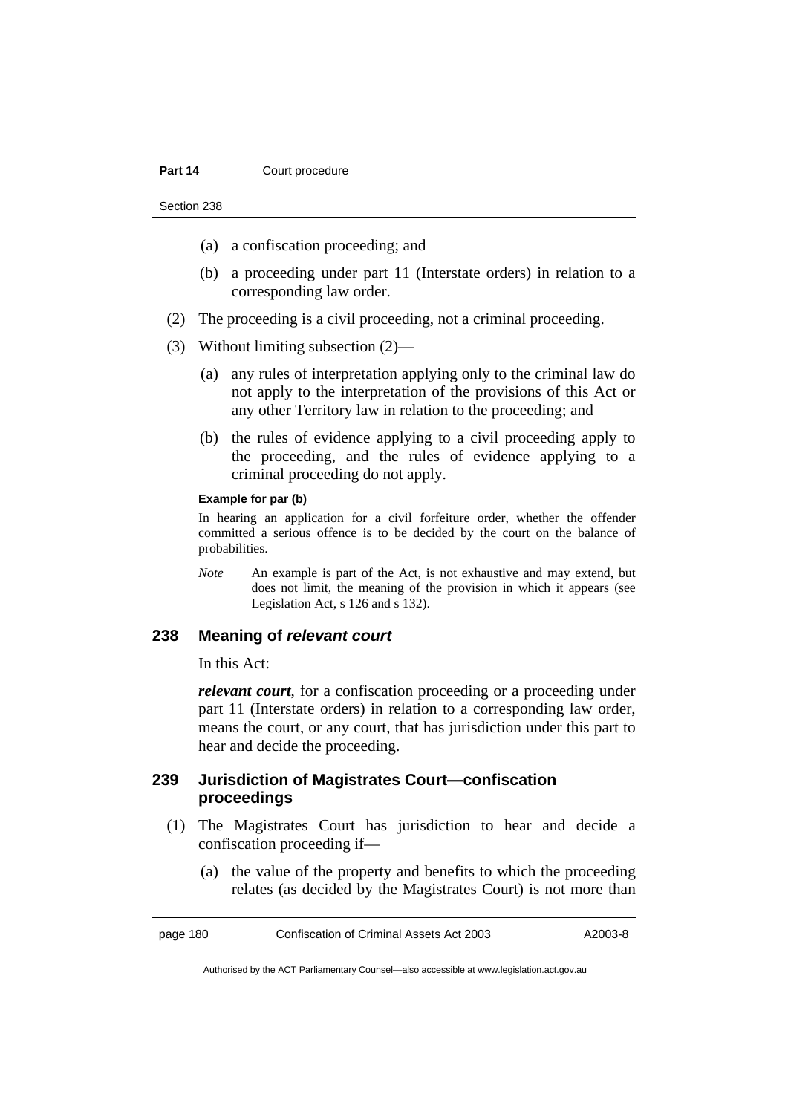- (a) a confiscation proceeding; and
- (b) a proceeding under part 11 (Interstate orders) in relation to a corresponding law order.
- (2) The proceeding is a civil proceeding, not a criminal proceeding.
- (3) Without limiting subsection (2)—
	- (a) any rules of interpretation applying only to the criminal law do not apply to the interpretation of the provisions of this Act or any other Territory law in relation to the proceeding; and
	- (b) the rules of evidence applying to a civil proceeding apply to the proceeding, and the rules of evidence applying to a criminal proceeding do not apply.

#### **Example for par (b)**

In hearing an application for a civil forfeiture order, whether the offender committed a serious offence is to be decided by the court on the balance of probabilities.

*Note* An example is part of the Act, is not exhaustive and may extend, but does not limit, the meaning of the provision in which it appears (see Legislation Act, s 126 and s 132).

#### **238 Meaning of** *relevant court*

In this Act:

*relevant court*, for a confiscation proceeding or a proceeding under part 11 (Interstate orders) in relation to a corresponding law order, means the court, or any court, that has jurisdiction under this part to hear and decide the proceeding.

## **239 Jurisdiction of Magistrates Court—confiscation proceedings**

- (1) The Magistrates Court has jurisdiction to hear and decide a confiscation proceeding if—
	- (a) the value of the property and benefits to which the proceeding relates (as decided by the Magistrates Court) is not more than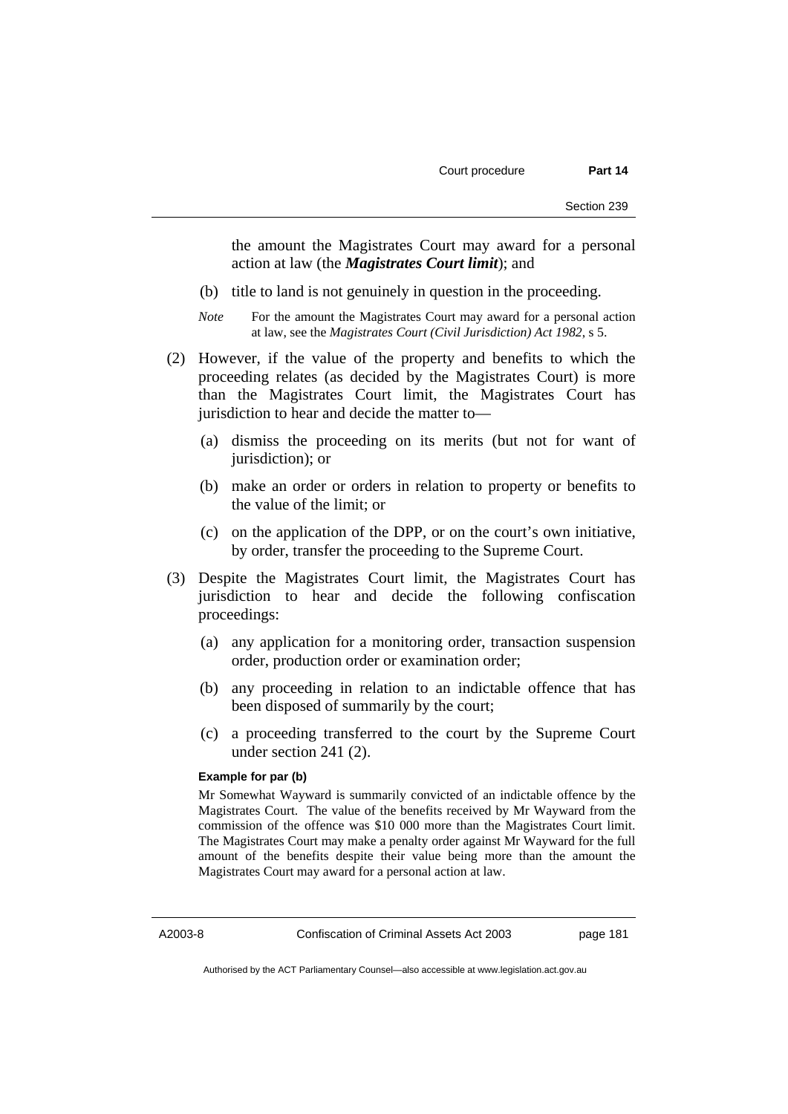the amount the Magistrates Court may award for a personal action at law (the *Magistrates Court limit*); and

- (b) title to land is not genuinely in question in the proceeding.
- *Note* For the amount the Magistrates Court may award for a personal action at law, see the *Magistrates Court (Civil Jurisdiction) Act 1982*, s 5.
- (2) However, if the value of the property and benefits to which the proceeding relates (as decided by the Magistrates Court) is more than the Magistrates Court limit, the Magistrates Court has jurisdiction to hear and decide the matter to—
	- (a) dismiss the proceeding on its merits (but not for want of jurisdiction); or
	- (b) make an order or orders in relation to property or benefits to the value of the limit; or
	- (c) on the application of the DPP, or on the court's own initiative, by order, transfer the proceeding to the Supreme Court.
- (3) Despite the Magistrates Court limit, the Magistrates Court has jurisdiction to hear and decide the following confiscation proceedings:
	- (a) any application for a monitoring order, transaction suspension order, production order or examination order;
	- (b) any proceeding in relation to an indictable offence that has been disposed of summarily by the court;
	- (c) a proceeding transferred to the court by the Supreme Court under section 241 (2).

#### **Example for par (b)**

Mr Somewhat Wayward is summarily convicted of an indictable offence by the Magistrates Court. The value of the benefits received by Mr Wayward from the commission of the offence was \$10 000 more than the Magistrates Court limit. The Magistrates Court may make a penalty order against Mr Wayward for the full amount of the benefits despite their value being more than the amount the Magistrates Court may award for a personal action at law.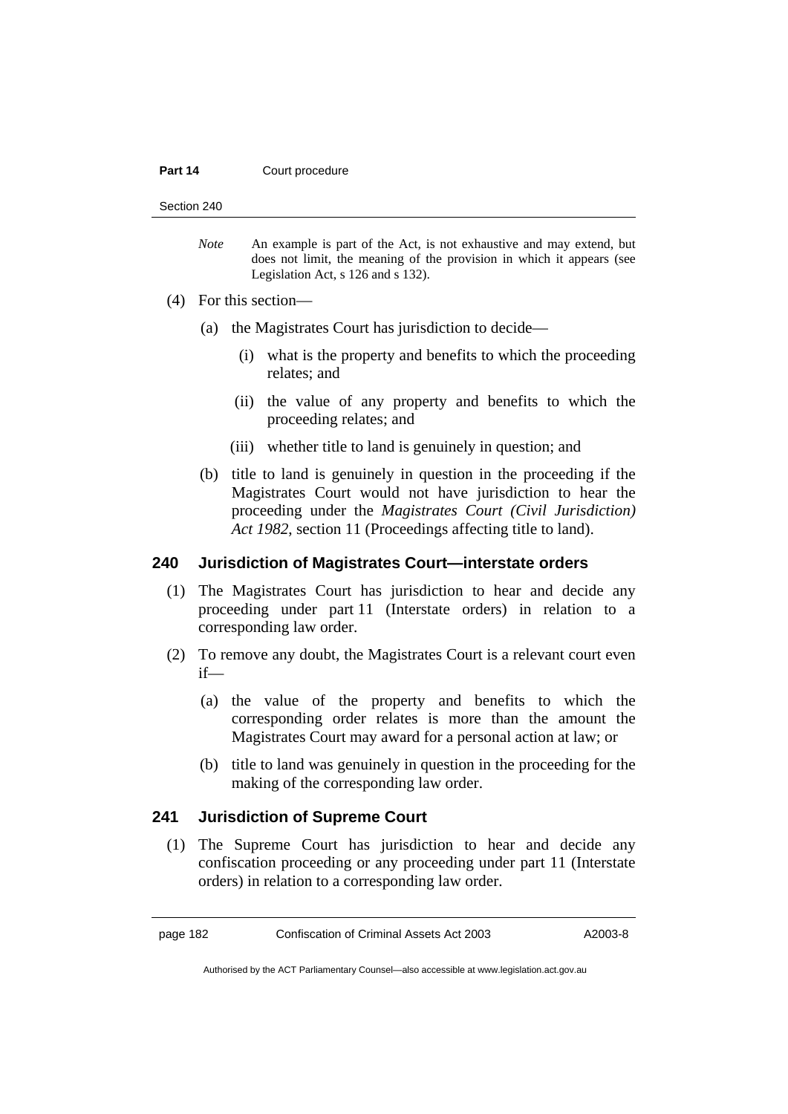#### **Part 14 Court procedure**

Section 240

*Note* An example is part of the Act, is not exhaustive and may extend, but does not limit, the meaning of the provision in which it appears (see Legislation Act, s 126 and s 132).

- (4) For this section—
	- (a) the Magistrates Court has jurisdiction to decide—
		- (i) what is the property and benefits to which the proceeding relates; and
		- (ii) the value of any property and benefits to which the proceeding relates; and
		- (iii) whether title to land is genuinely in question; and
	- (b) title to land is genuinely in question in the proceeding if the Magistrates Court would not have jurisdiction to hear the proceeding under the *Magistrates Court (Civil Jurisdiction) Act 1982*, section 11 (Proceedings affecting title to land).

## **240 Jurisdiction of Magistrates Court—interstate orders**

- (1) The Magistrates Court has jurisdiction to hear and decide any proceeding under part 11 (Interstate orders) in relation to a corresponding law order.
- (2) To remove any doubt, the Magistrates Court is a relevant court even if—
	- (a) the value of the property and benefits to which the corresponding order relates is more than the amount the Magistrates Court may award for a personal action at law; or
	- (b) title to land was genuinely in question in the proceeding for the making of the corresponding law order.

## **241 Jurisdiction of Supreme Court**

 (1) The Supreme Court has jurisdiction to hear and decide any confiscation proceeding or any proceeding under part 11 (Interstate orders) in relation to a corresponding law order.

page 182 Confiscation of Criminal Assets Act 2003 A2003-8

Authorised by the ACT Parliamentary Counsel—also accessible at www.legislation.act.gov.au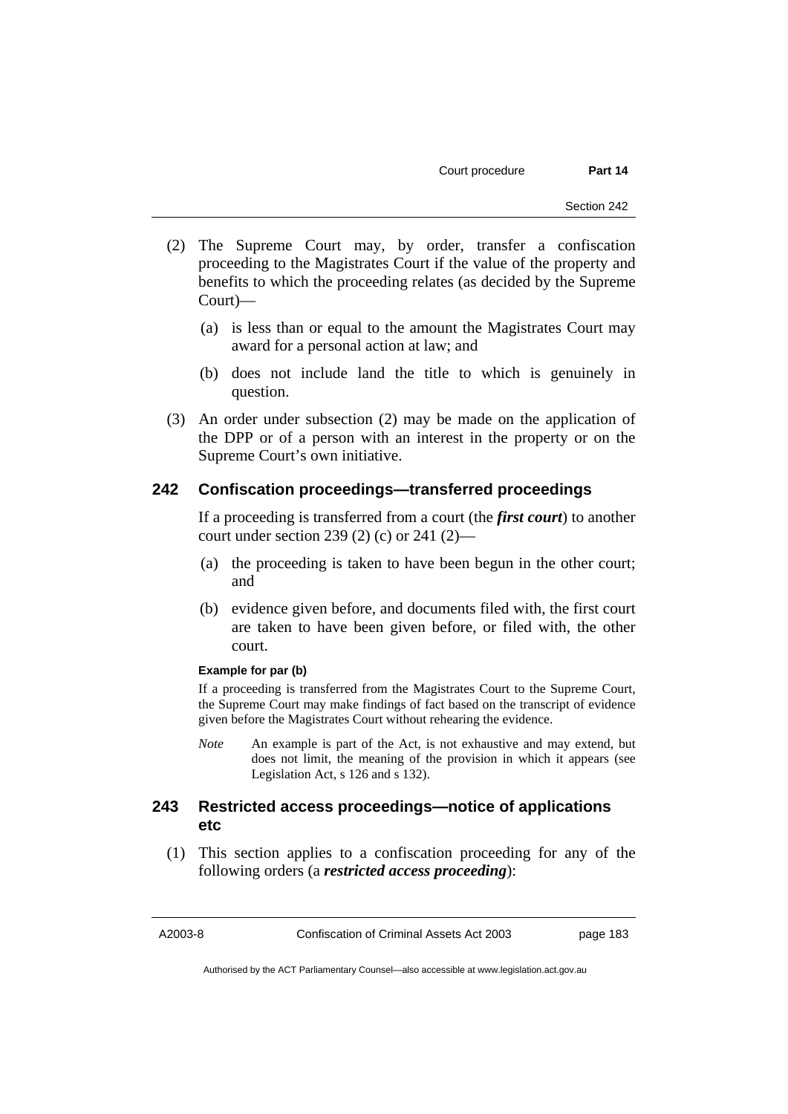- (2) The Supreme Court may, by order, transfer a confiscation proceeding to the Magistrates Court if the value of the property and benefits to which the proceeding relates (as decided by the Supreme Court)—
	- (a) is less than or equal to the amount the Magistrates Court may award for a personal action at law; and
	- (b) does not include land the title to which is genuinely in question.
- (3) An order under subsection (2) may be made on the application of the DPP or of a person with an interest in the property or on the Supreme Court's own initiative.

### **242 Confiscation proceedings—transferred proceedings**

If a proceeding is transferred from a court (the *first court*) to another court under section 239 (2) (c) or 241 (2)—

- (a) the proceeding is taken to have been begun in the other court; and
- (b) evidence given before, and documents filed with, the first court are taken to have been given before, or filed with, the other court.

#### **Example for par (b)**

If a proceeding is transferred from the Magistrates Court to the Supreme Court, the Supreme Court may make findings of fact based on the transcript of evidence given before the Magistrates Court without rehearing the evidence.

*Note* An example is part of the Act, is not exhaustive and may extend, but does not limit, the meaning of the provision in which it appears (see Legislation Act, s 126 and s 132).

## **243 Restricted access proceedings—notice of applications etc**

 (1) This section applies to a confiscation proceeding for any of the following orders (a *restricted access proceeding*):

A2003-8 Confiscation of Criminal Assets Act 2003 page 183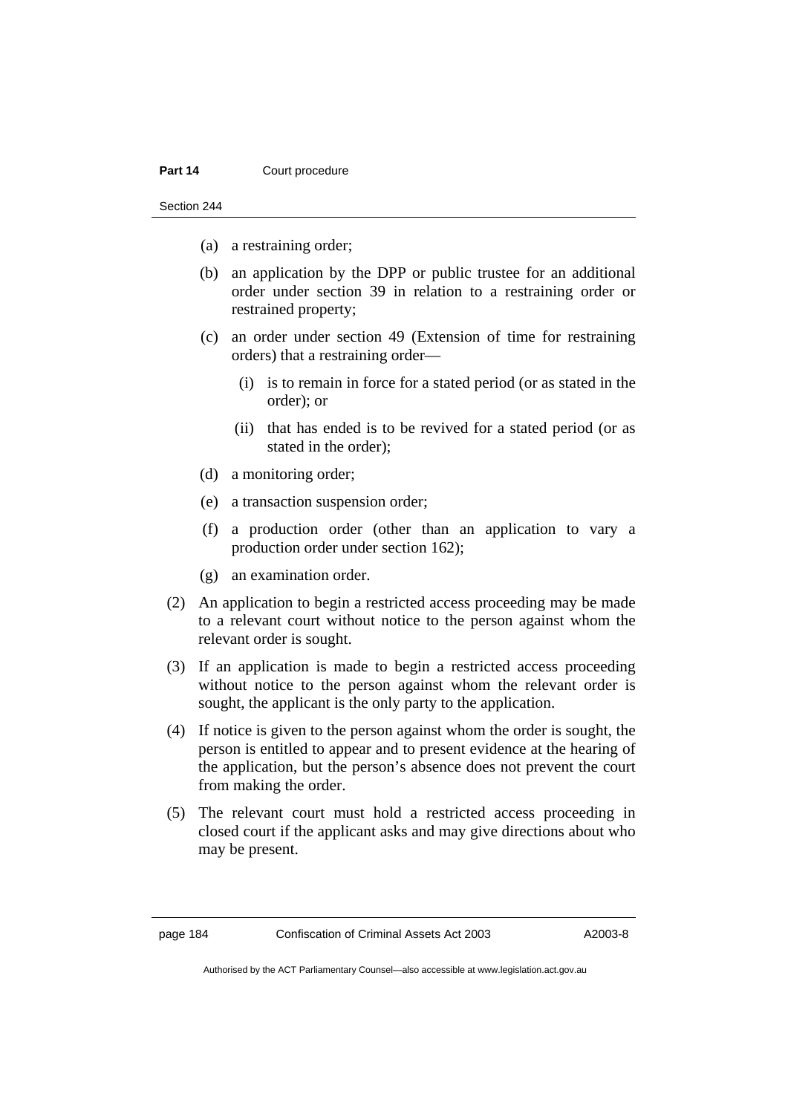#### **Part 14 Court procedure**

Section 244

- (a) a restraining order;
- (b) an application by the DPP or public trustee for an additional order under section 39 in relation to a restraining order or restrained property;
- (c) an order under section 49 (Extension of time for restraining orders) that a restraining order—
	- (i) is to remain in force for a stated period (or as stated in the order); or
	- (ii) that has ended is to be revived for a stated period (or as stated in the order);
- (d) a monitoring order;
- (e) a transaction suspension order;
- (f) a production order (other than an application to vary a production order under section 162);
- (g) an examination order.
- (2) An application to begin a restricted access proceeding may be made to a relevant court without notice to the person against whom the relevant order is sought.
- (3) If an application is made to begin a restricted access proceeding without notice to the person against whom the relevant order is sought, the applicant is the only party to the application.
- (4) If notice is given to the person against whom the order is sought, the person is entitled to appear and to present evidence at the hearing of the application, but the person's absence does not prevent the court from making the order.
- (5) The relevant court must hold a restricted access proceeding in closed court if the applicant asks and may give directions about who may be present.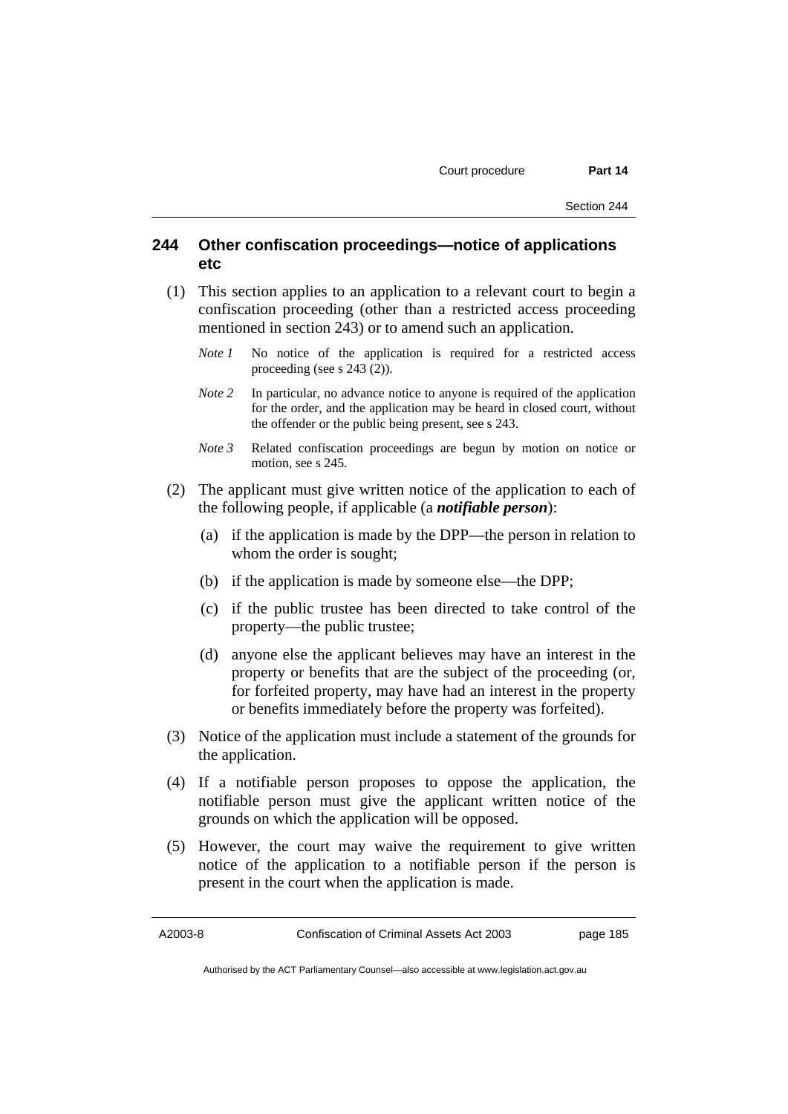## **244 Other confiscation proceedings—notice of applications etc**

- (1) This section applies to an application to a relevant court to begin a confiscation proceeding (other than a restricted access proceeding mentioned in section 243) or to amend such an application.
	- *Note 1* No notice of the application is required for a restricted access proceeding (see s  $243(2)$ ).
	- *Note* 2 In particular, no advance notice to anyone is required of the application for the order, and the application may be heard in closed court, without the offender or the public being present, see s 243.
	- *Note 3* Related confiscation proceedings are begun by motion on notice or motion, see s 245.
- (2) The applicant must give written notice of the application to each of the following people, if applicable (a *notifiable person*):
	- (a) if the application is made by the DPP—the person in relation to whom the order is sought;
	- (b) if the application is made by someone else—the DPP;
	- (c) if the public trustee has been directed to take control of the property—the public trustee;
	- (d) anyone else the applicant believes may have an interest in the property or benefits that are the subject of the proceeding (or, for forfeited property, may have had an interest in the property or benefits immediately before the property was forfeited).
- (3) Notice of the application must include a statement of the grounds for the application.
- (4) If a notifiable person proposes to oppose the application, the notifiable person must give the applicant written notice of the grounds on which the application will be opposed.
- (5) However, the court may waive the requirement to give written notice of the application to a notifiable person if the person is present in the court when the application is made.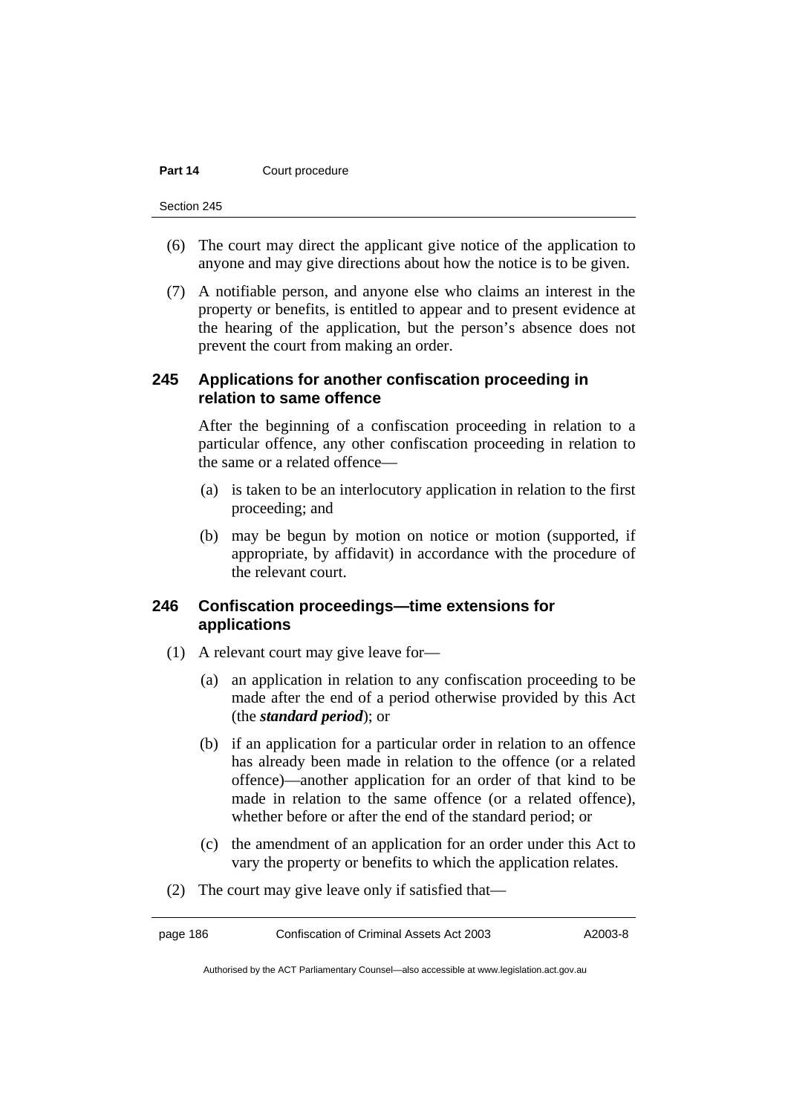#### **Part 14 Court procedure**

Section 245

- (6) The court may direct the applicant give notice of the application to anyone and may give directions about how the notice is to be given.
- (7) A notifiable person, and anyone else who claims an interest in the property or benefits, is entitled to appear and to present evidence at the hearing of the application, but the person's absence does not prevent the court from making an order.

## **245 Applications for another confiscation proceeding in relation to same offence**

After the beginning of a confiscation proceeding in relation to a particular offence, any other confiscation proceeding in relation to the same or a related offence—

- (a) is taken to be an interlocutory application in relation to the first proceeding; and
- (b) may be begun by motion on notice or motion (supported, if appropriate, by affidavit) in accordance with the procedure of the relevant court.

## **246 Confiscation proceedings—time extensions for applications**

- (1) A relevant court may give leave for—
	- (a) an application in relation to any confiscation proceeding to be made after the end of a period otherwise provided by this Act (the *standard period*); or
	- (b) if an application for a particular order in relation to an offence has already been made in relation to the offence (or a related offence)—another application for an order of that kind to be made in relation to the same offence (or a related offence), whether before or after the end of the standard period; or
	- (c) the amendment of an application for an order under this Act to vary the property or benefits to which the application relates.
- (2) The court may give leave only if satisfied that—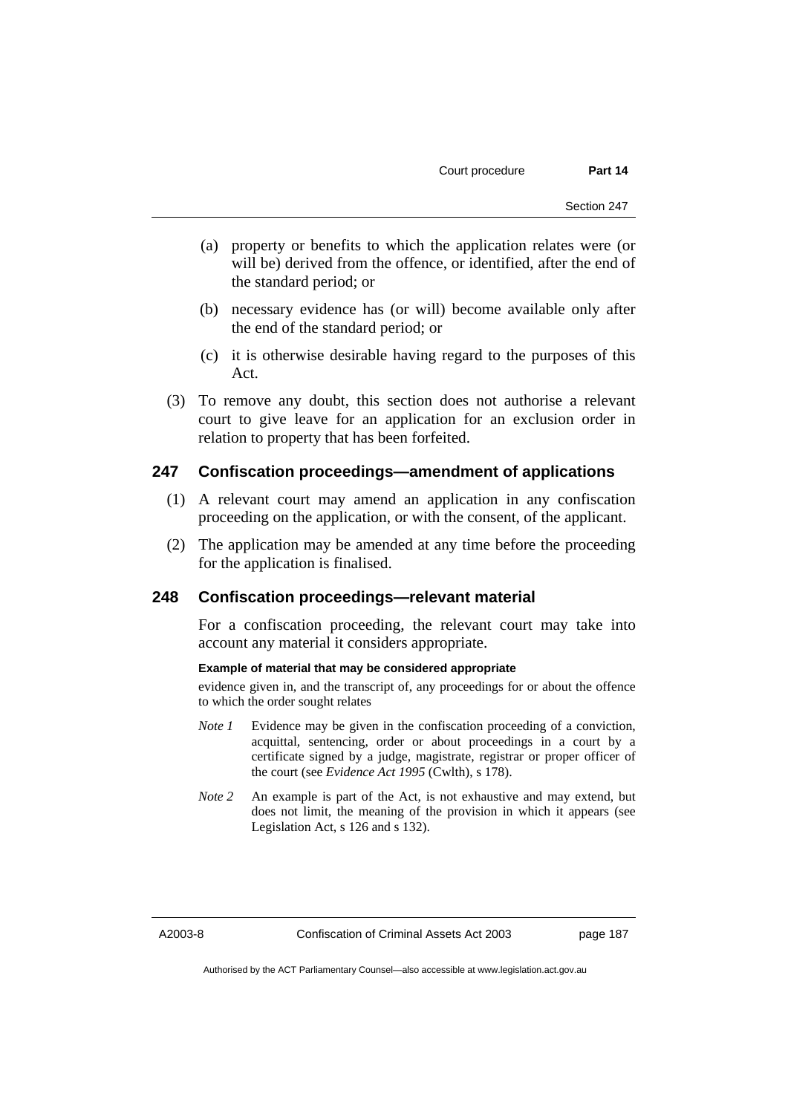- (a) property or benefits to which the application relates were (or will be) derived from the offence, or identified, after the end of the standard period; or
- (b) necessary evidence has (or will) become available only after the end of the standard period; or
- (c) it is otherwise desirable having regard to the purposes of this Act.
- (3) To remove any doubt, this section does not authorise a relevant court to give leave for an application for an exclusion order in relation to property that has been forfeited.

## **247 Confiscation proceedings—amendment of applications**

- (1) A relevant court may amend an application in any confiscation proceeding on the application, or with the consent, of the applicant.
- (2) The application may be amended at any time before the proceeding for the application is finalised.

### **248 Confiscation proceedings—relevant material**

For a confiscation proceeding, the relevant court may take into account any material it considers appropriate.

#### **Example of material that may be considered appropriate**

evidence given in, and the transcript of, any proceedings for or about the offence to which the order sought relates

- *Note 1* Evidence may be given in the confiscation proceeding of a conviction, acquittal, sentencing, order or about proceedings in a court by a certificate signed by a judge, magistrate, registrar or proper officer of the court (see *Evidence Act 1995* (Cwlth), s 178).
- *Note* 2 An example is part of the Act, is not exhaustive and may extend, but does not limit, the meaning of the provision in which it appears (see Legislation Act, s 126 and s 132).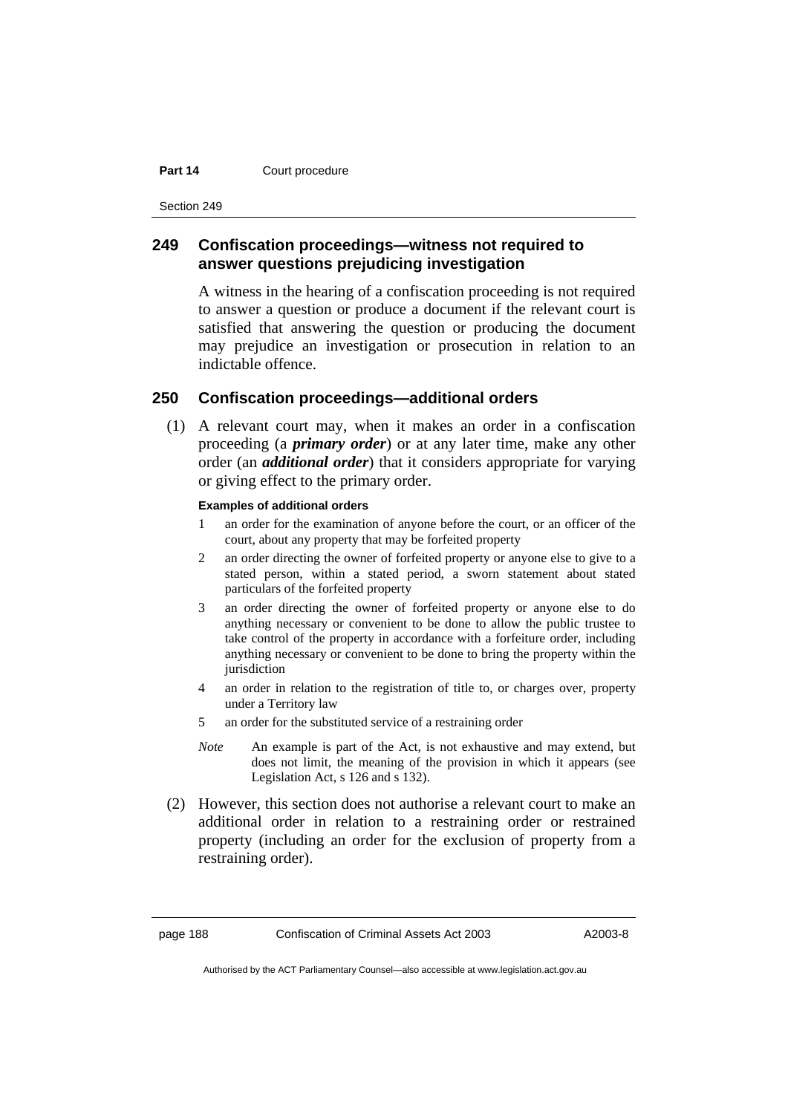#### **Part 14 Court procedure**

Section 249

## **249 Confiscation proceedings—witness not required to answer questions prejudicing investigation**

A witness in the hearing of a confiscation proceeding is not required to answer a question or produce a document if the relevant court is satisfied that answering the question or producing the document may prejudice an investigation or prosecution in relation to an indictable offence.

## **250 Confiscation proceedings—additional orders**

 (1) A relevant court may, when it makes an order in a confiscation proceeding (a *primary order*) or at any later time, make any other order (an *additional order*) that it considers appropriate for varying or giving effect to the primary order.

#### **Examples of additional orders**

- 1 an order for the examination of anyone before the court, or an officer of the court, about any property that may be forfeited property
- 2 an order directing the owner of forfeited property or anyone else to give to a stated person, within a stated period, a sworn statement about stated particulars of the forfeited property
- 3 an order directing the owner of forfeited property or anyone else to do anything necessary or convenient to be done to allow the public trustee to take control of the property in accordance with a forfeiture order, including anything necessary or convenient to be done to bring the property within the jurisdiction
- 4 an order in relation to the registration of title to, or charges over, property under a Territory law
- 5 an order for the substituted service of a restraining order
- *Note* An example is part of the Act, is not exhaustive and may extend, but does not limit, the meaning of the provision in which it appears (see Legislation Act, s 126 and s 132).
- (2) However, this section does not authorise a relevant court to make an additional order in relation to a restraining order or restrained property (including an order for the exclusion of property from a restraining order).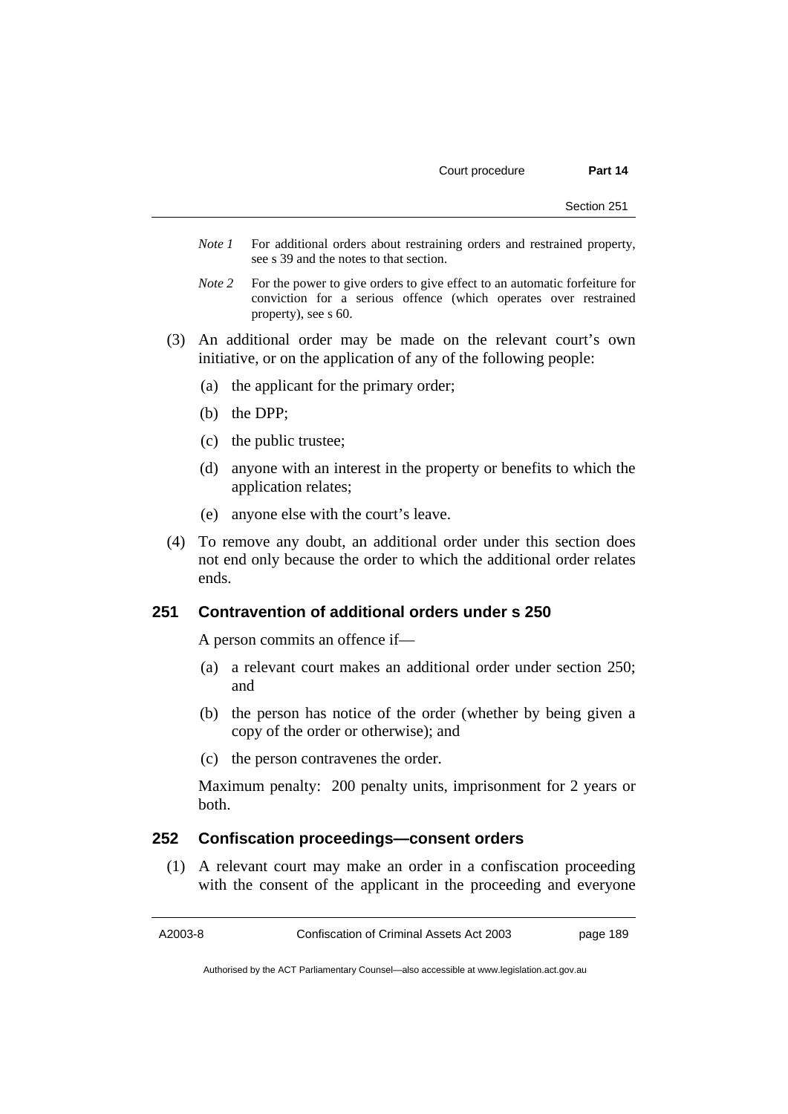- *Note 1* For additional orders about restraining orders and restrained property, see s 39 and the notes to that section.
- *Note* 2 For the power to give orders to give effect to an automatic forfeiture for conviction for a serious offence (which operates over restrained property), see s 60.
- (3) An additional order may be made on the relevant court's own initiative, or on the application of any of the following people:
	- (a) the applicant for the primary order;
	- (b) the DPP;
	- (c) the public trustee;
	- (d) anyone with an interest in the property or benefits to which the application relates;
	- (e) anyone else with the court's leave.
- (4) To remove any doubt, an additional order under this section does not end only because the order to which the additional order relates ends.

## **251 Contravention of additional orders under s 250**

A person commits an offence if—

- (a) a relevant court makes an additional order under section 250; and
- (b) the person has notice of the order (whether by being given a copy of the order or otherwise); and
- (c) the person contravenes the order.

Maximum penalty: 200 penalty units, imprisonment for 2 years or both.

### **252 Confiscation proceedings—consent orders**

 (1) A relevant court may make an order in a confiscation proceeding with the consent of the applicant in the proceeding and everyone

A2003-8 Confiscation of Criminal Assets Act 2003 page 189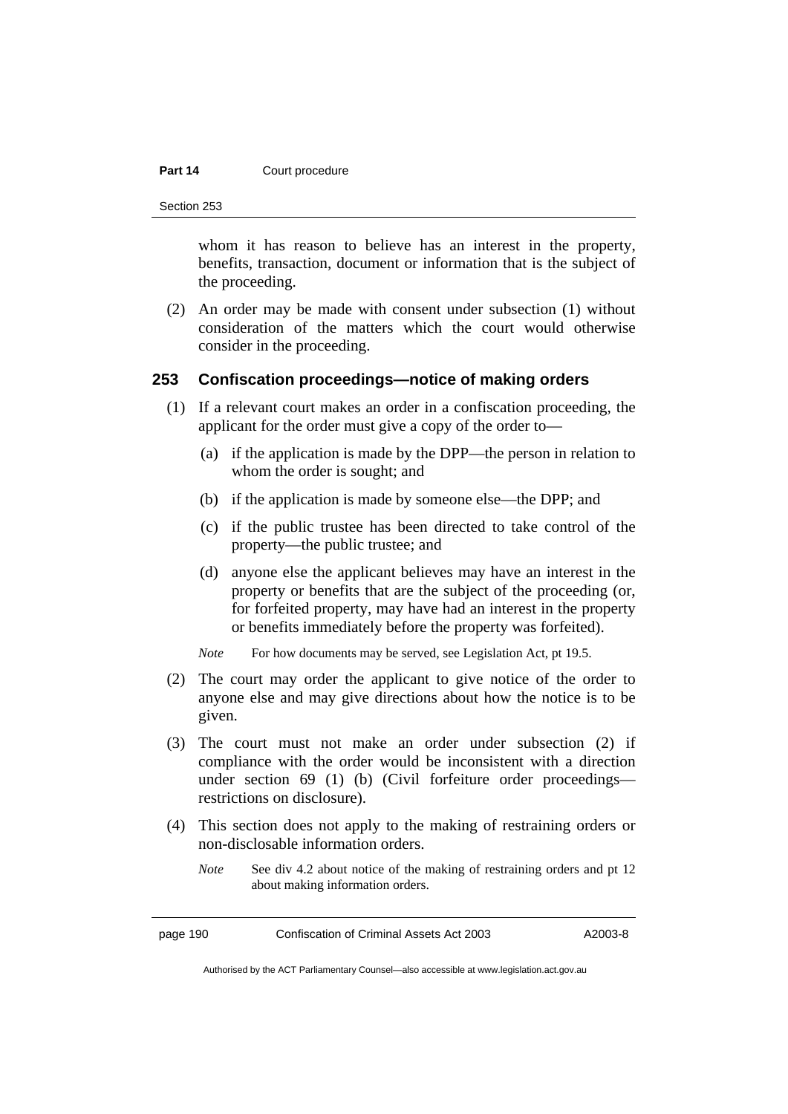#### **Part 14 Court procedure**

Section 253

whom it has reason to believe has an interest in the property, benefits, transaction, document or information that is the subject of the proceeding.

 (2) An order may be made with consent under subsection (1) without consideration of the matters which the court would otherwise consider in the proceeding.

#### **253 Confiscation proceedings—notice of making orders**

- (1) If a relevant court makes an order in a confiscation proceeding, the applicant for the order must give a copy of the order to—
	- (a) if the application is made by the DPP—the person in relation to whom the order is sought; and
	- (b) if the application is made by someone else—the DPP; and
	- (c) if the public trustee has been directed to take control of the property—the public trustee; and
	- (d) anyone else the applicant believes may have an interest in the property or benefits that are the subject of the proceeding (or, for forfeited property, may have had an interest in the property or benefits immediately before the property was forfeited).

*Note* For how documents may be served, see Legislation Act, pt 19.5.

- (2) The court may order the applicant to give notice of the order to anyone else and may give directions about how the notice is to be given.
- (3) The court must not make an order under subsection (2) if compliance with the order would be inconsistent with a direction under section 69 (1) (b) (Civil forfeiture order proceedings restrictions on disclosure).
- (4) This section does not apply to the making of restraining orders or non-disclosable information orders.
	- *Note* See div 4.2 about notice of the making of restraining orders and pt 12 about making information orders.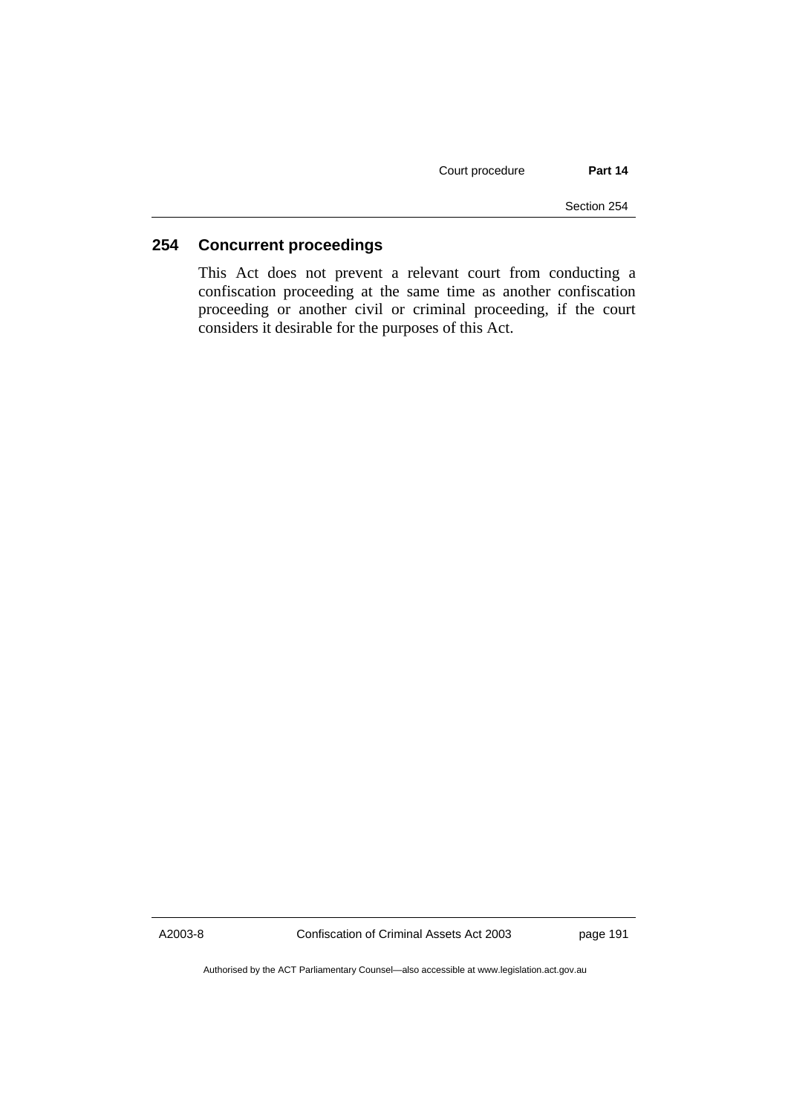Court procedure **Part 14** 

Section 254

## **254 Concurrent proceedings**

This Act does not prevent a relevant court from conducting a confiscation proceeding at the same time as another confiscation proceeding or another civil or criminal proceeding, if the court considers it desirable for the purposes of this Act.

A2003-8 Confiscation of Criminal Assets Act 2003 page 191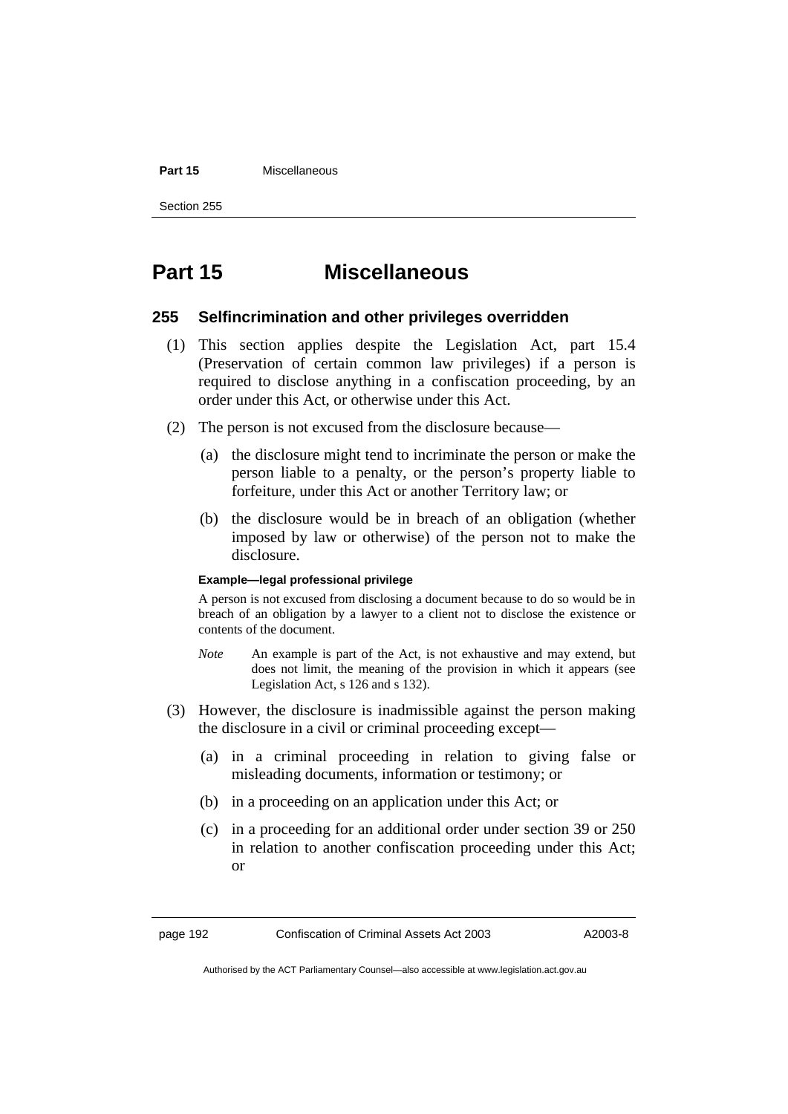#### **Part 15** Miscellaneous

Section 255

# **Part 15 Miscellaneous**

### **255 Selfincrimination and other privileges overridden**

- (1) This section applies despite the Legislation Act, part 15.4 (Preservation of certain common law privileges) if a person is required to disclose anything in a confiscation proceeding, by an order under this Act, or otherwise under this Act.
- (2) The person is not excused from the disclosure because—
	- (a) the disclosure might tend to incriminate the person or make the person liable to a penalty, or the person's property liable to forfeiture, under this Act or another Territory law; or
	- (b) the disclosure would be in breach of an obligation (whether imposed by law or otherwise) of the person not to make the disclosure.

#### **Example—legal professional privilege**

A person is not excused from disclosing a document because to do so would be in breach of an obligation by a lawyer to a client not to disclose the existence or contents of the document.

- *Note* An example is part of the Act, is not exhaustive and may extend, but does not limit, the meaning of the provision in which it appears (see Legislation Act, s 126 and s 132).
- (3) However, the disclosure is inadmissible against the person making the disclosure in a civil or criminal proceeding except—
	- (a) in a criminal proceeding in relation to giving false or misleading documents, information or testimony; or
	- (b) in a proceeding on an application under this Act; or
	- (c) in a proceeding for an additional order under section 39 or 250 in relation to another confiscation proceeding under this Act; or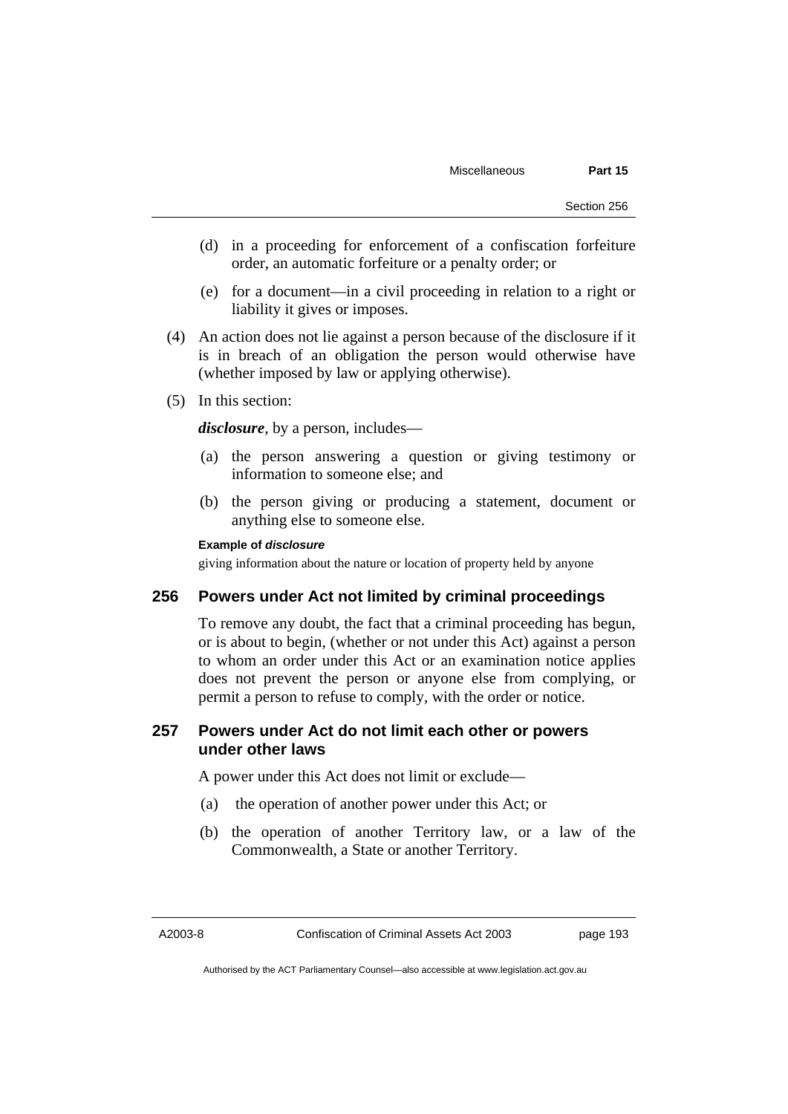- (d) in a proceeding for enforcement of a confiscation forfeiture order, an automatic forfeiture or a penalty order; or
- (e) for a document—in a civil proceeding in relation to a right or liability it gives or imposes.
- (4) An action does not lie against a person because of the disclosure if it is in breach of an obligation the person would otherwise have (whether imposed by law or applying otherwise).
- (5) In this section:

*disclosure*, by a person, includes—

- (a) the person answering a question or giving testimony or information to someone else; and
- (b) the person giving or producing a statement, document or anything else to someone else.

#### **Example of** *disclosure*

giving information about the nature or location of property held by anyone

### **256 Powers under Act not limited by criminal proceedings**

To remove any doubt, the fact that a criminal proceeding has begun, or is about to begin, (whether or not under this Act) against a person to whom an order under this Act or an examination notice applies does not prevent the person or anyone else from complying, or permit a person to refuse to comply, with the order or notice.

## **257 Powers under Act do not limit each other or powers under other laws**

A power under this Act does not limit or exclude—

- (a) the operation of another power under this Act; or
- (b) the operation of another Territory law, or a law of the Commonwealth, a State or another Territory.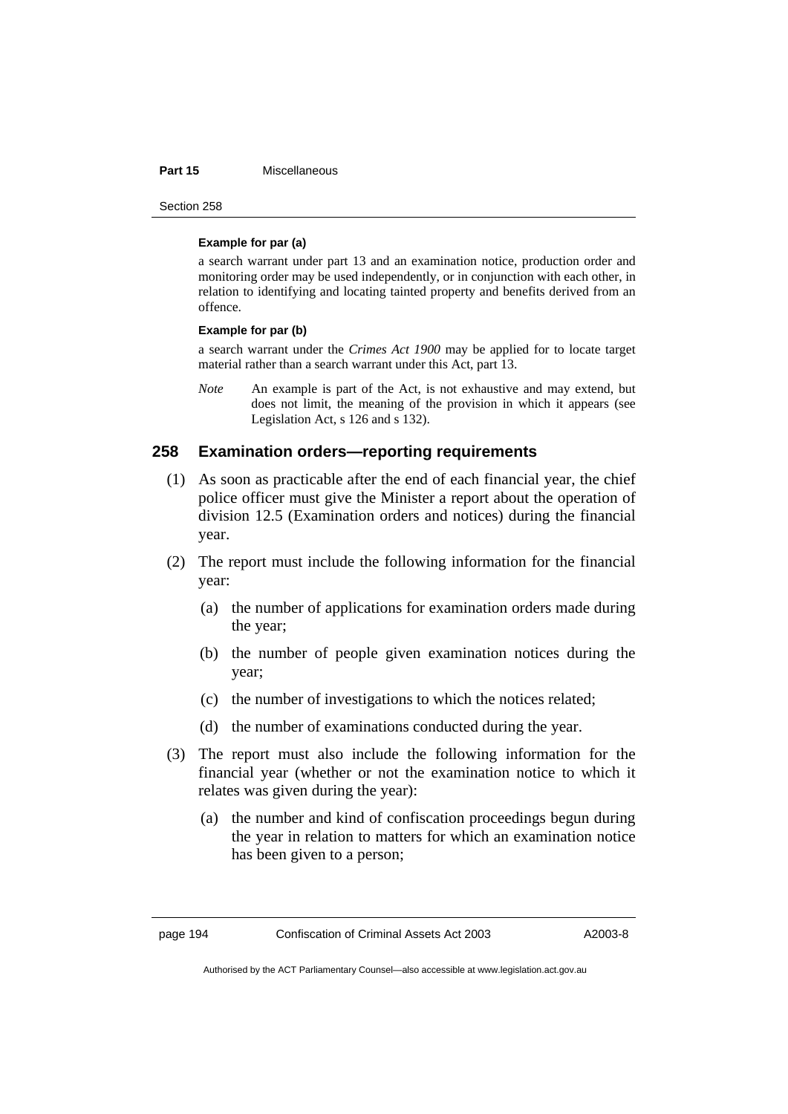#### Part 15 **Miscellaneous**

Section 258

#### **Example for par (a)**

a search warrant under part 13 and an examination notice, production order and monitoring order may be used independently, or in conjunction with each other, in relation to identifying and locating tainted property and benefits derived from an offence.

#### **Example for par (b)**

a search warrant under the *Crimes Act 1900* may be applied for to locate target material rather than a search warrant under this Act, part 13.

*Note* An example is part of the Act, is not exhaustive and may extend, but does not limit, the meaning of the provision in which it appears (see Legislation Act, s 126 and s 132).

## **258 Examination orders—reporting requirements**

- (1) As soon as practicable after the end of each financial year, the chief police officer must give the Minister a report about the operation of division 12.5 (Examination orders and notices) during the financial year.
- (2) The report must include the following information for the financial year:
	- (a) the number of applications for examination orders made during the year;
	- (b) the number of people given examination notices during the year;
	- (c) the number of investigations to which the notices related;
	- (d) the number of examinations conducted during the year.
- (3) The report must also include the following information for the financial year (whether or not the examination notice to which it relates was given during the year):
	- (a) the number and kind of confiscation proceedings begun during the year in relation to matters for which an examination notice has been given to a person;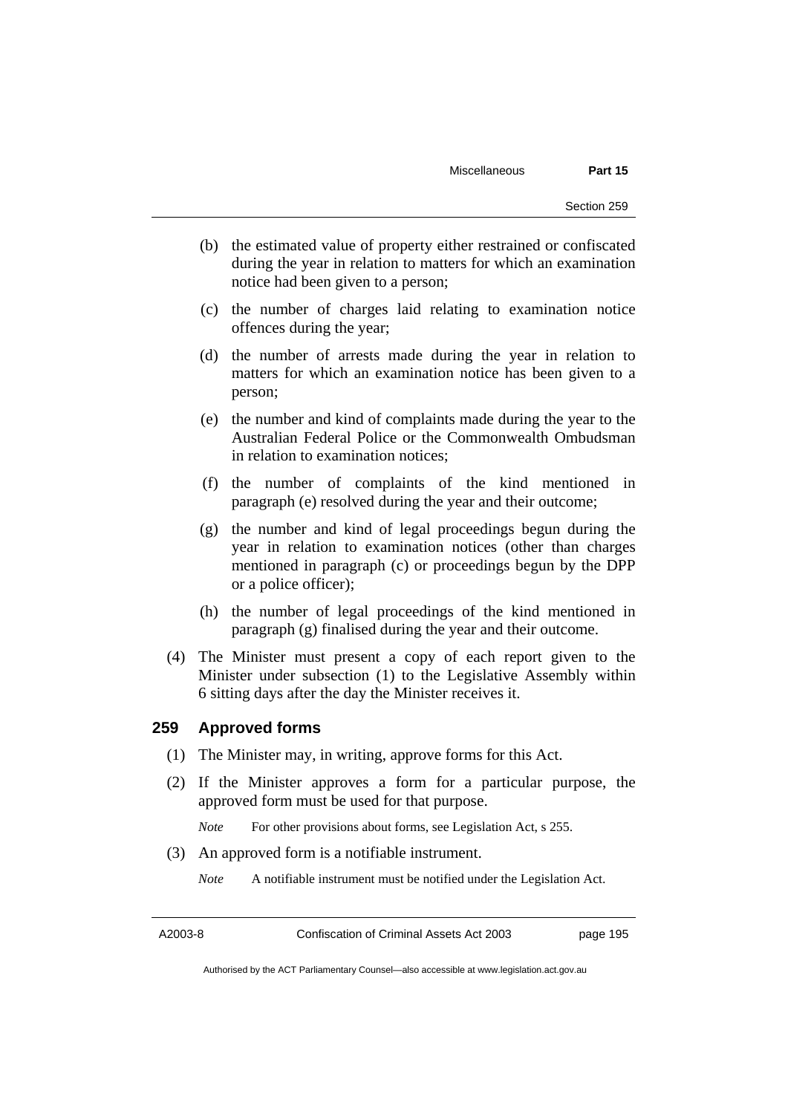- (b) the estimated value of property either restrained or confiscated during the year in relation to matters for which an examination notice had been given to a person;
- (c) the number of charges laid relating to examination notice offences during the year;
- (d) the number of arrests made during the year in relation to matters for which an examination notice has been given to a person;
- (e) the number and kind of complaints made during the year to the Australian Federal Police or the Commonwealth Ombudsman in relation to examination notices;
- (f) the number of complaints of the kind mentioned in paragraph (e) resolved during the year and their outcome;
- (g) the number and kind of legal proceedings begun during the year in relation to examination notices (other than charges mentioned in paragraph (c) or proceedings begun by the DPP or a police officer);
- (h) the number of legal proceedings of the kind mentioned in paragraph (g) finalised during the year and their outcome.
- (4) The Minister must present a copy of each report given to the Minister under subsection (1) to the Legislative Assembly within 6 sitting days after the day the Minister receives it.

### **259 Approved forms**

- (1) The Minister may, in writing, approve forms for this Act.
- (2) If the Minister approves a form for a particular purpose, the approved form must be used for that purpose.

*Note* For other provisions about forms, see Legislation Act, s 255.

- (3) An approved form is a notifiable instrument.
	- *Note* A notifiable instrument must be notified under the Legislation Act.

A2003-8 Confiscation of Criminal Assets Act 2003 page 195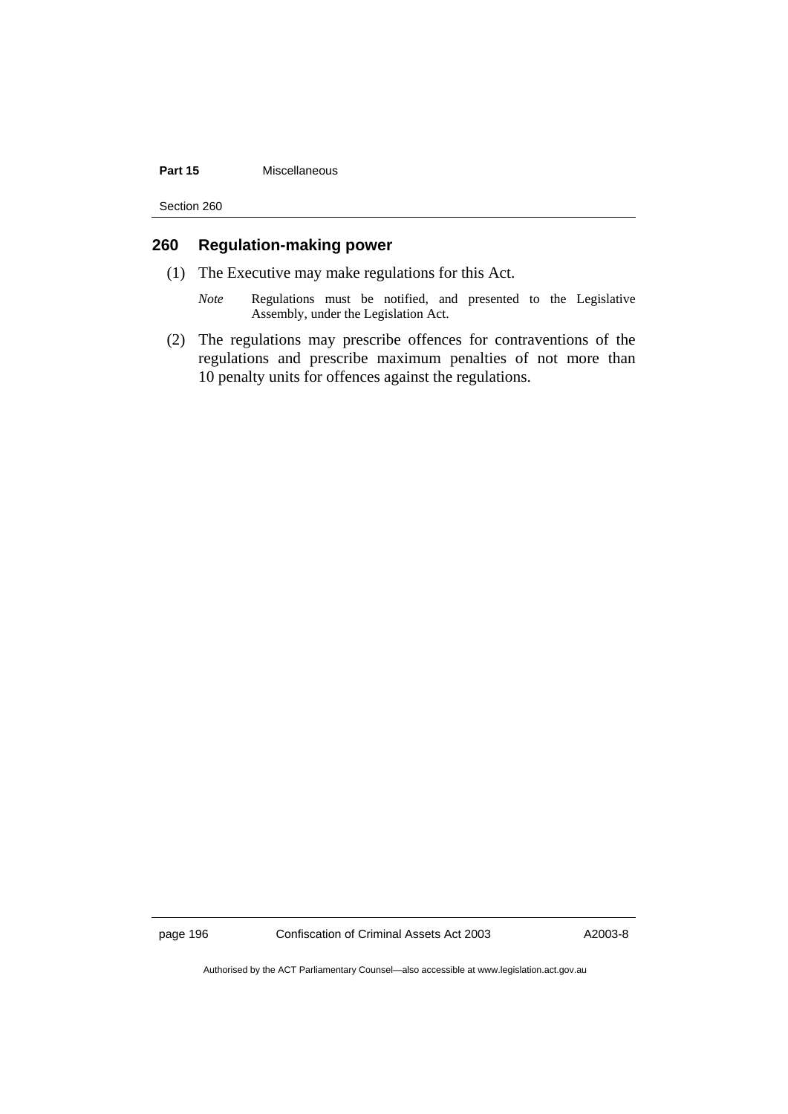#### **Part 15** Miscellaneous

Section 260

## **260 Regulation-making power**

- (1) The Executive may make regulations for this Act.
	- *Note* Regulations must be notified, and presented to the Legislative Assembly, under the Legislation Act.
- (2) The regulations may prescribe offences for contraventions of the regulations and prescribe maximum penalties of not more than 10 penalty units for offences against the regulations.

page 196 Confiscation of Criminal Assets Act 2003 A2003-8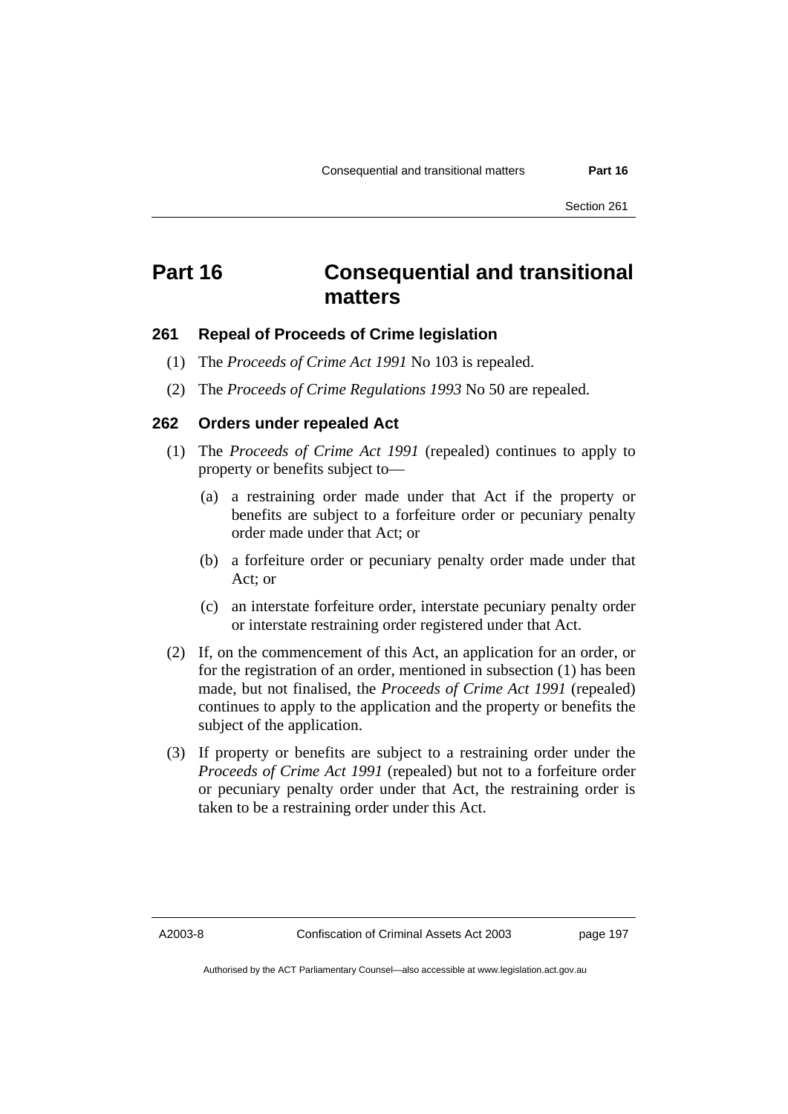# **Part 16 Consequential and transitional matters**

## **261 Repeal of Proceeds of Crime legislation**

- (1) The *Proceeds of Crime Act 1991* No 103 is repealed.
- (2) The *Proceeds of Crime Regulations 1993* No 50 are repealed.

#### **262 Orders under repealed Act**

- (1) The *Proceeds of Crime Act 1991* (repealed) continues to apply to property or benefits subject to—
	- (a) a restraining order made under that Act if the property or benefits are subject to a forfeiture order or pecuniary penalty order made under that Act; or
	- (b) a forfeiture order or pecuniary penalty order made under that Act; or
	- (c) an interstate forfeiture order, interstate pecuniary penalty order or interstate restraining order registered under that Act.
- (2) If, on the commencement of this Act, an application for an order, or for the registration of an order, mentioned in subsection (1) has been made, but not finalised, the *Proceeds of Crime Act 1991* (repealed) continues to apply to the application and the property or benefits the subject of the application.
- (3) If property or benefits are subject to a restraining order under the *Proceeds of Crime Act 1991* (repealed) but not to a forfeiture order or pecuniary penalty order under that Act, the restraining order is taken to be a restraining order under this Act.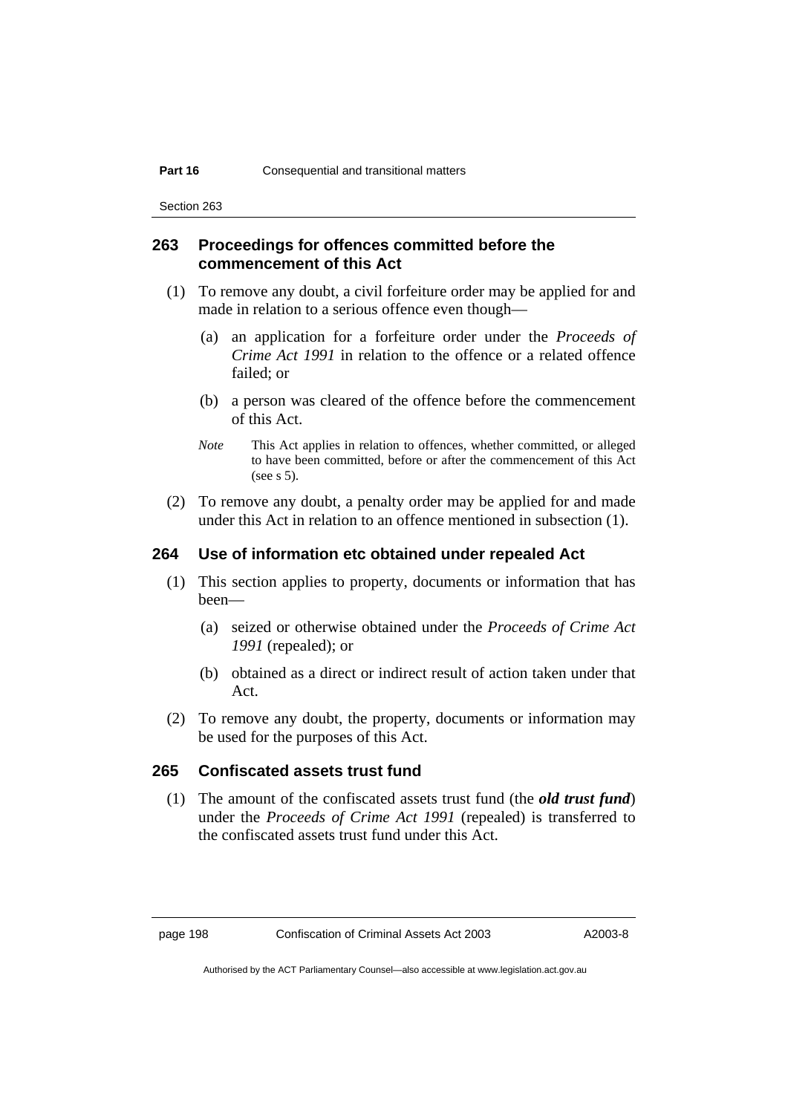Section 263

## **263 Proceedings for offences committed before the commencement of this Act**

- (1) To remove any doubt, a civil forfeiture order may be applied for and made in relation to a serious offence even though—
	- (a) an application for a forfeiture order under the *Proceeds of Crime Act 1991* in relation to the offence or a related offence failed; or
	- (b) a person was cleared of the offence before the commencement of this Act.
	- *Note* This Act applies in relation to offences, whether committed, or alleged to have been committed, before or after the commencement of this Act (see s 5).
- (2) To remove any doubt, a penalty order may be applied for and made under this Act in relation to an offence mentioned in subsection (1).

## **264 Use of information etc obtained under repealed Act**

- (1) This section applies to property, documents or information that has been—
	- (a) seized or otherwise obtained under the *Proceeds of Crime Act 1991* (repealed); or
	- (b) obtained as a direct or indirect result of action taken under that Act.
- (2) To remove any doubt, the property, documents or information may be used for the purposes of this Act.

## **265 Confiscated assets trust fund**

 (1) The amount of the confiscated assets trust fund (the *old trust fund*) under the *Proceeds of Crime Act 1991* (repealed) is transferred to the confiscated assets trust fund under this Act.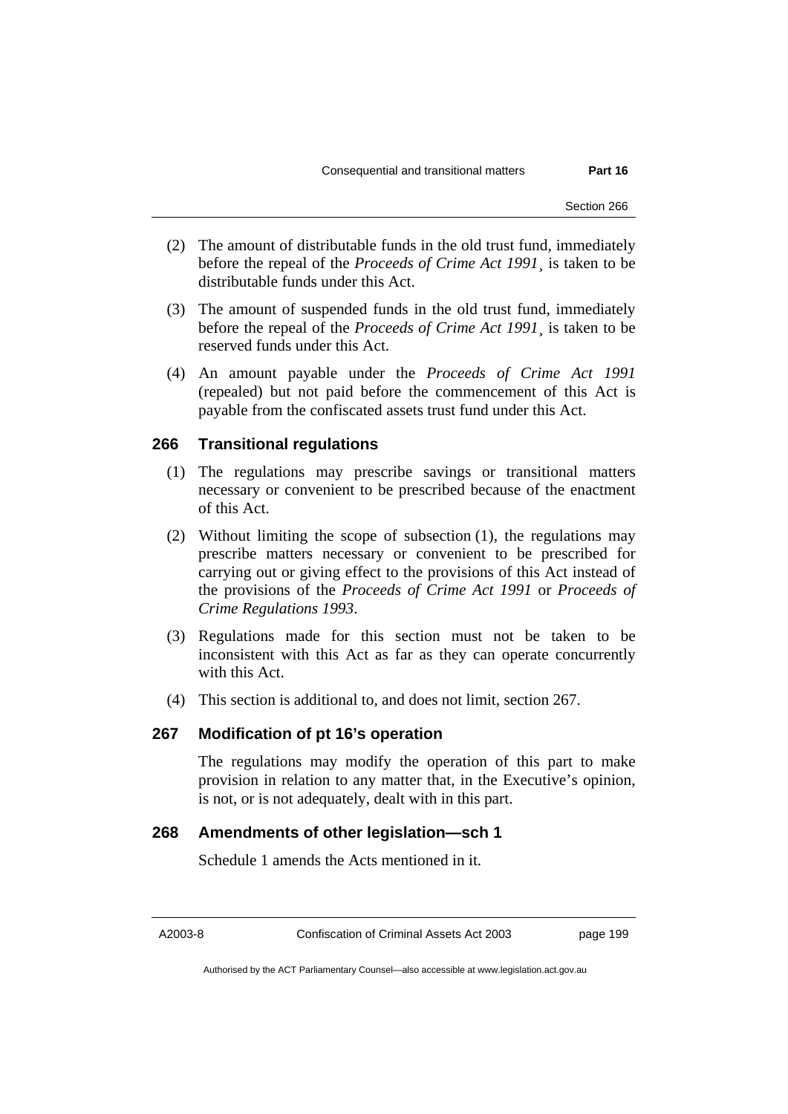- (2) The amount of distributable funds in the old trust fund, immediately before the repeal of the *Proceeds of Crime Act 1991*¸ is taken to be distributable funds under this Act.
- (3) The amount of suspended funds in the old trust fund, immediately before the repeal of the *Proceeds of Crime Act 1991*¸ is taken to be reserved funds under this Act.
- (4) An amount payable under the *Proceeds of Crime Act 1991* (repealed) but not paid before the commencement of this Act is payable from the confiscated assets trust fund under this Act.

## **266 Transitional regulations**

- (1) The regulations may prescribe savings or transitional matters necessary or convenient to be prescribed because of the enactment of this Act.
- (2) Without limiting the scope of subsection (1), the regulations may prescribe matters necessary or convenient to be prescribed for carrying out or giving effect to the provisions of this Act instead of the provisions of the *Proceeds of Crime Act 1991* or *Proceeds of Crime Regulations 1993*.
- (3) Regulations made for this section must not be taken to be inconsistent with this Act as far as they can operate concurrently with this Act.
- (4) This section is additional to, and does not limit, section 267.

### **267 Modification of pt 16's operation**

The regulations may modify the operation of this part to make provision in relation to any matter that, in the Executive's opinion, is not, or is not adequately, dealt with in this part.

## **268 Amendments of other legislation—sch 1**

Schedule 1 amends the Acts mentioned in it.

A2003-8 Confiscation of Criminal Assets Act 2003 page 199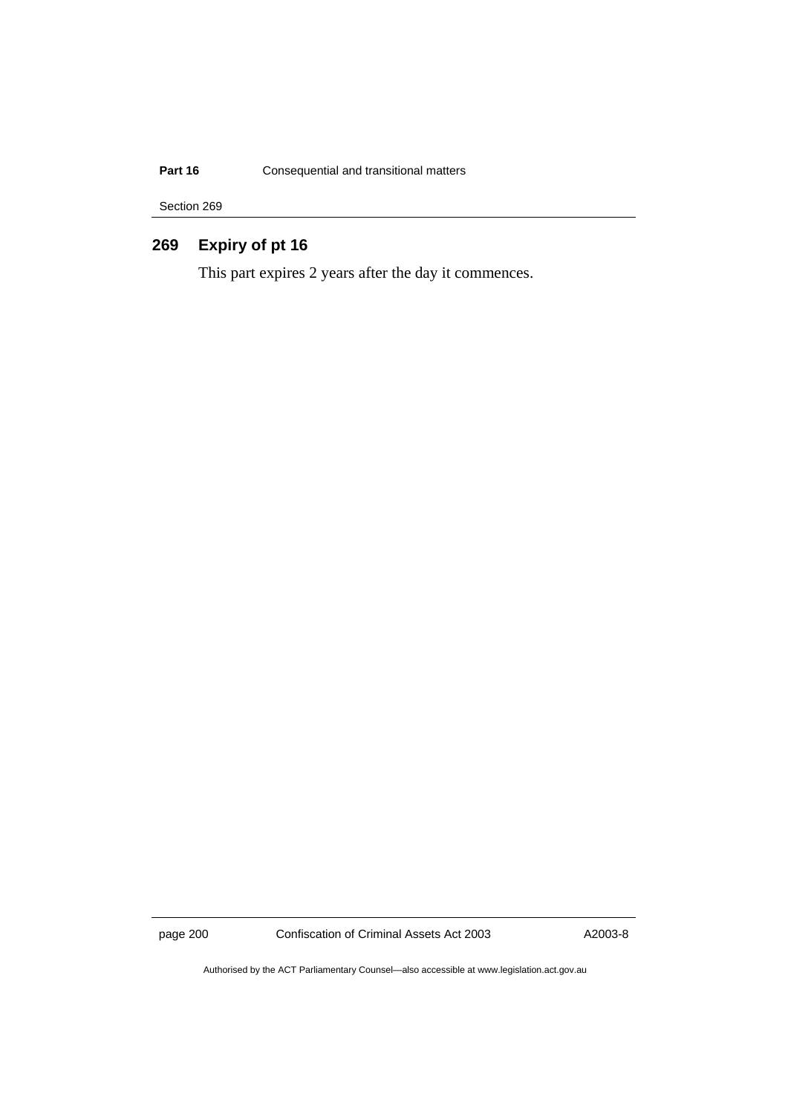## **Part 16 Consequential and transitional matters**

Section 269

## **269 Expiry of pt 16**

This part expires 2 years after the day it commences.

page 200 Confiscation of Criminal Assets Act 2003 A2003-8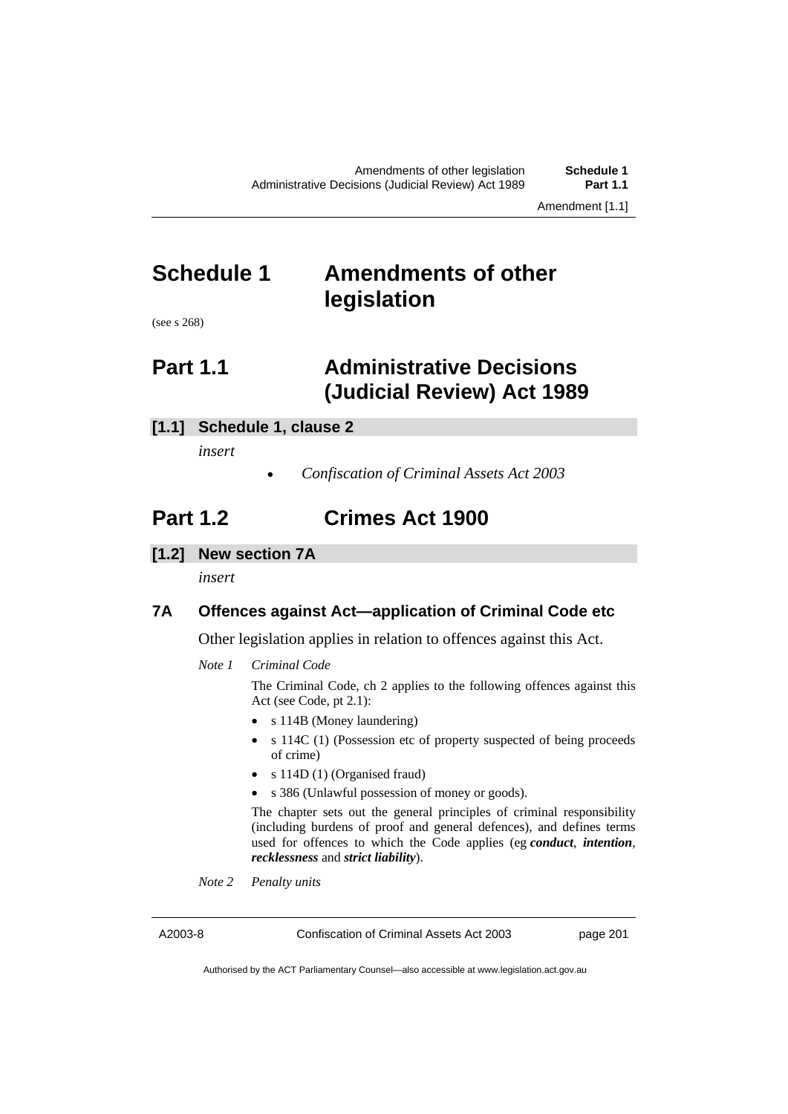Amendment [1.1]

# **Schedule 1 Amendments of other legislation**

(see s 268)

# **Part 1.1 Administrative Decisions (Judicial Review) Act 1989**

## **[1.1] Schedule 1, clause 2**

*insert* 

*Confiscation of Criminal Assets Act 2003* 

# **Part 1.2 Crimes Act 1900**

**[1.2] New section 7A** 

*insert* 

## **7A Offences against Act—application of Criminal Code etc**

Other legislation applies in relation to offences against this Act.

*Note 1 Criminal Code*

The Criminal Code, ch 2 applies to the following offences against this Act (see Code, pt 2.1):

- s 114B (Money laundering)
- s 114C (1) (Possession etc of property suspected of being proceeds of crime)
- s 114D (1) (Organised fraud)
- s 386 (Unlawful possession of money or goods).

The chapter sets out the general principles of criminal responsibility (including burdens of proof and general defences), and defines terms used for offences to which the Code applies (eg *conduct*, *intention*, *recklessness* and *strict liability*).

*Note 2 Penalty units* 

A2003-8 Confiscation of Criminal Assets Act 2003 page 201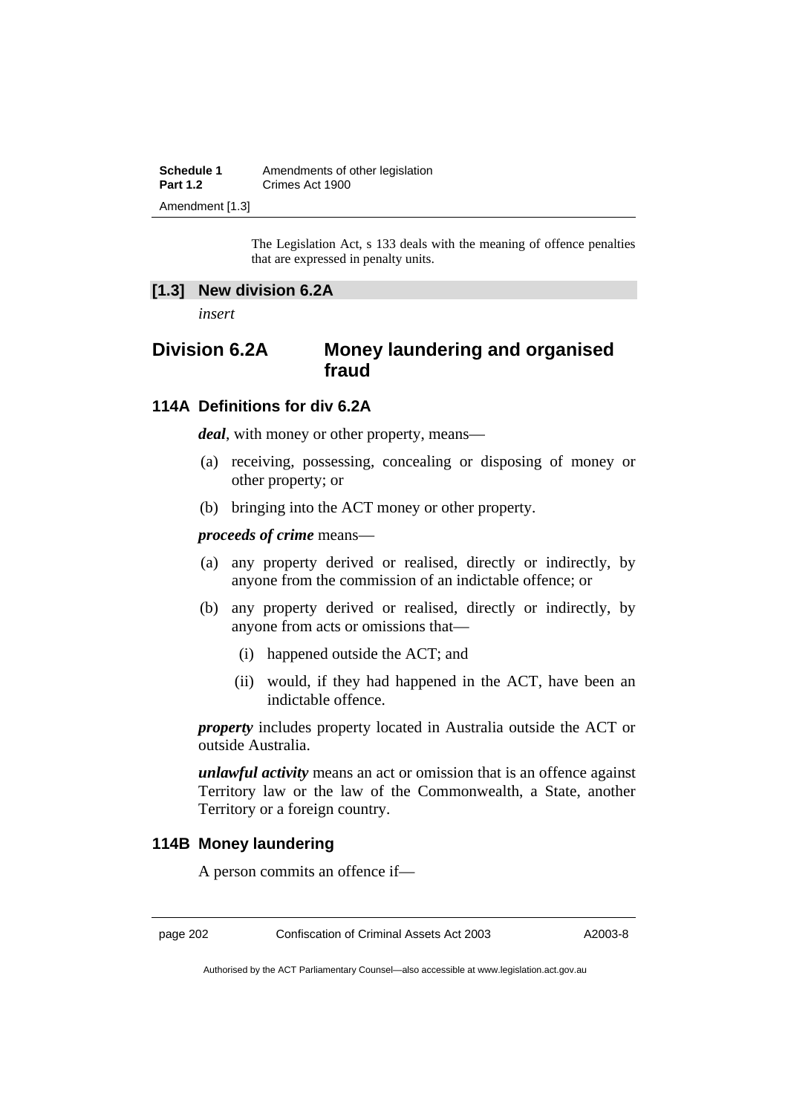| <b>Schedule 1</b> | Amendments of other legislation |
|-------------------|---------------------------------|
| <b>Part 1.2</b>   | Crimes Act 1900                 |
| Amendment [1.3]   |                                 |

The Legislation Act, s 133 deals with the meaning of offence penalties that are expressed in penalty units.

### **[1.3] New division 6.2A**

*insert* 

## **Division 6.2A Money laundering and organised fraud**

## **114A Definitions for div 6.2A**

*deal*, with money or other property, means—

- (a) receiving, possessing, concealing or disposing of money or other property; or
- (b) bringing into the ACT money or other property.

*proceeds of crime* means—

- (a) any property derived or realised, directly or indirectly, by anyone from the commission of an indictable offence; or
- (b) any property derived or realised, directly or indirectly, by anyone from acts or omissions that—
	- (i) happened outside the ACT; and
	- (ii) would, if they had happened in the ACT, have been an indictable offence.

*property* includes property located in Australia outside the ACT or outside Australia.

*unlawful activity* means an act or omission that is an offence against Territory law or the law of the Commonwealth, a State, another Territory or a foreign country.

### **114B Money laundering**

A person commits an offence if—

page 202 Confiscation of Criminal Assets Act 2003 A2003-8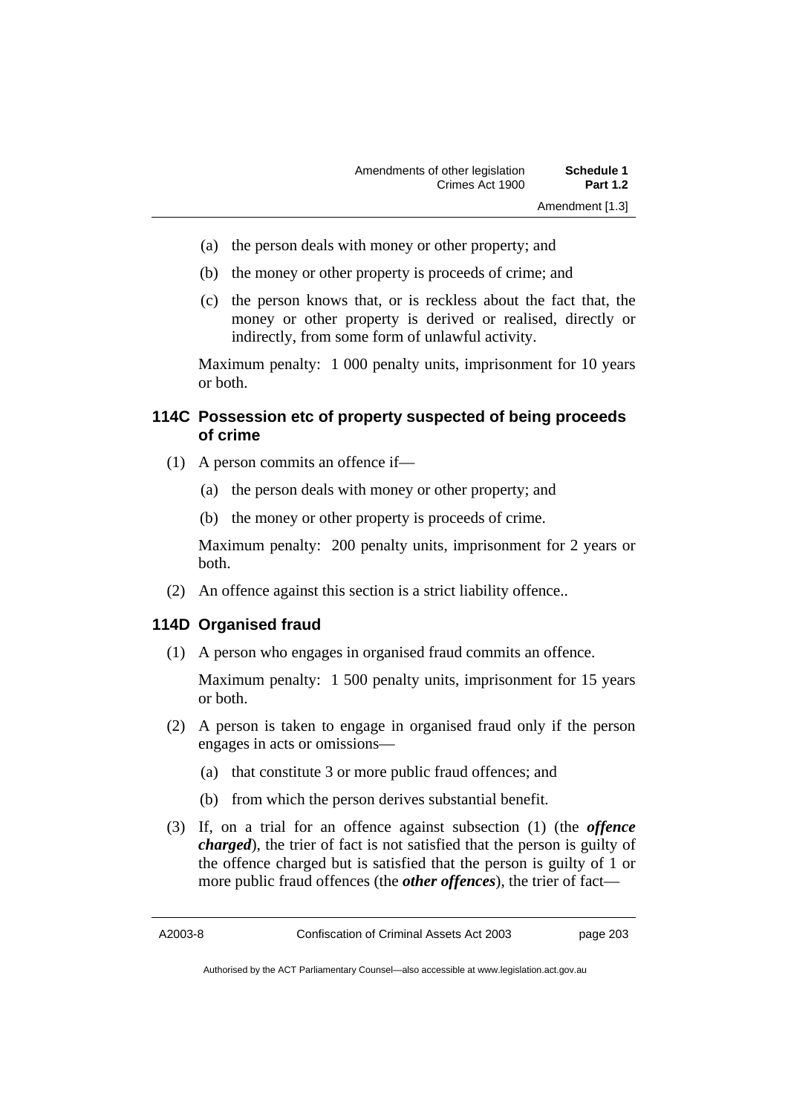- (a) the person deals with money or other property; and
- (b) the money or other property is proceeds of crime; and
- (c) the person knows that, or is reckless about the fact that, the money or other property is derived or realised, directly or indirectly, from some form of unlawful activity.

Maximum penalty: 1 000 penalty units, imprisonment for 10 years or both.

## **114C Possession etc of property suspected of being proceeds of crime**

- (1) A person commits an offence if—
	- (a) the person deals with money or other property; and
	- (b) the money or other property is proceeds of crime.

Maximum penalty: 200 penalty units, imprisonment for 2 years or both.

(2) An offence against this section is a strict liability offence..

### **114D Organised fraud**

(1) A person who engages in organised fraud commits an offence.

Maximum penalty: 1 500 penalty units, imprisonment for 15 years or both.

- (2) A person is taken to engage in organised fraud only if the person engages in acts or omissions—
	- (a) that constitute 3 or more public fraud offences; and
	- (b) from which the person derives substantial benefit.
- (3) If, on a trial for an offence against subsection (1) (the *offence charged*), the trier of fact is not satisfied that the person is guilty of the offence charged but is satisfied that the person is guilty of 1 or more public fraud offences (the *other offences*), the trier of fact—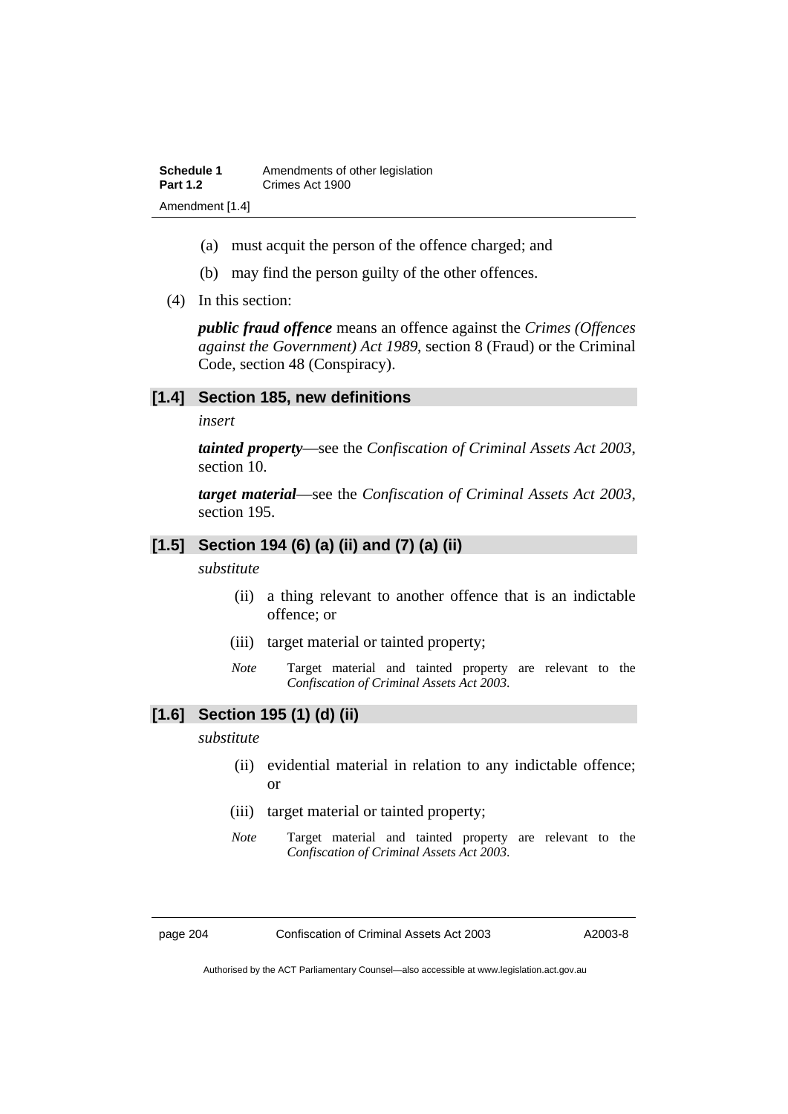- (a) must acquit the person of the offence charged; and
- (b) may find the person guilty of the other offences.
- (4) In this section:

*public fraud offence* means an offence against the *Crimes (Offences against the Government) Act 1989*, section 8 (Fraud) or the Criminal Code, section 48 (Conspiracy).

#### **[1.4] Section 185, new definitions**

*insert* 

*tainted property*—see the *Confiscation of Criminal Assets Act 2003*, section 10.

*target material*—see the *Confiscation of Criminal Assets Act 2003*, section 195.

## **[1.5] Section 194 (6) (a) (ii) and (7) (a) (ii)**

#### *substitute*

- (ii) a thing relevant to another offence that is an indictable offence; or
- (iii) target material or tainted property;
- *Note* Target material and tainted property are relevant to the *Confiscation of Criminal Assets Act 2003*.

## **[1.6] Section 195 (1) (d) (ii)**

*substitute* 

- (ii) evidential material in relation to any indictable offence; or
- (iii) target material or tainted property;
- *Note* Target material and tainted property are relevant to the *Confiscation of Criminal Assets Act 2003*.

page 204 Confiscation of Criminal Assets Act 2003 A2003-8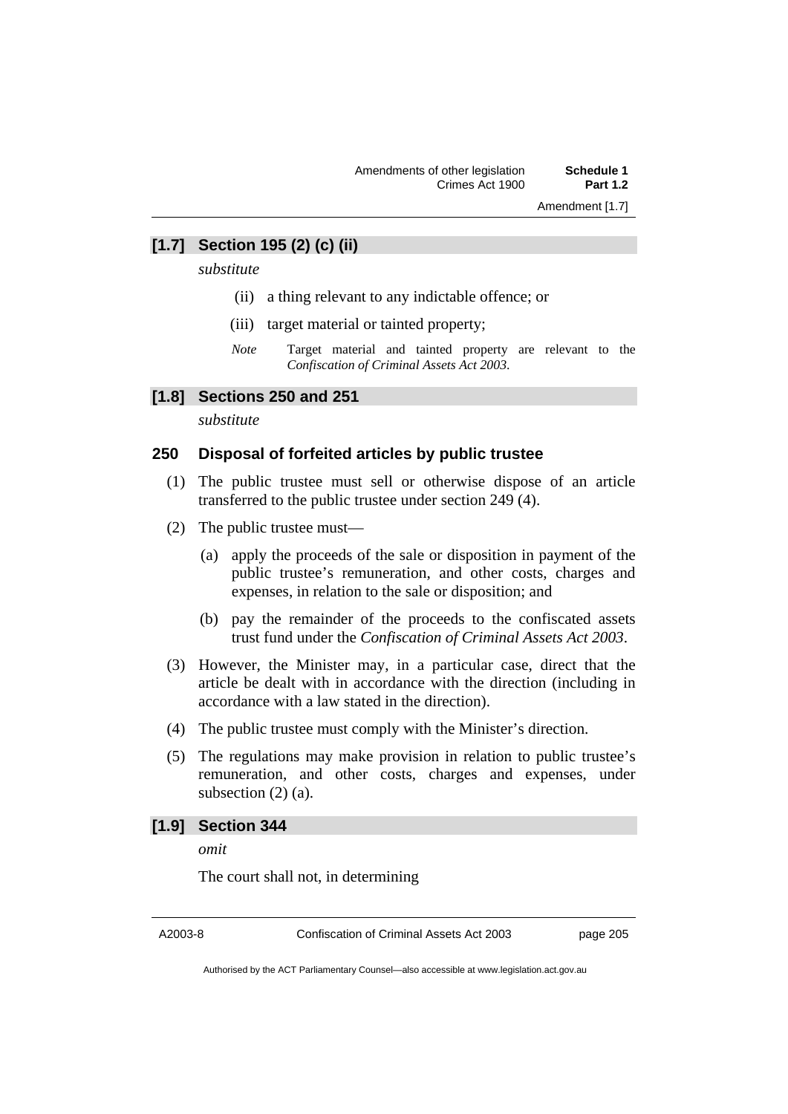Amendment [1.7]

## **[1.7] Section 195 (2) (c) (ii)**

*substitute* 

- (ii) a thing relevant to any indictable offence; or
- (iii) target material or tainted property;
- *Note* Target material and tainted property are relevant to the *Confiscation of Criminal Assets Act 2003*.

#### **[1.8] Sections 250 and 251**

*substitute* 

#### **250 Disposal of forfeited articles by public trustee**

- (1) The public trustee must sell or otherwise dispose of an article transferred to the public trustee under section 249 (4).
- (2) The public trustee must—
	- (a) apply the proceeds of the sale or disposition in payment of the public trustee's remuneration, and other costs, charges and expenses, in relation to the sale or disposition; and
	- (b) pay the remainder of the proceeds to the confiscated assets trust fund under the *Confiscation of Criminal Assets Act 2003*.
- (3) However, the Minister may, in a particular case, direct that the article be dealt with in accordance with the direction (including in accordance with a law stated in the direction).
- (4) The public trustee must comply with the Minister's direction.
- (5) The regulations may make provision in relation to public trustee's remuneration, and other costs, charges and expenses, under subsection (2) (a).

## **[1.9] Section 344**

*omit* 

The court shall not, in determining

A2003-8 Confiscation of Criminal Assets Act 2003 page 205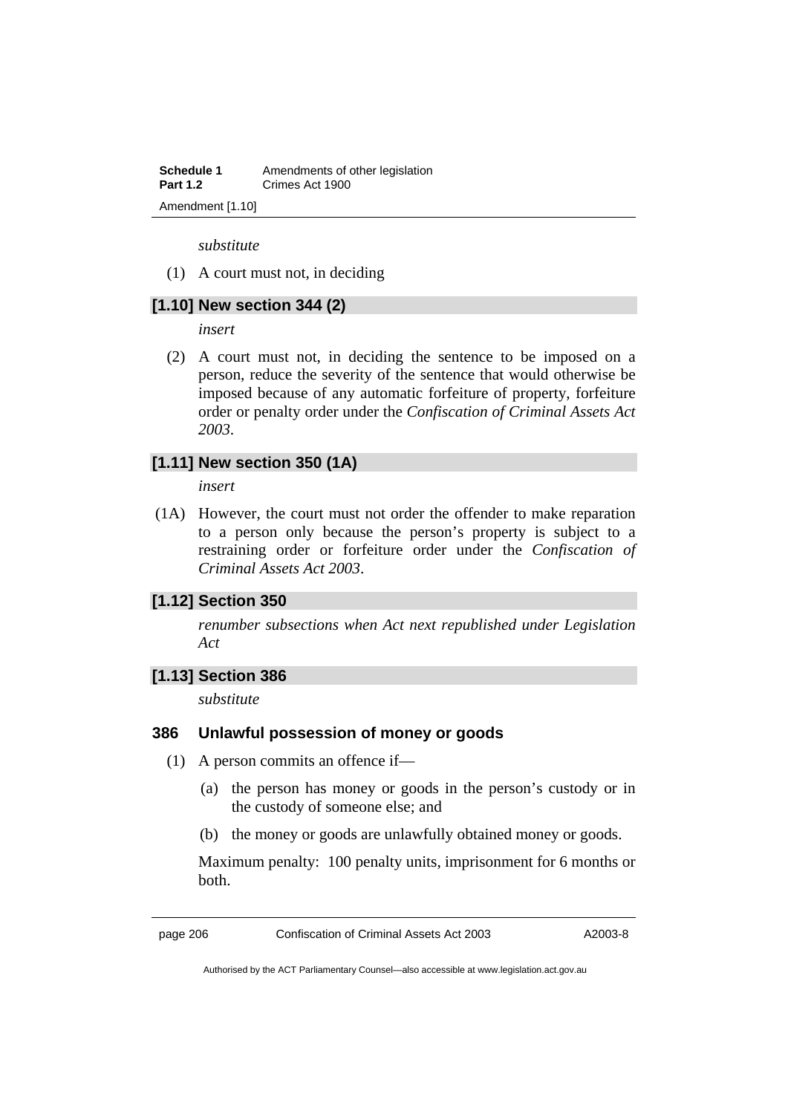**Schedule 1** Amendments of other legislation **Part 1.2 Crimes Act 1900** Amendment [1.10]

*substitute* 

(1) A court must not, in deciding

## **[1.10] New section 344 (2)**

*insert* 

 (2) A court must not, in deciding the sentence to be imposed on a person, reduce the severity of the sentence that would otherwise be imposed because of any automatic forfeiture of property, forfeiture order or penalty order under the *Confiscation of Criminal Assets Act 2003*.

### **[1.11] New section 350 (1A)**

*insert* 

 (1A) However, the court must not order the offender to make reparation to a person only because the person's property is subject to a restraining order or forfeiture order under the *Confiscation of Criminal Assets Act 2003*.

### **[1.12] Section 350**

*renumber subsections when Act next republished under Legislation Act* 

## **[1.13] Section 386**

*substitute* 

#### **386 Unlawful possession of money or goods**

- (1) A person commits an offence if—
	- (a) the person has money or goods in the person's custody or in the custody of someone else; and
	- (b) the money or goods are unlawfully obtained money or goods.

Maximum penalty: 100 penalty units, imprisonment for 6 months or both.

page 206 Confiscation of Criminal Assets Act 2003 A2003-8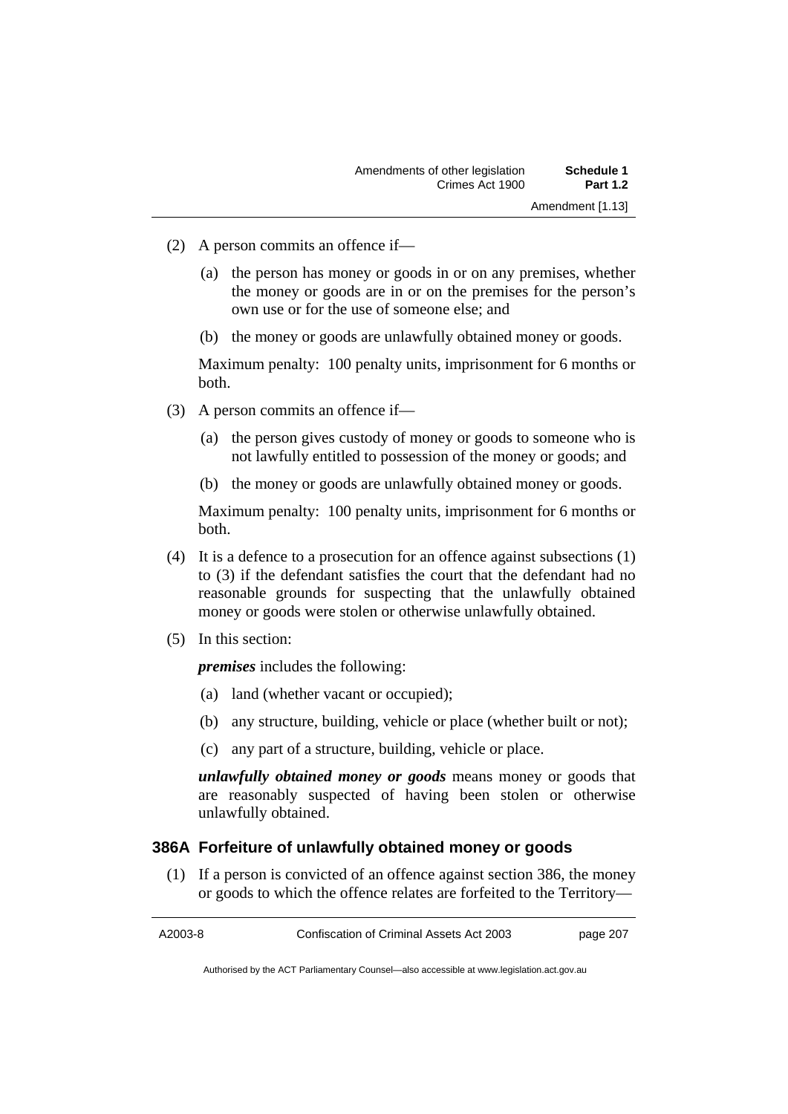- (2) A person commits an offence if—
	- (a) the person has money or goods in or on any premises, whether the money or goods are in or on the premises for the person's own use or for the use of someone else; and
	- (b) the money or goods are unlawfully obtained money or goods.

Maximum penalty: 100 penalty units, imprisonment for 6 months or both.

- (3) A person commits an offence if—
	- (a) the person gives custody of money or goods to someone who is not lawfully entitled to possession of the money or goods; and
	- (b) the money or goods are unlawfully obtained money or goods.

Maximum penalty: 100 penalty units, imprisonment for 6 months or both.

- (4) It is a defence to a prosecution for an offence against subsections (1) to (3) if the defendant satisfies the court that the defendant had no reasonable grounds for suspecting that the unlawfully obtained money or goods were stolen or otherwise unlawfully obtained.
- (5) In this section:

*premises* includes the following:

- (a) land (whether vacant or occupied);
- (b) any structure, building, vehicle or place (whether built or not);
- (c) any part of a structure, building, vehicle or place.

*unlawfully obtained money or goods* means money or goods that are reasonably suspected of having been stolen or otherwise unlawfully obtained.

### **386A Forfeiture of unlawfully obtained money or goods**

 (1) If a person is convicted of an offence against section 386, the money or goods to which the offence relates are forfeited to the Territory—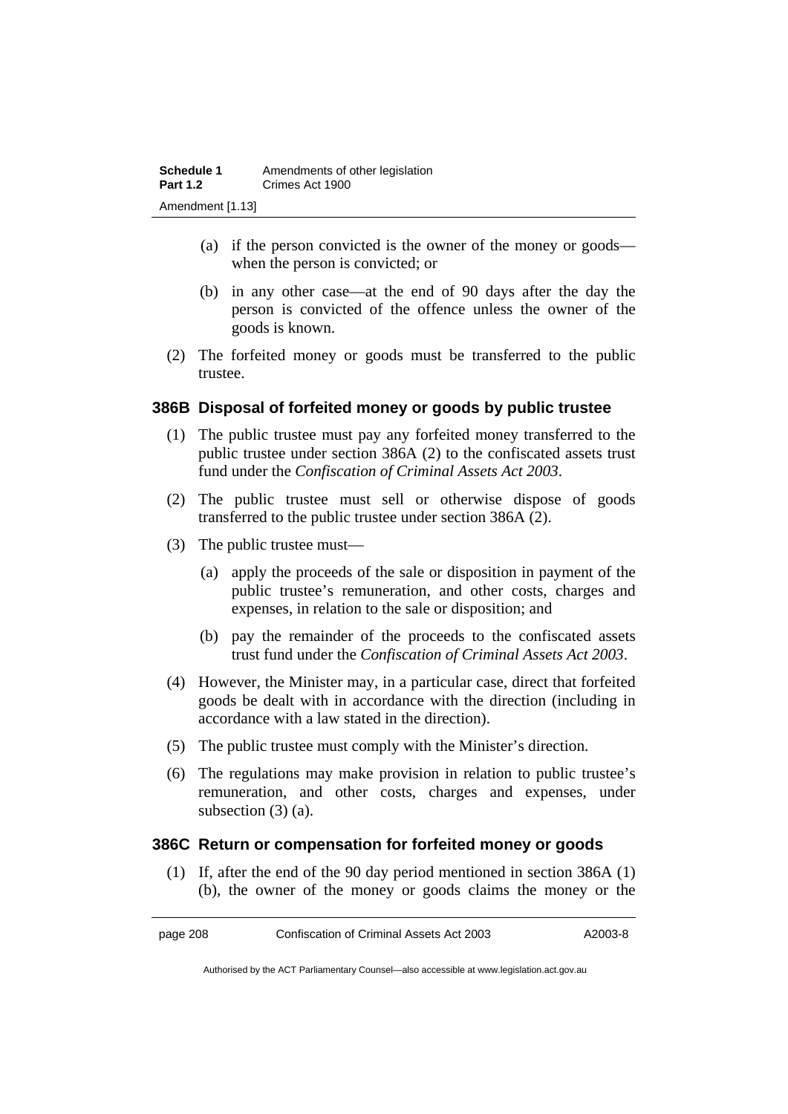- (a) if the person convicted is the owner of the money or goods when the person is convicted; or
- (b) in any other case—at the end of 90 days after the day the person is convicted of the offence unless the owner of the goods is known.
- (2) The forfeited money or goods must be transferred to the public trustee.

## **386B Disposal of forfeited money or goods by public trustee**

- (1) The public trustee must pay any forfeited money transferred to the public trustee under section 386A (2) to the confiscated assets trust fund under the *Confiscation of Criminal Assets Act 2003*.
- (2) The public trustee must sell or otherwise dispose of goods transferred to the public trustee under section 386A (2).
- (3) The public trustee must—
	- (a) apply the proceeds of the sale or disposition in payment of the public trustee's remuneration, and other costs, charges and expenses, in relation to the sale or disposition; and
	- (b) pay the remainder of the proceeds to the confiscated assets trust fund under the *Confiscation of Criminal Assets Act 2003*.
- (4) However, the Minister may, in a particular case, direct that forfeited goods be dealt with in accordance with the direction (including in accordance with a law stated in the direction).
- (5) The public trustee must comply with the Minister's direction.
- (6) The regulations may make provision in relation to public trustee's remuneration, and other costs, charges and expenses, under subsection (3) (a).

### **386C Return or compensation for forfeited money or goods**

 (1) If, after the end of the 90 day period mentioned in section 386A (1) (b), the owner of the money or goods claims the money or the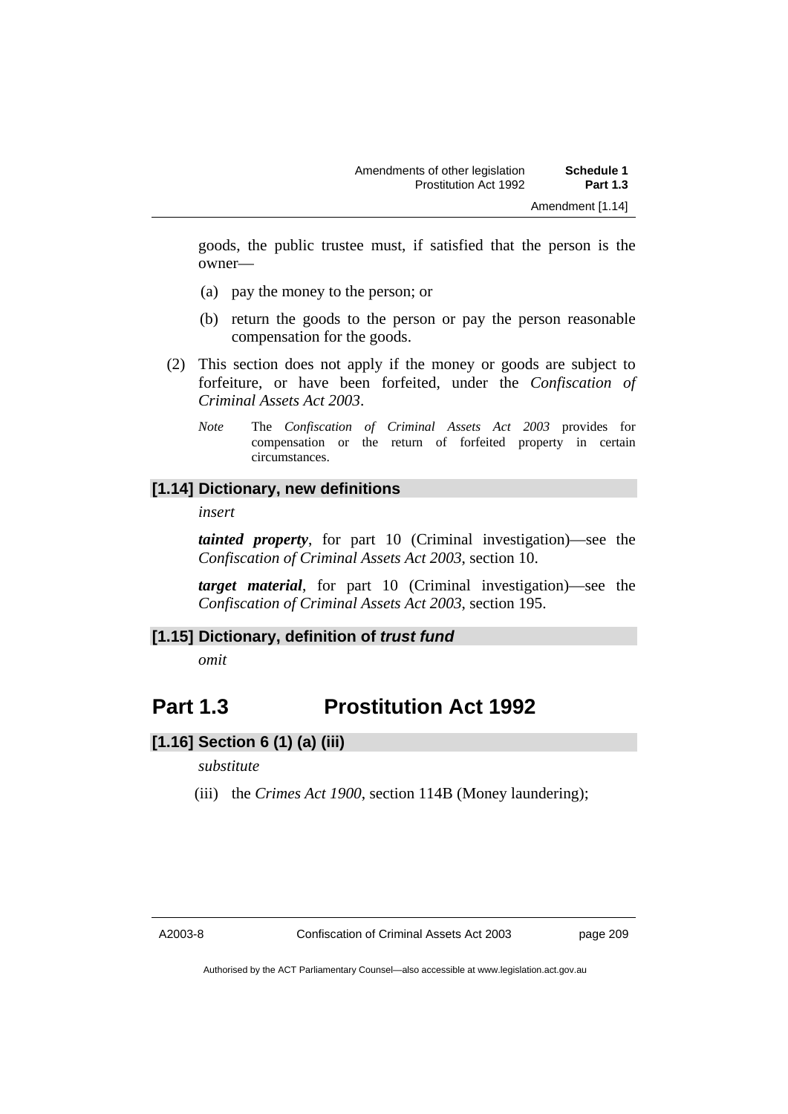goods, the public trustee must, if satisfied that the person is the owner—

- (a) pay the money to the person; or
- (b) return the goods to the person or pay the person reasonable compensation for the goods.
- (2) This section does not apply if the money or goods are subject to forfeiture, or have been forfeited, under the *Confiscation of Criminal Assets Act 2003*.
	- *Note* The *Confiscation of Criminal Assets Act 2003* provides for compensation or the return of forfeited property in certain circumstances.

## **[1.14] Dictionary, new definitions**

*insert* 

*tainted property*, for part 10 (Criminal investigation)—see the *Confiscation of Criminal Assets Act 2003*, section 10.

*target material*, for part 10 (Criminal investigation)—see the *Confiscation of Criminal Assets Act 2003*, section 195.

### **[1.15] Dictionary, definition of** *trust fund*

*omit* 

## **Part 1.3 Prostitution Act 1992**

### **[1.16] Section 6 (1) (a) (iii)**

#### *substitute*

(iii) the *Crimes Act 1900*, section 114B (Money laundering);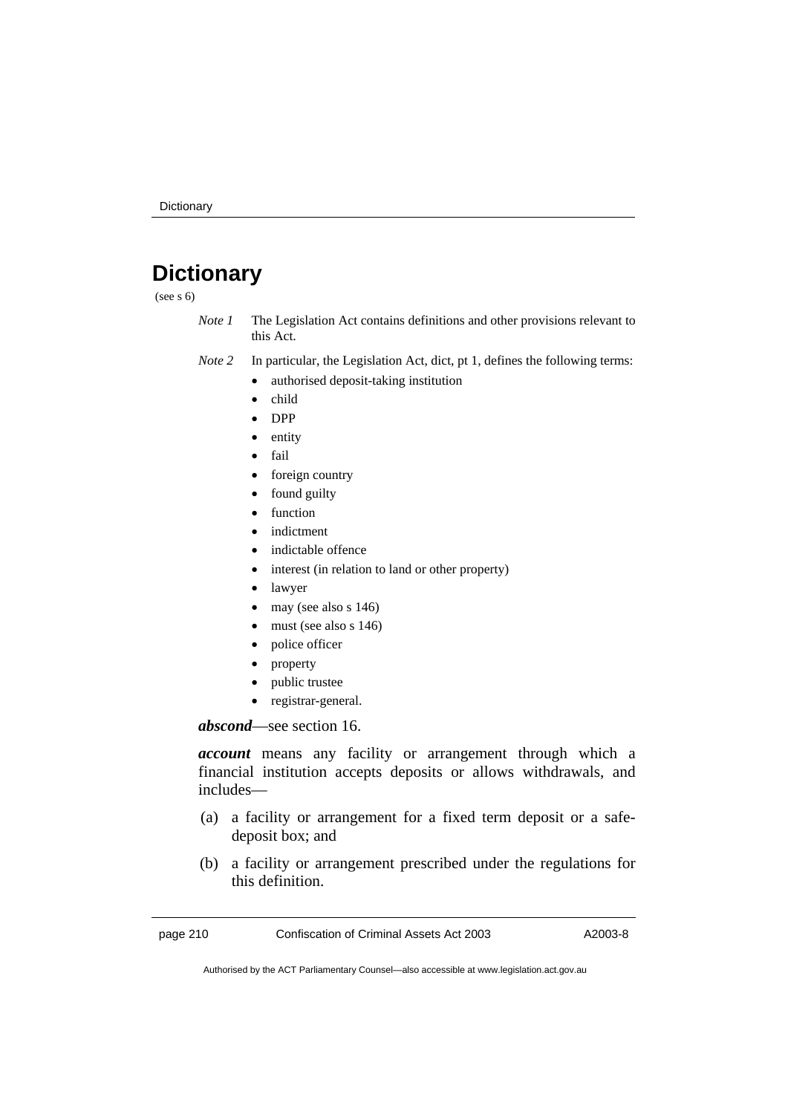# **Dictionary**

(see s 6)

- *Note 1* The Legislation Act contains definitions and other provisions relevant to this Act.
- *Note 2* In particular, the Legislation Act, dict, pt 1, defines the following terms:
	- authorised deposit-taking institution
	- child
	- DPP
	- entity
	- fail
	- foreign country
	- found guilty
	- function
	- indictment
	- indictable offence
	- interest (in relation to land or other property)
	- lawyer
	- $\bullet$  may (see also s 146)
	- $\bullet$  must (see also s 146)
	- police officer
	- property
	- public trustee
	- registrar-general.

*abscond*—see section 16.

*account* means any facility or arrangement through which a financial institution accepts deposits or allows withdrawals, and includes—

- (a) a facility or arrangement for a fixed term deposit or a safedeposit box; and
- (b) a facility or arrangement prescribed under the regulations for this definition.

page 210 Confiscation of Criminal Assets Act 2003 A2003-8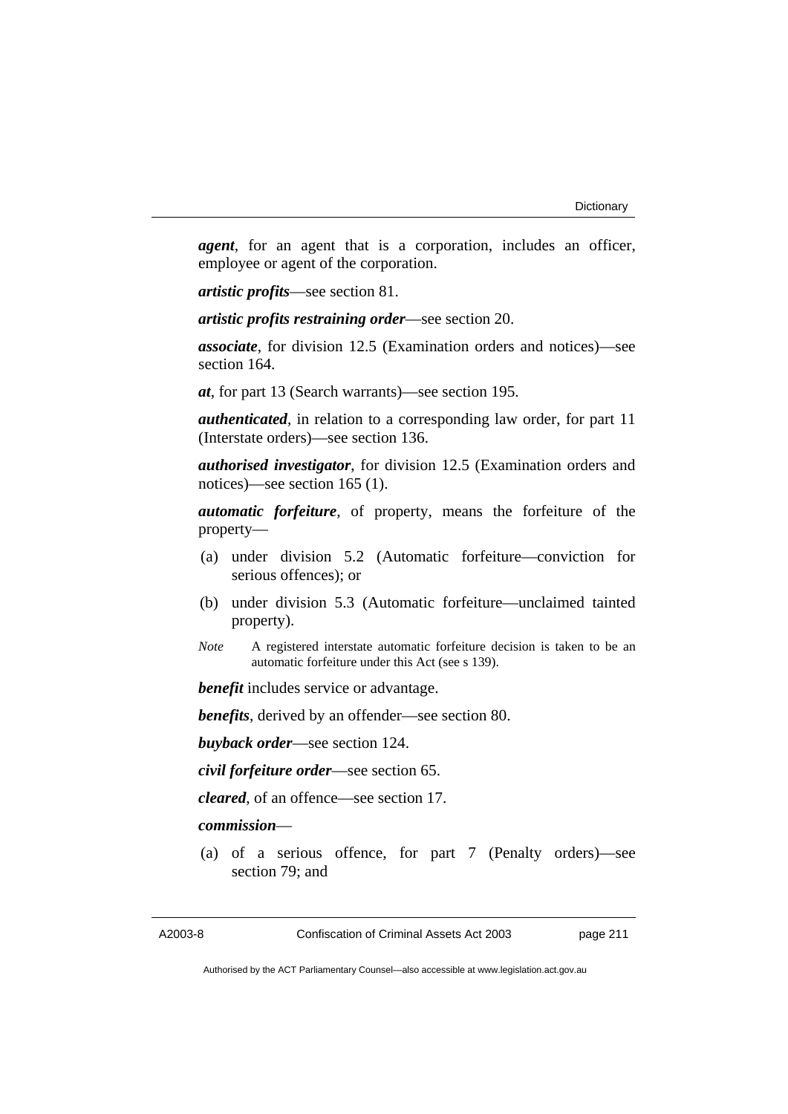*agent*, for an agent that is a corporation, includes an officer, employee or agent of the corporation.

*artistic profits*—see section 81.

*artistic profits restraining order*—see section 20.

*associate*, for division 12.5 (Examination orders and notices)—see section 164.

*at*, for part 13 (Search warrants)—see section 195.

*authenticated*, in relation to a corresponding law order, for part 11 (Interstate orders)—see section 136.

*authorised investigator*, for division 12.5 (Examination orders and notices)—see section 165 (1).

*automatic forfeiture*, of property, means the forfeiture of the property—

- (a) under division 5.2 (Automatic forfeiture—conviction for serious offences); or
- (b) under division 5.3 (Automatic forfeiture—unclaimed tainted property).
- *Note* A registered interstate automatic forfeiture decision is taken to be an automatic forfeiture under this Act (see s 139).

*benefit* includes service or advantage.

*benefits*, derived by an offender—see section 80.

*buyback order*—see section 124.

*civil forfeiture order*—see section 65.

*cleared*, of an offence—see section 17.

#### *commission*—

 (a) of a serious offence, for part 7 (Penalty orders)—see section 79; and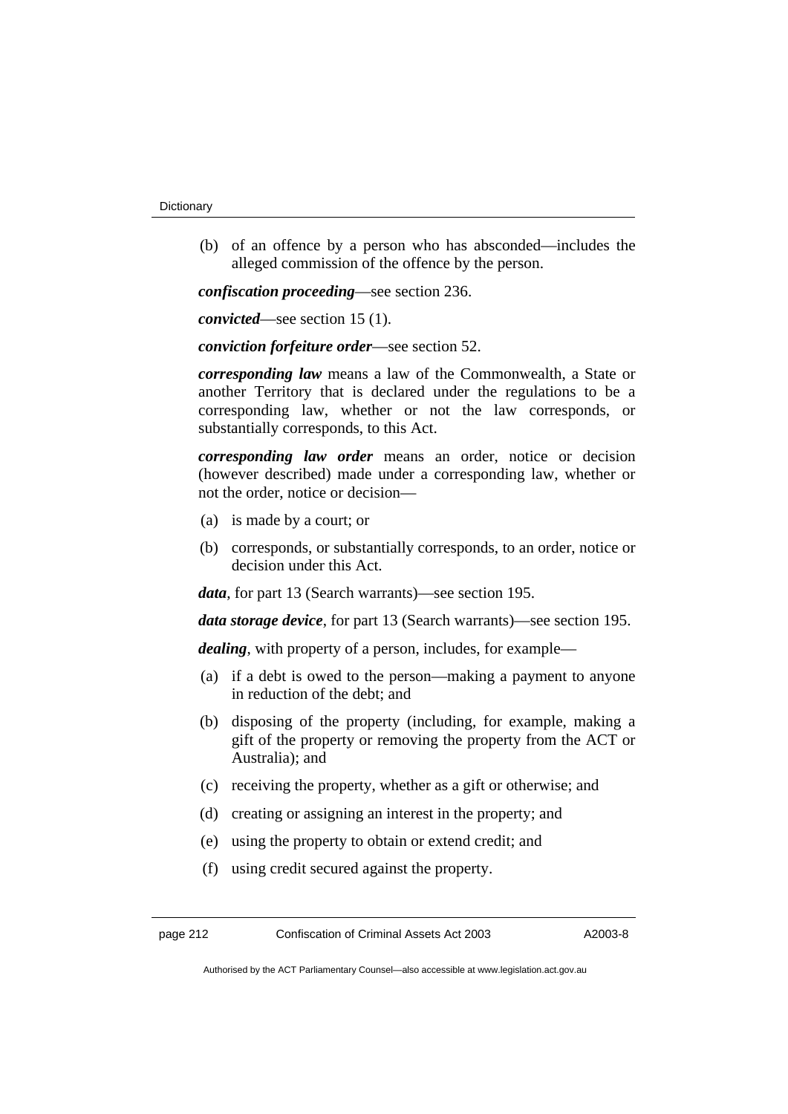(b) of an offence by a person who has absconded—includes the alleged commission of the offence by the person.

*confiscation proceeding*—see section 236.

*convicted*—see section 15 (1).

*conviction forfeiture order*—see section 52.

*corresponding law* means a law of the Commonwealth, a State or another Territory that is declared under the regulations to be a corresponding law, whether or not the law corresponds, or substantially corresponds, to this Act.

*corresponding law order* means an order, notice or decision (however described) made under a corresponding law, whether or not the order, notice or decision—

- (a) is made by a court; or
- (b) corresponds, or substantially corresponds, to an order, notice or decision under this Act.

*data*, for part 13 (Search warrants)—see section 195.

*data storage device*, for part 13 (Search warrants)—see section 195.

*dealing*, with property of a person, includes, for example—

- (a) if a debt is owed to the person—making a payment to anyone in reduction of the debt; and
- (b) disposing of the property (including, for example, making a gift of the property or removing the property from the ACT or Australia); and
- (c) receiving the property, whether as a gift or otherwise; and
- (d) creating or assigning an interest in the property; and
- (e) using the property to obtain or extend credit; and
- (f) using credit secured against the property.

page 212 Confiscation of Criminal Assets Act 2003 A2003-8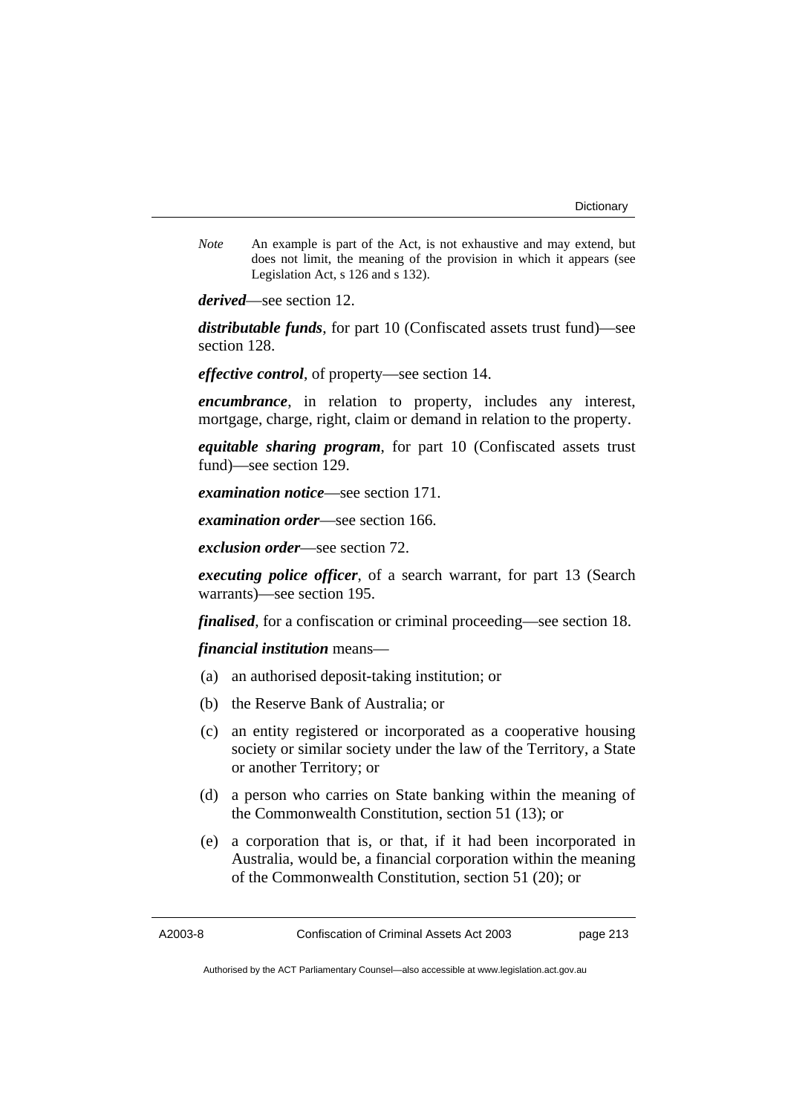*Note* An example is part of the Act, is not exhaustive and may extend, but does not limit, the meaning of the provision in which it appears (see Legislation Act, s 126 and s 132).

*derived*—see section 12.

*distributable funds*, for part 10 (Confiscated assets trust fund)—see section 128.

*effective control*, of property—see section 14.

*encumbrance*, in relation to property, includes any interest, mortgage, charge, right, claim or demand in relation to the property.

*equitable sharing program*, for part 10 (Confiscated assets trust fund)—see section 129.

*examination notice*—see section 171.

*examination order*—see section 166.

*exclusion order*—see section 72.

*executing police officer*, of a search warrant, for part 13 (Search warrants)—see section 195.

*finalised*, for a confiscation or criminal proceeding—see section 18.

*financial institution* means—

- (a) an authorised deposit-taking institution; or
- (b) the Reserve Bank of Australia; or
- (c) an entity registered or incorporated as a cooperative housing society or similar society under the law of the Territory, a State or another Territory; or
- (d) a person who carries on State banking within the meaning of the Commonwealth Constitution, section 51 (13); or
- (e) a corporation that is, or that, if it had been incorporated in Australia, would be, a financial corporation within the meaning of the Commonwealth Constitution, section 51 (20); or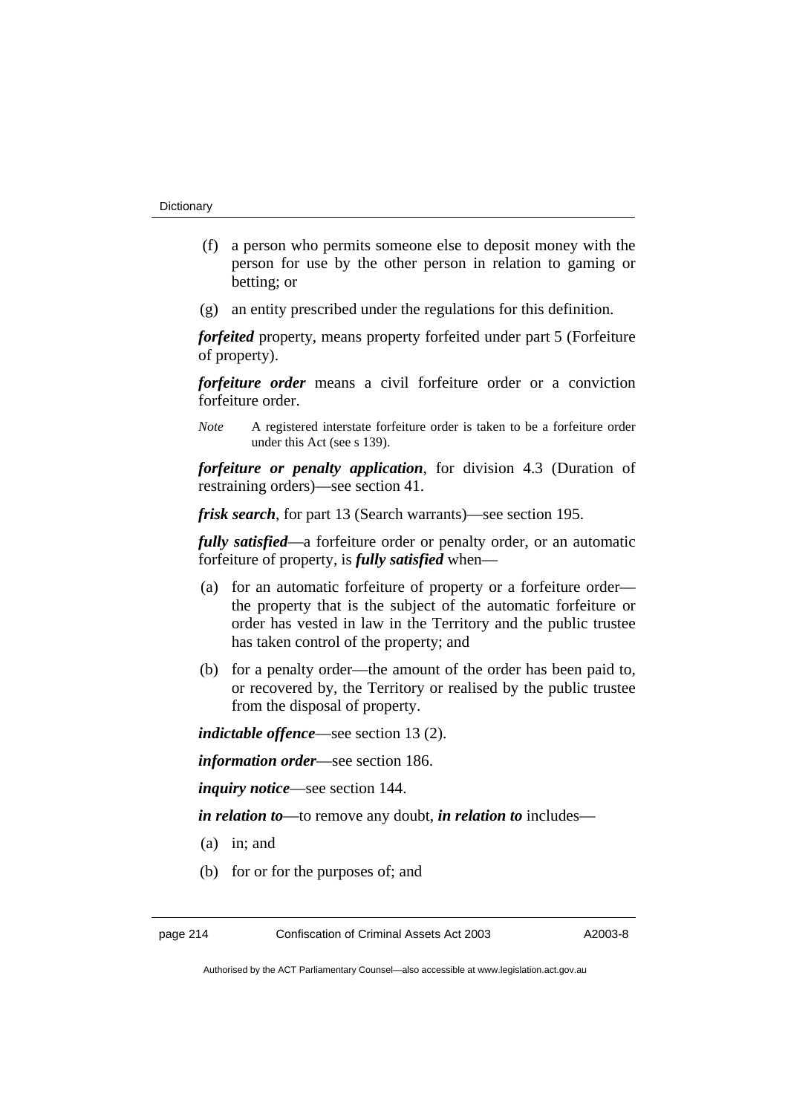- (f) a person who permits someone else to deposit money with the person for use by the other person in relation to gaming or betting; or
- (g) an entity prescribed under the regulations for this definition.

*forfeited* property, means property forfeited under part 5 (Forfeiture of property).

*forfeiture order* means a civil forfeiture order or a conviction forfeiture order.

*Note* A registered interstate forfeiture order is taken to be a forfeiture order under this Act (see s 139).

*forfeiture or penalty application*, for division 4.3 (Duration of restraining orders)—see section 41.

*frisk search*, for part 13 (Search warrants)—see section 195.

*fully satisfied*—a forfeiture order or penalty order, or an automatic forfeiture of property, is *fully satisfied* when—

- (a) for an automatic forfeiture of property or a forfeiture order the property that is the subject of the automatic forfeiture or order has vested in law in the Territory and the public trustee has taken control of the property; and
- (b) for a penalty order—the amount of the order has been paid to, or recovered by, the Territory or realised by the public trustee from the disposal of property.

*indictable offence*—see section 13 (2).

*information order*—see section 186.

*inquiry notice*—see section 144.

*in relation to*—to remove any doubt, *in relation to* includes—

- (a) in; and
- (b) for or for the purposes of; and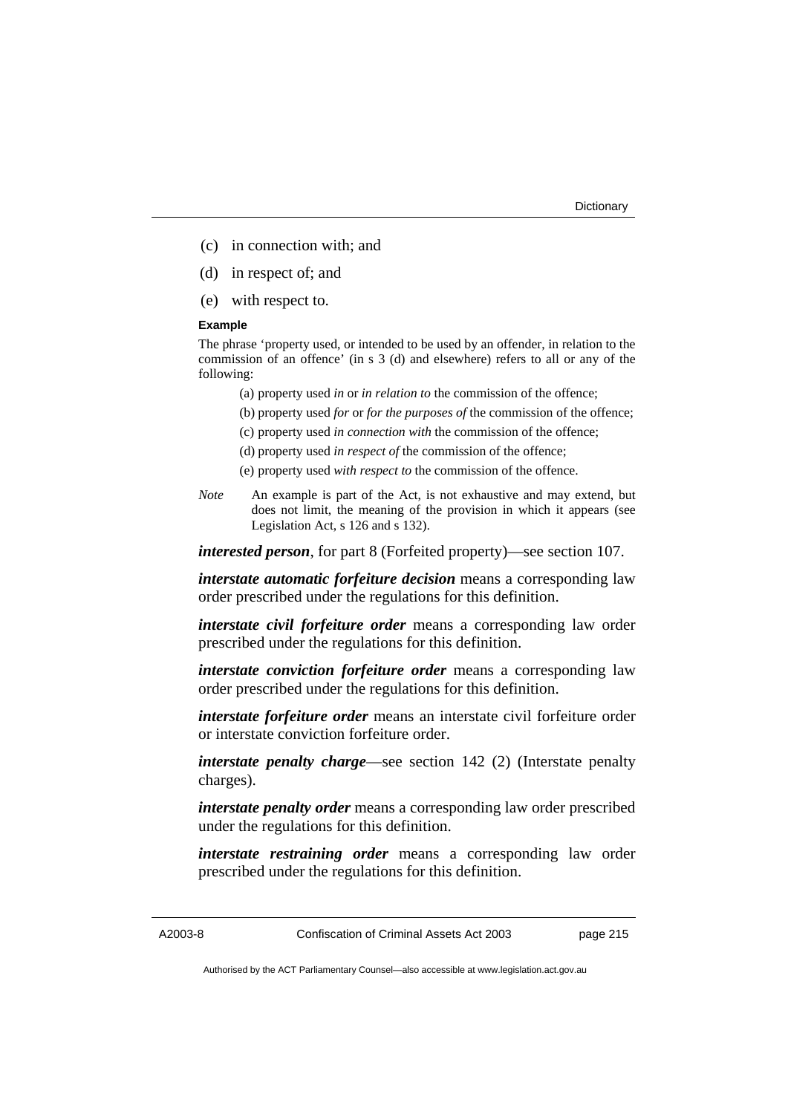- (c) in connection with; and
- (d) in respect of; and
- (e) with respect to.

#### **Example**

The phrase 'property used, or intended to be used by an offender, in relation to the commission of an offence' (in s 3 (d) and elsewhere) refers to all or any of the following:

- (a) property used *in* or *in relation to* the commission of the offence;
- (b) property used *for* or *for the purposes of* the commission of the offence;
- (c) property used *in connection with* the commission of the offence;
- (d) property used *in respect of* the commission of the offence;
- (e) property used *with respect to* the commission of the offence.
- *Note* An example is part of the Act, is not exhaustive and may extend, but does not limit, the meaning of the provision in which it appears (see Legislation Act, s 126 and s 132).

*interested person*, for part 8 (Forfeited property)—see section 107.

*interstate automatic forfeiture decision* means a corresponding law order prescribed under the regulations for this definition.

*interstate civil forfeiture order* means a corresponding law order prescribed under the regulations for this definition.

*interstate conviction forfeiture order* means a corresponding law order prescribed under the regulations for this definition.

*interstate forfeiture order* means an interstate civil forfeiture order or interstate conviction forfeiture order.

*interstate penalty charge*—see section 142 (2) (Interstate penalty charges).

*interstate penalty order* means a corresponding law order prescribed under the regulations for this definition.

*interstate restraining order* means a corresponding law order prescribed under the regulations for this definition.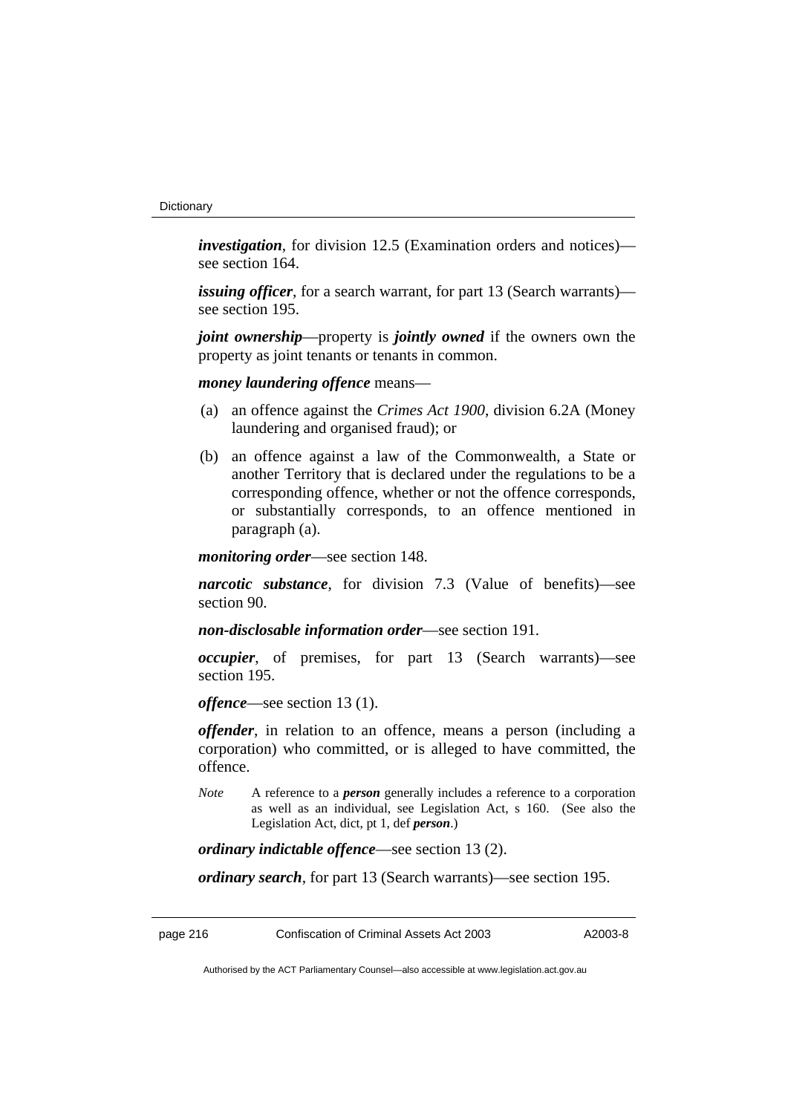*investigation*, for division 12.5 (Examination orders and notices) see section 164.

*issuing officer*, for a search warrant, for part 13 (Search warrants) see section 195.

*joint ownership*—property is *jointly owned* if the owners own the property as joint tenants or tenants in common.

*money laundering offence* means—

- (a) an offence against the *Crimes Act 1900*, division 6.2A (Money laundering and organised fraud); or
- (b) an offence against a law of the Commonwealth, a State or another Territory that is declared under the regulations to be a corresponding offence, whether or not the offence corresponds, or substantially corresponds, to an offence mentioned in paragraph (a).

*monitoring order*—see section 148.

*narcotic substance*, for division 7.3 (Value of benefits)—see section 90.

*non-disclosable information order*—see section 191.

*occupier*, of premises, for part 13 (Search warrants)—see section 195.

*offence*—see section 13 (1).

*offender*, in relation to an offence, means a person (including a corporation) who committed, or is alleged to have committed, the offence.

*Note* A reference to a *person* generally includes a reference to a corporation as well as an individual, see Legislation Act, s 160. (See also the Legislation Act, dict, pt 1, def *person*.)

*ordinary indictable offence*—see section 13 (2).

*ordinary search*, for part 13 (Search warrants)—see section 195.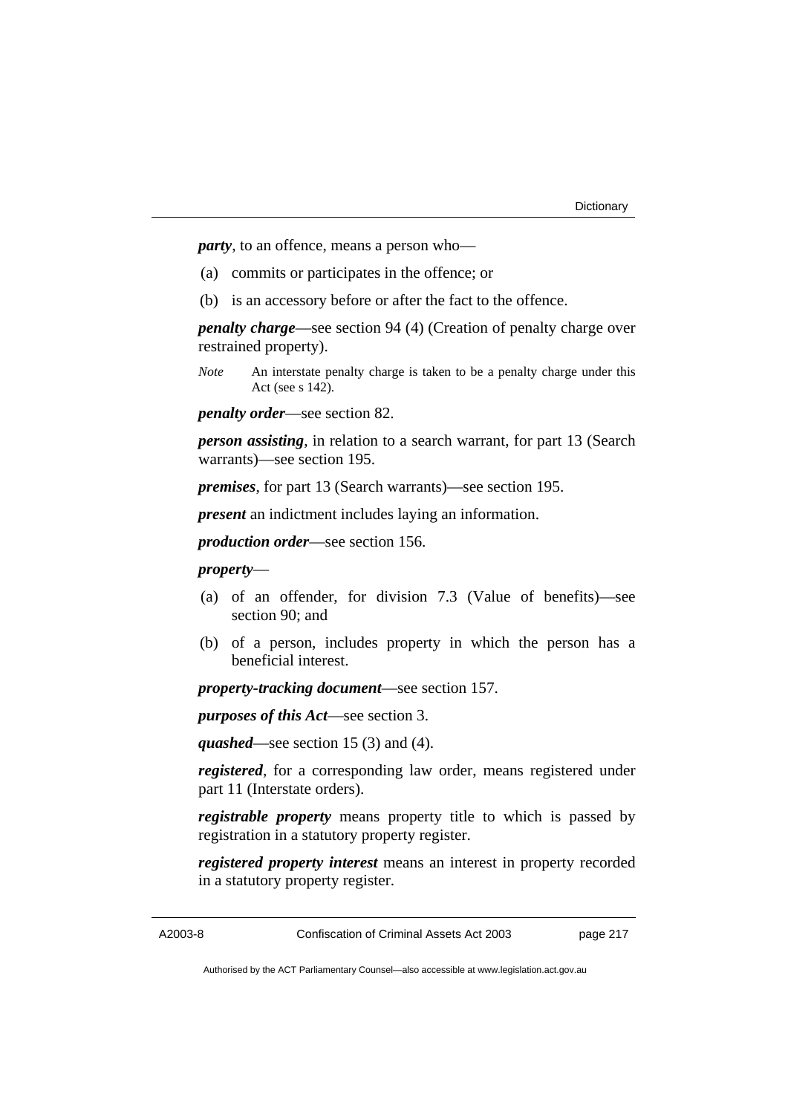*party*, to an offence, means a person who—

- (a) commits or participates in the offence; or
- (b) is an accessory before or after the fact to the offence.

*penalty charge*—see section 94 (4) (Creation of penalty charge over restrained property).

*Note* An interstate penalty charge is taken to be a penalty charge under this Act (see s 142).

*penalty order*—see section 82.

*person assisting*, in relation to a search warrant, for part 13 (Search warrants)—see section 195.

*premises*, for part 13 (Search warrants)—see section 195.

*present* an indictment includes laying an information.

*production order*—see section 156.

#### *property*—

- (a) of an offender, for division 7.3 (Value of benefits)—see section 90; and
- (b) of a person, includes property in which the person has a beneficial interest.

*property-tracking document*—see section 157.

*purposes of this Act*—see section 3.

*quashed*—see section 15 (3) and (4).

*registered*, for a corresponding law order, means registered under part 11 (Interstate orders).

*registrable property* means property title to which is passed by registration in a statutory property register.

*registered property interest* means an interest in property recorded in a statutory property register.

A2003-8 Confiscation of Criminal Assets Act 2003 page 217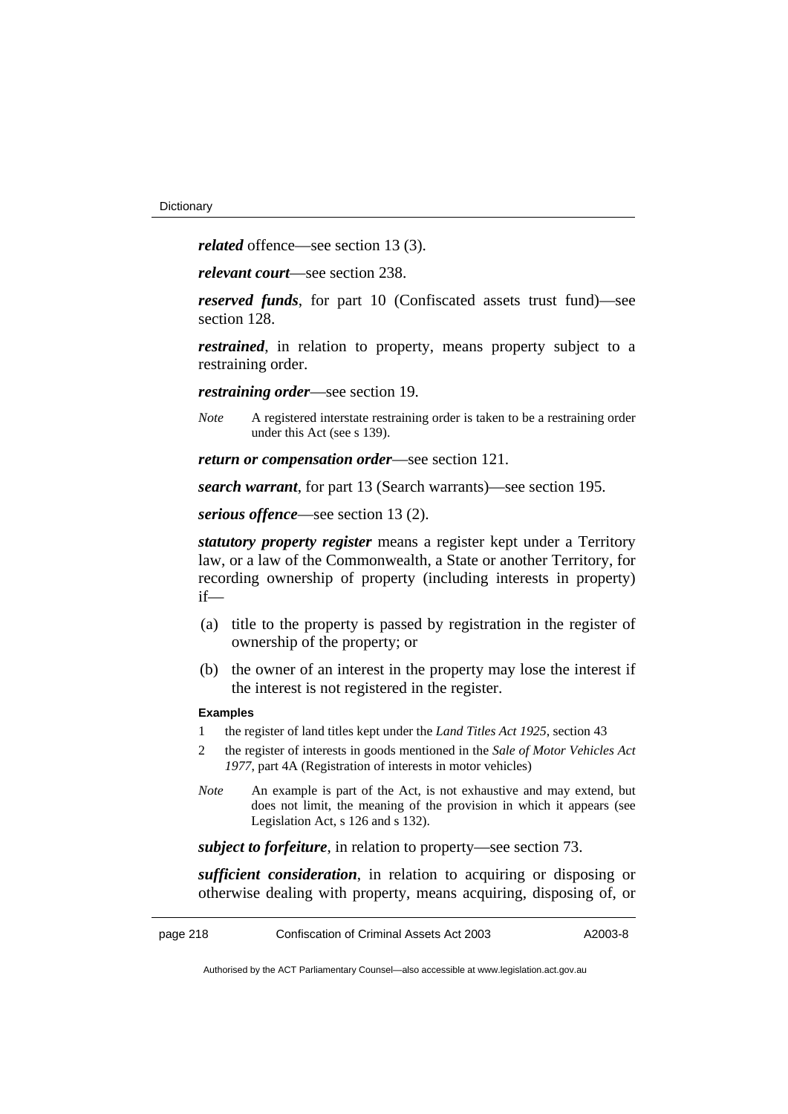*related* offence—see section 13 (3).

*relevant court*—see section 238.

*reserved funds*, for part 10 (Confiscated assets trust fund)—see section 128.

*restrained*, in relation to property, means property subject to a restraining order.

*restraining order*—see section 19.

*Note* A registered interstate restraining order is taken to be a restraining order under this Act (see s 139).

*return or compensation order*—see section 121.

*search warrant*, for part 13 (Search warrants)—see section 195.

*serious offence*—see section 13 (2).

*statutory property register* means a register kept under a Territory law, or a law of the Commonwealth, a State or another Territory, for recording ownership of property (including interests in property) if—

- (a) title to the property is passed by registration in the register of ownership of the property; or
- (b) the owner of an interest in the property may lose the interest if the interest is not registered in the register.

#### **Examples**

- 1 the register of land titles kept under the *Land Titles Act 1925*, section 43
- 2 the register of interests in goods mentioned in the *Sale of Motor Vehicles Act 1977*, part 4A (Registration of interests in motor vehicles)
- *Note* An example is part of the Act, is not exhaustive and may extend, but does not limit, the meaning of the provision in which it appears (see Legislation Act, s 126 and s 132).

*subject to forfeiture*, in relation to property—see section 73.

*sufficient consideration*, in relation to acquiring or disposing or otherwise dealing with property, means acquiring, disposing of, or